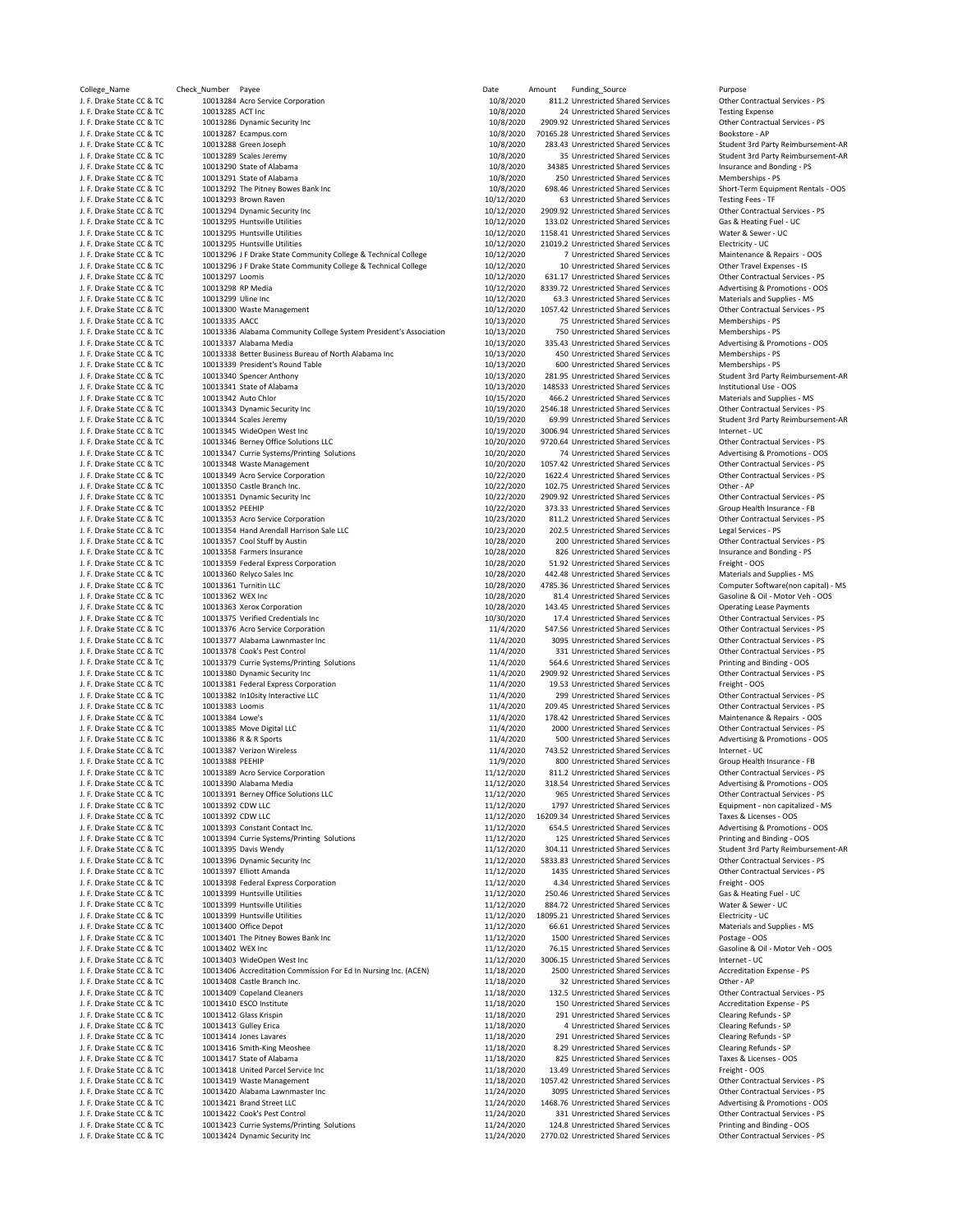| College_Name                                           | J<br>Check_ |
|--------------------------------------------------------|-------------|
| J. F. Drake State CC & TC                              |             |
| J. F. Drake State CC & TC                              |             |
| J. F. Drake State CC & TC                              |             |
| J. F. Drake State CC & TC                              |             |
| J. F. Drake State CC & TC                              |             |
|                                                        |             |
| J. F. Drake State CC & TC                              |             |
| J. F. Drake State CC & TC                              |             |
| J. F. Drake State CC & TC                              |             |
| J. F. Drake State CC & TC                              |             |
| J. F. Drake State CC & TC                              |             |
| J. F. Drake State CC & TC                              |             |
| J. F. Drake State CC & TC                              |             |
| J. F. Drake State CC & TC                              |             |
| J. F. Drake State CC & TC                              |             |
| J. F. Drake State CC & TC                              |             |
| J. F. Drake State CC & TC                              |             |
| J. F. Drake State CC & TC                              |             |
| J. F. Drake State CC & TC                              |             |
| J. F. Drake State CC & TC                              |             |
|                                                        |             |
| J. F. Drake State CC & TC                              |             |
| J. F. Drake State CC & TC                              |             |
| J. F. Drake State CC & TC                              |             |
| J. F. Drake State CC & TC                              |             |
| J. F. Drake State CC & TC                              |             |
| J. F. Drake State CC & TC                              |             |
| J. F. Drake State CC & TC                              |             |
| J. F. Drake State CC & TC                              |             |
| J. F. Drake State CC & TC                              |             |
| J. F. Drake State CC & TC                              |             |
| J. F. Drake State CC & TC                              |             |
| J. F. Drake State CC & TC                              |             |
| J. F. Drake State CC & TC                              |             |
| J. F. Drake State CC & TC                              |             |
| J. F. Drake State CC & TC                              |             |
| J. F. Drake State CC & TC                              |             |
| J. F. Drake State CC & TC                              |             |
| J. F. Drake State CC & TC                              |             |
| J. F. Drake State CC & TC                              |             |
| J. F. Drake State CC & TC                              |             |
| J. F. Drake State CC & TC                              |             |
| J. F. Drake State CC & TC                              |             |
| J. F. Drake State CC & TC                              |             |
| J. F. Drake State CC & TC                              |             |
| J. F. Drake State CC & TC                              |             |
| J. F. Drake State CC & TC                              |             |
| J. F. Drake State CC & TC                              |             |
| J. F. Drake State CC & TC                              |             |
| J. F. Drake State CC & TC                              |             |
|                                                        |             |
| J. F. Drake State CC & TC<br>J. F. Drake State CC & TC |             |
| J. F. Drake State CC & TC                              |             |
| J. F. Drake State CC & TC                              |             |
|                                                        |             |
| J. F. Drake State CC & TC                              |             |
| J. F. Drake State CC & TC<br>J. F. Drake State CC & TC |             |
|                                                        |             |
| J. F. Drake State CC & TC                              |             |
| J. F. Drake State CC & TC                              |             |
| J. F. Drake State CC & TC                              |             |
| J. F. Drake State CC & TC                              |             |
| J. F. Drake State CC & TC                              |             |
| J. F. Drake State CC & TC                              |             |
| J. F. Drake State CC & TC                              |             |
| J. F. Drake State CC<br>8 TC                           |             |
| J. F. Drake State CC & TC                              |             |
| J. F. Drake State CC & TC                              |             |
| J. F. Drake State CC & TC                              |             |
| J. F. Drake State CC & TC                              |             |
| J. F. Drake State CC & TC                              |             |
| J. F. Drake State CC & TC                              |             |
| J. F. Drake State CC & TC                              |             |
| J. F. Drake State CC & TC                              |             |
| J. F. Drake State CC & TC                              |             |
| J. F. Drake State CC & TC                              |             |
| J. F. Drake State CC & TC                              |             |
| J. F. Drake State CC & TC                              |             |
| J. F. Drake State CC & TC                              |             |
| J. F. Drake State CC & TC                              |             |
| J. F. Drake State CC & TC                              |             |
| J. F. Drake State CC & TC                              |             |
| J. F. Drake State CC & TC                              |             |
| J. F. Drake State CC & TC                              |             |
| J. F. Drake State CC & TC                              |             |
| J. F. Drake State CC & TC                              |             |
|                                                        |             |
| J. F. Drake State CC & TC                              |             |
| J. F. Drake State CC & TC                              |             |
| J. F. Drake State CC & TC                              |             |
| J. F. Drake State CC & TC                              |             |
| J. F. Drake State CC & TC                              |             |
| J. F. Drake State CC & TC                              |             |
| J. F. Drake State CC & TC                              |             |
| J. F. Drake State CC & TC                              |             |
| J. F. Drake State CC & TC                              |             |
| J. F. Drake State CC & TC                              |             |
| J. F. Drake State CC & TC<br>J. F. Drake State CC & TC |             |

College\_Name Check\_Number Payee Date Amount Funding\_Source Purpose 10013284 Acro Service Corporation بالموادر 1008/2020 811.2 Unrestricted Shared Services Corporation 10013285<br>10013285 ACT Inc Corporation 10013285 ACT Inc Presting Expense 10013285 ACT Inc CCC BESTATE COMPUTER STATE CONSUMING THE SERVICE CONSULTED A SERVICE CONTROLLED TESTING SERVICES<br>10013286 Dynamic Security Inc COMPUTER State COMPUTER STATES And A SERVICES CONTROLLED SERVICES A SERVICES P 10013286 Dynamic Security Inc **Canadia State Contract** Contract CC 2009.92 Unrestricted Shared Services **Contract**<br>10013287 Ecampus.com **Bookstore - APS** 2020 101652020 70165.28 Unrestricted Shared Services Bookstore - AP 10/8/2020 70165.28 Unrestricted Shared Services<br>10013288 Green Joseph 10013288 Unrestricted Shared Services Bookstore **APP 10/8/2020** 10/8/2020 283.43 Unrestricted Shared Services J. F. Drake State CC & TC 10013288 Green Joseph 10/8/2020 283.43 Unrestricted Shared Services Student 3rd Party Reimbursement‐AR 10013290 State of Alabama 
1008/2020 134385 Unrestricted Shared Services Insurance and Bonding - PS<br>10013291 State of Alabama 1001 1008/2020 250 Unrestricted Shared Services Memberships - PS J. F. Drake State Coccine State Coccine COC & TO 10013292 The Pitney Bowes Bank Inc 10013292 The Pitney Bowes Bank Inc 10013293 Chort-Term Equipment Rentals and Services Short-Term Equipment Rentals and Services Short-Term 10/12/2020 63 Unrestricted Shared Services Testing Fees - TF Testing Fees - Testing Fees - TF Testing Fees - T<br>10/12/2020 2909.92 Unrestricted Shared Services Other Contractual Services - PS J. F. Drake State CC & TC 10013294 Dynamic Security Inc 10/12/2020 2909.92 Unrestricted Shared Services Other Contractual Services ‐ PS J. F. Drake State CC & TC 10013295 Huntsville Utilities 10/12/2020 133.02 Unrestricted Shared Services Gas & Heating Fuel ‐ UC 10/12/2020 21019.2 Unrestricted Shared Services Electricity - UC و 10/12/2020 10013295 Huntsville Utilities<br>10/12/2020 7 Unrestricted Shared Services Maintenance & Repairs - OOS .<br>10013296 J F Drake State Community College & Technical College 10/12/2020 7 Unrestricted Shared Services Maintenance & Repairs - I<br>10013296 J F Drake State Community College & Technical College 10/12/2020 10 Unrestricte 10013296 J F Drake State Community College & Technical College 10013297 Loomis 
10013297 Loomis
10013298 RP Media
20013298 RP Media
20013298 RP Media
20013298 RP Media
20013298 RP Media
20013298 RP Media
20013298 RP Media
20013298 RP Media
20013298 RP Media
20013298 RP Media
20013298 J. F. Drake State CC & TC 10013298 RP Media 10/12/2020 8339.72 Unrestricted Shared Services Advertising & Promotions ‐ OOS J. F. Drake State CC & TC 10013300 Waste Management 10/12/2020 1057.42 Unrestricted Shared Services Other Contractual Services ‐ PS J. F. Drake State CC & TC 10013336 Alabama Community College System President's Association 10/13/2020 750 Unrestricted Shared Services Memberships ‐ PS 10013337 Alabama Media Computers Advertising & Promotions - OOS<br>10013338 Better Business Bureau of North Alabama Inc 10/13/2020 450 Unrestricted Shared Services Memberships - PS 10013338 Better Business Bureau of North Alabama Inc 10/13/2020 450 Unrestricted Shared Services Memberships - PS<br>10013339 President's Round Table 10/13/2020 600 Unrestricted Shared Services Memberships - PS J. F. Drake State CC & TC 10013339 President's Round Table 10/13/2020 600 Unrestricted Shared Services Memberships ‐ PS J. F. Drake State CC & TC 10013340 Spencer Anthony 10/13/2020 281.95 Unrestricted Shared Services Student 3rd Party Reimbursement‐AR J. F. Drake State CC & TC 10013341 State of Alabama 10/13/2020 148533 Unrestricted Shared Services Institutional Use ‐ OOS 10013343 Dynamic Security Inc **State Communist COC & TC 10019/2020** 2546.18 Unrestricted Shared Services 10013344<br>10013344 Scales Jeremy **Contractual Services Contractual Services 10/19/2020** 69.99 Unrestricted Shared Se J. F. Drake State CC & TC 10013344 Scales Jeremy 10/19/2020 69.99 Unrestricted Shared Services Student 3rd Party Reimbursement‐AR 10/20/2020 9720.64 Unrestricted Shared Services Other Contractual Services - PS<br>10/20/2020 74 Unrestricted Shared Services Advertising & Promotions - OOS J. F. Drake State CC & TC 10013347 Currie Systems/Printing Solutions 10/20/2020 74 Unrestricted Shared Services Advertising & Promotions ‐ OOS J. F. Drake State CC & TC 10013348 Waste Management 10/20/2020 1057.42 Unrestricted Shared Services Other Contractual Services ‐ PS J. F. Drake State CC & TC 10013349 Acro Service Corporation 10/22/2020 1622.4 Unrestricted Shared Services Other Contractual Services ‐ PS 10/22/2020 102.75 Unrestricted Shared Services Other - AP و 10/22/2020 102.75 Unrestricted Shared Services Other Contractual Services - PS<br>10/22/2020 2909.92 Unrestricted Shared Services Other Contractual Services - PS J. F. Drake State CC & TC 10013351 Dynamic Security Inc 10/22/2020 2909.92 Unrestricted Shared Services Other Contractual Services ‐ PS 1023/2020 811.2 Unrestricted Shared Services Other Contractual Services - PS<br>10013354 Hand Arendall Harrison Sale LLC 1001231 100123/2020 202.5 Unrestricted Shared Services Legal Services 10013354 Hand Arendall Harrison Sale LLC **Came State Communication** 10/23/2020 202.5 Unrestricted Shared Services<br>10013357 Cool Stuff by Austin Contractual Services - PS (10/28/2020 200 Unrestricted Shared Services Contra J. F. Drake State CC & TC 10013357 Cool Stuff by Austin 10/28/2020 200 Unrestricted Shared Services Other Contractual Services ‐ PS J. F. Drake State CC & TC 10013359 Federal Express Corporation 10/28/2020 51.92 Unrestricted Shared Services Freight ‐ OOS 10013361 Turnitin LLC و 10013361 Turnitin LLC و 10013361 Turnitin LLC State Computer Software(non capital) - MS<br>10013362 WEX Inc و 10/28/2020 81.4 Unrestricted Shared Services Gasoline & Oil - Motor Veh - OOS J. F. Drake State CC & TC 10013362 WEX Inc 10/28/2020 81.4 Unrestricted Shared Services Gasoline & Oil ‐ Motor Veh ‐ OOS J. F. Drake State CC & TC 10013375 Verified Credentials Inc 10/30/2020 17.4 Unrestricted Shared Services Other Contractual Services ‐ PS J. I. Muslem Company of Contractual Services Across COM CONSTRATE: 11/4/2020 547.56 Unrestricted Shared Services Contractual Services - PS 11/4/2020 3095 Unrestricted Shared Services Other Contractual Services - PS 11/4/20 1. F. Drake State Contractual Services inc. بين المستخدمة المستخدمة المستخدمة المستخدمة المستخدمة المستخدمة ال<br>11/4/2020 3095 Unrestricted Shared Services Other Contractual Services - PS<br>11/4/2020 331 Unrestricted Share 10013379 Currie Systems/Printing Solutions 11/4/2020 564.6 Unrestricted Shared Services Printing and Binding - OOS<br>11/4/2020 2909.92 Unrestricted Shared Services Printing and Binding - OOS J. F. Drake State CC & TC 10013380 Dynamic Security Inc 11/4/2020 2909.92 Unrestricted Shared Services Other Contractual Services ‐ PS 10013381 Federal Express Corporation 11/4/2020 299 Unrestricted Shared Services Other Contractual Services - PS و 11/4/2020 299 Unrestricted Shared Services Other Contractual Services - PS و 11/4/2020 209.45 Unrestricted Shared Services Other Contractual Ser 11/4/2020 209.45 Unrestricted Shared Services Other Contractual Services - PS<br>11/4/2020 178.42 Unrestricted Shared Services Maintenance & Benairs - OCS J. F. Drake State CC & TC 10013384 Lowe's 11/4/2020 178.42 Unrestricted Shared Services Maintenance & Repairs ‐ OOS J. J. Move Digital LLC and the Contractual Services - PS and the Contractual Services of the Contractual Services - PS and the Contractual Services - PS and the Contractual Services - PS and the Contractual Services of the J. F. Drake State CC & TC 10013386 R & R Sports 11/4/2020 500 Unrestricted Shared Services Advertising & Promotions ‐ OOS J. J. F. Drake State Cocca & TO 2013 10013387 Verizon Wireless 10013387 Verizon Wireless 10013388 PEEHIP<br>10013388 PEEHIP 11/9/2020 800 Unrestricted Shared Services J. F. Drake State Corporation Corporation Corporation 11/12/2020 811.2 Unrestricted Shared Services **Contractual Services** <br>10013390 Alabama Media **Contractual Services • PS 2012 11/12/2020** 318.54 Unrestricted Shared Serv 1993 Berney Office Solutions LLC and the Contractual Services of the Contractual Services FOST CONTRECT CONTR<br>1977 Unrestricted Shared Services Fourther Contractual Services of the Contractual Services of the Contractual S J. F. Drake State CC & TC 10013392 CDW LLC 11/12/2020 1797 Unrestricted Shared Services Equipment ‐ non capitalized ‐ MS J. F. Drake State CC & TC 10013392 CDW LLC 11/12/2020 16209.34 Unrestricted Shared Services Taxes & Licenses ‐ OOS 10013394 Currie Systems/Printing Solutions 11/12/2020 125 Unrestricted Shared Services 11/12/2020 125 Unrestricted Shared Services Printing Solutions 11/12/2020 125 Unrestricted Shared Services J. F. Drake State CC & TC 10013395 Davis Wendy 11/12/2020 304.11 Unrestricted Shared Services Student 3rd Party Reimbursement‐AR 10013396 Dynamic Security Inc Camera State Contractual Services - PS 11/12/2020 5833.83 Unrestricted Shared Services Other Contractual Services - PS 11/12/2020 1435 Unrestricted Shared Services Other Contractual Services J. F. Drake State CC & TC 10013398 Federal Express Corporation 11/12/2020 4.34 Unrestricted Shared Services Freight ‐ OOS J. F. Drake State CC & TC 10013399 Huntsville Utilities 11/12/2020 250.46 Unrestricted Shared Services Gas & Heating Fuel ‐ UC J. F. Drake State CC & TC 10013399 Huntsville Utilities 11/12/2020 884.72 Unrestricted Shared Services Water & Sewer ‐ UC J. F. Drake State CC & TC 10013399 Huntsville Utilities 11/12/2020 18095.21 Unrestricted Shared Services Electricity ‐ UC 19913401 The Pitney Bowes Bank Inc و 11/12/2020 1500 Unrestricted Shared Services Postage - OOS<br>19913402 WEX Inc Gasoline & Oil - Motor Veh - OOS 11/12/2020 76.15 Unrestricted Shared Services Gasoline & Oil اب 10013402 WEX Inc Casoline & Oil Casoline & Oil Casoline & Oil Casoline & Oil 11/12/2020 76.15 Unrestricted Shared Services Gasoline & Oil و 10013402 10013402 11/12/2020 3006.15 Unrestricted Shared Services Internet - U 10013406 Accreditation Commission For Ed In Nursing Inc. (ACEN) 11/18/2020 2500 Unrestricted Shared Services Accreditation Expense - PS<br>11/18/2020 32 Unrestricted Shared Services Other - AP Charles APS 2014 J. F. Drake State CC & TC 10013408 Castle Branch Inc. 11/18/2020 32 Unrestricted Shared Services Other ‐ AP J. F. Drake State CC & TC 10013409 Copeland Cleaners 11/18/2020 132.5 Unrestricted Shared Services Other Contractual Services ‐ PS J. F. Drake State CC & TC 10013410 ESCO Institute 11/18/2020 150 Unrestricted Shared Services Accreditation Expense ‐ PS J. F. Drake State CC & TC 10013412 Glass Krispin 11/18/2020 291 Unrestricted Shared Services Clearing Refunds ‐ SP 11/18/2020 291 Unrestricted Shared Services Clearing Refunds - SP (Clearing Refunds - SP 1018/2020 291 Unrestricted Shared Services Clearing Refunds - SP 1018/2020 291 Unrestricted Shared Services Clearing Refunds - SP 10 J. F. Drake State CC & TC 10013416 Smith‐King Meoshee 11/18/2020 8.29 Unrestricted Shared Services Clearing Refunds ‐ SP J. F. Drake State CC & TC 10013418 United Parcel Service Inc 11/18/2020 13.49 Unrestricted Shared Services Freight ‐ OOS J. F. Drake State CC & TC 10013420 Alabama Lawnmaster Inc 11/24/2020 3095 Unrestricted Shared Services Other Contractual Services ‐ PS 10013421 Brand Street LLC **Came State Community Community Community** 11/24/2020 1468.76 Unrestricted Shared Services Advertising & Promotions - OOS<br>11/24/2020 331 Unrestricted Shared Services Other Contractual Services - 10013423 Currie Systems/Printing Solutions (Subsections and Exercise of the State Occurs) 10013423 Currie Systems/Printing and Binding - OOS<br>11/24/2020 10013424 Dynamic Services Inc. PS (Ontractual Services - PS 11/24/202 10013424 Dynamic Security Inc

10/8/2020 250 Unrestricted Shared Services Memberships - PS<br>10/8/2020 698.46 Unrestricted Shared Services Short-Term Equipment Rentals - OOS 1158.41 Unrestricted Shared Services 10/13/2020 75 Unrestricted Shared Services Memberships - PS<br>10/13/2020 750 Unrestricted Shared Services Memberships - PS 10/15/2020 466.2 Unrestricted Shared Services Materials and Supplies - MS<br>10/19/2020 2546.18 Unrestricted Shared Services Other Contractual Services - PS 10/19/2020 3006.94 Unrestricted Shared Services Internet - UC<br>10/20/2020 9720.64 Unrestricted Shared Services Other Contractual Services - PS 373.33 Unrestricted Shared Services 10/28/2020 826 Unrestricted Shared Services Insurance and Insurance and Bonding State Shared Services Insurance and Bonding and Bonding and Bonding and Bonding and Bonding and Bonding and Bonding and Bonding and Bonding an 442.48 Unrestricted Shared Services 143.45 Unrestricted Shared Services 11/4/2020 331 Unrestricted Shared Services Other Contractual Services<br>11/4/2020 564.6 Unrestricted Shared Services Printing and Binding - OOS J. J. 11/9/2020 800 Unrestricted Shared Services Group Health Insurance - FB<br>11/12/2020 811.2 Unrestricted Shared Services Other Contractual Services - PS 11/12/2020 654.5 Unrestricted Shared Services Advertising & Promotions - OOS<br>11/12/2020 125 Unrestricted Shared Services Printing and Binding - OOS 11/12/2020 1435 Unrestricted Shared Services **11/12/2020** 1435 Unrestricted Shared Services **Other Contractual Services** 11/12/2020 66.61 Unrestricted Shared Services Materials and Supplies - MS<br>11/12/2020 1500 Unrestricted Shared Services Postage - OOS 3006.15 Unrestricted Shared Services 4 Unrestricted Shared Services 825 Unrestricted Shared Services 11/18/2020 1057.42 Unrestricted Shared Services Other Contractual Services - PS<br>11/24/2020 3095 Unrestricted Shared Services Other Contractual Services - PS 11/24/2020 331 Unrestricted Shared Services **Control Contractual Services** Contractual Services Contractual Services Contractual Services Contractual Services **124.8** Unrestricted Shared Services **Printing and Binding - OO** 

Student 3rd Party Reimbursement‐AR Materials and Supplies - MS<br>Other Contractual Services - PS Advertising & Promotions - OOS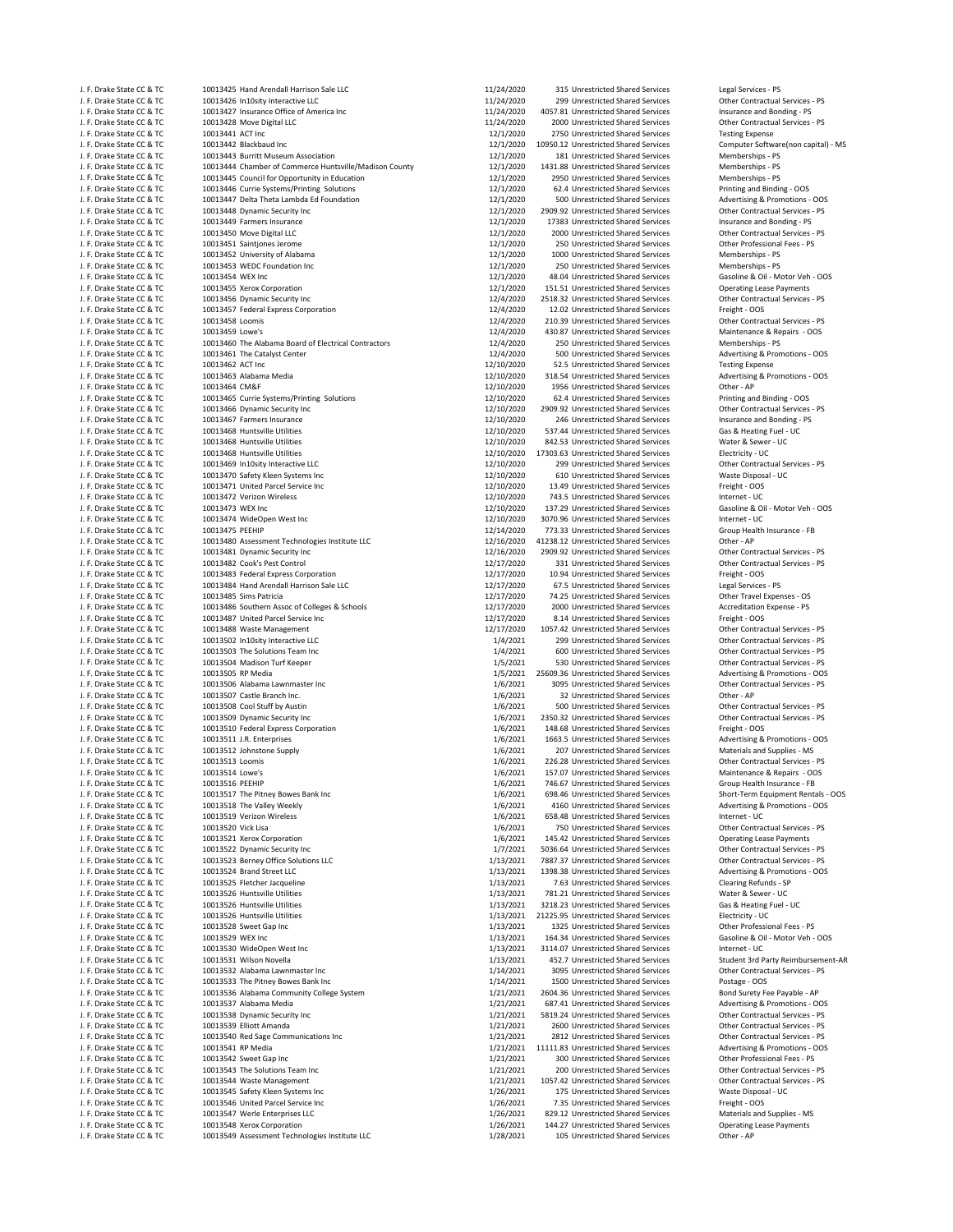| J. F. Drake State CC & TO                              |
|--------------------------------------------------------|
| J. F. Drake State CC & TC                              |
| J. F. Drake State CC & TC                              |
| J. F. Drake State CC & TC                              |
| J. F. Drake State CC & TC                              |
| J. F. Drake State CC & TC                              |
| J. F. Drake State CC & TC                              |
| J. F. Drake State CC & TC                              |
| J. F. Drake State CC & TO                              |
| J. F. Drake State CC & TC                              |
|                                                        |
| J. F. Drake State CC & TC                              |
| J. F. Drake State CC & TC                              |
| J. F. Drake State CC & TC                              |
| J. F. Drake State CC & TC                              |
| J. F. Drake State CC & TC                              |
| J. F. Drake State CC & TC                              |
| J. F. Drake State CC & TC                              |
| J. F. Drake State CC & TC                              |
| J. F. Drake State CC & TC                              |
| J. F. Drake State CC & TC                              |
| J. F. Drake State CC & TC                              |
| J. F. Drake State CC & TC                              |
| J. F. Drake State CC & TC                              |
| J. F. Drake State CC & TC                              |
| J. F. Drake State CC & TC                              |
| J. F. Drake State CC & TC                              |
| J. F. Drake State CC & TC                              |
| J. F. Drake State CC & TC                              |
| J. F. Drake State CC & TC                              |
| J. F. Drake State CC & TC                              |
| J. F. Drake State CC & TC                              |
| J. F. Drake State CC & TC                              |
| J. F. Drake State CC & TC                              |
| J. F. Drake State CC & TC                              |
| J. F. Drake State CC & TC                              |
| J. F. Drake State CC & TC                              |
| J. F. Drake State CC & TO                              |
| J. F. Drake State CC & TC                              |
| J. F. Drake State CC & TC                              |
| J. F. Drake State CC & TC                              |
| .<br>J. F. Drake State CC & TC                         |
| J. F. Drake State CC & TC                              |
| J. F. Drake State CC & TC                              |
| J. F. Drake State CC & TC                              |
| J. F. Drake State CC & TC                              |
| J. F. Drake State CC & TC                              |
| J. F. Drake State CC & TC                              |
|                                                        |
|                                                        |
| J. F. Drake State CC & TO                              |
| J. F. Drake State CC & TC                              |
| J. F. Drake State CC & TC                              |
| J. F. Drake State CC & TC                              |
|                                                        |
| J. F. Drake State CC & TC<br>J. F. Drake State CC & TC |
| J. F. Drake State CC & TC                              |
| J. F. Drake State CC & TC                              |
| J. F. Drake State CC & TC                              |
| J. F. Drake State CC & TC                              |
| J. F. Drake State CC & TC                              |
| J. F. Drake State CC & TC                              |
| J. F. Drake State CC & TC                              |
| J. F. Drake State CC & TC                              |
| J. F. Drake State CC & TC                              |
| J. F. Drake State CC & TC                              |
| J. F. Drake State CC<br>& TO                           |
| J. F. Drake State CC & TC                              |
| J. F. Drake State CC & TC                              |
| J. F. Drake State CC & TC                              |
| J. F. Drake State CC & TC                              |
| J. F. Drake State CC & TC                              |
| J. F. Drake State CC & TC                              |
| J. F. Drake State CC & TC                              |
| J. F. Drake State CC & TC                              |
| J. F. Drake State CC & TC                              |
| J. F. Drake State CC & TC                              |
| J. F. Drake State CC & TC                              |
| J. F. Drake State CC & TC                              |
| J. F. Drake State CC & TC                              |
| J. F. Drake State CC & TC                              |
| J. F. Drake State CC & TC                              |
| J. F. Drake State CC & TC                              |
| J. F. Drake State CC & TC                              |
| J. F. Drake State CC & TC                              |
| J. F. Drake State CC & TC                              |
| J. F. Drake State CC & TC                              |
| J. F. Drake State CC & TC                              |
| J. F. Drake State CC & TC                              |
| J. F. Drake State CC & TO                              |
| J. F. Drake State CC & TC                              |
| J. F. Drake State CC & TC                              |
| J. F. Drake State CC & TC                              |
| J. F. Drake State CC & TC                              |
| J. F. Drake State CC & TC                              |
| J. F. Drake State CC & TC                              |
| J. F. Drake State CC & TC                              |
| J. F. Drake State CC & TC<br>J. F. Drake State CC & TC |

10013425 Hand Arendall Harrison Sale LLC **11/24/2020** 315 Unrestricted Shared Services Legal Services - PS<br>11/24/2020 1013426 In10sity Interactive LLC 11/24/2020 11/24/2020 299 Unrestricted Shared Services Chher Contractua -10013426 In10sity Interactive LLC و 11/24/2020 299 Unrestricted Shared Services Contractual Services<br>11/24/2020 4057.81 Unrestricted Shared Services Insurance and Bonding - PS J. F. Drake State CC & TC 10013427 Insurance Office of America Inc 11/24/2020 4057.81 Unrestricted Shared Services Insurance and Bonding ‐ PS J. F. Drake State CC & TC 10013428 Move Digital LLC 11/24/2020 2000 Unrestricted Shared Services Other Contractual Services ‐ PS 12/1/2020 2750 Unrestricted Shared Services Testing Expense<br>1995.12 Unrestricted Shared Services Computer Software(non capital) - MS J. F. Drame State Communist Communist Communist COM State COMMUNIST 2001 181 Unrestricted Shared Services<br>1991 - J. P. Drame State Communist Communist Communist Communist Communist Law State Memberships (Shared Service<br>199 10013444 Chamber of Commerce Huntsville/Madison County 112/1/2020 1431.88 Unrestricted Shared Services Memberships - PS<br>10013445 Council for Opportunity in Education 112/1/2020 19950 Unrestricted Shared Services Membership V. T. Drake State Council for Opportunity in Education 10013445 Council of the Council of the COC and the COC 2000 2950 Unrestricted Shared Services Memberships - PS<br>12/1/2020 62.4 Unrestricted Shared Services Printing and 1. I. F. Drake State Control of Control of CC & TC 10013446 Currie Systems/Printing Solutions 12/1/2020 62.4 Unrestricted Shared Services Printing Solutions 12/1/2020 62.4 Unrestricted Shared Services Printing Solutions 12 10013447 Delta Theta Lambda Ed Foundation 10013447 Delta Theta COC brace CCC 60013447 Delta Theta Lambda Ed Foundation 10013448 Dynamic Security Inc 10013448 Dynamic Security Inc 10013448 Dynamic Security Inc 10013448 Dyna J. F. Drake State CC & TC 10013448 Dynamic Security Inc 12/1/2020 2909.92 Unrestricted Shared Services Other Contractual Services ‐ PS 10013450 Move Digital LLC  $12/1/2020$ 10013451 Saintjones Jerome 12.11/2020 250 Unrestricted Shared Services Other Professional Fees - PS<br>
1000 Unrestricted Shared Services Memberships - PS J. F. Drake State Company of Alabama 12/1/2020 1000 Unrestricted Shared Services Memberships − PS<br>12/1/2020 1000 Unrestricted Shared Services Memberships − PS<br>10013453 WEDC Foundation Inc J. F. Drake State CC & TC 10013453 WEDC Foundation Inc 12/1/2020 250 Unrestricted Shared Services Memberships ‐ PS J. F. Drake State COM 12/1/2020 48.04 Unrestricted Shared Services Gasoline & Oil - Motor Veh <br>1911/2020 151.51 Unrestricted Shared Services Operating Lease Payments J. F. Drake State CC & TC 10013456 Dynamic Security Inc 12/4/2020 2518.32 Unrestricted Shared Services Other Contractual Services ‐ PS 10013457 Federal Express Corporation 12000 12/4/2020 12.02 Unrestricted Shared Services Freight - OOS<br>12/4/2020 1210.39 Unrestricted Shared Services Other Contractual Services - PS J. F. Drake State CC & TC 10013458 Loomis 12/4/2020 210.39 Unrestricted Shared Services Other Contractual Services ‐ PS J. J. May 10013460 The Alabama Board of Electrical Contractors 12/4/2020 250 Unrestricted Shared Services Memberships - PS<br>12/4/2020 500 Unrestricted Shared Services Advertising & Promotions - OOS J. F. Drake State CC & TC 10013461 The Catalyst Center 12/4/2020 500 Unrestricted Shared Services Advertising & Promotions ‐ OOS J. F. Drake State CC & TC 10013462 ACT Inc 12/10/2020 52.5 Unrestricted Shared Services Testing Expense J. F. Drake State CC & TC 10013463 Alabama Media 12/10/2020 318.54 Unrestricted Shared Services Advertising & Promotions ‐ OOS J. F. Drake State CC & TC 10013465 Currie Systems/Printing Solutions 12/10/2020 62.4 Unrestricted Shared Services Printing and Binding ‐ OOS J. F. 10013466 Dynamic Security Inc and Services and Extractual Services and Extractual Services of the Contractual Services and Extractual Services and Extractual Services and Extractual Services insurance and Bonding - P J. F. Drake State CC & TC 10013467 Farmers Insurance 12/10/2020 246 Unrestricted Shared Services Insurance and Bonding ‐ PS J. F. Drake State CC & TC 10013468 Huntsville Utilities 12/10/2020 537.44 Unrestricted Shared Services Gas & Heating Fuel ‐ UC J. F. Drake State CC & TC 10013468 Huntsville Utilities 12/10/2020 842.53 Unrestricted Shared Services Water & Sewer ‐ UC J. F. Drake State CC & TC 10013469 In10sity Interactive LLC 12/10/2020 299 Unrestricted Shared Services Other Contractual Services ‐ PS 10013470 Safety Kleen Systems Inc CCC extending the State Disposition of 12/10/2020 610 Unrestricted Shared Services Waste Dispos<br>10013471 United Parcel Service Inc COS COMPASS 12/10/2020 13.49 Unrestricted Shared Service J. F. Drake State CC & TC 10013471 United Parcel Service Inc 12/10/2020 13.49 Unrestricted Shared Services Freight ‐ OOS J. F. Drake State CC & TC 10013472 Verizon Wireless 12/10/2020 743.5 Unrestricted Shared Services Internet ‐ UC COLLET 10013474 WideOpen West Inc and the CCC and the COLLET 11/10/2020 3070.96 Unrestricted Shared Services Internet ⋅ UC 10013475 PEEHIP COLLET 12/14/2020 773.33 Unrestricted Shared Services Group Health Insurance - FB J. I. May 10013480 Assessment Technologies Institute LLC 6 and the CCL 12/16/2020 41238.12 Unrestricted Shared Services Other - AP<br>1993 - 2009 12 Unrestricted Shared Services Other Contractual Services Other Contractual Se J. F. Drake State CC & TC 10013482 Cook's Pest Control 12/17/2020 331 Unrestricted Shared Services Other Contractual Services ‐ PS J. F. Drake State CC & TC 10013483 Federal Express Corporation 12/17/2020 10.94 Unrestricted Shared Services Freight ‐ OOS J. F. Drake State CC & TC 10013484 Hand Arendall Harrison Sale LLC 12/17/2020 67.5 Unrestricted Shared Services Legal Services ‐ PS 10013486 Southern Assoc of Colleges & Schools J. I. B. Drake State Coccine Communication of the CCC and Tail State Coccine COC and State COCC and Service Shared Services Freight ‐ OOS<br>1991-1992 10013488 Waste Management Communication State Coccine 12/17/2020 1057.42 U 1. The Solutions Team Inc. The Solutions Team Inc. The Solution of Team Inc. The Solutions Team Inc. The Solutions Team Inc. The Solutions Team Inc. The Solutions Team Inc. PS 1/4/2021 299 Unrestricted Shared Services of 1/4/2021 600 Unrestricted Shared Services Contractual Services - PS و 1/4/2021 600 Unrestricted Shared Services<br>1/5/2021 530 Unrestricted Shared Services Other Contractual Services - PS و 1/5/2021 530 Unrestricted Shared S J. F. Drake State CC & TC 10013504 Madison Turf Keeper 1/5/2021 530 Unrestricted Shared Services Other Contractual Services ‐ PS J. F. Drake State CC & TC 10013505 RP Media 1/5/2021 25609.36 Unrestricted Shared Services Advertising & Promotions ‐ OOS 10013507 Castle Branch Inc. 6 Company of the CC and the CC 10012021 32 Unrestricted Shared Services Cuther – AP<br>10013508 Cool Stuff by Austin Control Company of the Control of the Control of the Control of the Control of t 1. IOO13508 Cool Stuff by Austin بين المستخدم المستخدم المستخدم المستخدم المستخدم المستخدم المستخدم المستخدم ال<br>16/2021 10013509 Dynamic Security Inc. PS 2010 116/2021 16/2021 2350.32 Unrestricted Shared Services Other Co J. F. Drake State CC & TC 10013509 Dynamic Security Inc 1/6/2021 2350.32 Unrestricted Shared Services Other Contractual Services • PS 10013510 Federal Express Corporation 1992 Control of the COS and COM 10013510 Federal Express Corporation 1001<br>167021 1683.5 Unrestricted Shared Services Advertising & Promotions - OOS J. F. Drake State CC & TC 10013511 J.R. Enterprises 1/6/2021 1663.5 Unrestricted Shared Services Advertising & Promotions ‐ OOS  $\begin{array}{cccccccccc} 10013513&\text{Loomis} & & \\ 10013514&\text{Lownis} & & \text{Other Contract} & & \text{Service} & \text{Distance} & \text{Exercise} & \text{Other Contract} \\ 10013514&\text{Lown's} & & \text{Maintenance} & & \text{Replace} & \text{Reference} & \text{Replace} & \text{Therefore} & \text{Therefore} & \text{Value} & \text{Therefore} & \text{Value} & \text{Therefore} & \text{Value} & \text{Value} & \text{Value} & \text{Value} & \text{Value} & \text{Value} & \text{Value} & \text{Value} & \text{Value} & \text{$ J. F. Drake State CC & TC 10013514 Lowe's 1/6/2021 157.07 Unrestricted Shared Services Maintenance & Repairs ‐ OOS  $\textbf{1/6/2021} \quad \textbf{698.46}\ \textbf{Unrestricted Shared Service} \quad \textbf{Short-Term Equipment Rentals - OOS} \\ \textbf{1/6/2021} \quad \textbf{4160 Unrestricted Shared Service} \\ \textbf{1/6013518 The Valley Weekly} \quad \textbf{OOS} \\ \textbf{1/6013518} \quad \textbf{Mvertising & Promotions - OOS} \\ \textbf{1/6013519} \quad \textbf{Mvertising & Promotions - OOS} \\ \textbf{1/6013510} \quad \textbf{Mvertising & Promotions - OOS} \\ \textbf{1/6013510} \$ J. F. Drake State Co. CO. F. Drake State CO. F. Drake State Co. 2001<br>1999 The Valley Weekly 116/2021 1/6/2021 4160 Unrestricted Shared Services Advertising & Promotions and Promot<br>1999 The Promotions Shared State Co. 2014 1/6/2021 658.48 Unrestricted Shared Services Internet • UC<br>1/6/2021 750 Unrestricted Shared Services 20 Other Contractual Services PS J. J. M. H. 20011 1999 Vick Lisa 10013520 Vick Lisa 1999 Vick Lisa 116/2021 1950 Unrestricted Shared Services<br>1991-19521 2002 10013521 2006 100151 1999 10013521 1999 10013521 145.42 Unrestricted Shared Services Paperating 10013521 Xerox Corporation and the CC and the CC and the CC 2011 145.42 Unrestricted Shared Services Operating Lease Payments<br>10013522 Dynamic Security Inc and the Corporation 1/7/2021 5036.64 Unrestricted Shared Services 1991/13921 DO13523 Berney Office Solutions LLC 6 and the COLLC 8 are stated COLLC 1/13/2021 7887.37 Unrestricted Shared Services Other Contractual Services - PS<br>1997.38 Direstricted Shared Services Advertising & Promotions J. F. Drake State CC & TC 10013524 Brand Street LLC 1/13/2021 1398.38 Unrestricted Shared Services Advertising & Promotions ‐ OOS J. F. Drake State CC & TC 10013526 Huntsville Utilities 1/13/2021 781.21 Unrestricted Shared Services Water & Sewer ‐ UC J. F. Drake State CC & TC 10013526 Huntsville Utilities 1/13/2021 3218.23 Unrestricted Shared Services Gas & Heating Fuel ‐ UC J. F. Drake State CC & TC 10013526 Huntsville Utilities 1/13/2021 21225.95 Unrestricted Shared Services Electricity ‐ UC J. F. Drake State CC & TC 10013528 Sweet Gap Inc 1/13/2021 1325 Unrestricted Shared Services Other Professional Fees ‐ PS 10013530 WideOpen West Inc<br>10013531 Wilson Novella<br>10013531 Wilson Novella 10013531 Wilson Novella 1/13/2021 452.7 Unrestricted Shared Services J. F. 10013532 Alabama Lawnmaster Inc 1001 Contractual Services COM COM CONTENTING SUNTEN SERVICES 10013533 The Pitney Bowes Bank Inc 10013533 The Pitney Bowes Bank Inc 10013533 The Pitney Bowes Bank Inc 10013533 The Pitne J. F. Drake State CC & TC 10013533 The Pitney Bowes Bank Inc 1/14/2021 1500 Unrestricted Shared Services Postage ‐ OOS J. I. F. Drake State COMMUNITY College System 1/21/2021 2604.36 Unrestricted Shared Services 10013536 Alabama Community College System 1/21/2021 687.41 Unrestricted Shared Services 1. IMPO 1997 Alabama Media 10013537 Alabama Media 10013537 Advertising & Promotions - OOS<br>1. State Contractual Services - PS 1/21/2021 5819.24 Unrestricted Shared Services 01her Contractual Services -J. F. Drake State CC & TC 10013538 Dynamic Security Inc 1/21/2021 5819.24 Unrestricted Shared Services Other Contractual Services ‐ PS 19121/2021 2812 Unrestricted Shared Services Other Contractual Services PS 10013540 Red Sage Communications Inc 1/21/2021 11111.83 Unrestricted Shared Services Advertising & Promotions - OOS J. F. Drake State CC & TC 10013541 RP Media 1/21/2021 11111.83 Unrestricted Shared Services Advertising & Promotions ‐ OOS 1991/2021 2001 Understricted Shared Services Solutions Team Inc. F. Prake State Contractual Services - PS 1/21/2021 200 Unrestricted Shared Services Other Contractual Services - PS 1/21/2021 1057.42 Unrestricted Shared Ser 1/26/2021 175 Unrestricted Shared Services Waste Dispos<br>1/26/2021 175 Unrestricted Shared Services Waste Disposal experiment Shared Services Freight - OOS J. F. Drake State CC & TC 10013546 United Parcel Service Inc 1/26/2021 7.35 Unrestricted Shared Services Freight ‐ OOS J. F. Drake State CC & TC 10013547 Werle Enterprises LLC 1/26/2021 829.12 Unrestricted Shared Services Materials and Supplies ‐ MS J. F. Drake State CC & TC 10013549 Assessment Technologies Institute LLC 1/28/2021 105 Unrestricted Shared Services Other ‐ AP

12/1/2020 10950.12 Unrestricted Shared Services Computer Software<br>12/1/2020 181 Unrestricted Shared Services Memberships - PS 12/1/2020 17383 Unrestricted Shared Services Insurance and Bonding ‐ PS<br>12/1/2020 2000 Unrestricted Shared Services Cher Contractual Services ‐ PS  $12/1/2020$  151.51 Unrestricted Shared Services Operating Lease Payments<br> $12/4/2020$  2518.32 Unrestricted Shared Services Other Contractual Services - PS J. J. J. Drace State Cocc & TC 10013459 Lowell 2014-12020 430.87 Unrestricted Shared Services Maintenance & Repairs - OOS<br>12/4/2020 250 Unrestricted Shared Services Memberships - PS 12/10/2020 1956 Unrestricted Shared Services Other - AP<br>12/10/2020 62.4 Unrestricted Shared Services Printing and Binding - OOS 12/10/2020 17303.63 Unrestricted Shared Services Electricity - UC<br>12/10/2020 299 Unrestricted Shared Services Cher Contractual Services - PS 137.29 Unrestricted Shared Services 12/14/2020 773.33 Unrestricted Shared Services Group Health 12/14/2020 773.33 Unrestricted Shared Services Group Health Insurance Computer 12/16/2020 2909.92 Unrestricted Shared Services Contractual Services - PS<br>12/17/2020 331 Unrestricted Shared Services Other Contractual Services - PS 12/17/2020 74.25 Unrestricted Shared Services COTHET Travel Expenses - OS<br>12/17/2020 2000 Unrestricted Shared Services Accreditation Expense - PS J. F. 17/2020 1057.42 Unrestricted Shared Services Contractual Services - PS 1/4/2021 299 Unrestricted Shared Services Contractual Services - PS 1/6/2021 207 Unrestricted Shared Services Materials and Supplies - MS<br>1/6/2021 226.28 Unrestricted Shared Services Other Contractual Services -746.67 Unrestricted Shared Services 1/7/2021 5036.64 Unrestricted Shared Services by Table Contractual Services - PS<br>1/13/2021 7887.37 Unrestricted Shared Services Other Contractual Services - PS 7.63 Unrestricted Shared Services J. J. 13/2021 164.34 Unrestricted Shared Services Gasoline & Oil - Motor Veh - OOS<br>1/13/2021 164.34 Unrestricted Shared Services Internet - UC 300 Unrestricted Shared Services J. F. J. F. 2002. F. Drake State Contractual State CONTRIGUES 1/21/2021 1057.42 Unrestricted Shared Services Contractual Services Contractual Services Contractual Services Contractual Services Contractual Services Contract 1/26/2021 144.27 Unrestricted Shared Services Operating Operating 178/2021 144.27 Unrestricted Shared Services

Other Contractual Services - PS Student 3rd Party Reimbursement-AR Other Contractual Services - PS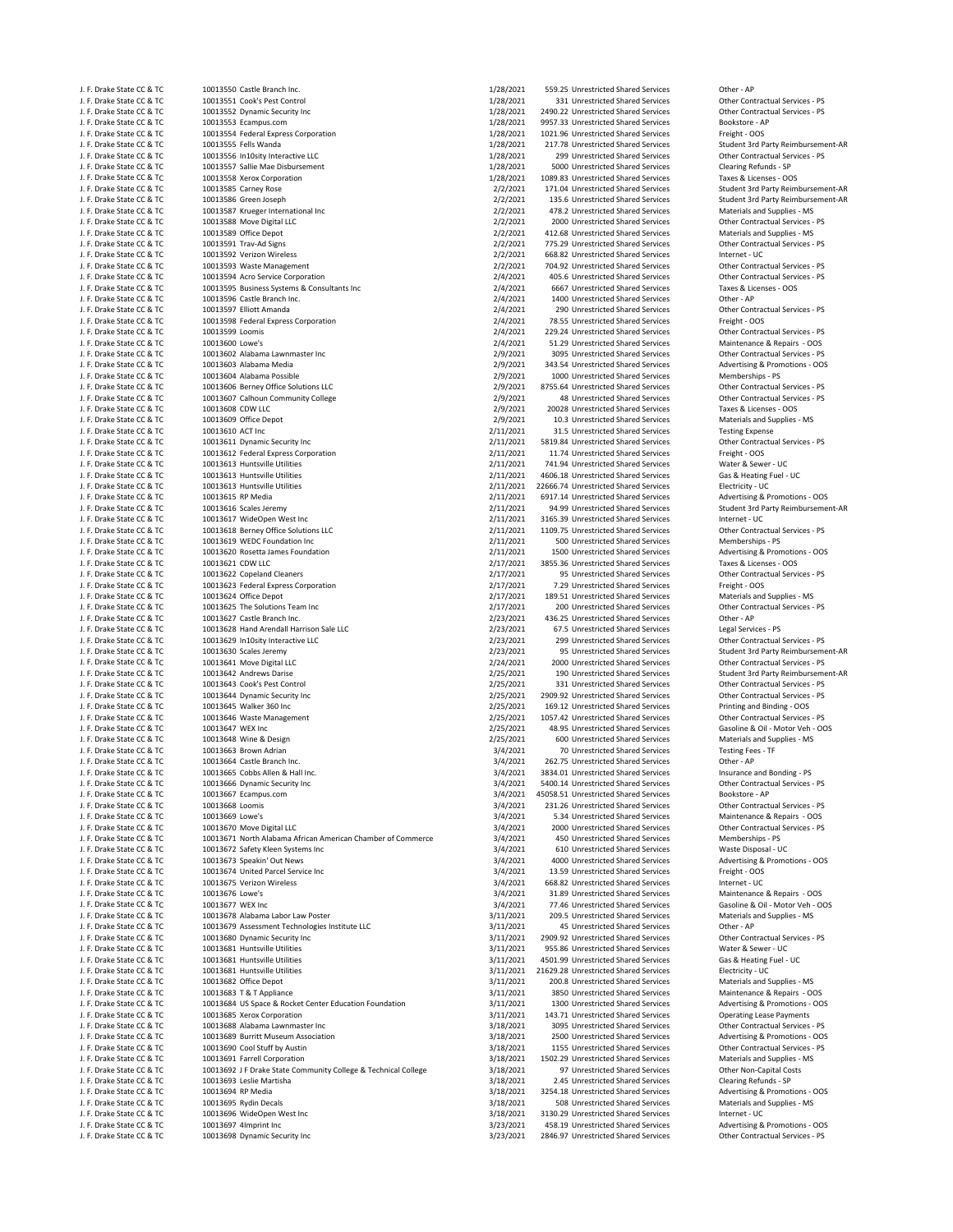J. F. Drake State CC & TC 10013551 Cook's Pest Control 11/28/2021 331 Unrestricted Shared Services Other Contractual Services - PS د 1/28/2021 1/28/2021 2490.22 Unrestricted Shared Services Other Contractual Services - PS J. F. Drake State CC & TC 10013552 Dynamic Security Inc 1/28/2021 2490.22 Unrestricted Shared Services Other Contractual Services Cher Contractual Services other Contractual Services other Contractual Services in the Servi J. F. Drake State CC & TC 10013553 Ecampus.com 1001 11 128/2021 9957.33 Unrestricted Shared Services Bookstore - A<br>J. F. Drake State CC & TC 10013554 Federal Express Corporation 1001 1128/2021 1021.96 Unrestricted Shared S J. F. Drake State CC & TC 10013554 Federal Express Corporation 1001. 11/28/2021 1021.96 Unrestricted Shared Services Freight Corporation 1/28/2021 1021.96 Unrestricted Shared Services Freight Manda J. F. Drake State CC & TC 10013555 Fells Wanda 1. ARM AND 1999 CONSIDENT 217.78 Unrestricted Shared Services Student 3rd Party Reimbursement-AR<br>1. F. Drake State CC & TC 10013556 In10sity Interactive LLC 1. The State Commu 10013556 In10sity Interactive LLC J. F. Drake State CC & TC 10013557 Sallie Mae Disbursement 1/28/2021 1089.021 5000 Unrestricted Shared Services Clearing Refunds - SP<br>J. F. Drake State CC & TC 10013558 Xerox Corporation 1/28/2021 1089.83 Unrestricted Shar J. F. Drake State CC & TC 10013558 Xerox Corporation 1/28/2021 1089.83 Unrestricted Shared Services 1. F. Drake State CC & TC 10013585 Carney Rose 6 1/28/2021 1/28/2021 171.04 Unrestricted Shared Services J. F. Drake State CC & TC 10013585 Carney Rose 2/2/2021 171.04 Unrestricted Shared Services Student 3rd Party Reimbursement‐AR J. F. Drake State CC & TC 10013586 Green Joseph 2002 2002 135.6 Unrestricted Shared Services Student 3rd Party Reimbursement-AR<br>J. F. Drake State CC & TC 10013587 Krueger International Inc and State State State 2/2/2021 17 J. F. Drake State CC & TC 10013587 Krueger International Inc 2/2/2021 478.2 Unrestricted Shared Services Materials and Supplies ‐ MS J. F. Drake State CC & TC 10013588 Move Digital LLC 1000 Contractual Services COM Contractual Services And Contractual Services - PS 2/2/2021 2000 Unrestricted Shared Services Other Contractual Services - PS 2/2/2021 412.6 J. F. Drake State CC & TC 10013591 Trav‐Ad Signs 2/3/2021 775.29 Unrestricted Shared Services Cher Contractual Services - PS<br>2/2/2021 668.82 Unrestricted Shared Services Internet - UC . Drake State Services Services Intern J. F. Drake State CC & TC 10013592 Verizon Wireless 2000 2000 2012/2021 668.82 Unrestricted Shared Services Internet - UC<br>1. F. Drake State CC & TC 10013593 Waste Management 2000 2000 2000 2012/2021 704.92 Unrestricted Sha J. F. 202021 704.92 Unrestricted Shared Services Other Contractual Services<br>1999 J. F. Drake State Contractual Services • PS 2012021 405.6 Unrestricted Shared Services Other Contractual J. F. Drake State CC & TC 10013594 Acro Service Corporation 1997 Corporation 2/4/2021 405.6 Unrestricted Shared Services 6ther Contractual Services 1005. Exercise 3. Acro Services 1199367 Contractual Services 1998 15888 Ac J. F. Drake State CC & TC 10013595 Business Systems & Consultants Inc 2/4/2021 6667 Unrestricted Shared Services Taxes & Licenses 6 and 2/4/2021 6667 Unrestricted Shared Services Taxes & Licenses & Licenses & Licenses & Co J. F. Drake State CC & TC 10013597 Elliott Amanda 1. F. Drake State Contractual Shared Services 6 2/4/2021 290 Unrestricted Shared Services 6 21. Preight - OOS<br>1. F. Drake State CC & TC 10013598 Federal Express Corporation J. F. Drake State CC & TC 10013598 Federal Express Corporation 2001 2012 78.55 Unrestricted Shared Services Freight 
1. F. Drake State CC & TC 10013599 Loomis 10013599 Loomis Corporation 1. F. Drake State CC & TC 10013599 J. F. Drake State CC & TC 10013600 Lowe's 2/4/2021 51.29 Unrestricted Shared Services Maintenance & Repairs - OOS<br>1. F. Drake State CC & TC 10013602 Alabama Lawnmaster Inc 2/9/2021 3095 Unrestricted Shared Services Other C J. F. Drake State CC & TC 10013602 Alabama Lawnmaster Inc 2000 Contract Contract Contract Shared Services and Devices and Contractual Services PS 2/9/2021 3095 Unrestricted Shared Services Other Contractual Services PS 2/9 J. F. Drake State CC & TC 10013603 Alabama Media 2001 2001 2002 2002 2002 343.54 Unrestricted Shared Services Advertising & Promotions – Promotions – Promotions – Promotions – Promotions – Promotions – Promotions – Promoti J. F. Drake State CC & TC 10013604 Alabama Possible 2001 2002 2/9/2021 1000 Unrestricted Shared Services Memberships - PS<br>2/9/2021 1255.64 Unrestricted Shared Services Cherc Contractual Services - PS 2/9/2021 2755.64 Unres J. F. Drake State CC & TC 10013606 Berney Office Solutions LLC 2/9/2021 8755.64 Unrestricted Shared Services Other Contractual Services - PS<br>1. F. Drake State CC & TC 10013607 Calhoun Community College 2/9/2021 48 Unrestri J. F. Drake State CC & TC 10013607 Calhoun Community College 2000 2001 2002021 48 Unrestricted Shared Services Other Contractual Services (1992) 19/2021 48 Unrestricted Shared Services Other Contractual Services (1998) 199 J. F. Drake State CC & TC 10013608 CDW LLC 2/9/2021 20028 Unrestricted Shared Services Taxes & Licenses ‐ OOS J. F. Drake State CC & TC 10013609 Office Depot 2.19 Companies 2/9/2021 10.3 Unrestricted Shared Services Materials and Supplies - MS<br>2/11/2021 31.5 Unrestricted Shared Services Testing Expense 1. F. Drake State CC & TC 10 J. F. Drake State CC & TC 10013610 ACT Inc<br>1. F. Drake State CC & TC 10013611 Dynamic Security Inc 2001 2001 2001 2001 2011/2021 5819.84 Unrestricted Shared Services Chher Contractual Services - PS J. F. Drake State CC & TC 10013611 Dynamic Security Inc 2001 Contractual Shared Services and Different results of the Contractual Shared Services of the Contractual Shared Services of the Contractual Shared Services 6 Trei J. F. Drake State CC & TC 10013612 Federal Express Corporation 2/11/2021 11.74 Unrestricted Shared Services Freight ‐ OOS J. F. Drake State CC & TC 10013613 Huntsville Utilities 2002 COMPUTE 100013613 Huntsville Utilities 2/11/2021 741.94 Unrestricted Shared Services Water & Sewer - UC<br>2011/2021 4606.18 Unrestricted Shared Services Gas & Heat J. F. Drake State CC & TC 10013613 Huntsville Utilities 2/11/2021 4606.18 Unrestricted Shared Services (1991)<br>1. F. Drake State CC & TC 10013613 Huntsville Utilities (1991) 1992 1993 1994 1994 2/11/2021 22666.74 Unrestrict J. F. Drake State CC & TC 10013613 Huntsville Utilities 2001 2001 22666.74 Unrestricted Shared Services Electricity - UC<br>1. F. Drake State CC & TC 10013615 RP Media 10013615 RPM Dramatics 2001 2001 2001/2021 2005.2012 0017 J. F. Drake State CC & TC 10013615 RP Media 2001 Companies and the Companies of the COM 11/2021 6917.14 Unrestricted Shared Services Advertising Advertising Companies Advertising Companies Advertising Companies Advertising J. F. Drake State CC & TC 10013617 WideOpen West Inc 2001 3165.39 Unrestricted Shared Services Shared Services<br>1. F. Drake State CC & TC 10013618 Berney Office Solutions LLC 1. 2/11/2021 1109.75 Unrestricted Shared Service J. F. Drake State CC & TC 10013618 Berney Office Solutions LLC 2/11/2021 1109.75 Unrestricted Shared Services Cher Contractual COMENT CONTRACTUAL 2011 2021 1109.75 Unrestricted Shared Services Other Contractual Services 6 J. F. Drake State CC & TC 10013619 WEDC Foundation Inc 2000 Committee COM COMMIC 2011/2021 500 Unrestricted Shared Services Memberships - PS Memberships - PS 2/11/2021 500 Unrestricted Shared Services Advertisine & Promoti J. F. Drake State CC & TC 10013620 Rosetta James Foundation 2000 2011 2021 2021 1500 Unrestricted Shared Services Advertising & Promotion 2/17/2021 1500 Unrestricted Shared Services Advertising & Promotions and Services an J. F. Drake State CC & TC 10013621 CDW LLC 2/17/2021 3855.36 Unrestricted Shared Services Taxes & Licenses ‐ OOS J. F. Drake State CC & TC 10013623 Federal Express Corporation 2000 2000 2017/2021 7.29 Unrestricted Shared Services Freight - OOS<br>2117/2021 189.51 Unrestricted Shared Services Materials and Supplies - MS (1999). I. F. Dra J. F. Drake State CC & TC 10013624 Office Depot 2001 199.51 Unrestricted Shared Services Materials and Supplies - MS<br>2013-91-2001 1. F. Drake State CC & TC 20011625 The Solutions Team Inc 2001 1999 12/17/2021 200 Unrestric J. F. Drake State CC & TC 10013627 Castle Branch Inc. 2001 Castle Branch Inc. 2/23/2021 436.25 Unrestricted Shared Services Other - AP<br>2023/2021 67.5 Unrestricted Shared Services Agel Services - PS 2014 67.5 Unrestricted S J. F. Drake State CC & TC 10013628 Hand Arendall Harrison Sale LLC 2/23/2021 67.5 Unrestricted Shared Services Legal Services - PS<br>J. F. Drake State CC & TC 10013629 In10sity Interactive LLC 2000 2000 2023/2021 299 Unrestr J. F. Drake State CC & TC 10013629 In10sity Interactive LLC 2/23/2021 299 Unrestricted Shared Services (10013629 Interactive LLC 2/23/2021 299 Unrestricted Shared Services (10013630 Scales Leremy J. F. Drake State CC & TC 10013630 Scales Jeremy 2/23/2021 95 Unrestricted Shared Services Student 3rd Party Reimbursement‐AR J. F. Drake State CC & TC 10013641 Move Digital LLC 2/24/2021 2000 Unrestricted Shared Services 1. F. Drake State CC & TC 10013642 Andrews Darise 2/25/2021 2000 Unrestricted Shared Services J. F. Drake State CC & TC 10013642 Andrews Darise 2001 190 Vir and 2002/2021 190 Unrestricted Shared Services Student 3rd Party Reimbursement-AF (AFT) 2.15. 2021 190 Unrestricted Shared Services Student 3rd Party Reimburs J. F. Drake State CC & TC 10013644 Dynamic Security Inc 2000 2000 2005 2009.92 Unrestricted Shared Services Communication Security Inc 2/25/2021 2909.92 Unrestricted Shared Services Other Contractual Services - PS<br>2/25/202 J. F. Drake State CC & TC 10013645 Walker 360 Inc 2/25/2021 169.12 Unrestricted Shared Services Printing and Binding ‐ OOS J. F. Drake State CC & TC 10013646 Waste Management 2/25/2021 1057.42 Unrestricted Shared Services Other Contractual Services ‐ PS J. F. Drake State CC & TC 10013647 WEX Inc 2008 2008 2008 2014 48.95 Unrestricted Shared Services Gasoline & Oil – Motor Veh – OOS<br>1. F. Drake State CC & TC 10013648 Wine & Design 2008 2008 2008 2015/2021 600 Unrestricted J. F. Drake State CC & TC 10013648 Wine & Design 2002 2003 2025/2021 600 Unrestricted Shared Services Materials and Supplies FESTING 2021 600 Unrestricted Shared Services Materials and Supplies FESTING 2021 70 Unrestricted J. F. Drake State CC & TC 10013663 Brown Adrian 3/4/2021 70 Unrestricted Shared Services Testing Fees ‐ TF J. F. Drake State CC & TC 10013664 Castle Branch Inc. 1. The State State Other Faster Castle Branch Inc. 2. Sa<br>J. F. Drake State CC & TC 10013665 Cobbs Allen & Hall Inc. 1. The State Castle College and Bonding PS and Bondi J. F. Drake State CC & TC 10013665 Cobbs Allen & Hall Inc. 3/4/2021 3834.01 Unrestricted Shared Services Insurance and Bonding ‐ PS 3/4/2021 3834.01 Unrestricted Shared Services Insurance and Bonding ‐ PS 3/4/2021 5400.14 J. F. Drake State CC & TC 10013667 Ecampus.com 3/4/2021 45058.51 Unrestricted Shared Services Bookstore - AP 3/4/2021 45058.51 Unrestricted Shared Services Bookstore - AP 3/4/2021 231.26 Unrestricted Shared Services Other J. F. Drake State CC & TC 10013668 Loomis 10013668 Loomis 10013668 Loomis 1001368 Loomis 10013668 Loomis 10013668 Loomis 10013668 Loomis 10013669 Loomis 10013668 Loomis 10013669 Loomis 10013669 Loomis 10013669 Loomis 10013 J. F. Drake State CC & TC 10013669 Lowe's 3/4/2021 5.34 Unrestricted Shared Services Maintenance & Repairs - OOS<br>19/4/2021 5.34 Unrestricted Shared Services May Allen States 19/4/2021 5.34 Unrestricted Shared Services Main J. F. Drake State CC & TC 10013670 Move Digital LLC 3/4/2021 2000 Unrestricted Shared Services 6ther Contractual 3/4/2021 2000 Unrestricted Shared Services Other Contractual Services 10013671 North Alabama African American J. F. Drake State CC & TC 10013671 North Alabama African American Chamber of Commerce 19/4/2021 450 Unrestricted Shared Services Memberships - PS<br>J. F. Drake State CC & TC 10013672 Safety Kleen Systems Inc 3/4/2021 610 Unr J. F. Drake State CC & TC 10013672 Safety Kleen Systems Inc 3/4/2021 610 Unrestricted Shared Services Waste Disposal - UC Unrestricted Shared Services Waste Disposal - UC Unrestricted Shared Services Waste Disposal - UC Un J. F. Drake State CC & TC 10013673 Speakin' Out News 3/4/2021 4000 Unrestricted Shared Services Advertising Advertising and Communism and Communism and Communism and Communism and Communism and Communism and Communism and J. F. Drake State CC & TC 10013674 United Parcel Service Inc 3/4/2021 13.59 Unrestricted Shared Services Freight - OOS<br>1. F. Drake State CC & TC 10013675 Verizon Wireless Computer States Computer States 194/2021 668.82 Unr J. F. Drake State CC & TC 10013676 Lowe's 3/4/2021 31.89 Unrestricted Shared Services Maintenance & Repairs ‐ OOS J. F. Drake State CC & TC 10013677 WEX Inc 3/4/2021 77.46 Unrestricted Shared Services Gasoline & Oil - Motor Veh -<br>J. F. Drake State CC & TC 10013678 Alabama Labor Law Poster Case Communication of the State Services of Ma J. F. Drake State CC & TC 10013678 Alabama Labor Law Poster 3/11/2021 209.5 Unrestricted Shared Services Materials and Supplies and Supplies 1. E. Drake State CC & TC 10013679 Assessment Technologies Institute LLC 3/11/202 J. F. Drake State CC & TC 10013679 Assessment Technologies Institute LLC 3/11/2021 45 Unrestricted Shared Services Other - AP 3. APS Cheffer Contractual Services of the restricted Shared Services of the restricted Shared S J. F. Drake State CC & TC 10013680 Dynamic Security Inc 3/11/2021 3909.92 Unrestricted Shared Services Charactual Services Charactual Services other Contractual Services Character Contractual Services of the Contractual Se J. F. Drake State CC & TC 10013681 Huntsville Utilities 3/11/2021 955.86 Unrestricted Shared Services Water & Sewer - UC<br>J. F. Drake State CC & TC 10013681 Huntsville Utilities 3/11/2021 955.86 Unrestricted Shared Services J. F. Drake State CC & TC 10013681 Huntsville Utilities 3/11/2021 21629.28 Unrestricted Shared Services Electricity - UC = 10013682 Office Depot<br>1. F. Drake State CC & TC 10013682 Office Depot J. F. Drake State CC & TC 10013682 Office Depot 3/11/2021 200.8 Unrestricted Shared Services Materials and Supplies - MS<br>1. F. Drake State CC & TC 10013683 T & T Annilance 3/11/2021 3850 Unrestricted Shared Services Mainte J. F. B. T. Appliance State Coccine State Coccine 3/11/2021 3850 Unrestricted Shared Services Maintenance 3/11/2021 3850 Unrestricted Shared Services Maintenance Application Foundation 60 and 3/11/2021 1300 Unrestricted Sh J. F. Drake State CC & TC 10013684 US Space & Rocket Center Education Foundation 3/11/2021 1300 Unrestricted Shared Services Advertising & Promotions - OOS<br>3/11/2021 143.71 Unrestricted Shared Services Operating Lease Paym J. F. Drake State CC & TC 10013685 Xerox Corporation 1999 Corporation 3/11/2021 143.71 Unrestricted Shared Services Supporating Lease Payments 1. F. Drake State CC & TC 10013688 Alabama Lawnmaster Inc 3/18/2021 3095 Unrest 10013688 Alabama Lawnmaster Inc J. F. Drake State CC & TC 10013689 Burritt Museum Association 3/18/2021 2500 Unrestricted Shared Services Advertising & Promotions - OOS<br>3/18/2021 1155 Unrestricted Shared Services Advertising & Promotions • PS (18/2021 11 J. F. Drake State CC & TC 10013690 Cool Stuff by Austin 1990 Cool Stuff by Austin 1155 Unrestricted Shared Services Souther Contractual Services of the Contractual Services of the Contractual Services of the Contractual Se J. F. Drake State CC & TC 10013692 J F Drake State Community College & Technical College 3/18/2021 97 Unrestricted Shared Services Other Non-Capital Costs<br>J. F. Drake State CC & TC 10013693 Leslie Martisha by the Musical C J. F. Drake State CC & TC 10013693 Leslie Martisha 3/18/2021 2.45 Unrestricted Shared Services Clearing Refunds ‐ SP J. F. Drake State CC & TC 10013694 RP Media 3000 and the State COS of the State CC & TC 10013694 RP Media 3/18/2021 3254.18 Unrestricted Shared Services Advertising & Promotions - OOS<br>3/18/2021 508 Unrestricted Shared Serv J. F. Drake State CC & TC 10013695 Rydin Decals 3/18/2021 508 Unrestricted Shared Services Materials and Supplies - MS<br>1. F. Drake State CC & TC 10013696 WideOpen West Inc and Supplies 100 118/2021 3130.29 Unrestricted Sha J. F. Drake State CC & TC 10013696 WideOpen West Inc 3/18/2021 3130.29 Unrestricted Shared Services Internet - UC<br>1. F. Drake State CC & TC 10013697 4Imprint Inc 3/23/2021 458.19 Unrestricted Shared Services Advertising & J. F. Drake State CC & TC 10013697 4Imprint Inc 3/23/2021 458.19 Unrestricted Shared Services Advertising & Promotions • OOS<br>1. F. Drake State CC & TC 10013698 Dynamic Security Inc 3/23/2021 3846.97 Unrestricted Shared Ser

J. F. Drake State CC & TC 10013550 Castle Branch Inc. 1/28/2021 559.25 Unrestricted Shared Services Other ‐ AP A12 68 Unrestricted Shared Services J. 1400 Unrestricted Shared Services Cother - AP<br>1996 Unrestricted Shared Services Cother Contractual Services - PS 2/4/2021 229.24 Unrestricted Shared Services Other Contractual Services - PS<br>2/4/2021 51.29 Unrestricted Shared Services Maintenance & Renairs - OOS 95 Unrestricted Shared Services 2/17/2021 200 Unrestricted Shared Services<br>2/23/2021 236.25 Unrestricted Shared Services 5400.14 Unrestricted Shared Services 668.82 Unrestricted Shared Services 4501.99 Unrestricted Shared Services 1502.29 Unrestricted Shared Services 2846.97 Unrestricted Shared Services

Student 3rd Party Reimbursement-AR Other Contractual Services - PS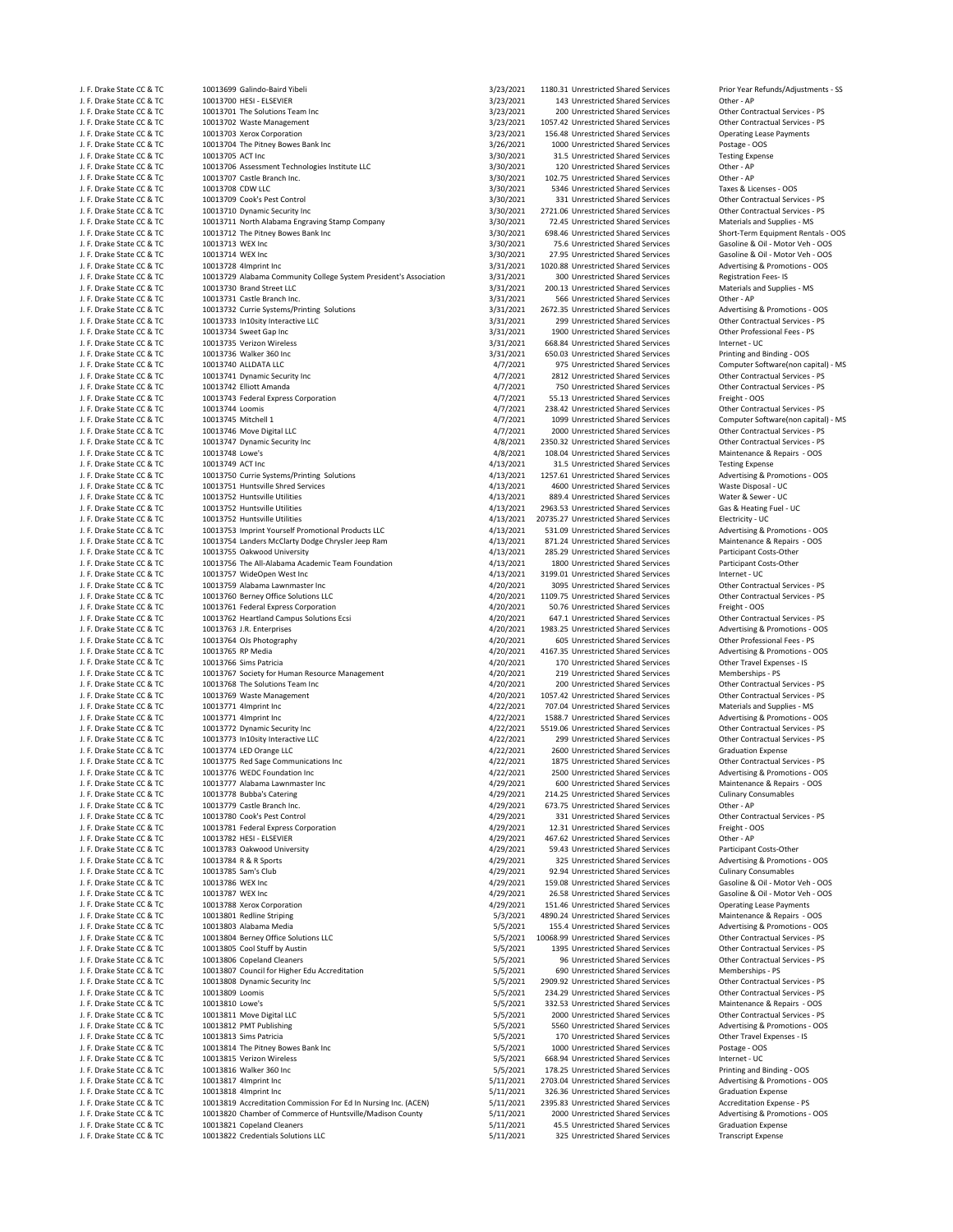| J. F. Drake State CC & TC<br>10013700 HESI - ELSEVIER<br>3/23/2021<br>143 Unrestricted Shared Services<br>Other - AP<br>3/23/2021<br>J. F. Drake State CC & TC<br>10013701 The Solutions Team Inc<br>200 Unrestricted Shared Services<br>Other Contractual Services - PS<br>3/23/2021<br>J. F. Drake State CC & TC<br>10013702 Waste Management<br>1057.42 Unrestricted Shared Services<br>3/23/2021<br>J. F. Drake State CC & TC<br>10013703 Xerox Corporation<br>156.48 Unrestricted Shared Services<br><b>Operating Lease Payments</b><br>3/26/2021<br>J. F. Drake State CC & TC<br>10013704 The Pitney Bowes Bank Inc<br>1000 Unrestricted Shared Services<br>Postage - OOS<br>J. F. Drake State CC & TC<br>10013705 ACT Inc<br>3/30/2021<br>31.5 Unrestricted Shared Services<br><b>Testing Expense</b><br>3/30/2021<br>J. F. Drake State CC & TC<br>10013706 Assessment Technologies Institute LLC<br>120 Unrestricted Shared Services<br>Other - AP<br>10013707 Castle Branch Inc.<br>3/30/2021<br>Other - AP<br>J. F. Drake State CC & TC<br>102.75 Unrestricted Shared Services<br>10013708 CDW LLC<br>3/30/2021<br>Taxes & Licenses - OOS<br>J. F. Drake State CC & TC<br>5346 Unrestricted Shared Services<br>3/30/2021<br>J. F. Drake State CC & TC<br>10013709 Cook's Pest Control<br>331 Unrestricted Shared Services<br>3/30/2021<br>2721.06 Unrestricted Shared Services<br>J. F. Drake State CC & TC<br>10013710 Dynamic Security Inc<br>Other Contractual Services - PS<br>3/30/2021<br>J. F. Drake State CC & TC<br>10013711 North Alabama Engraving Stamp Company<br>72.45 Unrestricted Shared Services<br>Materials and Supplies - MS<br>3/30/2021<br>J. F. Drake State CC & TC<br>10013712 The Pitney Bowes Bank Inc<br>698.46 Unrestricted Shared Services<br>Short-Term Equipment Rentals<br>3/30/2021<br>J. F. Drake State CC & TC<br>10013713 WEX Inc<br>75.6 Unrestricted Shared Services<br>Gasoline & Oil - Motor Veh - O<br>3/30/2021<br>J. F. Drake State CC & TC<br>10013714 WEX Inc<br>27.95 Unrestricted Shared Services<br>3/31/2021<br>Advertising & Promotions - OO<br>J. F. Drake State CC & TC<br>10013728 4Imprint Inc<br>1020.88 Unrestricted Shared Services<br>J. F. Drake State CC & TC<br>10013729 Alabama Community College System President's Association<br>3/31/2021<br>300 Unrestricted Shared Services<br><b>Registration Fees-IS</b><br>10013730 Brand Street LLC<br>3/31/2021<br>J. F. Drake State CC & TC<br>200.13 Unrestricted Shared Services<br>Materials and Supplies - MS<br>3/31/2021<br>J. F. Drake State CC & TC<br>10013731 Castle Branch Inc.<br>566 Unrestricted Shared Services<br>Other - AP<br>3/31/2021<br>Advertising & Promotions - OO<br>J. F. Drake State CC & TC<br>10013732 Currie Systems/Printing Solutions<br>2672.35 Unrestricted Shared Services<br>3/31/2021<br>J. F. Drake State CC & TC<br>10013733 In10sity Interactive LLC<br>299 Unrestricted Shared Services<br>10013734 Sweet Gap Inc<br>3/31/2021<br>Other Professional Fees - PS<br>J. F. Drake State CC & TC<br>1900 Unrestricted Shared Services<br>10013735 Verizon Wireless<br>3/31/2021<br>Internet - UC<br>J. F. Drake State CC & TC<br>668.84 Unrestricted Shared Services<br>J. F. Drake State CC & TC<br>10013736 Walker 360 Inc<br>3/31/2021<br>650.03 Unrestricted Shared Services<br>Printing and Binding - OOS<br>4/7/2021<br>Computer Software(non capita<br>J. F. Drake State CC & TC<br>10013740 ALLDATA LLC<br>975 Unrestricted Shared Services<br>J. F. Drake State CC & TC<br>4/7/2021<br>10013741 Dynamic Security Inc<br>2812 Unrestricted Shared Services<br>J. F. Drake State CC & TC<br>10013742 Elliott Amanda<br>4/7/2021<br>750 Unrestricted Shared Services<br>4/7/2021<br>J. F. Drake State CC & TC<br>10013743 Federal Express Corporation<br>55.13 Unrestricted Shared Services<br>Freight - OOS<br>J. F. Drake State CC & TC<br>10013744 Loomis<br>4/7/2021<br>Other Contractual Services - PS<br>238.42 Unrestricted Shared Services<br>4/7/2021<br>J. F. Drake State CC & TC<br>10013745 Mitchell 1<br>1099 Unrestricted Shared Services<br>Computer Software(non capita<br>4/7/2021<br>J. F. Drake State CC & TC<br>10013746 Move Digital LLC<br>2000 Unrestricted Shared Services<br>4/8/2021<br>J. F. Drake State CC & TC<br>10013747 Dynamic Security Inc<br>2350.32 Unrestricted Shared Services<br>10013748 Lowe's<br>4/8/2021<br>108.04 Unrestricted Shared Services<br>J. F. Drake State CC & TC<br>10013749 ACT Inc<br>4/13/2021<br>J. F. Drake State CC & TC<br>31.5 Unrestricted Shared Services<br><b>Testing Expense</b><br>4/13/2021<br>J. F. Drake State CC & TC<br>10013750 Currie Systems/Printing Solutions<br>1257.61 Unrestricted Shared Services<br>Advertising & Promotions - OO<br>10013751 Huntsville Shred Services<br>4/13/2021<br>J. F. Drake State CC & TC<br>4600 Unrestricted Shared Services<br>Waste Disposal - UC<br>4/13/2021<br>J. F. Drake State CC & TC<br>10013752 Huntsville Utilities<br>889.4 Unrestricted Shared Services<br>Water & Sewer - UC<br>4/13/2021<br>J. F. Drake State CC & TC<br>10013752 Huntsville Utilities<br>2963.53 Unrestricted Shared Services<br>Gas & Heating Fuel - UC<br>4/13/2021<br>J. F. Drake State CC & TC<br>10013752 Huntsville Utilities<br>20735.27 Unrestricted Shared Services<br>Electricity - UC<br>J. F. Drake State CC & TC<br>10013753 Imprint Yourself Promotional Products LLC<br>4/13/2021<br>Advertising & Promotions - OO<br>531.09 Unrestricted Shared Services<br>10013754 Landers McClarty Dodge Chrysler Jeep Ram<br>4/13/2021<br>Maintenance & Repairs - OOS<br>J. F. Drake State CC & TC<br>871.24 Unrestricted Shared Services<br>4/13/2021<br>J. F. Drake State CC & TC<br>10013755 Oakwood University<br>285.29 Unrestricted Shared Services<br>Participant Costs-Other<br>10013756 The All-Alabama Academic Team Foundation<br>4/13/2021<br>J. F. Drake State CC & TC<br>1800 Unrestricted Shared Services<br>Participant Costs-Other<br>4/13/2021<br>Internet - UC<br>J. F. Drake State CC & TC<br>10013757 WideOpen West Inc<br>3199.01 Unrestricted Shared Services<br>Other Contractual Services - PS<br>J. F. Drake State CC & TC<br>10013759 Alabama Lawnmaster Inc<br>4/20/2021<br>3095 Unrestricted Shared Services<br>4/20/2021<br>Other Contractual Services - PS<br>J. F. Drake State CC & TC<br>10013760 Berney Office Solutions LLC<br>1109.75 Unrestricted Shared Services<br>4/20/2021<br>J. F. Drake State CC & TC<br>10013761 Federal Express Corporation<br>50.76 Unrestricted Shared Services<br>Freight - OOS<br>4/20/2021<br>Other Contractual Services - PS<br>J. F. Drake State CC & TC<br>10013762 Heartland Campus Solutions Ecsi<br>647.1 Unrestricted Shared Services<br>4/20/2021<br>J. F. Drake State CC & TC<br>10013763 J.R. Enterprises<br>1983.25 Unrestricted Shared Services<br>4/20/2021<br>Other Professional Fees - PS<br>J. F. Drake State CC & TC<br>10013764 OJs Photography<br>605 Unrestricted Shared Services<br>J. F. Drake State CC & TC<br>10013765 RP Media<br>4/20/2021<br>4167.35 Unrestricted Shared Services<br>Advertising & Promotions - OO<br>J. F. Drake State CC & TC<br>10013766 Sims Patricia<br>4/20/2021<br>170 Unrestricted Shared Services<br>Other Travel Expenses - IS<br>4/20/2021<br>J. F. Drake State CC & TC<br>10013767 Society for Human Resource Management<br>Memberships - PS<br>219 Unrestricted Shared Services<br>4/20/2021<br>Other Contractual Services - PS<br>J. F. Drake State CC & TC<br>10013768 The Solutions Team Inc<br>200 Unrestricted Shared Services<br>4/20/2021<br>J. F. Drake State CC & TC<br>10013769 Waste Management<br>1057.42 Unrestricted Shared Services<br>4/22/2021<br>J. F. Drake State CC & TC<br>10013771 4Imprint Inc<br>707.04 Unrestricted Shared Services<br>Materials and Supplies - MS<br>4/22/2021<br>J. F. Drake State CC & TC<br>10013771 4Imprint Inc<br>1588.7 Unrestricted Shared Services<br>Advertising & Promotions - OO<br>10013772 Dynamic Security Inc<br>4/22/2021<br>Other Contractual Services - PS<br>J. F. Drake State CC & TC<br>5519.06 Unrestricted Shared Services<br>10013773 In10sity Interactive LLC<br>4/22/2021<br>Other Contractual Services - PS<br>J. F. Drake State CC & TC<br>299 Unrestricted Shared Services<br>10013774 LED Orange LLC<br>4/22/2021<br>J. F. Drake State CC & TC<br>2600 Unrestricted Shared Services<br><b>Graduation Expense</b><br>10013775 Red Sage Communications Inc<br>4/22/2021<br>J. F. Drake State CC & TC<br>1875 Unrestricted Shared Services<br>J. F. Drake State CC & TC<br>10013776 WEDC Foundation Inc<br>4/22/2021<br>2500 Unrestricted Shared Services<br>Advertising & Promotions - OO<br>4/29/2021<br>J. F. Drake State CC & TC<br>10013777 Alabama Lawnmaster Inc<br>600 Unrestricted Shared Services<br>Maintenance & Repairs - OOS<br>4/29/2021<br><b>Culinary Consumables</b><br>J. F. Drake State CC & TC<br>10013778 Bubba's Catering<br>214.25 Unrestricted Shared Services<br>4/29/2021<br>J. F. Drake State CC & TC<br>10013779 Castle Branch Inc.<br>673.75 Unrestricted Shared Services<br>Other - AP<br>4/29/2021<br>Other Contractual Services - PS<br>J. F. Drake State CC & TC<br>10013780 Cook's Pest Control<br>331 Unrestricted Shared Services<br>J. F. Drake State CC & TC<br>10013781 Federal Express Corporation<br>4/29/2021<br>12.31 Unrestricted Shared Services<br>Freight - OOS<br>4/29/2021<br>J. F. Drake State CC & TC<br>10013782 HESI - ELSEVIER<br>467.62 Unrestricted Shared Services<br>Other - AP<br>J. F. Drake State CC & TC<br>10013783 Oakwood University<br>4/29/2021<br>59.43 Unrestricted Shared Services<br>Participant Costs-Other<br>Advertising & Promotions - OO<br>J. F. Drake State CC & TC<br>10013784 R & R Sports<br>4/29/2021<br>325 Unrestricted Shared Services<br>4/29/2021<br>J. F. Drake State CC & TC<br>10013785 Sam's Club<br>92.94 Unrestricted Shared Services<br><b>Culinary Consumables</b><br>4/29/2021<br>J. F. Drake State CC & TC<br>10013786 WEX Inc<br>159.08 Unrestricted Shared Services<br>4/29/2021<br>J. F. Drake State CC & TC<br>10013787 WEX Inc<br>26.58 Unrestricted Shared Services<br>J. F. Drake State CC & TC<br>10013788 Xerox Corporation<br>4/29/2021<br>151.46 Unrestricted Shared Services<br><b>Operating Lease Payments</b><br>5/3/2021<br>Maintenance & Repairs - OOS<br>J. F. Drake State CC & TC<br>10013801 Redline Striping<br>4890.24 Unrestricted Shared Services<br>10013803 Alabama Media<br>5/5/2021<br>Advertising & Promotions - OO<br>J. F. Drake State CC & TC<br>155.4 Unrestricted Shared Services<br>J. F. Drake State CC & TC<br>10013804 Berney Office Solutions LLC<br>5/5/2021<br>10068.99 Unrestricted Shared Services<br>5/5/2021<br>J. F. Drake State CC & TC<br>10013805 Cool Stuff by Austin<br>1395 Unrestricted Shared Services<br>10013806 Copeland Cleaners<br>5/5/2021<br>J. F. Drake State CC & TC<br>96 Unrestricted Shared Services<br>5/5/2021<br>J. F. Drake State CC & TC<br>10013807 Council for Higher Edu Accreditation<br>690 Unrestricted Shared Services<br>Memberships - PS<br>J. F. Drake State CC & TC<br>10013808 Dynamic Security Inc<br>5/5/2021<br>2909.92 Unrestricted Shared Services<br>Other Contractual Services - PS<br>5/5/2021<br>J. F. Drake State CC & TC<br>10013809 Loomis<br>234.29 Unrestricted Shared Services<br>5/5/2021<br>J. F. Drake State CC & TC<br>10013810 Lowe's<br>332.53 Unrestricted Shared Services<br>10013811 Move Digital LLC<br>J. F. Drake State CC & TC<br>5/5/2021<br>2000 Unrestricted Shared Services<br>5/5/2021<br>J. F. Drake State CC & TC<br>10013812 PMT Publishing<br>5560 Unrestricted Shared Services<br>Advertising & Promotions - OO<br>5/5/2021<br>Other Travel Expenses - IS<br>10013813 Sims Patricia<br>170 Unrestricted Shared Services<br>J. F. Drake State CC & TC<br>J. F. Drake State CC & TC<br>10013814 The Pitney Bowes Bank Inc<br>5/5/2021<br>1000 Unrestricted Shared Services<br>Postage - OOS<br>5/5/2021<br>J. F. Drake State CC & TC<br>10013815 Verizon Wireless<br>668.94 Unrestricted Shared Services<br>Internet - UC<br>5/5/2021<br>J. F. Drake State CC & TC<br>10013816 Walker 360 Inc<br>178.25 Unrestricted Shared Services<br>Printing and Binding - OOS<br>10013817 4Imprint Inc<br>5/11/2021<br>Advertising & Promotions - OO<br>J. F. Drake State CC & TC<br>2703.04 Unrestricted Shared Services<br>10013818 4Imprint Inc<br>5/11/2021<br>J. F. Drake State CC & TC<br>326.36 Unrestricted Shared Services<br><b>Graduation Expense</b><br>J. F. Drake State CC & TC<br>10013819 Accreditation Commission For Ed In Nursing Inc. (ACEN)<br>5/11/2021<br>2395.83 Unrestricted Shared Services<br>Accreditation Expense - PS<br>10013820 Chamber of Commerce of Huntsville/Madison County<br>J. F. Drake State CC & TC<br>5/11/2021<br>2000 Unrestricted Shared Services<br>J. F. Drake State CC & TC<br>10013821 Copeland Cleaners<br>5/11/2021<br>45.5 Unrestricted Shared Services<br><b>Graduation Expense</b> | J. F. Drake State CC & TC | 10013699 Galindo-Baird Yibeli      |           |                                      |                                 |
|------------------------------------------------------------------------------------------------------------------------------------------------------------------------------------------------------------------------------------------------------------------------------------------------------------------------------------------------------------------------------------------------------------------------------------------------------------------------------------------------------------------------------------------------------------------------------------------------------------------------------------------------------------------------------------------------------------------------------------------------------------------------------------------------------------------------------------------------------------------------------------------------------------------------------------------------------------------------------------------------------------------------------------------------------------------------------------------------------------------------------------------------------------------------------------------------------------------------------------------------------------------------------------------------------------------------------------------------------------------------------------------------------------------------------------------------------------------------------------------------------------------------------------------------------------------------------------------------------------------------------------------------------------------------------------------------------------------------------------------------------------------------------------------------------------------------------------------------------------------------------------------------------------------------------------------------------------------------------------------------------------------------------------------------------------------------------------------------------------------------------------------------------------------------------------------------------------------------------------------------------------------------------------------------------------------------------------------------------------------------------------------------------------------------------------------------------------------------------------------------------------------------------------------------------------------------------------------------------------------------------------------------------------------------------------------------------------------------------------------------------------------------------------------------------------------------------------------------------------------------------------------------------------------------------------------------------------------------------------------------------------------------------------------------------------------------------------------------------------------------------------------------------------------------------------------------------------------------------------------------------------------------------------------------------------------------------------------------------------------------------------------------------------------------------------------------------------------------------------------------------------------------------------------------------------------------------------------------------------------------------------------------------------------------------------------------------------------------------------------------------------------------------------------------------------------------------------------------------------------------------------------------------------------------------------------------------------------------------------------------------------------------------------------------------------------------------------------------------------------------------------------------------------------------------------------------------------------------------------------------------------------------------------------------------------------------------------------------------------------------------------------------------------------------------------------------------------------------------------------------------------------------------------------------------------------------------------------------------------------------------------------------------------------------------------------------------------------------------------------------------------------------------------------------------------------------------------------------------------------------------------------------------------------------------------------------------------------------------------------------------------------------------------------------------------------------------------------------------------------------------------------------------------------------------------------------------------------------------------------------------------------------------------------------------------------------------------------------------------------------------------------------------------------------------------------------------------------------------------------------------------------------------------------------------------------------------------------------------------------------------------------------------------------------------------------------------------------------------------------------------------------------------------------------------------------------------------------------------------------------------------------------------------------------------------------------------------------------------------------------------------------------------------------------------------------------------------------------------------------------------------------------------------------------------------------------------------------------------------------------------------------------------------------------------------------------------------------------------------------------------------------------------------------------------------------------------------------------------------------------------------------------------------------------------------------------------------------------------------------------------------------------------------------------------------------------------------------------------------------------------------------------------------------------------------------------------------------------------------------------------------------------------------------------------------------------------------------------------------------------------------------------------------------------------------------------------------------------------------------------------------------------------------------------------------------------------------------------------------------------------------------------------------------------------------------------------------------------------------------------------------------------------------------------------------------------------------------------------------------------------------------------------------------------------------------------------------------------------------------------------------------------------------------------------------------------------------------------------------------------------------------------------------------------------------------------------------------------------------------------------------------------------------------------------------------------------------------------------------------------------------------------------------------------------------------------------------------------------------------------------------------------------------------------------------------------------------------------------------------------------------------------------------------------------------------------------------------------------------------------------------------------------------------------------------------------------------------------------------------------------------------------------------------------------------------------------------------------------------------------------------------------------------------------------------------------------------------------------------------------------------------------------------------------------------------------------------------------------------------------------------------------------------------------------------------------------------------------------------------------------------------------------------------------------------------------------------------------------------------------------------------------------------------------------------------------------------------------------------------------------------------------------------------------------------------------------------------------------------------------------------------------------------------------------------------------------------------------------------------------------------------------------------------------------------------------------------------------------------------------------------------------------------------------------------------------------------------------------------------------------------------------------------------------------------------------------------------------------------------------------------------------------------------------------------------------------------------------------------------------------------------------------------------------------------------------------------------------------------------------------------------------------------------------------------------------------------------------------------------------------------------------------------------------------------------------------------------------------------------------------------------------------------------------------------------------------------------------------------------------------------------------------------------------------------------------------------------------------------------------------------------------------------------------------------------------------------------------------------------------------------------------------------------------------------------------------------------------------------------------------------------------------------------------------------------------------------------------------------------------------------------------------------------------------------------------------------------------------------------------------------------------------------------------------------------------------------------------------------------------------------------------------------------------------------------------------------------------------------------------------------------------------------------------------------------------------------------------------------------------------------------------------------------------------------------------------------------------------------------------------------------------------------------------------------------------------------------------------------------------------------------------------------------------------------------------------------------------------------------------------------------------------------------------------------------------------------------------------------------------------------------------------------------------------------------------------------------------------------------------------------------------------------------------------------------------------------------------------------------------------------------------------------------------------------------------------------------------------------------------------------------------------------------------------------------------------------------------------------------------------------------------------------------------------------------------------------------------------------------------------------------------------------------------------------------------------------------------------------------------------------------------------------------------------------------------------------------------------------------------------------------------------------------------------------------------------------------------------------------------------------------------------------------------------------------------------------------------------------------------|---------------------------|------------------------------------|-----------|--------------------------------------|---------------------------------|
|                                                                                                                                                                                                                                                                                                                                                                                                                                                                                                                                                                                                                                                                                                                                                                                                                                                                                                                                                                                                                                                                                                                                                                                                                                                                                                                                                                                                                                                                                                                                                                                                                                                                                                                                                                                                                                                                                                                                                                                                                                                                                                                                                                                                                                                                                                                                                                                                                                                                                                                                                                                                                                                                                                                                                                                                                                                                                                                                                                                                                                                                                                                                                                                                                                                                                                                                                                                                                                                                                                                                                                                                                                                                                                                                                                                                                                                                                                                                                                                                                                                                                                                                                                                                                                                                                                                                                                                                                                                                                                                                                                                                                                                                                                                                                                                                                                                                                                                                                                                                                                                                                                                                                                                                                                                                                                                                                                                                                                                                                                                                                                                                                                                                                                                                                                                                                                                                                                                                                                                                                                                                                                                                                                                                                                                                                                                                                                                                                                                                                                                                                                                                                                                                                                                                                                                                                                                                                                                                                                                                                                                                                                                                                                                                                                                                                                                                                                                                                                                                                                                                                                                                                                                                                                                                                                                                                                                                                                                                                                                                                                                                                                                                                                                                                                                                                                                                                                                                                                                                                                                                                                                                                                                                                                                                                                                                                                                                                                                                                                                                                                                                                                                                                                                                                                                                                                                                                                                                                                                                                                                                                                                                                                                                                                                                                                                                                                                                                                                                                                                                                                                                                                                                                                                                                                                                                                                                                                                                                                                                                                                                                                                                                                                                                                                                                                                                                                                                                                                                                                                                                                                                                                                                                                                                                                                                                                                                                                                                                                                                                                                                                                                                                                                                                                                                                                                                                                                                                                                                                                                                                                                                                                                                                                                                                                                                                                                                                                                                                                                                                                                                                                                                                                                                                                                                                                                                                                                                                                                                                                                                                                                                                                                        |                           |                                    | 3/23/2021 | 1180.31 Unrestricted Shared Services | Prior Year Refunds/Adjustment   |
|                                                                                                                                                                                                                                                                                                                                                                                                                                                                                                                                                                                                                                                                                                                                                                                                                                                                                                                                                                                                                                                                                                                                                                                                                                                                                                                                                                                                                                                                                                                                                                                                                                                                                                                                                                                                                                                                                                                                                                                                                                                                                                                                                                                                                                                                                                                                                                                                                                                                                                                                                                                                                                                                                                                                                                                                                                                                                                                                                                                                                                                                                                                                                                                                                                                                                                                                                                                                                                                                                                                                                                                                                                                                                                                                                                                                                                                                                                                                                                                                                                                                                                                                                                                                                                                                                                                                                                                                                                                                                                                                                                                                                                                                                                                                                                                                                                                                                                                                                                                                                                                                                                                                                                                                                                                                                                                                                                                                                                                                                                                                                                                                                                                                                                                                                                                                                                                                                                                                                                                                                                                                                                                                                                                                                                                                                                                                                                                                                                                                                                                                                                                                                                                                                                                                                                                                                                                                                                                                                                                                                                                                                                                                                                                                                                                                                                                                                                                                                                                                                                                                                                                                                                                                                                                                                                                                                                                                                                                                                                                                                                                                                                                                                                                                                                                                                                                                                                                                                                                                                                                                                                                                                                                                                                                                                                                                                                                                                                                                                                                                                                                                                                                                                                                                                                                                                                                                                                                                                                                                                                                                                                                                                                                                                                                                                                                                                                                                                                                                                                                                                                                                                                                                                                                                                                                                                                                                                                                                                                                                                                                                                                                                                                                                                                                                                                                                                                                                                                                                                                                                                                                                                                                                                                                                                                                                                                                                                                                                                                                                                                                                                                                                                                                                                                                                                                                                                                                                                                                                                                                                                                                                                                                                                                                                                                                                                                                                                                                                                                                                                                                                                                                                                                                                                                                                                                                                                                                                                                                                                                                                                                                                                                                        |                           |                                    |           |                                      |                                 |
|                                                                                                                                                                                                                                                                                                                                                                                                                                                                                                                                                                                                                                                                                                                                                                                                                                                                                                                                                                                                                                                                                                                                                                                                                                                                                                                                                                                                                                                                                                                                                                                                                                                                                                                                                                                                                                                                                                                                                                                                                                                                                                                                                                                                                                                                                                                                                                                                                                                                                                                                                                                                                                                                                                                                                                                                                                                                                                                                                                                                                                                                                                                                                                                                                                                                                                                                                                                                                                                                                                                                                                                                                                                                                                                                                                                                                                                                                                                                                                                                                                                                                                                                                                                                                                                                                                                                                                                                                                                                                                                                                                                                                                                                                                                                                                                                                                                                                                                                                                                                                                                                                                                                                                                                                                                                                                                                                                                                                                                                                                                                                                                                                                                                                                                                                                                                                                                                                                                                                                                                                                                                                                                                                                                                                                                                                                                                                                                                                                                                                                                                                                                                                                                                                                                                                                                                                                                                                                                                                                                                                                                                                                                                                                                                                                                                                                                                                                                                                                                                                                                                                                                                                                                                                                                                                                                                                                                                                                                                                                                                                                                                                                                                                                                                                                                                                                                                                                                                                                                                                                                                                                                                                                                                                                                                                                                                                                                                                                                                                                                                                                                                                                                                                                                                                                                                                                                                                                                                                                                                                                                                                                                                                                                                                                                                                                                                                                                                                                                                                                                                                                                                                                                                                                                                                                                                                                                                                                                                                                                                                                                                                                                                                                                                                                                                                                                                                                                                                                                                                                                                                                                                                                                                                                                                                                                                                                                                                                                                                                                                                                                                                                                                                                                                                                                                                                                                                                                                                                                                                                                                                                                                                                                                                                                                                                                                                                                                                                                                                                                                                                                                                                                                                                                                                                                                                                                                                                                                                                                                                                                                                                                                                                                        |                           |                                    |           |                                      |                                 |
|                                                                                                                                                                                                                                                                                                                                                                                                                                                                                                                                                                                                                                                                                                                                                                                                                                                                                                                                                                                                                                                                                                                                                                                                                                                                                                                                                                                                                                                                                                                                                                                                                                                                                                                                                                                                                                                                                                                                                                                                                                                                                                                                                                                                                                                                                                                                                                                                                                                                                                                                                                                                                                                                                                                                                                                                                                                                                                                                                                                                                                                                                                                                                                                                                                                                                                                                                                                                                                                                                                                                                                                                                                                                                                                                                                                                                                                                                                                                                                                                                                                                                                                                                                                                                                                                                                                                                                                                                                                                                                                                                                                                                                                                                                                                                                                                                                                                                                                                                                                                                                                                                                                                                                                                                                                                                                                                                                                                                                                                                                                                                                                                                                                                                                                                                                                                                                                                                                                                                                                                                                                                                                                                                                                                                                                                                                                                                                                                                                                                                                                                                                                                                                                                                                                                                                                                                                                                                                                                                                                                                                                                                                                                                                                                                                                                                                                                                                                                                                                                                                                                                                                                                                                                                                                                                                                                                                                                                                                                                                                                                                                                                                                                                                                                                                                                                                                                                                                                                                                                                                                                                                                                                                                                                                                                                                                                                                                                                                                                                                                                                                                                                                                                                                                                                                                                                                                                                                                                                                                                                                                                                                                                                                                                                                                                                                                                                                                                                                                                                                                                                                                                                                                                                                                                                                                                                                                                                                                                                                                                                                                                                                                                                                                                                                                                                                                                                                                                                                                                                                                                                                                                                                                                                                                                                                                                                                                                                                                                                                                                                                                                                                                                                                                                                                                                                                                                                                                                                                                                                                                                                                                                                                                                                                                                                                                                                                                                                                                                                                                                                                                                                                                                                                                                                                                                                                                                                                                                                                                                                                                                                                                                                                                        |                           |                                    |           |                                      | Other Contractual Services - PS |
|                                                                                                                                                                                                                                                                                                                                                                                                                                                                                                                                                                                                                                                                                                                                                                                                                                                                                                                                                                                                                                                                                                                                                                                                                                                                                                                                                                                                                                                                                                                                                                                                                                                                                                                                                                                                                                                                                                                                                                                                                                                                                                                                                                                                                                                                                                                                                                                                                                                                                                                                                                                                                                                                                                                                                                                                                                                                                                                                                                                                                                                                                                                                                                                                                                                                                                                                                                                                                                                                                                                                                                                                                                                                                                                                                                                                                                                                                                                                                                                                                                                                                                                                                                                                                                                                                                                                                                                                                                                                                                                                                                                                                                                                                                                                                                                                                                                                                                                                                                                                                                                                                                                                                                                                                                                                                                                                                                                                                                                                                                                                                                                                                                                                                                                                                                                                                                                                                                                                                                                                                                                                                                                                                                                                                                                                                                                                                                                                                                                                                                                                                                                                                                                                                                                                                                                                                                                                                                                                                                                                                                                                                                                                                                                                                                                                                                                                                                                                                                                                                                                                                                                                                                                                                                                                                                                                                                                                                                                                                                                                                                                                                                                                                                                                                                                                                                                                                                                                                                                                                                                                                                                                                                                                                                                                                                                                                                                                                                                                                                                                                                                                                                                                                                                                                                                                                                                                                                                                                                                                                                                                                                                                                                                                                                                                                                                                                                                                                                                                                                                                                                                                                                                                                                                                                                                                                                                                                                                                                                                                                                                                                                                                                                                                                                                                                                                                                                                                                                                                                                                                                                                                                                                                                                                                                                                                                                                                                                                                                                                                                                                                                                                                                                                                                                                                                                                                                                                                                                                                                                                                                                                                                                                                                                                                                                                                                                                                                                                                                                                                                                                                                                                                                                                                                                                                                                                                                                                                                                                                                                                                                                                                                                                        |                           |                                    |           |                                      |                                 |
|                                                                                                                                                                                                                                                                                                                                                                                                                                                                                                                                                                                                                                                                                                                                                                                                                                                                                                                                                                                                                                                                                                                                                                                                                                                                                                                                                                                                                                                                                                                                                                                                                                                                                                                                                                                                                                                                                                                                                                                                                                                                                                                                                                                                                                                                                                                                                                                                                                                                                                                                                                                                                                                                                                                                                                                                                                                                                                                                                                                                                                                                                                                                                                                                                                                                                                                                                                                                                                                                                                                                                                                                                                                                                                                                                                                                                                                                                                                                                                                                                                                                                                                                                                                                                                                                                                                                                                                                                                                                                                                                                                                                                                                                                                                                                                                                                                                                                                                                                                                                                                                                                                                                                                                                                                                                                                                                                                                                                                                                                                                                                                                                                                                                                                                                                                                                                                                                                                                                                                                                                                                                                                                                                                                                                                                                                                                                                                                                                                                                                                                                                                                                                                                                                                                                                                                                                                                                                                                                                                                                                                                                                                                                                                                                                                                                                                                                                                                                                                                                                                                                                                                                                                                                                                                                                                                                                                                                                                                                                                                                                                                                                                                                                                                                                                                                                                                                                                                                                                                                                                                                                                                                                                                                                                                                                                                                                                                                                                                                                                                                                                                                                                                                                                                                                                                                                                                                                                                                                                                                                                                                                                                                                                                                                                                                                                                                                                                                                                                                                                                                                                                                                                                                                                                                                                                                                                                                                                                                                                                                                                                                                                                                                                                                                                                                                                                                                                                                                                                                                                                                                                                                                                                                                                                                                                                                                                                                                                                                                                                                                                                                                                                                                                                                                                                                                                                                                                                                                                                                                                                                                                                                                                                                                                                                                                                                                                                                                                                                                                                                                                                                                                                                                                                                                                                                                                                                                                                                                                                                                                                                                                                                                                                        |                           |                                    |           |                                      |                                 |
|                                                                                                                                                                                                                                                                                                                                                                                                                                                                                                                                                                                                                                                                                                                                                                                                                                                                                                                                                                                                                                                                                                                                                                                                                                                                                                                                                                                                                                                                                                                                                                                                                                                                                                                                                                                                                                                                                                                                                                                                                                                                                                                                                                                                                                                                                                                                                                                                                                                                                                                                                                                                                                                                                                                                                                                                                                                                                                                                                                                                                                                                                                                                                                                                                                                                                                                                                                                                                                                                                                                                                                                                                                                                                                                                                                                                                                                                                                                                                                                                                                                                                                                                                                                                                                                                                                                                                                                                                                                                                                                                                                                                                                                                                                                                                                                                                                                                                                                                                                                                                                                                                                                                                                                                                                                                                                                                                                                                                                                                                                                                                                                                                                                                                                                                                                                                                                                                                                                                                                                                                                                                                                                                                                                                                                                                                                                                                                                                                                                                                                                                                                                                                                                                                                                                                                                                                                                                                                                                                                                                                                                                                                                                                                                                                                                                                                                                                                                                                                                                                                                                                                                                                                                                                                                                                                                                                                                                                                                                                                                                                                                                                                                                                                                                                                                                                                                                                                                                                                                                                                                                                                                                                                                                                                                                                                                                                                                                                                                                                                                                                                                                                                                                                                                                                                                                                                                                                                                                                                                                                                                                                                                                                                                                                                                                                                                                                                                                                                                                                                                                                                                                                                                                                                                                                                                                                                                                                                                                                                                                                                                                                                                                                                                                                                                                                                                                                                                                                                                                                                                                                                                                                                                                                                                                                                                                                                                                                                                                                                                                                                                                                                                                                                                                                                                                                                                                                                                                                                                                                                                                                                                                                                                                                                                                                                                                                                                                                                                                                                                                                                                                                                                                                                                                                                                                                                                                                                                                                                                                                                                                                                                                                                                        |                           |                                    |           |                                      |                                 |
|                                                                                                                                                                                                                                                                                                                                                                                                                                                                                                                                                                                                                                                                                                                                                                                                                                                                                                                                                                                                                                                                                                                                                                                                                                                                                                                                                                                                                                                                                                                                                                                                                                                                                                                                                                                                                                                                                                                                                                                                                                                                                                                                                                                                                                                                                                                                                                                                                                                                                                                                                                                                                                                                                                                                                                                                                                                                                                                                                                                                                                                                                                                                                                                                                                                                                                                                                                                                                                                                                                                                                                                                                                                                                                                                                                                                                                                                                                                                                                                                                                                                                                                                                                                                                                                                                                                                                                                                                                                                                                                                                                                                                                                                                                                                                                                                                                                                                                                                                                                                                                                                                                                                                                                                                                                                                                                                                                                                                                                                                                                                                                                                                                                                                                                                                                                                                                                                                                                                                                                                                                                                                                                                                                                                                                                                                                                                                                                                                                                                                                                                                                                                                                                                                                                                                                                                                                                                                                                                                                                                                                                                                                                                                                                                                                                                                                                                                                                                                                                                                                                                                                                                                                                                                                                                                                                                                                                                                                                                                                                                                                                                                                                                                                                                                                                                                                                                                                                                                                                                                                                                                                                                                                                                                                                                                                                                                                                                                                                                                                                                                                                                                                                                                                                                                                                                                                                                                                                                                                                                                                                                                                                                                                                                                                                                                                                                                                                                                                                                                                                                                                                                                                                                                                                                                                                                                                                                                                                                                                                                                                                                                                                                                                                                                                                                                                                                                                                                                                                                                                                                                                                                                                                                                                                                                                                                                                                                                                                                                                                                                                                                                                                                                                                                                                                                                                                                                                                                                                                                                                                                                                                                                                                                                                                                                                                                                                                                                                                                                                                                                                                                                                                                                                                                                                                                                                                                                                                                                                                                                                                                                                                                                                                        |                           |                                    |           |                                      |                                 |
|                                                                                                                                                                                                                                                                                                                                                                                                                                                                                                                                                                                                                                                                                                                                                                                                                                                                                                                                                                                                                                                                                                                                                                                                                                                                                                                                                                                                                                                                                                                                                                                                                                                                                                                                                                                                                                                                                                                                                                                                                                                                                                                                                                                                                                                                                                                                                                                                                                                                                                                                                                                                                                                                                                                                                                                                                                                                                                                                                                                                                                                                                                                                                                                                                                                                                                                                                                                                                                                                                                                                                                                                                                                                                                                                                                                                                                                                                                                                                                                                                                                                                                                                                                                                                                                                                                                                                                                                                                                                                                                                                                                                                                                                                                                                                                                                                                                                                                                                                                                                                                                                                                                                                                                                                                                                                                                                                                                                                                                                                                                                                                                                                                                                                                                                                                                                                                                                                                                                                                                                                                                                                                                                                                                                                                                                                                                                                                                                                                                                                                                                                                                                                                                                                                                                                                                                                                                                                                                                                                                                                                                                                                                                                                                                                                                                                                                                                                                                                                                                                                                                                                                                                                                                                                                                                                                                                                                                                                                                                                                                                                                                                                                                                                                                                                                                                                                                                                                                                                                                                                                                                                                                                                                                                                                                                                                                                                                                                                                                                                                                                                                                                                                                                                                                                                                                                                                                                                                                                                                                                                                                                                                                                                                                                                                                                                                                                                                                                                                                                                                                                                                                                                                                                                                                                                                                                                                                                                                                                                                                                                                                                                                                                                                                                                                                                                                                                                                                                                                                                                                                                                                                                                                                                                                                                                                                                                                                                                                                                                                                                                                                                                                                                                                                                                                                                                                                                                                                                                                                                                                                                                                                                                                                                                                                                                                                                                                                                                                                                                                                                                                                                                                                                                                                                                                                                                                                                                                                                                                                                                                                                                                                                                                        |                           |                                    |           |                                      |                                 |
|                                                                                                                                                                                                                                                                                                                                                                                                                                                                                                                                                                                                                                                                                                                                                                                                                                                                                                                                                                                                                                                                                                                                                                                                                                                                                                                                                                                                                                                                                                                                                                                                                                                                                                                                                                                                                                                                                                                                                                                                                                                                                                                                                                                                                                                                                                                                                                                                                                                                                                                                                                                                                                                                                                                                                                                                                                                                                                                                                                                                                                                                                                                                                                                                                                                                                                                                                                                                                                                                                                                                                                                                                                                                                                                                                                                                                                                                                                                                                                                                                                                                                                                                                                                                                                                                                                                                                                                                                                                                                                                                                                                                                                                                                                                                                                                                                                                                                                                                                                                                                                                                                                                                                                                                                                                                                                                                                                                                                                                                                                                                                                                                                                                                                                                                                                                                                                                                                                                                                                                                                                                                                                                                                                                                                                                                                                                                                                                                                                                                                                                                                                                                                                                                                                                                                                                                                                                                                                                                                                                                                                                                                                                                                                                                                                                                                                                                                                                                                                                                                                                                                                                                                                                                                                                                                                                                                                                                                                                                                                                                                                                                                                                                                                                                                                                                                                                                                                                                                                                                                                                                                                                                                                                                                                                                                                                                                                                                                                                                                                                                                                                                                                                                                                                                                                                                                                                                                                                                                                                                                                                                                                                                                                                                                                                                                                                                                                                                                                                                                                                                                                                                                                                                                                                                                                                                                                                                                                                                                                                                                                                                                                                                                                                                                                                                                                                                                                                                                                                                                                                                                                                                                                                                                                                                                                                                                                                                                                                                                                                                                                                                                                                                                                                                                                                                                                                                                                                                                                                                                                                                                                                                                                                                                                                                                                                                                                                                                                                                                                                                                                                                                                                                                                                                                                                                                                                                                                                                                                                                                                                                                                                                                                                        |                           |                                    |           |                                      |                                 |
|                                                                                                                                                                                                                                                                                                                                                                                                                                                                                                                                                                                                                                                                                                                                                                                                                                                                                                                                                                                                                                                                                                                                                                                                                                                                                                                                                                                                                                                                                                                                                                                                                                                                                                                                                                                                                                                                                                                                                                                                                                                                                                                                                                                                                                                                                                                                                                                                                                                                                                                                                                                                                                                                                                                                                                                                                                                                                                                                                                                                                                                                                                                                                                                                                                                                                                                                                                                                                                                                                                                                                                                                                                                                                                                                                                                                                                                                                                                                                                                                                                                                                                                                                                                                                                                                                                                                                                                                                                                                                                                                                                                                                                                                                                                                                                                                                                                                                                                                                                                                                                                                                                                                                                                                                                                                                                                                                                                                                                                                                                                                                                                                                                                                                                                                                                                                                                                                                                                                                                                                                                                                                                                                                                                                                                                                                                                                                                                                                                                                                                                                                                                                                                                                                                                                                                                                                                                                                                                                                                                                                                                                                                                                                                                                                                                                                                                                                                                                                                                                                                                                                                                                                                                                                                                                                                                                                                                                                                                                                                                                                                                                                                                                                                                                                                                                                                                                                                                                                                                                                                                                                                                                                                                                                                                                                                                                                                                                                                                                                                                                                                                                                                                                                                                                                                                                                                                                                                                                                                                                                                                                                                                                                                                                                                                                                                                                                                                                                                                                                                                                                                                                                                                                                                                                                                                                                                                                                                                                                                                                                                                                                                                                                                                                                                                                                                                                                                                                                                                                                                                                                                                                                                                                                                                                                                                                                                                                                                                                                                                                                                                                                                                                                                                                                                                                                                                                                                                                                                                                                                                                                                                                                                                                                                                                                                                                                                                                                                                                                                                                                                                                                                                                                                                                                                                                                                                                                                                                                                                                                                                                                                                                                                                        |                           |                                    |           |                                      |                                 |
|                                                                                                                                                                                                                                                                                                                                                                                                                                                                                                                                                                                                                                                                                                                                                                                                                                                                                                                                                                                                                                                                                                                                                                                                                                                                                                                                                                                                                                                                                                                                                                                                                                                                                                                                                                                                                                                                                                                                                                                                                                                                                                                                                                                                                                                                                                                                                                                                                                                                                                                                                                                                                                                                                                                                                                                                                                                                                                                                                                                                                                                                                                                                                                                                                                                                                                                                                                                                                                                                                                                                                                                                                                                                                                                                                                                                                                                                                                                                                                                                                                                                                                                                                                                                                                                                                                                                                                                                                                                                                                                                                                                                                                                                                                                                                                                                                                                                                                                                                                                                                                                                                                                                                                                                                                                                                                                                                                                                                                                                                                                                                                                                                                                                                                                                                                                                                                                                                                                                                                                                                                                                                                                                                                                                                                                                                                                                                                                                                                                                                                                                                                                                                                                                                                                                                                                                                                                                                                                                                                                                                                                                                                                                                                                                                                                                                                                                                                                                                                                                                                                                                                                                                                                                                                                                                                                                                                                                                                                                                                                                                                                                                                                                                                                                                                                                                                                                                                                                                                                                                                                                                                                                                                                                                                                                                                                                                                                                                                                                                                                                                                                                                                                                                                                                                                                                                                                                                                                                                                                                                                                                                                                                                                                                                                                                                                                                                                                                                                                                                                                                                                                                                                                                                                                                                                                                                                                                                                                                                                                                                                                                                                                                                                                                                                                                                                                                                                                                                                                                                                                                                                                                                                                                                                                                                                                                                                                                                                                                                                                                                                                                                                                                                                                                                                                                                                                                                                                                                                                                                                                                                                                                                                                                                                                                                                                                                                                                                                                                                                                                                                                                                                                                                                                                                                                                                                                                                                                                                                                                                                                                                                                                                                                        |                           |                                    |           |                                      | Other Contractual Services - PS |
|                                                                                                                                                                                                                                                                                                                                                                                                                                                                                                                                                                                                                                                                                                                                                                                                                                                                                                                                                                                                                                                                                                                                                                                                                                                                                                                                                                                                                                                                                                                                                                                                                                                                                                                                                                                                                                                                                                                                                                                                                                                                                                                                                                                                                                                                                                                                                                                                                                                                                                                                                                                                                                                                                                                                                                                                                                                                                                                                                                                                                                                                                                                                                                                                                                                                                                                                                                                                                                                                                                                                                                                                                                                                                                                                                                                                                                                                                                                                                                                                                                                                                                                                                                                                                                                                                                                                                                                                                                                                                                                                                                                                                                                                                                                                                                                                                                                                                                                                                                                                                                                                                                                                                                                                                                                                                                                                                                                                                                                                                                                                                                                                                                                                                                                                                                                                                                                                                                                                                                                                                                                                                                                                                                                                                                                                                                                                                                                                                                                                                                                                                                                                                                                                                                                                                                                                                                                                                                                                                                                                                                                                                                                                                                                                                                                                                                                                                                                                                                                                                                                                                                                                                                                                                                                                                                                                                                                                                                                                                                                                                                                                                                                                                                                                                                                                                                                                                                                                                                                                                                                                                                                                                                                                                                                                                                                                                                                                                                                                                                                                                                                                                                                                                                                                                                                                                                                                                                                                                                                                                                                                                                                                                                                                                                                                                                                                                                                                                                                                                                                                                                                                                                                                                                                                                                                                                                                                                                                                                                                                                                                                                                                                                                                                                                                                                                                                                                                                                                                                                                                                                                                                                                                                                                                                                                                                                                                                                                                                                                                                                                                                                                                                                                                                                                                                                                                                                                                                                                                                                                                                                                                                                                                                                                                                                                                                                                                                                                                                                                                                                                                                                                                                                                                                                                                                                                                                                                                                                                                                                                                                                                                                                                                        |                           |                                    |           |                                      |                                 |
|                                                                                                                                                                                                                                                                                                                                                                                                                                                                                                                                                                                                                                                                                                                                                                                                                                                                                                                                                                                                                                                                                                                                                                                                                                                                                                                                                                                                                                                                                                                                                                                                                                                                                                                                                                                                                                                                                                                                                                                                                                                                                                                                                                                                                                                                                                                                                                                                                                                                                                                                                                                                                                                                                                                                                                                                                                                                                                                                                                                                                                                                                                                                                                                                                                                                                                                                                                                                                                                                                                                                                                                                                                                                                                                                                                                                                                                                                                                                                                                                                                                                                                                                                                                                                                                                                                                                                                                                                                                                                                                                                                                                                                                                                                                                                                                                                                                                                                                                                                                                                                                                                                                                                                                                                                                                                                                                                                                                                                                                                                                                                                                                                                                                                                                                                                                                                                                                                                                                                                                                                                                                                                                                                                                                                                                                                                                                                                                                                                                                                                                                                                                                                                                                                                                                                                                                                                                                                                                                                                                                                                                                                                                                                                                                                                                                                                                                                                                                                                                                                                                                                                                                                                                                                                                                                                                                                                                                                                                                                                                                                                                                                                                                                                                                                                                                                                                                                                                                                                                                                                                                                                                                                                                                                                                                                                                                                                                                                                                                                                                                                                                                                                                                                                                                                                                                                                                                                                                                                                                                                                                                                                                                                                                                                                                                                                                                                                                                                                                                                                                                                                                                                                                                                                                                                                                                                                                                                                                                                                                                                                                                                                                                                                                                                                                                                                                                                                                                                                                                                                                                                                                                                                                                                                                                                                                                                                                                                                                                                                                                                                                                                                                                                                                                                                                                                                                                                                                                                                                                                                                                                                                                                                                                                                                                                                                                                                                                                                                                                                                                                                                                                                                                                                                                                                                                                                                                                                                                                                                                                                                                                                                                                                                        |                           |                                    |           |                                      |                                 |
|                                                                                                                                                                                                                                                                                                                                                                                                                                                                                                                                                                                                                                                                                                                                                                                                                                                                                                                                                                                                                                                                                                                                                                                                                                                                                                                                                                                                                                                                                                                                                                                                                                                                                                                                                                                                                                                                                                                                                                                                                                                                                                                                                                                                                                                                                                                                                                                                                                                                                                                                                                                                                                                                                                                                                                                                                                                                                                                                                                                                                                                                                                                                                                                                                                                                                                                                                                                                                                                                                                                                                                                                                                                                                                                                                                                                                                                                                                                                                                                                                                                                                                                                                                                                                                                                                                                                                                                                                                                                                                                                                                                                                                                                                                                                                                                                                                                                                                                                                                                                                                                                                                                                                                                                                                                                                                                                                                                                                                                                                                                                                                                                                                                                                                                                                                                                                                                                                                                                                                                                                                                                                                                                                                                                                                                                                                                                                                                                                                                                                                                                                                                                                                                                                                                                                                                                                                                                                                                                                                                                                                                                                                                                                                                                                                                                                                                                                                                                                                                                                                                                                                                                                                                                                                                                                                                                                                                                                                                                                                                                                                                                                                                                                                                                                                                                                                                                                                                                                                                                                                                                                                                                                                                                                                                                                                                                                                                                                                                                                                                                                                                                                                                                                                                                                                                                                                                                                                                                                                                                                                                                                                                                                                                                                                                                                                                                                                                                                                                                                                                                                                                                                                                                                                                                                                                                                                                                                                                                                                                                                                                                                                                                                                                                                                                                                                                                                                                                                                                                                                                                                                                                                                                                                                                                                                                                                                                                                                                                                                                                                                                                                                                                                                                                                                                                                                                                                                                                                                                                                                                                                                                                                                                                                                                                                                                                                                                                                                                                                                                                                                                                                                                                                                                                                                                                                                                                                                                                                                                                                                                                                                                                                                                        |                           |                                    |           |                                      |                                 |
|                                                                                                                                                                                                                                                                                                                                                                                                                                                                                                                                                                                                                                                                                                                                                                                                                                                                                                                                                                                                                                                                                                                                                                                                                                                                                                                                                                                                                                                                                                                                                                                                                                                                                                                                                                                                                                                                                                                                                                                                                                                                                                                                                                                                                                                                                                                                                                                                                                                                                                                                                                                                                                                                                                                                                                                                                                                                                                                                                                                                                                                                                                                                                                                                                                                                                                                                                                                                                                                                                                                                                                                                                                                                                                                                                                                                                                                                                                                                                                                                                                                                                                                                                                                                                                                                                                                                                                                                                                                                                                                                                                                                                                                                                                                                                                                                                                                                                                                                                                                                                                                                                                                                                                                                                                                                                                                                                                                                                                                                                                                                                                                                                                                                                                                                                                                                                                                                                                                                                                                                                                                                                                                                                                                                                                                                                                                                                                                                                                                                                                                                                                                                                                                                                                                                                                                                                                                                                                                                                                                                                                                                                                                                                                                                                                                                                                                                                                                                                                                                                                                                                                                                                                                                                                                                                                                                                                                                                                                                                                                                                                                                                                                                                                                                                                                                                                                                                                                                                                                                                                                                                                                                                                                                                                                                                                                                                                                                                                                                                                                                                                                                                                                                                                                                                                                                                                                                                                                                                                                                                                                                                                                                                                                                                                                                                                                                                                                                                                                                                                                                                                                                                                                                                                                                                                                                                                                                                                                                                                                                                                                                                                                                                                                                                                                                                                                                                                                                                                                                                                                                                                                                                                                                                                                                                                                                                                                                                                                                                                                                                                                                                                                                                                                                                                                                                                                                                                                                                                                                                                                                                                                                                                                                                                                                                                                                                                                                                                                                                                                                                                                                                                                                                                                                                                                                                                                                                                                                                                                                                                                                                                                                                                                        |                           |                                    |           |                                      |                                 |
|                                                                                                                                                                                                                                                                                                                                                                                                                                                                                                                                                                                                                                                                                                                                                                                                                                                                                                                                                                                                                                                                                                                                                                                                                                                                                                                                                                                                                                                                                                                                                                                                                                                                                                                                                                                                                                                                                                                                                                                                                                                                                                                                                                                                                                                                                                                                                                                                                                                                                                                                                                                                                                                                                                                                                                                                                                                                                                                                                                                                                                                                                                                                                                                                                                                                                                                                                                                                                                                                                                                                                                                                                                                                                                                                                                                                                                                                                                                                                                                                                                                                                                                                                                                                                                                                                                                                                                                                                                                                                                                                                                                                                                                                                                                                                                                                                                                                                                                                                                                                                                                                                                                                                                                                                                                                                                                                                                                                                                                                                                                                                                                                                                                                                                                                                                                                                                                                                                                                                                                                                                                                                                                                                                                                                                                                                                                                                                                                                                                                                                                                                                                                                                                                                                                                                                                                                                                                                                                                                                                                                                                                                                                                                                                                                                                                                                                                                                                                                                                                                                                                                                                                                                                                                                                                                                                                                                                                                                                                                                                                                                                                                                                                                                                                                                                                                                                                                                                                                                                                                                                                                                                                                                                                                                                                                                                                                                                                                                                                                                                                                                                                                                                                                                                                                                                                                                                                                                                                                                                                                                                                                                                                                                                                                                                                                                                                                                                                                                                                                                                                                                                                                                                                                                                                                                                                                                                                                                                                                                                                                                                                                                                                                                                                                                                                                                                                                                                                                                                                                                                                                                                                                                                                                                                                                                                                                                                                                                                                                                                                                                                                                                                                                                                                                                                                                                                                                                                                                                                                                                                                                                                                                                                                                                                                                                                                                                                                                                                                                                                                                                                                                                                                                                                                                                                                                                                                                                                                                                                                                                                                                                                                                                                        |                           |                                    |           |                                      |                                 |
|                                                                                                                                                                                                                                                                                                                                                                                                                                                                                                                                                                                                                                                                                                                                                                                                                                                                                                                                                                                                                                                                                                                                                                                                                                                                                                                                                                                                                                                                                                                                                                                                                                                                                                                                                                                                                                                                                                                                                                                                                                                                                                                                                                                                                                                                                                                                                                                                                                                                                                                                                                                                                                                                                                                                                                                                                                                                                                                                                                                                                                                                                                                                                                                                                                                                                                                                                                                                                                                                                                                                                                                                                                                                                                                                                                                                                                                                                                                                                                                                                                                                                                                                                                                                                                                                                                                                                                                                                                                                                                                                                                                                                                                                                                                                                                                                                                                                                                                                                                                                                                                                                                                                                                                                                                                                                                                                                                                                                                                                                                                                                                                                                                                                                                                                                                                                                                                                                                                                                                                                                                                                                                                                                                                                                                                                                                                                                                                                                                                                                                                                                                                                                                                                                                                                                                                                                                                                                                                                                                                                                                                                                                                                                                                                                                                                                                                                                                                                                                                                                                                                                                                                                                                                                                                                                                                                                                                                                                                                                                                                                                                                                                                                                                                                                                                                                                                                                                                                                                                                                                                                                                                                                                                                                                                                                                                                                                                                                                                                                                                                                                                                                                                                                                                                                                                                                                                                                                                                                                                                                                                                                                                                                                                                                                                                                                                                                                                                                                                                                                                                                                                                                                                                                                                                                                                                                                                                                                                                                                                                                                                                                                                                                                                                                                                                                                                                                                                                                                                                                                                                                                                                                                                                                                                                                                                                                                                                                                                                                                                                                                                                                                                                                                                                                                                                                                                                                                                                                                                                                                                                                                                                                                                                                                                                                                                                                                                                                                                                                                                                                                                                                                                                                                                                                                                                                                                                                                                                                                                                                                                                                                                                                                                        |                           |                                    |           |                                      | Gasoline & Oil - Motor Veh - O  |
|                                                                                                                                                                                                                                                                                                                                                                                                                                                                                                                                                                                                                                                                                                                                                                                                                                                                                                                                                                                                                                                                                                                                                                                                                                                                                                                                                                                                                                                                                                                                                                                                                                                                                                                                                                                                                                                                                                                                                                                                                                                                                                                                                                                                                                                                                                                                                                                                                                                                                                                                                                                                                                                                                                                                                                                                                                                                                                                                                                                                                                                                                                                                                                                                                                                                                                                                                                                                                                                                                                                                                                                                                                                                                                                                                                                                                                                                                                                                                                                                                                                                                                                                                                                                                                                                                                                                                                                                                                                                                                                                                                                                                                                                                                                                                                                                                                                                                                                                                                                                                                                                                                                                                                                                                                                                                                                                                                                                                                                                                                                                                                                                                                                                                                                                                                                                                                                                                                                                                                                                                                                                                                                                                                                                                                                                                                                                                                                                                                                                                                                                                                                                                                                                                                                                                                                                                                                                                                                                                                                                                                                                                                                                                                                                                                                                                                                                                                                                                                                                                                                                                                                                                                                                                                                                                                                                                                                                                                                                                                                                                                                                                                                                                                                                                                                                                                                                                                                                                                                                                                                                                                                                                                                                                                                                                                                                                                                                                                                                                                                                                                                                                                                                                                                                                                                                                                                                                                                                                                                                                                                                                                                                                                                                                                                                                                                                                                                                                                                                                                                                                                                                                                                                                                                                                                                                                                                                                                                                                                                                                                                                                                                                                                                                                                                                                                                                                                                                                                                                                                                                                                                                                                                                                                                                                                                                                                                                                                                                                                                                                                                                                                                                                                                                                                                                                                                                                                                                                                                                                                                                                                                                                                                                                                                                                                                                                                                                                                                                                                                                                                                                                                                                                                                                                                                                                                                                                                                                                                                                                                                                                                                                                                                        |                           |                                    |           |                                      |                                 |
|                                                                                                                                                                                                                                                                                                                                                                                                                                                                                                                                                                                                                                                                                                                                                                                                                                                                                                                                                                                                                                                                                                                                                                                                                                                                                                                                                                                                                                                                                                                                                                                                                                                                                                                                                                                                                                                                                                                                                                                                                                                                                                                                                                                                                                                                                                                                                                                                                                                                                                                                                                                                                                                                                                                                                                                                                                                                                                                                                                                                                                                                                                                                                                                                                                                                                                                                                                                                                                                                                                                                                                                                                                                                                                                                                                                                                                                                                                                                                                                                                                                                                                                                                                                                                                                                                                                                                                                                                                                                                                                                                                                                                                                                                                                                                                                                                                                                                                                                                                                                                                                                                                                                                                                                                                                                                                                                                                                                                                                                                                                                                                                                                                                                                                                                                                                                                                                                                                                                                                                                                                                                                                                                                                                                                                                                                                                                                                                                                                                                                                                                                                                                                                                                                                                                                                                                                                                                                                                                                                                                                                                                                                                                                                                                                                                                                                                                                                                                                                                                                                                                                                                                                                                                                                                                                                                                                                                                                                                                                                                                                                                                                                                                                                                                                                                                                                                                                                                                                                                                                                                                                                                                                                                                                                                                                                                                                                                                                                                                                                                                                                                                                                                                                                                                                                                                                                                                                                                                                                                                                                                                                                                                                                                                                                                                                                                                                                                                                                                                                                                                                                                                                                                                                                                                                                                                                                                                                                                                                                                                                                                                                                                                                                                                                                                                                                                                                                                                                                                                                                                                                                                                                                                                                                                                                                                                                                                                                                                                                                                                                                                                                                                                                                                                                                                                                                                                                                                                                                                                                                                                                                                                                                                                                                                                                                                                                                                                                                                                                                                                                                                                                                                                                                                                                                                                                                                                                                                                                                                                                                                                                                                                                                                        |                           |                                    |           |                                      |                                 |
|                                                                                                                                                                                                                                                                                                                                                                                                                                                                                                                                                                                                                                                                                                                                                                                                                                                                                                                                                                                                                                                                                                                                                                                                                                                                                                                                                                                                                                                                                                                                                                                                                                                                                                                                                                                                                                                                                                                                                                                                                                                                                                                                                                                                                                                                                                                                                                                                                                                                                                                                                                                                                                                                                                                                                                                                                                                                                                                                                                                                                                                                                                                                                                                                                                                                                                                                                                                                                                                                                                                                                                                                                                                                                                                                                                                                                                                                                                                                                                                                                                                                                                                                                                                                                                                                                                                                                                                                                                                                                                                                                                                                                                                                                                                                                                                                                                                                                                                                                                                                                                                                                                                                                                                                                                                                                                                                                                                                                                                                                                                                                                                                                                                                                                                                                                                                                                                                                                                                                                                                                                                                                                                                                                                                                                                                                                                                                                                                                                                                                                                                                                                                                                                                                                                                                                                                                                                                                                                                                                                                                                                                                                                                                                                                                                                                                                                                                                                                                                                                                                                                                                                                                                                                                                                                                                                                                                                                                                                                                                                                                                                                                                                                                                                                                                                                                                                                                                                                                                                                                                                                                                                                                                                                                                                                                                                                                                                                                                                                                                                                                                                                                                                                                                                                                                                                                                                                                                                                                                                                                                                                                                                                                                                                                                                                                                                                                                                                                                                                                                                                                                                                                                                                                                                                                                                                                                                                                                                                                                                                                                                                                                                                                                                                                                                                                                                                                                                                                                                                                                                                                                                                                                                                                                                                                                                                                                                                                                                                                                                                                                                                                                                                                                                                                                                                                                                                                                                                                                                                                                                                                                                                                                                                                                                                                                                                                                                                                                                                                                                                                                                                                                                                                                                                                                                                                                                                                                                                                                                                                                                                                                                                                                                        |                           |                                    |           |                                      |                                 |
|                                                                                                                                                                                                                                                                                                                                                                                                                                                                                                                                                                                                                                                                                                                                                                                                                                                                                                                                                                                                                                                                                                                                                                                                                                                                                                                                                                                                                                                                                                                                                                                                                                                                                                                                                                                                                                                                                                                                                                                                                                                                                                                                                                                                                                                                                                                                                                                                                                                                                                                                                                                                                                                                                                                                                                                                                                                                                                                                                                                                                                                                                                                                                                                                                                                                                                                                                                                                                                                                                                                                                                                                                                                                                                                                                                                                                                                                                                                                                                                                                                                                                                                                                                                                                                                                                                                                                                                                                                                                                                                                                                                                                                                                                                                                                                                                                                                                                                                                                                                                                                                                                                                                                                                                                                                                                                                                                                                                                                                                                                                                                                                                                                                                                                                                                                                                                                                                                                                                                                                                                                                                                                                                                                                                                                                                                                                                                                                                                                                                                                                                                                                                                                                                                                                                                                                                                                                                                                                                                                                                                                                                                                                                                                                                                                                                                                                                                                                                                                                                                                                                                                                                                                                                                                                                                                                                                                                                                                                                                                                                                                                                                                                                                                                                                                                                                                                                                                                                                                                                                                                                                                                                                                                                                                                                                                                                                                                                                                                                                                                                                                                                                                                                                                                                                                                                                                                                                                                                                                                                                                                                                                                                                                                                                                                                                                                                                                                                                                                                                                                                                                                                                                                                                                                                                                                                                                                                                                                                                                                                                                                                                                                                                                                                                                                                                                                                                                                                                                                                                                                                                                                                                                                                                                                                                                                                                                                                                                                                                                                                                                                                                                                                                                                                                                                                                                                                                                                                                                                                                                                                                                                                                                                                                                                                                                                                                                                                                                                                                                                                                                                                                                                                                                                                                                                                                                                                                                                                                                                                                                                                                                                                                                                        |                           |                                    |           |                                      |                                 |
|                                                                                                                                                                                                                                                                                                                                                                                                                                                                                                                                                                                                                                                                                                                                                                                                                                                                                                                                                                                                                                                                                                                                                                                                                                                                                                                                                                                                                                                                                                                                                                                                                                                                                                                                                                                                                                                                                                                                                                                                                                                                                                                                                                                                                                                                                                                                                                                                                                                                                                                                                                                                                                                                                                                                                                                                                                                                                                                                                                                                                                                                                                                                                                                                                                                                                                                                                                                                                                                                                                                                                                                                                                                                                                                                                                                                                                                                                                                                                                                                                                                                                                                                                                                                                                                                                                                                                                                                                                                                                                                                                                                                                                                                                                                                                                                                                                                                                                                                                                                                                                                                                                                                                                                                                                                                                                                                                                                                                                                                                                                                                                                                                                                                                                                                                                                                                                                                                                                                                                                                                                                                                                                                                                                                                                                                                                                                                                                                                                                                                                                                                                                                                                                                                                                                                                                                                                                                                                                                                                                                                                                                                                                                                                                                                                                                                                                                                                                                                                                                                                                                                                                                                                                                                                                                                                                                                                                                                                                                                                                                                                                                                                                                                                                                                                                                                                                                                                                                                                                                                                                                                                                                                                                                                                                                                                                                                                                                                                                                                                                                                                                                                                                                                                                                                                                                                                                                                                                                                                                                                                                                                                                                                                                                                                                                                                                                                                                                                                                                                                                                                                                                                                                                                                                                                                                                                                                                                                                                                                                                                                                                                                                                                                                                                                                                                                                                                                                                                                                                                                                                                                                                                                                                                                                                                                                                                                                                                                                                                                                                                                                                                                                                                                                                                                                                                                                                                                                                                                                                                                                                                                                                                                                                                                                                                                                                                                                                                                                                                                                                                                                                                                                                                                                                                                                                                                                                                                                                                                                                                                                                                                                                                                                        |                           |                                    |           |                                      |                                 |
|                                                                                                                                                                                                                                                                                                                                                                                                                                                                                                                                                                                                                                                                                                                                                                                                                                                                                                                                                                                                                                                                                                                                                                                                                                                                                                                                                                                                                                                                                                                                                                                                                                                                                                                                                                                                                                                                                                                                                                                                                                                                                                                                                                                                                                                                                                                                                                                                                                                                                                                                                                                                                                                                                                                                                                                                                                                                                                                                                                                                                                                                                                                                                                                                                                                                                                                                                                                                                                                                                                                                                                                                                                                                                                                                                                                                                                                                                                                                                                                                                                                                                                                                                                                                                                                                                                                                                                                                                                                                                                                                                                                                                                                                                                                                                                                                                                                                                                                                                                                                                                                                                                                                                                                                                                                                                                                                                                                                                                                                                                                                                                                                                                                                                                                                                                                                                                                                                                                                                                                                                                                                                                                                                                                                                                                                                                                                                                                                                                                                                                                                                                                                                                                                                                                                                                                                                                                                                                                                                                                                                                                                                                                                                                                                                                                                                                                                                                                                                                                                                                                                                                                                                                                                                                                                                                                                                                                                                                                                                                                                                                                                                                                                                                                                                                                                                                                                                                                                                                                                                                                                                                                                                                                                                                                                                                                                                                                                                                                                                                                                                                                                                                                                                                                                                                                                                                                                                                                                                                                                                                                                                                                                                                                                                                                                                                                                                                                                                                                                                                                                                                                                                                                                                                                                                                                                                                                                                                                                                                                                                                                                                                                                                                                                                                                                                                                                                                                                                                                                                                                                                                                                                                                                                                                                                                                                                                                                                                                                                                                                                                                                                                                                                                                                                                                                                                                                                                                                                                                                                                                                                                                                                                                                                                                                                                                                                                                                                                                                                                                                                                                                                                                                                                                                                                                                                                                                                                                                                                                                                                                                                                                                                                                        |                           |                                    |           |                                      |                                 |
|                                                                                                                                                                                                                                                                                                                                                                                                                                                                                                                                                                                                                                                                                                                                                                                                                                                                                                                                                                                                                                                                                                                                                                                                                                                                                                                                                                                                                                                                                                                                                                                                                                                                                                                                                                                                                                                                                                                                                                                                                                                                                                                                                                                                                                                                                                                                                                                                                                                                                                                                                                                                                                                                                                                                                                                                                                                                                                                                                                                                                                                                                                                                                                                                                                                                                                                                                                                                                                                                                                                                                                                                                                                                                                                                                                                                                                                                                                                                                                                                                                                                                                                                                                                                                                                                                                                                                                                                                                                                                                                                                                                                                                                                                                                                                                                                                                                                                                                                                                                                                                                                                                                                                                                                                                                                                                                                                                                                                                                                                                                                                                                                                                                                                                                                                                                                                                                                                                                                                                                                                                                                                                                                                                                                                                                                                                                                                                                                                                                                                                                                                                                                                                                                                                                                                                                                                                                                                                                                                                                                                                                                                                                                                                                                                                                                                                                                                                                                                                                                                                                                                                                                                                                                                                                                                                                                                                                                                                                                                                                                                                                                                                                                                                                                                                                                                                                                                                                                                                                                                                                                                                                                                                                                                                                                                                                                                                                                                                                                                                                                                                                                                                                                                                                                                                                                                                                                                                                                                                                                                                                                                                                                                                                                                                                                                                                                                                                                                                                                                                                                                                                                                                                                                                                                                                                                                                                                                                                                                                                                                                                                                                                                                                                                                                                                                                                                                                                                                                                                                                                                                                                                                                                                                                                                                                                                                                                                                                                                                                                                                                                                                                                                                                                                                                                                                                                                                                                                                                                                                                                                                                                                                                                                                                                                                                                                                                                                                                                                                                                                                                                                                                                                                                                                                                                                                                                                                                                                                                                                                                                                                                                                                                                        |                           |                                    |           |                                      | Other Contractual Services - PS |
|                                                                                                                                                                                                                                                                                                                                                                                                                                                                                                                                                                                                                                                                                                                                                                                                                                                                                                                                                                                                                                                                                                                                                                                                                                                                                                                                                                                                                                                                                                                                                                                                                                                                                                                                                                                                                                                                                                                                                                                                                                                                                                                                                                                                                                                                                                                                                                                                                                                                                                                                                                                                                                                                                                                                                                                                                                                                                                                                                                                                                                                                                                                                                                                                                                                                                                                                                                                                                                                                                                                                                                                                                                                                                                                                                                                                                                                                                                                                                                                                                                                                                                                                                                                                                                                                                                                                                                                                                                                                                                                                                                                                                                                                                                                                                                                                                                                                                                                                                                                                                                                                                                                                                                                                                                                                                                                                                                                                                                                                                                                                                                                                                                                                                                                                                                                                                                                                                                                                                                                                                                                                                                                                                                                                                                                                                                                                                                                                                                                                                                                                                                                                                                                                                                                                                                                                                                                                                                                                                                                                                                                                                                                                                                                                                                                                                                                                                                                                                                                                                                                                                                                                                                                                                                                                                                                                                                                                                                                                                                                                                                                                                                                                                                                                                                                                                                                                                                                                                                                                                                                                                                                                                                                                                                                                                                                                                                                                                                                                                                                                                                                                                                                                                                                                                                                                                                                                                                                                                                                                                                                                                                                                                                                                                                                                                                                                                                                                                                                                                                                                                                                                                                                                                                                                                                                                                                                                                                                                                                                                                                                                                                                                                                                                                                                                                                                                                                                                                                                                                                                                                                                                                                                                                                                                                                                                                                                                                                                                                                                                                                                                                                                                                                                                                                                                                                                                                                                                                                                                                                                                                                                                                                                                                                                                                                                                                                                                                                                                                                                                                                                                                                                                                                                                                                                                                                                                                                                                                                                                                                                                                                                                                                                        |                           |                                    |           |                                      |                                 |
|                                                                                                                                                                                                                                                                                                                                                                                                                                                                                                                                                                                                                                                                                                                                                                                                                                                                                                                                                                                                                                                                                                                                                                                                                                                                                                                                                                                                                                                                                                                                                                                                                                                                                                                                                                                                                                                                                                                                                                                                                                                                                                                                                                                                                                                                                                                                                                                                                                                                                                                                                                                                                                                                                                                                                                                                                                                                                                                                                                                                                                                                                                                                                                                                                                                                                                                                                                                                                                                                                                                                                                                                                                                                                                                                                                                                                                                                                                                                                                                                                                                                                                                                                                                                                                                                                                                                                                                                                                                                                                                                                                                                                                                                                                                                                                                                                                                                                                                                                                                                                                                                                                                                                                                                                                                                                                                                                                                                                                                                                                                                                                                                                                                                                                                                                                                                                                                                                                                                                                                                                                                                                                                                                                                                                                                                                                                                                                                                                                                                                                                                                                                                                                                                                                                                                                                                                                                                                                                                                                                                                                                                                                                                                                                                                                                                                                                                                                                                                                                                                                                                                                                                                                                                                                                                                                                                                                                                                                                                                                                                                                                                                                                                                                                                                                                                                                                                                                                                                                                                                                                                                                                                                                                                                                                                                                                                                                                                                                                                                                                                                                                                                                                                                                                                                                                                                                                                                                                                                                                                                                                                                                                                                                                                                                                                                                                                                                                                                                                                                                                                                                                                                                                                                                                                                                                                                                                                                                                                                                                                                                                                                                                                                                                                                                                                                                                                                                                                                                                                                                                                                                                                                                                                                                                                                                                                                                                                                                                                                                                                                                                                                                                                                                                                                                                                                                                                                                                                                                                                                                                                                                                                                                                                                                                                                                                                                                                                                                                                                                                                                                                                                                                                                                                                                                                                                                                                                                                                                                                                                                                                                                                                                                                        |                           |                                    |           |                                      |                                 |
|                                                                                                                                                                                                                                                                                                                                                                                                                                                                                                                                                                                                                                                                                                                                                                                                                                                                                                                                                                                                                                                                                                                                                                                                                                                                                                                                                                                                                                                                                                                                                                                                                                                                                                                                                                                                                                                                                                                                                                                                                                                                                                                                                                                                                                                                                                                                                                                                                                                                                                                                                                                                                                                                                                                                                                                                                                                                                                                                                                                                                                                                                                                                                                                                                                                                                                                                                                                                                                                                                                                                                                                                                                                                                                                                                                                                                                                                                                                                                                                                                                                                                                                                                                                                                                                                                                                                                                                                                                                                                                                                                                                                                                                                                                                                                                                                                                                                                                                                                                                                                                                                                                                                                                                                                                                                                                                                                                                                                                                                                                                                                                                                                                                                                                                                                                                                                                                                                                                                                                                                                                                                                                                                                                                                                                                                                                                                                                                                                                                                                                                                                                                                                                                                                                                                                                                                                                                                                                                                                                                                                                                                                                                                                                                                                                                                                                                                                                                                                                                                                                                                                                                                                                                                                                                                                                                                                                                                                                                                                                                                                                                                                                                                                                                                                                                                                                                                                                                                                                                                                                                                                                                                                                                                                                                                                                                                                                                                                                                                                                                                                                                                                                                                                                                                                                                                                                                                                                                                                                                                                                                                                                                                                                                                                                                                                                                                                                                                                                                                                                                                                                                                                                                                                                                                                                                                                                                                                                                                                                                                                                                                                                                                                                                                                                                                                                                                                                                                                                                                                                                                                                                                                                                                                                                                                                                                                                                                                                                                                                                                                                                                                                                                                                                                                                                                                                                                                                                                                                                                                                                                                                                                                                                                                                                                                                                                                                                                                                                                                                                                                                                                                                                                                                                                                                                                                                                                                                                                                                                                                                                                                                                                                                                        |                           |                                    |           |                                      |                                 |
|                                                                                                                                                                                                                                                                                                                                                                                                                                                                                                                                                                                                                                                                                                                                                                                                                                                                                                                                                                                                                                                                                                                                                                                                                                                                                                                                                                                                                                                                                                                                                                                                                                                                                                                                                                                                                                                                                                                                                                                                                                                                                                                                                                                                                                                                                                                                                                                                                                                                                                                                                                                                                                                                                                                                                                                                                                                                                                                                                                                                                                                                                                                                                                                                                                                                                                                                                                                                                                                                                                                                                                                                                                                                                                                                                                                                                                                                                                                                                                                                                                                                                                                                                                                                                                                                                                                                                                                                                                                                                                                                                                                                                                                                                                                                                                                                                                                                                                                                                                                                                                                                                                                                                                                                                                                                                                                                                                                                                                                                                                                                                                                                                                                                                                                                                                                                                                                                                                                                                                                                                                                                                                                                                                                                                                                                                                                                                                                                                                                                                                                                                                                                                                                                                                                                                                                                                                                                                                                                                                                                                                                                                                                                                                                                                                                                                                                                                                                                                                                                                                                                                                                                                                                                                                                                                                                                                                                                                                                                                                                                                                                                                                                                                                                                                                                                                                                                                                                                                                                                                                                                                                                                                                                                                                                                                                                                                                                                                                                                                                                                                                                                                                                                                                                                                                                                                                                                                                                                                                                                                                                                                                                                                                                                                                                                                                                                                                                                                                                                                                                                                                                                                                                                                                                                                                                                                                                                                                                                                                                                                                                                                                                                                                                                                                                                                                                                                                                                                                                                                                                                                                                                                                                                                                                                                                                                                                                                                                                                                                                                                                                                                                                                                                                                                                                                                                                                                                                                                                                                                                                                                                                                                                                                                                                                                                                                                                                                                                                                                                                                                                                                                                                                                                                                                                                                                                                                                                                                                                                                                                                                                                                                                                                        |                           |                                    |           |                                      |                                 |
|                                                                                                                                                                                                                                                                                                                                                                                                                                                                                                                                                                                                                                                                                                                                                                                                                                                                                                                                                                                                                                                                                                                                                                                                                                                                                                                                                                                                                                                                                                                                                                                                                                                                                                                                                                                                                                                                                                                                                                                                                                                                                                                                                                                                                                                                                                                                                                                                                                                                                                                                                                                                                                                                                                                                                                                                                                                                                                                                                                                                                                                                                                                                                                                                                                                                                                                                                                                                                                                                                                                                                                                                                                                                                                                                                                                                                                                                                                                                                                                                                                                                                                                                                                                                                                                                                                                                                                                                                                                                                                                                                                                                                                                                                                                                                                                                                                                                                                                                                                                                                                                                                                                                                                                                                                                                                                                                                                                                                                                                                                                                                                                                                                                                                                                                                                                                                                                                                                                                                                                                                                                                                                                                                                                                                                                                                                                                                                                                                                                                                                                                                                                                                                                                                                                                                                                                                                                                                                                                                                                                                                                                                                                                                                                                                                                                                                                                                                                                                                                                                                                                                                                                                                                                                                                                                                                                                                                                                                                                                                                                                                                                                                                                                                                                                                                                                                                                                                                                                                                                                                                                                                                                                                                                                                                                                                                                                                                                                                                                                                                                                                                                                                                                                                                                                                                                                                                                                                                                                                                                                                                                                                                                                                                                                                                                                                                                                                                                                                                                                                                                                                                                                                                                                                                                                                                                                                                                                                                                                                                                                                                                                                                                                                                                                                                                                                                                                                                                                                                                                                                                                                                                                                                                                                                                                                                                                                                                                                                                                                                                                                                                                                                                                                                                                                                                                                                                                                                                                                                                                                                                                                                                                                                                                                                                                                                                                                                                                                                                                                                                                                                                                                                                                                                                                                                                                                                                                                                                                                                                                                                                                                                                                                                        |                           |                                    |           |                                      |                                 |
|                                                                                                                                                                                                                                                                                                                                                                                                                                                                                                                                                                                                                                                                                                                                                                                                                                                                                                                                                                                                                                                                                                                                                                                                                                                                                                                                                                                                                                                                                                                                                                                                                                                                                                                                                                                                                                                                                                                                                                                                                                                                                                                                                                                                                                                                                                                                                                                                                                                                                                                                                                                                                                                                                                                                                                                                                                                                                                                                                                                                                                                                                                                                                                                                                                                                                                                                                                                                                                                                                                                                                                                                                                                                                                                                                                                                                                                                                                                                                                                                                                                                                                                                                                                                                                                                                                                                                                                                                                                                                                                                                                                                                                                                                                                                                                                                                                                                                                                                                                                                                                                                                                                                                                                                                                                                                                                                                                                                                                                                                                                                                                                                                                                                                                                                                                                                                                                                                                                                                                                                                                                                                                                                                                                                                                                                                                                                                                                                                                                                                                                                                                                                                                                                                                                                                                                                                                                                                                                                                                                                                                                                                                                                                                                                                                                                                                                                                                                                                                                                                                                                                                                                                                                                                                                                                                                                                                                                                                                                                                                                                                                                                                                                                                                                                                                                                                                                                                                                                                                                                                                                                                                                                                                                                                                                                                                                                                                                                                                                                                                                                                                                                                                                                                                                                                                                                                                                                                                                                                                                                                                                                                                                                                                                                                                                                                                                                                                                                                                                                                                                                                                                                                                                                                                                                                                                                                                                                                                                                                                                                                                                                                                                                                                                                                                                                                                                                                                                                                                                                                                                                                                                                                                                                                                                                                                                                                                                                                                                                                                                                                                                                                                                                                                                                                                                                                                                                                                                                                                                                                                                                                                                                                                                                                                                                                                                                                                                                                                                                                                                                                                                                                                                                                                                                                                                                                                                                                                                                                                                                                                                                                                                                                                        |                           |                                    |           |                                      | Other Contractual Services - PS |
|                                                                                                                                                                                                                                                                                                                                                                                                                                                                                                                                                                                                                                                                                                                                                                                                                                                                                                                                                                                                                                                                                                                                                                                                                                                                                                                                                                                                                                                                                                                                                                                                                                                                                                                                                                                                                                                                                                                                                                                                                                                                                                                                                                                                                                                                                                                                                                                                                                                                                                                                                                                                                                                                                                                                                                                                                                                                                                                                                                                                                                                                                                                                                                                                                                                                                                                                                                                                                                                                                                                                                                                                                                                                                                                                                                                                                                                                                                                                                                                                                                                                                                                                                                                                                                                                                                                                                                                                                                                                                                                                                                                                                                                                                                                                                                                                                                                                                                                                                                                                                                                                                                                                                                                                                                                                                                                                                                                                                                                                                                                                                                                                                                                                                                                                                                                                                                                                                                                                                                                                                                                                                                                                                                                                                                                                                                                                                                                                                                                                                                                                                                                                                                                                                                                                                                                                                                                                                                                                                                                                                                                                                                                                                                                                                                                                                                                                                                                                                                                                                                                                                                                                                                                                                                                                                                                                                                                                                                                                                                                                                                                                                                                                                                                                                                                                                                                                                                                                                                                                                                                                                                                                                                                                                                                                                                                                                                                                                                                                                                                                                                                                                                                                                                                                                                                                                                                                                                                                                                                                                                                                                                                                                                                                                                                                                                                                                                                                                                                                                                                                                                                                                                                                                                                                                                                                                                                                                                                                                                                                                                                                                                                                                                                                                                                                                                                                                                                                                                                                                                                                                                                                                                                                                                                                                                                                                                                                                                                                                                                                                                                                                                                                                                                                                                                                                                                                                                                                                                                                                                                                                                                                                                                                                                                                                                                                                                                                                                                                                                                                                                                                                                                                                                                                                                                                                                                                                                                                                                                                                                                                                                                                                                                        |                           |                                    |           |                                      | Other Contractual Services - PS |
|                                                                                                                                                                                                                                                                                                                                                                                                                                                                                                                                                                                                                                                                                                                                                                                                                                                                                                                                                                                                                                                                                                                                                                                                                                                                                                                                                                                                                                                                                                                                                                                                                                                                                                                                                                                                                                                                                                                                                                                                                                                                                                                                                                                                                                                                                                                                                                                                                                                                                                                                                                                                                                                                                                                                                                                                                                                                                                                                                                                                                                                                                                                                                                                                                                                                                                                                                                                                                                                                                                                                                                                                                                                                                                                                                                                                                                                                                                                                                                                                                                                                                                                                                                                                                                                                                                                                                                                                                                                                                                                                                                                                                                                                                                                                                                                                                                                                                                                                                                                                                                                                                                                                                                                                                                                                                                                                                                                                                                                                                                                                                                                                                                                                                                                                                                                                                                                                                                                                                                                                                                                                                                                                                                                                                                                                                                                                                                                                                                                                                                                                                                                                                                                                                                                                                                                                                                                                                                                                                                                                                                                                                                                                                                                                                                                                                                                                                                                                                                                                                                                                                                                                                                                                                                                                                                                                                                                                                                                                                                                                                                                                                                                                                                                                                                                                                                                                                                                                                                                                                                                                                                                                                                                                                                                                                                                                                                                                                                                                                                                                                                                                                                                                                                                                                                                                                                                                                                                                                                                                                                                                                                                                                                                                                                                                                                                                                                                                                                                                                                                                                                                                                                                                                                                                                                                                                                                                                                                                                                                                                                                                                                                                                                                                                                                                                                                                                                                                                                                                                                                                                                                                                                                                                                                                                                                                                                                                                                                                                                                                                                                                                                                                                                                                                                                                                                                                                                                                                                                                                                                                                                                                                                                                                                                                                                                                                                                                                                                                                                                                                                                                                                                                                                                                                                                                                                                                                                                                                                                                                                                                                                                                                                                        |                           |                                    |           |                                      |                                 |
|                                                                                                                                                                                                                                                                                                                                                                                                                                                                                                                                                                                                                                                                                                                                                                                                                                                                                                                                                                                                                                                                                                                                                                                                                                                                                                                                                                                                                                                                                                                                                                                                                                                                                                                                                                                                                                                                                                                                                                                                                                                                                                                                                                                                                                                                                                                                                                                                                                                                                                                                                                                                                                                                                                                                                                                                                                                                                                                                                                                                                                                                                                                                                                                                                                                                                                                                                                                                                                                                                                                                                                                                                                                                                                                                                                                                                                                                                                                                                                                                                                                                                                                                                                                                                                                                                                                                                                                                                                                                                                                                                                                                                                                                                                                                                                                                                                                                                                                                                                                                                                                                                                                                                                                                                                                                                                                                                                                                                                                                                                                                                                                                                                                                                                                                                                                                                                                                                                                                                                                                                                                                                                                                                                                                                                                                                                                                                                                                                                                                                                                                                                                                                                                                                                                                                                                                                                                                                                                                                                                                                                                                                                                                                                                                                                                                                                                                                                                                                                                                                                                                                                                                                                                                                                                                                                                                                                                                                                                                                                                                                                                                                                                                                                                                                                                                                                                                                                                                                                                                                                                                                                                                                                                                                                                                                                                                                                                                                                                                                                                                                                                                                                                                                                                                                                                                                                                                                                                                                                                                                                                                                                                                                                                                                                                                                                                                                                                                                                                                                                                                                                                                                                                                                                                                                                                                                                                                                                                                                                                                                                                                                                                                                                                                                                                                                                                                                                                                                                                                                                                                                                                                                                                                                                                                                                                                                                                                                                                                                                                                                                                                                                                                                                                                                                                                                                                                                                                                                                                                                                                                                                                                                                                                                                                                                                                                                                                                                                                                                                                                                                                                                                                                                                                                                                                                                                                                                                                                                                                                                                                                                                                                                                                        |                           |                                    |           |                                      |                                 |
|                                                                                                                                                                                                                                                                                                                                                                                                                                                                                                                                                                                                                                                                                                                                                                                                                                                                                                                                                                                                                                                                                                                                                                                                                                                                                                                                                                                                                                                                                                                                                                                                                                                                                                                                                                                                                                                                                                                                                                                                                                                                                                                                                                                                                                                                                                                                                                                                                                                                                                                                                                                                                                                                                                                                                                                                                                                                                                                                                                                                                                                                                                                                                                                                                                                                                                                                                                                                                                                                                                                                                                                                                                                                                                                                                                                                                                                                                                                                                                                                                                                                                                                                                                                                                                                                                                                                                                                                                                                                                                                                                                                                                                                                                                                                                                                                                                                                                                                                                                                                                                                                                                                                                                                                                                                                                                                                                                                                                                                                                                                                                                                                                                                                                                                                                                                                                                                                                                                                                                                                                                                                                                                                                                                                                                                                                                                                                                                                                                                                                                                                                                                                                                                                                                                                                                                                                                                                                                                                                                                                                                                                                                                                                                                                                                                                                                                                                                                                                                                                                                                                                                                                                                                                                                                                                                                                                                                                                                                                                                                                                                                                                                                                                                                                                                                                                                                                                                                                                                                                                                                                                                                                                                                                                                                                                                                                                                                                                                                                                                                                                                                                                                                                                                                                                                                                                                                                                                                                                                                                                                                                                                                                                                                                                                                                                                                                                                                                                                                                                                                                                                                                                                                                                                                                                                                                                                                                                                                                                                                                                                                                                                                                                                                                                                                                                                                                                                                                                                                                                                                                                                                                                                                                                                                                                                                                                                                                                                                                                                                                                                                                                                                                                                                                                                                                                                                                                                                                                                                                                                                                                                                                                                                                                                                                                                                                                                                                                                                                                                                                                                                                                                                                                                                                                                                                                                                                                                                                                                                                                                                                                                                                                                                        |                           |                                    |           |                                      |                                 |
|                                                                                                                                                                                                                                                                                                                                                                                                                                                                                                                                                                                                                                                                                                                                                                                                                                                                                                                                                                                                                                                                                                                                                                                                                                                                                                                                                                                                                                                                                                                                                                                                                                                                                                                                                                                                                                                                                                                                                                                                                                                                                                                                                                                                                                                                                                                                                                                                                                                                                                                                                                                                                                                                                                                                                                                                                                                                                                                                                                                                                                                                                                                                                                                                                                                                                                                                                                                                                                                                                                                                                                                                                                                                                                                                                                                                                                                                                                                                                                                                                                                                                                                                                                                                                                                                                                                                                                                                                                                                                                                                                                                                                                                                                                                                                                                                                                                                                                                                                                                                                                                                                                                                                                                                                                                                                                                                                                                                                                                                                                                                                                                                                                                                                                                                                                                                                                                                                                                                                                                                                                                                                                                                                                                                                                                                                                                                                                                                                                                                                                                                                                                                                                                                                                                                                                                                                                                                                                                                                                                                                                                                                                                                                                                                                                                                                                                                                                                                                                                                                                                                                                                                                                                                                                                                                                                                                                                                                                                                                                                                                                                                                                                                                                                                                                                                                                                                                                                                                                                                                                                                                                                                                                                                                                                                                                                                                                                                                                                                                                                                                                                                                                                                                                                                                                                                                                                                                                                                                                                                                                                                                                                                                                                                                                                                                                                                                                                                                                                                                                                                                                                                                                                                                                                                                                                                                                                                                                                                                                                                                                                                                                                                                                                                                                                                                                                                                                                                                                                                                                                                                                                                                                                                                                                                                                                                                                                                                                                                                                                                                                                                                                                                                                                                                                                                                                                                                                                                                                                                                                                                                                                                                                                                                                                                                                                                                                                                                                                                                                                                                                                                                                                                                                                                                                                                                                                                                                                                                                                                                                                                                                                                                                                        |                           |                                    |           |                                      |                                 |
|                                                                                                                                                                                                                                                                                                                                                                                                                                                                                                                                                                                                                                                                                                                                                                                                                                                                                                                                                                                                                                                                                                                                                                                                                                                                                                                                                                                                                                                                                                                                                                                                                                                                                                                                                                                                                                                                                                                                                                                                                                                                                                                                                                                                                                                                                                                                                                                                                                                                                                                                                                                                                                                                                                                                                                                                                                                                                                                                                                                                                                                                                                                                                                                                                                                                                                                                                                                                                                                                                                                                                                                                                                                                                                                                                                                                                                                                                                                                                                                                                                                                                                                                                                                                                                                                                                                                                                                                                                                                                                                                                                                                                                                                                                                                                                                                                                                                                                                                                                                                                                                                                                                                                                                                                                                                                                                                                                                                                                                                                                                                                                                                                                                                                                                                                                                                                                                                                                                                                                                                                                                                                                                                                                                                                                                                                                                                                                                                                                                                                                                                                                                                                                                                                                                                                                                                                                                                                                                                                                                                                                                                                                                                                                                                                                                                                                                                                                                                                                                                                                                                                                                                                                                                                                                                                                                                                                                                                                                                                                                                                                                                                                                                                                                                                                                                                                                                                                                                                                                                                                                                                                                                                                                                                                                                                                                                                                                                                                                                                                                                                                                                                                                                                                                                                                                                                                                                                                                                                                                                                                                                                                                                                                                                                                                                                                                                                                                                                                                                                                                                                                                                                                                                                                                                                                                                                                                                                                                                                                                                                                                                                                                                                                                                                                                                                                                                                                                                                                                                                                                                                                                                                                                                                                                                                                                                                                                                                                                                                                                                                                                                                                                                                                                                                                                                                                                                                                                                                                                                                                                                                                                                                                                                                                                                                                                                                                                                                                                                                                                                                                                                                                                                                                                                                                                                                                                                                                                                                                                                                                                                                                                                                                                        |                           |                                    |           |                                      | Other Contractual Services - PS |
|                                                                                                                                                                                                                                                                                                                                                                                                                                                                                                                                                                                                                                                                                                                                                                                                                                                                                                                                                                                                                                                                                                                                                                                                                                                                                                                                                                                                                                                                                                                                                                                                                                                                                                                                                                                                                                                                                                                                                                                                                                                                                                                                                                                                                                                                                                                                                                                                                                                                                                                                                                                                                                                                                                                                                                                                                                                                                                                                                                                                                                                                                                                                                                                                                                                                                                                                                                                                                                                                                                                                                                                                                                                                                                                                                                                                                                                                                                                                                                                                                                                                                                                                                                                                                                                                                                                                                                                                                                                                                                                                                                                                                                                                                                                                                                                                                                                                                                                                                                                                                                                                                                                                                                                                                                                                                                                                                                                                                                                                                                                                                                                                                                                                                                                                                                                                                                                                                                                                                                                                                                                                                                                                                                                                                                                                                                                                                                                                                                                                                                                                                                                                                                                                                                                                                                                                                                                                                                                                                                                                                                                                                                                                                                                                                                                                                                                                                                                                                                                                                                                                                                                                                                                                                                                                                                                                                                                                                                                                                                                                                                                                                                                                                                                                                                                                                                                                                                                                                                                                                                                                                                                                                                                                                                                                                                                                                                                                                                                                                                                                                                                                                                                                                                                                                                                                                                                                                                                                                                                                                                                                                                                                                                                                                                                                                                                                                                                                                                                                                                                                                                                                                                                                                                                                                                                                                                                                                                                                                                                                                                                                                                                                                                                                                                                                                                                                                                                                                                                                                                                                                                                                                                                                                                                                                                                                                                                                                                                                                                                                                                                                                                                                                                                                                                                                                                                                                                                                                                                                                                                                                                                                                                                                                                                                                                                                                                                                                                                                                                                                                                                                                                                                                                                                                                                                                                                                                                                                                                                                                                                                                                                                                                                        |                           |                                    |           |                                      | Other Contractual Services - PS |
|                                                                                                                                                                                                                                                                                                                                                                                                                                                                                                                                                                                                                                                                                                                                                                                                                                                                                                                                                                                                                                                                                                                                                                                                                                                                                                                                                                                                                                                                                                                                                                                                                                                                                                                                                                                                                                                                                                                                                                                                                                                                                                                                                                                                                                                                                                                                                                                                                                                                                                                                                                                                                                                                                                                                                                                                                                                                                                                                                                                                                                                                                                                                                                                                                                                                                                                                                                                                                                                                                                                                                                                                                                                                                                                                                                                                                                                                                                                                                                                                                                                                                                                                                                                                                                                                                                                                                                                                                                                                                                                                                                                                                                                                                                                                                                                                                                                                                                                                                                                                                                                                                                                                                                                                                                                                                                                                                                                                                                                                                                                                                                                                                                                                                                                                                                                                                                                                                                                                                                                                                                                                                                                                                                                                                                                                                                                                                                                                                                                                                                                                                                                                                                                                                                                                                                                                                                                                                                                                                                                                                                                                                                                                                                                                                                                                                                                                                                                                                                                                                                                                                                                                                                                                                                                                                                                                                                                                                                                                                                                                                                                                                                                                                                                                                                                                                                                                                                                                                                                                                                                                                                                                                                                                                                                                                                                                                                                                                                                                                                                                                                                                                                                                                                                                                                                                                                                                                                                                                                                                                                                                                                                                                                                                                                                                                                                                                                                                                                                                                                                                                                                                                                                                                                                                                                                                                                                                                                                                                                                                                                                                                                                                                                                                                                                                                                                                                                                                                                                                                                                                                                                                                                                                                                                                                                                                                                                                                                                                                                                                                                                                                                                                                                                                                                                                                                                                                                                                                                                                                                                                                                                                                                                                                                                                                                                                                                                                                                                                                                                                                                                                                                                                                                                                                                                                                                                                                                                                                                                                                                                                                                                                                                                        |                           |                                    |           |                                      | Maintenance & Repairs - OOS     |
|                                                                                                                                                                                                                                                                                                                                                                                                                                                                                                                                                                                                                                                                                                                                                                                                                                                                                                                                                                                                                                                                                                                                                                                                                                                                                                                                                                                                                                                                                                                                                                                                                                                                                                                                                                                                                                                                                                                                                                                                                                                                                                                                                                                                                                                                                                                                                                                                                                                                                                                                                                                                                                                                                                                                                                                                                                                                                                                                                                                                                                                                                                                                                                                                                                                                                                                                                                                                                                                                                                                                                                                                                                                                                                                                                                                                                                                                                                                                                                                                                                                                                                                                                                                                                                                                                                                                                                                                                                                                                                                                                                                                                                                                                                                                                                                                                                                                                                                                                                                                                                                                                                                                                                                                                                                                                                                                                                                                                                                                                                                                                                                                                                                                                                                                                                                                                                                                                                                                                                                                                                                                                                                                                                                                                                                                                                                                                                                                                                                                                                                                                                                                                                                                                                                                                                                                                                                                                                                                                                                                                                                                                                                                                                                                                                                                                                                                                                                                                                                                                                                                                                                                                                                                                                                                                                                                                                                                                                                                                                                                                                                                                                                                                                                                                                                                                                                                                                                                                                                                                                                                                                                                                                                                                                                                                                                                                                                                                                                                                                                                                                                                                                                                                                                                                                                                                                                                                                                                                                                                                                                                                                                                                                                                                                                                                                                                                                                                                                                                                                                                                                                                                                                                                                                                                                                                                                                                                                                                                                                                                                                                                                                                                                                                                                                                                                                                                                                                                                                                                                                                                                                                                                                                                                                                                                                                                                                                                                                                                                                                                                                                                                                                                                                                                                                                                                                                                                                                                                                                                                                                                                                                                                                                                                                                                                                                                                                                                                                                                                                                                                                                                                                                                                                                                                                                                                                                                                                                                                                                                                                                                                                                                                                        |                           |                                    |           |                                      |                                 |
|                                                                                                                                                                                                                                                                                                                                                                                                                                                                                                                                                                                                                                                                                                                                                                                                                                                                                                                                                                                                                                                                                                                                                                                                                                                                                                                                                                                                                                                                                                                                                                                                                                                                                                                                                                                                                                                                                                                                                                                                                                                                                                                                                                                                                                                                                                                                                                                                                                                                                                                                                                                                                                                                                                                                                                                                                                                                                                                                                                                                                                                                                                                                                                                                                                                                                                                                                                                                                                                                                                                                                                                                                                                                                                                                                                                                                                                                                                                                                                                                                                                                                                                                                                                                                                                                                                                                                                                                                                                                                                                                                                                                                                                                                                                                                                                                                                                                                                                                                                                                                                                                                                                                                                                                                                                                                                                                                                                                                                                                                                                                                                                                                                                                                                                                                                                                                                                                                                                                                                                                                                                                                                                                                                                                                                                                                                                                                                                                                                                                                                                                                                                                                                                                                                                                                                                                                                                                                                                                                                                                                                                                                                                                                                                                                                                                                                                                                                                                                                                                                                                                                                                                                                                                                                                                                                                                                                                                                                                                                                                                                                                                                                                                                                                                                                                                                                                                                                                                                                                                                                                                                                                                                                                                                                                                                                                                                                                                                                                                                                                                                                                                                                                                                                                                                                                                                                                                                                                                                                                                                                                                                                                                                                                                                                                                                                                                                                                                                                                                                                                                                                                                                                                                                                                                                                                                                                                                                                                                                                                                                                                                                                                                                                                                                                                                                                                                                                                                                                                                                                                                                                                                                                                                                                                                                                                                                                                                                                                                                                                                                                                                                                                                                                                                                                                                                                                                                                                                                                                                                                                                                                                                                                                                                                                                                                                                                                                                                                                                                                                                                                                                                                                                                                                                                                                                                                                                                                                                                                                                                                                                                                                                                                                        |                           |                                    |           |                                      |                                 |
|                                                                                                                                                                                                                                                                                                                                                                                                                                                                                                                                                                                                                                                                                                                                                                                                                                                                                                                                                                                                                                                                                                                                                                                                                                                                                                                                                                                                                                                                                                                                                                                                                                                                                                                                                                                                                                                                                                                                                                                                                                                                                                                                                                                                                                                                                                                                                                                                                                                                                                                                                                                                                                                                                                                                                                                                                                                                                                                                                                                                                                                                                                                                                                                                                                                                                                                                                                                                                                                                                                                                                                                                                                                                                                                                                                                                                                                                                                                                                                                                                                                                                                                                                                                                                                                                                                                                                                                                                                                                                                                                                                                                                                                                                                                                                                                                                                                                                                                                                                                                                                                                                                                                                                                                                                                                                                                                                                                                                                                                                                                                                                                                                                                                                                                                                                                                                                                                                                                                                                                                                                                                                                                                                                                                                                                                                                                                                                                                                                                                                                                                                                                                                                                                                                                                                                                                                                                                                                                                                                                                                                                                                                                                                                                                                                                                                                                                                                                                                                                                                                                                                                                                                                                                                                                                                                                                                                                                                                                                                                                                                                                                                                                                                                                                                                                                                                                                                                                                                                                                                                                                                                                                                                                                                                                                                                                                                                                                                                                                                                                                                                                                                                                                                                                                                                                                                                                                                                                                                                                                                                                                                                                                                                                                                                                                                                                                                                                                                                                                                                                                                                                                                                                                                                                                                                                                                                                                                                                                                                                                                                                                                                                                                                                                                                                                                                                                                                                                                                                                                                                                                                                                                                                                                                                                                                                                                                                                                                                                                                                                                                                                                                                                                                                                                                                                                                                                                                                                                                                                                                                                                                                                                                                                                                                                                                                                                                                                                                                                                                                                                                                                                                                                                                                                                                                                                                                                                                                                                                                                                                                                                                                                                                                        |                           |                                    |           |                                      |                                 |
|                                                                                                                                                                                                                                                                                                                                                                                                                                                                                                                                                                                                                                                                                                                                                                                                                                                                                                                                                                                                                                                                                                                                                                                                                                                                                                                                                                                                                                                                                                                                                                                                                                                                                                                                                                                                                                                                                                                                                                                                                                                                                                                                                                                                                                                                                                                                                                                                                                                                                                                                                                                                                                                                                                                                                                                                                                                                                                                                                                                                                                                                                                                                                                                                                                                                                                                                                                                                                                                                                                                                                                                                                                                                                                                                                                                                                                                                                                                                                                                                                                                                                                                                                                                                                                                                                                                                                                                                                                                                                                                                                                                                                                                                                                                                                                                                                                                                                                                                                                                                                                                                                                                                                                                                                                                                                                                                                                                                                                                                                                                                                                                                                                                                                                                                                                                                                                                                                                                                                                                                                                                                                                                                                                                                                                                                                                                                                                                                                                                                                                                                                                                                                                                                                                                                                                                                                                                                                                                                                                                                                                                                                                                                                                                                                                                                                                                                                                                                                                                                                                                                                                                                                                                                                                                                                                                                                                                                                                                                                                                                                                                                                                                                                                                                                                                                                                                                                                                                                                                                                                                                                                                                                                                                                                                                                                                                                                                                                                                                                                                                                                                                                                                                                                                                                                                                                                                                                                                                                                                                                                                                                                                                                                                                                                                                                                                                                                                                                                                                                                                                                                                                                                                                                                                                                                                                                                                                                                                                                                                                                                                                                                                                                                                                                                                                                                                                                                                                                                                                                                                                                                                                                                                                                                                                                                                                                                                                                                                                                                                                                                                                                                                                                                                                                                                                                                                                                                                                                                                                                                                                                                                                                                                                                                                                                                                                                                                                                                                                                                                                                                                                                                                                                                                                                                                                                                                                                                                                                                                                                                                                                                                                                                                        |                           |                                    |           |                                      |                                 |
|                                                                                                                                                                                                                                                                                                                                                                                                                                                                                                                                                                                                                                                                                                                                                                                                                                                                                                                                                                                                                                                                                                                                                                                                                                                                                                                                                                                                                                                                                                                                                                                                                                                                                                                                                                                                                                                                                                                                                                                                                                                                                                                                                                                                                                                                                                                                                                                                                                                                                                                                                                                                                                                                                                                                                                                                                                                                                                                                                                                                                                                                                                                                                                                                                                                                                                                                                                                                                                                                                                                                                                                                                                                                                                                                                                                                                                                                                                                                                                                                                                                                                                                                                                                                                                                                                                                                                                                                                                                                                                                                                                                                                                                                                                                                                                                                                                                                                                                                                                                                                                                                                                                                                                                                                                                                                                                                                                                                                                                                                                                                                                                                                                                                                                                                                                                                                                                                                                                                                                                                                                                                                                                                                                                                                                                                                                                                                                                                                                                                                                                                                                                                                                                                                                                                                                                                                                                                                                                                                                                                                                                                                                                                                                                                                                                                                                                                                                                                                                                                                                                                                                                                                                                                                                                                                                                                                                                                                                                                                                                                                                                                                                                                                                                                                                                                                                                                                                                                                                                                                                                                                                                                                                                                                                                                                                                                                                                                                                                                                                                                                                                                                                                                                                                                                                                                                                                                                                                                                                                                                                                                                                                                                                                                                                                                                                                                                                                                                                                                                                                                                                                                                                                                                                                                                                                                                                                                                                                                                                                                                                                                                                                                                                                                                                                                                                                                                                                                                                                                                                                                                                                                                                                                                                                                                                                                                                                                                                                                                                                                                                                                                                                                                                                                                                                                                                                                                                                                                                                                                                                                                                                                                                                                                                                                                                                                                                                                                                                                                                                                                                                                                                                                                                                                                                                                                                                                                                                                                                                                                                                                                                                                                                                        |                           |                                    |           |                                      |                                 |
|                                                                                                                                                                                                                                                                                                                                                                                                                                                                                                                                                                                                                                                                                                                                                                                                                                                                                                                                                                                                                                                                                                                                                                                                                                                                                                                                                                                                                                                                                                                                                                                                                                                                                                                                                                                                                                                                                                                                                                                                                                                                                                                                                                                                                                                                                                                                                                                                                                                                                                                                                                                                                                                                                                                                                                                                                                                                                                                                                                                                                                                                                                                                                                                                                                                                                                                                                                                                                                                                                                                                                                                                                                                                                                                                                                                                                                                                                                                                                                                                                                                                                                                                                                                                                                                                                                                                                                                                                                                                                                                                                                                                                                                                                                                                                                                                                                                                                                                                                                                                                                                                                                                                                                                                                                                                                                                                                                                                                                                                                                                                                                                                                                                                                                                                                                                                                                                                                                                                                                                                                                                                                                                                                                                                                                                                                                                                                                                                                                                                                                                                                                                                                                                                                                                                                                                                                                                                                                                                                                                                                                                                                                                                                                                                                                                                                                                                                                                                                                                                                                                                                                                                                                                                                                                                                                                                                                                                                                                                                                                                                                                                                                                                                                                                                                                                                                                                                                                                                                                                                                                                                                                                                                                                                                                                                                                                                                                                                                                                                                                                                                                                                                                                                                                                                                                                                                                                                                                                                                                                                                                                                                                                                                                                                                                                                                                                                                                                                                                                                                                                                                                                                                                                                                                                                                                                                                                                                                                                                                                                                                                                                                                                                                                                                                                                                                                                                                                                                                                                                                                                                                                                                                                                                                                                                                                                                                                                                                                                                                                                                                                                                                                                                                                                                                                                                                                                                                                                                                                                                                                                                                                                                                                                                                                                                                                                                                                                                                                                                                                                                                                                                                                                                                                                                                                                                                                                                                                                                                                                                                                                                                                                                                                        |                           |                                    |           |                                      |                                 |
|                                                                                                                                                                                                                                                                                                                                                                                                                                                                                                                                                                                                                                                                                                                                                                                                                                                                                                                                                                                                                                                                                                                                                                                                                                                                                                                                                                                                                                                                                                                                                                                                                                                                                                                                                                                                                                                                                                                                                                                                                                                                                                                                                                                                                                                                                                                                                                                                                                                                                                                                                                                                                                                                                                                                                                                                                                                                                                                                                                                                                                                                                                                                                                                                                                                                                                                                                                                                                                                                                                                                                                                                                                                                                                                                                                                                                                                                                                                                                                                                                                                                                                                                                                                                                                                                                                                                                                                                                                                                                                                                                                                                                                                                                                                                                                                                                                                                                                                                                                                                                                                                                                                                                                                                                                                                                                                                                                                                                                                                                                                                                                                                                                                                                                                                                                                                                                                                                                                                                                                                                                                                                                                                                                                                                                                                                                                                                                                                                                                                                                                                                                                                                                                                                                                                                                                                                                                                                                                                                                                                                                                                                                                                                                                                                                                                                                                                                                                                                                                                                                                                                                                                                                                                                                                                                                                                                                                                                                                                                                                                                                                                                                                                                                                                                                                                                                                                                                                                                                                                                                                                                                                                                                                                                                                                                                                                                                                                                                                                                                                                                                                                                                                                                                                                                                                                                                                                                                                                                                                                                                                                                                                                                                                                                                                                                                                                                                                                                                                                                                                                                                                                                                                                                                                                                                                                                                                                                                                                                                                                                                                                                                                                                                                                                                                                                                                                                                                                                                                                                                                                                                                                                                                                                                                                                                                                                                                                                                                                                                                                                                                                                                                                                                                                                                                                                                                                                                                                                                                                                                                                                                                                                                                                                                                                                                                                                                                                                                                                                                                                                                                                                                                                                                                                                                                                                                                                                                                                                                                                                                                                                                                                                                                        |                           |                                    |           |                                      |                                 |
|                                                                                                                                                                                                                                                                                                                                                                                                                                                                                                                                                                                                                                                                                                                                                                                                                                                                                                                                                                                                                                                                                                                                                                                                                                                                                                                                                                                                                                                                                                                                                                                                                                                                                                                                                                                                                                                                                                                                                                                                                                                                                                                                                                                                                                                                                                                                                                                                                                                                                                                                                                                                                                                                                                                                                                                                                                                                                                                                                                                                                                                                                                                                                                                                                                                                                                                                                                                                                                                                                                                                                                                                                                                                                                                                                                                                                                                                                                                                                                                                                                                                                                                                                                                                                                                                                                                                                                                                                                                                                                                                                                                                                                                                                                                                                                                                                                                                                                                                                                                                                                                                                                                                                                                                                                                                                                                                                                                                                                                                                                                                                                                                                                                                                                                                                                                                                                                                                                                                                                                                                                                                                                                                                                                                                                                                                                                                                                                                                                                                                                                                                                                                                                                                                                                                                                                                                                                                                                                                                                                                                                                                                                                                                                                                                                                                                                                                                                                                                                                                                                                                                                                                                                                                                                                                                                                                                                                                                                                                                                                                                                                                                                                                                                                                                                                                                                                                                                                                                                                                                                                                                                                                                                                                                                                                                                                                                                                                                                                                                                                                                                                                                                                                                                                                                                                                                                                                                                                                                                                                                                                                                                                                                                                                                                                                                                                                                                                                                                                                                                                                                                                                                                                                                                                                                                                                                                                                                                                                                                                                                                                                                                                                                                                                                                                                                                                                                                                                                                                                                                                                                                                                                                                                                                                                                                                                                                                                                                                                                                                                                                                                                                                                                                                                                                                                                                                                                                                                                                                                                                                                                                                                                                                                                                                                                                                                                                                                                                                                                                                                                                                                                                                                                                                                                                                                                                                                                                                                                                                                                                                                                                                                                                                        |                           |                                    |           |                                      |                                 |
|                                                                                                                                                                                                                                                                                                                                                                                                                                                                                                                                                                                                                                                                                                                                                                                                                                                                                                                                                                                                                                                                                                                                                                                                                                                                                                                                                                                                                                                                                                                                                                                                                                                                                                                                                                                                                                                                                                                                                                                                                                                                                                                                                                                                                                                                                                                                                                                                                                                                                                                                                                                                                                                                                                                                                                                                                                                                                                                                                                                                                                                                                                                                                                                                                                                                                                                                                                                                                                                                                                                                                                                                                                                                                                                                                                                                                                                                                                                                                                                                                                                                                                                                                                                                                                                                                                                                                                                                                                                                                                                                                                                                                                                                                                                                                                                                                                                                                                                                                                                                                                                                                                                                                                                                                                                                                                                                                                                                                                                                                                                                                                                                                                                                                                                                                                                                                                                                                                                                                                                                                                                                                                                                                                                                                                                                                                                                                                                                                                                                                                                                                                                                                                                                                                                                                                                                                                                                                                                                                                                                                                                                                                                                                                                                                                                                                                                                                                                                                                                                                                                                                                                                                                                                                                                                                                                                                                                                                                                                                                                                                                                                                                                                                                                                                                                                                                                                                                                                                                                                                                                                                                                                                                                                                                                                                                                                                                                                                                                                                                                                                                                                                                                                                                                                                                                                                                                                                                                                                                                                                                                                                                                                                                                                                                                                                                                                                                                                                                                                                                                                                                                                                                                                                                                                                                                                                                                                                                                                                                                                                                                                                                                                                                                                                                                                                                                                                                                                                                                                                                                                                                                                                                                                                                                                                                                                                                                                                                                                                                                                                                                                                                                                                                                                                                                                                                                                                                                                                                                                                                                                                                                                                                                                                                                                                                                                                                                                                                                                                                                                                                                                                                                                                                                                                                                                                                                                                                                                                                                                                                                                                                                                                                                        |                           |                                    |           |                                      |                                 |
|                                                                                                                                                                                                                                                                                                                                                                                                                                                                                                                                                                                                                                                                                                                                                                                                                                                                                                                                                                                                                                                                                                                                                                                                                                                                                                                                                                                                                                                                                                                                                                                                                                                                                                                                                                                                                                                                                                                                                                                                                                                                                                                                                                                                                                                                                                                                                                                                                                                                                                                                                                                                                                                                                                                                                                                                                                                                                                                                                                                                                                                                                                                                                                                                                                                                                                                                                                                                                                                                                                                                                                                                                                                                                                                                                                                                                                                                                                                                                                                                                                                                                                                                                                                                                                                                                                                                                                                                                                                                                                                                                                                                                                                                                                                                                                                                                                                                                                                                                                                                                                                                                                                                                                                                                                                                                                                                                                                                                                                                                                                                                                                                                                                                                                                                                                                                                                                                                                                                                                                                                                                                                                                                                                                                                                                                                                                                                                                                                                                                                                                                                                                                                                                                                                                                                                                                                                                                                                                                                                                                                                                                                                                                                                                                                                                                                                                                                                                                                                                                                                                                                                                                                                                                                                                                                                                                                                                                                                                                                                                                                                                                                                                                                                                                                                                                                                                                                                                                                                                                                                                                                                                                                                                                                                                                                                                                                                                                                                                                                                                                                                                                                                                                                                                                                                                                                                                                                                                                                                                                                                                                                                                                                                                                                                                                                                                                                                                                                                                                                                                                                                                                                                                                                                                                                                                                                                                                                                                                                                                                                                                                                                                                                                                                                                                                                                                                                                                                                                                                                                                                                                                                                                                                                                                                                                                                                                                                                                                                                                                                                                                                                                                                                                                                                                                                                                                                                                                                                                                                                                                                                                                                                                                                                                                                                                                                                                                                                                                                                                                                                                                                                                                                                                                                                                                                                                                                                                                                                                                                                                                                                                                                                                                        |                           |                                    |           |                                      |                                 |
|                                                                                                                                                                                                                                                                                                                                                                                                                                                                                                                                                                                                                                                                                                                                                                                                                                                                                                                                                                                                                                                                                                                                                                                                                                                                                                                                                                                                                                                                                                                                                                                                                                                                                                                                                                                                                                                                                                                                                                                                                                                                                                                                                                                                                                                                                                                                                                                                                                                                                                                                                                                                                                                                                                                                                                                                                                                                                                                                                                                                                                                                                                                                                                                                                                                                                                                                                                                                                                                                                                                                                                                                                                                                                                                                                                                                                                                                                                                                                                                                                                                                                                                                                                                                                                                                                                                                                                                                                                                                                                                                                                                                                                                                                                                                                                                                                                                                                                                                                                                                                                                                                                                                                                                                                                                                                                                                                                                                                                                                                                                                                                                                                                                                                                                                                                                                                                                                                                                                                                                                                                                                                                                                                                                                                                                                                                                                                                                                                                                                                                                                                                                                                                                                                                                                                                                                                                                                                                                                                                                                                                                                                                                                                                                                                                                                                                                                                                                                                                                                                                                                                                                                                                                                                                                                                                                                                                                                                                                                                                                                                                                                                                                                                                                                                                                                                                                                                                                                                                                                                                                                                                                                                                                                                                                                                                                                                                                                                                                                                                                                                                                                                                                                                                                                                                                                                                                                                                                                                                                                                                                                                                                                                                                                                                                                                                                                                                                                                                                                                                                                                                                                                                                                                                                                                                                                                                                                                                                                                                                                                                                                                                                                                                                                                                                                                                                                                                                                                                                                                                                                                                                                                                                                                                                                                                                                                                                                                                                                                                                                                                                                                                                                                                                                                                                                                                                                                                                                                                                                                                                                                                                                                                                                                                                                                                                                                                                                                                                                                                                                                                                                                                                                                                                                                                                                                                                                                                                                                                                                                                                                                                                                                                                        |                           |                                    |           |                                      |                                 |
|                                                                                                                                                                                                                                                                                                                                                                                                                                                                                                                                                                                                                                                                                                                                                                                                                                                                                                                                                                                                                                                                                                                                                                                                                                                                                                                                                                                                                                                                                                                                                                                                                                                                                                                                                                                                                                                                                                                                                                                                                                                                                                                                                                                                                                                                                                                                                                                                                                                                                                                                                                                                                                                                                                                                                                                                                                                                                                                                                                                                                                                                                                                                                                                                                                                                                                                                                                                                                                                                                                                                                                                                                                                                                                                                                                                                                                                                                                                                                                                                                                                                                                                                                                                                                                                                                                                                                                                                                                                                                                                                                                                                                                                                                                                                                                                                                                                                                                                                                                                                                                                                                                                                                                                                                                                                                                                                                                                                                                                                                                                                                                                                                                                                                                                                                                                                                                                                                                                                                                                                                                                                                                                                                                                                                                                                                                                                                                                                                                                                                                                                                                                                                                                                                                                                                                                                                                                                                                                                                                                                                                                                                                                                                                                                                                                                                                                                                                                                                                                                                                                                                                                                                                                                                                                                                                                                                                                                                                                                                                                                                                                                                                                                                                                                                                                                                                                                                                                                                                                                                                                                                                                                                                                                                                                                                                                                                                                                                                                                                                                                                                                                                                                                                                                                                                                                                                                                                                                                                                                                                                                                                                                                                                                                                                                                                                                                                                                                                                                                                                                                                                                                                                                                                                                                                                                                                                                                                                                                                                                                                                                                                                                                                                                                                                                                                                                                                                                                                                                                                                                                                                                                                                                                                                                                                                                                                                                                                                                                                                                                                                                                                                                                                                                                                                                                                                                                                                                                                                                                                                                                                                                                                                                                                                                                                                                                                                                                                                                                                                                                                                                                                                                                                                                                                                                                                                                                                                                                                                                                                                                                                                                                                                                        |                           |                                    |           |                                      |                                 |
|                                                                                                                                                                                                                                                                                                                                                                                                                                                                                                                                                                                                                                                                                                                                                                                                                                                                                                                                                                                                                                                                                                                                                                                                                                                                                                                                                                                                                                                                                                                                                                                                                                                                                                                                                                                                                                                                                                                                                                                                                                                                                                                                                                                                                                                                                                                                                                                                                                                                                                                                                                                                                                                                                                                                                                                                                                                                                                                                                                                                                                                                                                                                                                                                                                                                                                                                                                                                                                                                                                                                                                                                                                                                                                                                                                                                                                                                                                                                                                                                                                                                                                                                                                                                                                                                                                                                                                                                                                                                                                                                                                                                                                                                                                                                                                                                                                                                                                                                                                                                                                                                                                                                                                                                                                                                                                                                                                                                                                                                                                                                                                                                                                                                                                                                                                                                                                                                                                                                                                                                                                                                                                                                                                                                                                                                                                                                                                                                                                                                                                                                                                                                                                                                                                                                                                                                                                                                                                                                                                                                                                                                                                                                                                                                                                                                                                                                                                                                                                                                                                                                                                                                                                                                                                                                                                                                                                                                                                                                                                                                                                                                                                                                                                                                                                                                                                                                                                                                                                                                                                                                                                                                                                                                                                                                                                                                                                                                                                                                                                                                                                                                                                                                                                                                                                                                                                                                                                                                                                                                                                                                                                                                                                                                                                                                                                                                                                                                                                                                                                                                                                                                                                                                                                                                                                                                                                                                                                                                                                                                                                                                                                                                                                                                                                                                                                                                                                                                                                                                                                                                                                                                                                                                                                                                                                                                                                                                                                                                                                                                                                                                                                                                                                                                                                                                                                                                                                                                                                                                                                                                                                                                                                                                                                                                                                                                                                                                                                                                                                                                                                                                                                                                                                                                                                                                                                                                                                                                                                                                                                                                                                                                                                                        |                           |                                    |           |                                      |                                 |
|                                                                                                                                                                                                                                                                                                                                                                                                                                                                                                                                                                                                                                                                                                                                                                                                                                                                                                                                                                                                                                                                                                                                                                                                                                                                                                                                                                                                                                                                                                                                                                                                                                                                                                                                                                                                                                                                                                                                                                                                                                                                                                                                                                                                                                                                                                                                                                                                                                                                                                                                                                                                                                                                                                                                                                                                                                                                                                                                                                                                                                                                                                                                                                                                                                                                                                                                                                                                                                                                                                                                                                                                                                                                                                                                                                                                                                                                                                                                                                                                                                                                                                                                                                                                                                                                                                                                                                                                                                                                                                                                                                                                                                                                                                                                                                                                                                                                                                                                                                                                                                                                                                                                                                                                                                                                                                                                                                                                                                                                                                                                                                                                                                                                                                                                                                                                                                                                                                                                                                                                                                                                                                                                                                                                                                                                                                                                                                                                                                                                                                                                                                                                                                                                                                                                                                                                                                                                                                                                                                                                                                                                                                                                                                                                                                                                                                                                                                                                                                                                                                                                                                                                                                                                                                                                                                                                                                                                                                                                                                                                                                                                                                                                                                                                                                                                                                                                                                                                                                                                                                                                                                                                                                                                                                                                                                                                                                                                                                                                                                                                                                                                                                                                                                                                                                                                                                                                                                                                                                                                                                                                                                                                                                                                                                                                                                                                                                                                                                                                                                                                                                                                                                                                                                                                                                                                                                                                                                                                                                                                                                                                                                                                                                                                                                                                                                                                                                                                                                                                                                                                                                                                                                                                                                                                                                                                                                                                                                                                                                                                                                                                                                                                                                                                                                                                                                                                                                                                                                                                                                                                                                                                                                                                                                                                                                                                                                                                                                                                                                                                                                                                                                                                                                                                                                                                                                                                                                                                                                                                                                                                                                                                                                                        |                           |                                    |           |                                      |                                 |
|                                                                                                                                                                                                                                                                                                                                                                                                                                                                                                                                                                                                                                                                                                                                                                                                                                                                                                                                                                                                                                                                                                                                                                                                                                                                                                                                                                                                                                                                                                                                                                                                                                                                                                                                                                                                                                                                                                                                                                                                                                                                                                                                                                                                                                                                                                                                                                                                                                                                                                                                                                                                                                                                                                                                                                                                                                                                                                                                                                                                                                                                                                                                                                                                                                                                                                                                                                                                                                                                                                                                                                                                                                                                                                                                                                                                                                                                                                                                                                                                                                                                                                                                                                                                                                                                                                                                                                                                                                                                                                                                                                                                                                                                                                                                                                                                                                                                                                                                                                                                                                                                                                                                                                                                                                                                                                                                                                                                                                                                                                                                                                                                                                                                                                                                                                                                                                                                                                                                                                                                                                                                                                                                                                                                                                                                                                                                                                                                                                                                                                                                                                                                                                                                                                                                                                                                                                                                                                                                                                                                                                                                                                                                                                                                                                                                                                                                                                                                                                                                                                                                                                                                                                                                                                                                                                                                                                                                                                                                                                                                                                                                                                                                                                                                                                                                                                                                                                                                                                                                                                                                                                                                                                                                                                                                                                                                                                                                                                                                                                                                                                                                                                                                                                                                                                                                                                                                                                                                                                                                                                                                                                                                                                                                                                                                                                                                                                                                                                                                                                                                                                                                                                                                                                                                                                                                                                                                                                                                                                                                                                                                                                                                                                                                                                                                                                                                                                                                                                                                                                                                                                                                                                                                                                                                                                                                                                                                                                                                                                                                                                                                                                                                                                                                                                                                                                                                                                                                                                                                                                                                                                                                                                                                                                                                                                                                                                                                                                                                                                                                                                                                                                                                                                                                                                                                                                                                                                                                                                                                                                                                                                                                                                                        |                           |                                    |           |                                      |                                 |
|                                                                                                                                                                                                                                                                                                                                                                                                                                                                                                                                                                                                                                                                                                                                                                                                                                                                                                                                                                                                                                                                                                                                                                                                                                                                                                                                                                                                                                                                                                                                                                                                                                                                                                                                                                                                                                                                                                                                                                                                                                                                                                                                                                                                                                                                                                                                                                                                                                                                                                                                                                                                                                                                                                                                                                                                                                                                                                                                                                                                                                                                                                                                                                                                                                                                                                                                                                                                                                                                                                                                                                                                                                                                                                                                                                                                                                                                                                                                                                                                                                                                                                                                                                                                                                                                                                                                                                                                                                                                                                                                                                                                                                                                                                                                                                                                                                                                                                                                                                                                                                                                                                                                                                                                                                                                                                                                                                                                                                                                                                                                                                                                                                                                                                                                                                                                                                                                                                                                                                                                                                                                                                                                                                                                                                                                                                                                                                                                                                                                                                                                                                                                                                                                                                                                                                                                                                                                                                                                                                                                                                                                                                                                                                                                                                                                                                                                                                                                                                                                                                                                                                                                                                                                                                                                                                                                                                                                                                                                                                                                                                                                                                                                                                                                                                                                                                                                                                                                                                                                                                                                                                                                                                                                                                                                                                                                                                                                                                                                                                                                                                                                                                                                                                                                                                                                                                                                                                                                                                                                                                                                                                                                                                                                                                                                                                                                                                                                                                                                                                                                                                                                                                                                                                                                                                                                                                                                                                                                                                                                                                                                                                                                                                                                                                                                                                                                                                                                                                                                                                                                                                                                                                                                                                                                                                                                                                                                                                                                                                                                                                                                                                                                                                                                                                                                                                                                                                                                                                                                                                                                                                                                                                                                                                                                                                                                                                                                                                                                                                                                                                                                                                                                                                                                                                                                                                                                                                                                                                                                                                                                                                                                                                                        |                           |                                    |           |                                      |                                 |
|                                                                                                                                                                                                                                                                                                                                                                                                                                                                                                                                                                                                                                                                                                                                                                                                                                                                                                                                                                                                                                                                                                                                                                                                                                                                                                                                                                                                                                                                                                                                                                                                                                                                                                                                                                                                                                                                                                                                                                                                                                                                                                                                                                                                                                                                                                                                                                                                                                                                                                                                                                                                                                                                                                                                                                                                                                                                                                                                                                                                                                                                                                                                                                                                                                                                                                                                                                                                                                                                                                                                                                                                                                                                                                                                                                                                                                                                                                                                                                                                                                                                                                                                                                                                                                                                                                                                                                                                                                                                                                                                                                                                                                                                                                                                                                                                                                                                                                                                                                                                                                                                                                                                                                                                                                                                                                                                                                                                                                                                                                                                                                                                                                                                                                                                                                                                                                                                                                                                                                                                                                                                                                                                                                                                                                                                                                                                                                                                                                                                                                                                                                                                                                                                                                                                                                                                                                                                                                                                                                                                                                                                                                                                                                                                                                                                                                                                                                                                                                                                                                                                                                                                                                                                                                                                                                                                                                                                                                                                                                                                                                                                                                                                                                                                                                                                                                                                                                                                                                                                                                                                                                                                                                                                                                                                                                                                                                                                                                                                                                                                                                                                                                                                                                                                                                                                                                                                                                                                                                                                                                                                                                                                                                                                                                                                                                                                                                                                                                                                                                                                                                                                                                                                                                                                                                                                                                                                                                                                                                                                                                                                                                                                                                                                                                                                                                                                                                                                                                                                                                                                                                                                                                                                                                                                                                                                                                                                                                                                                                                                                                                                                                                                                                                                                                                                                                                                                                                                                                                                                                                                                                                                                                                                                                                                                                                                                                                                                                                                                                                                                                                                                                                                                                                                                                                                                                                                                                                                                                                                                                                                                                                                                                                        |                           |                                    |           |                                      |                                 |
|                                                                                                                                                                                                                                                                                                                                                                                                                                                                                                                                                                                                                                                                                                                                                                                                                                                                                                                                                                                                                                                                                                                                                                                                                                                                                                                                                                                                                                                                                                                                                                                                                                                                                                                                                                                                                                                                                                                                                                                                                                                                                                                                                                                                                                                                                                                                                                                                                                                                                                                                                                                                                                                                                                                                                                                                                                                                                                                                                                                                                                                                                                                                                                                                                                                                                                                                                                                                                                                                                                                                                                                                                                                                                                                                                                                                                                                                                                                                                                                                                                                                                                                                                                                                                                                                                                                                                                                                                                                                                                                                                                                                                                                                                                                                                                                                                                                                                                                                                                                                                                                                                                                                                                                                                                                                                                                                                                                                                                                                                                                                                                                                                                                                                                                                                                                                                                                                                                                                                                                                                                                                                                                                                                                                                                                                                                                                                                                                                                                                                                                                                                                                                                                                                                                                                                                                                                                                                                                                                                                                                                                                                                                                                                                                                                                                                                                                                                                                                                                                                                                                                                                                                                                                                                                                                                                                                                                                                                                                                                                                                                                                                                                                                                                                                                                                                                                                                                                                                                                                                                                                                                                                                                                                                                                                                                                                                                                                                                                                                                                                                                                                                                                                                                                                                                                                                                                                                                                                                                                                                                                                                                                                                                                                                                                                                                                                                                                                                                                                                                                                                                                                                                                                                                                                                                                                                                                                                                                                                                                                                                                                                                                                                                                                                                                                                                                                                                                                                                                                                                                                                                                                                                                                                                                                                                                                                                                                                                                                                                                                                                                                                                                                                                                                                                                                                                                                                                                                                                                                                                                                                                                                                                                                                                                                                                                                                                                                                                                                                                                                                                                                                                                                                                                                                                                                                                                                                                                                                                                                                                                                                                                                                                                        |                           |                                    |           |                                      |                                 |
|                                                                                                                                                                                                                                                                                                                                                                                                                                                                                                                                                                                                                                                                                                                                                                                                                                                                                                                                                                                                                                                                                                                                                                                                                                                                                                                                                                                                                                                                                                                                                                                                                                                                                                                                                                                                                                                                                                                                                                                                                                                                                                                                                                                                                                                                                                                                                                                                                                                                                                                                                                                                                                                                                                                                                                                                                                                                                                                                                                                                                                                                                                                                                                                                                                                                                                                                                                                                                                                                                                                                                                                                                                                                                                                                                                                                                                                                                                                                                                                                                                                                                                                                                                                                                                                                                                                                                                                                                                                                                                                                                                                                                                                                                                                                                                                                                                                                                                                                                                                                                                                                                                                                                                                                                                                                                                                                                                                                                                                                                                                                                                                                                                                                                                                                                                                                                                                                                                                                                                                                                                                                                                                                                                                                                                                                                                                                                                                                                                                                                                                                                                                                                                                                                                                                                                                                                                                                                                                                                                                                                                                                                                                                                                                                                                                                                                                                                                                                                                                                                                                                                                                                                                                                                                                                                                                                                                                                                                                                                                                                                                                                                                                                                                                                                                                                                                                                                                                                                                                                                                                                                                                                                                                                                                                                                                                                                                                                                                                                                                                                                                                                                                                                                                                                                                                                                                                                                                                                                                                                                                                                                                                                                                                                                                                                                                                                                                                                                                                                                                                                                                                                                                                                                                                                                                                                                                                                                                                                                                                                                                                                                                                                                                                                                                                                                                                                                                                                                                                                                                                                                                                                                                                                                                                                                                                                                                                                                                                                                                                                                                                                                                                                                                                                                                                                                                                                                                                                                                                                                                                                                                                                                                                                                                                                                                                                                                                                                                                                                                                                                                                                                                                                                                                                                                                                                                                                                                                                                                                                                                                                                                                                                                                        |                           |                                    |           |                                      | Advertising & Promotions - OO   |
|                                                                                                                                                                                                                                                                                                                                                                                                                                                                                                                                                                                                                                                                                                                                                                                                                                                                                                                                                                                                                                                                                                                                                                                                                                                                                                                                                                                                                                                                                                                                                                                                                                                                                                                                                                                                                                                                                                                                                                                                                                                                                                                                                                                                                                                                                                                                                                                                                                                                                                                                                                                                                                                                                                                                                                                                                                                                                                                                                                                                                                                                                                                                                                                                                                                                                                                                                                                                                                                                                                                                                                                                                                                                                                                                                                                                                                                                                                                                                                                                                                                                                                                                                                                                                                                                                                                                                                                                                                                                                                                                                                                                                                                                                                                                                                                                                                                                                                                                                                                                                                                                                                                                                                                                                                                                                                                                                                                                                                                                                                                                                                                                                                                                                                                                                                                                                                                                                                                                                                                                                                                                                                                                                                                                                                                                                                                                                                                                                                                                                                                                                                                                                                                                                                                                                                                                                                                                                                                                                                                                                                                                                                                                                                                                                                                                                                                                                                                                                                                                                                                                                                                                                                                                                                                                                                                                                                                                                                                                                                                                                                                                                                                                                                                                                                                                                                                                                                                                                                                                                                                                                                                                                                                                                                                                                                                                                                                                                                                                                                                                                                                                                                                                                                                                                                                                                                                                                                                                                                                                                                                                                                                                                                                                                                                                                                                                                                                                                                                                                                                                                                                                                                                                                                                                                                                                                                                                                                                                                                                                                                                                                                                                                                                                                                                                                                                                                                                                                                                                                                                                                                                                                                                                                                                                                                                                                                                                                                                                                                                                                                                                                                                                                                                                                                                                                                                                                                                                                                                                                                                                                                                                                                                                                                                                                                                                                                                                                                                                                                                                                                                                                                                                                                                                                                                                                                                                                                                                                                                                                                                                                                                                                                                        |                           |                                    |           |                                      |                                 |
|                                                                                                                                                                                                                                                                                                                                                                                                                                                                                                                                                                                                                                                                                                                                                                                                                                                                                                                                                                                                                                                                                                                                                                                                                                                                                                                                                                                                                                                                                                                                                                                                                                                                                                                                                                                                                                                                                                                                                                                                                                                                                                                                                                                                                                                                                                                                                                                                                                                                                                                                                                                                                                                                                                                                                                                                                                                                                                                                                                                                                                                                                                                                                                                                                                                                                                                                                                                                                                                                                                                                                                                                                                                                                                                                                                                                                                                                                                                                                                                                                                                                                                                                                                                                                                                                                                                                                                                                                                                                                                                                                                                                                                                                                                                                                                                                                                                                                                                                                                                                                                                                                                                                                                                                                                                                                                                                                                                                                                                                                                                                                                                                                                                                                                                                                                                                                                                                                                                                                                                                                                                                                                                                                                                                                                                                                                                                                                                                                                                                                                                                                                                                                                                                                                                                                                                                                                                                                                                                                                                                                                                                                                                                                                                                                                                                                                                                                                                                                                                                                                                                                                                                                                                                                                                                                                                                                                                                                                                                                                                                                                                                                                                                                                                                                                                                                                                                                                                                                                                                                                                                                                                                                                                                                                                                                                                                                                                                                                                                                                                                                                                                                                                                                                                                                                                                                                                                                                                                                                                                                                                                                                                                                                                                                                                                                                                                                                                                                                                                                                                                                                                                                                                                                                                                                                                                                                                                                                                                                                                                                                                                                                                                                                                                                                                                                                                                                                                                                                                                                                                                                                                                                                                                                                                                                                                                                                                                                                                                                                                                                                                                                                                                                                                                                                                                                                                                                                                                                                                                                                                                                                                                                                                                                                                                                                                                                                                                                                                                                                                                                                                                                                                                                                                                                                                                                                                                                                                                                                                                                                                                                                                                                                                        |                           |                                    |           |                                      |                                 |
|                                                                                                                                                                                                                                                                                                                                                                                                                                                                                                                                                                                                                                                                                                                                                                                                                                                                                                                                                                                                                                                                                                                                                                                                                                                                                                                                                                                                                                                                                                                                                                                                                                                                                                                                                                                                                                                                                                                                                                                                                                                                                                                                                                                                                                                                                                                                                                                                                                                                                                                                                                                                                                                                                                                                                                                                                                                                                                                                                                                                                                                                                                                                                                                                                                                                                                                                                                                                                                                                                                                                                                                                                                                                                                                                                                                                                                                                                                                                                                                                                                                                                                                                                                                                                                                                                                                                                                                                                                                                                                                                                                                                                                                                                                                                                                                                                                                                                                                                                                                                                                                                                                                                                                                                                                                                                                                                                                                                                                                                                                                                                                                                                                                                                                                                                                                                                                                                                                                                                                                                                                                                                                                                                                                                                                                                                                                                                                                                                                                                                                                                                                                                                                                                                                                                                                                                                                                                                                                                                                                                                                                                                                                                                                                                                                                                                                                                                                                                                                                                                                                                                                                                                                                                                                                                                                                                                                                                                                                                                                                                                                                                                                                                                                                                                                                                                                                                                                                                                                                                                                                                                                                                                                                                                                                                                                                                                                                                                                                                                                                                                                                                                                                                                                                                                                                                                                                                                                                                                                                                                                                                                                                                                                                                                                                                                                                                                                                                                                                                                                                                                                                                                                                                                                                                                                                                                                                                                                                                                                                                                                                                                                                                                                                                                                                                                                                                                                                                                                                                                                                                                                                                                                                                                                                                                                                                                                                                                                                                                                                                                                                                                                                                                                                                                                                                                                                                                                                                                                                                                                                                                                                                                                                                                                                                                                                                                                                                                                                                                                                                                                                                                                                                                                                                                                                                                                                                                                                                                                                                                                                                                                                                                                                        |                           |                                    |           |                                      |                                 |
|                                                                                                                                                                                                                                                                                                                                                                                                                                                                                                                                                                                                                                                                                                                                                                                                                                                                                                                                                                                                                                                                                                                                                                                                                                                                                                                                                                                                                                                                                                                                                                                                                                                                                                                                                                                                                                                                                                                                                                                                                                                                                                                                                                                                                                                                                                                                                                                                                                                                                                                                                                                                                                                                                                                                                                                                                                                                                                                                                                                                                                                                                                                                                                                                                                                                                                                                                                                                                                                                                                                                                                                                                                                                                                                                                                                                                                                                                                                                                                                                                                                                                                                                                                                                                                                                                                                                                                                                                                                                                                                                                                                                                                                                                                                                                                                                                                                                                                                                                                                                                                                                                                                                                                                                                                                                                                                                                                                                                                                                                                                                                                                                                                                                                                                                                                                                                                                                                                                                                                                                                                                                                                                                                                                                                                                                                                                                                                                                                                                                                                                                                                                                                                                                                                                                                                                                                                                                                                                                                                                                                                                                                                                                                                                                                                                                                                                                                                                                                                                                                                                                                                                                                                                                                                                                                                                                                                                                                                                                                                                                                                                                                                                                                                                                                                                                                                                                                                                                                                                                                                                                                                                                                                                                                                                                                                                                                                                                                                                                                                                                                                                                                                                                                                                                                                                                                                                                                                                                                                                                                                                                                                                                                                                                                                                                                                                                                                                                                                                                                                                                                                                                                                                                                                                                                                                                                                                                                                                                                                                                                                                                                                                                                                                                                                                                                                                                                                                                                                                                                                                                                                                                                                                                                                                                                                                                                                                                                                                                                                                                                                                                                                                                                                                                                                                                                                                                                                                                                                                                                                                                                                                                                                                                                                                                                                                                                                                                                                                                                                                                                                                                                                                                                                                                                                                                                                                                                                                                                                                                                                                                                                                                                                                        |                           |                                    |           |                                      |                                 |
|                                                                                                                                                                                                                                                                                                                                                                                                                                                                                                                                                                                                                                                                                                                                                                                                                                                                                                                                                                                                                                                                                                                                                                                                                                                                                                                                                                                                                                                                                                                                                                                                                                                                                                                                                                                                                                                                                                                                                                                                                                                                                                                                                                                                                                                                                                                                                                                                                                                                                                                                                                                                                                                                                                                                                                                                                                                                                                                                                                                                                                                                                                                                                                                                                                                                                                                                                                                                                                                                                                                                                                                                                                                                                                                                                                                                                                                                                                                                                                                                                                                                                                                                                                                                                                                                                                                                                                                                                                                                                                                                                                                                                                                                                                                                                                                                                                                                                                                                                                                                                                                                                                                                                                                                                                                                                                                                                                                                                                                                                                                                                                                                                                                                                                                                                                                                                                                                                                                                                                                                                                                                                                                                                                                                                                                                                                                                                                                                                                                                                                                                                                                                                                                                                                                                                                                                                                                                                                                                                                                                                                                                                                                                                                                                                                                                                                                                                                                                                                                                                                                                                                                                                                                                                                                                                                                                                                                                                                                                                                                                                                                                                                                                                                                                                                                                                                                                                                                                                                                                                                                                                                                                                                                                                                                                                                                                                                                                                                                                                                                                                                                                                                                                                                                                                                                                                                                                                                                                                                                                                                                                                                                                                                                                                                                                                                                                                                                                                                                                                                                                                                                                                                                                                                                                                                                                                                                                                                                                                                                                                                                                                                                                                                                                                                                                                                                                                                                                                                                                                                                                                                                                                                                                                                                                                                                                                                                                                                                                                                                                                                                                                                                                                                                                                                                                                                                                                                                                                                                                                                                                                                                                                                                                                                                                                                                                                                                                                                                                                                                                                                                                                                                                                                                                                                                                                                                                                                                                                                                                                                                                                                                                                                                        |                           |                                    |           |                                      |                                 |
|                                                                                                                                                                                                                                                                                                                                                                                                                                                                                                                                                                                                                                                                                                                                                                                                                                                                                                                                                                                                                                                                                                                                                                                                                                                                                                                                                                                                                                                                                                                                                                                                                                                                                                                                                                                                                                                                                                                                                                                                                                                                                                                                                                                                                                                                                                                                                                                                                                                                                                                                                                                                                                                                                                                                                                                                                                                                                                                                                                                                                                                                                                                                                                                                                                                                                                                                                                                                                                                                                                                                                                                                                                                                                                                                                                                                                                                                                                                                                                                                                                                                                                                                                                                                                                                                                                                                                                                                                                                                                                                                                                                                                                                                                                                                                                                                                                                                                                                                                                                                                                                                                                                                                                                                                                                                                                                                                                                                                                                                                                                                                                                                                                                                                                                                                                                                                                                                                                                                                                                                                                                                                                                                                                                                                                                                                                                                                                                                                                                                                                                                                                                                                                                                                                                                                                                                                                                                                                                                                                                                                                                                                                                                                                                                                                                                                                                                                                                                                                                                                                                                                                                                                                                                                                                                                                                                                                                                                                                                                                                                                                                                                                                                                                                                                                                                                                                                                                                                                                                                                                                                                                                                                                                                                                                                                                                                                                                                                                                                                                                                                                                                                                                                                                                                                                                                                                                                                                                                                                                                                                                                                                                                                                                                                                                                                                                                                                                                                                                                                                                                                                                                                                                                                                                                                                                                                                                                                                                                                                                                                                                                                                                                                                                                                                                                                                                                                                                                                                                                                                                                                                                                                                                                                                                                                                                                                                                                                                                                                                                                                                                                                                                                                                                                                                                                                                                                                                                                                                                                                                                                                                                                                                                                                                                                                                                                                                                                                                                                                                                                                                                                                                                                                                                                                                                                                                                                                                                                                                                                                                                                                                                                                                                        |                           |                                    |           |                                      |                                 |
|                                                                                                                                                                                                                                                                                                                                                                                                                                                                                                                                                                                                                                                                                                                                                                                                                                                                                                                                                                                                                                                                                                                                                                                                                                                                                                                                                                                                                                                                                                                                                                                                                                                                                                                                                                                                                                                                                                                                                                                                                                                                                                                                                                                                                                                                                                                                                                                                                                                                                                                                                                                                                                                                                                                                                                                                                                                                                                                                                                                                                                                                                                                                                                                                                                                                                                                                                                                                                                                                                                                                                                                                                                                                                                                                                                                                                                                                                                                                                                                                                                                                                                                                                                                                                                                                                                                                                                                                                                                                                                                                                                                                                                                                                                                                                                                                                                                                                                                                                                                                                                                                                                                                                                                                                                                                                                                                                                                                                                                                                                                                                                                                                                                                                                                                                                                                                                                                                                                                                                                                                                                                                                                                                                                                                                                                                                                                                                                                                                                                                                                                                                                                                                                                                                                                                                                                                                                                                                                                                                                                                                                                                                                                                                                                                                                                                                                                                                                                                                                                                                                                                                                                                                                                                                                                                                                                                                                                                                                                                                                                                                                                                                                                                                                                                                                                                                                                                                                                                                                                                                                                                                                                                                                                                                                                                                                                                                                                                                                                                                                                                                                                                                                                                                                                                                                                                                                                                                                                                                                                                                                                                                                                                                                                                                                                                                                                                                                                                                                                                                                                                                                                                                                                                                                                                                                                                                                                                                                                                                                                                                                                                                                                                                                                                                                                                                                                                                                                                                                                                                                                                                                                                                                                                                                                                                                                                                                                                                                                                                                                                                                                                                                                                                                                                                                                                                                                                                                                                                                                                                                                                                                                                                                                                                                                                                                                                                                                                                                                                                                                                                                                                                                                                                                                                                                                                                                                                                                                                                                                                                                                                                                                                                                        |                           |                                    |           |                                      | Other Contractual Services - PS |
|                                                                                                                                                                                                                                                                                                                                                                                                                                                                                                                                                                                                                                                                                                                                                                                                                                                                                                                                                                                                                                                                                                                                                                                                                                                                                                                                                                                                                                                                                                                                                                                                                                                                                                                                                                                                                                                                                                                                                                                                                                                                                                                                                                                                                                                                                                                                                                                                                                                                                                                                                                                                                                                                                                                                                                                                                                                                                                                                                                                                                                                                                                                                                                                                                                                                                                                                                                                                                                                                                                                                                                                                                                                                                                                                                                                                                                                                                                                                                                                                                                                                                                                                                                                                                                                                                                                                                                                                                                                                                                                                                                                                                                                                                                                                                                                                                                                                                                                                                                                                                                                                                                                                                                                                                                                                                                                                                                                                                                                                                                                                                                                                                                                                                                                                                                                                                                                                                                                                                                                                                                                                                                                                                                                                                                                                                                                                                                                                                                                                                                                                                                                                                                                                                                                                                                                                                                                                                                                                                                                                                                                                                                                                                                                                                                                                                                                                                                                                                                                                                                                                                                                                                                                                                                                                                                                                                                                                                                                                                                                                                                                                                                                                                                                                                                                                                                                                                                                                                                                                                                                                                                                                                                                                                                                                                                                                                                                                                                                                                                                                                                                                                                                                                                                                                                                                                                                                                                                                                                                                                                                                                                                                                                                                                                                                                                                                                                                                                                                                                                                                                                                                                                                                                                                                                                                                                                                                                                                                                                                                                                                                                                                                                                                                                                                                                                                                                                                                                                                                                                                                                                                                                                                                                                                                                                                                                                                                                                                                                                                                                                                                                                                                                                                                                                                                                                                                                                                                                                                                                                                                                                                                                                                                                                                                                                                                                                                                                                                                                                                                                                                                                                                                                                                                                                                                                                                                                                                                                                                                                                                                                                                                                                                        |                           |                                    |           |                                      |                                 |
|                                                                                                                                                                                                                                                                                                                                                                                                                                                                                                                                                                                                                                                                                                                                                                                                                                                                                                                                                                                                                                                                                                                                                                                                                                                                                                                                                                                                                                                                                                                                                                                                                                                                                                                                                                                                                                                                                                                                                                                                                                                                                                                                                                                                                                                                                                                                                                                                                                                                                                                                                                                                                                                                                                                                                                                                                                                                                                                                                                                                                                                                                                                                                                                                                                                                                                                                                                                                                                                                                                                                                                                                                                                                                                                                                                                                                                                                                                                                                                                                                                                                                                                                                                                                                                                                                                                                                                                                                                                                                                                                                                                                                                                                                                                                                                                                                                                                                                                                                                                                                                                                                                                                                                                                                                                                                                                                                                                                                                                                                                                                                                                                                                                                                                                                                                                                                                                                                                                                                                                                                                                                                                                                                                                                                                                                                                                                                                                                                                                                                                                                                                                                                                                                                                                                                                                                                                                                                                                                                                                                                                                                                                                                                                                                                                                                                                                                                                                                                                                                                                                                                                                                                                                                                                                                                                                                                                                                                                                                                                                                                                                                                                                                                                                                                                                                                                                                                                                                                                                                                                                                                                                                                                                                                                                                                                                                                                                                                                                                                                                                                                                                                                                                                                                                                                                                                                                                                                                                                                                                                                                                                                                                                                                                                                                                                                                                                                                                                                                                                                                                                                                                                                                                                                                                                                                                                                                                                                                                                                                                                                                                                                                                                                                                                                                                                                                                                                                                                                                                                                                                                                                                                                                                                                                                                                                                                                                                                                                                                                                                                                                                                                                                                                                                                                                                                                                                                                                                                                                                                                                                                                                                                                                                                                                                                                                                                                                                                                                                                                                                                                                                                                                                                                                                                                                                                                                                                                                                                                                                                                                                                                                                                                                        |                           |                                    |           |                                      |                                 |
|                                                                                                                                                                                                                                                                                                                                                                                                                                                                                                                                                                                                                                                                                                                                                                                                                                                                                                                                                                                                                                                                                                                                                                                                                                                                                                                                                                                                                                                                                                                                                                                                                                                                                                                                                                                                                                                                                                                                                                                                                                                                                                                                                                                                                                                                                                                                                                                                                                                                                                                                                                                                                                                                                                                                                                                                                                                                                                                                                                                                                                                                                                                                                                                                                                                                                                                                                                                                                                                                                                                                                                                                                                                                                                                                                                                                                                                                                                                                                                                                                                                                                                                                                                                                                                                                                                                                                                                                                                                                                                                                                                                                                                                                                                                                                                                                                                                                                                                                                                                                                                                                                                                                                                                                                                                                                                                                                                                                                                                                                                                                                                                                                                                                                                                                                                                                                                                                                                                                                                                                                                                                                                                                                                                                                                                                                                                                                                                                                                                                                                                                                                                                                                                                                                                                                                                                                                                                                                                                                                                                                                                                                                                                                                                                                                                                                                                                                                                                                                                                                                                                                                                                                                                                                                                                                                                                                                                                                                                                                                                                                                                                                                                                                                                                                                                                                                                                                                                                                                                                                                                                                                                                                                                                                                                                                                                                                                                                                                                                                                                                                                                                                                                                                                                                                                                                                                                                                                                                                                                                                                                                                                                                                                                                                                                                                                                                                                                                                                                                                                                                                                                                                                                                                                                                                                                                                                                                                                                                                                                                                                                                                                                                                                                                                                                                                                                                                                                                                                                                                                                                                                                                                                                                                                                                                                                                                                                                                                                                                                                                                                                                                                                                                                                                                                                                                                                                                                                                                                                                                                                                                                                                                                                                                                                                                                                                                                                                                                                                                                                                                                                                                                                                                                                                                                                                                                                                                                                                                                                                                                                                                                                                                                                        |                           |                                    |           |                                      |                                 |
|                                                                                                                                                                                                                                                                                                                                                                                                                                                                                                                                                                                                                                                                                                                                                                                                                                                                                                                                                                                                                                                                                                                                                                                                                                                                                                                                                                                                                                                                                                                                                                                                                                                                                                                                                                                                                                                                                                                                                                                                                                                                                                                                                                                                                                                                                                                                                                                                                                                                                                                                                                                                                                                                                                                                                                                                                                                                                                                                                                                                                                                                                                                                                                                                                                                                                                                                                                                                                                                                                                                                                                                                                                                                                                                                                                                                                                                                                                                                                                                                                                                                                                                                                                                                                                                                                                                                                                                                                                                                                                                                                                                                                                                                                                                                                                                                                                                                                                                                                                                                                                                                                                                                                                                                                                                                                                                                                                                                                                                                                                                                                                                                                                                                                                                                                                                                                                                                                                                                                                                                                                                                                                                                                                                                                                                                                                                                                                                                                                                                                                                                                                                                                                                                                                                                                                                                                                                                                                                                                                                                                                                                                                                                                                                                                                                                                                                                                                                                                                                                                                                                                                                                                                                                                                                                                                                                                                                                                                                                                                                                                                                                                                                                                                                                                                                                                                                                                                                                                                                                                                                                                                                                                                                                                                                                                                                                                                                                                                                                                                                                                                                                                                                                                                                                                                                                                                                                                                                                                                                                                                                                                                                                                                                                                                                                                                                                                                                                                                                                                                                                                                                                                                                                                                                                                                                                                                                                                                                                                                                                                                                                                                                                                                                                                                                                                                                                                                                                                                                                                                                                                                                                                                                                                                                                                                                                                                                                                                                                                                                                                                                                                                                                                                                                                                                                                                                                                                                                                                                                                                                                                                                                                                                                                                                                                                                                                                                                                                                                                                                                                                                                                                                                                                                                                                                                                                                                                                                                                                                                                                                                                                                                                                                        |                           |                                    |           |                                      |                                 |
|                                                                                                                                                                                                                                                                                                                                                                                                                                                                                                                                                                                                                                                                                                                                                                                                                                                                                                                                                                                                                                                                                                                                                                                                                                                                                                                                                                                                                                                                                                                                                                                                                                                                                                                                                                                                                                                                                                                                                                                                                                                                                                                                                                                                                                                                                                                                                                                                                                                                                                                                                                                                                                                                                                                                                                                                                                                                                                                                                                                                                                                                                                                                                                                                                                                                                                                                                                                                                                                                                                                                                                                                                                                                                                                                                                                                                                                                                                                                                                                                                                                                                                                                                                                                                                                                                                                                                                                                                                                                                                                                                                                                                                                                                                                                                                                                                                                                                                                                                                                                                                                                                                                                                                                                                                                                                                                                                                                                                                                                                                                                                                                                                                                                                                                                                                                                                                                                                                                                                                                                                                                                                                                                                                                                                                                                                                                                                                                                                                                                                                                                                                                                                                                                                                                                                                                                                                                                                                                                                                                                                                                                                                                                                                                                                                                                                                                                                                                                                                                                                                                                                                                                                                                                                                                                                                                                                                                                                                                                                                                                                                                                                                                                                                                                                                                                                                                                                                                                                                                                                                                                                                                                                                                                                                                                                                                                                                                                                                                                                                                                                                                                                                                                                                                                                                                                                                                                                                                                                                                                                                                                                                                                                                                                                                                                                                                                                                                                                                                                                                                                                                                                                                                                                                                                                                                                                                                                                                                                                                                                                                                                                                                                                                                                                                                                                                                                                                                                                                                                                                                                                                                                                                                                                                                                                                                                                                                                                                                                                                                                                                                                                                                                                                                                                                                                                                                                                                                                                                                                                                                                                                                                                                                                                                                                                                                                                                                                                                                                                                                                                                                                                                                                                                                                                                                                                                                                                                                                                                                                                                                                                                                                                                                        |                           |                                    |           |                                      |                                 |
|                                                                                                                                                                                                                                                                                                                                                                                                                                                                                                                                                                                                                                                                                                                                                                                                                                                                                                                                                                                                                                                                                                                                                                                                                                                                                                                                                                                                                                                                                                                                                                                                                                                                                                                                                                                                                                                                                                                                                                                                                                                                                                                                                                                                                                                                                                                                                                                                                                                                                                                                                                                                                                                                                                                                                                                                                                                                                                                                                                                                                                                                                                                                                                                                                                                                                                                                                                                                                                                                                                                                                                                                                                                                                                                                                                                                                                                                                                                                                                                                                                                                                                                                                                                                                                                                                                                                                                                                                                                                                                                                                                                                                                                                                                                                                                                                                                                                                                                                                                                                                                                                                                                                                                                                                                                                                                                                                                                                                                                                                                                                                                                                                                                                                                                                                                                                                                                                                                                                                                                                                                                                                                                                                                                                                                                                                                                                                                                                                                                                                                                                                                                                                                                                                                                                                                                                                                                                                                                                                                                                                                                                                                                                                                                                                                                                                                                                                                                                                                                                                                                                                                                                                                                                                                                                                                                                                                                                                                                                                                                                                                                                                                                                                                                                                                                                                                                                                                                                                                                                                                                                                                                                                                                                                                                                                                                                                                                                                                                                                                                                                                                                                                                                                                                                                                                                                                                                                                                                                                                                                                                                                                                                                                                                                                                                                                                                                                                                                                                                                                                                                                                                                                                                                                                                                                                                                                                                                                                                                                                                                                                                                                                                                                                                                                                                                                                                                                                                                                                                                                                                                                                                                                                                                                                                                                                                                                                                                                                                                                                                                                                                                                                                                                                                                                                                                                                                                                                                                                                                                                                                                                                                                                                                                                                                                                                                                                                                                                                                                                                                                                                                                                                                                                                                                                                                                                                                                                                                                                                                                                                                                                                                                                                        |                           |                                    |           |                                      |                                 |
|                                                                                                                                                                                                                                                                                                                                                                                                                                                                                                                                                                                                                                                                                                                                                                                                                                                                                                                                                                                                                                                                                                                                                                                                                                                                                                                                                                                                                                                                                                                                                                                                                                                                                                                                                                                                                                                                                                                                                                                                                                                                                                                                                                                                                                                                                                                                                                                                                                                                                                                                                                                                                                                                                                                                                                                                                                                                                                                                                                                                                                                                                                                                                                                                                                                                                                                                                                                                                                                                                                                                                                                                                                                                                                                                                                                                                                                                                                                                                                                                                                                                                                                                                                                                                                                                                                                                                                                                                                                                                                                                                                                                                                                                                                                                                                                                                                                                                                                                                                                                                                                                                                                                                                                                                                                                                                                                                                                                                                                                                                                                                                                                                                                                                                                                                                                                                                                                                                                                                                                                                                                                                                                                                                                                                                                                                                                                                                                                                                                                                                                                                                                                                                                                                                                                                                                                                                                                                                                                                                                                                                                                                                                                                                                                                                                                                                                                                                                                                                                                                                                                                                                                                                                                                                                                                                                                                                                                                                                                                                                                                                                                                                                                                                                                                                                                                                                                                                                                                                                                                                                                                                                                                                                                                                                                                                                                                                                                                                                                                                                                                                                                                                                                                                                                                                                                                                                                                                                                                                                                                                                                                                                                                                                                                                                                                                                                                                                                                                                                                                                                                                                                                                                                                                                                                                                                                                                                                                                                                                                                                                                                                                                                                                                                                                                                                                                                                                                                                                                                                                                                                                                                                                                                                                                                                                                                                                                                                                                                                                                                                                                                                                                                                                                                                                                                                                                                                                                                                                                                                                                                                                                                                                                                                                                                                                                                                                                                                                                                                                                                                                                                                                                                                                                                                                                                                                                                                                                                                                                                                                                                                                                                                                                        |                           |                                    |           |                                      | Other Contractual Services - PS |
|                                                                                                                                                                                                                                                                                                                                                                                                                                                                                                                                                                                                                                                                                                                                                                                                                                                                                                                                                                                                                                                                                                                                                                                                                                                                                                                                                                                                                                                                                                                                                                                                                                                                                                                                                                                                                                                                                                                                                                                                                                                                                                                                                                                                                                                                                                                                                                                                                                                                                                                                                                                                                                                                                                                                                                                                                                                                                                                                                                                                                                                                                                                                                                                                                                                                                                                                                                                                                                                                                                                                                                                                                                                                                                                                                                                                                                                                                                                                                                                                                                                                                                                                                                                                                                                                                                                                                                                                                                                                                                                                                                                                                                                                                                                                                                                                                                                                                                                                                                                                                                                                                                                                                                                                                                                                                                                                                                                                                                                                                                                                                                                                                                                                                                                                                                                                                                                                                                                                                                                                                                                                                                                                                                                                                                                                                                                                                                                                                                                                                                                                                                                                                                                                                                                                                                                                                                                                                                                                                                                                                                                                                                                                                                                                                                                                                                                                                                                                                                                                                                                                                                                                                                                                                                                                                                                                                                                                                                                                                                                                                                                                                                                                                                                                                                                                                                                                                                                                                                                                                                                                                                                                                                                                                                                                                                                                                                                                                                                                                                                                                                                                                                                                                                                                                                                                                                                                                                                                                                                                                                                                                                                                                                                                                                                                                                                                                                                                                                                                                                                                                                                                                                                                                                                                                                                                                                                                                                                                                                                                                                                                                                                                                                                                                                                                                                                                                                                                                                                                                                                                                                                                                                                                                                                                                                                                                                                                                                                                                                                                                                                                                                                                                                                                                                                                                                                                                                                                                                                                                                                                                                                                                                                                                                                                                                                                                                                                                                                                                                                                                                                                                                                                                                                                                                                                                                                                                                                                                                                                                                                                                                                                                                                        |                           |                                    |           |                                      |                                 |
|                                                                                                                                                                                                                                                                                                                                                                                                                                                                                                                                                                                                                                                                                                                                                                                                                                                                                                                                                                                                                                                                                                                                                                                                                                                                                                                                                                                                                                                                                                                                                                                                                                                                                                                                                                                                                                                                                                                                                                                                                                                                                                                                                                                                                                                                                                                                                                                                                                                                                                                                                                                                                                                                                                                                                                                                                                                                                                                                                                                                                                                                                                                                                                                                                                                                                                                                                                                                                                                                                                                                                                                                                                                                                                                                                                                                                                                                                                                                                                                                                                                                                                                                                                                                                                                                                                                                                                                                                                                                                                                                                                                                                                                                                                                                                                                                                                                                                                                                                                                                                                                                                                                                                                                                                                                                                                                                                                                                                                                                                                                                                                                                                                                                                                                                                                                                                                                                                                                                                                                                                                                                                                                                                                                                                                                                                                                                                                                                                                                                                                                                                                                                                                                                                                                                                                                                                                                                                                                                                                                                                                                                                                                                                                                                                                                                                                                                                                                                                                                                                                                                                                                                                                                                                                                                                                                                                                                                                                                                                                                                                                                                                                                                                                                                                                                                                                                                                                                                                                                                                                                                                                                                                                                                                                                                                                                                                                                                                                                                                                                                                                                                                                                                                                                                                                                                                                                                                                                                                                                                                                                                                                                                                                                                                                                                                                                                                                                                                                                                                                                                                                                                                                                                                                                                                                                                                                                                                                                                                                                                                                                                                                                                                                                                                                                                                                                                                                                                                                                                                                                                                                                                                                                                                                                                                                                                                                                                                                                                                                                                                                                                                                                                                                                                                                                                                                                                                                                                                                                                                                                                                                                                                                                                                                                                                                                                                                                                                                                                                                                                                                                                                                                                                                                                                                                                                                                                                                                                                                                                                                                                                                                                                                                        |                           |                                    |           |                                      |                                 |
|                                                                                                                                                                                                                                                                                                                                                                                                                                                                                                                                                                                                                                                                                                                                                                                                                                                                                                                                                                                                                                                                                                                                                                                                                                                                                                                                                                                                                                                                                                                                                                                                                                                                                                                                                                                                                                                                                                                                                                                                                                                                                                                                                                                                                                                                                                                                                                                                                                                                                                                                                                                                                                                                                                                                                                                                                                                                                                                                                                                                                                                                                                                                                                                                                                                                                                                                                                                                                                                                                                                                                                                                                                                                                                                                                                                                                                                                                                                                                                                                                                                                                                                                                                                                                                                                                                                                                                                                                                                                                                                                                                                                                                                                                                                                                                                                                                                                                                                                                                                                                                                                                                                                                                                                                                                                                                                                                                                                                                                                                                                                                                                                                                                                                                                                                                                                                                                                                                                                                                                                                                                                                                                                                                                                                                                                                                                                                                                                                                                                                                                                                                                                                                                                                                                                                                                                                                                                                                                                                                                                                                                                                                                                                                                                                                                                                                                                                                                                                                                                                                                                                                                                                                                                                                                                                                                                                                                                                                                                                                                                                                                                                                                                                                                                                                                                                                                                                                                                                                                                                                                                                                                                                                                                                                                                                                                                                                                                                                                                                                                                                                                                                                                                                                                                                                                                                                                                                                                                                                                                                                                                                                                                                                                                                                                                                                                                                                                                                                                                                                                                                                                                                                                                                                                                                                                                                                                                                                                                                                                                                                                                                                                                                                                                                                                                                                                                                                                                                                                                                                                                                                                                                                                                                                                                                                                                                                                                                                                                                                                                                                                                                                                                                                                                                                                                                                                                                                                                                                                                                                                                                                                                                                                                                                                                                                                                                                                                                                                                                                                                                                                                                                                                                                                                                                                                                                                                                                                                                                                                                                                                                                                                                                                        |                           |                                    |           |                                      |                                 |
|                                                                                                                                                                                                                                                                                                                                                                                                                                                                                                                                                                                                                                                                                                                                                                                                                                                                                                                                                                                                                                                                                                                                                                                                                                                                                                                                                                                                                                                                                                                                                                                                                                                                                                                                                                                                                                                                                                                                                                                                                                                                                                                                                                                                                                                                                                                                                                                                                                                                                                                                                                                                                                                                                                                                                                                                                                                                                                                                                                                                                                                                                                                                                                                                                                                                                                                                                                                                                                                                                                                                                                                                                                                                                                                                                                                                                                                                                                                                                                                                                                                                                                                                                                                                                                                                                                                                                                                                                                                                                                                                                                                                                                                                                                                                                                                                                                                                                                                                                                                                                                                                                                                                                                                                                                                                                                                                                                                                                                                                                                                                                                                                                                                                                                                                                                                                                                                                                                                                                                                                                                                                                                                                                                                                                                                                                                                                                                                                                                                                                                                                                                                                                                                                                                                                                                                                                                                                                                                                                                                                                                                                                                                                                                                                                                                                                                                                                                                                                                                                                                                                                                                                                                                                                                                                                                                                                                                                                                                                                                                                                                                                                                                                                                                                                                                                                                                                                                                                                                                                                                                                                                                                                                                                                                                                                                                                                                                                                                                                                                                                                                                                                                                                                                                                                                                                                                                                                                                                                                                                                                                                                                                                                                                                                                                                                                                                                                                                                                                                                                                                                                                                                                                                                                                                                                                                                                                                                                                                                                                                                                                                                                                                                                                                                                                                                                                                                                                                                                                                                                                                                                                                                                                                                                                                                                                                                                                                                                                                                                                                                                                                                                                                                                                                                                                                                                                                                                                                                                                                                                                                                                                                                                                                                                                                                                                                                                                                                                                                                                                                                                                                                                                                                                                                                                                                                                                                                                                                                                                                                                                                                                                                                                                        |                           |                                    |           |                                      |                                 |
|                                                                                                                                                                                                                                                                                                                                                                                                                                                                                                                                                                                                                                                                                                                                                                                                                                                                                                                                                                                                                                                                                                                                                                                                                                                                                                                                                                                                                                                                                                                                                                                                                                                                                                                                                                                                                                                                                                                                                                                                                                                                                                                                                                                                                                                                                                                                                                                                                                                                                                                                                                                                                                                                                                                                                                                                                                                                                                                                                                                                                                                                                                                                                                                                                                                                                                                                                                                                                                                                                                                                                                                                                                                                                                                                                                                                                                                                                                                                                                                                                                                                                                                                                                                                                                                                                                                                                                                                                                                                                                                                                                                                                                                                                                                                                                                                                                                                                                                                                                                                                                                                                                                                                                                                                                                                                                                                                                                                                                                                                                                                                                                                                                                                                                                                                                                                                                                                                                                                                                                                                                                                                                                                                                                                                                                                                                                                                                                                                                                                                                                                                                                                                                                                                                                                                                                                                                                                                                                                                                                                                                                                                                                                                                                                                                                                                                                                                                                                                                                                                                                                                                                                                                                                                                                                                                                                                                                                                                                                                                                                                                                                                                                                                                                                                                                                                                                                                                                                                                                                                                                                                                                                                                                                                                                                                                                                                                                                                                                                                                                                                                                                                                                                                                                                                                                                                                                                                                                                                                                                                                                                                                                                                                                                                                                                                                                                                                                                                                                                                                                                                                                                                                                                                                                                                                                                                                                                                                                                                                                                                                                                                                                                                                                                                                                                                                                                                                                                                                                                                                                                                                                                                                                                                                                                                                                                                                                                                                                                                                                                                                                                                                                                                                                                                                                                                                                                                                                                                                                                                                                                                                                                                                                                                                                                                                                                                                                                                                                                                                                                                                                                                                                                                                                                                                                                                                                                                                                                                                                                                                                                                                                                                                                        |                           |                                    |           |                                      |                                 |
|                                                                                                                                                                                                                                                                                                                                                                                                                                                                                                                                                                                                                                                                                                                                                                                                                                                                                                                                                                                                                                                                                                                                                                                                                                                                                                                                                                                                                                                                                                                                                                                                                                                                                                                                                                                                                                                                                                                                                                                                                                                                                                                                                                                                                                                                                                                                                                                                                                                                                                                                                                                                                                                                                                                                                                                                                                                                                                                                                                                                                                                                                                                                                                                                                                                                                                                                                                                                                                                                                                                                                                                                                                                                                                                                                                                                                                                                                                                                                                                                                                                                                                                                                                                                                                                                                                                                                                                                                                                                                                                                                                                                                                                                                                                                                                                                                                                                                                                                                                                                                                                                                                                                                                                                                                                                                                                                                                                                                                                                                                                                                                                                                                                                                                                                                                                                                                                                                                                                                                                                                                                                                                                                                                                                                                                                                                                                                                                                                                                                                                                                                                                                                                                                                                                                                                                                                                                                                                                                                                                                                                                                                                                                                                                                                                                                                                                                                                                                                                                                                                                                                                                                                                                                                                                                                                                                                                                                                                                                                                                                                                                                                                                                                                                                                                                                                                                                                                                                                                                                                                                                                                                                                                                                                                                                                                                                                                                                                                                                                                                                                                                                                                                                                                                                                                                                                                                                                                                                                                                                                                                                                                                                                                                                                                                                                                                                                                                                                                                                                                                                                                                                                                                                                                                                                                                                                                                                                                                                                                                                                                                                                                                                                                                                                                                                                                                                                                                                                                                                                                                                                                                                                                                                                                                                                                                                                                                                                                                                                                                                                                                                                                                                                                                                                                                                                                                                                                                                                                                                                                                                                                                                                                                                                                                                                                                                                                                                                                                                                                                                                                                                                                                                                                                                                                                                                                                                                                                                                                                                                                                                                                                                                                                        |                           |                                    |           |                                      |                                 |
|                                                                                                                                                                                                                                                                                                                                                                                                                                                                                                                                                                                                                                                                                                                                                                                                                                                                                                                                                                                                                                                                                                                                                                                                                                                                                                                                                                                                                                                                                                                                                                                                                                                                                                                                                                                                                                                                                                                                                                                                                                                                                                                                                                                                                                                                                                                                                                                                                                                                                                                                                                                                                                                                                                                                                                                                                                                                                                                                                                                                                                                                                                                                                                                                                                                                                                                                                                                                                                                                                                                                                                                                                                                                                                                                                                                                                                                                                                                                                                                                                                                                                                                                                                                                                                                                                                                                                                                                                                                                                                                                                                                                                                                                                                                                                                                                                                                                                                                                                                                                                                                                                                                                                                                                                                                                                                                                                                                                                                                                                                                                                                                                                                                                                                                                                                                                                                                                                                                                                                                                                                                                                                                                                                                                                                                                                                                                                                                                                                                                                                                                                                                                                                                                                                                                                                                                                                                                                                                                                                                                                                                                                                                                                                                                                                                                                                                                                                                                                                                                                                                                                                                                                                                                                                                                                                                                                                                                                                                                                                                                                                                                                                                                                                                                                                                                                                                                                                                                                                                                                                                                                                                                                                                                                                                                                                                                                                                                                                                                                                                                                                                                                                                                                                                                                                                                                                                                                                                                                                                                                                                                                                                                                                                                                                                                                                                                                                                                                                                                                                                                                                                                                                                                                                                                                                                                                                                                                                                                                                                                                                                                                                                                                                                                                                                                                                                                                                                                                                                                                                                                                                                                                                                                                                                                                                                                                                                                                                                                                                                                                                                                                                                                                                                                                                                                                                                                                                                                                                                                                                                                                                                                                                                                                                                                                                                                                                                                                                                                                                                                                                                                                                                                                                                                                                                                                                                                                                                                                                                                                                                                                                                                                                                        |                           |                                    |           |                                      |                                 |
|                                                                                                                                                                                                                                                                                                                                                                                                                                                                                                                                                                                                                                                                                                                                                                                                                                                                                                                                                                                                                                                                                                                                                                                                                                                                                                                                                                                                                                                                                                                                                                                                                                                                                                                                                                                                                                                                                                                                                                                                                                                                                                                                                                                                                                                                                                                                                                                                                                                                                                                                                                                                                                                                                                                                                                                                                                                                                                                                                                                                                                                                                                                                                                                                                                                                                                                                                                                                                                                                                                                                                                                                                                                                                                                                                                                                                                                                                                                                                                                                                                                                                                                                                                                                                                                                                                                                                                                                                                                                                                                                                                                                                                                                                                                                                                                                                                                                                                                                                                                                                                                                                                                                                                                                                                                                                                                                                                                                                                                                                                                                                                                                                                                                                                                                                                                                                                                                                                                                                                                                                                                                                                                                                                                                                                                                                                                                                                                                                                                                                                                                                                                                                                                                                                                                                                                                                                                                                                                                                                                                                                                                                                                                                                                                                                                                                                                                                                                                                                                                                                                                                                                                                                                                                                                                                                                                                                                                                                                                                                                                                                                                                                                                                                                                                                                                                                                                                                                                                                                                                                                                                                                                                                                                                                                                                                                                                                                                                                                                                                                                                                                                                                                                                                                                                                                                                                                                                                                                                                                                                                                                                                                                                                                                                                                                                                                                                                                                                                                                                                                                                                                                                                                                                                                                                                                                                                                                                                                                                                                                                                                                                                                                                                                                                                                                                                                                                                                                                                                                                                                                                                                                                                                                                                                                                                                                                                                                                                                                                                                                                                                                                                                                                                                                                                                                                                                                                                                                                                                                                                                                                                                                                                                                                                                                                                                                                                                                                                                                                                                                                                                                                                                                                                                                                                                                                                                                                                                                                                                                                                                                                                                                                                                        |                           |                                    |           |                                      |                                 |
|                                                                                                                                                                                                                                                                                                                                                                                                                                                                                                                                                                                                                                                                                                                                                                                                                                                                                                                                                                                                                                                                                                                                                                                                                                                                                                                                                                                                                                                                                                                                                                                                                                                                                                                                                                                                                                                                                                                                                                                                                                                                                                                                                                                                                                                                                                                                                                                                                                                                                                                                                                                                                                                                                                                                                                                                                                                                                                                                                                                                                                                                                                                                                                                                                                                                                                                                                                                                                                                                                                                                                                                                                                                                                                                                                                                                                                                                                                                                                                                                                                                                                                                                                                                                                                                                                                                                                                                                                                                                                                                                                                                                                                                                                                                                                                                                                                                                                                                                                                                                                                                                                                                                                                                                                                                                                                                                                                                                                                                                                                                                                                                                                                                                                                                                                                                                                                                                                                                                                                                                                                                                                                                                                                                                                                                                                                                                                                                                                                                                                                                                                                                                                                                                                                                                                                                                                                                                                                                                                                                                                                                                                                                                                                                                                                                                                                                                                                                                                                                                                                                                                                                                                                                                                                                                                                                                                                                                                                                                                                                                                                                                                                                                                                                                                                                                                                                                                                                                                                                                                                                                                                                                                                                                                                                                                                                                                                                                                                                                                                                                                                                                                                                                                                                                                                                                                                                                                                                                                                                                                                                                                                                                                                                                                                                                                                                                                                                                                                                                                                                                                                                                                                                                                                                                                                                                                                                                                                                                                                                                                                                                                                                                                                                                                                                                                                                                                                                                                                                                                                                                                                                                                                                                                                                                                                                                                                                                                                                                                                                                                                                                                                                                                                                                                                                                                                                                                                                                                                                                                                                                                                                                                                                                                                                                                                                                                                                                                                                                                                                                                                                                                                                                                                                                                                                                                                                                                                                                                                                                                                                                                                                                                                                        |                           |                                    |           |                                      |                                 |
|                                                                                                                                                                                                                                                                                                                                                                                                                                                                                                                                                                                                                                                                                                                                                                                                                                                                                                                                                                                                                                                                                                                                                                                                                                                                                                                                                                                                                                                                                                                                                                                                                                                                                                                                                                                                                                                                                                                                                                                                                                                                                                                                                                                                                                                                                                                                                                                                                                                                                                                                                                                                                                                                                                                                                                                                                                                                                                                                                                                                                                                                                                                                                                                                                                                                                                                                                                                                                                                                                                                                                                                                                                                                                                                                                                                                                                                                                                                                                                                                                                                                                                                                                                                                                                                                                                                                                                                                                                                                                                                                                                                                                                                                                                                                                                                                                                                                                                                                                                                                                                                                                                                                                                                                                                                                                                                                                                                                                                                                                                                                                                                                                                                                                                                                                                                                                                                                                                                                                                                                                                                                                                                                                                                                                                                                                                                                                                                                                                                                                                                                                                                                                                                                                                                                                                                                                                                                                                                                                                                                                                                                                                                                                                                                                                                                                                                                                                                                                                                                                                                                                                                                                                                                                                                                                                                                                                                                                                                                                                                                                                                                                                                                                                                                                                                                                                                                                                                                                                                                                                                                                                                                                                                                                                                                                                                                                                                                                                                                                                                                                                                                                                                                                                                                                                                                                                                                                                                                                                                                                                                                                                                                                                                                                                                                                                                                                                                                                                                                                                                                                                                                                                                                                                                                                                                                                                                                                                                                                                                                                                                                                                                                                                                                                                                                                                                                                                                                                                                                                                                                                                                                                                                                                                                                                                                                                                                                                                                                                                                                                                                                                                                                                                                                                                                                                                                                                                                                                                                                                                                                                                                                                                                                                                                                                                                                                                                                                                                                                                                                                                                                                                                                                                                                                                                                                                                                                                                                                                                                                                                                                                                                                                                        |                           |                                    |           |                                      |                                 |
|                                                                                                                                                                                                                                                                                                                                                                                                                                                                                                                                                                                                                                                                                                                                                                                                                                                                                                                                                                                                                                                                                                                                                                                                                                                                                                                                                                                                                                                                                                                                                                                                                                                                                                                                                                                                                                                                                                                                                                                                                                                                                                                                                                                                                                                                                                                                                                                                                                                                                                                                                                                                                                                                                                                                                                                                                                                                                                                                                                                                                                                                                                                                                                                                                                                                                                                                                                                                                                                                                                                                                                                                                                                                                                                                                                                                                                                                                                                                                                                                                                                                                                                                                                                                                                                                                                                                                                                                                                                                                                                                                                                                                                                                                                                                                                                                                                                                                                                                                                                                                                                                                                                                                                                                                                                                                                                                                                                                                                                                                                                                                                                                                                                                                                                                                                                                                                                                                                                                                                                                                                                                                                                                                                                                                                                                                                                                                                                                                                                                                                                                                                                                                                                                                                                                                                                                                                                                                                                                                                                                                                                                                                                                                                                                                                                                                                                                                                                                                                                                                                                                                                                                                                                                                                                                                                                                                                                                                                                                                                                                                                                                                                                                                                                                                                                                                                                                                                                                                                                                                                                                                                                                                                                                                                                                                                                                                                                                                                                                                                                                                                                                                                                                                                                                                                                                                                                                                                                                                                                                                                                                                                                                                                                                                                                                                                                                                                                                                                                                                                                                                                                                                                                                                                                                                                                                                                                                                                                                                                                                                                                                                                                                                                                                                                                                                                                                                                                                                                                                                                                                                                                                                                                                                                                                                                                                                                                                                                                                                                                                                                                                                                                                                                                                                                                                                                                                                                                                                                                                                                                                                                                                                                                                                                                                                                                                                                                                                                                                                                                                                                                                                                                                                                                                                                                                                                                                                                                                                                                                                                                                                                                                                                                        |                           |                                    |           |                                      |                                 |
|                                                                                                                                                                                                                                                                                                                                                                                                                                                                                                                                                                                                                                                                                                                                                                                                                                                                                                                                                                                                                                                                                                                                                                                                                                                                                                                                                                                                                                                                                                                                                                                                                                                                                                                                                                                                                                                                                                                                                                                                                                                                                                                                                                                                                                                                                                                                                                                                                                                                                                                                                                                                                                                                                                                                                                                                                                                                                                                                                                                                                                                                                                                                                                                                                                                                                                                                                                                                                                                                                                                                                                                                                                                                                                                                                                                                                                                                                                                                                                                                                                                                                                                                                                                                                                                                                                                                                                                                                                                                                                                                                                                                                                                                                                                                                                                                                                                                                                                                                                                                                                                                                                                                                                                                                                                                                                                                                                                                                                                                                                                                                                                                                                                                                                                                                                                                                                                                                                                                                                                                                                                                                                                                                                                                                                                                                                                                                                                                                                                                                                                                                                                                                                                                                                                                                                                                                                                                                                                                                                                                                                                                                                                                                                                                                                                                                                                                                                                                                                                                                                                                                                                                                                                                                                                                                                                                                                                                                                                                                                                                                                                                                                                                                                                                                                                                                                                                                                                                                                                                                                                                                                                                                                                                                                                                                                                                                                                                                                                                                                                                                                                                                                                                                                                                                                                                                                                                                                                                                                                                                                                                                                                                                                                                                                                                                                                                                                                                                                                                                                                                                                                                                                                                                                                                                                                                                                                                                                                                                                                                                                                                                                                                                                                                                                                                                                                                                                                                                                                                                                                                                                                                                                                                                                                                                                                                                                                                                                                                                                                                                                                                                                                                                                                                                                                                                                                                                                                                                                                                                                                                                                                                                                                                                                                                                                                                                                                                                                                                                                                                                                                                                                                                                                                                                                                                                                                                                                                                                                                                                                                                                                                                                                                        |                           |                                    |           |                                      |                                 |
|                                                                                                                                                                                                                                                                                                                                                                                                                                                                                                                                                                                                                                                                                                                                                                                                                                                                                                                                                                                                                                                                                                                                                                                                                                                                                                                                                                                                                                                                                                                                                                                                                                                                                                                                                                                                                                                                                                                                                                                                                                                                                                                                                                                                                                                                                                                                                                                                                                                                                                                                                                                                                                                                                                                                                                                                                                                                                                                                                                                                                                                                                                                                                                                                                                                                                                                                                                                                                                                                                                                                                                                                                                                                                                                                                                                                                                                                                                                                                                                                                                                                                                                                                                                                                                                                                                                                                                                                                                                                                                                                                                                                                                                                                                                                                                                                                                                                                                                                                                                                                                                                                                                                                                                                                                                                                                                                                                                                                                                                                                                                                                                                                                                                                                                                                                                                                                                                                                                                                                                                                                                                                                                                                                                                                                                                                                                                                                                                                                                                                                                                                                                                                                                                                                                                                                                                                                                                                                                                                                                                                                                                                                                                                                                                                                                                                                                                                                                                                                                                                                                                                                                                                                                                                                                                                                                                                                                                                                                                                                                                                                                                                                                                                                                                                                                                                                                                                                                                                                                                                                                                                                                                                                                                                                                                                                                                                                                                                                                                                                                                                                                                                                                                                                                                                                                                                                                                                                                                                                                                                                                                                                                                                                                                                                                                                                                                                                                                                                                                                                                                                                                                                                                                                                                                                                                                                                                                                                                                                                                                                                                                                                                                                                                                                                                                                                                                                                                                                                                                                                                                                                                                                                                                                                                                                                                                                                                                                                                                                                                                                                                                                                                                                                                                                                                                                                                                                                                                                                                                                                                                                                                                                                                                                                                                                                                                                                                                                                                                                                                                                                                                                                                                                                                                                                                                                                                                                                                                                                                                                                                                                                                                                                                        |                           |                                    |           |                                      | Gasoline & Oil - Motor Veh - O  |
|                                                                                                                                                                                                                                                                                                                                                                                                                                                                                                                                                                                                                                                                                                                                                                                                                                                                                                                                                                                                                                                                                                                                                                                                                                                                                                                                                                                                                                                                                                                                                                                                                                                                                                                                                                                                                                                                                                                                                                                                                                                                                                                                                                                                                                                                                                                                                                                                                                                                                                                                                                                                                                                                                                                                                                                                                                                                                                                                                                                                                                                                                                                                                                                                                                                                                                                                                                                                                                                                                                                                                                                                                                                                                                                                                                                                                                                                                                                                                                                                                                                                                                                                                                                                                                                                                                                                                                                                                                                                                                                                                                                                                                                                                                                                                                                                                                                                                                                                                                                                                                                                                                                                                                                                                                                                                                                                                                                                                                                                                                                                                                                                                                                                                                                                                                                                                                                                                                                                                                                                                                                                                                                                                                                                                                                                                                                                                                                                                                                                                                                                                                                                                                                                                                                                                                                                                                                                                                                                                                                                                                                                                                                                                                                                                                                                                                                                                                                                                                                                                                                                                                                                                                                                                                                                                                                                                                                                                                                                                                                                                                                                                                                                                                                                                                                                                                                                                                                                                                                                                                                                                                                                                                                                                                                                                                                                                                                                                                                                                                                                                                                                                                                                                                                                                                                                                                                                                                                                                                                                                                                                                                                                                                                                                                                                                                                                                                                                                                                                                                                                                                                                                                                                                                                                                                                                                                                                                                                                                                                                                                                                                                                                                                                                                                                                                                                                                                                                                                                                                                                                                                                                                                                                                                                                                                                                                                                                                                                                                                                                                                                                                                                                                                                                                                                                                                                                                                                                                                                                                                                                                                                                                                                                                                                                                                                                                                                                                                                                                                                                                                                                                                                                                                                                                                                                                                                                                                                                                                                                                                                                                                                                                                                        |                           |                                    |           |                                      | Gasoline & Oil - Motor Veh - O  |
|                                                                                                                                                                                                                                                                                                                                                                                                                                                                                                                                                                                                                                                                                                                                                                                                                                                                                                                                                                                                                                                                                                                                                                                                                                                                                                                                                                                                                                                                                                                                                                                                                                                                                                                                                                                                                                                                                                                                                                                                                                                                                                                                                                                                                                                                                                                                                                                                                                                                                                                                                                                                                                                                                                                                                                                                                                                                                                                                                                                                                                                                                                                                                                                                                                                                                                                                                                                                                                                                                                                                                                                                                                                                                                                                                                                                                                                                                                                                                                                                                                                                                                                                                                                                                                                                                                                                                                                                                                                                                                                                                                                                                                                                                                                                                                                                                                                                                                                                                                                                                                                                                                                                                                                                                                                                                                                                                                                                                                                                                                                                                                                                                                                                                                                                                                                                                                                                                                                                                                                                                                                                                                                                                                                                                                                                                                                                                                                                                                                                                                                                                                                                                                                                                                                                                                                                                                                                                                                                                                                                                                                                                                                                                                                                                                                                                                                                                                                                                                                                                                                                                                                                                                                                                                                                                                                                                                                                                                                                                                                                                                                                                                                                                                                                                                                                                                                                                                                                                                                                                                                                                                                                                                                                                                                                                                                                                                                                                                                                                                                                                                                                                                                                                                                                                                                                                                                                                                                                                                                                                                                                                                                                                                                                                                                                                                                                                                                                                                                                                                                                                                                                                                                                                                                                                                                                                                                                                                                                                                                                                                                                                                                                                                                                                                                                                                                                                                                                                                                                                                                                                                                                                                                                                                                                                                                                                                                                                                                                                                                                                                                                                                                                                                                                                                                                                                                                                                                                                                                                                                                                                                                                                                                                                                                                                                                                                                                                                                                                                                                                                                                                                                                                                                                                                                                                                                                                                                                                                                                                                                                                                                                                                                                        |                           |                                    |           |                                      |                                 |
|                                                                                                                                                                                                                                                                                                                                                                                                                                                                                                                                                                                                                                                                                                                                                                                                                                                                                                                                                                                                                                                                                                                                                                                                                                                                                                                                                                                                                                                                                                                                                                                                                                                                                                                                                                                                                                                                                                                                                                                                                                                                                                                                                                                                                                                                                                                                                                                                                                                                                                                                                                                                                                                                                                                                                                                                                                                                                                                                                                                                                                                                                                                                                                                                                                                                                                                                                                                                                                                                                                                                                                                                                                                                                                                                                                                                                                                                                                                                                                                                                                                                                                                                                                                                                                                                                                                                                                                                                                                                                                                                                                                                                                                                                                                                                                                                                                                                                                                                                                                                                                                                                                                                                                                                                                                                                                                                                                                                                                                                                                                                                                                                                                                                                                                                                                                                                                                                                                                                                                                                                                                                                                                                                                                                                                                                                                                                                                                                                                                                                                                                                                                                                                                                                                                                                                                                                                                                                                                                                                                                                                                                                                                                                                                                                                                                                                                                                                                                                                                                                                                                                                                                                                                                                                                                                                                                                                                                                                                                                                                                                                                                                                                                                                                                                                                                                                                                                                                                                                                                                                                                                                                                                                                                                                                                                                                                                                                                                                                                                                                                                                                                                                                                                                                                                                                                                                                                                                                                                                                                                                                                                                                                                                                                                                                                                                                                                                                                                                                                                                                                                                                                                                                                                                                                                                                                                                                                                                                                                                                                                                                                                                                                                                                                                                                                                                                                                                                                                                                                                                                                                                                                                                                                                                                                                                                                                                                                                                                                                                                                                                                                                                                                                                                                                                                                                                                                                                                                                                                                                                                                                                                                                                                                                                                                                                                                                                                                                                                                                                                                                                                                                                                                                                                                                                                                                                                                                                                                                                                                                                                                                                                                                                                        |                           |                                    |           |                                      |                                 |
|                                                                                                                                                                                                                                                                                                                                                                                                                                                                                                                                                                                                                                                                                                                                                                                                                                                                                                                                                                                                                                                                                                                                                                                                                                                                                                                                                                                                                                                                                                                                                                                                                                                                                                                                                                                                                                                                                                                                                                                                                                                                                                                                                                                                                                                                                                                                                                                                                                                                                                                                                                                                                                                                                                                                                                                                                                                                                                                                                                                                                                                                                                                                                                                                                                                                                                                                                                                                                                                                                                                                                                                                                                                                                                                                                                                                                                                                                                                                                                                                                                                                                                                                                                                                                                                                                                                                                                                                                                                                                                                                                                                                                                                                                                                                                                                                                                                                                                                                                                                                                                                                                                                                                                                                                                                                                                                                                                                                                                                                                                                                                                                                                                                                                                                                                                                                                                                                                                                                                                                                                                                                                                                                                                                                                                                                                                                                                                                                                                                                                                                                                                                                                                                                                                                                                                                                                                                                                                                                                                                                                                                                                                                                                                                                                                                                                                                                                                                                                                                                                                                                                                                                                                                                                                                                                                                                                                                                                                                                                                                                                                                                                                                                                                                                                                                                                                                                                                                                                                                                                                                                                                                                                                                                                                                                                                                                                                                                                                                                                                                                                                                                                                                                                                                                                                                                                                                                                                                                                                                                                                                                                                                                                                                                                                                                                                                                                                                                                                                                                                                                                                                                                                                                                                                                                                                                                                                                                                                                                                                                                                                                                                                                                                                                                                                                                                                                                                                                                                                                                                                                                                                                                                                                                                                                                                                                                                                                                                                                                                                                                                                                                                                                                                                                                                                                                                                                                                                                                                                                                                                                                                                                                                                                                                                                                                                                                                                                                                                                                                                                                                                                                                                                                                                                                                                                                                                                                                                                                                                                                                                                                                                                                                                        |                           |                                    |           |                                      |                                 |
|                                                                                                                                                                                                                                                                                                                                                                                                                                                                                                                                                                                                                                                                                                                                                                                                                                                                                                                                                                                                                                                                                                                                                                                                                                                                                                                                                                                                                                                                                                                                                                                                                                                                                                                                                                                                                                                                                                                                                                                                                                                                                                                                                                                                                                                                                                                                                                                                                                                                                                                                                                                                                                                                                                                                                                                                                                                                                                                                                                                                                                                                                                                                                                                                                                                                                                                                                                                                                                                                                                                                                                                                                                                                                                                                                                                                                                                                                                                                                                                                                                                                                                                                                                                                                                                                                                                                                                                                                                                                                                                                                                                                                                                                                                                                                                                                                                                                                                                                                                                                                                                                                                                                                                                                                                                                                                                                                                                                                                                                                                                                                                                                                                                                                                                                                                                                                                                                                                                                                                                                                                                                                                                                                                                                                                                                                                                                                                                                                                                                                                                                                                                                                                                                                                                                                                                                                                                                                                                                                                                                                                                                                                                                                                                                                                                                                                                                                                                                                                                                                                                                                                                                                                                                                                                                                                                                                                                                                                                                                                                                                                                                                                                                                                                                                                                                                                                                                                                                                                                                                                                                                                                                                                                                                                                                                                                                                                                                                                                                                                                                                                                                                                                                                                                                                                                                                                                                                                                                                                                                                                                                                                                                                                                                                                                                                                                                                                                                                                                                                                                                                                                                                                                                                                                                                                                                                                                                                                                                                                                                                                                                                                                                                                                                                                                                                                                                                                                                                                                                                                                                                                                                                                                                                                                                                                                                                                                                                                                                                                                                                                                                                                                                                                                                                                                                                                                                                                                                                                                                                                                                                                                                                                                                                                                                                                                                                                                                                                                                                                                                                                                                                                                                                                                                                                                                                                                                                                                                                                                                                                                                                                                                                                                        |                           |                                    |           |                                      |                                 |
|                                                                                                                                                                                                                                                                                                                                                                                                                                                                                                                                                                                                                                                                                                                                                                                                                                                                                                                                                                                                                                                                                                                                                                                                                                                                                                                                                                                                                                                                                                                                                                                                                                                                                                                                                                                                                                                                                                                                                                                                                                                                                                                                                                                                                                                                                                                                                                                                                                                                                                                                                                                                                                                                                                                                                                                                                                                                                                                                                                                                                                                                                                                                                                                                                                                                                                                                                                                                                                                                                                                                                                                                                                                                                                                                                                                                                                                                                                                                                                                                                                                                                                                                                                                                                                                                                                                                                                                                                                                                                                                                                                                                                                                                                                                                                                                                                                                                                                                                                                                                                                                                                                                                                                                                                                                                                                                                                                                                                                                                                                                                                                                                                                                                                                                                                                                                                                                                                                                                                                                                                                                                                                                                                                                                                                                                                                                                                                                                                                                                                                                                                                                                                                                                                                                                                                                                                                                                                                                                                                                                                                                                                                                                                                                                                                                                                                                                                                                                                                                                                                                                                                                                                                                                                                                                                                                                                                                                                                                                                                                                                                                                                                                                                                                                                                                                                                                                                                                                                                                                                                                                                                                                                                                                                                                                                                                                                                                                                                                                                                                                                                                                                                                                                                                                                                                                                                                                                                                                                                                                                                                                                                                                                                                                                                                                                                                                                                                                                                                                                                                                                                                                                                                                                                                                                                                                                                                                                                                                                                                                                                                                                                                                                                                                                                                                                                                                                                                                                                                                                                                                                                                                                                                                                                                                                                                                                                                                                                                                                                                                                                                                                                                                                                                                                                                                                                                                                                                                                                                                                                                                                                                                                                                                                                                                                                                                                                                                                                                                                                                                                                                                                                                                                                                                                                                                                                                                                                                                                                                                                                                                                                                                                                                        |                           |                                    |           |                                      | Other Contractual Services - PS |
|                                                                                                                                                                                                                                                                                                                                                                                                                                                                                                                                                                                                                                                                                                                                                                                                                                                                                                                                                                                                                                                                                                                                                                                                                                                                                                                                                                                                                                                                                                                                                                                                                                                                                                                                                                                                                                                                                                                                                                                                                                                                                                                                                                                                                                                                                                                                                                                                                                                                                                                                                                                                                                                                                                                                                                                                                                                                                                                                                                                                                                                                                                                                                                                                                                                                                                                                                                                                                                                                                                                                                                                                                                                                                                                                                                                                                                                                                                                                                                                                                                                                                                                                                                                                                                                                                                                                                                                                                                                                                                                                                                                                                                                                                                                                                                                                                                                                                                                                                                                                                                                                                                                                                                                                                                                                                                                                                                                                                                                                                                                                                                                                                                                                                                                                                                                                                                                                                                                                                                                                                                                                                                                                                                                                                                                                                                                                                                                                                                                                                                                                                                                                                                                                                                                                                                                                                                                                                                                                                                                                                                                                                                                                                                                                                                                                                                                                                                                                                                                                                                                                                                                                                                                                                                                                                                                                                                                                                                                                                                                                                                                                                                                                                                                                                                                                                                                                                                                                                                                                                                                                                                                                                                                                                                                                                                                                                                                                                                                                                                                                                                                                                                                                                                                                                                                                                                                                                                                                                                                                                                                                                                                                                                                                                                                                                                                                                                                                                                                                                                                                                                                                                                                                                                                                                                                                                                                                                                                                                                                                                                                                                                                                                                                                                                                                                                                                                                                                                                                                                                                                                                                                                                                                                                                                                                                                                                                                                                                                                                                                                                                                                                                                                                                                                                                                                                                                                                                                                                                                                                                                                                                                                                                                                                                                                                                                                                                                                                                                                                                                                                                                                                                                                                                                                                                                                                                                                                                                                                                                                                                                                                                                                                                        |                           |                                    |           |                                      | Other Contractual Services - PS |
|                                                                                                                                                                                                                                                                                                                                                                                                                                                                                                                                                                                                                                                                                                                                                                                                                                                                                                                                                                                                                                                                                                                                                                                                                                                                                                                                                                                                                                                                                                                                                                                                                                                                                                                                                                                                                                                                                                                                                                                                                                                                                                                                                                                                                                                                                                                                                                                                                                                                                                                                                                                                                                                                                                                                                                                                                                                                                                                                                                                                                                                                                                                                                                                                                                                                                                                                                                                                                                                                                                                                                                                                                                                                                                                                                                                                                                                                                                                                                                                                                                                                                                                                                                                                                                                                                                                                                                                                                                                                                                                                                                                                                                                                                                                                                                                                                                                                                                                                                                                                                                                                                                                                                                                                                                                                                                                                                                                                                                                                                                                                                                                                                                                                                                                                                                                                                                                                                                                                                                                                                                                                                                                                                                                                                                                                                                                                                                                                                                                                                                                                                                                                                                                                                                                                                                                                                                                                                                                                                                                                                                                                                                                                                                                                                                                                                                                                                                                                                                                                                                                                                                                                                                                                                                                                                                                                                                                                                                                                                                                                                                                                                                                                                                                                                                                                                                                                                                                                                                                                                                                                                                                                                                                                                                                                                                                                                                                                                                                                                                                                                                                                                                                                                                                                                                                                                                                                                                                                                                                                                                                                                                                                                                                                                                                                                                                                                                                                                                                                                                                                                                                                                                                                                                                                                                                                                                                                                                                                                                                                                                                                                                                                                                                                                                                                                                                                                                                                                                                                                                                                                                                                                                                                                                                                                                                                                                                                                                                                                                                                                                                                                                                                                                                                                                                                                                                                                                                                                                                                                                                                                                                                                                                                                                                                                                                                                                                                                                                                                                                                                                                                                                                                                                                                                                                                                                                                                                                                                                                                                                                                                                                                                                                        |                           |                                    |           |                                      | Other Contractual Services - PS |
|                                                                                                                                                                                                                                                                                                                                                                                                                                                                                                                                                                                                                                                                                                                                                                                                                                                                                                                                                                                                                                                                                                                                                                                                                                                                                                                                                                                                                                                                                                                                                                                                                                                                                                                                                                                                                                                                                                                                                                                                                                                                                                                                                                                                                                                                                                                                                                                                                                                                                                                                                                                                                                                                                                                                                                                                                                                                                                                                                                                                                                                                                                                                                                                                                                                                                                                                                                                                                                                                                                                                                                                                                                                                                                                                                                                                                                                                                                                                                                                                                                                                                                                                                                                                                                                                                                                                                                                                                                                                                                                                                                                                                                                                                                                                                                                                                                                                                                                                                                                                                                                                                                                                                                                                                                                                                                                                                                                                                                                                                                                                                                                                                                                                                                                                                                                                                                                                                                                                                                                                                                                                                                                                                                                                                                                                                                                                                                                                                                                                                                                                                                                                                                                                                                                                                                                                                                                                                                                                                                                                                                                                                                                                                                                                                                                                                                                                                                                                                                                                                                                                                                                                                                                                                                                                                                                                                                                                                                                                                                                                                                                                                                                                                                                                                                                                                                                                                                                                                                                                                                                                                                                                                                                                                                                                                                                                                                                                                                                                                                                                                                                                                                                                                                                                                                                                                                                                                                                                                                                                                                                                                                                                                                                                                                                                                                                                                                                                                                                                                                                                                                                                                                                                                                                                                                                                                                                                                                                                                                                                                                                                                                                                                                                                                                                                                                                                                                                                                                                                                                                                                                                                                                                                                                                                                                                                                                                                                                                                                                                                                                                                                                                                                                                                                                                                                                                                                                                                                                                                                                                                                                                                                                                                                                                                                                                                                                                                                                                                                                                                                                                                                                                                                                                                                                                                                                                                                                                                                                                                                                                                                                                                                                                        |                           |                                    |           |                                      |                                 |
|                                                                                                                                                                                                                                                                                                                                                                                                                                                                                                                                                                                                                                                                                                                                                                                                                                                                                                                                                                                                                                                                                                                                                                                                                                                                                                                                                                                                                                                                                                                                                                                                                                                                                                                                                                                                                                                                                                                                                                                                                                                                                                                                                                                                                                                                                                                                                                                                                                                                                                                                                                                                                                                                                                                                                                                                                                                                                                                                                                                                                                                                                                                                                                                                                                                                                                                                                                                                                                                                                                                                                                                                                                                                                                                                                                                                                                                                                                                                                                                                                                                                                                                                                                                                                                                                                                                                                                                                                                                                                                                                                                                                                                                                                                                                                                                                                                                                                                                                                                                                                                                                                                                                                                                                                                                                                                                                                                                                                                                                                                                                                                                                                                                                                                                                                                                                                                                                                                                                                                                                                                                                                                                                                                                                                                                                                                                                                                                                                                                                                                                                                                                                                                                                                                                                                                                                                                                                                                                                                                                                                                                                                                                                                                                                                                                                                                                                                                                                                                                                                                                                                                                                                                                                                                                                                                                                                                                                                                                                                                                                                                                                                                                                                                                                                                                                                                                                                                                                                                                                                                                                                                                                                                                                                                                                                                                                                                                                                                                                                                                                                                                                                                                                                                                                                                                                                                                                                                                                                                                                                                                                                                                                                                                                                                                                                                                                                                                                                                                                                                                                                                                                                                                                                                                                                                                                                                                                                                                                                                                                                                                                                                                                                                                                                                                                                                                                                                                                                                                                                                                                                                                                                                                                                                                                                                                                                                                                                                                                                                                                                                                                                                                                                                                                                                                                                                                                                                                                                                                                                                                                                                                                                                                                                                                                                                                                                                                                                                                                                                                                                                                                                                                                                                                                                                                                                                                                                                                                                                                                                                                                                                                                                                                        |                           |                                    |           |                                      |                                 |
|                                                                                                                                                                                                                                                                                                                                                                                                                                                                                                                                                                                                                                                                                                                                                                                                                                                                                                                                                                                                                                                                                                                                                                                                                                                                                                                                                                                                                                                                                                                                                                                                                                                                                                                                                                                                                                                                                                                                                                                                                                                                                                                                                                                                                                                                                                                                                                                                                                                                                                                                                                                                                                                                                                                                                                                                                                                                                                                                                                                                                                                                                                                                                                                                                                                                                                                                                                                                                                                                                                                                                                                                                                                                                                                                                                                                                                                                                                                                                                                                                                                                                                                                                                                                                                                                                                                                                                                                                                                                                                                                                                                                                                                                                                                                                                                                                                                                                                                                                                                                                                                                                                                                                                                                                                                                                                                                                                                                                                                                                                                                                                                                                                                                                                                                                                                                                                                                                                                                                                                                                                                                                                                                                                                                                                                                                                                                                                                                                                                                                                                                                                                                                                                                                                                                                                                                                                                                                                                                                                                                                                                                                                                                                                                                                                                                                                                                                                                                                                                                                                                                                                                                                                                                                                                                                                                                                                                                                                                                                                                                                                                                                                                                                                                                                                                                                                                                                                                                                                                                                                                                                                                                                                                                                                                                                                                                                                                                                                                                                                                                                                                                                                                                                                                                                                                                                                                                                                                                                                                                                                                                                                                                                                                                                                                                                                                                                                                                                                                                                                                                                                                                                                                                                                                                                                                                                                                                                                                                                                                                                                                                                                                                                                                                                                                                                                                                                                                                                                                                                                                                                                                                                                                                                                                                                                                                                                                                                                                                                                                                                                                                                                                                                                                                                                                                                                                                                                                                                                                                                                                                                                                                                                                                                                                                                                                                                                                                                                                                                                                                                                                                                                                                                                                                                                                                                                                                                                                                                                                                                                                                                                                                                                                        |                           |                                    |           |                                      |                                 |
|                                                                                                                                                                                                                                                                                                                                                                                                                                                                                                                                                                                                                                                                                                                                                                                                                                                                                                                                                                                                                                                                                                                                                                                                                                                                                                                                                                                                                                                                                                                                                                                                                                                                                                                                                                                                                                                                                                                                                                                                                                                                                                                                                                                                                                                                                                                                                                                                                                                                                                                                                                                                                                                                                                                                                                                                                                                                                                                                                                                                                                                                                                                                                                                                                                                                                                                                                                                                                                                                                                                                                                                                                                                                                                                                                                                                                                                                                                                                                                                                                                                                                                                                                                                                                                                                                                                                                                                                                                                                                                                                                                                                                                                                                                                                                                                                                                                                                                                                                                                                                                                                                                                                                                                                                                                                                                                                                                                                                                                                                                                                                                                                                                                                                                                                                                                                                                                                                                                                                                                                                                                                                                                                                                                                                                                                                                                                                                                                                                                                                                                                                                                                                                                                                                                                                                                                                                                                                                                                                                                                                                                                                                                                                                                                                                                                                                                                                                                                                                                                                                                                                                                                                                                                                                                                                                                                                                                                                                                                                                                                                                                                                                                                                                                                                                                                                                                                                                                                                                                                                                                                                                                                                                                                                                                                                                                                                                                                                                                                                                                                                                                                                                                                                                                                                                                                                                                                                                                                                                                                                                                                                                                                                                                                                                                                                                                                                                                                                                                                                                                                                                                                                                                                                                                                                                                                                                                                                                                                                                                                                                                                                                                                                                                                                                                                                                                                                                                                                                                                                                                                                                                                                                                                                                                                                                                                                                                                                                                                                                                                                                                                                                                                                                                                                                                                                                                                                                                                                                                                                                                                                                                                                                                                                                                                                                                                                                                                                                                                                                                                                                                                                                                                                                                                                                                                                                                                                                                                                                                                                                                                                                                                                                                        |                           |                                    |           |                                      | Other Contractual Services - PS |
|                                                                                                                                                                                                                                                                                                                                                                                                                                                                                                                                                                                                                                                                                                                                                                                                                                                                                                                                                                                                                                                                                                                                                                                                                                                                                                                                                                                                                                                                                                                                                                                                                                                                                                                                                                                                                                                                                                                                                                                                                                                                                                                                                                                                                                                                                                                                                                                                                                                                                                                                                                                                                                                                                                                                                                                                                                                                                                                                                                                                                                                                                                                                                                                                                                                                                                                                                                                                                                                                                                                                                                                                                                                                                                                                                                                                                                                                                                                                                                                                                                                                                                                                                                                                                                                                                                                                                                                                                                                                                                                                                                                                                                                                                                                                                                                                                                                                                                                                                                                                                                                                                                                                                                                                                                                                                                                                                                                                                                                                                                                                                                                                                                                                                                                                                                                                                                                                                                                                                                                                                                                                                                                                                                                                                                                                                                                                                                                                                                                                                                                                                                                                                                                                                                                                                                                                                                                                                                                                                                                                                                                                                                                                                                                                                                                                                                                                                                                                                                                                                                                                                                                                                                                                                                                                                                                                                                                                                                                                                                                                                                                                                                                                                                                                                                                                                                                                                                                                                                                                                                                                                                                                                                                                                                                                                                                                                                                                                                                                                                                                                                                                                                                                                                                                                                                                                                                                                                                                                                                                                                                                                                                                                                                                                                                                                                                                                                                                                                                                                                                                                                                                                                                                                                                                                                                                                                                                                                                                                                                                                                                                                                                                                                                                                                                                                                                                                                                                                                                                                                                                                                                                                                                                                                                                                                                                                                                                                                                                                                                                                                                                                                                                                                                                                                                                                                                                                                                                                                                                                                                                                                                                                                                                                                                                                                                                                                                                                                                                                                                                                                                                                                                                                                                                                                                                                                                                                                                                                                                                                                                                                                                                                                                        |                           |                                    |           |                                      | Maintenance & Repairs - OOS     |
|                                                                                                                                                                                                                                                                                                                                                                                                                                                                                                                                                                                                                                                                                                                                                                                                                                                                                                                                                                                                                                                                                                                                                                                                                                                                                                                                                                                                                                                                                                                                                                                                                                                                                                                                                                                                                                                                                                                                                                                                                                                                                                                                                                                                                                                                                                                                                                                                                                                                                                                                                                                                                                                                                                                                                                                                                                                                                                                                                                                                                                                                                                                                                                                                                                                                                                                                                                                                                                                                                                                                                                                                                                                                                                                                                                                                                                                                                                                                                                                                                                                                                                                                                                                                                                                                                                                                                                                                                                                                                                                                                                                                                                                                                                                                                                                                                                                                                                                                                                                                                                                                                                                                                                                                                                                                                                                                                                                                                                                                                                                                                                                                                                                                                                                                                                                                                                                                                                                                                                                                                                                                                                                                                                                                                                                                                                                                                                                                                                                                                                                                                                                                                                                                                                                                                                                                                                                                                                                                                                                                                                                                                                                                                                                                                                                                                                                                                                                                                                                                                                                                                                                                                                                                                                                                                                                                                                                                                                                                                                                                                                                                                                                                                                                                                                                                                                                                                                                                                                                                                                                                                                                                                                                                                                                                                                                                                                                                                                                                                                                                                                                                                                                                                                                                                                                                                                                                                                                                                                                                                                                                                                                                                                                                                                                                                                                                                                                                                                                                                                                                                                                                                                                                                                                                                                                                                                                                                                                                                                                                                                                                                                                                                                                                                                                                                                                                                                                                                                                                                                                                                                                                                                                                                                                                                                                                                                                                                                                                                                                                                                                                                                                                                                                                                                                                                                                                                                                                                                                                                                                                                                                                                                                                                                                                                                                                                                                                                                                                                                                                                                                                                                                                                                                                                                                                                                                                                                                                                                                                                                                                                                                                                                                        |                           |                                    |           |                                      | Other Contractual Services - PS |
|                                                                                                                                                                                                                                                                                                                                                                                                                                                                                                                                                                                                                                                                                                                                                                                                                                                                                                                                                                                                                                                                                                                                                                                                                                                                                                                                                                                                                                                                                                                                                                                                                                                                                                                                                                                                                                                                                                                                                                                                                                                                                                                                                                                                                                                                                                                                                                                                                                                                                                                                                                                                                                                                                                                                                                                                                                                                                                                                                                                                                                                                                                                                                                                                                                                                                                                                                                                                                                                                                                                                                                                                                                                                                                                                                                                                                                                                                                                                                                                                                                                                                                                                                                                                                                                                                                                                                                                                                                                                                                                                                                                                                                                                                                                                                                                                                                                                                                                                                                                                                                                                                                                                                                                                                                                                                                                                                                                                                                                                                                                                                                                                                                                                                                                                                                                                                                                                                                                                                                                                                                                                                                                                                                                                                                                                                                                                                                                                                                                                                                                                                                                                                                                                                                                                                                                                                                                                                                                                                                                                                                                                                                                                                                                                                                                                                                                                                                                                                                                                                                                                                                                                                                                                                                                                                                                                                                                                                                                                                                                                                                                                                                                                                                                                                                                                                                                                                                                                                                                                                                                                                                                                                                                                                                                                                                                                                                                                                                                                                                                                                                                                                                                                                                                                                                                                                                                                                                                                                                                                                                                                                                                                                                                                                                                                                                                                                                                                                                                                                                                                                                                                                                                                                                                                                                                                                                                                                                                                                                                                                                                                                                                                                                                                                                                                                                                                                                                                                                                                                                                                                                                                                                                                                                                                                                                                                                                                                                                                                                                                                                                                                                                                                                                                                                                                                                                                                                                                                                                                                                                                                                                                                                                                                                                                                                                                                                                                                                                                                                                                                                                                                                                                                                                                                                                                                                                                                                                                                                                                                                                                                                                                                                                        |                           |                                    |           |                                      |                                 |
|                                                                                                                                                                                                                                                                                                                                                                                                                                                                                                                                                                                                                                                                                                                                                                                                                                                                                                                                                                                                                                                                                                                                                                                                                                                                                                                                                                                                                                                                                                                                                                                                                                                                                                                                                                                                                                                                                                                                                                                                                                                                                                                                                                                                                                                                                                                                                                                                                                                                                                                                                                                                                                                                                                                                                                                                                                                                                                                                                                                                                                                                                                                                                                                                                                                                                                                                                                                                                                                                                                                                                                                                                                                                                                                                                                                                                                                                                                                                                                                                                                                                                                                                                                                                                                                                                                                                                                                                                                                                                                                                                                                                                                                                                                                                                                                                                                                                                                                                                                                                                                                                                                                                                                                                                                                                                                                                                                                                                                                                                                                                                                                                                                                                                                                                                                                                                                                                                                                                                                                                                                                                                                                                                                                                                                                                                                                                                                                                                                                                                                                                                                                                                                                                                                                                                                                                                                                                                                                                                                                                                                                                                                                                                                                                                                                                                                                                                                                                                                                                                                                                                                                                                                                                                                                                                                                                                                                                                                                                                                                                                                                                                                                                                                                                                                                                                                                                                                                                                                                                                                                                                                                                                                                                                                                                                                                                                                                                                                                                                                                                                                                                                                                                                                                                                                                                                                                                                                                                                                                                                                                                                                                                                                                                                                                                                                                                                                                                                                                                                                                                                                                                                                                                                                                                                                                                                                                                                                                                                                                                                                                                                                                                                                                                                                                                                                                                                                                                                                                                                                                                                                                                                                                                                                                                                                                                                                                                                                                                                                                                                                                                                                                                                                                                                                                                                                                                                                                                                                                                                                                                                                                                                                                                                                                                                                                                                                                                                                                                                                                                                                                                                                                                                                                                                                                                                                                                                                                                                                                                                                                                                                                                                                                        |                           |                                    |           |                                      |                                 |
|                                                                                                                                                                                                                                                                                                                                                                                                                                                                                                                                                                                                                                                                                                                                                                                                                                                                                                                                                                                                                                                                                                                                                                                                                                                                                                                                                                                                                                                                                                                                                                                                                                                                                                                                                                                                                                                                                                                                                                                                                                                                                                                                                                                                                                                                                                                                                                                                                                                                                                                                                                                                                                                                                                                                                                                                                                                                                                                                                                                                                                                                                                                                                                                                                                                                                                                                                                                                                                                                                                                                                                                                                                                                                                                                                                                                                                                                                                                                                                                                                                                                                                                                                                                                                                                                                                                                                                                                                                                                                                                                                                                                                                                                                                                                                                                                                                                                                                                                                                                                                                                                                                                                                                                                                                                                                                                                                                                                                                                                                                                                                                                                                                                                                                                                                                                                                                                                                                                                                                                                                                                                                                                                                                                                                                                                                                                                                                                                                                                                                                                                                                                                                                                                                                                                                                                                                                                                                                                                                                                                                                                                                                                                                                                                                                                                                                                                                                                                                                                                                                                                                                                                                                                                                                                                                                                                                                                                                                                                                                                                                                                                                                                                                                                                                                                                                                                                                                                                                                                                                                                                                                                                                                                                                                                                                                                                                                                                                                                                                                                                                                                                                                                                                                                                                                                                                                                                                                                                                                                                                                                                                                                                                                                                                                                                                                                                                                                                                                                                                                                                                                                                                                                                                                                                                                                                                                                                                                                                                                                                                                                                                                                                                                                                                                                                                                                                                                                                                                                                                                                                                                                                                                                                                                                                                                                                                                                                                                                                                                                                                                                                                                                                                                                                                                                                                                                                                                                                                                                                                                                                                                                                                                                                                                                                                                                                                                                                                                                                                                                                                                                                                                                                                                                                                                                                                                                                                                                                                                                                                                                                                                                                                                                        |                           |                                    |           |                                      |                                 |
|                                                                                                                                                                                                                                                                                                                                                                                                                                                                                                                                                                                                                                                                                                                                                                                                                                                                                                                                                                                                                                                                                                                                                                                                                                                                                                                                                                                                                                                                                                                                                                                                                                                                                                                                                                                                                                                                                                                                                                                                                                                                                                                                                                                                                                                                                                                                                                                                                                                                                                                                                                                                                                                                                                                                                                                                                                                                                                                                                                                                                                                                                                                                                                                                                                                                                                                                                                                                                                                                                                                                                                                                                                                                                                                                                                                                                                                                                                                                                                                                                                                                                                                                                                                                                                                                                                                                                                                                                                                                                                                                                                                                                                                                                                                                                                                                                                                                                                                                                                                                                                                                                                                                                                                                                                                                                                                                                                                                                                                                                                                                                                                                                                                                                                                                                                                                                                                                                                                                                                                                                                                                                                                                                                                                                                                                                                                                                                                                                                                                                                                                                                                                                                                                                                                                                                                                                                                                                                                                                                                                                                                                                                                                                                                                                                                                                                                                                                                                                                                                                                                                                                                                                                                                                                                                                                                                                                                                                                                                                                                                                                                                                                                                                                                                                                                                                                                                                                                                                                                                                                                                                                                                                                                                                                                                                                                                                                                                                                                                                                                                                                                                                                                                                                                                                                                                                                                                                                                                                                                                                                                                                                                                                                                                                                                                                                                                                                                                                                                                                                                                                                                                                                                                                                                                                                                                                                                                                                                                                                                                                                                                                                                                                                                                                                                                                                                                                                                                                                                                                                                                                                                                                                                                                                                                                                                                                                                                                                                                                                                                                                                                                                                                                                                                                                                                                                                                                                                                                                                                                                                                                                                                                                                                                                                                                                                                                                                                                                                                                                                                                                                                                                                                                                                                                                                                                                                                                                                                                                                                                                                                                                                                                                                        |                           |                                    |           |                                      |                                 |
|                                                                                                                                                                                                                                                                                                                                                                                                                                                                                                                                                                                                                                                                                                                                                                                                                                                                                                                                                                                                                                                                                                                                                                                                                                                                                                                                                                                                                                                                                                                                                                                                                                                                                                                                                                                                                                                                                                                                                                                                                                                                                                                                                                                                                                                                                                                                                                                                                                                                                                                                                                                                                                                                                                                                                                                                                                                                                                                                                                                                                                                                                                                                                                                                                                                                                                                                                                                                                                                                                                                                                                                                                                                                                                                                                                                                                                                                                                                                                                                                                                                                                                                                                                                                                                                                                                                                                                                                                                                                                                                                                                                                                                                                                                                                                                                                                                                                                                                                                                                                                                                                                                                                                                                                                                                                                                                                                                                                                                                                                                                                                                                                                                                                                                                                                                                                                                                                                                                                                                                                                                                                                                                                                                                                                                                                                                                                                                                                                                                                                                                                                                                                                                                                                                                                                                                                                                                                                                                                                                                                                                                                                                                                                                                                                                                                                                                                                                                                                                                                                                                                                                                                                                                                                                                                                                                                                                                                                                                                                                                                                                                                                                                                                                                                                                                                                                                                                                                                                                                                                                                                                                                                                                                                                                                                                                                                                                                                                                                                                                                                                                                                                                                                                                                                                                                                                                                                                                                                                                                                                                                                                                                                                                                                                                                                                                                                                                                                                                                                                                                                                                                                                                                                                                                                                                                                                                                                                                                                                                                                                                                                                                                                                                                                                                                                                                                                                                                                                                                                                                                                                                                                                                                                                                                                                                                                                                                                                                                                                                                                                                                                                                                                                                                                                                                                                                                                                                                                                                                                                                                                                                                                                                                                                                                                                                                                                                                                                                                                                                                                                                                                                                                                                                                                                                                                                                                                                                                                                                                                                                                                                                                                                                                        |                           |                                    |           |                                      |                                 |
|                                                                                                                                                                                                                                                                                                                                                                                                                                                                                                                                                                                                                                                                                                                                                                                                                                                                                                                                                                                                                                                                                                                                                                                                                                                                                                                                                                                                                                                                                                                                                                                                                                                                                                                                                                                                                                                                                                                                                                                                                                                                                                                                                                                                                                                                                                                                                                                                                                                                                                                                                                                                                                                                                                                                                                                                                                                                                                                                                                                                                                                                                                                                                                                                                                                                                                                                                                                                                                                                                                                                                                                                                                                                                                                                                                                                                                                                                                                                                                                                                                                                                                                                                                                                                                                                                                                                                                                                                                                                                                                                                                                                                                                                                                                                                                                                                                                                                                                                                                                                                                                                                                                                                                                                                                                                                                                                                                                                                                                                                                                                                                                                                                                                                                                                                                                                                                                                                                                                                                                                                                                                                                                                                                                                                                                                                                                                                                                                                                                                                                                                                                                                                                                                                                                                                                                                                                                                                                                                                                                                                                                                                                                                                                                                                                                                                                                                                                                                                                                                                                                                                                                                                                                                                                                                                                                                                                                                                                                                                                                                                                                                                                                                                                                                                                                                                                                                                                                                                                                                                                                                                                                                                                                                                                                                                                                                                                                                                                                                                                                                                                                                                                                                                                                                                                                                                                                                                                                                                                                                                                                                                                                                                                                                                                                                                                                                                                                                                                                                                                                                                                                                                                                                                                                                                                                                                                                                                                                                                                                                                                                                                                                                                                                                                                                                                                                                                                                                                                                                                                                                                                                                                                                                                                                                                                                                                                                                                                                                                                                                                                                                                                                                                                                                                                                                                                                                                                                                                                                                                                                                                                                                                                                                                                                                                                                                                                                                                                                                                                                                                                                                                                                                                                                                                                                                                                                                                                                                                                                                                                                                                                                                                                                        |                           |                                    |           |                                      |                                 |
|                                                                                                                                                                                                                                                                                                                                                                                                                                                                                                                                                                                                                                                                                                                                                                                                                                                                                                                                                                                                                                                                                                                                                                                                                                                                                                                                                                                                                                                                                                                                                                                                                                                                                                                                                                                                                                                                                                                                                                                                                                                                                                                                                                                                                                                                                                                                                                                                                                                                                                                                                                                                                                                                                                                                                                                                                                                                                                                                                                                                                                                                                                                                                                                                                                                                                                                                                                                                                                                                                                                                                                                                                                                                                                                                                                                                                                                                                                                                                                                                                                                                                                                                                                                                                                                                                                                                                                                                                                                                                                                                                                                                                                                                                                                                                                                                                                                                                                                                                                                                                                                                                                                                                                                                                                                                                                                                                                                                                                                                                                                                                                                                                                                                                                                                                                                                                                                                                                                                                                                                                                                                                                                                                                                                                                                                                                                                                                                                                                                                                                                                                                                                                                                                                                                                                                                                                                                                                                                                                                                                                                                                                                                                                                                                                                                                                                                                                                                                                                                                                                                                                                                                                                                                                                                                                                                                                                                                                                                                                                                                                                                                                                                                                                                                                                                                                                                                                                                                                                                                                                                                                                                                                                                                                                                                                                                                                                                                                                                                                                                                                                                                                                                                                                                                                                                                                                                                                                                                                                                                                                                                                                                                                                                                                                                                                                                                                                                                                                                                                                                                                                                                                                                                                                                                                                                                                                                                                                                                                                                                                                                                                                                                                                                                                                                                                                                                                                                                                                                                                                                                                                                                                                                                                                                                                                                                                                                                                                                                                                                                                                                                                                                                                                                                                                                                                                                                                                                                                                                                                                                                                                                                                                                                                                                                                                                                                                                                                                                                                                                                                                                                                                                                                                                                                                                                                                                                                                                                                                                                                                                                                                                                                                                        |                           |                                    |           |                                      |                                 |
|                                                                                                                                                                                                                                                                                                                                                                                                                                                                                                                                                                                                                                                                                                                                                                                                                                                                                                                                                                                                                                                                                                                                                                                                                                                                                                                                                                                                                                                                                                                                                                                                                                                                                                                                                                                                                                                                                                                                                                                                                                                                                                                                                                                                                                                                                                                                                                                                                                                                                                                                                                                                                                                                                                                                                                                                                                                                                                                                                                                                                                                                                                                                                                                                                                                                                                                                                                                                                                                                                                                                                                                                                                                                                                                                                                                                                                                                                                                                                                                                                                                                                                                                                                                                                                                                                                                                                                                                                                                                                                                                                                                                                                                                                                                                                                                                                                                                                                                                                                                                                                                                                                                                                                                                                                                                                                                                                                                                                                                                                                                                                                                                                                                                                                                                                                                                                                                                                                                                                                                                                                                                                                                                                                                                                                                                                                                                                                                                                                                                                                                                                                                                                                                                                                                                                                                                                                                                                                                                                                                                                                                                                                                                                                                                                                                                                                                                                                                                                                                                                                                                                                                                                                                                                                                                                                                                                                                                                                                                                                                                                                                                                                                                                                                                                                                                                                                                                                                                                                                                                                                                                                                                                                                                                                                                                                                                                                                                                                                                                                                                                                                                                                                                                                                                                                                                                                                                                                                                                                                                                                                                                                                                                                                                                                                                                                                                                                                                                                                                                                                                                                                                                                                                                                                                                                                                                                                                                                                                                                                                                                                                                                                                                                                                                                                                                                                                                                                                                                                                                                                                                                                                                                                                                                                                                                                                                                                                                                                                                                                                                                                                                                                                                                                                                                                                                                                                                                                                                                                                                                                                                                                                                                                                                                                                                                                                                                                                                                                                                                                                                                                                                                                                                                                                                                                                                                                                                                                                                                                                                                                                                                                                                                                        |                           |                                    |           |                                      |                                 |
|                                                                                                                                                                                                                                                                                                                                                                                                                                                                                                                                                                                                                                                                                                                                                                                                                                                                                                                                                                                                                                                                                                                                                                                                                                                                                                                                                                                                                                                                                                                                                                                                                                                                                                                                                                                                                                                                                                                                                                                                                                                                                                                                                                                                                                                                                                                                                                                                                                                                                                                                                                                                                                                                                                                                                                                                                                                                                                                                                                                                                                                                                                                                                                                                                                                                                                                                                                                                                                                                                                                                                                                                                                                                                                                                                                                                                                                                                                                                                                                                                                                                                                                                                                                                                                                                                                                                                                                                                                                                                                                                                                                                                                                                                                                                                                                                                                                                                                                                                                                                                                                                                                                                                                                                                                                                                                                                                                                                                                                                                                                                                                                                                                                                                                                                                                                                                                                                                                                                                                                                                                                                                                                                                                                                                                                                                                                                                                                                                                                                                                                                                                                                                                                                                                                                                                                                                                                                                                                                                                                                                                                                                                                                                                                                                                                                                                                                                                                                                                                                                                                                                                                                                                                                                                                                                                                                                                                                                                                                                                                                                                                                                                                                                                                                                                                                                                                                                                                                                                                                                                                                                                                                                                                                                                                                                                                                                                                                                                                                                                                                                                                                                                                                                                                                                                                                                                                                                                                                                                                                                                                                                                                                                                                                                                                                                                                                                                                                                                                                                                                                                                                                                                                                                                                                                                                                                                                                                                                                                                                                                                                                                                                                                                                                                                                                                                                                                                                                                                                                                                                                                                                                                                                                                                                                                                                                                                                                                                                                                                                                                                                                                                                                                                                                                                                                                                                                                                                                                                                                                                                                                                                                                                                                                                                                                                                                                                                                                                                                                                                                                                                                                                                                                                                                                                                                                                                                                                                                                                                                                                                                                                                                                                                        |                           |                                    |           |                                      |                                 |
|                                                                                                                                                                                                                                                                                                                                                                                                                                                                                                                                                                                                                                                                                                                                                                                                                                                                                                                                                                                                                                                                                                                                                                                                                                                                                                                                                                                                                                                                                                                                                                                                                                                                                                                                                                                                                                                                                                                                                                                                                                                                                                                                                                                                                                                                                                                                                                                                                                                                                                                                                                                                                                                                                                                                                                                                                                                                                                                                                                                                                                                                                                                                                                                                                                                                                                                                                                                                                                                                                                                                                                                                                                                                                                                                                                                                                                                                                                                                                                                                                                                                                                                                                                                                                                                                                                                                                                                                                                                                                                                                                                                                                                                                                                                                                                                                                                                                                                                                                                                                                                                                                                                                                                                                                                                                                                                                                                                                                                                                                                                                                                                                                                                                                                                                                                                                                                                                                                                                                                                                                                                                                                                                                                                                                                                                                                                                                                                                                                                                                                                                                                                                                                                                                                                                                                                                                                                                                                                                                                                                                                                                                                                                                                                                                                                                                                                                                                                                                                                                                                                                                                                                                                                                                                                                                                                                                                                                                                                                                                                                                                                                                                                                                                                                                                                                                                                                                                                                                                                                                                                                                                                                                                                                                                                                                                                                                                                                                                                                                                                                                                                                                                                                                                                                                                                                                                                                                                                                                                                                                                                                                                                                                                                                                                                                                                                                                                                                                                                                                                                                                                                                                                                                                                                                                                                                                                                                                                                                                                                                                                                                                                                                                                                                                                                                                                                                                                                                                                                                                                                                                                                                                                                                                                                                                                                                                                                                                                                                                                                                                                                                                                                                                                                                                                                                                                                                                                                                                                                                                                                                                                                                                                                                                                                                                                                                                                                                                                                                                                                                                                                                                                                                                                                                                                                                                                                                                                                                                                                                                                                                                                                                                                                        |                           |                                    |           |                                      |                                 |
|                                                                                                                                                                                                                                                                                                                                                                                                                                                                                                                                                                                                                                                                                                                                                                                                                                                                                                                                                                                                                                                                                                                                                                                                                                                                                                                                                                                                                                                                                                                                                                                                                                                                                                                                                                                                                                                                                                                                                                                                                                                                                                                                                                                                                                                                                                                                                                                                                                                                                                                                                                                                                                                                                                                                                                                                                                                                                                                                                                                                                                                                                                                                                                                                                                                                                                                                                                                                                                                                                                                                                                                                                                                                                                                                                                                                                                                                                                                                                                                                                                                                                                                                                                                                                                                                                                                                                                                                                                                                                                                                                                                                                                                                                                                                                                                                                                                                                                                                                                                                                                                                                                                                                                                                                                                                                                                                                                                                                                                                                                                                                                                                                                                                                                                                                                                                                                                                                                                                                                                                                                                                                                                                                                                                                                                                                                                                                                                                                                                                                                                                                                                                                                                                                                                                                                                                                                                                                                                                                                                                                                                                                                                                                                                                                                                                                                                                                                                                                                                                                                                                                                                                                                                                                                                                                                                                                                                                                                                                                                                                                                                                                                                                                                                                                                                                                                                                                                                                                                                                                                                                                                                                                                                                                                                                                                                                                                                                                                                                                                                                                                                                                                                                                                                                                                                                                                                                                                                                                                                                                                                                                                                                                                                                                                                                                                                                                                                                                                                                                                                                                                                                                                                                                                                                                                                                                                                                                                                                                                                                                                                                                                                                                                                                                                                                                                                                                                                                                                                                                                                                                                                                                                                                                                                                                                                                                                                                                                                                                                                                                                                                                                                                                                                                                                                                                                                                                                                                                                                                                                                                                                                                                                                                                                                                                                                                                                                                                                                                                                                                                                                                                                                                                                                                                                                                                                                                                                                                                                                                                                                                                                                                                                                        |                           |                                    |           |                                      | Advertising & Promotions - OO   |
|                                                                                                                                                                                                                                                                                                                                                                                                                                                                                                                                                                                                                                                                                                                                                                                                                                                                                                                                                                                                                                                                                                                                                                                                                                                                                                                                                                                                                                                                                                                                                                                                                                                                                                                                                                                                                                                                                                                                                                                                                                                                                                                                                                                                                                                                                                                                                                                                                                                                                                                                                                                                                                                                                                                                                                                                                                                                                                                                                                                                                                                                                                                                                                                                                                                                                                                                                                                                                                                                                                                                                                                                                                                                                                                                                                                                                                                                                                                                                                                                                                                                                                                                                                                                                                                                                                                                                                                                                                                                                                                                                                                                                                                                                                                                                                                                                                                                                                                                                                                                                                                                                                                                                                                                                                                                                                                                                                                                                                                                                                                                                                                                                                                                                                                                                                                                                                                                                                                                                                                                                                                                                                                                                                                                                                                                                                                                                                                                                                                                                                                                                                                                                                                                                                                                                                                                                                                                                                                                                                                                                                                                                                                                                                                                                                                                                                                                                                                                                                                                                                                                                                                                                                                                                                                                                                                                                                                                                                                                                                                                                                                                                                                                                                                                                                                                                                                                                                                                                                                                                                                                                                                                                                                                                                                                                                                                                                                                                                                                                                                                                                                                                                                                                                                                                                                                                                                                                                                                                                                                                                                                                                                                                                                                                                                                                                                                                                                                                                                                                                                                                                                                                                                                                                                                                                                                                                                                                                                                                                                                                                                                                                                                                                                                                                                                                                                                                                                                                                                                                                                                                                                                                                                                                                                                                                                                                                                                                                                                                                                                                                                                                                                                                                                                                                                                                                                                                                                                                                                                                                                                                                                                                                                                                                                                                                                                                                                                                                                                                                                                                                                                                                                                                                                                                                                                                                                                                                                                                                                                                                                                                                                                                                                        |                           |                                    |           |                                      |                                 |
|                                                                                                                                                                                                                                                                                                                                                                                                                                                                                                                                                                                                                                                                                                                                                                                                                                                                                                                                                                                                                                                                                                                                                                                                                                                                                                                                                                                                                                                                                                                                                                                                                                                                                                                                                                                                                                                                                                                                                                                                                                                                                                                                                                                                                                                                                                                                                                                                                                                                                                                                                                                                                                                                                                                                                                                                                                                                                                                                                                                                                                                                                                                                                                                                                                                                                                                                                                                                                                                                                                                                                                                                                                                                                                                                                                                                                                                                                                                                                                                                                                                                                                                                                                                                                                                                                                                                                                                                                                                                                                                                                                                                                                                                                                                                                                                                                                                                                                                                                                                                                                                                                                                                                                                                                                                                                                                                                                                                                                                                                                                                                                                                                                                                                                                                                                                                                                                                                                                                                                                                                                                                                                                                                                                                                                                                                                                                                                                                                                                                                                                                                                                                                                                                                                                                                                                                                                                                                                                                                                                                                                                                                                                                                                                                                                                                                                                                                                                                                                                                                                                                                                                                                                                                                                                                                                                                                                                                                                                                                                                                                                                                                                                                                                                                                                                                                                                                                                                                                                                                                                                                                                                                                                                                                                                                                                                                                                                                                                                                                                                                                                                                                                                                                                                                                                                                                                                                                                                                                                                                                                                                                                                                                                                                                                                                                                                                                                                                                                                                                                                                                                                                                                                                                                                                                                                                                                                                                                                                                                                                                                                                                                                                                                                                                                                                                                                                                                                                                                                                                                                                                                                                                                                                                                                                                                                                                                                                                                                                                                                                                                                                                                                                                                                                                                                                                                                                                                                                                                                                                                                                                                                                                                                                                                                                                                                                                                                                                                                                                                                                                                                                                                                                                                                                                                                                                                                                                                                                                                                                                                                                                                                                                                                        | J. F. Drake State CC & TC | 10013822 Credentials Solutions LLC | 5/11/2021 | 325 Unrestricted Shared Services     | <b>Transcript Expense</b>       |

J. F. S. F. Drake State State Coccine State Care CC & Taiwahist CCC 2014<br>1180.31 Junestricted Shared Services Cuber - AP J. F. 200 Unrestricted Shared Services Contractual Services - PS = 13/23/2021 200 Unrestricted Shared Services Contractual Services - PS J. F. 3/23/2021 1057.42 Unrestricted Shared Services **State Contractual Services** CONTER Services **CONTER SERVICES**<br>1923/2021 156.48 Unrestricted Shared Services **Contractual Services Contractual Services** Contractual Serv 31.5 Unrestricted Shared Services J. S. 102.75 Unrestricted Shared Services Commercial Commercial COMERGAN CONSTRICT STATES ON STATES ON STATES J.<br>1990/2021 5346 Unrestricted Shared Services Taxes & Licenses - OOS<br>1990/2021 331 Unrestricted Shared Services Other Contractual Services - PS J. 370/2021 331 Unrestricted Shared Services Contractual Services - PS<br>3/30/2021 2721.06 Unrestricted Shared Services Contractual Services - PS J. F. Drake State Contract CCC & TC 2010/2021 2721.06 Unrestricted Shared Services Contractual Services - PS.<br>3/30/2021 272.45 Unrestricted Shared Services Materials and Supplies - MS 3/30/2021 72.45 Unrestricted Shared Services<br>3/30/2021 698.46 Unrestricted Shared Services J. F. B. Drake Stated Shared Services Gasoline & Oil ‐ Motor Veh ‐ OOS<br>3/30/2021 27.95 Unrestricted Shared Services Gasoline & Oil ‐ Motor Veh ‐ OOS J. F. Drake State Co. 27. 95 Unrestricted Shared Services<br>3/31/2021 1020.88 Unrestricted Shared Services J. F. 300 Unrestricted Shared Services Burgistration Fees- IS<br>1/31/2021 200.13 Unrestricted Shared Services Registration 500 Unrestricted Shared Services Registration Fees J. F. 200.13 Unrestricted Shared Services Materials and Supplies COMEN 200.13 Unrestricted Shared Services Materials and Supplies and Supplies Supplies and Supplies and Supplies Supplies and Supplies Supplies and Supplies 566 Unrestricted Shared Services<br>2672.35 Unrestricted Shared Services J. 3/31/2021 2672.35 Unrestricted Shared Services Advertising & Promotions - OOS<br>3/31/2021 299 Unrestricted Shared Services Cher Contractual Services - PS v. F. Drake State Capter State Contractive COC 3/31/2021 299 Unrestricted Shared Services Other Contractual Se J. 5/31/2021 668.84 Unrestricted Shared Services Internet - UC<br>3/31/2021 650.03 Unrestricted Shared Services Printing and Binding - OOS .<br>J. 12021 650.03 Unrestricted Shared Services 4/7/2021 975 Unrestricted Shared Services J. F. Drake State Computer States Computer Software(non capital) - MS<br>17/2021 975 Unrestricted Shared Services Computer Software(non capital) - MS<br>17/2021 2812 Unrestricted Shared Services Other Contractual Services - PS A/7/2021 2812 Unrestricted Shared Services Other Contractual Services - PS<br>4/7/2021 750 Unrestricted Shared Services Other Contractual Services - PS J. F. Drake State Contractual Shared Services Contractual COC 10012742 CONTRACTUAL 750 Unrestricted Shared Services Contractual Services Contractual Services Contractual Services Services Services Services Services Service J. 4/7/2021 55.13 Unrestricted Shared Services Freight ‐ 005<br>1/7/2021 238.42 Unrestricted Shared Services Corporation Cher Contractual Services - PS 238.42 Linrestricted Shared Services A/7/2021 1099 Unrestricted Shared Services Computer Software(non capital) - MS<br>A/7/2021 2000 Unrestricted Shared Services Other Contractual Services - PS 1. 4/7/2021 2000 Unrestricted Shared Services Communication Contractual Services PS<br>1/8/2021 2350.32 Unrestricted Shared Services Other Contractual Services - PS A/8/2021 2350.32 Unrestricted Shared Services Contractual Services - PS<br>4/8/2021 108.04 Unrestricted Shared Services Maintenance & Repairs - OOS J. F. B. D. B. Drake State Cocc & Tail 108.04 Unrestricted Shared Services Maintenance & Repairs 108.04 Unrestricted Shared Services Maintenance & Repairs 108.04 United States Maintenance & Repairs 108.04 United States Mai 1. F. Al. 2021 31.5 Unrestricted Shared Services<br>1. The 4/13/2021 1257.61 Unrestricted Shared Services J. F. T. E. Drake State State Coccine State COC & Text COCC Advertising & Promotions - OOS<br>1/13/2021 1257.61 Unrestricted Shared Services Advertising & Promotions - OOS A 413/2021 4600 Unrestricted Shared Services Waste Disposal - UC 413/2021 4600 Unrestricted Shared Services Waste Disposal - UC J. 4/13/2021 889.4 Unrestricted Shared Services Water & Sewer - UC<br>4/13/2021 2963.53 Unrestricted Shared Services Gas & Heating Fuel - UC 2963.53 Unrestricted Shared Services A/13/2021 20735.27 Unrestricted Shared Services Electricity - UC<br>4/13/2021 531.09 Unrestricted Shared Services Advertising & Promotions - OOS J. F. Drake State CC & TC 10013753 Imprint Yourself Promotional Products LLC 4/13/2021 531.09 Unrestricted Shared Services Advertising & Promotions ‐ OOS A/13/2021 871.24 Unrestricted Shared Services Maintenance & Repairs Maintenance & Repairs (according Services M<br>113/2021 875.29 Unrestricted Shared Services Marticipant Costs-Other A/13/2021 285.29 Unrestricted Shared Services Participant Costs-Other<br>4/13/2021 1800 Unrestricted Shared Services Participant Costs-Other J. F. All. F. Drake State Contracted Contracted Shared Services Allen For Contracted Shared Services Participant Co<br>1800 Unrestricted Shared Services Participant Costs J. F. Drake State Coccious State Coccious University COL 10013797 Wideopen West Internet - UC<br>J. Drake Shared Services Internet Lourier Contractual Services - PS A/20/2021 3095 Unrestricted Shared Services 61 Departman University Contractual Services - PS<br>2002021 1109.75 Unrestricted Shared Services Contractual Services - PS A/20/2021 1109.75 Unrestricted Shared Services 60ther Contractual 20021 1109.75 Unrestricted Shared Services 60 J. S. D. P. Drake State Control State Communist COC & TC 10013761 Fee State COC 60121 Federal Services Freight <br>1976 Freight American Shared Services Free State Contractual Services Free State Services Free State Contractu A/20/2021 647.1 Unrestricted Shared Services Companier Contractual Services - PS<br>A/20/2021 1983.25 Unrestricted Shared Services Advertising & Promotions - OOS J. J. F. B. Drake State Coccinsives Advertising & Promotions - C. CO.<br>4/20/2021 605 Unrestricted Shared Services Advertising & Professional Fees - PS 1/20/2021 605 Unrestricted Shared Services<br>1/20/2021 605 Unrestricted Shared Services J. 4/20/2021 4167.35 Unrestricted Shared Services Advertising & Promotions - OOS<br>4/20/2021 170 Unrestricted Shared Services Advertising & Promotions - OOS J. 4/20/2021 170 Unrestricted Shared Services Cher Travel Expenses - IS<br>1/20/2021 219 Unrestricted Shared Services Memberships - PS A/20/2021 219 Unrestricted Shared Services Memberships - PS<br>A/20/2021 200 Unrestricted Shared Services Other Contractual Services - PS A/20/2021 1057.42 Unrestricted Shared Services Companier Contractual Services - PS<br>Annument 2021 107.04 Unrestricted Shared Services Materials and Supplies - MS 1/22/2021 707.04 Unrestricted Shared Services Materials and Supplies - MS<br>1/22/2021 1588.7 Unrestricted Shared Services Advertising & Promotions J. F. S. E. Drake State Coccine State Coccine State COC & Terminal Advertising & Promotions - OOS<br>J. S. Drake State Coccine Shared Services Advertising & Promotions - PS A/22/2021 5519.06 Unrestricted Shared Services 6ther Contractual Services - PS<br>4/22/2021 299 Unrestricted Shared Services Contractual Services - PS J. F. Drake State Contractual State COC & TC 1001373 Interactual Services Contractual Services Contractual Services Contractual Services Contractual Services Contractual Services Contractual Services Contractual Services C J. F. J. F. 2000 Unrestricted Shared Services and Graduation Expense<br>1/22/2021 1875 Unrestricted Shared Services Graduation Expenses - PS A/22/2021 1875 Unrestricted Shared Services Communications Contractual Services - PS<br>4/22/2021 2500 Unrestricted Shared Services Advertising & Promotions - OOS J. F. E. Drake State Coccious CC 2021 Advertising & Promotions • OC 1001376 Unrestricted Shared Services Advertising & Promotions • OOS<br>Increase Advertising Advertising Advertising Advertising & Prepairs • OOS 600 Unrestricted Shared Services A/29/2021 214.25 Unrestricted Shared Services Culinary Consumables<br>A/29/2021 673.75 Unrestricted Shared Services Other - AP J. F. B. E. Drake State Coccine Control of the Control of the Contractual Services CAL 1001279/2021 673.75 Unrestricted Shared Services Other Contractual Services PS A/29/2021 331 Unrestricted Shared Services 611 Other Contractual Control 311 Unrestricted Shared Services 6400<br>Altractual Services 12.31 Unrestricted Shared Services 640 Freight - OOS A/29/2021 12.31 Unrestricted Shared Services Freight - O<br>4/29/2021 467.62 Unrestricted Shared Services Cher - AP J. F. Alias Ann B. Drake State Cock & Taggle 2021 **467.62** Unrestricted Shared Services Other - AP<br>4/29/2021 59.43 Unrestricted Shared Services Participant Costs-Other J. F. B. A. B. A. Drake State Conduction State Costs-Other Costs Other Costs Other State Costs Observices Participant Costs<br>4/29/2021 325 Unrestricted Shared Services Advertising & Promotions - OOS J. 4/29/2021 325 Unrestricted Shared Services **Advertising & Promotional Advertising & Promotional Advertising & Promotions** <br>4/29/2021 92.94 Unrestricted Shared Services Culinary Consumables A/29/2021 92.94 Unrestricted Shared Services Culinary Consumables<br>A/29/2021 159.08 Unrestricted Shared Services Gasoline & Oil - Motor Veh - OOS 159.08 Unrestricted Shared Services J. F. Drake State Coccine State Coccines State CCC + Drake State COC 110012787 Wext COCS 4/29/2021 26.58 Unrestricted Shared Services Gasoline & Oil ‐ Motor Veh ‐ OOS J. F. 151.46 Unrestricted Shared Services Corporating Lease Payments<br>169/2021 14890.24 Unrestricted Shared Services Maintenance & Repairs - OOS J. J. P. Drake State Co. 24 State Co. 24 Unrestricted Shared Services<br>5/5/2021 155.4 Unrestricted Shared Services J. 5/5/2021 155.4 Unrestricted Shared Services Advertising & Promotions - OOS<br>16. S. Drake Services Advertising & Promotions - Promotions - OOS J. F. 10068.99 Unrestricted Shared Services Contractual Services - PS<br>5/5/2021 1395 Unrestricted Shared Services Other Contractual Services - PS J. S. F. S. Australian S. S. 2012. F. S. Drake State Contractual Services J. S. 2021 1395 Unrestricted Shared Services Contractual Services - PS<br>S. 2021 1395 Unrestricted Shared Services Contractual Services - PS. 2021 96 Unrestricted Shared Services J. F. S. Drake State Council Edu Accreditation CCC & TC 10013807 Complete Contractual Services - PS<br>State Contractual Services Memberships Lines Memberships engineers and Services - PS J. F. Drake State CC & TC 10013808 Dynamic Security Inc 5/5/2021 2909.92 Unrestricted Shared Services Other Contractual Services ‐ PS S/5/2021 332.53 Unrestricted Shared Services Maintenance & Repairs - OOS<br>S/5/2021 2000 Unrestricted Shared Services 0ther Contractual Services - PS S/5/2021 2000 Unrestricted Shared Services Communication Contractual Services - PS<br>5/5/2021 5560 Unrestricted Shared Services Advertising & Promotions - OOS 5560 Unrestricted Shared Services J. 5/5/2021 170 Unrestricted Shared Services Commercial State Consumers - IS<br>5/5/2021 1000 Unrestricted Shared Services Postage - OOS 668.94 Unrestricted Shared Services J. S/5/2021 178.25 Unrestricted Shared Services Printing and Binding - OOS<br>5/11/2021 2703.04 Unrestricted Shared Services Advertising & Promotions - OOS J. 5/11/2021 2703.04 Unrestricted Shared Services Advertising & Promotions and Services Advertising & Promotio<br>1971/2021 276.36 Unrestricted Shared Services (Graduation Expense S/11/2021 326.36 Unrestricted Shared Services Graduation Expense<br>5/11/2021 2395.83 Unrestricted Shared Services Accreditation Expense - PS S/11/2021 2395.83 Unrestricted Shared Services Accreditation Expense - PS<br>S/11/2021 2000 Unrestricted Shared Services Advertising & Promotions - OOS S/11/2021 45.5 Unrestricted Shared Services Graduation Expense<br>S/11/2021 325 Unrestricted Shared Services Granscript Expense

Short-Term Equipment Rentals - OOS Advertising & Promotions - OOS Other Professional Fees - PS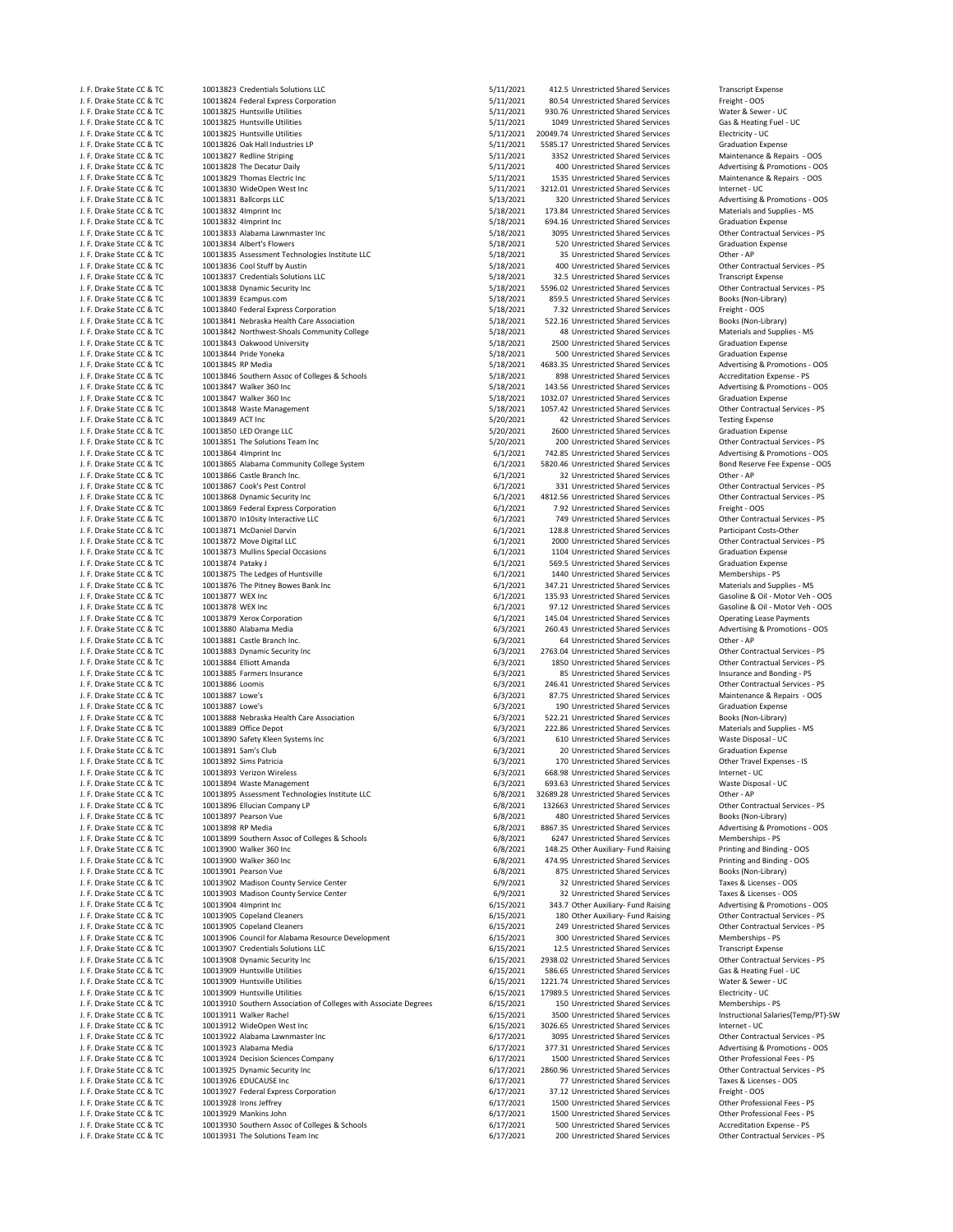| J. F. Drake State CC & TC                              |
|--------------------------------------------------------|
| J. F. Drake State CC & TC                              |
| J. F. Drake State CC & TC                              |
| J. F. Drake State CC & TC                              |
| J. F. Drake State CC & TC                              |
| J. F. Drake State CC & TC                              |
| J. F. Drake State CC & TC                              |
| J. F. Drake State CC & TC                              |
| J. F. Drake State CC & TC                              |
| J. F. Drake State CC & TC                              |
| J. F. Drake State CC & TC                              |
| J. F. Drake State CC & TC                              |
| J. F. Drake State CC & TC                              |
|                                                        |
| J. F. Drake State CC & TC                              |
| J. F. Drake State CC & TC                              |
| J. F. Drake State CC & TC                              |
| J. F. Drake State CC & TC                              |
| J. F. Drake State CC & TC                              |
| J. F. Drake State CC & TC                              |
| J. F. Drake State CC & TC                              |
| J. F. Drake State CC & TC                              |
| J. F. Drake State CC & TC                              |
| J. F. Drake State CC & TC                              |
| J. F. Drake State CC & TC                              |
| J. F. Drake State CC & TC                              |
| J. F. Drake State CC & TC                              |
| J. F. Drake State CC & TC                              |
| J. F. Drake State CC & TC                              |
| J. F. Drake State CC & TC                              |
| J. F. Drake State CC & TC                              |
| J. F. Drake State CC & TC                              |
|                                                        |
| J. F. Drake State CC & TC                              |
| J. F. Drake State CC & TC                              |
| J. F. Drake State CC & TC                              |
| J. F. Drake State CC & TC                              |
| J. F. Drake State CC & TC                              |
| J. F. Drake State CC & TC                              |
| .<br>J. F. Drake State CC & TC                         |
| J. F. Drake State CC & TC                              |
| J. F. Drake State CC & TC                              |
| J. F. Drake State CC & TC                              |
| J. F. Drake State CC & TC                              |
| J. F. Drake State CC & TC                              |
| J. F. Drake State CC & TC                              |
| J. F. Drake State CC & TC                              |
| J. F. Drake State CC & TC                              |
|                                                        |
| J. F. Drake State CC & TC                              |
|                                                        |
| J. F. Drake State CC & TC                              |
| J. F. Drake State CC & TC                              |
| J. F. Drake State CC & TC                              |
| J. F. Drake State CC & TC                              |
| J. F. Drake State CC & TC                              |
| J. F. Drake State CC & TC                              |
|                                                        |
| J. F. Drake State CC & TC                              |
| J. F. Drake State CC & TC                              |
| J. F. Drake State CC & TC                              |
| J. F. Drake State CC & TC                              |
| J. F. Drake State CC & TC                              |
| J. F. Drake State CC & TC                              |
| .<br>J. F. Drake State CC & TC                         |
| J. F. Drake State CC & TC                              |
| J. F. Drake State CC & TC                              |
| J. F. Drake State CC & TC                              |
| J. F. Drake State CC & TO                              |
| J. F. Drake State CC & TC                              |
| J. F. Drake State CC & TC                              |
| J. F. Drake State CC & TC                              |
| J. F. Drake State CC & TC                              |
| J. F. Drake State CC & TC                              |
| J. F. Drake State CC & TC                              |
| J. F. Drake State CC & TC                              |
|                                                        |
| J. F. Drake State CC & TC                              |
| J. F. Drake State CC & TC                              |
| J. F. Drake State CC & TC                              |
| J. F. Drake State CC & TC                              |
| J. F. Drake State CC & TC                              |
| J. F. Drake State CC & TC                              |
| J. F. Drake State CC & TC                              |
| J. F. Drake State CC & TC                              |
| J. F. Drake State CC & TC                              |
| J. F. Drake State CC & TC                              |
| J. F. Drake State CC & TC                              |
| J. F. Drake State CC & TC                              |
| J. F. Drake State CC & TC                              |
| J. F. Drake State CC & TC                              |
| J. F. Drake State CC & TC                              |
| J. F. Drake State CC & TC                              |
|                                                        |
| J. F. Drake State CC & TC                              |
| J. F. Drake State CC & TC                              |
| J. F. Drake State CC & TC                              |
| J. F. Drake State CC & TC                              |
| J. F. Drake State CC & TO                              |
| J. F. Drake State CC & TC                              |
| J. F. Drake State CC & TC                              |
| J. F. Drake State CC & TC<br>J. F. Drake State CC & TC |

10013823 Credentials Solutions LLC<br>10013823 Credentials Solutions LLC<br>10013824 Encloral Express Corporation 10011 1001 5/11/2021 5/11/2021 80.54 Unrestricted Shared Services Freight - OOS J. F. Drake State CC & TC 10013824 Federal Express Corporation 5/11/2021 80.54 Unrestricted Shared Services Freight ‐ OOS J. F. Drake State CC & TC 10013825 Huntsville Utilities 5/11/2021 930.76 Unrestricted Shared Services Water & Sewer ‐ UC J. F. Drake State Co. S. Heating State Co. S. Heating State Co. S. S. S. S. Heating State Co. S. S. S. S. S. S<br>10013825 Huntsville Utilities Gas & Heating Fuel Gas & Heating State Co. S. S. S. S. S. S. S. S. S. S. S. S. S J. F. Drake State Coccine State Coccine State Coccine State Coccine State Coccine State Coccine State Coccine<br>1991-1992 10013826 Oak Hall Industries LP Coccine State Coccine State Coccine State State Services State Cocci J. F. Drake State CC & TC 10013826 Oak Hall Industries LP 5/11/2021 5585.17 Unrestricted Shared Services Graduation Expense J. F. Drake State CC & TC 10013828 The Decatur Daily 5/11/2021 400 Unrestricted Shared Services Advertising & Promotions ‐ OOS J. F. Drake State CC & TC 10013829 Thomas Electric Inc 5/11/2021 1535 Unrestricted Shared Services Maintenance & Repairs ‐ OOS J. F. Drake State CC & TC 10013830 WideOpen West Inc 5/11/2021 3212.01 Unrestricted Shared Services Internet ‐ UC  $5/13/2021$ 320 Unrestricted Shared Services Advertising & Promotions - OOS<br>
5/18/2021 173.84 Unrestricted Shared Services Materials and Supplies - MS J. F. Drake State CC & TC 10013832 4Imprint Inc 5/18/2021 173.84 Unrestricted Shared Services Materials and Supplies ‐ MS 10013833 Alabama Lawnmaster Inc J. F. Drake State CC & TC 10013834 Albert's Flowers 5/18/2021 520 Unrestricted Shared Services Graduation Expense السعودية المستعملية المستوى بين المستوى بين المستوى بين المستوى المستوى المستوى بين المستوى المستوى المستوى ال<br>5/18/2021 35 Unrestricted Shared Services Other - AP<br>10013836 Cool Stuff by Austine LPC و 18/2021 1001 Unres 10013836 Cool Stuff by Austin 10013837 Credentials Solutions LLC and the CCC of the State CCC 5/18/2021 32.5 Unrestricted Shared Services Transcript Expense<br>10013838 Dynamic Security Inc and the Contractual Services - PS 5/18/2021 5596.02 Unrestricted J. F. Dramatic Security Inc and the Contractual State Contractual State Contractual Services State Contractual Services other Contractual Services other Contractual Services other Contractual Services other Contractual Ser J. S. S. Drake State Corporation COC & TO 10013840 Federal Express State COC & Termination COC 10013841 Nebraska Health Care Association 6. The State Corporation 5/18/2021 522.16 Unrestricted Shared Services Books (Non-Lib J. F. Drake State CC & TC 10013841 Nebraska Health Care Association 5/18/2021 522.16 Unrestricted Shared Services Books (Non‐Library) 10013842 Northwest-Shoals Community College 5/18/2021 5/18/2021<br>10013843 Oakwood University J. F. Drake State CC & TC 10013843 Oakwood University 5/18/2021 2500 Unrestricted Shared Services Graduation Expense J. F. Drake State CC & TC 10013844 Pride Yoneka 5/18/2021 500 Unrestricted Shared Services Graduation Expense 10013846 Southern Assoc of Colleges & Schools 5/18/2021 898 Unrestricted Shared Services Accreditation Expense<br>10013847 Walker 360 Inc 605 Southern Accredit State State State State State Shared Services Advertising & Promo J. F. Drake State CC & TC 10013847 Walker 360 Inc 5/18/2021 143.56 Unrestricted Shared Services Advertising & Promotions ‐ OOS 10013847 Walker 360 Inc CC Branch CC Branch CC Branch CC Branch CC State CC State CC Shared Services Graduation Expense<br>10013848 Waste Management CC 600 Incomposition CC 5/18/2021 1057.42 Unrestricted Shared Services Chher J. J. B. Drake State COC & TC 10013848 Waste Management COC & TC 10013848 Waste Management Contractual Services **S**<br>10013849 ACT Inc J. F. Drake State CC & TC 10013849 ACT Inc 5/20/2021 42 Unrestricted Shared Services Testing Expense 10013851 The Solutions Team Inc COM CONSULTER STATE CONTRACTED STATE CONTRACTED STATE STATE STATE STATE STATE STATE STATE STATE STATE STATE STATE STATE STATE STATE STATE STATE STATE STATE STATE STATE STATE STATE STATE STAT J. F. Drake State Community College System 6/1/2021 5820.46 Unrestricted Shared Services Bond Reserve Fee Expense 6/1/2021 5820.46 Unrestricted Shared Services Bond Reserve Fee Expense 6/1/2021 32 Unrestricted Shared Servi 10013866 Castle Branch Inc. و 10013866 Castle Branch Inc. و 10013866 Castle Branch Inc. و 10013866 Castle Branch Inc. و 10013867 Cook's Pest Control  $\frac{1}{2}$ <br>
10013867 Cook's Pest Control 6<br>
10013868 Dynamic Security Inc<br>
10013868 Dynamic Security Inc<br>
10013868 Dynamic Security Inc 10013869 Federal Express Corporation 10013870 In10sity Interactive LLC و 10013870 In10sity Interactive LLC و 10013870 In10sity Interactive LLC و 10013871 McDaniel Darvine FS و 6/1/2021 128.8 Unrestricted Shared Services Participant Costs-Other و 10013871 McD J. J. J. B. Drake State Control of the Control of the Control of the Control of the Control of the Control of the Control of the Control of the Control of the Control of the Control of the Control of the Control of the Con J. F. Drake State CC & TC 10013873 Mullins Special Occasions 6/1/2021 1104 Unrestricted Shared Services Graduation Expense 10013875 The Ledges of Huntsville 10013876 The Pitney Bowes Bank Inc CCC Bank Inc CCC Bank Income State Communist COLO 1347.21 Unrestricted Shared Services Materials and Supplies - MS<br>10013877 WEX Inc CCC 6.011 - Motor Veh - OOS 6/1/2021 135.93 Unrestricte J. F. Drake State CC & TC 10013877 WEX Inc 6/1/2021 135.93 Unrestricted Shared Services Gasoline & Oil ‐ Motor Veh ‐ OOS 10013879 Xerox Corporation 10013879 Xerox Corporation 10013879 Xerox Corporation 10013879 Xerox Corporation 1<br>10013880 Alabama Media 10013880 Alabama 10013880 10013880 10013880 10013880 Advertising & Promotions - OOS J. F. Drake State CC & TC 10013880 Alabama Media 6/3/2021 260.43 Unrestricted Shared Services Advertising & Promotions ‐ OOS 10013883 Dynamic Security Inc and the Contractual Services • PS included State Contractual Services subsection of the Contractual Services • PS included Shared Services Solution of the Contractual Services • PS included Sh J. J. B. Drake State Contractual Services in Contractual Services CONTENT CONTENT CONTENTS CONTENTS CONTENTS O<br>1999 1999 1999 10012885 Farmers Insurance and Bonding - PS (1999) 1999 10013885 Farmers Insurance and Bonding -J. F. Drake State CC & TC 10013885 Farmers Insurance 6/3/2021 85 Unrestricted Shared Services Insurance and Bonding ‐ PS 10013887 Lowe's 
10013887 Lowe's 
10013887 Lowe's 
10013887 Lowe's

5/3/2021
190 Unrestricted Shared Services
Graduation Expense
Craduation Expense
Craduation Expense
Craduation Expense
Craduation Expense
Craduation Expens 10013888 Nebraska Health Care Association and the State Communication of State Communication of State State Co<br>10013889 Office Depot Care Association 6/3/2021 222.86 Unrestricted Shared Services Materials and Supplies - M J. F. Drake State CC & TC 10013890 Safety Kleen Systems Inc 6/3/2021 610 Unrestricted Shared Services Waste Disposal ‐ UC 10013891 Sam's Club (1999)<br>10013892 Sims Patricia (1999) 10013892 Sims Patricia Shared Services Club 6/3/2021 170 Unrestricted Shared Services Club Club Club Expenses - IS 1. F. Drake State Coccine State Coccine 120013892 Sims Patricia State Coccine Travel Coccine 10013893 Verizon Wireless<br>1. Hot 13893 Verizon Wireless ● Internet → UC 10013893 Verizon State Coccine State Coccine 10013893 100130000 · · ·<br>10013894 Waste Management 10013895 Assessment Technologies Institute LLC 6/8/2021 32689.28 Unrestricted Shared Services Other - AP CONTRACTED 60013896 Ellucian Company LP Contractual Services - PS 6/8/2021 132663 Unrestricted Shared Services Other J. F. Drake State CC & TC 10013896 Ellucian Company LP 6/8/2021 132663 Unrestricted Shared Services Other Contractual Services ‐ PS J. F. Drake State CC & TC 10013897 Pearson Vue 6/8/2021 480 Unrestricted Shared Services Books (Non‐Library) 10013899 Southern Assoc of Colleges & Schools 6/8/2021 6247 Unrestricted Shared Services Memberships - PS<br>10013900 Walker 360 Inc 6-817 Colleges & Schools 6/8/2021 148.25 Other Auxiliary- Fund Raising Printing and Binding **J. F. Drake State Community** COST CONSULTED 1989, 1999 12013 148.25 Other Auxiliary- Fund Raising Printing and Binding - OOS<br>10013900 Walker 360 Inc 6/8/2021 148.25 Other Auxiliary Fund Raising Printing and Binding - OOS J. F. Drake State CC & TC 10013900 Walker 360 Inc 6/8/2021 474.95 Unrestricted Shared Services Printing and Binding ‐ OOS 10013902 Madison County Service Center 10013903 Madison County Service Center County Service Center County Service County Service County Service Center<br>10013904 Almprint Inc County Service Center County Service County Service County Services Taxes & Licenses - J. F. Drake State CC & TC 10013904 4Imprint Inc 6/15/2021 343.7 Other Auxiliary‐ Fund Raising Advertising & Promotions ‐ OOS J. F. Drake State CC & TC 10013905 Copeland Cleaners 6/15/2021 180 Other Auxiliary‐ Fund Raising Other Contractual Services ‐ PS 10013906 Council for Alabama Resource Development 6/15/2021 300 Unrestricted Shared Services Memberships ‐ PS<br>10013907 Credentials Solutions LLC COUNCERT 6/15/2021 12.5 Unrestricted Shared Services Transcript Expense 10013907 Credentials Solutions LLC 1999 10013907 Credentials Solutions LCC 6015/2021 12.5 Unrestricted Shared Services Transcript Expense<br>10013908 Dynamic Security Inc 1999 1001 12.5 Unrestricted Shared Services Solutions J. F. Drake State CC & TC 10013909 Huntsville Utilities 6/15/2021 586.65 Unrestricted Shared Services Gas & Heating Fuel ‐ UC J. F. Drake State CC & TC 10013909 Huntsville Utilities 6/15/2021 1221.74 Unrestricted Shared Services Water & Sewer ‐ UC J. F. B. B. B. B. G. Drake State Colleges with Associate Degrees 6/15/2021 150 Unrestricted Shared Services 10013911<br>10013911 Walker Rachel J. F. Drake State CC & TC 10013912 WideOpen West Inc 6/15/2021 3026.65 Unrestricted Shared Services Internet ‐ UC 10013922 Alabama Lawnmaster Inc and the State Contractual Services COL 377.31 Unrestricted Shared Services Contractual Services - PS = 0.017/2021 377.31 Unrestricted Shared Services Advertising & Promotions - OOS 10013923 Alabama Media Compositions - CC & TC 377.31 Unrestricted Shared Services Advertising & Promotions - C<br>20013924 Decision Sciences Company 1988 - OCS 2017/2021 1500 Unrestricted Shared Services Other Professional F J. F. Drake State CC & TC 10013925 Dynamic Security Inc 6/17/2021 2860.96 Unrestricted Shared Services Other Contractual Services ‐ PS 10013927 Federal Express Corporation 1 1 10013927 Federal Express Corporation 1 10013927 Federal Express Corporation 6/17/2021 37.12 Unrestricted Shared Services Freight - OOS<br>117/2021 1500 Unrestricted Shared Services Ot J. F. Drake State Collective Computer of the State Computer COM State Computer State Computer State Computer S<br>1991-1999 10013929 Mankins John State Computer State Computer State Computer State Computer State Computer Sta<br>

3352 Unrestricted Shared Services S/18/2021 694.16 Unrestricted Shared Services Graduation Expense<br>5/18/2021 3095 Unrestricted Shared Services Other Contractual Services - PS 859.5 Unrestricted Shared Services J. J. B. Drake State Cocc & TC 318/2021 4683.35 Unrestricted Shared Services Advertising & Promotions - OOS<br>5/18/2021 - Age Unrestricted Shared Services Accreditation Expense - PS S/20/2021 2600 Unrestricted Shared Services Graduation Expense<br>S/20/2021 200 Unrestricted Shared Services Graduation Expenses - PS J. F. Drake State CC & TC 10013864 4Imprint Inc 6/1/2021 742.85 Unrestricted Shared Services Advertising & Promotions ‐ OOS f. F. Drake State State State Services Follow Contractus COME 2.56 Unrestricted Shared Services Contractual Services Contractual Services Contractual Services Contractual Services Contractual Services Services Services Ser f. F. D. E. D. Drake State Contractual Services Contractual Services Contractual Services Contractual Services<br>1992 1104 Unrestricted Shared Services Graduation Expense  $\frac{6}{12021}$  569.5 Unrestricted Shared Services Graduation Expenses<br>6/1/2021 1440 Unrestricted Shared Services Memberships - PS 97.12 Unrestricted Shared Services  $\frac{6}{3}/2021$  64 Unrestricted Shared Services Other - AP<br>6/3/2021 64 Unrestricted Shared Services Other Contractual Services - PS 246.41 Unrestricted Shared Services  $6/3/2021$  190 Unrestricted Shared Services Graduation Expense<br>6/3/2021 522.21 Unrestricted Shared Services Books (Non-Library) J. F. 222.86 Unrestricted Shared Services Materials and Supplies COMEN 222.86 Unrestricted Shared Services Materials and Supplies 6/3/2021 f. F. B. E. Drake State Co. Drake State CC 2013/2021 668.98 Unrestricted Shared Services Internet - UC<br>1. S. Drake State Shared Services Internet Super Uniternet - UC f. 6/8/2021 8867.35 Unrestricted Shared Services Advertising & Promotions 6/8/2021 6247 Unrestricted Shared Services Advertising & Promotions – O J. F. B. B. A. Drake State Cocci & Tagazan CCC & Tagazan Books (Non-Library)<br>J. Books (Non-Library) 875 Unrestricted Shared Services Books (Non-Library) S. 6/15/2021 249 Unrestricted Shared Services Cother Contractual Services - PS<br>6/15/2021 300 Unrestricted Shared Services Memberships - PS 2938.02 Unrestricted Shared Services 17989.5 Unrestricted Shared Services Electricity - UC<br>150 Unrestricted Shared Services Memberships - PS J. F. 3500 Unrestricted Shared Services Matructional Salaries(Temp/PT)-SW<br>5/15/2021 3026.65 Unrestricted Shared Services Internet - UC 1500 Unrestricted Shared Services J. F. Drake State Cocination CC & Taxes & Licenses 11 Taxes 2012<br>17/2021 17.12 Unrestricted Shared Services Freight - OOS J.<br>G/17/2021 1500 Unrestricted Shared Services Other Professional Fees - PS<br>G/17/2021 500 Unrestricted Shared Services Accreditation Expense - PS 10013930 Southern Assoc of Colleges & Schools 6. The Schools 6/17/2021 500 Unrestricted Shared Services Accreditation Expense - PS<br>10013931 The Solutions Team Inc 6. PS 6/17/2021 500 Unrestricted Shared Services Chence Con J. F. Drake State CC & TC 10013931 The Solutions Team Inc 6/17/2021 200 Unrestricted Shared Services Other Contractual Services • PS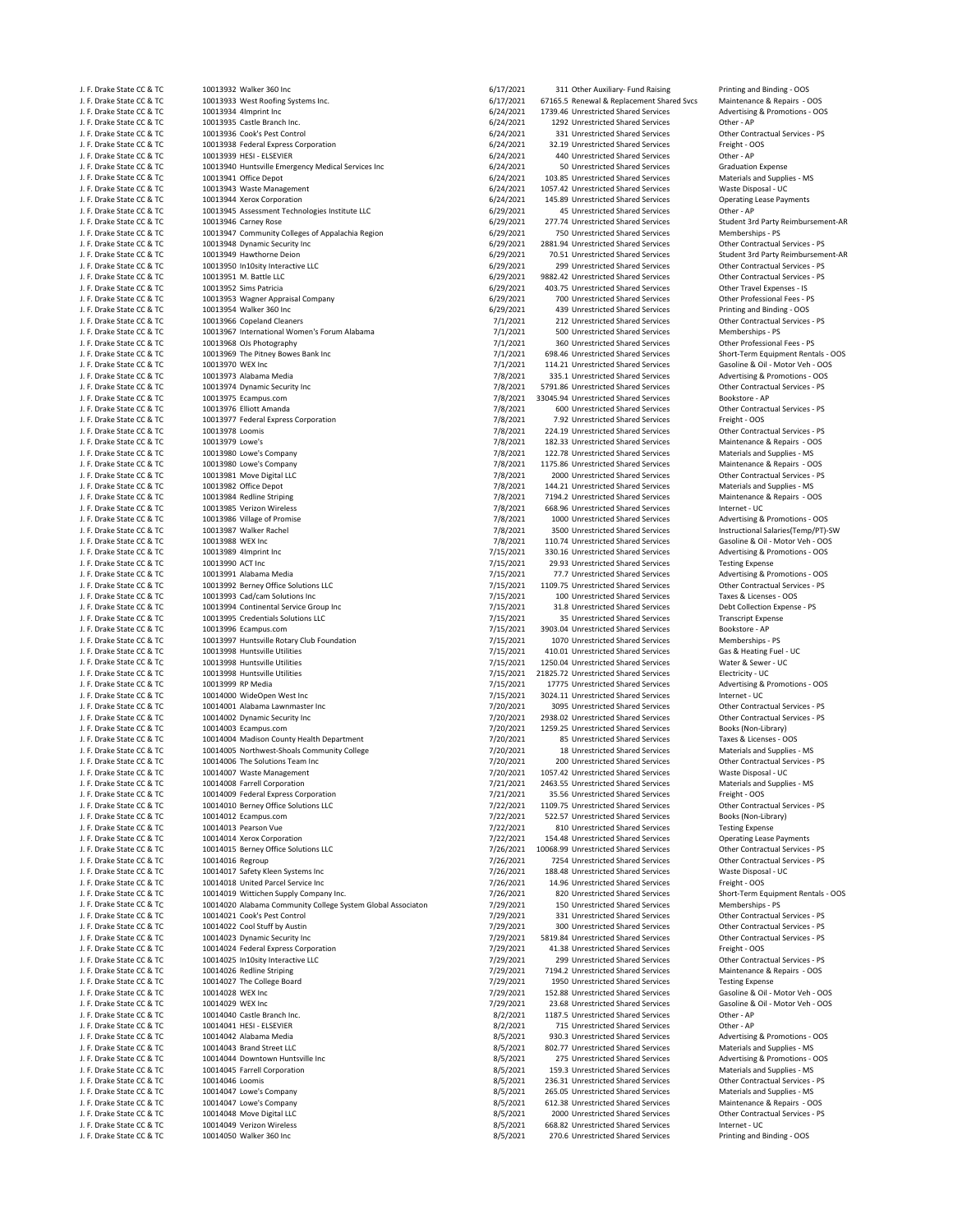| J. F. Drake State CC & TC                                                           |
|-------------------------------------------------------------------------------------|
| J. F. Drake State CC & TC                                                           |
| J. F. Drake State CC & TC                                                           |
| J. F. Drake State CC & TC                                                           |
| J. F. Drake State CC & TC                                                           |
| J. F. Drake State CC & TC                                                           |
| J. F. Drake State CC & TC                                                           |
| J. F. Drake State CC & TC                                                           |
| J. F. Drake State CC & TC                                                           |
| J. F. Drake State CC & TC                                                           |
| J. F. Drake State CC & TC                                                           |
| J. F. Drake State CC & TC                                                           |
| J. F. Drake State CC & TC                                                           |
| J. F. Drake State CC & TC                                                           |
| J. F. Drake State CC & TC                                                           |
| J. F. Drake State CC & TC                                                           |
| J. F. Drake State CC & TC                                                           |
|                                                                                     |
| J. F. Drake State CC & TC<br>J. F. Drake State CC & TC                              |
|                                                                                     |
| J. F. Drake State CC & TC                                                           |
| J. F. Drake State CC & TC                                                           |
| J. F. Drake State CC & TC                                                           |
| J. F. Drake State CC & TC                                                           |
| J. F. Drake State CC & TC                                                           |
| J. F. Drake State CC & TC                                                           |
| J. F. Drake State CC & TC                                                           |
| J. F. Drake State CC & TC                                                           |
| J. F. Drake State CC & TC                                                           |
| J. F. Drake State CC & TC                                                           |
| J. F. Drake State CC & TC                                                           |
| J. F. Drake State CC & TC                                                           |
| J. F. Drake State CC & TC                                                           |
| J. F. Drake State CC & TC                                                           |
| J. F. Drake State CC & TC                                                           |
| J. F. Drake State CC & TC                                                           |
| J. F. Drake State CC & TC                                                           |
| J. F. Drake State CC & TC                                                           |
|                                                                                     |
| J. F. Drake State CC & TC                                                           |
| J. F. Drake State CC & TC                                                           |
| J. F. Drake State CC & TC                                                           |
| J. F. Drake State CC & TC                                                           |
| J. F. Drake State CC & TC                                                           |
| J. F. Drake State CC & TC<br>J. F. Drake State CC & TC                              |
|                                                                                     |
| J. F. Drake State CC & TC                                                           |
| J. F. Drake State CC & TC                                                           |
|                                                                                     |
| J. F. Drake State CC & TC                                                           |
| J. F. Drake State CC & TC                                                           |
|                                                                                     |
| J. F. Drake State CC & TC                                                           |
| J. F. Drake State CC & TC                                                           |
| J. F. Drake State CC & TC                                                           |
| J. F. Drake State CC & TC                                                           |
| J. F. Drake State CC & TC                                                           |
| J. F. Drake State CC & TC                                                           |
| J. F. Drake State CC & TC                                                           |
| J. F. Drake State CC & TC                                                           |
| J. F. Drake State CC & TC                                                           |
| J. F. Drake State CC & TC                                                           |
| J. F. Drake State CC & TC                                                           |
| J. F. Drake State CC & TC                                                           |
| J. F. Drake State CC & TC                                                           |
| J. F. Drake State CC & TC                                                           |
| J. F. Drake State CC &<br>ΤÓ                                                        |
| J. F. Drake State CC & TC                                                           |
| J. F. Drake State CC & TC                                                           |
| J. F. Drake State CC & TC                                                           |
| J. F. Drake State CC & TC                                                           |
|                                                                                     |
|                                                                                     |
| J. F. Drake State CC & TC<br>J. F. Drake State CC & TC<br>J. F. Drake State CC & TC |
|                                                                                     |
| J. F. Drake State CC & TC<br>J. F. Drake State CC & TC                              |
| J. F. Drake State CC & TC                                                           |
|                                                                                     |
| J. F. Drake State CC & TC<br>J. F. Drake State CC & TC                              |
| J. F. Drake State CC & TC                                                           |
|                                                                                     |
| J. F. Drake State CC & TC                                                           |
| J. F. Drake State CC & TC                                                           |
| J. F. Drake State CC & TC                                                           |
| J. F. Drake State CC & TC                                                           |
| J. F. Drake State CC & TC                                                           |
| J. F. Drake State CC & TC                                                           |
| J. F. Drake State CC & TC                                                           |
| J. F. Drake State CC & TC                                                           |
| J. F. Drake State CC & TC                                                           |
| J. F. Drake State CC & TC                                                           |
| J. F. Drake State CC & TC                                                           |
| J. F. Drake State CC & TC                                                           |
| J. F. Drake State CC & TC                                                           |
| J. F. Drake State CC & TC                                                           |
| J. F. Drake State CC & TC                                                           |
| J. F. Drake State CC & TC                                                           |
|                                                                                     |
| J. F. Drake State CC & TC<br>J. F. Drake State CC & TC<br>J. F. Drake State CC & TC |

J. F. Drake State Cock and Binding and Binding and Binding incomposition of the COC 6/17/2021 311 Other Auxiliary‐ Fund Raising Printing and Binding ‐ OOS<br>10013933 West Roofine Systems Inc. Cock and Binding state Cock and J. F. Drake State CC & TC 10013933 West Roofing Systems Inc. 6/17/2021 67165.5 Renewal & Replacement Shared Svcs Maintenance & Repairs ‐ OOS <sub>21, 2</sub>1, 2021 1739.46 Unrestricted Shared Services Advertising and COLIS934 4Imprint Inc (2021 1739.46 Unrestricted Shared Services Advertising Advertising 6/24/2021 1739.46 Unrestricted Shared Services Advertising Adve J. J. F. Drake State Cock and the Cock of the COM State COM State COM STATE COM STATE STATE Of the State State<br>1991-1993 State State Control Cock of the Contractual Services Other Contractual Services PS (24/2021 131 Unres J. J. B. Drake State Corporation COM State COVID-10013938 Federal Express Corporation COVID-10013938 Federal Express Corporation 6/24/2021 32.19 Unrestricted Shared Services Freight - OV<br>10013939 HESI - ELSEVIER CHER - AP 10013940 Huntsville Emergency Medical Services Inc **Inc. Services** 10014021 50 Unrestricted Shared Services Graduation Expense<br>10013941 Office Depot **Inc. Automage Services** 6/24/2021 103.85 Unrestricted Shared Services Ma J. J. D. Drake State Coco & To COM CONSET 103.85 Unrestricted Shared Services Materials and Supplies and Suppli<br>1991-1991 1037-42 Unrestricted Shared Services Materials and Supplies in the Materials and Supplies and Suppl J. F. Drake State CC & TC 10013943 Waste Management 6/24/2021 1057.42 Unrestricted Shared Services Waste Disposal ‐ UC J. J. B. Drake State State Coccine State COC & TO 10013945 Assessment Technologies Institute LLC<br>10013946 Carney Rose Coccine State Coccine 10013946 Carney Coccine of APS (1997) 4577.74 Unrestricted Shared Services 10013947 Community Colleges of Appalachia Region 10013948 Dynamic Security Inc Contractual Services - PS (19/2021 2881.94 Unrestricted Shared Services Contractual Services - PS (19/2021 70.51 Unrestricted Shared Services Student 3rd Party Reimbursem 6/29/2021 70.51 Unre 10013950 In10sity Interactive LLC  $6/29/2021$ 9882.42 Unrestricted Shared Services Contractual Services - PS<br>
979/2021 403.75 Unrestricted Shared Services Other Travel Expenses - IS 10013953 Wagner Appraisal Company 10013954 Walker 360 Inc COS & Transmission COS 6/29/2021 439 Unrestricted Shared Services Printing and Binding - OOS<br>110013966 Copeland Cleaners Costruction Contractual Services - PS 7/1/2021 212 Unrestricted Shared Servi J. F. Drake State CC & TC 10013967 International Women's Forum Alabama 7/1/2021 500 Unrestricted Shared Services Memberships ‐ PS  $7/1/2021$ 360 Unrestricted Shared Services Other Professional Fees - PS<br>
7/1/2021 698.46 Unrestricted Shared Services Short-Term Equipment Rentals - OOS<br>
7/1/2021 698.46 Unrestricted Shared Services Short-Term Equipment J. F. Drake State CC & TC 10013969 The Pitney Bowes Bank Inc 7/1/2021 698.46 Unrestricted Shared Services Short‐Term Equipment Rentals ‐ OOS J. F. Drake State CC & TC 10013970 WEX Inc 7/1/2021 114.21 Unrestricted Shared Services Gasoline & Oil ‐ Motor Veh ‐ OOS J. F. Drake State CC & TC 10013973 Alabama Media 7/8/2021 335.1 Unrestricted Shared Services Advertising & Promotions ‐ OOS J. J. Maxwell State Contractual State Contractual State Contractual State Contractual Services of the Contract<br>1991-1997 State Contractual Services Contractual Services Foodstore - PS 2001-1997 State Services Services Book J. F. Drake State CC & TC 10013975 Ecampus.com 7/8/2021 33045.94 Unrestricted Shared Services Bookstore ‐ AP J. F. Drake State CC & TC 10013976 Elliott Amanda 1997 1897 1898 1998 7/8/2021 600 Unrestricted Shared Services Other Contractual Services • PS J. J. D. Drake State Corporation The Contractual Services Shared Services State COS (10013977 Federal Express Corporation 7/8/2021 7.92 Unrestricted Shared Services Freight - OOS<br>19978 Loomis Corporation Communication Pres J. F. Drake State CC & TC 10013978 Loomis 7/8/2021 224.19 Unrestricted Shared Services Other Contractual Services ‐ PS J. F. Drake State CC & TC 10013979 Lowe's 7/8/2021 182.33 Unrestricted Shared Services Maintenance & Repairs ‐ OOS J. F. Drake State CC & TC 10013980 Lowe's Company 7/8/2021 122.78 Unrestricted Shared Services Materials and Supplies ‐ MS J. F. Drake State Company<br>1999 Louis Company 1999 Louis Company 1999 Louis Company 1175.86 Unrestricted Shared Services Maintenance & Repairs - OOS<br>1999 J. Drake State Contractual Services - PS 20021 2000 Unrestricted Shar J. F. Drake State CC & TC 10013981 Move Digital LLC 7/8/2021 2000 Unrestricted Shared Services Other Contractual Services ‐ PS J. J. Materials and Supplies - MS = 10013982 Office Depot 7/8/2021 144.21 Unrestricted Shared Services Materials and Supplies - MS = 10013984 Redline Striping 10013984 Redline Striping 10013984 Redline Striping 10013984 Re 10013984 Redline Striping The Communication of the CC and the CC 2011 7194.2 Unrestricted Shared Services Maintenance Maintenance 10013985 Verizon Wireless and The COMMunication of the COMMunication of the COMMunication of 1000 Unrestricted Shared Services Advertising & Promotions - OOS<br>112021 1000 Unrestricted Shared Services Advertising & Promotions - 005 10013987 Walker Rachel Fermp/PTJ J. F. Drake Rachel COM COMPUT STATE COMPUT STATE COMPUTER STATE COMPUTER STATE COMPUTER STATE COMPUTER STATE O<br>10013988 WEX Inc. Cass and COMPUTER State Computer State Computer Shared Services Cass intervents Computer Shar J. J. D. D. Drake State Cocc & COM CONSULTING THE CONSULTING STATE CONSULTING THE CONSULTING THE COCC AND LOG<br>10013989 4Imprint Inc 1001 Coccasion State Coccasion 110.74 Unrestricted Shared Services Advertising & Promotion J. F. Drake State CC & TC 10013989 4Imprint Inc 7/15/2021 330.16 Unrestricted Shared Services Advertising & Promotions ‐ OOS J. F. Drake State CC & TC 10013990 ACT Inc 7/15/2021 29.93 Unrestricted Shared Services Testing Expense J. F. Drake State CC & TC 10013992 Berney Office Solutions LLC 7/15/2021 1109.75 Unrestricted Shared Services Other Contractual Services ‐ PS 10013993 Cad/cam Solutions Inc CCC Butch Communications COC 8115/2021 100 Unrestricted Shared Services Taxes & Licenses - OOS<br>115/2021 31.8 Unrestricted Shared Services Debt Collection Expense - PS 10013994 Continental Service Group Inc 7/15/2021 31.8 Unrestricted Shared Shared Shared Shared Shared Shared S<br>10013995 Credentials Solutions LLC J. F. Drake State CC & TC 10013995 Credentials Solutions LLC 7/15/2021 35 Unrestricted Shared Services Transcript Expense J. F. Drake State CC & TC 10013996 Ecampus.com 7/15/2021 3903.04 Unrestricted Shared Services Bookstore ‐ AP J. F. Drake State CC & TC 10013997 Huntsville Rotary Club Foundation 7/15/2021 1070 Unrestricted Shared Services Memberships ‐ PS J. F. Drake State CC & TC 10013998 Huntsville Utilities 7/15/2021 410.01 Unrestricted Shared Services Gas & Heating Fuel ‐ UC J. F. Drake State CC & TC 10013998 Huntsville Utilities 7/15/2021 1250.04 Unrestricted Shared Services Water & Sewer ‐ UC J. F. Drake State CC & TC 10013998 Huntsville Utilities 7/15/2021 21825.72 Unrestricted Shared Services Electricity ‐ UC J. F. Drake State CC & TC 10014000 WideOpen West Inc 7/15/2021 3024.11 Unrestricted Shared Services Internet ‐ UC J. F. Drake State CC & TC 10014001 Alabama Lawnmaster Inc 7/20/2021 3095 Unrestricted Shared Services Other Contractual Services ‐ PS J. F. Drake State CC & TC 10014002 Dynamic Security Inc 7/20/2021 2938.02 Unrestricted Shared Services Other Contractual Services ‐ PS J. F. Drake State CC & TC 10014004 Madison County Health Department 7/20/2021 85 Unrestricted Shared Services Taxes & Licenses ‐ OOS J. J. Materials and Supplies - MS and Supplies College 7/20/2021 18 Unrestricted Shared Services Materials and Supplies - MS<br>10014006 The Solutions Team Inc 10016 10016 12/20/2021 200 Unrestricted Shared Services Other Con 10014006 The Solutions Team Inc and the Solutions Team Inc and the Contractual Services of the Contractual Se<br>10014007 Waste Management 10014007 Waste Disposal - UC 30014007.42 Unrestricted Shared Services and the Disposa J. F. Drake State CC & TC 10014007 Waste Management 7/20/2021 1057.42 Unrestricted Shared Services Waste Disposal ‐ UC J. F. Drake State CC & TC 10014009 Federal Express Corporation 7/21/2021 35.56 Unrestricted Shared Services Freight ‐ OOS J. F. Drake State CC & TC 10014010 Berney Office Solutions LLC 7/22/2021 1109.75 Unrestricted Shared Services Other Contractual Services ‐ PS 10014012 Ecampus.com **State Computer Computer CCC & TC 10014012** E22.57 Unrestricted Shared Services Books (Non-Library)<br>10014013 Pearson Vue **702.000 1202020 1203** 10014014 7/22/2021 810 Unrestricted Shared Services Testi 10014013 Pearson Vue **State Communist Communist Communist CCC** 2001 154.48 Unrestricted Shared Services Testing Expense<br>10014014 Xerox Corporation Communist Communist Communist Communist Communist Communist Communist Commu J. F. Drake State CC & TC 10014014 Xerox Corporation 7/22/2021 154.48 Unrestricted Shared Services Operating Lease Payments J. F. T. 2014015 Berney Office Solutions LLC 6 Automatical Cervices COLL 10068.99 Unrestricted Shared Services Other Contractual Services - PS<br>10014016 Regroup Other Contractual Services - PS 7/26/2021 7254 Unrestricted Sh J. F. Drake State CC & TC 10014016 Regroup 7/26/2021 7254 Unrestricted Shared Services Other Contractual Services ‐ PS 10014018 United Parcel Service Inc J. F. Drake State Company Inc. F. Drake State Company Inc. F. Drake State Company Inc. Company Inc. Company Inc. Trake State Company Inc. 10014020 1150 Unrestricted Shared Services Short‐Term Equipment Rentals - OOS<br>1979/2 D. J. J. F. Drake State Community College System Global Associaton 1999/2021 150 Unrestricted Shared Services Memberships - PS<br>1999/2021 150 Unrestricted Shared Services Memberships 1999/2021 331 Unrestricted Shared Servic J. F. Drake State CC & TC 10014021 Cook's Pest Control 7/29/2021 331 Unrestricted Shared Services Other Contractual Services ‐ PS J. F. J. Drake State Cool Stuff by Austin Cool State Contractual Services<br>1999/2021 1999/2021 1999/2021 State Contractual Services Souther Contractual Services - PS (2014)<br>1999/2021 1999/2021 5819.84 Unrestricted Shared Se J. F. Drake State CC & TC 10014024 Federal Express Corporation 7/29/2021 41.38 Unrestricted Shared Services Freight ‐ OOS 10014025 In10sity Interactive LLC J. F. Drake State CC & TC 10014026 Redline Striping 7/29/2021 7194.2 Unrestricted Shared Services Maintenance & Repairs ‐ OOS 10014027 The College Board<br>
10014027 The College Board **10014027** The College Board College Board Services Testing Expense<br>
10014028 WEX Joc. Casoling & Oil - Motor Veh - OOS J. F. Drake State CC & TC 10014028 WEX Inc 7/29/2021 152.88 Unrestricted Shared Services Gasoline & Oil ‐ Motor Veh ‐ OOS J. F. Drake State CC & TC 10014029 WEX Inc 7/29/2021 23.68 Unrestricted Shared Services Gasoline & Oil ‐ Motor Veh ‐ OOS J. F. Drake State CC & TC 10014040 Castle Branch Inc. 8/2/2021 1187.5 Unrestricted Shared Services Other ‐ AP  $\rm 8/5/2021 \qquad \qquad 930.3\ Unrestricted Shared Service\ Service$ Advertising & Promotions ‐ COM COMERCIA Are SALES AND ARREGATE ARREGATE ARREGATE ARREGATE ARREGATE ARREGATE ARREGATE ARREGATE ARREGATE ARREGATE ARREGATE ARREGATE ARREGATE ARREGATE ARREGATE 10014043 Brand Street LLC<br>10014044 Downtown Huntsville Inc 10014044 Brand Services **and Supplies 8/5/2021** 8/5/2021 275 Unrestricted Shared Services 1. 159.3 Unrestricted Shared Services Materials and Supplies - MS و Altonic 10014045 Farrell Corporation 159.3<br>1. Samuel Commis Commission 8/5/2021 236.31 Unrestricted Shared Services Other Contractual Services - PS و 201 J. F. Drake State CC & TC 10014046 Loomis 8/5/2021 236.31 Unrestricted Shared Services Other Contractual Services ‐ PS 10014047 Lowe's Company **State Company** and State Company and State Company and State Company and Supplies FMS<br>10014047 Lowe's Company American State Company and State State State State Services Materials and Supplies FMS 10014047 Lowe's Company 10014047 Lowe's Company 10014047 Lowe's Company 10014047 Lowe's Company 10014048 Maintenance & Repairs - OOS<br>10014048 Move Digital LLC 10 Company 10014 Company 1001401 2000 Unrestricted Shared Serv السوار المستوى المستوى المستوى التي يتم بين المستوى المستوى المستوى التي يتم المستوى التي يتم المستوى التي يت<br>10014049 Verizon Wireless و 10014049 Verizon Wireless و 10014049 Verizon Wireless و 10014049 Verizon Wireless J. F. Drake State CC & TC 10014049 Verizon Wireless 8/5/2021 668.82 Unrestricted Shared Services Internet ‐ UC

S. F. B. E. Drake State Contract CC 2012-511 Control 6/24/2021 331 Unrestricted Shared Services Contractual Se<br>State Contractual Services Shared Services Freight - OOS J. 440 Unrestricted Shared Services and Services other - AP<br>1001 - So Unrestricted Shared Services Canaduation Expense f. 6/24/2021 145.89 Unrestricted Shared Services<br>6/29/2021 45.89 Unrestricted Shared Services Student 3rd Party Reimbursement-AF (1794) 277.74 Unrestricted Shared Services Student 3rd Party Reimbursement<br>Student 5/29/2021 750 Unrestricted Shared Services Student Shamberships - PS J. F. Drake State CC & TC 10013949 Hawthorne Deion 6/29/2021 70.51 Unrestricted Shared Services Student 3rd Party Reimbursement‐AR J. F. Drake State Cocincia State Cocincia State CC 2012021 403.75 Unrestricted Shared Services Other Travel Expenses - IS<br>TOO Unrestricted Shared Services Other Professional Fees - PS V. T. 212 Unrestricted Shared Services **F. Drake State Contractual 212 Unrestricted Shared Services Contractual Services Contractual Services Contractual Services Contractual Services Contractual Services Contr** 668.96 Unrestricted Shared Services 77.7 Unrestricted Shared Services J. F. 2002021 1259.25 Unrestricted Shared Services Books (Non-Library)<br>1/20/2021 1259.25 Unrestricted Shared Services Books (Non-Library) J. T. 26/2021 188.48 Unrestricted Shared Services Waste Dispos<br>1/26/2021 14.96 Unrestricted Shared Services Freight - OOS T. F. T. Drake State Contracted Contracted Shared Services Contractual Security Inc 7/29/2021 681.38 Unrestricted Shared Services Contractual Services Contractual Services Contractual Services Contractual Services Services 715 Unrestricted Shared Services **COMIC COCC 61014041 COCC 6101404**<br>1902 Gunestricted Shared Services **COCC 61014041** Advertising & Promotions - OOS

Advertising & Promotions - OOS Materials and Supplies - MS Advertising & Promotions - OOS Printing and Binding - OOS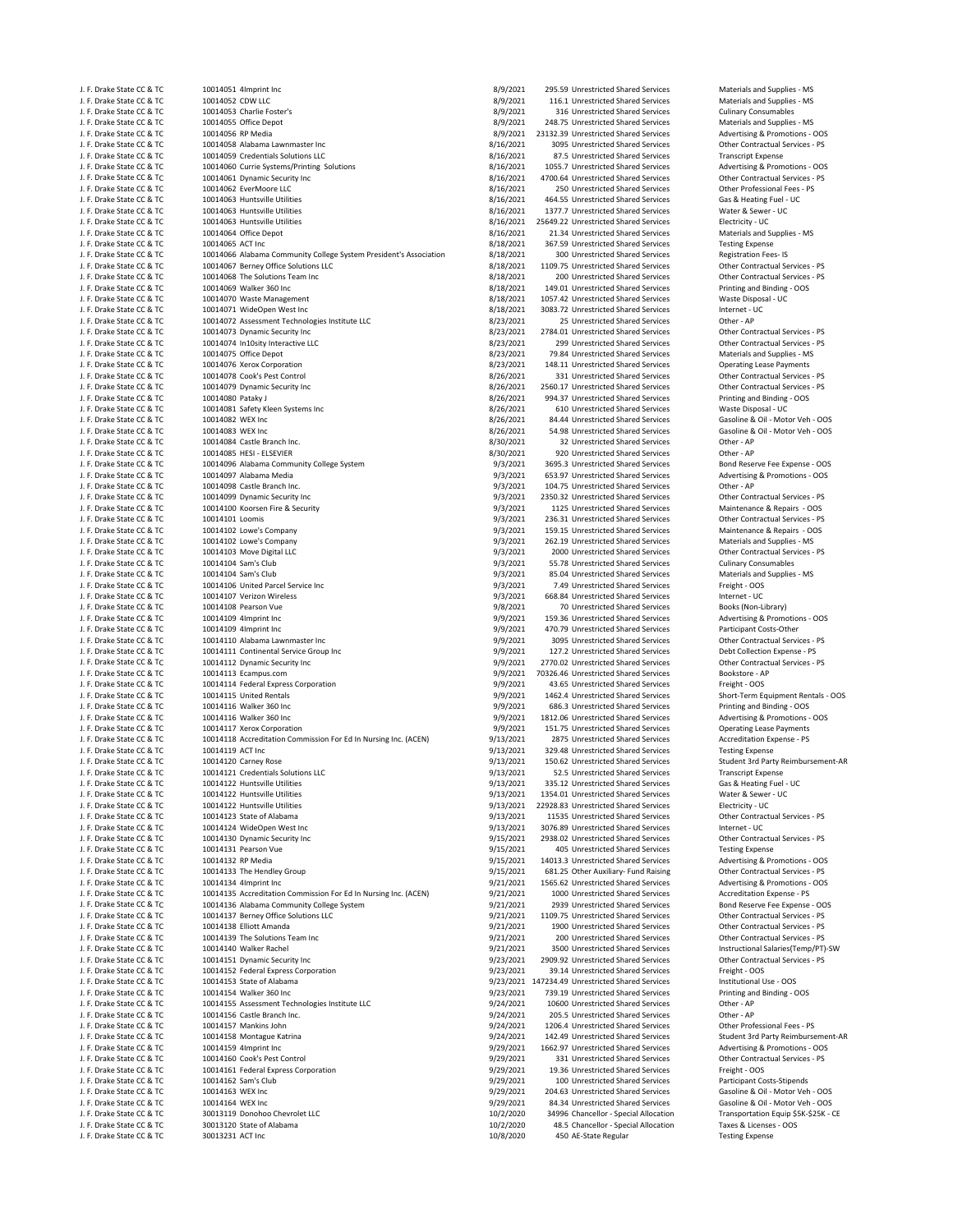| J. F. Drake State CC & TC                              | 10014051 4Imprint Inc                                             | 8/9/2021               | 295.59 Unrestricted Shared Services              | Materials and Supplies - MS                                        |
|--------------------------------------------------------|-------------------------------------------------------------------|------------------------|--------------------------------------------------|--------------------------------------------------------------------|
| J. F. Drake State CC & TC                              | 10014052 CDW LLC                                                  | 8/9/2021               | 116.1 Unrestricted Shared Services               | Materials and Supplies - MS                                        |
| J. F. Drake State CC & TC                              | 10014053 Charlie Foster's                                         | 8/9/2021               | 316 Unrestricted Shared Services                 | <b>Culinary Consumables</b>                                        |
| J. F. Drake State CC & TC                              | 10014055 Office Depot                                             | 8/9/2021               | 248.75 Unrestricted Shared Services              | Materials and Supplies - MS                                        |
| J. F. Drake State CC & TC                              | 10014056 RP Media                                                 | 8/9/2021               | 23132.39 Unrestricted Shared Services            | Advertising & Promotions - OOS                                     |
| J. F. Drake State CC & TC                              | 10014058 Alabama Lawnmaster Inc                                   | 8/16/2021              | 3095 Unrestricted Shared Services                | Other Contractual Services - PS                                    |
| J. F. Drake State CC & TC                              | 10014059 Credentials Solutions LLC                                | 8/16/2021              | 87.5 Unrestricted Shared Services                | <b>Transcript Expense</b>                                          |
| J. F. Drake State CC & TC                              | 10014060 Currie Systems/Printing Solutions                        | 8/16/2021              | 1055.7 Unrestricted Shared Services              | Advertising & Promotions - OOS                                     |
| J. F. Drake State CC & TC                              | 10014061 Dynamic Security Inc                                     | 8/16/2021              | 4700.64 Unrestricted Shared Services             | Other Contractual Services - PS                                    |
| J. F. Drake State CC & TC                              | 10014062 EverMoore LLC                                            | 8/16/2021              | 250 Unrestricted Shared Services                 | Other Professional Fees - PS                                       |
| J. F. Drake State CC & TC                              | 10014063 Huntsville Utilities                                     | 8/16/2021              | 464.55 Unrestricted Shared Services              | Gas & Heating Fuel - UC                                            |
| J. F. Drake State CC & TC                              | 10014063 Huntsville Utilities                                     | 8/16/2021              | 1377.7 Unrestricted Shared Services              | Water & Sewer - UC                                                 |
| J. F. Drake State CC & TC                              | 10014063 Huntsville Utilities                                     | 8/16/2021              | 25649.22 Unrestricted Shared Services            | Electricity - UC                                                   |
| J. F. Drake State CC & TC                              | 10014064 Office Depot                                             | 8/16/2021              | 21.34 Unrestricted Shared Services               | Materials and Supplies - MS                                        |
| J. F. Drake State CC & TC                              | 10014065 ACT Inc                                                  | 8/18/2021              | 367.59 Unrestricted Shared Services              | <b>Testing Expense</b>                                             |
| J. F. Drake State CC & TC                              | 10014066 Alabama Community College System President's Association | 8/18/2021              | 300 Unrestricted Shared Services                 | <b>Registration Fees-IS</b>                                        |
| J. F. Drake State CC & TC                              | 10014067 Berney Office Solutions LLC                              | 8/18/2021              | 1109.75 Unrestricted Shared Services             | Other Contractual Services - PS                                    |
| J. F. Drake State CC & TC                              | 10014068 The Solutions Team Inc                                   | 8/18/2021              | 200 Unrestricted Shared Services                 | Other Contractual Services - PS                                    |
| J. F. Drake State CC & TC                              | 10014069 Walker 360 Inc                                           | 8/18/2021              | 149.01 Unrestricted Shared Services              | Printing and Binding - OOS                                         |
| J. F. Drake State CC & TC                              | 10014070 Waste Management                                         | 8/18/2021              | 1057.42 Unrestricted Shared Services             | Waste Disposal - UC                                                |
| J. F. Drake State CC & TC                              | 10014071 WideOpen West Inc                                        | 8/18/2021              | 3083.72 Unrestricted Shared Services             | Internet - UC                                                      |
| J. F. Drake State CC & TC                              | 10014072 Assessment Technologies Institute LLC                    | 8/23/2021              | 25 Unrestricted Shared Services                  | Other - AP                                                         |
| J. F. Drake State CC & TC                              | 10014073 Dynamic Security Inc                                     | 8/23/2021              | 2784.01 Unrestricted Shared Services             | Other Contractual Services - PS                                    |
| J. F. Drake State CC & TC                              | 10014074 In10sity Interactive LLC                                 | 8/23/2021              | 299 Unrestricted Shared Services                 | Other Contractual Services - PS                                    |
|                                                        | 10014075 Office Depot                                             | 8/23/2021              | 79.84 Unrestricted Shared Services               | Materials and Supplies - MS                                        |
| J. F. Drake State CC & TC                              |                                                                   |                        |                                                  |                                                                    |
| J. F. Drake State CC & TC                              | 10014076 Xerox Corporation                                        | 8/23/2021              | 148.11 Unrestricted Shared Services              | <b>Operating Lease Payments</b>                                    |
| J. F. Drake State CC & TC<br>J. F. Drake State CC & TC | 10014078 Cook's Pest Control<br>10014079 Dynamic Security Inc     | 8/26/2021              | 331 Unrestricted Shared Services                 | Other Contractual Services - PS<br>Other Contractual Services - PS |
|                                                        |                                                                   | 8/26/2021<br>8/26/2021 | 2560.17 Unrestricted Shared Services             |                                                                    |
| J. F. Drake State CC & TC                              | 10014080 Pataky J                                                 |                        | 994.37 Unrestricted Shared Services              | Printing and Binding - OOS                                         |
| J. F. Drake State CC & TC                              | 10014081 Safety Kleen Systems Inc                                 | 8/26/2021              | 610 Unrestricted Shared Services                 | Waste Disposal - UC                                                |
| J. F. Drake State CC & TC                              | 10014082 WEX Inc                                                  | 8/26/2021              | 84.44 Unrestricted Shared Services               | Gasoline & Oil - Motor Veh - OOS                                   |
| J. F. Drake State CC & TC                              | 10014083 WEX Inc                                                  | 8/26/2021              | 54.98 Unrestricted Shared Services               | Gasoline & Oil - Motor Veh - OOS                                   |
| J. F. Drake State CC & TC                              | 10014084 Castle Branch Inc.                                       | 8/30/2021              | 32 Unrestricted Shared Services                  | Other - AP                                                         |
| J. F. Drake State CC & TC                              | 10014085 HESI - ELSEVIER                                          | 8/30/2021              | 920 Unrestricted Shared Services                 | Other - AP                                                         |
| J. F. Drake State CC & TC                              | 10014096 Alabama Community College System                         | 9/3/2021               | 3695.3 Unrestricted Shared Services              | Bond Reserve Fee Expense - OOS                                     |
| J. F. Drake State CC & TC                              | 10014097 Alabama Media                                            | 9/3/2021               | 653.97 Unrestricted Shared Services              | Advertising & Promotions - OOS                                     |
| J. F. Drake State CC & TC                              | 10014098 Castle Branch Inc.                                       | 9/3/2021               | 104.75 Unrestricted Shared Services              | Other - AP                                                         |
| J. F. Drake State CC & TC                              | 10014099 Dynamic Security Inc                                     | 9/3/2021               | 2350.32 Unrestricted Shared Services             | Other Contractual Services - PS                                    |
| J. F. Drake State CC & TC                              | 10014100 Koorsen Fire & Security                                  | 9/3/2021               | 1125 Unrestricted Shared Services                | Maintenance & Repairs - OOS                                        |
| J. F. Drake State CC & TC                              | 10014101 Loomis                                                   | 9/3/2021               | 236.31 Unrestricted Shared Services              | Other Contractual Services - PS                                    |
| J. F. Drake State CC & TC                              | 10014102 Lowe's Company                                           | 9/3/2021               | 159.15 Unrestricted Shared Services              | Maintenance & Repairs - OOS                                        |
| J. F. Drake State CC & TC                              | 10014102 Lowe's Company                                           | 9/3/2021               | 262.19 Unrestricted Shared Services              | Materials and Supplies - MS                                        |
| J. F. Drake State CC & TC                              | 10014103 Move Digital LLC                                         | 9/3/2021               | 2000 Unrestricted Shared Services                | Other Contractual Services - PS                                    |
| J. F. Drake State CC & TC                              | 10014104 Sam's Club                                               | 9/3/2021               | 55.78 Unrestricted Shared Services               | <b>Culinary Consumables</b>                                        |
| J. F. Drake State CC & TC                              | 10014104 Sam's Club                                               | 9/3/2021               | 85.04 Unrestricted Shared Services               | Materials and Supplies - MS                                        |
| J. F. Drake State CC & TC                              | 10014106 United Parcel Service Inc                                | 9/3/2021               | 7.49 Unrestricted Shared Services                | Freight - OOS                                                      |
| J. F. Drake State CC & TC                              | 10014107 Verizon Wireless                                         | 9/3/2021               | 668.84 Unrestricted Shared Services              | Internet - UC                                                      |
| J. F. Drake State CC & TC                              | 10014108 Pearson Vue                                              | 9/8/2021               | 70 Unrestricted Shared Services                  | Books (Non-Library)                                                |
| J. F. Drake State CC & TC                              | 10014109 4Imprint Inc                                             | 9/9/2021               | 159.36 Unrestricted Shared Services              | Advertising & Promotions - OOS                                     |
| J. F. Drake State CC & TC                              | 10014109 4Imprint Inc                                             | 9/9/2021               | 470.79 Unrestricted Shared Services              | Participant Costs-Other                                            |
| J. F. Drake State CC & TC                              | 10014110 Alabama Lawnmaster Inc                                   | 9/9/2021               | 3095 Unrestricted Shared Services                | Other Contractual Services - PS                                    |
| J. F. Drake State CC & TC                              | 10014111 Continental Service Group Inc                            | 9/9/2021               | 127.2 Unrestricted Shared Services               | Debt Collection Expense - PS                                       |
| J. F. Drake State CC & TC                              | 10014112 Dynamic Security Inc                                     | 9/9/2021               | 2770.02 Unrestricted Shared Services             | Other Contractual Services - PS                                    |
| J. F. Drake State CC & TC                              | 10014113 Ecampus.com                                              | 9/9/2021               | 70326.46 Unrestricted Shared Services            | Bookstore - AP                                                     |
| J. F. Drake State CC & TC                              | 10014114 Federal Express Corporation                              | 9/9/2021               | 43.65 Unrestricted Shared Services               | Freight - OOS                                                      |
| J. F. Drake State CC & TC                              | 10014115 United Rentals                                           | 9/9/2021               | 1462.4 Unrestricted Shared Services              | Short-Term Equipment Rentals - OOS                                 |
| J. F. Drake State CC & TC                              | 10014116 Walker 360 Inc                                           | 9/9/2021               | 686.3 Unrestricted Shared Services               | Printing and Binding - OOS                                         |
| J. F. Drake State CC & TC                              | 10014116 Walker 360 Inc                                           | 9/9/2021               | 1812.06 Unrestricted Shared Services             | Advertising & Promotions - OOS                                     |
| J. F. Drake State CC & TC                              | 10014117 Xerox Corporation                                        | 9/9/2021               | 151.75 Unrestricted Shared Services              | <b>Operating Lease Payments</b>                                    |
| J. F. Drake State CC & TC                              | 10014118 Accreditation Commission For Ed In Nursing Inc. (ACEN)   | 9/13/2021              | 2875 Unrestricted Shared Services                | Accreditation Expense - PS                                         |
| J. F. Drake State CC & TC                              | 10014119 ACT Inc                                                  | 9/13/2021              | 329.48 Unrestricted Shared Services              | <b>Testing Expense</b>                                             |
| J. F. Drake State CC & TC                              | 10014120 Carney Rose                                              | 9/13/2021              | 150.62 Unrestricted Shared Services              | Student 3rd Party Reimbursement-AF                                 |
| J. F. Drake State CC & TC                              | 10014121 Credentials Solutions LLC                                | 9/13/2021              | 52.5 Unrestricted Shared Services                | <b>Transcript Expense</b>                                          |
| J. F. Drake State CC & TC                              | 10014122 Huntsville Utilities                                     | 9/13/2021              | 335.12 Unrestricted Shared Services              | Gas & Heating Fuel - UC                                            |
| J. F. Drake State CC & TC                              | 10014122 Huntsville Utilities                                     | 9/13/2021              | 1354.01 Unrestricted Shared Services             | Water & Sewer - UC                                                 |
| J. F. Drake State CC & TC                              | 10014122 Huntsville Utilities                                     | 9/13/2021              | 22928.83 Unrestricted Shared Services            | Electricity - UC                                                   |
| J. F. Drake State CC & TC                              | 10014123 State of Alabama                                         | 9/13/2021              | 11535 Unrestricted Shared Services               | Other Contractual Services - PS                                    |
| J. F. Drake State CC & TC                              | 10014124 WideOpen West Inc                                        | 9/13/2021              | 3076.89 Unrestricted Shared Services             | Internet - UC                                                      |
| J. F. Drake State CC & TC                              | 10014130 Dynamic Security Inc                                     | 9/15/2021              | 2938.02 Unrestricted Shared Services             | Other Contractual Services - PS                                    |
| J. F. Drake State CC & TC                              | 10014131 Pearson Vue                                              | 9/15/2021              | 405 Unrestricted Shared Services                 | <b>Testing Expense</b>                                             |
| J. F. Drake State CC & TC                              | 10014132 RP Media                                                 | 9/15/2021              | 14013.3 Unrestricted Shared Services             | Advertising & Promotions - OOS                                     |
| J. F. Drake State CC & TC                              | 10014133 The Hendley Group                                        | 9/15/2021              | 681.25 Other Auxiliary- Fund Raising             | Other Contractual Services - PS                                    |
| J. F. Drake State CC & TC                              | 10014134 4Imprint Inc                                             | 9/21/2021              | 1565.62 Unrestricted Shared Services             | Advertising & Promotions - OOS                                     |
| J. F. Drake State CC & TC                              | 10014135 Accreditation Commission For Ed In Nursing Inc. (ACEN)   | 9/21/2021              | 1000 Unrestricted Shared Services                | Accreditation Expense - PS                                         |
| J. F. Drake State CC & TC                              | 10014136 Alabama Community College System                         | 9/21/2021              | 2939 Unrestricted Shared Services                | Bond Reserve Fee Expense - OOS                                     |
| J. F. Drake State CC & TC                              | 10014137 Berney Office Solutions LLC                              | 9/21/2021              | 1109.75 Unrestricted Shared Services             | Other Contractual Services - PS                                    |
| J. F. Drake State CC & TC                              | 10014138 Elliott Amanda                                           | 9/21/2021              | 1900 Unrestricted Shared Services                | Other Contractual Services - PS                                    |
| J. F. Drake State CC & TC                              | 10014139 The Solutions Team Inc                                   | 9/21/2021              | 200 Unrestricted Shared Services                 | Other Contractual Services - PS                                    |
| J. F. Drake State CC & TC                              | 10014140 Walker Rachel                                            | 9/21/2021              | 3500 Unrestricted Shared Services                | Instructional Salaries(Temp/PT)-SW                                 |
| J. F. Drake State CC & TC                              | 10014151 Dynamic Security Inc                                     | 9/23/2021              | 2909.92 Unrestricted Shared Services             | Other Contractual Services - PS                                    |
| J. F. Drake State CC & TC                              | 10014152 Federal Express Corporation                              | 9/23/2021              | 39.14 Unrestricted Shared Services               | Freight - OOS                                                      |
| J. F. Drake State CC & TC                              | 10014153 State of Alabama                                         |                        | 9/23/2021 147234.49 Unrestricted Shared Services | Institutional Use - OOS                                            |
| J. F. Drake State CC & TC                              | 10014154 Walker 360 Inc                                           | 9/23/2021              | 739.19 Unrestricted Shared Services              | Printing and Binding - OOS                                         |
| J. F. Drake State CC & TC                              | 10014155 Assessment Technologies Institute LLC                    | 9/24/2021              | 10600 Unrestricted Shared Services               | Other - AP                                                         |
| J. F. Drake State CC & TC                              | 10014156 Castle Branch Inc.                                       | 9/24/2021              | 205.5 Unrestricted Shared Services               | Other - AP                                                         |
| J. F. Drake State CC & TC                              | 10014157 Mankins John                                             | 9/24/2021              | 1206.4 Unrestricted Shared Services              | Other Professional Fees - PS                                       |
| J. F. Drake State CC & TC                              | 10014158 Montague Katrina                                         | 9/24/2021              | 142.49 Unrestricted Shared Services              | Student 3rd Party Reimbursement-AF                                 |
| J. F. Drake State CC & TC                              | 10014159 4Imprint Inc                                             | 9/29/2021              | 1662.97 Unrestricted Shared Services             | Advertising & Promotions - OOS                                     |
| J. F. Drake State CC & TC                              | 10014160 Cook's Pest Control                                      | 9/29/2021              | 331 Unrestricted Shared Services                 | Other Contractual Services - PS                                    |
| J. F. Drake State CC & TC                              | 10014161 Federal Express Corporation                              | 9/29/2021              | 19.36 Unrestricted Shared Services               | Freight - OOS                                                      |
|                                                        |                                                                   |                        |                                                  |                                                                    |
| J. F. Drake State CC & TC                              | 10014162 Sam's Club                                               | 9/29/2021              | 100 Unrestricted Shared Services                 | Participant Costs-Stipends                                         |
| J. F. Drake State CC & TC                              | 10014163 WEX Inc                                                  | 9/29/2021              | 204.63 Unrestricted Shared Services              | Gasoline & Oil - Motor Veh - OOS                                   |
| J. F. Drake State CC & TC                              | 10014164 WEX Inc                                                  | 9/29/2021              | 84.34 Unrestricted Shared Services               | Gasoline & Oil - Motor Veh - OOS                                   |
| J. F. Drake State CC & TC                              | 30013119 Donohoo Chevrolet LLC                                    | 10/2/2020              | 34996 Chancellor - Special Allocation            | Transportation Equip \$5K-\$25K - CE                               |
| J. F. Drake State CC & TC                              | 30013120 State of Alabama                                         | 10/2/2020              | 48.5 Chancellor - Special Allocation             | Taxes & Licenses - OOS                                             |
| J. F. Drake State CC & TC                              | 30013231 ACT Inc                                                  | 10/8/2020              | 450 AE-State Regular                             | <b>Testing Expense</b>                                             |
|                                                        |                                                                   |                        |                                                  |                                                                    |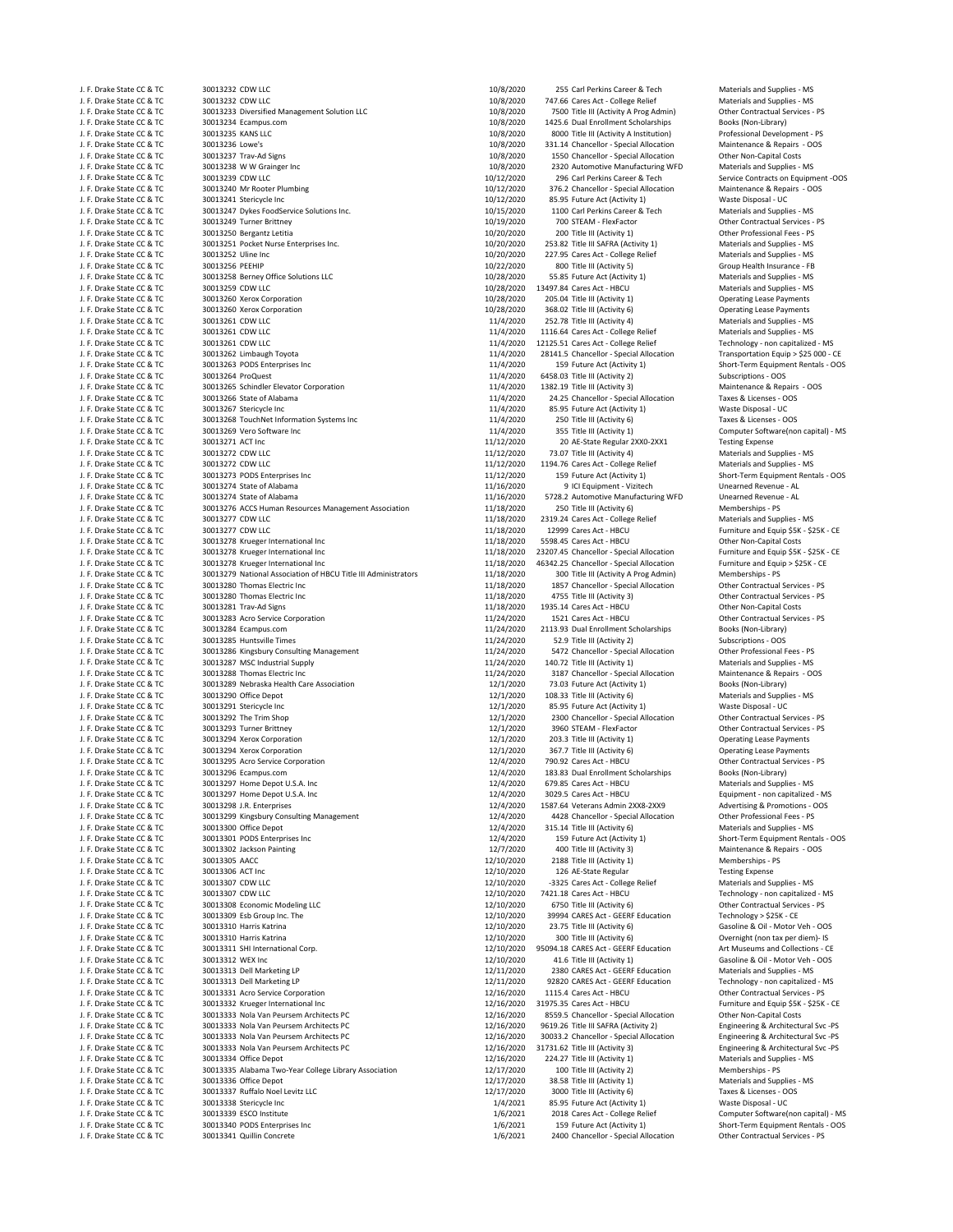| J. F. Drake State CC & TC | 30013232 CDW LLC                                               | 10/8/2020  | 255 Carl Perkins Career & Tech           | Materials and Supplies - MS      |
|---------------------------|----------------------------------------------------------------|------------|------------------------------------------|----------------------------------|
| J. F. Drake State CC & TC | 30013232 CDW LLC                                               | 10/8/2020  | 747.66 Cares Act - College Relief        | Materials and Supplies - MS      |
| J. F. Drake State CC & TC | 30013233 Diversified Management Solution LLC                   | 10/8/2020  | 7500 Title III (Activity A Prog Admin)   | Other Contractual Services - PS  |
| J. F. Drake State CC & TC | 30013234 Ecampus.com                                           | 10/8/2020  | 1425.6 Dual Enrollment Scholarships      | Books (Non-Library)              |
| J. F. Drake State CC & TC | 30013235 KANS LLC                                              | 10/8/2020  | 8000 Title III (Activity A Institution)  | Professional Development - PS    |
| J. F. Drake State CC & TC | 30013236 Lowe's                                                | 10/8/2020  | 331.14 Chancellor - Special Allocation   | Maintenance & Repairs - OOS      |
| J. F. Drake State CC & TC | 30013237 Trav-Ad Signs                                         | 10/8/2020  | 1550 Chancellor - Special Allocation     | Other Non-Capital Costs          |
| J. F. Drake State CC & TC | 30013238 W W Grainger Inc                                      | 10/8/2020  | 2320 Automotive Manufacturing WFD        | Materials and Supplies - MS      |
| J. F. Drake State CC & TC | 30013239 CDW LLC                                               | 10/12/2020 | 296 Carl Perkins Career & Tech           | Service Contracts on Equipmer    |
| J. F. Drake State CC & TC | 30013240 Mr Rooter Plumbing                                    | 10/12/2020 | 376.2 Chancellor - Special Allocation    | Maintenance & Repairs - OOS      |
|                           |                                                                |            |                                          |                                  |
| J. F. Drake State CC & TC | 30013241 Stericycle Inc                                        | 10/12/2020 | 85.95 Future Act (Activity 1)            | Waste Disposal - UC              |
| J. F. Drake State CC & TC | 30013247 Dykes FoodService Solutions Inc.                      | 10/15/2020 | 1100 Carl Perkins Career & Tech          | Materials and Supplies - MS      |
| J. F. Drake State CC & TC | 30013249 Turner Brittney                                       | 10/19/2020 | 700 STEAM - FlexFactor                   | Other Contractual Services - PS  |
| J. F. Drake State CC & TC | 30013250 Bergantz Letitia                                      | 10/20/2020 | 200 Title III (Activity 1)               | Other Professional Fees - PS     |
| J. F. Drake State CC & TC | 30013251 Pocket Nurse Enterprises Inc.                         | 10/20/2020 | 253.82 Title III SAFRA (Activity 1)      | Materials and Supplies - MS      |
| J. F. Drake State CC & TC | 30013252 Uline Inc                                             | 10/20/2020 | 227.95 Cares Act - College Relief        | Materials and Supplies - MS      |
| J. F. Drake State CC & TC | 30013256 PEEHIP                                                | 10/22/2020 | 800 Title III (Activity 5)               | Group Health Insurance - FB      |
| J. F. Drake State CC & TC | 30013258 Berney Office Solutions LLC                           | 10/28/2020 | 55.85 Future Act (Activity 1)            | Materials and Supplies - MS      |
| J. F. Drake State CC & TC | 30013259 CDW LLC                                               | 10/28/2020 | 13497.84 Cares Act - HBCU                |                                  |
|                           |                                                                |            |                                          | Materials and Supplies - MS      |
| J. F. Drake State CC & TC | 30013260 Xerox Corporation                                     | 10/28/2020 | 205.04 Title III (Activity 1)            | <b>Operating Lease Payments</b>  |
| J. F. Drake State CC & TC | 30013260 Xerox Corporation                                     | 10/28/2020 | 368.02 Title III (Activity 6)            | <b>Operating Lease Payments</b>  |
| J. F. Drake State CC & TC | 30013261 CDW LLC                                               | 11/4/2020  | 252.78 Title III (Activity 4)            | Materials and Supplies - MS      |
| J. F. Drake State CC & TC | 30013261 CDW LLC                                               | 11/4/2020  | 1116.64 Cares Act - College Relief       | Materials and Supplies - MS      |
| J. F. Drake State CC & TC | 30013261 CDW LLC                                               | 11/4/2020  | 12125.51 Cares Act - College Relief      | Technology - non capitalized - I |
| J. F. Drake State CC & TC | 30013262 Limbaugh Toyota                                       | 11/4/2020  | 28141.5 Chancellor - Special Allocation  | Transportation Equip > \$25 00   |
| J. F. Drake State CC & TC | 30013263 PODS Enterprises Inc                                  | 11/4/2020  | 159 Future Act (Activity 1)              | Short-Term Equipment Rentals     |
| J. F. Drake State CC & TC | 30013264 ProQuest                                              | 11/4/2020  | 6458.03 Title III (Activity 2)           | Subscriptions - OOS              |
|                           |                                                                |            |                                          |                                  |
| J. F. Drake State CC & TC | 30013265 Schindler Elevator Corporation                        | 11/4/2020  | 1382.19 Title III (Activity 3)           | Maintenance & Repairs - OOS      |
| J. F. Drake State CC & TC | 30013266 State of Alabama                                      | 11/4/2020  | 24.25 Chancellor - Special Allocation    | Taxes & Licenses - OOS           |
| J. F. Drake State CC & TC | 30013267 Stericycle Inc                                        | 11/4/2020  | 85.95 Future Act (Activity 1)            | Waste Disposal - UC              |
| J. F. Drake State CC & TC | 30013268 TouchNet Information Systems Inc                      | 11/4/2020  | 250 Title III (Activity 6)               | Taxes & Licenses - OOS           |
| J. F. Drake State CC & TC | 30013269 Vero Software Inc                                     | 11/4/2020  | 355 Title III (Activity 1)               | Computer Software(non capita     |
| J. F. Drake State CC & TC | 30013271 ACT Inc                                               | 11/12/2020 | 20 AE-State Regular 2XX0-2XX1            | <b>Testing Expense</b>           |
| J. F. Drake State CC & TC | 30013272 CDW LLC                                               | 11/12/2020 | 73.07 Title III (Activity 4)             | Materials and Supplies - MS      |
|                           |                                                                |            |                                          | Materials and Supplies - MS      |
| J. F. Drake State CC & TC | 30013272 CDW LLC                                               | 11/12/2020 | 1194.76 Cares Act - College Relief       |                                  |
| J. F. Drake State CC & TC | 30013273 PODS Enterprises Inc                                  | 11/12/2020 | 159 Future Act (Activity 1)              | Short-Term Equipment Rentals     |
| J. F. Drake State CC & TC | 30013274 State of Alabama                                      | 11/16/2020 | 9 ICI Equipment - Vizitech               | Unearned Revenue - AL            |
| J. F. Drake State CC & TC | 30013274 State of Alabama                                      | 11/16/2020 | 5728.2 Automotive Manufacturing WFD      | Unearned Revenue - AL            |
| J. F. Drake State CC & TC | 30013276 ACCS Human Resources Management Association           | 11/18/2020 | 250 Title III (Activity 6)               | Memberships - PS                 |
| J. F. Drake State CC & TC | 30013277 CDW LLC                                               | 11/18/2020 | 2319.24 Cares Act - College Relief       | Materials and Supplies - MS      |
| J. F. Drake State CC & TC | 30013277 CDW LLC                                               | 11/18/2020 | 12999 Cares Act - HBCU                   | Furniture and Equip \$5K - \$25K |
| J. F. Drake State CC & TC | 30013278 Krueger International Inc                             | 11/18/2020 | 5598.45 Cares Act - HBCU                 | Other Non-Capital Costs          |
|                           |                                                                |            |                                          |                                  |
| J. F. Drake State CC & TC | 30013278 Krueger International Inc                             | 11/18/2020 | 23207.45 Chancellor - Special Allocation | Furniture and Equip \$5K - \$25K |
| J. F. Drake State CC & TC | 30013278 Krueger International Inc                             | 11/18/2020 | 46342.25 Chancellor - Special Allocation | Furniture and Equip > \$25K - C  |
| J. F. Drake State CC & TC | 30013279 National Association of HBCU Title III Administrators | 11/18/2020 | 300 Title III (Activity A Prog Admin)    | Memberships - PS                 |
| J. F. Drake State CC & TC | 30013280 Thomas Electric Inc                                   | 11/18/2020 | 1857 Chancellor - Special Allocation     | Other Contractual Services - PS  |
| J. F. Drake State CC & TC | 30013280 Thomas Electric Inc                                   | 11/18/2020 | 4755 Title III (Activity 3)              | Other Contractual Services - PS  |
| J. F. Drake State CC & TC | 30013281 Trav-Ad Signs                                         | 11/18/2020 | 1935.14 Cares Act - HBCU                 | Other Non-Capital Costs          |
| J. F. Drake State CC & TC | 30013283 Acro Service Corporation                              | 11/24/2020 | 1521 Cares Act - HBCU                    | Other Contractual Services - PS  |
|                           |                                                                |            |                                          |                                  |
| J. F. Drake State CC & TC | 30013284 Ecampus.com                                           | 11/24/2020 | 2113.93 Dual Enrollment Scholarships     | Books (Non-Library)              |
| J. F. Drake State CC & TC | 30013285 Huntsville Times                                      | 11/24/2020 | 52.9 Title III (Activity 2)              | Subscriptions - OOS              |
| J. F. Drake State CC & TC | 30013286 Kingsbury Consulting Management                       | 11/24/2020 | 5472 Chancellor - Special Allocation     | Other Professional Fees - PS     |
| J. F. Drake State CC & TC | 30013287 MSC Industrial Supply                                 | 11/24/2020 | 140.72 Title III (Activity 1)            | Materials and Supplies - MS      |
| J. F. Drake State CC & TC | 30013288 Thomas Electric Inc                                   | 11/24/2020 | 3187 Chancellor - Special Allocation     | Maintenance & Repairs - OOS      |
| J. F. Drake State CC & TC | 30013289 Nebraska Health Care Association                      | 12/1/2020  | 73.03 Future Act (Activity 1)            | Books (Non-Library)              |
| J. F. Drake State CC & TC | 30013290 Office Depot                                          | 12/1/2020  | 108.33 Title III (Activity 6)            | Materials and Supplies - MS      |
| J. F. Drake State CC & TC | 30013291 Stericycle Inc                                        | 12/1/2020  | 85.95 Future Act (Activity 1)            | Waste Disposal - UC              |
|                           |                                                                |            |                                          |                                  |
| J. F. Drake State CC & TC | 30013292 The Trim Shop                                         | 12/1/2020  | 2300 Chancellor - Special Allocation     | Other Contractual Services - PS  |
| J. F. Drake State CC & TC | 30013293 Turner Brittney                                       | 12/1/2020  | 3960 STEAM - FlexFactor                  | Other Contractual Services - PS  |
| J. F. Drake State CC & TC | 30013294 Xerox Corporation                                     | 12/1/2020  | 203.3 Title III (Activity 1)             | <b>Operating Lease Payments</b>  |
| J. F. Drake State CC & TC | 30013294 Xerox Corporation                                     | 12/1/2020  | 367.7 Title III (Activity 6)             | <b>Operating Lease Payments</b>  |
| J. F. Drake State CC & TC | 30013295 Acro Service Corporation                              | 12/4/2020  | 790.92 Cares Act - HBCU                  | Other Contractual Services - PS  |
| J. F. Drake State CC & TC | 30013296 Ecampus.com                                           | 12/4/2020  | 183.83 Dual Enrollment Scholarships      | Books (Non-Library)              |
| J. F. Drake State CC & TC | 30013297 Home Depot U.S.A. Inc                                 | 12/4/2020  | 679.85 Cares Act - HBCU                  | Materials and Supplies - MS      |
| J. F. Drake State CC & TC | 30013297 Home Depot U.S.A. Inc                                 | 12/4/2020  | 3029.5 Cares Act - HBCU                  | Equipment - non capitalized - M  |
|                           | 30013298 J.R. Enterprises                                      |            |                                          | Advertising & Promotions - OO    |
| J. F. Drake State CC & TC |                                                                | 12/4/2020  | 1587.64 Veterans Admin 2XX8-2XX9         |                                  |
| J. F. Drake State CC & TC | 30013299 Kingsbury Consulting Management                       | 12/4/2020  | 4428 Chancellor - Special Allocation     | Other Professional Fees - PS     |
| J. F. Drake State CC & TC | 30013300 Office Depot                                          | 12/4/2020  | 315.14 Title III (Activity 6)            | Materials and Supplies - MS      |
| J. F. Drake State CC & TC | 30013301 PODS Enterprises Inc                                  | 12/4/2020  | 159 Future Act (Activity 1)              | Short-Term Equipment Rentals     |
| J. F. Drake State CC & TC | 30013302 Jackson Painting                                      | 12/7/2020  | 400 Title III (Activity 3)               | Maintenance & Repairs - OOS      |
| J. F. Drake State CC & TC | 30013305 AACC                                                  | 12/10/2020 | 2188 Title III (Activity 1)              | Memberships - PS                 |
| J. F. Drake State CC & TC | 30013306 ACT Inc                                               | 12/10/2020 | 126 AE-State Regular                     | <b>Testing Expense</b>           |
| J. F. Drake State CC & TC | 30013307 CDW LLC                                               | 12/10/2020 | -3325 Cares Act - College Relief         | Materials and Supplies - MS      |
| J. F. Drake State CC & TC | 30013307 CDW LLC                                               | 12/10/2020 | 7421.18 Cares Act - HBCU                 | Technology - non capitalized - I |
|                           |                                                                |            |                                          |                                  |
| J. F. Drake State CC & TC | 30013308 Economic Modeling LLC                                 | 12/10/2020 | 6750 Title III (Activity 6)              | Other Contractual Services - PS  |
| J. F. Drake State CC & TC | 30013309 Esb Group Inc. The                                    | 12/10/2020 | 39994 CARES Act - GEERF Education        | Technology > \$25K - CE          |
| J. F. Drake State CC & TC | 30013310 Harris Katrina                                        | 12/10/2020 | 23.75 Title III (Activity 6)             | Gasoline & Oil - Motor Veh - O   |
| J. F. Drake State CC & TC | 30013310 Harris Katrina                                        | 12/10/2020 | 300 Title III (Activity 6)               | Overnight (non tax per diem)-    |
| J. F. Drake State CC & TC | 30013311 SHI International Corp.                               | 12/10/2020 | 95094.18 CARES Act - GEERF Education     | Art Museums and Collections -    |
| J. F. Drake State CC & TC | 30013312 WEX Inc                                               | 12/10/2020 | 41.6 Title III (Activity 1)              | Gasoline & Oil - Motor Veh - O   |
| J. F. Drake State CC & TC | 30013313 Dell Marketing LP                                     | 12/11/2020 | 2380 CARES Act - GEERF Education         | Materials and Supplies - MS      |
| J. F. Drake State CC & TC | 30013313 Dell Marketing LP                                     | 12/11/2020 | 92820 CARES Act - GEERF Education        | Technology - non capitalized - I |
|                           | 30013331 Acro Service Corporation                              | 12/16/2020 | 1115.4 Cares Act - HBCU                  | Other Contractual Services - PS  |
| J. F. Drake State CC & TC |                                                                |            |                                          |                                  |
| J. F. Drake State CC & TC | 30013332 Krueger International Inc                             | 12/16/2020 | 31975.35 Cares Act - HBCU                | Furniture and Equip \$5K - \$25K |
| J. F. Drake State CC & TC | 30013333 Nola Van Peursem Architects PC                        | 12/16/2020 | 8559.5 Chancellor - Special Allocation   | Other Non-Capital Costs          |
| J. F. Drake State CC & TC | 30013333 Nola Van Peursem Architects PC                        | 12/16/2020 | 9619.26 Title III SAFRA (Activity 2)     | Engineering & Architectural Sv   |
| J. F. Drake State CC & TC | 30013333 Nola Van Peursem Architects PC                        | 12/16/2020 | 30033.2 Chancellor - Special Allocation  | Engineering & Architectural Sv   |
| J. F. Drake State CC & TC | 30013333 Nola Van Peursem Architects PC                        | 12/16/2020 | 31731.62 Title III (Activity 3)          | Engineering & Architectural Sv   |
| J. F. Drake State CC & TC | 30013334 Office Depot                                          | 12/16/2020 | 224.27 Title III (Activity 1)            | Materials and Supplies - MS      |
| J. F. Drake State CC & TC | 30013335 Alabama Two-Year College Library Association          | 12/17/2020 | 100 Title III (Activity 2)               | Memberships - PS                 |
|                           |                                                                |            |                                          |                                  |
| J. F. Drake State CC & TC | 30013336 Office Depot                                          | 12/17/2020 | 38.58 Title III (Activity 1)             | Materials and Supplies - MS      |
| J. F. Drake State CC & TC | 30013337 Ruffalo Noel Levitz LLC                               | 12/17/2020 | 3000 Title III (Activity 6)              | Taxes & Licenses - OOS           |
| J. F. Drake State CC & TC | 30013338 Stericycle Inc                                        | 1/4/2021   | 85.95 Future Act (Activity 1)            | Waste Disposal - UC              |
| J. F. Drake State CC & TC | 30013339 ESCO Institute                                        | 1/6/2021   | 2018 Cares Act - College Relief          | Computer Software(non capita     |
| J. F. Drake State CC & TC | 30013340 PODS Enterprises Inc                                  | 1/6/2021   | 159 Future Act (Activity 1)              | Short-Term Equipment Rentals     |
| J. F. Drake State CC & TC | 30013341 Quillin Concrete                                      | 1/6/2021   | 2400 Chancellor - Special Allocation     | Other Contractual Services - PS  |
|                           |                                                                |            |                                          |                                  |

Materials and Supplies - MS Materials and Supplies - MS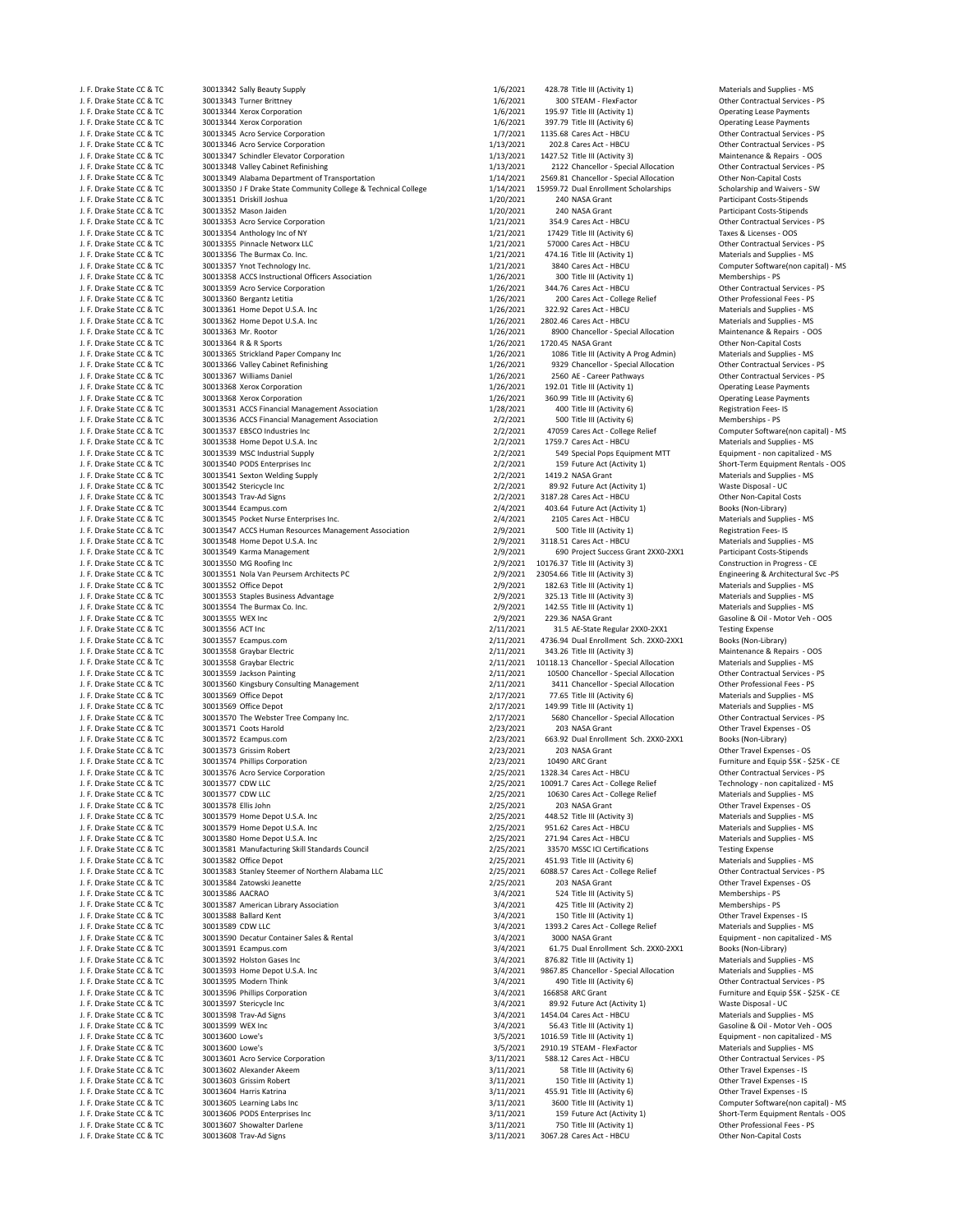| J. F. Drake State CC & TC                              | 30013342 Sally Beauty Supply                                                                                    | 1/6/2021               | 428.78 Title III (Activity 1)                                                   | Materials and Supplies - MS                                        |
|--------------------------------------------------------|-----------------------------------------------------------------------------------------------------------------|------------------------|---------------------------------------------------------------------------------|--------------------------------------------------------------------|
| J. F. Drake State CC & TC<br>J. F. Drake State CC & TC | 30013343 Turner Brittney<br>30013344 Xerox Corporation                                                          | 1/6/2021<br>1/6/2021   | 300 STEAM - FlexFactor<br>195.97 Title III (Activity 1)                         | Other Contractual Services - PS<br><b>Operating Lease Payments</b> |
| J. F. Drake State CC & TC                              | 30013344 Xerox Corporation                                                                                      | 1/6/2021               | 397.79 Title III (Activity 6)                                                   | <b>Operating Lease Payments</b>                                    |
| J. F. Drake State CC & TC                              | 30013345 Acro Service Corporation                                                                               | 1/7/2021               | 1135.68 Cares Act - HBCU                                                        | Other Contractual Services - PS                                    |
| J. F. Drake State CC & TC                              | 30013346 Acro Service Corporation                                                                               | 1/13/2021              | 202.8 Cares Act - HBCU                                                          | Other Contractual Services - PS                                    |
| J. F. Drake State CC & TC                              | 30013347 Schindler Elevator Corporation                                                                         | 1/13/2021              | 1427.52 Title III (Activity 3)                                                  | Maintenance & Repairs - OOS                                        |
| J. F. Drake State CC & TC                              | 30013348 Valley Cabinet Refinishing                                                                             | 1/13/2021<br>1/14/2021 | 2122 Chancellor - Special Allocation<br>2569.81 Chancellor - Special Allocation | Other Contractual Services - PS                                    |
| J. F. Drake State CC & TC<br>J. F. Drake State CC & TC | 30013349 Alabama Department of Transportation<br>30013350 J F Drake State Community College & Technical College | 1/14/2021              | 15959.72 Dual Enrollment Scholarships                                           | Other Non-Capital Costs<br>Scholarship and Waivers - SW            |
| J. F. Drake State CC & TC                              | 30013351 Driskill Joshua                                                                                        | 1/20/2021              | 240 NASA Grant                                                                  | <b>Participant Costs-Stipends</b>                                  |
| J. F. Drake State CC & TC                              | 30013352 Mason Jaiden                                                                                           | 1/20/2021              | 240 NASA Grant                                                                  | Participant Costs-Stipends                                         |
| J. F. Drake State CC & TC                              | 30013353 Acro Service Corporation                                                                               | 1/21/2021              | 354.9 Cares Act - HBCU                                                          | Other Contractual Services - PS                                    |
| J. F. Drake State CC & TC                              | 30013354 Anthology Inc of NY                                                                                    | 1/21/2021              | 17429 Title III (Activity 6)                                                    | Taxes & Licenses - OOS                                             |
| J. F. Drake State CC & TC                              | 30013355 Pinnacle Networx LLC                                                                                   | 1/21/2021              | 57000 Cares Act - HBCU                                                          | Other Contractual Services - PS                                    |
| J. F. Drake State CC & TC<br>J. F. Drake State CC & TC | 30013356 The Burmax Co. Inc.<br>30013357 Ynot Technology Inc.                                                   | 1/21/2021<br>1/21/2021 | 474.16 Title III (Activity 1)<br>3840 Cares Act - HBCU                          | Materials and Supplies - MS<br>Computer Software(non capital) - MS |
| J. F. Drake State CC & TC                              | 30013358 ACCS Instructional Officers Association                                                                | 1/26/2021              | 300 Title III (Activity 1)                                                      | Memberships - PS                                                   |
| J. F. Drake State CC & TC                              | 30013359 Acro Service Corporation                                                                               | 1/26/2021              | 344.76 Cares Act - HBCU                                                         | Other Contractual Services - PS                                    |
| J. F. Drake State CC & TC                              | 30013360 Bergantz Letitia                                                                                       | 1/26/2021              | 200 Cares Act - College Relief                                                  | Other Professional Fees - PS                                       |
| J. F. Drake State CC & TC                              | 30013361 Home Depot U.S.A. Inc                                                                                  | 1/26/2021              | 322.92 Cares Act - HBCU                                                         | Materials and Supplies - MS                                        |
| J. F. Drake State CC & TC                              | 30013362 Home Depot U.S.A. Inc                                                                                  | 1/26/2021              | 2802.46 Cares Act - HBCU                                                        | Materials and Supplies - MS                                        |
| J. F. Drake State CC & TC                              | 30013363 Mr. Rootor                                                                                             | 1/26/2021              | 8900 Chancellor - Special Allocation                                            | Maintenance & Repairs - OOS                                        |
| J. F. Drake State CC & TC<br>J. F. Drake State CC & TC | 30013364 R & R Sports<br>30013365 Strickland Paper Company Inc                                                  | 1/26/2021<br>1/26/2021 | 1720.45 NASA Grant<br>1086 Title III (Activity A Prog Admin)                    | Other Non-Capital Costs<br>Materials and Supplies - MS             |
| J. F. Drake State CC & TC                              | 30013366 Valley Cabinet Refinishing                                                                             | 1/26/2021              | 9329 Chancellor - Special Allocation                                            | Other Contractual Services - PS                                    |
| J. F. Drake State CC & TC                              | 30013367 Williams Daniel                                                                                        | 1/26/2021              | 2560 AE - Career Pathways                                                       | Other Contractual Services - PS                                    |
| J. F. Drake State CC & TC                              | 30013368 Xerox Corporation                                                                                      | 1/26/2021              | 192.01 Title III (Activity 1)                                                   | <b>Operating Lease Payments</b>                                    |
| J. F. Drake State CC & TC                              | 30013368 Xerox Corporation                                                                                      | 1/26/2021              | 360.99 Title III (Activity 6)                                                   | <b>Operating Lease Payments</b>                                    |
| J. F. Drake State CC & TC                              | 30013531 ACCS Financial Management Association                                                                  | 1/28/2021              | 400 Title III (Activity 6)                                                      | Registration Fees-IS                                               |
| J. F. Drake State CC & TC                              | 30013536 ACCS Financial Management Association                                                                  | 2/2/2021               | 500 Title III (Activity 6)                                                      | Memberships - PS                                                   |
| J. F. Drake State CC & TC<br>J. F. Drake State CC & TC | 30013537 EBSCO Industries Inc<br>30013538 Home Depot U.S.A. Inc                                                 | 2/2/2021<br>2/2/2021   | 47059 Cares Act - College Relief<br>1759.7 Cares Act - HBCU                     | Computer Software(non capital) - MS<br>Materials and Supplies - MS |
| J. F. Drake State CC & TC                              | 30013539 MSC Industrial Supply                                                                                  | 2/2/2021               | 549 Special Pops Equipment MTT                                                  | Equipment - non capitalized - MS                                   |
| J. F. Drake State CC & TC                              | 30013540 PODS Enterprises Inc                                                                                   | 2/2/2021               | 159 Future Act (Activity 1)                                                     | Short-Term Equipment Rentals - OOS                                 |
| J. F. Drake State CC & TC                              | 30013541 Sexton Welding Supply                                                                                  | 2/2/2021               | 1419.2 NASA Grant                                                               | Materials and Supplies - MS                                        |
| J. F. Drake State CC & TC                              | 30013542 Stericycle Inc                                                                                         | 2/2/2021               | 89.92 Future Act (Activity 1)                                                   | Waste Disposal - UC                                                |
| J. F. Drake State CC & TC                              | 30013543 Trav-Ad Signs                                                                                          | 2/2/2021               | 3187.28 Cares Act - HBCU                                                        | Other Non-Capital Costs                                            |
| J. F. Drake State CC & TC                              | 30013544 Ecampus.com                                                                                            | 2/4/2021               | 403.64 Future Act (Activity 1)                                                  | Books (Non-Library)                                                |
| J. F. Drake State CC & TC<br>J. F. Drake State CC & TC | 30013545 Pocket Nurse Enterprises Inc.<br>30013547 ACCS Human Resources Management Association                  | 2/4/2021               | 2105 Cares Act - HBCU<br>500 Title III (Activity 1)                             | Materials and Supplies - MS<br><b>Registration Fees-IS</b>         |
| J. F. Drake State CC & TC                              | 30013548 Home Depot U.S.A. Inc                                                                                  | 2/9/2021<br>2/9/2021   | 3118.51 Cares Act - HBCU                                                        | Materials and Supplies - MS                                        |
| J. F. Drake State CC & TC                              | 30013549 Karma Management                                                                                       | 2/9/2021               | 690 Project Success Grant 2XX0-2XX1                                             | Participant Costs-Stipends                                         |
| J. F. Drake State CC & TC                              | 30013550 MG Roofing Inc                                                                                         | 2/9/2021               | 10176.37 Title III (Activity 3)                                                 | Construction in Progress - CE                                      |
| J. F. Drake State CC & TC                              | 30013551 Nola Van Peursem Architects PC                                                                         | 2/9/2021               | 23054.66 Title III (Activity 3)                                                 | Engineering & Architectural Svc -PS                                |
| J. F. Drake State CC & TC                              | 30013552 Office Depot                                                                                           | 2/9/2021               | 182.63 Title III (Activity 1)                                                   | Materials and Supplies - MS                                        |
| J. F. Drake State CC & TC                              | 30013553 Staples Business Advantage                                                                             | 2/9/2021               | 325.13 Title III (Activity 3)                                                   | Materials and Supplies - MS                                        |
| J. F. Drake State CC & TC                              | 30013554 The Burmax Co. Inc.<br>30013555 WEX Inc                                                                | 2/9/2021               | 142.55 Title III (Activity 1)                                                   | Materials and Supplies - MS                                        |
| J. F. Drake State CC & TC<br>J. F. Drake State CC & TC | 30013556 ACT Inc                                                                                                | 2/9/2021<br>2/11/2021  | 229.36 NASA Grant<br>31.5 AE-State Regular 2XX0-2XX1                            | Gasoline & Oil - Motor Veh - OOS<br><b>Testing Expense</b>         |
| J. F. Drake State CC & TC                              | 30013557 Ecampus.com                                                                                            | 2/11/2021              | 4736.94 Dual Enrollment Sch. 2XX0-2XX1                                          | Books (Non-Library)                                                |
| J. F. Drake State CC & TC                              | 30013558 Graybar Electric                                                                                       | 2/11/2021              | 343.26 Title III (Activity 3)                                                   | Maintenance & Repairs - OOS                                        |
| J. F. Drake State CC & TC                              | 30013558 Graybar Electric                                                                                       | 2/11/2021              | 10118.13 Chancellor - Special Allocation                                        | Materials and Supplies - MS                                        |
| J. F. Drake State CC & TC                              | 30013559 Jackson Painting                                                                                       | 2/11/2021              | 10500 Chancellor - Special Allocation                                           | Other Contractual Services - PS                                    |
| J. F. Drake State CC & TC                              | 30013560 Kingsbury Consulting Management                                                                        | 2/11/2021              | 3411 Chancellor - Special Allocation                                            | Other Professional Fees - PS                                       |
| J. F. Drake State CC & TC<br>J. F. Drake State CC & TC | 30013569 Office Depot<br>30013569 Office Depot                                                                  | 2/17/2021<br>2/17/2021 | 77.65 Title III (Activity 6)<br>149.99 Title III (Activity 1)                   | Materials and Supplies - MS<br>Materials and Supplies - MS         |
| J. F. Drake State CC & TC                              | 30013570 The Webster Tree Company Inc.                                                                          | 2/17/2021              | 5680 Chancellor - Special Allocation                                            | Other Contractual Services - PS                                    |
| J. F. Drake State CC & TC                              | 30013571 Coots Harold                                                                                           | 2/23/2021              | 203 NASA Grant                                                                  | Other Travel Expenses - OS                                         |
| J. F. Drake State CC & TC                              | 30013572 Ecampus.com                                                                                            | 2/23/2021              | 663.92 Dual Enrollment Sch. 2XX0-2XX1                                           | Books (Non-Library)                                                |
| J. F. Drake State CC & TC                              | 30013573 Grissim Robert                                                                                         | 2/23/2021              | 203 NASA Grant                                                                  | Other Travel Expenses - OS                                         |
| J. F. Drake State CC & TC                              | 30013574 Phillips Corporation                                                                                   | 2/23/2021              | 10490 ARC Grant                                                                 | Furniture and Equip \$5K - \$25K - CE                              |
| J. F. Drake State CC & TC                              | 30013576 Acro Service Corporation<br>30013577 CDW LLC                                                           | 2/25/2021              | 1328.34 Cares Act - HBCU                                                        | Other Contractual Services - PS                                    |
| J. F. Drake State CC & TC<br>J. F. Drake State CC & TC | 30013577 CDW LLC                                                                                                | 2/25/2021<br>2/25/2021 | 10091.7 Cares Act - College Relief<br>10630 Cares Act - College Relief          | Technology - non capitalized - MS<br>Materials and Supplies - MS   |
| J. F. Drake State CC & TC                              | 30013578 Ellis John                                                                                             | 2/25/2021              | 203 NASA Grant                                                                  | Other Travel Expenses - OS                                         |
| J. F. Drake State CC & TC                              | 30013579 Home Depot U.S.A. Inc                                                                                  | 2/25/2021              | 448.52 Title III (Activity 3)                                                   | Materials and Supplies - MS                                        |
| J. F. Drake State CC & TC                              | 30013579 Home Depot U.S.A. Inc                                                                                  | 2/25/2021              | 951.62 Cares Act - HBCU                                                         | Materials and Supplies - MS                                        |
| J. F. Drake State CC & TC                              | 30013580 Home Depot U.S.A. Inc                                                                                  | 2/25/2021              | 271.94 Cares Act - HBCU                                                         | Materials and Supplies - MS                                        |
| J. F. Drake State CC & TC                              | 30013581 Manufacturing Skill Standards Council                                                                  | 2/25/2021              | 33570 MSSC ICI Certifications                                                   | <b>Testing Expense</b>                                             |
| J. F. Drake State CC & TC                              | 30013582 Office Depot                                                                                           | 2/25/2021              | 451.93 Title III (Activity 6)                                                   | Materials and Supplies - MS                                        |
| J. F. Drake State CC & TC<br>J. F. Drake State CC & TC | 30013583 Stanley Steemer of Northern Alabama LLC<br>30013584 Zatowski Jeanette                                  | 2/25/2021<br>2/25/2021 | 6088.57 Cares Act - College Relief<br>203 NASA Grant                            | Other Contractual Services - PS<br>Other Travel Expenses - OS      |
| J. F. Drake State CC & TC                              | 30013586 AACRAO                                                                                                 | 3/4/2021               | 524 Title III (Activity 5)                                                      | Memberships - PS                                                   |
| J. F. Drake State CC & TC                              | 30013587 American Library Association                                                                           | 3/4/2021               | 425 Title III (Activity 2)                                                      | Memberships - PS                                                   |
| J. F. Drake State CC & TC                              | 30013588 Ballard Kent                                                                                           | 3/4/2021               | 150 Title III (Activity 1)                                                      | Other Travel Expenses - IS                                         |
| J. F. Drake State CC & TC                              | 30013589 CDW LLC                                                                                                | 3/4/2021               | 1393.2 Cares Act - College Relief                                               | Materials and Supplies - MS                                        |
| J. F. Drake State CC & TC                              | 30013590 Decatur Container Sales & Rental                                                                       | 3/4/2021               | 3000 NASA Grant                                                                 | Equipment - non capitalized - MS                                   |
| J. F. Drake State CC & TC                              | 30013591 Ecampus.com                                                                                            | 3/4/2021               | 61.75 Dual Enrollment Sch. 2XX0-2XX1                                            | Books (Non-Library)                                                |
| J. F. Drake State CC & TC                              | 30013592 Holston Gases Inc                                                                                      | 3/4/2021               | 876.82 Title III (Activity 1)                                                   | Materials and Supplies - MS                                        |
| J. F. Drake State CC & TC<br>J. F. Drake State CC & TC | 30013593 Home Depot U.S.A. Inc<br>30013595 Modern Think                                                         | 3/4/2021<br>3/4/2021   | 9867.85 Chancellor - Special Allocation<br>490 Title III (Activity 6)           | Materials and Supplies - MS<br>Other Contractual Services - PS     |
| J. F. Drake State CC & TC                              | 30013596 Phillips Corporation                                                                                   | 3/4/2021               | 166858 ARC Grant                                                                | Furniture and Equip \$5K - \$25K - CE                              |
| J. F. Drake State CC & TC                              | 30013597 Stericycle Inc                                                                                         | 3/4/2021               | 89.92 Future Act (Activity 1)                                                   | Waste Disposal - UC                                                |
| J. F. Drake State CC & TC                              | 30013598 Trav-Ad Signs                                                                                          | 3/4/2021               | 1454.04 Cares Act - HBCU                                                        | Materials and Supplies - MS                                        |
| J. F. Drake State CC & TC                              | 30013599 WEX Inc                                                                                                | 3/4/2021               | 56.43 Title III (Activity 1)                                                    | Gasoline & Oil - Motor Veh - OOS                                   |
| J. F. Drake State CC & TC                              | 30013600 Lowe's                                                                                                 | 3/5/2021               | 1016.59 Title III (Activity 1)                                                  | Equipment - non capitalized - MS                                   |
| J. F. Drake State CC & TC                              | 30013600 Lowe's                                                                                                 | 3/5/2021               | 2910.19 STEAM - FlexFactor                                                      | Materials and Supplies - MS                                        |
| J. F. Drake State CC & TC<br>J. F. Drake State CC & TC | 30013601 Acro Service Corporation<br>30013602 Alexander Akeem                                                   | 3/11/2021<br>3/11/2021 | 588.12 Cares Act - HBCU<br>58 Title III (Activity 6)                            | Other Contractual Services - PS<br>Other Travel Expenses - IS      |
| J. F. Drake State CC & TC                              | 30013603 Grissim Robert                                                                                         | 3/11/2021              | 150 Title III (Activity 1)                                                      | Other Travel Expenses - IS                                         |
| J. F. Drake State CC & TC                              | 30013604 Harris Katrina                                                                                         | 3/11/2021              | 455.91 Title III (Activity 6)                                                   | Other Travel Expenses - IS                                         |
| J. F. Drake State CC & TC                              | 30013605 Learning Labs Inc                                                                                      | 3/11/2021              | 3600 Title III (Activity 1)                                                     | Computer Software(non capital) - MS                                |
| J. F. Drake State CC & TC                              | 30013606 PODS Enterprises Inc                                                                                   | 3/11/2021              | 159 Future Act (Activity 1)                                                     | Short-Term Equipment Rentals - OOS                                 |
| J. F. Drake State CC & TC                              | 30013607 Showalter Darlene                                                                                      | 3/11/2021              | 750 Title III (Activity 1)                                                      | Other Professional Fees - PS                                       |
| J. F. Drake State CC & TC                              | 30013608 Trav-Ad Signs                                                                                          | 3/11/2021              | 3067.28 Cares Act - HBCU                                                        | Other Non-Capital Costs                                            |
|                                                        |                                                                                                                 |                        |                                                                                 |                                                                    |

|      | 1/6/2021               | 428.78 Title III (Activity 1)                                          | Materials and Supplies - MS                                    |
|------|------------------------|------------------------------------------------------------------------|----------------------------------------------------------------|
|      | 1/6/2021               | 300 STEAM - FlexFactor                                                 | Other Contractual Services - PS                                |
|      | 1/6/2021               | 195.97 Title III (Activity 1)                                          | <b>Operating Lease Payments</b>                                |
|      | 1/6/2021               | 397.79 Title III (Activity 6)                                          | <b>Operating Lease Payments</b>                                |
|      | 1/7/2021               | 1135.68 Cares Act - HBCU                                               | Other Contractual Services - PS                                |
|      | 1/13/2021              | 202.8 Cares Act - HBCU                                                 | Other Contractual Services - PS                                |
|      | 1/13/2021<br>1/13/2021 | 1427.52 Title III (Activity 3)<br>2122 Chancellor - Special Allocation | Maintenance & Repairs - OOS<br>Other Contractual Services - PS |
|      | 1/14/2021              | 2569.81 Chancellor - Special Allocation                                | Other Non-Capital Costs                                        |
| lege | 1/14/2021              | 15959.72 Dual Enrollment Scholarships                                  | Scholarship and Waivers - SW                                   |
|      | 1/20/2021              | 240 NASA Grant                                                         | Participant Costs-Stipends                                     |
|      | 1/20/2021              | 240 NASA Grant                                                         | Participant Costs-Stipends                                     |
|      | 1/21/2021              | 354.9 Cares Act - HBCU                                                 | Other Contractual Services - PS                                |
|      | 1/21/2021              | 17429 Title III (Activity 6)                                           | Taxes & Licenses - OOS                                         |
|      | 1/21/2021              | 57000 Cares Act - HBCU                                                 | Other Contractual Services - PS                                |
|      | 1/21/2021              | 474.16 Title III (Activity 1)                                          | Materials and Supplies - MS                                    |
|      | 1/21/2021              | 3840 Cares Act - HBCU                                                  | Computer Software(non capital) - MS                            |
|      | 1/26/2021              | 300 Title III (Activity 1)                                             | Memberships - PS                                               |
|      | 1/26/2021              | 344.76 Cares Act - HBCU                                                | Other Contractual Services - PS                                |
|      | 1/26/2021              | 200 Cares Act - College Relief                                         | Other Professional Fees - PS                                   |
|      | 1/26/2021              | 322.92 Cares Act - HBCU                                                | Materials and Supplies - MS                                    |
|      | 1/26/2021              | 2802.46 Cares Act - HBCU                                               | Materials and Supplies - MS                                    |
|      | 1/26/2021              | 8900 Chancellor - Special Allocation                                   | Maintenance & Repairs - OOS                                    |
|      | 1/26/2021              | 1720.45 NASA Grant                                                     | Other Non-Capital Costs                                        |
|      | 1/26/2021              | 1086 Title III (Activity A Prog Admin)                                 | Materials and Supplies - MS                                    |
|      | 1/26/2021              | 9329 Chancellor - Special Allocation                                   | Other Contractual Services - PS                                |
|      | 1/26/2021              | 2560 AE - Career Pathways                                              | Other Contractual Services - PS                                |
|      | 1/26/2021              | 192.01 Title III (Activity 1)                                          | <b>Operating Lease Payments</b>                                |
|      | 1/26/2021              | 360.99 Title III (Activity 6)                                          | <b>Operating Lease Payments</b>                                |
|      | 1/28/2021              | 400 Title III (Activity 6)                                             | Registration Fees-IS                                           |
|      | 2/2/2021               | 500 Title III (Activity 6)                                             | Memberships - PS                                               |
|      | 2/2/2021               | 47059 Cares Act - College Relief                                       | Computer Software(non capital) - MS                            |
|      | 2/2/2021               | 1759.7 Cares Act - HBCU                                                | Materials and Supplies - MS                                    |
|      | 2/2/2021               | 549 Special Pops Equipment MTT                                         | Equipment - non capitalized - MS                               |
|      | 2/2/2021               | 159 Future Act (Activity 1)                                            | Short-Term Equipment Rentals - OOS                             |
|      | 2/2/2021               | 1419.2 NASA Grant                                                      | Materials and Supplies - MS                                    |
|      | 2/2/2021               | 89.92 Future Act (Activity 1)                                          | Waste Disposal - UC                                            |
|      | 2/2/2021<br>2/4/2021   | 3187.28 Cares Act - HBCU<br>403.64 Future Act (Activity 1)             | Other Non-Capital Costs                                        |
|      |                        |                                                                        | Books (Non-Library)<br>Materials and Supplies - MS             |
|      | 2/4/2021<br>2/9/2021   | 2105 Cares Act - HBCU                                                  | <b>Registration Fees-IS</b>                                    |
|      | 2/9/2021               | 500 Title III (Activity 1)<br>3118.51 Cares Act - HBCU                 | Materials and Supplies - MS                                    |
|      | 2/9/2021               | 690 Project Success Grant 2XX0-2XX1                                    | Participant Costs-Stipends                                     |
|      | 2/9/2021               | 10176.37 Title III (Activity 3)                                        | Construction in Progress - CE                                  |
|      | 2/9/2021               | 23054.66 Title III (Activity 3)                                        | Engineering & Architectural Svc -PS                            |
|      | 2/9/2021               | 182.63 Title III (Activity 1)                                          | Materials and Supplies - MS                                    |
|      | 2/9/2021               | 325.13 Title III (Activity 3)                                          | Materials and Supplies - MS                                    |
|      | 2/9/2021               | 142.55 Title III (Activity 1)                                          | Materials and Supplies - MS                                    |
|      | 2/9/2021               | 229.36 NASA Grant                                                      | Gasoline & Oil - Motor Veh - OOS                               |
|      | 2/11/2021              | 31.5 AE-State Regular 2XX0-2XX1                                        | <b>Testing Expense</b>                                         |
|      | 2/11/2021              | 4736.94 Dual Enrollment Sch. 2XX0-2XX1                                 | Books (Non-Library)                                            |
|      | 2/11/2021              | 343.26 Title III (Activity 3)                                          | Maintenance & Repairs - OOS                                    |
|      | 2/11/2021              | 10118.13 Chancellor - Special Allocation                               | Materials and Supplies - MS                                    |
|      | 2/11/2021              | 10500 Chancellor - Special Allocation                                  | Other Contractual Services - PS                                |
|      | 2/11/2021              | 3411 Chancellor - Special Allocation                                   | Other Professional Fees - PS                                   |
|      | 2/17/2021              | 77.65 Title III (Activity 6)                                           | Materials and Supplies - MS                                    |
|      | 2/17/2021              | 149.99 Title III (Activity 1)                                          | Materials and Supplies - MS                                    |
|      | 2/17/2021              | 5680 Chancellor - Special Allocation                                   | Other Contractual Services - PS                                |
|      | 2/23/2021              | 203 NASA Grant                                                         | Other Travel Expenses - OS                                     |
|      | 2/23/2021              | 663.92 Dual Enrollment Sch. 2XX0-2XX1                                  | Books (Non-Library)                                            |
|      | 2/23/2021              | 203 NASA Grant                                                         | Other Travel Expenses - OS                                     |
|      | 2/23/2021              | 10490 ARC Grant                                                        | Furniture and Equip \$5K - \$25K - CE                          |
|      | 2/25/2021              | 1328.34 Cares Act - HBCU                                               | Other Contractual Services - PS                                |
|      | 2/25/2021              | 10091.7 Cares Act - College Relief                                     | Technology - non capitalized - MS                              |
|      | 2/25/2021              | 10630 Cares Act - College Relief                                       | Materials and Supplies - MS                                    |
|      | 2/25/2021              | 203 NASA Grant                                                         | Other Travel Expenses - OS                                     |
|      | 2/25/2021              | 448.52 Title III (Activity 3)                                          | Materials and Supplies - MS                                    |
|      | 2/25/2021              | 951.62 Cares Act - HBCU                                                | Materials and Supplies - MS                                    |
|      | 2/25/2021              | 271.94 Cares Act - HBCU<br>33570 MSSC ICI Certifications               | Materials and Supplies - MS                                    |
|      | 2/25/2021              |                                                                        | <b>Testing Expense</b>                                         |
|      | 2/25/2021<br>2/25/2021 | 451.93 Title III (Activity 6)<br>6088.57 Cares Act - College Relief    | Materials and Supplies - MS<br>Other Contractual Services - PS |
|      |                        | 203 NASA Grant                                                         |                                                                |
|      | 2/25/2021              |                                                                        | Other Travel Expenses - OS<br>Memberships - PS                 |
|      | 3/4/2021               | 524 Title III (Activity 5)                                             | Memberships - PS                                               |
|      | 3/4/2021               | 425 Title III (Activity 2)                                             | Other Travel Expenses - IS                                     |
|      | 3/4/2021<br>3/4/2021   | 150 Title III (Activity 1)<br>1393.2 Cares Act - College Relief        | Materials and Supplies - MS                                    |
|      | 3/4/2021               | 3000 NASA Grant                                                        | Equipment - non capitalized - MS                               |
|      | 3/4/2021               | 61.75 Dual Enrollment Sch. 2XX0-2XX1                                   | Books (Non-Library)                                            |
|      | 3/4/2021               | 876.82 Title III (Activity 1)                                          | Materials and Supplies - MS                                    |
|      | 3/4/2021               | 9867.85 Chancellor - Special Allocation                                | Materials and Supplies - MS                                    |
|      | 3/4/2021               | 490 Title III (Activity 6)                                             | Other Contractual Services - PS                                |
|      | 3/4/2021               | 166858 ARC Grant                                                       | Furniture and Equip \$5K - \$25K - CE                          |
|      | 3/4/2021               | 89.92 Future Act (Activity 1)                                          | Waste Disposal - UC                                            |
|      | 3/4/2021               | 1454.04 Cares Act - HBCU                                               | Materials and Supplies - MS                                    |
|      | 3/4/2021               | 56.43 Title III (Activity 1)                                           | Gasoline & Oil - Motor Veh - OOS                               |
|      | 3/5/2021               | 1016.59 Title III (Activity 1)                                         | Equipment - non capitalized - MS                               |
|      | 3/5/2021               | 2910.19 STEAM - FlexFactor                                             | Materials and Supplies - MS                                    |
|      | 3/11/2021              | 588.12 Cares Act - HBCU                                                | Other Contractual Services - PS                                |
|      | 3/11/2021              | 58 Title III (Activity 6)                                              | Other Travel Expenses - IS                                     |
|      | 3/11/2021              | 150 Title III (Activity 1)                                             | Other Travel Expenses - IS                                     |
|      | 3/11/2021              | 455.91 Title III (Activity 6)                                          | Other Travel Expenses - IS                                     |
|      | 3/11/2021              | 3600 Title III (Activity 1)                                            | Computer Software(non capital) - MS                            |
|      | 3/11/2021              | 159 Future Act (Activity 1)                                            | Short-Term Equipment Rentals - OOS                             |
|      | 3/11/2021              | 750 Title III (Activity 1)                                             | Other Professional Fees - PS                                   |
|      | 3/11/2021              | 3067.28 Cares Act - HBCU                                               | Other Non-Capital Costs                                        |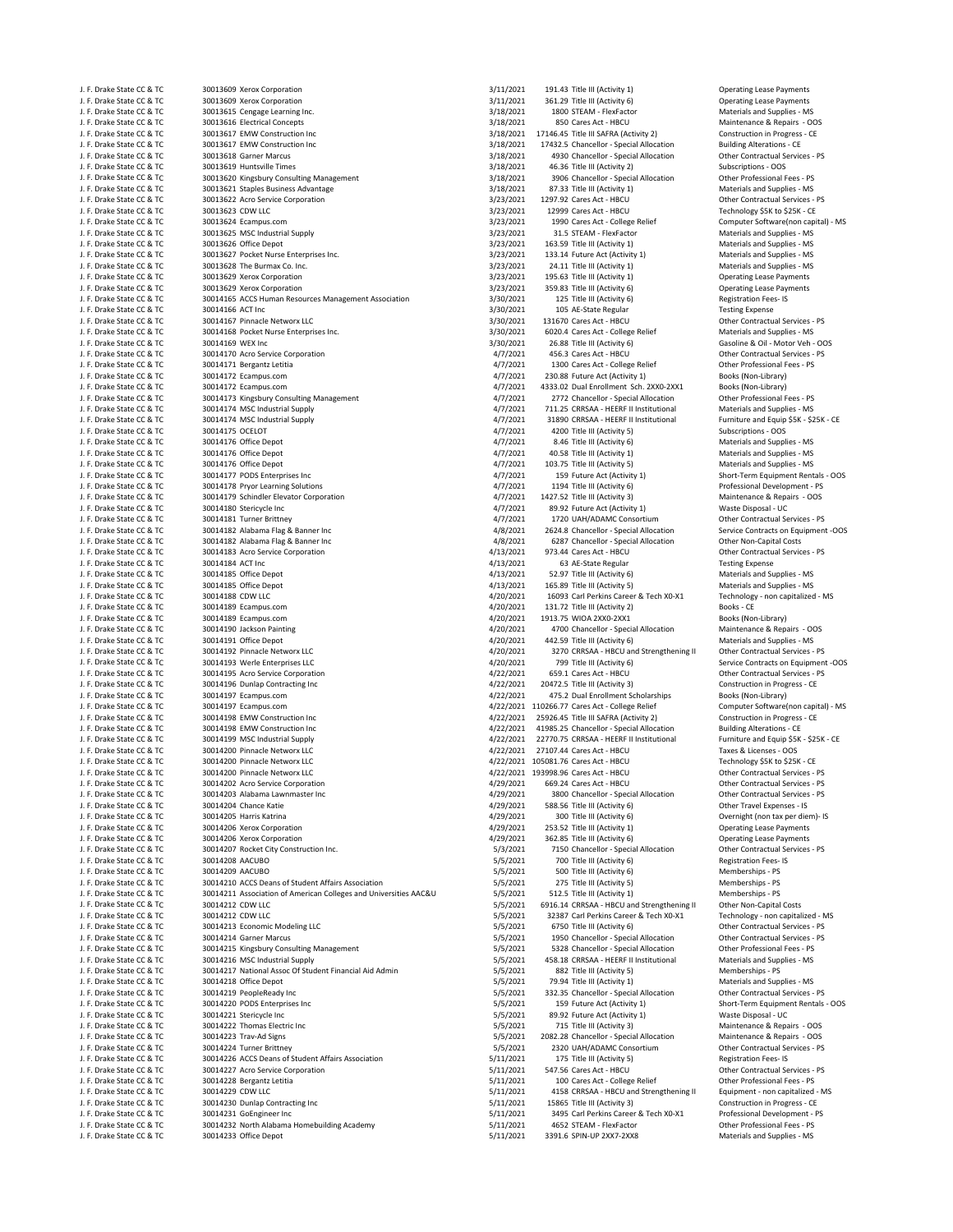J. F. Drake State CC & TC 30013609 Xerox Corporation 3/11/2021 361.29 Title III (Activity 6) Operating Lease Payments 3/11/2021 361.29 Title III (Activity 6) Operating Lease Payments 3/18/2021 361.29 Title III (Activity 6) J. F. Drake State CC & TC 30013615 Cengage Learning Inc. 3/18/2021 1800 STEAM - FlexFactor Materials and Supplies and Supplies and Supplies and Supplies and Supplies and Supplies and Supplies and Supplies and Supplies and J. F. Drake State CC & TC 30013616 Electrical Concepts 3/18/2021 850 Cares Act – HBCU Maintenance & Repairs - OOS<br>J. F. Drake State CC & TC 30013617 EMW Construction Inc Concepts 3/18/2021 17146.45 Title III SAFRA (Activit J. F. Drake State CC & TC 30013617 EMW Construction Inc 3/18/2021 17146.45 Title III SAFRA (Activity 2) Construction in Progress • CE 3/18/2021 17146.45 Title III SAFRA (Activity 2) Construction in Progress • CE 20013617 E J. F. Drake State CC & TC 30013617 EMW Construction Inc 3/18/2021 17432.5 Chancellor – Special Allocation Building Alterations – CE<br>1990 Chancellor – Special Allocation Special Allocation Direct Construction Building Alter المواقع المستوى المواقع المواقع المواقع المواقع المواقع المواقع المواقع المواقع المواقع المواقع المواقع المواقع<br>1/18/2021 16.36 Title III (Activity 2) و 1/18/2021 16.36 Title III (Activity 2) J. F. Drake State CC & TC 30013619 Huntsville Times 3/18/2021 46.36 Title III (Activity 2) Subscriptions ‐ OOS J. F. Drake State CC & TC 30013620 Kingsbury Consulting Management 3/18/2021 3906 Chancellor ‐ Special Allocation Other Professional Fees ‐ PS J. F. Drake State CC & TC 30013621 Staples Business Advantage 3/18/2021 87.33 Title III (Activity 1) Materials and Supplies - MS<br>J. F. Drake State CC & TC 30013622 Acro Service Corporation 3/23/2021 1297.92 Cares Act - HBC J. F. Drake State CC & TC 30013622 Acro Service Corporation 3/23/201 1297.92 Cares Act - HBCU Other Contractual Services ‐ I. F. Drake State CC & TC 3/23/2021 1299. Cares Act - HBCU Other Contractual Services ‐ CE<br>3/23/202 J. F. Drake State CC & TC 30013623 CDW LLC<br>J. F. Drake State CC & TC 30013624 Ecampus.com and the state of the state of 3/23/2021 12999 Cares Act - College Relief J. F. Drake State CC & TC 30013624 Ecampus.com 3/23/2021 1990 Cares Act – College Relief Computer Software(non capital) - MS<br>3/23/2021 1.5 STEAM - FlexFactor Materials and Supplies - MS (Alta and Supplies - MS ), Steam Act 30013625 MSC Industrial Supply J. F. Drake State CC & TC 30013626 Office Depot 3/23/2021 163.59 Title III (Activity 1) Materials and Supplies - MS<br>J. F. Drake State CC & TC 30013627 Pocket Nurse Enterprises Inc. 2001 163.12 173.2021 173.14 Future Act (A J. F. Drake State CC & TC 30013627 Pocket Nurse Enterprises Inc. 3/23/2021 133.14 Future Act (Activity 1) Materials and Supplies ← MS. No. 3/23/2021 133.14 Future Act (Activity 1) Materials and Supplies ← MS. No. 1. E. Dr J. F. Drake State CC & TC 30013628 The Burmax Co. Inc. 3/23/2021 24.11 Title III (Activity 1) Materials and Supplies - MS J. F. Drake State CC & TC 30013629 Xerox Corporation 3/23/2021 195.63 Title III (Activity 1) Operating Lease Payments J. F. Drake State CC & TC 30013629 Xerox Corporation and the section of the state of the state CC & TC 30014165 ACCS Human Resources Management Association 3/23/2021 359.83 Title III (Activity 6) Operating Lease Payment As J. F. Draman Resources Management Association State Communication 3/30/2021 125 Title III (Activity 6) Registration 3/30/2021 125 Title III (Activity 6) Register Regular J. F. Drake State CC & TC 30014166 ACT Inc 30014166 ACT Inc 3/300/2021 3/30/2021 105 AE-State Regular Testing Expense J. F. Drake State CC & TC 30014167 Pinnacle Networx LLC 3/30/2021 131670 Cares Act ‐ HBCU Other Contractual Services ‐ PS J. F. Drake State CC & TC 30014168 Pocket Nurse Enterprises Inc. 3/30/2021 6020.4 Cares Act ‐ College Relief Materials and Supplies ‐ MS J. F. Drake State CC & TC 30014169 WEX Inc<br>J. F. Drake State CC & TC 30014170 Acro Service Corporation and the state of the state of the state of the Soline & Oil · Motor Veh - OOS<br>J. F. Drake State CC & TC 30014170 Acro J. F. Drake State CC & TC 30014170 Acro Service Corporation and the state of the contractual Services - And The State Corporation 4/7/2021 456.3 Cares Act - HBCU Other Contractual Services - PS (Contractual Services - PS 4 J. F. Drake State CC & TC 30014171 Bergantz Letitia **1990 Cares Act 2000 Cares Act - College Relief College Relief** Cher Professional Fees (Non-Library)<br>J. F. Drake State CC & TC 30014172 Ecampus.com **Cares Act 2009 Cares** J. F. Drake State CC & TC 30014172 Ecampus.com and the state of the state of the state (Activity 1) and the st<br>J. F. Drake State CC & TC 30014172 Ecampus.com and the state of the state of the state of the state Act 2XX0-2X J. F. Drake State CC & TC 30014172 Ecampus.com<br>J. F. Drake State CC & TC 30014173 Kingsbury Consulting Management 4/7/2021 4333.02 Dual Enrollment Sch. 2XX0-2XX1 Books (Non-Library)<br>J. F. Drake State CC & TC 30014173 Kings J. F. Drake State CC & TC 30014173 Kingsbury Consulting Management and the state of the state of the state of the state of the state of the state of the Professional Fees - PS<br>J. F. Drake State CC & TC 30014174 MSC Industr J. F. Drake State CC & TC 30014174 MSC Industrial Supply 4/7/201 4/7/2021 711.25 CRRSAA - HEERF II Institutional Materials and Supplies - MS<br>J. F. Drake State CC & TC 30014174 MSC Industrial Supply 4/7 AST 4/7/2021 31890 C J. F. Drake State CC & TC 30014174 MSC Industrial Supply and the state of the state of the state CC & TC 30014174 MSC Industrial Supply 4/7/2021 31890 CRRSAA - HEERF II Institutional Furniture and Equip \$5 A and Equip \$5 C J. F. Drake State CC & TC 30014175 OCELOT 1999 CONTROL 2000 Title III (Activity 5) Subscriptions - OOS<br>J. F. Drake State CC & TC 30014176 Office Denot 1999 Control 2001 1999 COS 4/7/2021 8.46 Title III (Activity 6 J. F. Drake State CC & TC 30014176 Office Depot 4/7/2021 8.46 Title III (Activity 6) Materials and Supplies - MS J. F. Drake State CC & TC 30014176 Office Depot 40 and the state of the state of the state of the state of the state of the state of the state of the state of the state of the state of the state of the state of the state J. F. Drake State CC & TC 30014176 Office Depot<br>
1. F. Drake State CC & TC 30014177 PODS Enterprises Inc and Supplies ← MS 4/7/2021 103.75 Title III (Activity 5) Materials and Supplies ← MS 4/7/2021 103.75 Title III (Acti J. F. Drake State CC & TC 30014177 PODS Enterprises Inc 4/7/2021 459 Future Act (Activity 1) Short-Term Equipment Rentals - OOS<br>J. F. Drake State CC & TC 30014178 Pryor Learning Solutions and the state of the state of 4/7/ J. F. Drake State CC & TC 30014178 Pryor Learning Solutions 4/7/2021 1194 Title III (Activity 6) Professional Development ‐ PS on the Suite CC & TC 30014179 Schindler Elevator Corporation (1990)<br>J. F. Drake State CC & TC 30014180 Stericycle Inc and the Suite of Activity 3) Maintenance & Repairs (Activity 4<br>J. F. Drake State CC & TC 30014180 Ster J. F. Drake State CC & TC 30014181 Turner Brittney and the state of the state of the 4/7/2021 1720 UAH/ADAMC Consortium 1. F. Drake State CC & TC 30014182 Alabama Flag & Banner Inc 4/8/2021 2624.8 Chancellor - Special Allo J. F. Drake State CC & TC 30014182 Alabama Flag & Banner Inc and the State Contracts on Equipment -OOS 4/8/2021 2624.8 Chancellor - Special Allocation Service Contracts on Equipment -OOS<br>J. F. Drake State CC & TC 30014182 J. F. Drake State CC & TC 30014182 Alabama Flag & Banner Inc 4/8/2021 6287 Chancellor - Special Allocation Other Non-Capital Costs<br>J. F. Drake State CC & TC 30014183 Acro Service Corporation 413/2021 973.44 Cares Act - HBC J. F. Drake State CC & TC 30014183 Acro Service Corporation 4/13/2021 973.44 Cares Act ‐ HBCU Other Contractual Services ‐ PS J. F. Drake State CC & TC 30014184 ACT Inc 4 and the state of the 4/13/2021 63 AE-State Regular Testing Expense J. F. Drake State CC & TC 30014185 Office Depot 4/13/2021 52.97 Title III (Activity 6) Materials and Supplies ‐ MS J. F. Drake State CC & TC 30014185 Office Depot 4/13/201 165.89 Title III (Activity 5) Materials and Supplies - MS<br>J. F. Drake State CC & TC 30014188 CDW LLC 1999 COMPARE 1999 200201 16093 Carl Perkins Career & Tech X0-X1 J. F. Drake State CC & TC 30014188 CDW LLC 4/20/201 4/20/2021 16093 Carl Perkins Career & Tech X0‐X1 Technolog<br>J. F. Drake State CC & TC 30014189 Ecampus.com capitalized entity and capitalized and capitalized a 4/20/2021 1 .<br>J. H. Books - CE و A/20/2021 131.72 Title III (Activity 2) Books - CE و Books - CE و S0014189 Ecampus.com<br>J. H. Books (Non-Library) 4/20/2021 1913.75 WIOA 2XX0-2XX1 J. F. Drake State CC & TC 30014189 Ecampus.com 4/20/2021 1913.75 WIOA 2XX0‐2XX1 Books (Non‐Library) J. F. Drake State CC & TC 30014190 Jackson Painting and the state of the state of the state of the state of the state CC & TC 30014191 Office Depot 3001 Allocation and Supplies - NS 4/20/2021 4700 Chancellor - Special Allo J. F. Drake State CC & TC 30014191 Office Depot 4/20 and the state CC & TC 30014191 Office Depot 4/20 and Supplies – MS 4/20/2021 442.59 Title III (Activity 6) Materials and Supplies – MS 4/20/2021 442.59 Title III (Activi J. F. Drake State CC & TC 30014192 Pinnacle Networx LLC 4/20/2021 3270 CRRSAA ‐ HBCU and Strengthening II Other Contractual Services ‐ PS J. F. Drake State CC & TC 30014193 Werle Enterprises LLC and the state of the state of the state of the state of the state of the state of the state of the state of the state of the state of the state of the state CC & TC J. F. Drake State CC & TC 30014195 Acro Service Corporation and the state of the Contractual Services - PS and the Contractual Services - PS and the Contractual Services - PS and the Contractual Services - PS and the Contr J. F. Drake State CC & TC 30014197 Ecampus.com 4/22/2021 475.2 Dual Enrollment Scholarships Books (Non-Library)<br>J. F. Drake State CC & TC 30014197 Ecampus.com 4/22/2021 110266.77 Cares Act - College Relief 6 Computer Softw J. F. Drake State CC & TC 30014197 Ecampus.com entity computer Software(non capital) - MS 4/22/2021 110266.77 Cares Act - College Relief Computer Software(non capital) - MS 4/21/2021 110266.77 Cares Act - College Relief Co J. F. Drake State CC & TC 30014198 EMW Construction Inc and the State of the State Construction in Progress - CE<br>J. F. Drake State CC & TC 30014198 EMW Construction Inc and the Case of the State of 4/22/2021 41985.25 Chanc J. F. Drake State CC & TC 30014198 EMW Construction Inc 4/22/2021 41985.25 Chancellor ‐ Special Allocation Building Alterations ‐ CE J. F. Drake State CC & TC 30014199 MSC Industrial Supply and the state of the state of the 4/22/2021 22770.75 CRRSAA ‐ HEERF II Institutional Furniture and Equip \$5K ﴾<br>J. F. Drake State CC & TC 30014200 Pinnacle Networx LL J. F. Drake State CC & TC 30014200 Pinnacle Networx LLC 4/22/2021 27107.44 Cares Act - HBCU Taxes & Licenses - OOS J. F. Drake State CC & TC 30014200 Pinnacle Networx LLC and the state of the contract of the Chinacle Networx LLC 4/22/2021 105081.76 Cares Act ← HBCU Technology \$5K to \$25K - CE<br>J. F. Drake State CC & TC 30014200 Pinnacl J. F. Drake State CC & TC 30014200 Pinnacle Networx LLC 4/22 2001 193998.96 Cares Act – HBCU Other Contractual Services - PS<br>J. F. Drake State CC & TC 30014202 Acro Service Corporation 40 2002 10000000000000000000000000000 30014202 Acro Service Corporation J. F. Drake State CC & TC 30014203 Alabama Lawnmaster Inc and the Contractual Services - PS 4/29/2021 3800 Chancellor - Special Allocation Other Contractual Services - PS 4/29/2021 3800 Chancellor - Special Allocation Othe J. F. Drake State CC & TC 30014204 Chance Katie 41 Activity 6) and the state of the Music of the III (Activity 6) Other Travel Activity 6) or the III (Activity 6) Other Travel Expenses and the State CC & TC 30014205 Harris J. F. Drake State CC & TC 30014205 Harris Katrina and the state of the state of the state of the state of the state of the state of the state CC & TC 30014205 Arris Katrina and the state of the state of the state CC & TC 3 J. F. Drake State CC & TC 30014206 Xerox Corporation 4/29/2021 253.52 Title III (Activity 1) Operating Lease Payments J. F. Drake State CC & TC 30014206 Xerox Corporation and the corporation of the corporation of the COM operation 4/29/2021 362.85 Title III (Activity 6) Operating Lease Payments (1.6 Minutes Activity 6) Operating Lease Pay J. F. Drake State CC & TC 30014207 Rocket City Construction Inc. 5/3/2021 7150 Chancellor - Special Allocation Other Contractual Services Late CC & TC 30014208 AACUBO ARECONTECTUAL SERVICES 6/3/2021 700 Title III (Activity J. F. Drake State CC & TC 30014208 AACUBO 5/5/2021 700 Title III (Activity 6) Registration Fees- IS J. F. Drake State CC & TC 30014209 AACUBO 5/5/2021 500 Title III (Activity 6) Memberships - PS J. F. Drake State CC & TC 30014210 ACCS Deans of Student Affairs Association 5/5/2021 275 Title III (Activity 5) Memberships - PS J. F. Drake State CC & TC 30014211 Association of American Colleges and Universities AAC&U 5/5/2021 512.5 Title III (Activity 1) Memberships - PS<br>J. F. Drake State CC & TC 30014212 CDW LLC 6001 LC CONDER 5/5/2021 6916.14 C J. F. Drake State CC & TC 30014212 CDW LLC 5/5/2021 6916.14 CRRSAA ‐ HBCU and Strengthening II Other Non‐Capital Costs<br>J. F. Drake State CC & TC 30014212 CDW LLC 5/5/2021 32387 Carl Perkins Career & Tech X0‐X1 Technology‐n J. F. Drake State CC & TC 30014212 CDW LLC 5/5/2021 32387 Carl Perkins Career & Tech XO‐X1 Technology ‐ non capitalized ‐ N<br>1. F. Drake State CC & TC 30014213 Economic Modeling LLC 5/5/2021 6750 Title III (Activity 6) Oth J. F. Drake State CC & TC 30014213 Economic Modeling LLC 5/5/2021 6750 Title III (Activity 6) Other Contractual Services - PS (5/5/2021 6750 Title III (Activity 6) Other Contractual Services - PS (5/5/2021 5/5/2021 1950 Ch J. F. Drake State CC & TC 30014214 Garner Marcus 5/6/2021 1950 Chancellor - Special Allocation Cher Contractual Services - PS (5/2021 1950 Chancellor - Special Allocation Other Professional Fees - PS (5/2021 1950 Chancello J. F. Drake State CC & TC 30014215 Kingsbury Consulting Management 5/5/2021 5328 Chancellor - Special Allocation Other Professional Fees - PS<br>J. F. Drake State CC & TC 30014216 MSC Industrial Supply and Supply and Supply a J. F. Drake Cock Cock Cock<br>30014216 MSC Industrial Supply J. F. Drake State CC & TC 30014217 National Assoc Of Student Financial Aid Admin 5/5/2021 882 Title III (Activity 5) Memberships - PS<br>J. F. Drake State CC & TC 30014218 Office Depot J. F. Drake State CC & TC 30014218 Office Depot 5. September 5.5/2021 79.94 Title III (Activity 1) Materials and Supplies - MS . MS . MS . September 2001 19.94 Title III (Activity 1) Materials and Supplies - MS . MS . MS . J. F. Drake State CC & TC 30014219 PeopleReady Inc 5/5/2021 332.35 Chancellor ‐ Special Allocation 3.55/2021 332.35 Chancellor ‐ Special Allocation Other Contractual Services inc 5/5/2021 5/5/2021 5.5/2021 159 Future Act ( J. F. Drake State CC & TC 30014220 PODS Enterprises Inc 5/5/5/2021 159 Future Act (Activity 1) Short-Term Equipment Rentals - OOS<br>J. F. Drake State CC & TC 30014221 Stericycle Inc 5/5/2021 159 Future Act (Activity 1) Waste J. F. Drake State CC & TC 30014221 Stericycle Inc 5/5/2021 89.92 Future Act (Activity 1)<br>1. F. Drake State CC & TC 30014222 Thomas Electric Inc 5/5/2021 715 Title III (Activity 3) J. F. Drake State CC & TC 30014223 Trav‐Ad Signs 5/5/2021 2082.28 Chancellor ‐ Special Allocation Maintenance & Repairs - OOS<br>1. F. Drake State CC & TC 30014224 Turner Brittney states for the Contractual Services - PS 5/5/ J. F. Drake State CC & TC 30014224 Turner Brittney and the state of State Contractual Services and S/5/2021 2320 UAH/ADAMC Consortium Other Contractual Service 30014226 ACCS Deans of Student Affairs Association and State C 30014226 ACCS Deans of Student Affairs Association J. F. Drake State CC & TC 30014227 Acro Service Corporation 5/11/2021 5/11/2021 547.56 Cares Act - HBCU Other Contractual Services - PS<br>J. F. Drake State CC & TC 30014228 Bergantz Letitia 5. The State Contractual Services J. F. Drake State CC & TC 30014228 Bergantz Letitia 5/11/2021 5/11/2021 5/11/2021 5/11/2021 J. E. Drake State CC & TC 30014228 Bergantz Letitia 5/11/2021 5/11/2021 5/11/2021 4158 CRRSAA - HBCU and Strengthening II Fou inme J. F. Drake State CC & TC 30014229 CDW LLC 5/11/2021 4158 CRRSAA ‐ HBCU and Strengthening II<br>J. F. Drake State CC & TC 30014230 Dunlap Contracting Inc capitalized services and capitalized substitution 31 J. F. Drake State CC & TC 30014230 Dunlap Contracting Inc and the State Construction of the State State State State CC & TC 30014231 OcEngineer Inc 30014231 15865 Title III (Activity 3) Construction in Progress - CE<br>J. F. J. F. Drake State CC & TC 30014231 GoEngineer Inc 5/11/2021 Superant of the State CC & TC 30014231 GoEngineer Inc 5/11/2021 3495 Carl Perkins Career & Tech X0‐X1 Professional Development –<br>1. F. Drake State CC & TC 3001423 J. F. Drake State CC & TC 30014232 North Alabama Homebuilding Academy 5/11/2021 4652 STEAM - FlexFactor 5/11/2021 5/11/2021 5/11/2021 4652 STEAM - FlexFactor COMERCONSISTED Fees - PS<br>J. F. Drake State CC & TC 30014233 Offi J. F. Drake State CC & TC 30014233 Office Depot 5/11/2021 3391.6 SPIN‐UP 2XX7‐2XX8 Materials and Supplies ‐ MS

J. F. Drake State CC & TC 30013609 Xerox Corporation 3/11/201 191.43 Title III (Activity 1) Operating Lease Payments<br>1. F. Drake State CC & TC 30013609 Xerox Corporation 3/11/201 3/11/201 191.43 Title III (Activity 6) Oper S9.92 Future Act (Activity 1) Waste Disposal - UC 30014180 Sterick State Oisposal - UC<br>1720 UAH/ADAMC Consortium Content Contractual Services - PS

Construction in Progress - CE Maintenance & Repairs - OOS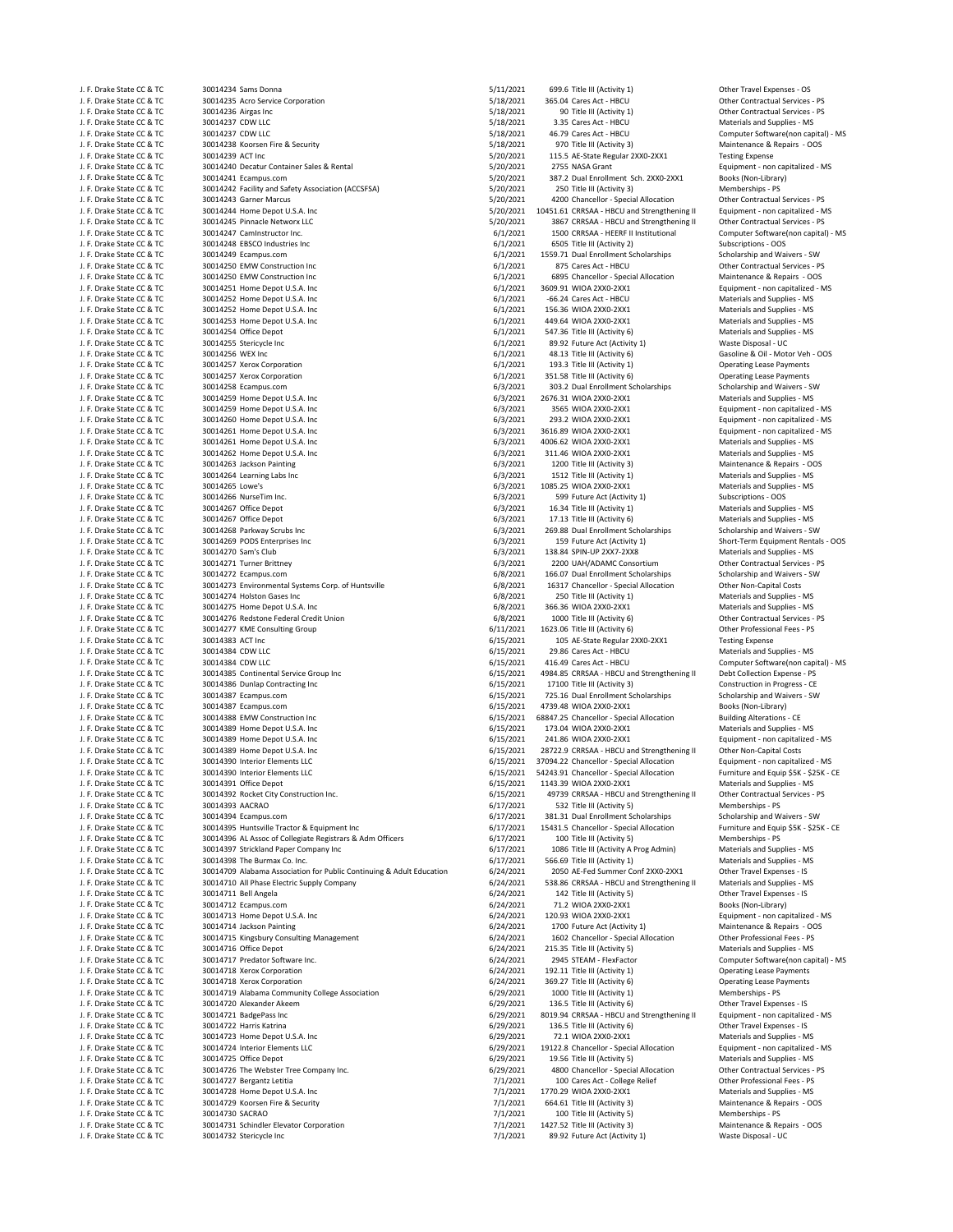| J. F. Drake State CC & TC                              |
|--------------------------------------------------------|
|                                                        |
| J. F. Drake State CC & TC                              |
| J. F. Drake State CC & TC                              |
| J. F. Drake State CC & TC                              |
| J. F. Drake State CC & TC                              |
| J. F. Drake State CC & TC                              |
| J. F. Drake State CC & TC                              |
| J. F. Drake State CC & TC                              |
| J. F. Drake State CC & TC                              |
| J. F. Drake State CC & TC                              |
| J. F. Drake State CC & TC                              |
| J. F. Drake State CC & TC                              |
| J. F. Drake State CC & TC                              |
| J. F. Drake State CC & TC                              |
| J. F. Drake State CC & TC                              |
| J. F. Drake State CC & TC                              |
| J. F. Drake State CC & TC                              |
|                                                        |
| J. F. Drake State CC & TC<br>J. F. Drake State CC & TC |
| J. F. Drake State CC & TC                              |
| J. F. Drake State CC & TC                              |
| J. F. Drake State CC & TC                              |
| J. F. Drake State CC & TC                              |
|                                                        |
| J. F. Drake State CC & TC                              |
| J. F. Drake State CC & TC                              |
| J. F. Drake State CC & TC                              |
| J. F. Drake State CC & TC                              |
| J. F. Drake State CC & TC                              |
| J. F. Drake State CC & TC                              |
| J. F. Drake State CC & TC                              |
| J. F. Drake State CC & TC                              |
| J. F. Drake State CC & TC                              |
| J. F. Drake State CC & TC                              |
| J. F. Drake State CC & TC                              |
| J. F. Drake State CC & TC                              |
| J. F. Drake State CC & TC                              |
| J. F. Drake State CC & TC                              |
| J. F. Drake State CC & TC                              |
| J. F. Drake State CC & TC                              |
| J. F. Drake State CC & TC                              |
| J. F. Drake State CC & TC                              |
| J. F. Drake State CC & TC                              |
| J. F. Drake State CC & TC                              |
| J. F. Drake State CC & TC                              |
| J. F. Drake State CC & TC                              |
| J. F. Drake State CC & TC                              |
| J. F. Drake State CC & TC                              |
| J. F. Drake State CC & TC                              |
| J. F. Drake State CC & TC                              |
| J. F. Drake State CC & TC                              |
| J. F. Drake State CC & TC                              |
| J. F. Drake State CC & TC                              |
|                                                        |
|                                                        |
| J. F. Drake State CC & TC                              |
| J. F. Drake State CC & TC                              |
| J. F. Drake State CC & TC                              |
| J. F. Drake State CC & TC                              |
| J. F. Drake State CC & TC                              |
| J. F. Drake State CC & TC                              |
| J. F. Drake State CC & TC                              |
| J. F. Drake State CC & TC                              |
| J. F. Drake State CC & TC                              |
| J. F. Drake State CC & TC                              |
| J. F. Drake State CC &<br>Τ                            |
| J. F. Drake State CC & TC                              |
| J. F. Drake State CC & TC                              |
| J. F. Drake State CC & TC                              |
| J. F. Drake State CC & TC                              |
|                                                        |
| J. F. Drake State CC & TC<br>J. F. Drake State CC & TC |
| J. F. Drake State CC & TC                              |
| J. F. Drake State CC & TC                              |
| J. F. Drake State CC & TC                              |
| J. F. Drake State CC & TC                              |
| J. F. Drake State CC & TC                              |
| J. F. Drake State CC & TC                              |
| J. F. Drake State CC & TC                              |
| J. F. Drake State CC & TC                              |
| J. F. Drake State CC & TC                              |
| J. F. Drake State CC & TC                              |
| J. F. Drake State CC & TC                              |
| J. F. Drake State CC & TC                              |
| J. F. Drake State CC & TC                              |
| J. F. Drake State CC & TC                              |
| J. F. Drake State CC & TC                              |
| J. F. Drake State CC & TC                              |
| J. F. Drake State CC & TC                              |
| J. F. Drake State CC & TC                              |
| J. F. Drake State CC & TC                              |
| J. F. Drake State CC & TC                              |
| J. F. Drake State CC & TC                              |
| J. F. Drake State CC & TC                              |
| J. F. Drake State CC & TC                              |
|                                                        |
| J. F. Drake State CC & TC<br>J. F. Drake State CC & TC |
| J. F. Drake State CC & TC                              |

| J. F. Drake State CC & TC                              | 30014234 Sams Donna                                                   | 5/11/2021              | 699.6 Title III (Activity 1)                                                         | Other Travel Expenses - OS                                                |
|--------------------------------------------------------|-----------------------------------------------------------------------|------------------------|--------------------------------------------------------------------------------------|---------------------------------------------------------------------------|
| J. F. Drake State CC & TC                              | 30014235 Acro Service Corporation                                     | 5/18/2021              | 365.04 Cares Act - HBCU                                                              | Other Contractual Services - PS                                           |
| J. F. Drake State CC & TC<br>J. F. Drake State CC & TC | 30014236 Airgas Inc<br>30014237 CDW LLC                               | 5/18/2021<br>5/18/2021 | 90 Title III (Activity 1)<br>3.35 Cares Act - HBCU                                   | Other Contractual Services - PS<br>Materials and Supplies - MS            |
| J. F. Drake State CC & TC                              | 30014237 CDW LLC                                                      | 5/18/2021              | 46.79 Cares Act - HBCU                                                               | Computer Software(non capital) - MS                                       |
| J. F. Drake State CC & TC                              | 30014238 Koorsen Fire & Security                                      | 5/18/2021              | 970 Title III (Activity 3)                                                           | Maintenance & Repairs - OOS                                               |
| J. F. Drake State CC & TC                              | 30014239 ACT Inc                                                      | 5/20/2021              | 115.5 AE-State Regular 2XX0-2XX1                                                     | <b>Testing Expense</b>                                                    |
| J. F. Drake State CC & TC                              | 30014240 Decatur Container Sales & Rental                             | 5/20/2021              | 2755 NASA Grant                                                                      | Equipment - non capitalized - MS                                          |
| J. F. Drake State CC & TC                              | 30014241 Ecampus.com                                                  | 5/20/2021              | 387.2 Dual Enrollment Sch. 2XX0-2XX1                                                 | Books (Non-Library)                                                       |
| J. F. Drake State CC & TC                              | 30014242 Facility and Safety Association (ACCSFSA)                    | 5/20/2021              | 250 Title III (Activity 3)                                                           | Memberships - PS                                                          |
| J. F. Drake State CC & TC                              | 30014243 Garner Marcus                                                | 5/20/2021              | 4200 Chancellor - Special Allocation                                                 | Other Contractual Services - PS                                           |
| J. F. Drake State CC & TC                              | 30014244 Home Depot U.S.A. Inc                                        | 5/20/2021              | 10451.61 CRRSAA - HBCU and Strengthening II                                          | Equipment - non capitalized - MS                                          |
| J. F. Drake State CC & TC                              | 30014245 Pinnacle Networx LLC                                         | 5/20/2021              | 3867 CRRSAA - HBCU and Strengthening II                                              | Other Contractual Services - PS                                           |
| J. F. Drake State CC & TC<br>J. F. Drake State CC & TC | 30014247 CamInstructor Inc.<br>30014248 EBSCO Industries Inc          | 6/1/2021<br>6/1/2021   | 1500 CRRSAA - HEERF II Institutional<br>6505 Title III (Activity 2)                  | Computer Software(non capital) - MS<br>Subscriptions - OOS                |
| J. F. Drake State CC & TC                              | 30014249 Ecampus.com                                                  | 6/1/2021               | 1559.71 Dual Enrollment Scholarships                                                 | Scholarship and Waivers - SW                                              |
| J. F. Drake State CC & TC                              | 30014250 EMW Construction Inc                                         | 6/1/2021               | 875 Cares Act - HBCU                                                                 | Other Contractual Services - PS                                           |
| J. F. Drake State CC & TC                              | 30014250 EMW Construction Inc                                         | 6/1/2021               | 6895 Chancellor - Special Allocation                                                 | Maintenance & Repairs - OOS                                               |
| J. F. Drake State CC & TC                              | 30014251 Home Depot U.S.A. Inc                                        | 6/1/2021               | 3609.91 WIOA 2XX0-2XX1                                                               | Equipment - non capitalized - MS                                          |
| J. F. Drake State CC & TC                              | 30014252 Home Depot U.S.A. Inc                                        | 6/1/2021               | -66.24 Cares Act - HBCU                                                              | Materials and Supplies - MS                                               |
| J. F. Drake State CC & TC                              | 30014252 Home Depot U.S.A. Inc                                        | 6/1/2021               | 156.36 WIOA 2XX0-2XX1                                                                | Materials and Supplies - MS                                               |
| J. F. Drake State CC & TC                              | 30014253 Home Depot U.S.A. Inc                                        | 6/1/2021               | 449.64 WIOA 2XX0-2XX1                                                                | Materials and Supplies - MS                                               |
| J. F. Drake State CC & TC<br>J. F. Drake State CC & TC | 30014254 Office Depot<br>30014255 Stericycle Inc                      | 6/1/2021<br>6/1/2021   | 547.36 Title III (Activity 6)<br>89.92 Future Act (Activity 1)                       | Materials and Supplies - MS<br>Waste Disposal - UC                        |
| J. F. Drake State CC & TC                              | 30014256 WEX Inc                                                      | 6/1/2021               | 48.13 Title III (Activity 6)                                                         | Gasoline & Oil - Motor Veh - OOS                                          |
| J. F. Drake State CC & TC                              | 30014257 Xerox Corporation                                            | 6/1/2021               | 193.3 Title III (Activity 1)                                                         | <b>Operating Lease Payments</b>                                           |
| J. F. Drake State CC & TC                              | 30014257 Xerox Corporation                                            | 6/1/2021               | 351.58 Title III (Activity 6)                                                        | <b>Operating Lease Payments</b>                                           |
| J. F. Drake State CC & TC                              | 30014258 Ecampus.com                                                  | 6/3/2021               | 303.2 Dual Enrollment Scholarships                                                   | Scholarship and Waivers - SW                                              |
| J. F. Drake State CC & TC                              | 30014259 Home Depot U.S.A. Inc                                        | 6/3/2021               | 2676.31 WIOA 2XX0-2XX1                                                               | Materials and Supplies - MS                                               |
| J. F. Drake State CC & TC                              | 30014259 Home Depot U.S.A. Inc                                        | 6/3/2021               | 3565 WIOA 2XX0-2XX1                                                                  | Equipment - non capitalized - MS                                          |
| J. F. Drake State CC & TC                              | 30014260 Home Depot U.S.A. Inc                                        | 6/3/2021               | 293.2 WIOA 2XX0-2XX1                                                                 | Equipment - non capitalized - MS                                          |
| J. F. Drake State CC & TC                              | 30014261 Home Depot U.S.A. Inc                                        | 6/3/2021               | 3616.89 WIOA 2XX0-2XX1                                                               | Equipment - non capitalized - MS                                          |
| J. F. Drake State CC & TC                              | 30014261 Home Depot U.S.A. Inc                                        | 6/3/2021<br>6/3/2021   | 4006.62 WIOA 2XX0-2XX1<br>311.46 WIOA 2XX0-2XX1                                      | Materials and Supplies - MS<br>Materials and Supplies - MS                |
| J. F. Drake State CC & TC<br>J. F. Drake State CC & TC | 30014262 Home Depot U.S.A. Inc<br>30014263 Jackson Painting           | 6/3/2021               | 1200 Title III (Activity 3)                                                          | Maintenance & Repairs - OOS                                               |
| J. F. Drake State CC & TC                              | 30014264 Learning Labs Inc                                            | 6/3/2021               | 1512 Title III (Activity 1)                                                          | Materials and Supplies - MS                                               |
| J. F. Drake State CC & TC                              | 30014265 Lowe's                                                       | 6/3/2021               | 1085.25 WIOA 2XX0-2XX1                                                               | Materials and Supplies - MS                                               |
| J. F. Drake State CC & TC                              | 30014266 NurseTim Inc.                                                | 6/3/2021               | 599 Future Act (Activity 1)                                                          | Subscriptions - OOS                                                       |
| J. F. Drake State CC & TC                              | 30014267 Office Depot                                                 | 6/3/2021               | 16.34 Title III (Activity 1)                                                         | Materials and Supplies - MS                                               |
| J. F. Drake State CC & TC                              | 30014267 Office Depot                                                 | 6/3/2021               | 17.13 Title III (Activity 6)                                                         | Materials and Supplies - MS                                               |
| J. F. Drake State CC & TC                              | 30014268 Parkway Scrubs Inc                                           | 6/3/2021               | 269.88 Dual Enrollment Scholarships                                                  | Scholarship and Waivers - SW                                              |
| J. F. Drake State CC & TC                              | 30014269 PODS Enterprises Inc                                         | 6/3/2021               | 159 Future Act (Activity 1)                                                          | Short-Term Equipment Rentals - OOS                                        |
| J. F. Drake State CC & TC<br>J. F. Drake State CC & TC | 30014270 Sam's Club<br>30014271 Turner Brittney                       | 6/3/2021<br>6/3/2021   | 138.84 SPIN-UP 2XX7-2XX8<br>2200 UAH/ADAMC Consortium                                | Materials and Supplies - MS<br>Other Contractual Services - PS            |
| J. F. Drake State CC & TC                              | 30014272 Ecampus.com                                                  | 6/8/2021               | 166.07 Dual Enrollment Scholarships                                                  | Scholarship and Waivers - SW                                              |
| J. F. Drake State CC & TC                              | 30014273 Environmental Systems Corp. of Huntsville                    | 6/8/2021               | 16317 Chancellor - Special Allocation                                                | Other Non-Capital Costs                                                   |
| J. F. Drake State CC & TC                              | 30014274 Holston Gases Inc                                            | 6/8/2021               | 250 Title III (Activity 1)                                                           | Materials and Supplies - MS                                               |
| J. F. Drake State CC & TC                              | 30014275 Home Depot U.S.A. Inc                                        | 6/8/2021               | 366.36 WIOA 2XX0-2XX1                                                                | Materials and Supplies - MS                                               |
| J. F. Drake State CC & TC                              | 30014276 Redstone Federal Credit Union                                | 6/8/2021               | 1000 Title III (Activity 6)                                                          | Other Contractual Services - PS                                           |
| J. F. Drake State CC & TC                              | 30014277 KME Consulting Group                                         | 6/11/2021              | 1623.06 Title III (Activity 6)                                                       | Other Professional Fees - PS                                              |
| J. F. Drake State CC & TC                              | 30014383 ACT Inc                                                      | 6/15/2021              | 105 AE-State Regular 2XX0-2XX1                                                       | <b>Testing Expense</b>                                                    |
| J. F. Drake State CC & TC                              | 30014384 CDW LLC                                                      | 6/15/2021              | 29.86 Cares Act - HBCU                                                               | Materials and Supplies - MS                                               |
| J. F. Drake State CC & TC<br>J. F. Drake State CC & TC | 30014384 CDW LLC<br>30014385 Continental Service Group Inc            | 6/15/2021<br>6/15/2021 | 416.49 Cares Act - HBCU<br>4984.85 CRRSAA - HBCU and Strengthening II                | Computer Software(non capital) - MS<br>Debt Collection Expense - PS       |
| J. F. Drake State CC & TC                              | 30014386 Dunlap Contracting Inc                                       | 6/15/2021              | 17100 Title III (Activity 3)                                                         | Construction in Progress - CE                                             |
| J. F. Drake State CC & TC                              | 30014387 Ecampus.com                                                  | 6/15/2021              | 725.16 Dual Enrollment Scholarships                                                  | Scholarship and Waivers - SW                                              |
| J. F. Drake State CC & TC                              | 30014387 Ecampus.com                                                  | 6/15/2021              | 4739.48 WIOA 2XX0-2XX1                                                               | Books (Non-Library)                                                       |
| J. F. Drake State CC & TC                              | 30014388 EMW Construction Inc                                         | 6/15/2021              | 68847.25 Chancellor - Special Allocation                                             | <b>Building Alterations - CE</b>                                          |
| J. F. Drake State CC & TC                              | 30014389 Home Depot U.S.A. Inc                                        | 6/15/2021              | 173.04 WIOA 2XX0-2XX1                                                                | Materials and Supplies - MS                                               |
| J. F. Drake State CC & TC                              | 30014389 Home Depot U.S.A. Inc                                        | 6/15/2021              | 241.86 WIOA 2XX0-2XX1                                                                | Equipment - non capitalized - MS                                          |
| J. F. Drake State CC & TC                              | 30014389 Home Depot U.S.A. Inc<br>30014390 Interior Elements LLC      | 6/15/2021<br>6/15/2021 | 28722.9 CRRSAA - HBCU and Strengthening II                                           | Other Non-Capital Costs                                                   |
| J. F. Drake State CC & TC<br>J. F. Drake State CC & TC | 30014390 Interior Elements LLC                                        | 6/15/2021              | 37094.22 Chancellor - Special Allocation<br>54243.91 Chancellor - Special Allocation | Equipment - non capitalized - MS<br>Furniture and Equip \$5K - \$25K - CE |
| J. F. Drake State CC & TC                              | 30014391 Office Depot                                                 | 6/15/2021              | 1143.39 WIOA 2XX0-2XX1                                                               | Materials and Supplies - MS                                               |
| J. F. Drake State CC & TC                              | 30014392 Rocket City Construction Inc.                                | 6/15/2021              | 49739 CRRSAA - HBCU and Strengthening II                                             | Other Contractual Services - PS                                           |
| J. F. Drake State CC & TC                              | 30014393 AACRAO                                                       | 6/17/2021              | 532 Title III (Activity 5)                                                           | Memberships - PS                                                          |
| J. F. Drake State CC & TC                              | 30014394 Ecampus.com                                                  | 6/17/2021              | 381.31 Dual Enrollment Scholarships                                                  | Scholarship and Waivers - SW                                              |
| J. F. Drake State CC & TC                              | 30014395 Huntsville Tractor & Equipment Inc                           | 6/17/2021              | 15431.5 Chancellor - Special Allocation                                              | Furniture and Equip \$5K - \$25K - CE                                     |
| J. F. Drake State CC & TC                              | 30014396 AL Assoc of Collegiate Registrars & Adm Officers             | 6/17/2021              | 100 Title III (Activity 5)                                                           | Memberships - PS                                                          |
| J. F. Drake State CC & TC                              | 30014397 Strickland Paper Company Inc<br>30014398 The Burmax Co. Inc. | 6/17/2021<br>6/17/2021 | 1086 Title III (Activity A Prog Admin)<br>566.69 Title III (Activity 1)              | Materials and Supplies - MS<br>Materials and Supplies - MS                |
| J. F. Drake State CC & TC<br>J. F. Drake State CC & TC | 30014709 Alabama Association for Public Continuing & Adult Education  | 6/24/2021              | 2050 AE-Fed Summer Conf 2XX0-2XX1                                                    | Other Travel Expenses - IS                                                |
| J. F. Drake State CC & TC                              | 30014710 All Phase Electric Supply Company                            | 6/24/2021              | 538.86 CRRSAA - HBCU and Strengthening II                                            | Materials and Supplies - MS                                               |
| J. F. Drake State CC & TC                              | 30014711 Bell Angela                                                  | 6/24/2021              | 142 Title III (Activity 5)                                                           | Other Travel Expenses - IS                                                |
| J. F. Drake State CC & TC                              | 30014712 Ecampus.com                                                  | 6/24/2021              | 71.2 WIOA 2XX0-2XX1                                                                  | Books (Non-Library)                                                       |
| J. F. Drake State CC & TC                              | 30014713 Home Depot U.S.A. Inc                                        | 6/24/2021              | 120.93 WIOA 2XX0-2XX1                                                                | Equipment - non capitalized - MS                                          |
| J. F. Drake State CC & TC                              | 30014714 Jackson Painting                                             | 6/24/2021              | 1700 Future Act (Activity 1)                                                         | Maintenance & Repairs - OOS                                               |
| J. F. Drake State CC & TC                              | 30014715 Kingsbury Consulting Management                              | 6/24/2021              | 1602 Chancellor - Special Allocation                                                 | Other Professional Fees - PS                                              |
| J. F. Drake State CC & TC<br>J. F. Drake State CC & TC | 30014716 Office Depot<br>30014717 Predator Software Inc.              | 6/24/2021<br>6/24/2021 | 215.35 Title III (Activity 5)<br>2945 STEAM - FlexFactor                             | Materials and Supplies - MS<br>Computer Software(non capital) - MS        |
| J. F. Drake State CC & TC                              | 30014718 Xerox Corporation                                            | 6/24/2021              | 192.11 Title III (Activity 1)                                                        | <b>Operating Lease Payments</b>                                           |
| J. F. Drake State CC & TC                              | 30014718 Xerox Corporation                                            | 6/24/2021              | 369.27 Title III (Activity 6)                                                        | <b>Operating Lease Payments</b>                                           |
| J. F. Drake State CC & TC                              | 30014719 Alabama Community College Association                        | 6/29/2021              | 1000 Title III (Activity 1)                                                          | Memberships - PS                                                          |
| J. F. Drake State CC & TC                              | 30014720 Alexander Akeem                                              | 6/29/2021              | 136.5 Title III (Activity 6)                                                         | Other Travel Expenses - IS                                                |
| J. F. Drake State CC & TC                              | 30014721 BadgePass Inc                                                | 6/29/2021              | 8019.94 CRRSAA - HBCU and Strengthening II                                           | Equipment - non capitalized - MS                                          |
| J. F. Drake State CC & TC                              | 30014722 Harris Katrina                                               | 6/29/2021              | 136.5 Title III (Activity 6)                                                         | Other Travel Expenses - IS                                                |
| J. F. Drake State CC & TC                              | 30014723 Home Depot U.S.A. Inc                                        | 6/29/2021              | 72.1 WIOA 2XX0-2XX1                                                                  | Materials and Supplies - MS                                               |
| J. F. Drake State CC & TC<br>J. F. Drake State CC & TC | 30014724 Interior Elements LLC<br>30014725 Office Depot               | 6/29/2021<br>6/29/2021 | 19122.8 Chancellor - Special Allocation<br>19.56 Title III (Activity 5)              | Equipment - non capitalized - MS<br>Materials and Supplies - MS           |
| J. F. Drake State CC & TC                              | 30014726 The Webster Tree Company Inc.                                | 6/29/2021              | 4800 Chancellor - Special Allocation                                                 | Other Contractual Services - PS                                           |
| J. F. Drake State CC & TC                              | 30014727 Bergantz Letitia                                             | 7/1/2021               | 100 Cares Act - College Relief                                                       | Other Professional Fees - PS                                              |
| J. F. Drake State CC & TC                              | 30014728 Home Depot U.S.A. Inc                                        | 7/1/2021               | 1770.29 WIOA 2XX0-2XX1                                                               | Materials and Supplies - MS                                               |
| J. F. Drake State CC & TC                              | 30014729 Koorsen Fire & Security                                      | 7/1/2021               | 664.61 Title III (Activity 3)                                                        | Maintenance & Repairs - OOS                                               |
| J. F. Drake State CC & TC                              | 30014730 SACRAO                                                       | 7/1/2021               | 100 Title III (Activity 5)                                                           | Memberships - PS                                                          |
| J. F. Drake State CC & TC                              | 30014731 Schindler Elevator Corporation                               | 7/1/2021               | 1427.52 Title III (Activity 3)                                                       | Maintenance & Repairs - OOS                                               |
| J. F. Drake State CC & TC                              | 30014732 Stericycle Inc                                               | 7/1/2021               | 89.92 Future Act (Activity 1)                                                        | Waste Disposal - UC                                                       |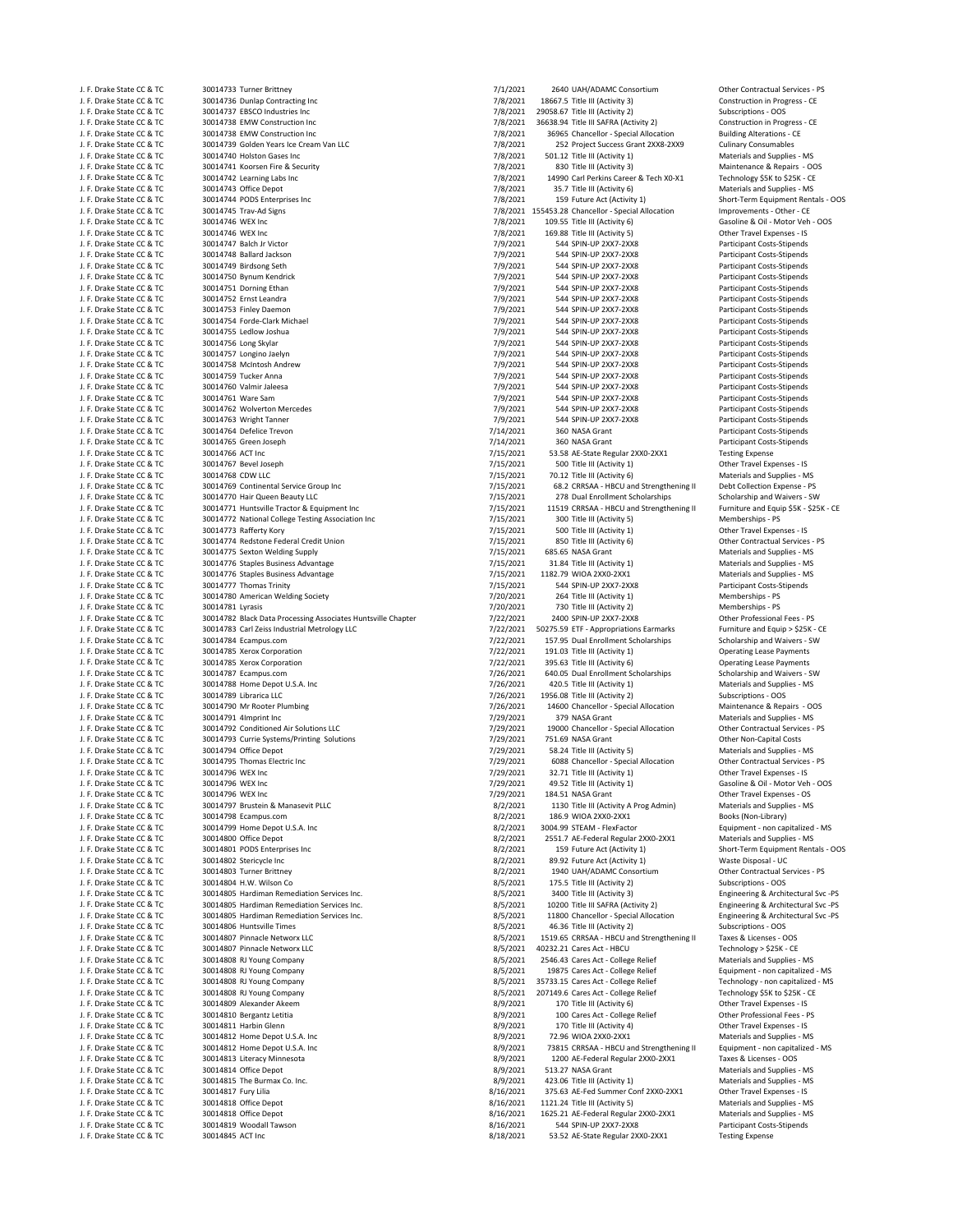30014740 Holston Gases Inc 30014776 Staples Business Advantage 30014788 Home Depot U.S.A. Inc J. F. Drake State CC & TC 30014793 Currie Systems/Printing Solutions 7/29/2021 751.69 NASA Grant (1.5) J. P. Drake State CC & TC 30014794 Office Depot J. F. Drake State CC & TC 30014808 RJ Young Company 6 and the state of the state State State College Relief Tech<br>1. F. Drake State CC & TC 30014808 RJ Young Company 6 and capitalized as the management of the State College J. F. Drake State CC & TC 30014811 Harbin Glenn 8/9/2021 170 Title III (Activity 4) Other Travel Expenses ‐ IS

J. F. Drake State CC & TC 30014733 Turner Brittney 7. The Conservation of the Contractual Services - PS 71/2021 2640 UAH/ADAMC Consortium Other Contractual Services - PS 7. Parameters - PS 7. Parameters - PS 7. Parameters J. F. Drake State CC & TC 30014736 Dunlap Contracting Inc 7 and the State Construction in Progress - CE 30014737 EBSCO Industries Inc 7/8/2021 19058.67 Title III (Activity 3) Construction in Progress - CE 30014737 EBSCO In J. F. Drake State CC & TC 30014737 EBSCO Industries Inc and the state of the contract of the CC & TC 30014738 EMW Construction Inc and the CC & TC 30014738 EMW Construction Inc and the CC & TC 30014738 EMW Construction In J. F. Drake State CC & TC 30014738 EMW Construction Inc 7/8/2021 36638.94 Title III SAFRA (Activity 2) Construction in Progress ‐ CE J. F. Drake State CC & TC 30014738 EMW Construction Inc 7/8/2021 36965 Chancellor – Special Allocation Building Alterations – C<br>J. F. Drake State CC & TC 30014739 Golden Years Ice Cream Van LLC 7/8/2021 252 Project Success J. F. Drake State CC & TC 30014739 Golden Years Ice Cream Van LLC 7/8/2021 252 Project Success Grant 2XX8-2XX9 Culinary Consumables<br>J. F. Drake State CC & TC 30014740 Holston Gases Inc Cream Van LLC 7/8/2021 501.12 Title I J. F. Drake State CC & TC 30014741 Koorsen Fire & Security 7 198/2021 7/8/2021 830 Title III (Activity 3) Maintenance & Repairs - OOS<br>J. F. Drake State CC & TC 30014742 Learning Labs Inc 1997 1998 7/8/2021 1999 Carl Perkin J. F. Drake State CC & TC 30014742 Learning Labs Inc 7/8/2021 14990 Carl Perkins Career & Tech X0−X1<br>J. F. Drake State CC & TC 30014743 Office Depot<br>J. F. Drake State CC & TC 30014743 Office Depot J. F. Drake State CC & TC 30014743 Office Depot<br>J. F. Drake State CC & TC 30014744 PODS Enterprises Inc and Supplies Formulation of the Materials and Supplies – MS 2021 35.7 Title III (Activity 6) Materials and Supplies - J. F. Drake State CC & TC 30014744 PODS Enterprises Inc 7 And the State COS 7/8/2021 159 Future Act (Activity 1) Short-Term Equipment Rentals - OOS<br>J. F. Drake State CC & TC 30014745 Trav-Ad Signs 6 1989 1999 1999 1999 199 J. F. Drake State CC & TC 30014745 Trav←Ad Signs 7/8/2021 155453.28 Chancellor ← Special Allocation Improvements<br>J. F. Drake State CC & TC 30014745 Trav←Ad Signs 7/8/2021 1155453.28 Chancellor ← Special Allocation Improve J. F. Drake State CC & TC 30014746 WEX Inc 7 and the contract of the contract of the contract of the contract of the contract of the contract of the contract of the contract of the contract of the contract of the contract 169.88 Title III (Activity 5) J. F. Drake State CC & TC 30014747 Balch Jr Victor 7. The State Costs-Stipends (19/2021 544 SPIN-UP 2XX7-2XX8 Participant Costs-Stipends<br>J. F. Drake State CC & TC 30014748 Ballard Jackson 7. The State Costs Stipends (19/20 J. F. Drake State CC & TC 30014748 Ballard Jackson 7. 1992021 544 SPIN‐UP 2XX7‐2XX8 Participant Costs‐Stipends<br>J. F. Drake State CC & TC 30014749 Birdsong Seth 7/9/2021 544 SPIN‐UP 2XX7‐2XX8 Participant Costs‐Stipends J. F. Drake State CC & TC 30014749 Birdsong Seth 7/9/2021 544 SPIN‐UP 2XX7‐2XX8 Participant Costs‐Stipends J. F. Drake State CC & TC 30014750 Bynum Kendrick 7/9/2021 544 SPIN-UP 2XX7-2XX8 Participant Costs-Stipends J. F. Drake State CC & TC 30014751 Dorning Ethan 7/9/2021 544 SPIN‐UP 2XX7‐2XX8 Participant Costs‐Stipends J. 544 SPIN-UP 2XX7-2XX8 Participant Costs-Stipends<br>1/9/2021 544 SPIN-UP 2XX7-2XX8 Participant Costs-Stipends J. F. Drake State CC & TC 30014753 Finley Daemon 7/9/2021 544 SPIN‐UP 2XX7‐2XX8 Participant Costs‐Stipends J. F. Drake State CC & TC 30014754 Forde‐Clark Michael 7/9/2021 544 SPIN‐UP 2XX7‐2XX8 Participant Costs‐Stipends J. F. Drake State CC & TC 30014755 Ledlow Joshua 7/9/2021 544 SPIN‐UP 2XX7‐2XX8 Participant Costs‐Stipends J. F. Drake State CC & TC 30014756 Long Skylar 7/9/2021 544 SPIN‐UP 2XX7‐2XX8 Participant Costs‐Stipends J. F. Drake State CC & TC 30014757 Longino Jaelyn 7. The Control of the Cost of the Costs-Stipends of the Costs-Stipends of the Costs-Stipends of the Costs-Stipends of the Costs-Stipends of the Costs-Stipends of the Costs-الساب المسابرة المسابرة المسابرة المسابرة المسابرة والمسابرة المسابرة المسابرة المسابرة المسابرة المسابرة المسابرة<br>1. F. Drake State CC & TC 30014759 Turker Anna و 19/021 544 SPIN‐UP 2XX7‐2XX8 Participant Costs‐Stipends J. F. Drake State CC & TC 30014759 Tucker Anna 7/9/2021 544 SPIN‐UP 2XX7‐2XX8 Participant Costs‐Stipends J. F. Drake State CC & TC 30014760 Valmir Jaleesa 7/9/2021 544 SPIN‐UP 2XX7‐2XX8 Participant Costs‐Stipends J. F. Drake State CC & TC 30014761 Ware Sam 7/9/2021 544 SPIN‐UP 2XX7‐2XX8 Participant Costs‐Stipends J. F. Drake State CC & TC 30014762 Wolverton Mercedes 7/9/2021 544 SPIN‐UP 2XX7‐2XX8 Participant Costs‐Stipends J. F. Drake State CC & TC 30014763 Wright Tanner 7/9/2021 544 SPIN‐UP 2XX7‐2XX8 Participant Costs‐Stipends J. F. Drake State CC & TC 30014764 Defelice Trevon 30014764 Defelice Trevon 7/14/2021 360 NASA Grant Participant Costs-Stipends<br>J. F. Drake State CC & TC 30014765 Green Joseph 30014765 (September 2002) 2002 114/2021 360 NA J. F. Drake State CC & TC 30014765 Green Joseph 7/14/2021 360 NASA Grant Participant Costs‐Stipends J. F. Drake State CC & TC 30014766 ACT Inc 7/15/2021 53.58 AE‐State Regular 2XX0‐2XX1 Testing Expense J. F. Drake State CC & TC 30014767 Bevel Joseph 7/15/2021 500 Title III (Activity 1) Other Travel Expenses - IS<br>J. F. Drake State CC & TC 30014768 CDW LLC 30014768 CDW LLC 7/15/2021 70.12 Title III (Activity 6) Materials a J. F. Drake State CC & TC 30014768 CDW LLC<br>J. F. Drake State CC & TC 30014769 Continental Service Group Inc and Supplies 1000 and State State Are and Strengthening II Debt Collection Expense - PS 1. J. Drake State CC & TC and Strengthening II Debt Collection Expense → PS (2. CRRSAA ← HBCU and Strengthening II Debt Collection Expense → PS (2. CRRSAA ← HBCU and Strengthening II Debt Collection Expense ← PS (2. CRR J. F. Drake State CC & TC 30014770 Hair Queen Beauty LLC 7/15/2021 278 Dual Enrollment Scholarships Scholarships Scholarship and Waivers - SW<br>J. F. Drake State CC & TC 30014771 Huntsville Tractor & Equipment Inc 7/15/2021  $\frac{7}{15}$   $\frac{7}{2021}$  11519 CRRSAA - HBCU and Strengthening II<br> $\frac{7}{15}$  7/15/2021 300 Title III (Activity 5) J. F. Drake State CC & TC 30014772 National College Testing Association Inc 7/15/2021 300 Title III (Activity 5) Memberships ‐ PS (1990) Memberships ‐ PS (1990) Memberships ‐ PS (1990) Memberships ‐ PS (1990) Memberships ‐ J. F. Drake State CC & TC 30014773 Rafferty Kory 7/15/2021 500 Title III (Activity 1) Other Travel Expenses ‐ IS J. F. Drake State CC & TC 30014774 Redstone Federal Credit Union 71 minutes and the material Services of The Union 7/15/2021 850 Title III (Activity 6) Other Contractual Services - 30014775 Sexton Welding Supply and Suppli J. F. Drake State CC & TC 30014775 Sexton Welding Supply 7/15/2021 685.65 NASA Grant Materials and Supplies ‐ MS J. F. Drake State CC & TC 30014776 Staples Business Advantage and the materials and Supplies - MS (115/2021 31.84 Title III (Activity 1) Materials and Supplies - MS (115/2021 1182.79 WIOA 2XX0-2XX1 Materials and Supplies -J. F. Drake State CC & TC 30014777 Thomas Trinity 7. Thomas Trinity 7/15/2021 544 SPIN‐UP 2XX7‐2XX8 Participant Costs‐Stipends J. F. Drake State CC & TC 30014780 American Welding Society **7/2010** 7/20/2021 264 Title III (Activity 1) Memberships - PS<br>1. F. Drake State CC & TC 30014781 Lyrasis 1998 1999 1999 1999 1999 7/20/2021 730 Title III (Activi J. F. Drake State CC & TC 30014781 Lyrasis 7/20/2021 730 Title III (Activity 2)<br>J. F. Drake State CC & TC 30014782 Black Data Processing Associates Huntsville Chapter 7/22/20 J. F. Drake State CC & TC 30014783 Carl Zeiss Industrial Metrology LLC 7/22/2021 50275.59 ETF - Appropriations Earmarks Furniture and Equip > \$25K - CE<br>J. F. Drake State CC & TC 30014784 Ecampus.com Compussion 6001727/2021 J. F. Drake State CC & TC 30014784 Ecampus.com 7/22/2021 157.95 Dual Enrollment Scholarships Scholarship and Waivers - SW<br>J. F. Drake State CC & TC 30014785 Xerox Corporation 7/22/2021 191.03 Title III (Activity 1) Operati J. F. Drake State CC & TC 30014785 Xerox Corporation 7/22/2021 191.03 Title III (Activity 1) Operating Lease Payments J. F. Drake State CC & TC 30014785 Xerox Corporation 1995. The UNITED 1995.63 Title III (Activity 6) Operating Lease Payments<br>1. F. Drake State CC & TC 30014787 Ecampus.com 1997. The UNITED 1997.021 640.05 Dual Enrollment J. F. Drake State CC & TC 30014787 Ecampus.com 7. Com 7. Example 1. F. Drake State CC & TC 30014787 Ecampus.com<br>J. F. Drake State CC & TC 30014788 Home Depot U.S.A. Inc 3. The State State of the State State CC & TC 3001478 J. F. Drake State CC & TC 30014789 Librarica LLC 7/26/2011 1956.08 Title III (Activity 2) Subscriptions - OOS<br>J. F. Drake State CC & TC 30014790 Mr Rooter Plumbing 1986 1987 1987 1988 2020 1989 2020 14600 Chancellor - Spec J. F. Drake State CC & TC 30014790 Mr Rooter Plumbing 71 magazine 3000 114600 Chancellor - Special Allocation Maintenance & Repairs - OC 30014790 Mr Rooter Plumbing 71 magazine 30014791 14600 Chancellor - Special Allocatio J. F. Drake State CC & TC 30014791 4Imprint Inc 7/29 100 100 1000 1000 2000 1000 1000 2000 2000 379 NASA Grant Materials and Supplies - MS J. F. Drake State CC & TC 30014792 Conditioned Air Solutions LLC 5 1992 1992021 19000 Chancellor - Special Allocation Other Contractual Services - PS<br>J. F. Drake State CC & TC 30014793 Currie Systems/Printing Solutions 199 J. F. Drake State CC & TC 30014794 Office Depot 7/29/2021 58.24 Title III (Activity 5) Materials and Supplies ‐ MS J. F. Drake State CC & TC 30014795 Thomas Electric Inc 7/29/201 6088 Chancellor – Special Allocation (1.5 Prake State CC & TC 30014796 WEX Inc 7/29/201 7/29/2021 32.71 Title III (Activity 1) J. F. Drake State CC & TC 30014796 WEX Inc 7/29/2021 32.71 Title III (Activity 1) Other Travel Expenses ‐ IS J. F. Drake State CC & TC 30014796 WEX Inc 7/29/2021 184.51 NASA Grant Other Travel Expenses ‐ OS J. F. Drake State CC & TC 30014797 Brustein & Manasevit PLLC and Supplies and Supplies - MS 3/2/2021 1130 Title III (Activity A Prog Admin) Materials and Supplies - MS 3/2/2021 1130 Title III (Activity A Prog Admin) Materi J. F. Drake State CC & TC 30014798 Ecampus.com<br>J. F. Drake State CC & TC 30014798 Home Depot US A Joc Band Communication of the State of State CC & TC 30014<br>J. F. Drake State CC & TC 30014799 Home Depot US A Joc Band Commu J. F. Drake State CC & TC 30014799 Home Depot U.S.A. Inc 8/2/2021 3004.99 STEAM - FlexFactor Equipment - non capitalized - MS J. F. Drake State CC & TC 30014800 Office Depot 8/2/2021 2551.7 AE‐Federal Regular 2XX0‐2XX1 Materials and Supplies ‐ MS J. F. Drake State CC & TC 30014801 PODS Enterprises Inc and the State Control of State Control and State COS State COS<br>J. F. Drake State CC & TC 30014802 Stericycle Inc and State Discovery State Discovery State COS 3092 Fu J. F. Drake State CC & TC 30014802 Stericycle Inc 300014802 Stericycle Inc 8/2/2021 89.92 Future Act (Activity 1) Waste Disposal - UC & TC 30014803 Turner Brittney 30 Steric 8/2/2021 8/2/2021 1940 UAH/ADAMC Consortium Othe J. F. Drake State CC & TC 30014803 Turner Brittney entitled by the Contractual Service in the Contractual Services and State CC & TC 30014804 Turner Brittney entitled by the Contractual Services and Subscriptions - OOS 8/5 J. F. Drake State Company, State Company, State Company, State Company, Subscriptions Company, Subscriptions Compa<br>J. Subscriptions and Company of Company, State Company, State Company, State Company, State Company, State J. F. Drake State CC & TC 30014805 Hardiman Remediation Services Inc. 
8/5/2021 3400 Title III (Activity 3) Engineering & Architectural Svc -PS<br>1999 J. F. Drake State CC & TC 30014805 Hardiman Remediation Services Inc. (19 J. F. Drake State CC & TC 30014805 Hardiman Remediation Services Inc. The State Communication Services Inc. Activity 2) The SAFRA (Activity 2) The Engineering & Architectural Svc -PS<br>J. F. Drake State CC & TC 30014805 Hard J. F. Drake State CC & TC 30014805 Hardiman Remediation Services Inc. 6. The State CC & TC 30014805 Hardiman Remediation Services Inc. 8/5/2021 11800 Chancellor - Special Allocation Engineering & Architectural Subscription J. F. Drake State CC & TC 30014806 Huntsville Times 8/5/2021 46.36 Title III (Activity 2) Subscriptions - OOS<br>J. F. Drake State CC & TC 30014807 Pinnacle Networx LLC 8/5/2021 46.36 Title III (Activity 2) Subscriptions - OO J. F. Drake State CC & TC 30014807 Pinnacle Networx LLC and Strengthening II Taxes & Licenses - OOS 3/5/2021 1519.65 CRRSAA - HBCU and Strengthening II Taxes & Licenses - OOS 3/5/2021 1519.65 CRRSAA - HBCU and Strengthenin J. F. Drake State CC & TC 30014807 Pinnacle Networx LLC and the State Communication of State State Act – HBCU Technology > \$25K - CE 30014808 RJ Young Company and State Communication of State Act 8/5/2021 2546.43 Cares Act 2546.43 Cares Act - College Relief J. F. Drake State CC & TC 30014808 RJ Young Company and the State College Relief Equipment – non capitalized ‐ MS (S/2021 19875 Cares Act - College Relief Equipment – non capitalized ‐ MS (S/2021 19875 Cares Act - College J. F. Drake State CC & TC 30014808 RJ Young Company and the state of the Substitute of State State College Relief Technology \$5K to \$25K - CE<br>J. F. Drake State CC & TC 30014809 Alexander Akeem and the state of the Substitu J. F. Drake State CC & TC 30014809 Alexander Akeem 3. The State Communication of the State State State CC & TC<br>J. F. Drake State CC & TC 30014810 Bergantz Letitia 3. The State Communication of the Professional Fees - Profe J. F. Drake State CC & TC 30014810 Bergantz Letitia and the state of the state of the State College Relief and the State College Relief College Relief College Relief College Relief College Relief College Relief College Re J. F. Drake State CC & TC 30014812 Home Depot U.S.A. Inc and Supplies - MS and Supplies - MS and Supplies - MS<br>J. F. Drake State CC & TC 30014812 Home Depot U.S.A. Inc 8/9/2021 73815 CRRSAA - HBCU and Strengthening II Equi J. F. Drake State CC & TC 30014812 Home Depot U.S.A. Inc 30014812 Home Depot U.S.A. Inc 8/9/2021 73815 CRRSAA - HBCU and Strengthening II Equipment - non capital<br>1. F. Drake State CC & TC 30014813 Literacy Minnesota 100 AC 1200 AE-Federal Regular 2XX0-2XX1 J. F. Drake State CC & TC 30014814 Office Depot<br>J. F. Drake State CC & TC 30014815 The Burmax Co. Inc. The Supplies - MS 8/9/2021 423.06 Title III (Activity 1) J. F. Drake State CC & TC 30014815 The Burmax Co. Inc. 8/9/2021 423.06 Title III (Activity 1) Materials and Supplies ‐ MS J. F. Drake State CC & TC 30014817 Fury Lilia 8/16/2021 375.63 AE-Fed Summer Conf 2XX0-2XX1 Other Travel Expenses - IS<br>1. F. Drake State CC & TC 30014818 Office Depot Conference Conference Conference Conference - Materials J. F. Drake State CC & TC 30014818 Office Depot 8/16/2021 1121.24 Title III (Activity 5) Materials and Supplies ‐ MS J. F. Drake State CC & TC 30014818 Office Depot<br>J. F. Drake State CC & TC 30014819 Woodall Tawson 8/16/2021 544 SPIN-UP 2XX7-2XX8 Participant Costs-Stipends J. F. Drake State CC & TC 30014819 Woodall Tawson 8/16/2021 544 SPIN‐UP 2XX7‐2XX8 Participant Costs<br>J. F. Drake State CC & TC 30014845 ACT Inc serves and the State State Serves (State State Regular 2XX0‐2XX1 Testing Expens 53.52 AE-State Regular 2XX0-2XX1

Gasoline & Oil - Motor Veh - OOS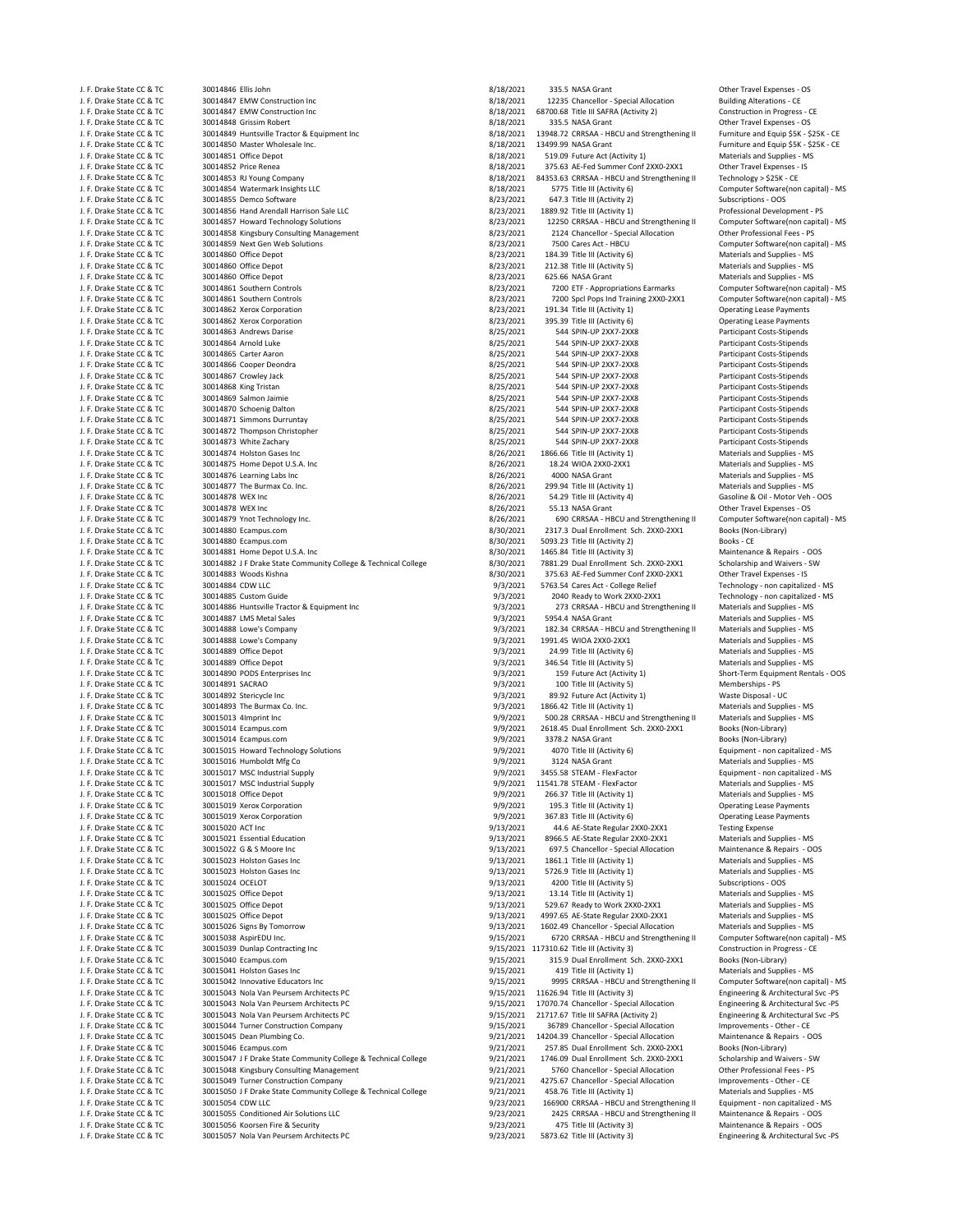J. F. Drake State CC & TC 30014847 EMW Construction Inc and the Construction Construction Inc and State State CC & TC 30014847 EMW Construction Inc and State CC & TC 30014847 EMW Construction Inc and State CO & TC 30014847 J. F. Drake State CC & TC 30014847 EMW Construction Inc 8/18/2021 68700.68 Title III SAFRA (Activity 2) Construction inc 8/18/2021 68700.68 Title III SAFRA (Activity 2) Construction in Progress and Progress and Progress an J. F. Drake State CC & TC 30014848 Grissim Robert 6. 1999 and the Travel Expenses - OS 31.5 NASA Grant 2011 20<br>J. F. Drake State CC & TC 30014849 Huntsville Tractor & Equipment Inc 30014849 Huntsville Tractor & Equipment I J. F. Drake State CC & TC 30014849 Huntsville Tractor & Equipment Inc 8/18/2021 13948.72 CRRSAA - HBCU and Strengthening II S. Drake State CC & TC 30014850 Master Wholesale Inc. 86 and Equipment inc 8/18/2021 13499.99 NASA J. F. Drake State CC & TC 30014850 Master Wholesale Inc. 8. The State COM COM SATE COM SATE STATES AND STATES A<br>J. F. Drake State CC & TC 30014851 Office Depot State Component Component State Component Activity 1 (Activity J. F. Drake State CC & TC 30014852 Price Renea 8/18/2021 375.63 AE-Fed Summer Conf 2XX0-2XX1 Other Travel Expenses - IS<br>3/18/2021 84353.63 CRRSAA - HBCU and Strengthening II Technology > \$25X - CE J. F. Drake State CC & TC 30014853 RJ Young Company 8/18/2021 84353.63 CRRSAA - HBCU and Strengthening II<br>J. F. Drake State CC & TC 30014854 Watermark Insights LLC 8 8/18/2021 84353.63 CRRSAA - HBCU and Strengthening II<br>J. J. F. Drake State CC & TC 30014854 Watermark Insights LLC and the state of the Software Software Software(non capital) - MS 3/18/2021 5775 Title III (Activity 6) Computer Software(non capital) - MS 3/18/2021 5775 Title III J. F. Drake State CC & TC 30014855 Demco Software 8/23/2021 647.3 Title III (Activity 2) Subscriptions - OOS J. F. Drake State CC & TC 30014856 Hand Arendall Harrison Sale LLC 8/23/2021 1889.92 Title III (Activity 1) Professional Development ‐ PS J. F. Drake State CC & TC 30014857 Howard Technology Solutions 8/23/2021 12250 CRRSAA • HBCU and Strengthening II Computer Software(non capital) and Strengthening II Computer Software(non capital) is a material of the MS a 30014858 Kingsbury Consulting Management J. F. Drake State CC & TC 30014859 Next Gen Web Solutions 8/23/2021 8/23/2021 7500 Cares Act - HBCU Computer Software(non capital) - MS<br>1999 - J. F. Drake State CC & TC 30014860 Office Depot J. F. Drake State CC & TC 30014860 Office Depot and Supplies (State of the State of State of State of State of State of State of State of State of State of State of State of State of State of State of State of State of Sta J. F. Drake State CC & TC 30014860 Office Depot 8/23/2021 212.38 Title III (Activity 5) Materials and Supplies ‐ MS J. F. Drake State CC & TC 30014860 Office Depot 80001 Materials and Supplies - MS (25.66 NASA Grant Materials and Supplies - MS (25.66 NASA Grant Materials and Supplies - MS (25.66 NASA Grant Materials and Supplies - MS (2 J. F. Drake State CC & TC = 1. The State COM State Computer Software(non capital) - MS<br>J. F. Drake State CC & TC 30014861 Southern Controls = 1. The State Computer Software Software(non capital) - MS<br>J. F. Drake State CC J. F. Drake State CC & TC 30014862 Xerox Corporation 8/23/2021 191.34 Title III (Activity 1) Operating Lease Payments J. F. Drake State CC & TC 30014862 Xerox Corporation 6 and 10 and 10 and 13023/2021 395.39 Title III (Activity 6) (Activity 6) (Besset of Activity 6) operation 8/25/2021 544 SPIN-UP 2XX7-2XX8 J. F. Drake State CC & TC 30014863 Andrews Darise 8/25/2021 544 SPIN‐UP 2XX7‐2XX8 Participant Costs‐Stipends J. F. Drake State CC & TC 30014864 Arnold Luke 8/25/2021 544 SPIN‐UP 2XX7‐2XX8 Participant Costs‐Stipends J. F. Drake State CC & TC 30014865 Carter Aaron 8. Examples and the state of the state of the state of the state of the state of the state of the state of the state of the state of the state of the state of the state of th J. F. Drake State CC & TC 30014866 Cooper Deondra 8/25/2021 544 SPIN‐UP 2XX7‐2XX8 Participant Costs‐Stipends J. F. Drake State CC & TC 30014867 Crowley Jack 8/25/2021 544 SPIN‐UP 2XX7‐2XX8 Participant Costs‐Stipends J. F. Drake State CC & TC 30014868 King Tristan 8/25/2021 544 SPIN‐UP 2XX7‐2XX8 Participant Costs‐Stipends J. F. Drake State CC & TC 30014869 Salmon Jaimie 8/25/2021 544 SPIN‐UP 2XX7‐2XX8 Participant Costs‐Stipends<br>J. F. Drake State CC & TC 30014870 Schoenig Dalton 8/25/201 544 SPIN‐UP 2XX7‐2XX8 Participant Costs‐Stipends J. F. Drake State CC & TC 30014870 Schoenig Dalton 8/25/2021 544 SPIN‐UP 2XX7‐2XX8 Participant Costs‐Stipends J. F. Drake State CC & TC 30014871 Simmons Durruntay 8/25/2021 544 SPIN‐UP 2XX7‐2XX8 Participant Costs‐Stipends J. F. Drake State CC & TC 30014872 Thompson Christopher 8/25/2021 544 SPIN‐UP 2XX7‐2XX8 Participant Costs‐Stipends<br>J. F. Drake State CC & TC 30014873 White Zachary Strahary 8/25/2021 544 SPIN‐UP 2XX7‐2XX8 Participant Costs J. F. Drake State CC & TC 30014873 White Zachary 8/25/2021 8/25/2021 544 SPIN‐UP 2XX7‐2XX8 Participant Costs‐Stipends J. F. Drake State CC & TC 30014874 Holston Gases Inc 8/26/2021 1866.66 Title III (Activity 1) Materials and Supplies ‐ MS J. F. Drake State CC & TC 30014875 Home Depot U.S.A. Inc and the state of the state of the state of the state of the state of the state of the state of the state of the state of the state of the state of the state of the J. F. Drake State CC & TC 30014876 Learning Labs Inc 8/26/2021 4000 NASA Grant Materials and Supplies ‐ MS J. F. Drake State CC & TC 30014877 The Burmax Co. Inc. 8/26/2021 299.94 Title III (Activity 1)<br>J. F. Drake State CC & TC 30014878 WEX Inc. 8/26/2021 299.94 Title III (Activity 1)<br>J. F. Drake State CC & TC 30014878 WEX Inc J. F. Drake State CC & TC 30014878 WEX Inc 8/26/2021 54.29 Title III (Activity 4) Gasoline & Oil ‐ Motor Veh ‐ OOS J. F. Drake State CC & TC 30014879 Ynot Technology Inc. COM States Computer Software(non capital) - MS 30/2021 690 CRRSAA - HBCU and Strengthening II Computer Software(non capital) - MS<br>J. F. Drake State CC & TC 30014880 E J. F. Drake State CC & TC 30014880 Ecampus.com 8/30/2021 2317.3 Dual Enrollment Sch. 2XX0‐2XX1 Books (Non<br>1. F. Drake State CC & TC 30014880 Fcampus.com 8/30/201 8/30/2021 5093.23 Title III (Activity 2) Books - CF J. F. Drake State CC & TC 30014880 Ecampus.com 6. And the State of State 11 (Activity 2) Books - CE J. F. Drake State CC & TC 30014881 Home Depot U.S.A. Inc 3003 and the state Community College 3/30/2021 1465.84 Title III (Activity 3) Maintenance & Repairs - OOS<br>1. F. Drake State CC & TC 30014882 J F Drake State Communit J. F. Drake State CC & TC 30014882 J F Drake State Community College & Technical College 8/30/2021 7881.29 Dual Enrollment Sch. 2XX0‐2XX1 Scholarship and Waivers ‐ SW J. F. Drake State CC & TC 30014884 CDW LLC 9/3/2011 5763.54 Cares Act - College Relief Technology - non capitalized - MS<br>J. F. Drake State CC & TC 30014885 Custom Guide 1992 Cares Act 2010 Ready to Work 2004 Ready to Work J. F. Drake State CC & TC 30014885 Custom Guide by the State of Custom Custom Capitalized - MS 3/3/2021 2040 Ready to Work 2XX0‐2XX1 Technology ‐ non capitalized ‐ MS<br>J. F. Drake State CC & TC 30014886 Huntsville Tractor & J. F. Drake State CC & TC 30014886 Huntsville Tractor & Equipment Inc 9/3/2021 273 CRRSAA ‐ HBCU and Strengthening II Materials and Supplies ‐ MS J. F. Drake State CC & TC 30014887 LMS Metal Sales 9/3/2021 99/3/2021 5954.4 NASA Grant Materials and Supplies - MS J. F. Drake State CC & TC 30014888 Lowe's Company 9/3/2021 182.34 CRRSAA - HBCU and Strengthening II Materials and Supplies - MS . MS . And The State CC & TC 30014888 Lowe's Company 9/3/2021 182.34 CRRSAA - HBCU and Streng J. F. Drake State CC & TC 30014888 Lowe's Company 9/3/2021 1991.45 WIOA 2XX0-2XX1 Materials and Supplies - MS<br>J. F. Drake State CC & TC 30014889 Office Depot J. F. Drake State CC & TC 30014889 Office Depot Case of the State CC & TC 30014889 Office Depot Case of the St<br>J. F. Drake State CC & TC 30014889 Office Depot Case of the State of the State of 1,20021 346.54 Title III (Act J. F. Drake State CC & TC 30014889 Office Depot<br>
1. F. Drake State CC & TC 30014890 PODS Enterprises Inc and Supplies ← MS 3/3/2021 346.54 Title III (Activity 5) Materials and Supplies - MS 3/3/2021 59 Future Act (Activit J. F. Drake State CC & TC 30014890 PODS Enterprises Inc and the State Control of the State CC & TC 30014890 PODS Enterprises Inc 30014891 Short‐Term Equipment Rentals - OOS<br>J. F. Drake State CC & TC 30014891 SACRAO 3001489 J. F. Drake State CC & TC 30014891 SACRAO 9/3/2021 100 Title III (Activity 5) Memberships - PS J. F. Drake State CC & TC 30014892 Stericycle Inc 9/3/2021 89.92 Future Act (Activity 1) Waste Disposal - UC J<br>J. F. Drake State CC & TC 30014893 The Burmax Co. Inc. 1993 Company state and Supplies - MS of Activity 1, Mate J. F. Drake State CC & TC 30014893 The Burmax Co. Inc. 1992 the State of State of State of State State CC & TC<br>J. F. Drake State CC & TC 30015013 4Imprint Inc. 1992 the State of State of State of State of State Of Materia J. F. Drake State CC & TC 30015013 4Imprint Inc and the state of the state of the state of the state CC & TC 30015013 4Imprint Inc and Supplies and Supplies and Supplies and Supplies and Supplies and Supplies and Supplies J. F. Drake State CC & TC 30015014 Ecampus.com (1999) Provided a serve that the State State CC & TC 30015014 Ecampus.com (199/2021 2618.45 Dual Enrollment Sch. 2XX0‐2XX1 Books (Non-Library)<br>J. F. Drake State CC & TC 300150 J. F. Drake State CC & TC 30015014 Ecampus.com<br>J. F. Drake State CC & TC 30015015 Howard Technology Solutions and the state of 9/9/2021 4070 Title III (Activity 6) Equipment - non capitalized - MS J. F. Drake State CC & TC 30015015 Howard Technology Solutions 9/9/2021 4070 Title III (Activity 6) Equipment ‐ non capitalized ‐ MS J. F. Drake State CC & TC 30015016 Humboldt Mfg Co 9/9/2021 3124 NASA Grant Materials and Supplies - MS 9/9/2021 3124 NASA Grant J. F. Drake State CC & TC 30015017 MSC Industrial Supply 9/9/2021 3455.58 STEAM - FlexFactor FlexFactor Funderials and Supplies - MS<br>J. F. Drake State CC & TC 30015017 MSC Industrial Supply 9/9/2021 99/2021 11541.78 STEAM 1. Soothout State Condustrial Supply و9/9/2021 11541.78 STEAM - FlexFactor و Materials and Supplies - MS<br>1. Soothout Supplies - MS and Supplies - MS and Supplies - MS and Supplies - MS and Supplies - MS and Supplies J. F. Drake State CC & TC 30015018 Office Depot 9/9/2021 266.37 Title III (Activity 1) Materials and Supplies - MS J. F. Drake State CC & TC 30015019 Xerox Corporation 9/9/2021 195.3 Title III (Activity 1) Operating Lease Payments J. F. Drake State CC & TC 30015019 Xerox Corporation and the state of the State of the State State of the State State Operating Lease Payments 3.0015019 Xerox Corporation and the State State of the State State State State J. F. Drake State CC & TC 30015020 ACT Inc 30015020 ACT Inc 9/13/2021 9966.5 AE‐State Regular 2XX0‐2XX1 Testing Expense<br>J. F. Drake State CC & TC 30015021 Essential Education State Regular 2XX0‐2XX1 Materials and Supplies J. F. Drake State CC & TC 30015021 Essential Education 9/13/2021 8966.5 AE‐State Regular 2XX0‐2XX1 Materials and Supplies ‐ MS J. F. Drake State CC & TC 30015022 G & S Moore Inc 9/13/2021 99/13/2021 997.5 Chancellor - Special Allocation Maintenance & Repairs - O<br>J. F. Drake State CC & TC 30015023 Holston Gases Inc 9/13/2021 9/13/2021 1861.1 Title J. F. Drake State CC & TC 30015023 Holston Gases Inc 9/13/2021 1861.1 Title III (Activity 1) Materials and Supplies ‐ MS J. F. Drake State CC & TC 30015023 Holston Gases Inc and the state of the state of the state of the state CC & TC 30015023 Holston Gases Inc and Supplies - MS 3/13/2021 5726.9 Title III (Activity 1) Materials and Supplies J. F. Drake State CC & TC 30015025 Office Depot 6 1999 100 100 100 1000 113/2021 13.14 Title III (Activity 1) Materials and Supplies - MS<br>J. F. Drake State CC & TC 30015025 Office Depot 6 1999 100 1000 113/2021 529.67 Read J. F. Drake State CC & TC 30015025 Office Depot 6. Drage State Australia and Supplies - MS<br>J. F. Drake State CC & TC 30015025 Office Depot 6. Drage 1997.65 AE-State Regular 2XX0–2XX1 Materials and Supplies - MS J. F. Drake State CC & TC 30015025 Office Depot<br>
9/13/2021 1997.65 AE‐State Regular 2XX0‐2XX1 Materials and Supplies - MS<br>
9/13/2021 1602.49 Chancellor - Special Allocation Materials and Supplies - MS . MS . MS . MS . MS J. F. Drake State CC & TC 30015026 Signs By Tomorrow 9/13/2021 1602.49 Chancellor ‐ Special Allocation Materials and Supplies ‐ MS J. F. Drake State CC & TC 30015038 AspirEDU Inc. 9/15/2021 6720 CRRSAA ‐ HBCU and Strengthening II Computer Software(non capital) ‐ MS J. F. Drake State CC & TC 30015039 Dunlap Contracting Inc and the State CC & TC 30015039 Dunlap Construction in Progress and the State CC & TC 30015040 Ecampus.com Construction in Progress and State CC & TC 30015040 Ecampu J. F. Drake State CC & TC 30015041 Holston Gases Inc and Supplies - MS and Supplies - MS and Supplies - MS and Supplies - MS and Supplies - MS and Supplies - MS and Supplies - MS and Supplies - MS and Supplies - MS and Str J. F. Drake State CC & TC 30015042 Innovative Educators Inc and State COM and Strengthening Inc. And Strengthening Inc. 9995 CRRSAA - HBCU and Strengthening II Computer Software(non capital) - N<br>J. F. Drake State CC & TC 3 J. F. Drake State CC & TC 30015043 Nola Van Peursem Architects PC 19/15/2021 11626.94 Title III (Activity 3) Engineering & Architectural Svc -PS<br>J. F. Drake State CC & TC 30015043 Nola Van Peursem Architects PC 19/15/2021 J. F. Drake State CC & TC 30015043 Nola Van Peursem Architects PC (1990) of the State Care of 15/2021 17070.74 Chancellor - Special Allocation Engineering & Architectural Svc ‐ PS<br>J. F. Drake State CC & TC 30015043 Nola Va J. F. Drake State CC & TC 30015043 Nola Van Peursem Architects PC 30016043 Nola Van Peursem Architects PC 3001<br>J. F. Drake State CC & TC 30015044 Turner Construction Company 30 15/2021 36789 Chancellor - Special Allocation J. F. Drake State Construction Company 19/15/2021 36789 Chancellor ‐ Special Allocation Improvements ‐ Other ‐ CE<br>19/1/2021 14204.39 Chancellor ‐ Special Allocation Maintenance & Repairs ‐ OOS J. F. Drake State CC & TC 30015045 Dean Plumbing Co. 9/2001 1201/2021 14204.39 Chancellor - Special Allocation Maintenance & Repairs • Special Allocation Maintenance & Repairs • Special Allocation Maintenance & Repairs J. F. Drake State CC & TC 30015046 Ecampus.com<br>J. F. Drake State CC & TC 30015047 J F Drake State Community College & Technical College 9/21/2021 1746.09 Dual Enrollment Sch. 2XX0‐2XX1 Scholarship and Waivers - SW 30015047 J F Drake State Community College & Technical College J. F. Drake State CC & TC 30015048 Kingsbury Consulting Management and the state of the State State CC & TC 30015049 Turner Construction Company and State CC & TC 30015049 Turner Construction Company and State CC 30015049 J. F. Drake State CC & TC 30015049 Turner Construction Company and Superior Company 9/21/2021 4275.67 Chancellor - Special Allocation Improvements - Other - CE CE TO Superior CE CE TO Superior CE CE TO SUPER CE CE TO SUPER J. F. Drake State CC & TC 30015050 J F Drake State Community College & Technical College 9/21/2021 458.76 Title III (Activity 1) Materials and Supplies - MS<br>J. F. Drake State CC & TC 30015054 CDW LLC MUC CONDUCT 16900 CRRS J. F. Drake State CC & TC 30015054 CDW LLC 9/23/2021 166900 CRRSAA - HBCU and Strengthening II Equipment - non capitalized - MS<br>J. F. Drake State CC & TC 30015055 Conditioned Air Solutio

J. F. Drake State CC & TC 30014846 Ellis John 8/18/2021 335.5 NASA Grant Other Travel Expenses ‐ OS 519.09 Future Act (Activity 1)  $\frac{1}{2}$   $\frac{1}{23/2021}$   $\frac{1}{200}$  Spcl Pops Ind Training 2XX0-2XX1  $\frac{1}{202}$   $\frac{1}{201.34}$  Title III (Activity 1) J. S. 13 NASA Grant State COC & Travel Expenses - OS<br>1900 CRRSAA - HBCU and Strengthening II Computer Software(non car 375.63 AE-Fed Summer Conf 2XX0-2XX1 4200 Title III (Activity 5) 315.9 Dual Enrollment Sch. 2XX0-2XX1 J. F. Drake State CC & TC 30015056 Koorsen Fire & Security و 9/23/2021 475 Title III (Activity 3) Maintenance & Repairs - OOS<br>I. F. Drake State CC & TC 30015057 Nola Van Peursem Architects PC (3/3/2021 5873 67 Title III

Engineering & Architectural Svc -PS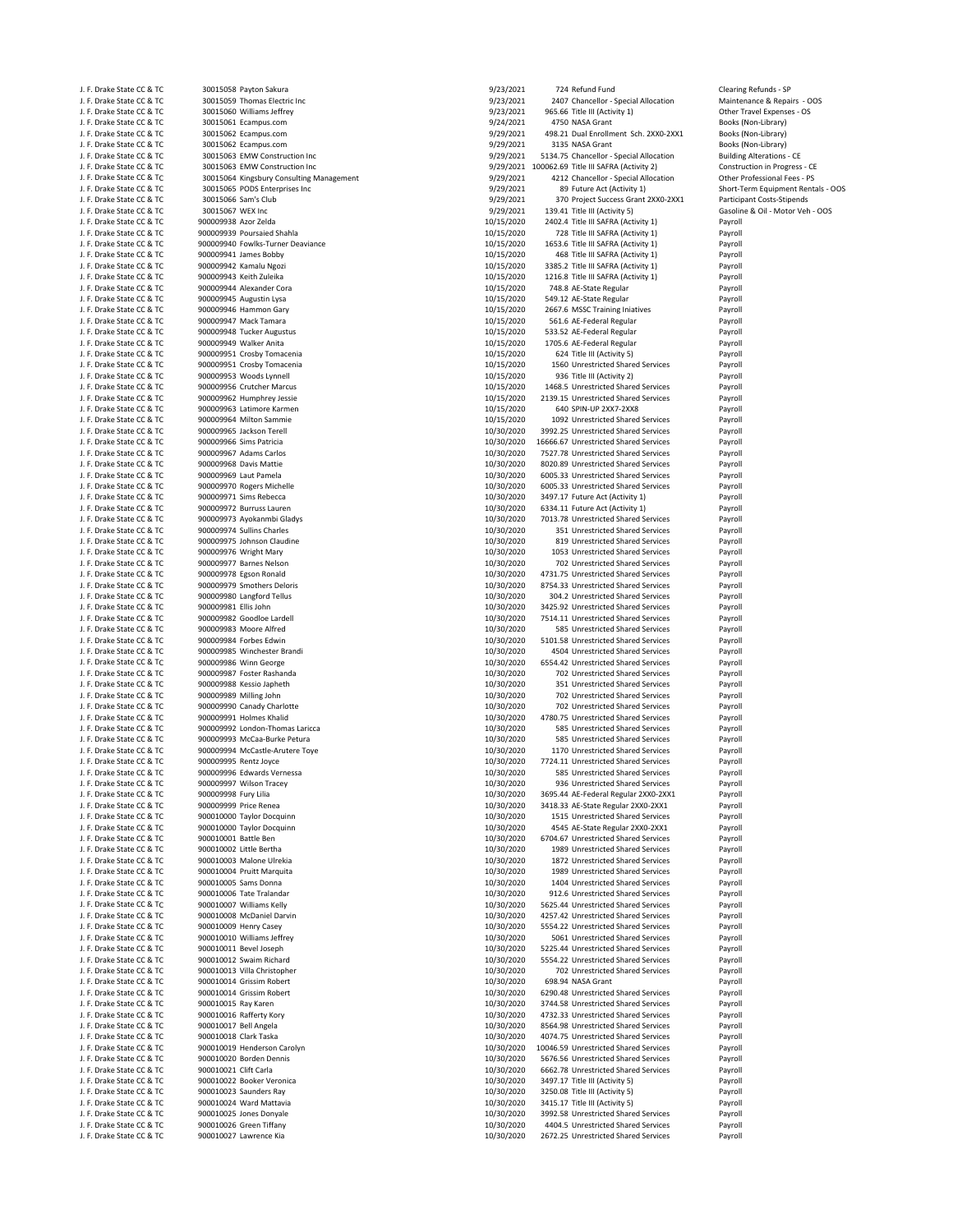900009945 Augustin Lysa J. F. Drake State CC & TC 900009948 Tucker Augustus 10/15/2020 533.52 AE‐Federal Regular Payroll J. J. F. Drake State Cock and State Cock and Services 200009994 McCastle-Arutere Toye 10/30/2020 10/30/2020 10<br>10/30/2020 1170 Unrestricted Shared Shared Shared Shared Shared Shared Shared Shared Shared Shared Shared Shar<br>

J. F. Drake State CC & TC 30015058 Payton Sakura 90 30015058 Payton Sakura 9/23/2021 724 Refund Fund Clearing Refunds - SP<br>1. F. Drake State CC & TC 30015059 Thomas Flectric Inc CC 300 Clearing Clearing Clearing Clearing C J. F. Drake State CC & TC 30015059 Thomas Electric Inc 9/23/201 2407 Chancellor – Special Allocation (1.6 Chancellor - Special Allocation Maintenance Brepairs 19/23/2021 2407 Chancellor – Special Allocation Maintenance Bre J. J. Drake State Cock and State Cock of the CC 30015060 Williams Jeffrey State COC 30015061 Expenses - OS<br>1991-1991 90015061 Expenses - OS 30015061 Expenses - OS 30015061 612016 9/24/2021 4750 NASA Grant J. F. Drake State CC & TC 30015061 Ecampus.com (1997) Provided a manufacture of the State State State CC & TC 30015061 Ecampus.com (1997) Provided a state CC & TC 30015062 Ecampus.com (1997) Provided a state CC & TC 300150 J. F. Drake State CC & TC 30015062 Ecampus.com 6. 1990 1990 19929/2021 498.21 Dual Enrollment Sch. 2XX0‐2XX1 Books (Non‐Library)<br>J. F. Drake State CC & TC 30015062 Ecampus.com 6. 1990 19929/2021 3135 NASA Grant 6. 1998 199 J. F. Drake State CC & TC 30015062 Ecampus.com 9/29/2021 3135 NASA Grant Books (Non‐Library) J. F. Drake State CC & TC 30015063 EMW Construction Inc 9/29/2021 5134.75 Chancellor ‐ Special Allocation Building Alterations ‐ CE J. F. Drake State CC & TC 30015063 EMW Construction Inc and the Construction Income of the U.S. Construction in Progress - CE 30015064 EMBLE CONSTRUCTION INCOMENT CONSTRUCTION INCOMENT SERVERS (2012) Construction in Progre J. F. Drake State CC & TC 30015064 Kingsbury Consulting Management 9/29/2021 4212 Chancellor - Special Allocation Other Professional Allocation Other Professional Fees and Consumer Consumer Consumer Consumer Consumer Consu J. F. Drake State CC & TC 30015065 PODS Enterprises Inc 30016 CONSERVENTING CONSERVENTING SHOTLER SHOP 9/29/2021 89 Future Act (Activity 1) Short-Term Equipment Rentals - OOS<br>1. F. Drake State CC & TC 30015066 Sam's Club 3 J. F. Drake State CC & TC 30015066 Sam's Club 9/29/2021 370 Project Success Grant 2XX0‐2XX1 3.99 Project Success Grant 2XX0‐2XX1 Participant Costs<br>9/29/2021 139.41 Title III (Activity 5) J. F. Drake State CC & TC 30015067 WEX Inc 3001 Motor Veh - OOS 3001 CHE (1992) D. P. Drake State CC & TC 3001<br>J. F. Drake State CC & TC 900009938 Azor Zelda 3. Sacros 2002 State 11 (Activity 1) D. Payroll Payroll Payroll J. F. Drake State CC & TC 900009938 Azor Zelda 10/15/2020 2402.4 Title III SAFRA (Activity 1)<br>1. F. Drake State CC & TC 900009939 Poursaied Shahla 10/15/2020 128 Title III SAFRA (Activity 1) 728 Title III SAFRA (Activity 1) Payroll J. F. Drake State CC & TC 900009940 Fowlks-Turner Deaviance 10/15/2010 1653.6 Title III SAFRA (Activity 1) Payroll<br>J. F. Drake State CC & TC 900009941 James Bobby 1986 Payroll 10/15/2020 468 Title III SAFRA (Activity 1) Pa J. F. Drake State CC & TC 900009941 James Bobby 10/15/2020 468 Title III SAFRA (Activity 1) Payroll 3385.2 Title III SAFRA (Activity 1) J. F. Drake State CC & TC 900009943 Keith Zuleika 10. 10. 10. 10. 10. 10. 10. 10. 1216.8 Title III SAFRA (Activity 1) Payroll Payroll Payroll Payroll Payroll Payroll Payroll Payroll Payroll Payroll Payroll Payroll Payroll J. F. Drake State CC & TC 900009944 Alexander Cora 10/15/2020 748.8 AE‐State Regular Payroll J. F. Drake State CC & TC 900009946 Hammon Gary 10 11 1015/2020 2667.6 MSSC Training Iniatives Payroll<br>J. F. Drake State CC & TC 900009947 Mack Tamara 10.15 10/15/2020 561.6 AE-Federal Regular 1. Payroll J. F. Drake State CC & TC 900009947 Mack Tamara 10.15/2020 561.6 AE-Federal Regular Payroll<br>J. F. Drake State CC & TC 900009948 Tucker Augustus 10/15/2020 533.52 AE-Federal Regular Payroll J. F. Drake State CC & TC 900009949 Walker Anita 10/15/2020 1705.6 AE‐Federal Regular Payroll J. F. Drake State CC & TC 900009951 Crosby Tomacenia 10.15/2020 10/15/2020 624 Title III (Activity 5) Payroll<br>J. F. Drake State CC & TC 900009951 Crosby Tomacenia 10.15/2020 10/15/2020 1560 Unrestricted Shared Services Pay J. F. Drake State CC & TC 300009951 Crosby Tomacenia 10/15/2020 1560 Unrestricted Shared Services 2014 Payroll<br>J. F. Drake State CC & TC 300009953 Woods Lynnell 10.15/2020 10/15/2020 1360 Title III (Activity 2) 2016 11: J. F. Drake State CC & TC 900009953 Woods Lynnell 10/15/2020 936 Title III (Activity 2) Payroll J. F. Drake State CC & TC 900009956 Crutcher Marcus 10/15/2020 1468.5 Unrestricted Shared Services Payroll J. F. Drake State CC & TC 900009962 Humphrey Jessie 10/15/2020 2139.15 Unrestricted Shared Services Payroll J. F. Drake State CC & TC 900009963 Latimore Karmen 10/15/2020 640 SPIN‐UP 2XX7‐2XX8 Payroll J. F. Drake State CC & TC 900009964 Milton Sammie 10.15/2020 1092 Unrestricted Shared Services 10/15/2020 1092<br>J. F. Drake State CC & TC 900009965 Jackson Terell 10/30/2020 1992.25 Unrestricted Shared Services 10/30/2020 J. F. Drake State CC & TC 900009965 Jackson Terell 10/30/2020 3992.25 Unrestricted Shared Services Payroll 10/30/2020 9992.25 Unrestricted Shared Services Payroll<br>1. E. Drake State CC & TC 900009966 Sims Patricia 10/30/201 J. F. Drake State CC & TC 900009966 Sims Patricia 10/30/2020 16666.67 Unrestricted Shared Services Payroll Shared Services Payroll Shared Services Payroll Shared Services Payroll Shared Services Payroll Shared Services Pay J. F. Drake State CC & TC 900009967 Adams Carlos 1997 10: 10/30/2020 7527.78 Unrestricted Shared Services Payroll<br>J. F. Drake State CC & TC 900009968 Davis Mattie 1997 1998 10/30/2020 8020.89 Unrestricted Shared Services P J. F. Drake State CC & TC 900009968 Davis Mattie 10/30/2020 8020.89 Unrestricted Shared Services Payroll J. F. Drake State CC & TC 900009969 Laut Pamela 10/30/2020 6005.33 Unrestricted Shared Services Payroll J. F. Drake State CC & TC 900009970 Rogers Michelle 10/30/2020 6005.33 Unrestricted Shared Services Payroll J. F. Drake State CC & TC 900009971 Sims Rebecca 10/30/2020 3497.17 Future Act (Activity 1) Payroll 6334.11 Future Act (Activity 1) Payroll J. F. Drake State CC & TC 900009973 Ayokanmbi Gladys 10.130 10/30/2020 7013.78 Unrestricted Shared Services Payroll<br>J. F. Drake State CC & TC 900009974 Sullins Charles 10/300 10/30/2020 351 Unrestricted Shared Services Pay J. F. Drake State CC & TC 300009974 Sullins Charles 10. 10/30/2020 351 Unrestricted Shared Services Payroll<br>J. F. Drake State CC & TC 300009975 Johnson Claudine 10. 10/30/2020 319 Unrestricted Shared Services Payroll J. F. Drake State CC & TC 900009975 Johnson Claudine 10/30/2020 819 Unrestricted Shared Services Payroll J. F. Drake State CC & TC 900009976 Wright Mary 10/30/2020 1053 Unrestricted Shared Services Payroll J. F. Drake State CC & TC 900009977 Barnes Nelson 10/30/2020 702 Unrestricted Shared Services Payroll 4731.75 Unrestricted Shared Services J. F. Drake State CC & TC 900009979 Smothers Deloris 10/30/2020 8754.33 Unrestricted Shared Services Payroll J. F. Drake State CC & TC 900009980 Langford Tellus 10.130 100 10/30/2020 304.2 Unrestricted Shared Services Payroll<br>J. F. Drake State CC & TC 900009981 Ellis John 11. Drake State 10/30/2020 3425.92 Unrestricted Shared Ser 3425.92 Unrestricted Shared Services J. F. Drake State CC & TC 900009982 Goodloe Lardell 10.1 10/30/2020 1514.11 Unrestricted Shared Services Payroll<br>J. F. Drake State CC & TC 900009983 Moore Alfred 10.1 10/30/2020 585 Unrestricted Shared Services Payroll Pay J. F. Drake State CC & TC 900009983 Moore Alfred 10.130 Moore and the Communication of the State Shared Services Alfred 10/30/2020 5101.58 Unrestricted Shared Services Payroll 1. F. Drake State CC & TC 900009984 Forbes Edw J. F. Drake State CC & TC 300009984 Forbes Edwin 10.1 10/30/2020 5101.58 Unrestricted Shared Services Payroll<br>J. F. Drake State CC & TC 300009985 Winchester Brandi 10/30/2020 4504 Unrestricted Shared Services Payroll J. F. Drake State CC & TC 900009985 Winchester Brandi 10 and 10/30/2020 4504 Unrestricted Shared Services Payroll 10/30/2020 4504 Unrestricted Shared Services Payroll 10/30/2020 6554.42 Unrestricted Shared Services Payroll J. F. Drake State CC & TC 900009986 Winn George 10/30/2020 6554.42 Unrestricted Shared Services Payroll J. F. Drake State CC & TC 900009987 Foster Rashanda 10/30/2020 702 Unrestricted Shared Services Payroll 351 Unrestricted Shared Services J. F. Drake State CC & TC 900009989 Milling John 10/30/2020 702 Unrestricted Shared Services Payroll J. F. Drake State CC & TC 900009990 Canady Charlotte 10 1030 100 10/30/2020 702 Unrestricted Shared Services Payroll<br>J. F. Drake State CC & TC 900009991 Holmes Khalid 100 10/300 10/30/2020 4780.75 Unrestricted Shared Servi J. F. Drake State CC & TC 900009991 Holmes Khalid 10.1 and 10/30/2020 4780.75 Unrestricted Shared Services Payroll 10/30/2020 4780.75 Unrestricted Shared Services Payroll 10/30/2020 585 Unrestricted Shared Services Payroll J. F. Drake State CC & TC 900009992 London-Thomas Laricca 10/3000 10/30/2020 585 Unrestricted Shared Services Payroll<br>J. F. Drake State CC & TC 900009993 McCaa-Burke Petura 10/300 10/30/2020 585 Unrestricted Shared Service J. F. Drake State CC & TC 900009993 McCaa‐Burke Petura 10/30/2020 585 Unrestricted Shared Services Payroll<br>J. F. Drake State CC & TC 900009994 McCastle-Arutere Toye 1990 10/30/2020 10/30/2020 1170 Unrestricted Shared Servi J. F. Drake State CC & TC 900009995 Rentz Joyce 10/30/2020 7724.11 Unrestricted Shared Services Payroll J. F. Drake State CC & TC 900009996 Edwards Vernessa 10/30/2020 585 Unrestricted Shared Services Payroll 936 Unrestricted Shared Services J. F. Drake State CC & TC 900009998 Fury Lilia 10/30/2020 3695.44 AE‐Federal Regular 2XX0‐2XX1 Payroll J. F. Drake State CC & TC 900009999 Price Renea 10/30/2020 3418.33 AE‐State Regular 2XX0‐2XX1 Payroll J. F. Drake State CC & TC 900010000 Taylor Docquinn 10/30/2020 1515 Unrestricted Shared Services Payroll J. F. Drake State CC & TC 900010000 Taylor Docquinn 10.1 10/30/2020 4545 AE‐State Regular 2XX0‐2XX1 Payroll Payroll Payroll Payroll Payroll Payroll Payroll Payroll Payroll Payroll Payroll Payroll Payroll Payroll Payroll Pa J. F. Drake State CC & TC 900010001 Battle Ben 10/30/2020 6704.67 Unrestricted Shared Services Payroll J. F. Drake State CC & TC 900010002 Little Bertha 10.1 10/30/2020 1989 Unrestricted Shared Services Payroll<br>J. F. Drake State CC & TC 900010003 Malone Ulrekia 10/30 10/30/2020 1872 Unrestricted Shared Services Payroll J. F. Drake State CC & TC 300010003 Malone Ulrekia 10/30/2020 1872 Unrestricted Shared Services 10/30/2020 1989 Unrestricted Shared Services Payroll Assembly Payroll 2013 10730/2020 1989 Unrestricted Shared Services Payrol J. F. Drake State CC & TC 900010004 Pruitt Marquita 10/30/2020 1989 Unrestricted Shared Services Payroll 1404 Unrestricted Shared Services J. F. Drake State CC & TC 900010006 Tate Tralandar 10.1 10/30/2020 912.6 Unrestricted Shared Services 1997 Payroll<br>J. F. Drake State CC & TC 900010007 Williams Kelly 10/300 10/30/2020 5625.44 Unrestricted Shared Services 1 J. F. Drake State CC & TC 900010007 Williams Kelly 10.130 (1012) 10/30/2020 5625.44 Unrestricted Shared Services Payroll<br>1. F. Drake State CC & TC 900010008 McDaniel Darvin 10.130 (10.130) 10/30/2020 4257.42 Unrestricted S J. F. Drake State CC & TC 900010008 McDaniel Darvin 10.1 10.1 10/30/2020 4257.42 Unrestricted Shared Services<br>1. F. Drake State CC & TC 900010009 Henry Casey 10/3000 100 10/30/2020 5554.22 Unrestricted Shared Services Payr J. F. Drake State CC & TC 900010009 Henry Casey 10/30/2020 5554.22 Unrestricted Shared Services Payroll J. F. Drake State CC & TC 900010010 Williams Jeffrey 10/3000 10/30/2020 5061 Unrestricted Shared Services Payroll<br>J. F. Drake State CC & TC 900010011 Bevel Joseph 10/300 10/30/2020 5225.44 Unrestricted Shared Services Payr J. F. Drake State CC & TC 900010011 Bevel Joseph 10. 10/30/2020 5225.44 Unrestricted Shared Services Payroll<br>J. F. Drake State CC & TC 900010012 Swaim Richard 10. 10/30/2020 5554.22 Unrestricted Shared Services Payroll 5554.22 Unrestricted Shared Services J. F. Drake State CC & TC 900010013 Villa Christopher 10/3000 10/30/2020 702 Unrestricted Shared Services Payroll<br>J. F. Drake State CC & TC 900010014 Grissim Robert 10/300 10/30/2020 698.94 NASA Grant 10/30/2020 698.94 NAS J. F. Drake State CC & TC 900010014 Grissim Robert 10 10/30/2020 698.94 NASA Grant 10/30/2020 698.94 NASA Grant Payroll<br>J. F. Drake State CC & TC 900010014 Grissim Robert 100/300 10/30/2020 6290.48 Unrestricted Shared Serv 6290.48 Unrestricted Shared Services J. F. Drake State CC & TC 900010015 Ray Karen 10. 10/30/2020 13744.58 Unrestricted Shared Services 2017-01-013<br>J. F. Drake State CC & TC 900010016 Rafferty Kory 10/3000 10/30/2020 1732.33 Unrestricted Shared Services 2017 J. F. Drake State CC & TC 900010016 Rafferty Kory 10.1 10/30/2020 4732.33 Unrestricted Shared Services Payroll<br>J. F. Drake State CC & TC 900010017 Bell Angela 10/30/2010 10/30/2020 4732.33 Unrestricted Shared Services Payr 8564.98 Unrestricted Shared Services J. F. Drake State CC & TC 900010018 Clark Taska 10/30/2020 4074.75 Unrestricted Shared Services Payroll J. F. Drake State CC & TC 900010019 Henderson Carolyn 10/30/2020 10046.59 Unrestricted Shared Services Payroll 5676.56 Unrestricted Shared Services J. F. Drake State CC & TC 900010021 Clift Carla 10/30/2020 6662.78 Unrestricted Shared Services Payroll J. F. Drake State CC & TC 900010022 Booker Veronica 10/30/2020 3497.17 Title III (Activity 5) Payroll J. F. Drake State CC & TC 900010023 Saunders Ray 10/30/2020 3250.08 Title III (Activity 5) Payroll J. F. Drake State CC & TC 900010024 Ward Mattavia 10/30/2020 3415.17 Title III (Activity 5) Payroll J. F. Drake State CC & TC 900010025 Jones Donyale 1. Drake 10/30/2020 3992.58 Unrestricted Shared Services Payroll<br>1. F. Drake State CC & TC 900010026 Green Tiffany 1. Drake 10/30/2020 4404.5 Unrestricted Shared Services P J. F. Drake State CC & TC 900010026 Green Tiffany 10.1 10/30/2020 4404.5 Unrestricted Shared Services Payroll<br>J. F. Drake State CC & TC 900010027 Lawrence Kia 10/3000 10/30/2020 2672.25 Unrestricted Shared Services Payroll 2672. 25 Linrestricted Shared Services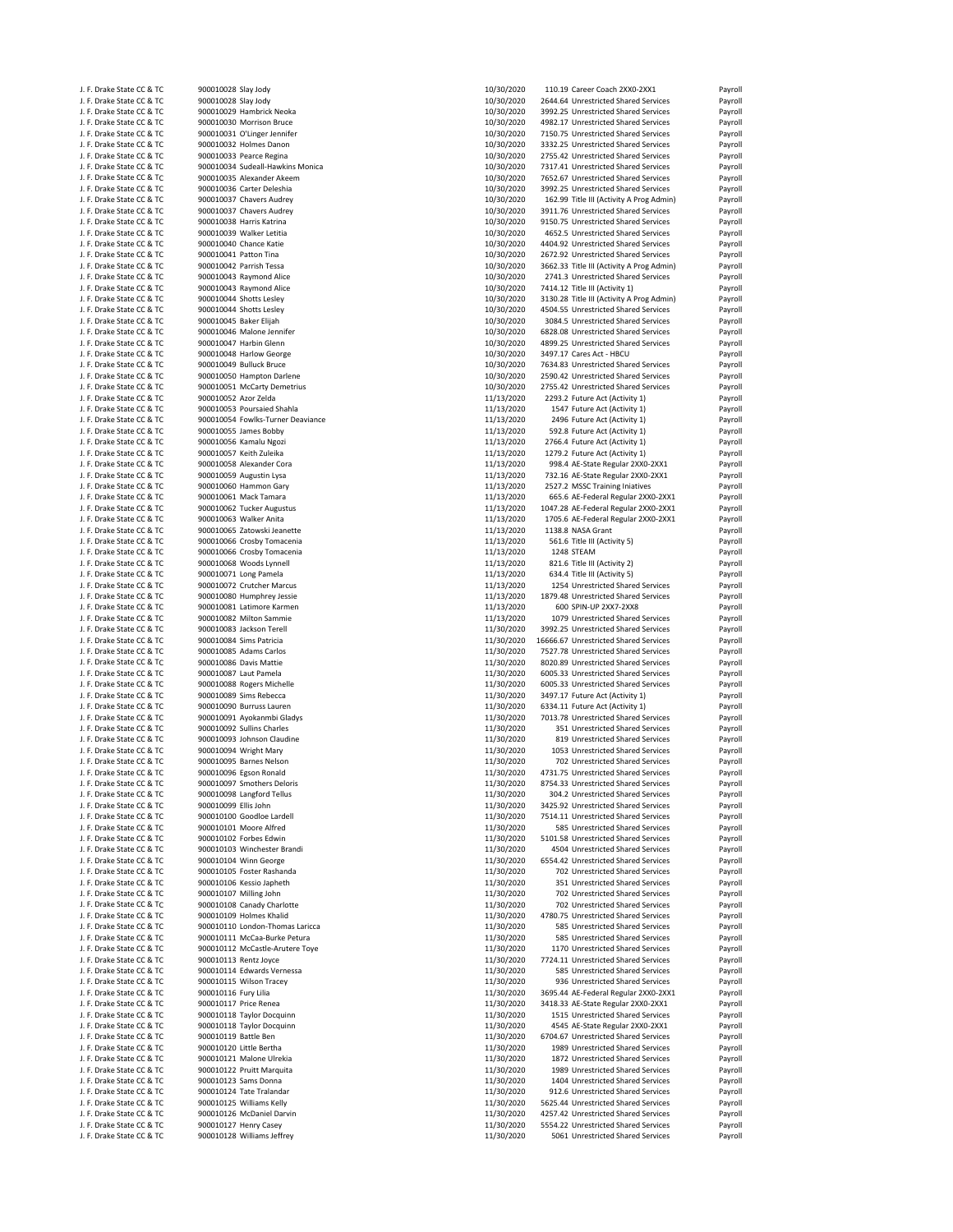| J. F. Drake State CC & TC | 900010028 Slay Jody               | 10/30/2020 | 110.19 Career Coach 2XX0-2XX1             | Payroll                                  |
|---------------------------|-----------------------------------|------------|-------------------------------------------|------------------------------------------|
| J. F. Drake State CC & TC | 900010028 Slay Jody               | 10/30/2020 | 2644.64 Unrestricted Shared Services      | Payroll                                  |
| J. F. Drake State CC & TC | 900010029 Hambrick Neoka          | 10/30/2020 | 3992.25 Unrestricted Shared Services      | Payroll                                  |
|                           | 900010030 Morrison Bruce          |            |                                           |                                          |
| J. F. Drake State CC & TC |                                   | 10/30/2020 | 4982.17 Unrestricted Shared Services      | Payroll                                  |
| J. F. Drake State CC & TC | 900010031 O'Linger Jennifer       | 10/30/2020 | 7150.75 Unrestricted Shared Services      | Payroll                                  |
| J. F. Drake State CC & TC | 900010032 Holmes Danon            | 10/30/2020 | 3332.25 Unrestricted Shared Services      | Payroll                                  |
| J. F. Drake State CC & TC | 900010033 Pearce Regina           | 10/30/2020 | 2755.42 Unrestricted Shared Services      | Payroll                                  |
| J. F. Drake State CC & TC | 900010034 Sudeall-Hawkins Monica  | 10/30/2020 | 7317.41 Unrestricted Shared Services      | Payroll                                  |
| J. F. Drake State CC & TC | 900010035 Alexander Akeem         | 10/30/2020 | 7652.67 Unrestricted Shared Services      | Payroll                                  |
| J. F. Drake State CC & TC | 900010036 Carter Deleshia         | 10/30/2020 | 3992.25 Unrestricted Shared Services      | Payroll                                  |
|                           |                                   |            |                                           |                                          |
| J. F. Drake State CC & TC | 900010037 Chavers Audrey          | 10/30/2020 | 162.99 Title III (Activity A Prog Admin)  | Payroll                                  |
| J. F. Drake State CC & TC | 900010037 Chavers Audrey          | 10/30/2020 | 3911.76 Unrestricted Shared Services      | Payroll                                  |
| J. F. Drake State CC & TC | 900010038 Harris Katrina          | 10/30/2020 | 9150.75 Unrestricted Shared Services      | Payroll                                  |
| J. F. Drake State CC & TC | 900010039 Walker Letitia          | 10/30/2020 | 4652.5 Unrestricted Shared Services       | Payroll                                  |
| J. F. Drake State CC & TC | 900010040 Chance Katie            | 10/30/2020 | 4404.92 Unrestricted Shared Services      | Payroll                                  |
|                           |                                   | 10/30/2020 |                                           |                                          |
| J. F. Drake State CC & TC | 900010041 Patton Tina             |            | 2672.92 Unrestricted Shared Services      | Payroll                                  |
| J. F. Drake State CC & TC | 900010042 Parrish Tessa           | 10/30/2020 | 3662.33 Title III (Activity A Prog Admin) | Payroll                                  |
| J. F. Drake State CC & TC | 900010043 Raymond Alice           | 10/30/2020 | 2741.3 Unrestricted Shared Services       | Payroll                                  |
| J. F. Drake State CC & TC | 900010043 Raymond Alice           | 10/30/2020 | 7414.12 Title III (Activity 1)            | Payroll                                  |
| J. F. Drake State CC & TC | 900010044 Shotts Lesley           | 10/30/2020 | 3130.28 Title III (Activity A Prog Admin) | Payroll                                  |
| J. F. Drake State CC & TC | 900010044 Shotts Lesley           | 10/30/2020 | 4504.55 Unrestricted Shared Services      | Payroll                                  |
| J. F. Drake State CC & TC | 900010045 Baker Elijah            | 10/30/2020 | 3084.5 Unrestricted Shared Services       | Payroll                                  |
|                           |                                   |            |                                           |                                          |
| J. F. Drake State CC & TC | 900010046 Malone Jennifer         | 10/30/2020 | 6828.08 Unrestricted Shared Services      | Payroll                                  |
| J. F. Drake State CC & TC | 900010047 Harbin Glenn            | 10/30/2020 | 4899.25 Unrestricted Shared Services      | Payroll                                  |
| J. F. Drake State CC & TC | 900010048 Harlow George           | 10/30/2020 | 3497.17 Cares Act - HBCU                  | Payroll                                  |
| J. F. Drake State CC & TC | 900010049 Bulluck Bruce           | 10/30/2020 | 7634.83 Unrestricted Shared Services      | Payroll                                  |
| J. F. Drake State CC & TC | 900010050 Hampton Darlene         | 10/30/2020 | 2590.42 Unrestricted Shared Services      | Payroll                                  |
| J. F. Drake State CC & TC | 900010051 McCarty Demetrius       | 10/30/2020 | 2755.42 Unrestricted Shared Services      | Payroll                                  |
| J. F. Drake State CC & TC | 900010052 Azor Zelda              | 11/13/2020 | 2293.2 Future Act (Activity 1)            | Payroll                                  |
|                           |                                   |            |                                           |                                          |
| J. F. Drake State CC & TC | 900010053 Poursaied Shahla        | 11/13/2020 | 1547 Future Act (Activity 1)              | Payroll                                  |
| J. F. Drake State CC & TC | 900010054 Fowlks-Turner Deaviance | 11/13/2020 | 2496 Future Act (Activity 1)              | Payroll                                  |
| J. F. Drake State CC & TC | 900010055 James Bobby             | 11/13/2020 | 592.8 Future Act (Activity 1)             | Payroll                                  |
| J. F. Drake State CC & TC | 900010056 Kamalu Ngozi            | 11/13/2020 | 2766.4 Future Act (Activity 1)            | Payroll                                  |
| J. F. Drake State CC & TC | 900010057 Keith Zuleika           | 11/13/2020 | 1279.2 Future Act (Activity 1)            | Payroll                                  |
|                           |                                   |            |                                           |                                          |
| J. F. Drake State CC & TC | 900010058 Alexander Cora          | 11/13/2020 | 998.4 AE-State Regular 2XX0-2XX1          | Payroll                                  |
| J. F. Drake State CC & TC | 900010059 Augustin Lysa           | 11/13/2020 | 732.16 AE-State Regular 2XX0-2XX1         | Payroll                                  |
| J. F. Drake State CC & TC | 900010060 Hammon Gary             | 11/13/2020 | 2527.2 MSSC Training Iniatives            | Payroll                                  |
| J. F. Drake State CC & TC | 900010061 Mack Tamara             | 11/13/2020 | 665.6 AE-Federal Regular 2XX0-2XX1        | Payroll                                  |
| J. F. Drake State CC & TC | 900010062 Tucker Augustus         | 11/13/2020 | 1047.28 AE-Federal Regular 2XX0-2XX1      | Payroll                                  |
| J. F. Drake State CC & TC | 900010063 Walker Anita            | 11/13/2020 | 1705.6 AE-Federal Regular 2XX0-2XX1       | Payroll                                  |
|                           |                                   |            |                                           |                                          |
| J. F. Drake State CC & TC | 900010065 Zatowski Jeanette       | 11/13/2020 | 1138.8 NASA Grant                         | Payroll                                  |
| J. F. Drake State CC & TC | 900010066 Crosby Tomacenia        | 11/13/2020 | 561.6 Title III (Activity 5)              | Payroll                                  |
| J. F. Drake State CC & TC | 900010066 Crosby Tomacenia        | 11/13/2020 | 1248 STEAM                                | Payroll                                  |
| J. F. Drake State CC & TC | 900010068 Woods Lynnell           | 11/13/2020 | 821.6 Title III (Activity 2)              | Payroll                                  |
| J. F. Drake State CC & TC |                                   |            |                                           | Payroll                                  |
|                           |                                   |            |                                           |                                          |
|                           | 900010071 Long Pamela             | 11/13/2020 | 634.4 Title III (Activity 5)              |                                          |
| J. F. Drake State CC & TC | 900010072 Crutcher Marcus         | 11/13/2020 | 1254 Unrestricted Shared Services         | Payroll                                  |
| J. F. Drake State CC & TC | 900010080 Humphrey Jessie         | 11/13/2020 | 1879.48 Unrestricted Shared Services      | Payroll                                  |
| J. F. Drake State CC & TC | 900010081 Latimore Karmen         | 11/13/2020 | 600 SPIN-UP 2XX7-2XX8                     | Payroll                                  |
|                           |                                   |            |                                           |                                          |
| J. F. Drake State CC & TC | 900010082 Milton Sammie           | 11/13/2020 | 1079 Unrestricted Shared Services         | Payroll                                  |
| J. F. Drake State CC & TC | 900010083 Jackson Terell          | 11/30/2020 | 3992.25 Unrestricted Shared Services      | Payroll                                  |
| J. F. Drake State CC & TC | 900010084 Sims Patricia           | 11/30/2020 | 16666.67 Unrestricted Shared Services     |                                          |
| J. F. Drake State CC & TC | 900010085 Adams Carlos            | 11/30/2020 | 7527.78 Unrestricted Shared Services      | Payroll<br>Payroll                       |
| J. F. Drake State CC & TC | 900010086 Davis Mattie            | 11/30/2020 | 8020.89 Unrestricted Shared Services      | Payroll                                  |
| J. F. Drake State CC & TC | 900010087 Laut Pamela             | 11/30/2020 | 6005.33 Unrestricted Shared Services      | Payroll                                  |
|                           |                                   |            |                                           |                                          |
| J. F. Drake State CC & TC | 900010088 Rogers Michelle         | 11/30/2020 | 6005.33 Unrestricted Shared Services      | Payroll                                  |
| J. F. Drake State CC & TC | 900010089 Sims Rebecca            | 11/30/2020 | 3497.17 Future Act (Activity 1)           | Payroll                                  |
| J. F. Drake State CC & TC | 900010090 Burruss Lauren          | 11/30/2020 | 6334.11 Future Act (Activity 1)           |                                          |
| J. F. Drake State CC & TC | 900010091 Ayokanmbi Gladys        | 11/30/2020 | 7013.78 Unrestricted Shared Services      | Payroll<br>Payroll                       |
| J. F. Drake State CC & TC | 900010092 Sullins Charles         | 11/30/2020 | 351 Unrestricted Shared Services          | Payroll                                  |
|                           |                                   |            |                                           |                                          |
| J. F. Drake State CC & TC | 900010093 Johnson Claudine        | 11/30/2020 | 819 Unrestricted Shared Services          | Payroll                                  |
| J. F. Drake State CC & TC | 900010094 Wright Mary             | 11/30/2020 | 1053 Unrestricted Shared Services         | Payroll                                  |
| J. F. Drake State CC & TC | 900010095 Barnes Nelson           | 11/30/2020 | 702 Unrestricted Shared Services          | Payroll                                  |
| J. F. Drake State CC & TC | 900010096 Egson Ronald            | 11/30/2020 | 4731.75 Unrestricted Shared Services      | Payroll                                  |
| J. F. Drake State CC & TC | 900010097 Smothers Deloris        | 11/30/2020 | 8754.33 Unrestricted Shared Services      | Payroll                                  |
| J. F. Drake State CC & TC | 900010098 Langford Tellus         | 11/30/2020 | 304.2 Unrestricted Shared Services        | Payroll                                  |
| J. F. Drake State CC & TC | 900010099 Ellis John              | 11/30/2020 | 3425.92 Unrestricted Shared Services      | Payroll                                  |
| J. F. Drake State CC & TC | 900010100 Goodloe Lardell         |            | 7514.11 Unrestricted Shared Services      |                                          |
|                           |                                   | 11/30/2020 |                                           | Payroll                                  |
| J. F. Drake State CC & TC | 900010101 Moore Alfred            | 11/30/2020 | 585 Unrestricted Shared Services          | Payroll                                  |
| J. F. Drake State CC & TC | 900010102 Forbes Edwin            | 11/30/2020 | 5101.58 Unrestricted Shared Services      | Payroll                                  |
| J. F. Drake State CC & TC | 900010103 Winchester Brandi       | 11/30/2020 | 4504 Unrestricted Shared Services         | Payroll                                  |
| J. F. Drake State CC & TC | 900010104 Winn George             | 11/30/2020 | 6554.42 Unrestricted Shared Services      | Payroll                                  |
| J. F. Drake State CC & TC | 900010105 Foster Rashanda         | 11/30/2020 | 702 Unrestricted Shared Services          | Payroll                                  |
| J. F. Drake State CC & TC | 900010106 Kessio Japheth          |            | 351 Unrestricted Shared Services          | Payroll                                  |
|                           |                                   | 11/30/2020 |                                           |                                          |
| J. F. Drake State CC & TC | 900010107 Milling John            | 11/30/2020 | 702 Unrestricted Shared Services          | Payroll                                  |
| J. F. Drake State CC & TC | 900010108 Canady Charlotte        | 11/30/2020 | 702 Unrestricted Shared Services          | Payroll                                  |
| J. F. Drake State CC & TC | 900010109 Holmes Khalid           | 11/30/2020 | 4780.75 Unrestricted Shared Services      | Payroll                                  |
| J. F. Drake State CC & TC | 900010110 London-Thomas Laricca   | 11/30/2020 | 585 Unrestricted Shared Services          | Payroll                                  |
| J. F. Drake State CC & TC | 900010111 McCaa-Burke Petura      | 11/30/2020 | 585 Unrestricted Shared Services          | Payroll                                  |
|                           |                                   |            |                                           | Payroll                                  |
| J. F. Drake State CC & TC | 900010112 McCastle-Arutere Toye   | 11/30/2020 | 1170 Unrestricted Shared Services         |                                          |
| J. F. Drake State CC & TC | 900010113 Rentz Joyce             | 11/30/2020 | 7724.11 Unrestricted Shared Services      | Payroll                                  |
| J. F. Drake State CC & TC | 900010114 Edwards Vernessa        | 11/30/2020 | 585 Unrestricted Shared Services          | Payroll                                  |
| J. F. Drake State CC & TC | 900010115 Wilson Tracey           | 11/30/2020 | 936 Unrestricted Shared Services          | Payroll                                  |
| J. F. Drake State CC & TC | 900010116 Fury Lilia              | 11/30/2020 | 3695.44 AE-Federal Regular 2XX0-2XX1      | Payroll                                  |
| J. F. Drake State CC & TC | 900010117 Price Renea             |            | 3418.33 AE-State Regular 2XX0-2XX1        | Payroll                                  |
|                           |                                   | 11/30/2020 |                                           |                                          |
| J. F. Drake State CC & TC | 900010118 Taylor Docquinn         | 11/30/2020 | 1515 Unrestricted Shared Services         | Payroll                                  |
| J. F. Drake State CC & TC | 900010118 Taylor Docquinn         | 11/30/2020 | 4545 AE-State Regular 2XX0-2XX1           | Payroll                                  |
| J. F. Drake State CC & TC | 900010119 Battle Ben              | 11/30/2020 | 6704.67 Unrestricted Shared Services      | Payroll                                  |
| J. F. Drake State CC & TC | 900010120 Little Bertha           | 11/30/2020 | 1989 Unrestricted Shared Services         | Payroll                                  |
| J. F. Drake State CC & TC | 900010121 Malone Ulrekia          | 11/30/2020 | 1872 Unrestricted Shared Services         | Payroll                                  |
|                           |                                   |            |                                           | Payroll                                  |
| J. F. Drake State CC & TC | 900010122 Pruitt Marquita         | 11/30/2020 | 1989 Unrestricted Shared Services         |                                          |
| J. F. Drake State CC & TC | 900010123 Sams Donna              | 11/30/2020 | 1404 Unrestricted Shared Services         | Payroll                                  |
| J. F. Drake State CC & TC | 900010124 Tate Tralandar          | 11/30/2020 | 912.6 Unrestricted Shared Services        |                                          |
| J. F. Drake State CC & TC | 900010125 Williams Kelly          | 11/30/2020 | 5625.44 Unrestricted Shared Services      |                                          |
| J. F. Drake State CC & TC | 900010126 McDaniel Darvin         | 11/30/2020 | 4257.42 Unrestricted Shared Services      |                                          |
| J. F. Drake State CC & TC | 900010127 Henry Casey             | 11/30/2020 | 5554.22 Unrestricted Shared Services      | Payroll<br>Payroll<br>Payroll<br>Payroll |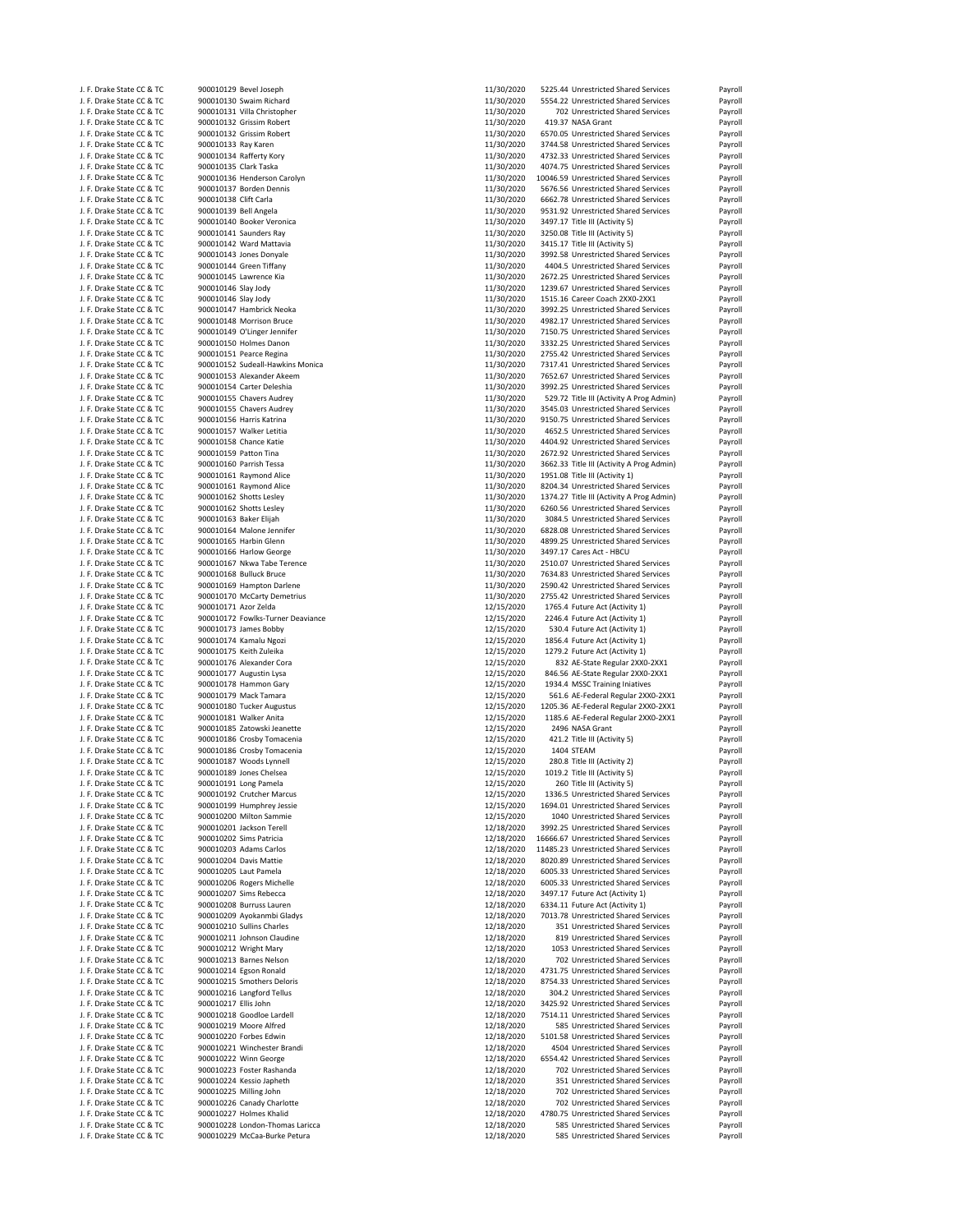| J. F. Drake State CC & TC                              |                        | 900010129 Bevel Joseph            | 11/30/2020               | 5225.44 Unrestricted Shared Services                                 | Payroll                       |
|--------------------------------------------------------|------------------------|-----------------------------------|--------------------------|----------------------------------------------------------------------|-------------------------------|
| J. F. Drake State CC & TC                              |                        | 900010130 Swaim Richard           | 11/30/2020               | 5554.22 Unrestricted Shared Services                                 | Payroll                       |
|                                                        |                        |                                   |                          |                                                                      |                               |
| J. F. Drake State CC & TC                              |                        | 900010131 Villa Christopher       | 11/30/2020               | 702 Unrestricted Shared Services                                     | Payroll                       |
| J. F. Drake State CC & TC                              |                        | 900010132 Grissim Robert          | 11/30/2020               | 419.37 NASA Grant                                                    | Payroll                       |
| J. F. Drake State CC & TC                              |                        | 900010132 Grissim Robert          | 11/30/2020               | 6570.05 Unrestricted Shared Services                                 | Payroll                       |
|                                                        |                        |                                   |                          | 3744.58 Unrestricted Shared Services                                 |                               |
| J. F. Drake State CC & TC                              | 900010133 Ray Karen    |                                   | 11/30/2020               |                                                                      | Payroll                       |
| J. F. Drake State CC & TC                              |                        | 900010134 Rafferty Kory           | 11/30/2020               | 4732.33 Unrestricted Shared Services                                 | Payroll                       |
| J. F. Drake State CC & TC                              | 900010135 Clark Taska  |                                   | 11/30/2020               | 4074.75 Unrestricted Shared Services                                 | Payroll                       |
| J. F. Drake State CC & TC                              |                        | 900010136 Henderson Carolyn       | 11/30/2020               | 10046.59 Unrestricted Shared Services                                | Payroll                       |
|                                                        |                        |                                   |                          |                                                                      |                               |
| J. F. Drake State CC & TC                              |                        | 900010137 Borden Dennis           | 11/30/2020               | 5676.56 Unrestricted Shared Services                                 | Payroll                       |
| J. F. Drake State CC & TC                              | 900010138 Clift Carla  |                                   | 11/30/2020               | 6662.78 Unrestricted Shared Services                                 | Payroll                       |
| J. F. Drake State CC & TC                              | 900010139 Bell Angela  |                                   | 11/30/2020               | 9531.92 Unrestricted Shared Services                                 | Payroll                       |
|                                                        |                        |                                   |                          |                                                                      |                               |
| J. F. Drake State CC & TC                              |                        | 900010140 Booker Veronica         | 11/30/2020               | 3497.17 Title III (Activity 5)                                       | Payroll                       |
| J. F. Drake State CC & TC                              |                        | 900010141 Saunders Ray            | 11/30/2020               | 3250.08 Title III (Activity 5)                                       | Payroll                       |
| J. F. Drake State CC & TC                              |                        | 900010142 Ward Mattavia           | 11/30/2020               | 3415.17 Title III (Activity 5)                                       | Payroll                       |
|                                                        |                        |                                   |                          |                                                                      |                               |
| J. F. Drake State CC & TC                              |                        | 900010143 Jones Donyale           | 11/30/2020               | 3992.58 Unrestricted Shared Services                                 | Payroll                       |
| J. F. Drake State CC & TC                              |                        | 900010144 Green Tiffany           | 11/30/2020               | 4404.5 Unrestricted Shared Services                                  | Payroll                       |
| J. F. Drake State CC & TC                              |                        | 900010145 Lawrence Kia            | 11/30/2020               | 2672.25 Unrestricted Shared Services                                 | Payroll                       |
| J. F. Drake State CC & TC                              | 900010146 Slay Jody    |                                   | 11/30/2020               | 1239.67 Unrestricted Shared Services                                 | Payroll                       |
|                                                        |                        |                                   |                          |                                                                      |                               |
| J. F. Drake State CC & TC                              | 900010146 Slay Jody    |                                   | 11/30/2020               | 1515.16 Career Coach 2XX0-2XX1                                       | Payroll                       |
| J. F. Drake State CC & TC                              |                        | 900010147 Hambrick Neoka          | 11/30/2020               | 3992.25 Unrestricted Shared Services                                 | Payroll                       |
| J. F. Drake State CC & TC                              |                        | 900010148 Morrison Bruce          | 11/30/2020               | 4982.17 Unrestricted Shared Services                                 | Payroll                       |
|                                                        |                        | 900010149 O'Linger Jennifer       |                          |                                                                      |                               |
| J. F. Drake State CC & TC                              |                        |                                   | 11/30/2020               | 7150.75 Unrestricted Shared Services                                 | Payroll                       |
| J. F. Drake State CC & TC                              |                        | 900010150 Holmes Danon            | 11/30/2020               | 3332.25 Unrestricted Shared Services                                 | Payroll                       |
| J. F. Drake State CC & TC                              |                        | 900010151 Pearce Regina           | 11/30/2020               | 2755.42 Unrestricted Shared Services                                 | Payroll                       |
| J. F. Drake State CC & TC                              |                        | 900010152 Sudeall-Hawkins Monica  | 11/30/2020               | 7317.41 Unrestricted Shared Services                                 | Payroll                       |
|                                                        |                        |                                   |                          |                                                                      |                               |
| J. F. Drake State CC & TC                              |                        | 900010153 Alexander Akeem         | 11/30/2020               | 7652.67 Unrestricted Shared Services                                 | Payroll                       |
| J. F. Drake State CC & TC                              |                        | 900010154 Carter Deleshia         | 11/30/2020               | 3992.25 Unrestricted Shared Services                                 | Payroll                       |
| J. F. Drake State CC & TC                              |                        | 900010155 Chavers Audrey          | 11/30/2020               | 529.72 Title III (Activity A Prog Admin)                             | Payroll                       |
| J. F. Drake State CC & TC                              |                        |                                   |                          |                                                                      |                               |
|                                                        |                        | 900010155 Chavers Audrey          | 11/30/2020               | 3545.03 Unrestricted Shared Services                                 | Payroll                       |
| J. F. Drake State CC & TC                              |                        | 900010156 Harris Katrina          | 11/30/2020               | 9150.75 Unrestricted Shared Services                                 | Payroll                       |
| J. F. Drake State CC & TC                              |                        | 900010157 Walker Letitia          | 11/30/2020               | 4652.5 Unrestricted Shared Services                                  | Payroll                       |
| J. F. Drake State CC & TC                              |                        | 900010158 Chance Katie            |                          | 4404.92 Unrestricted Shared Services                                 | Payroll                       |
|                                                        |                        |                                   | 11/30/2020               |                                                                      |                               |
| J. F. Drake State CC & TC                              | 900010159 Patton Tina  |                                   | 11/30/2020               | 2672.92 Unrestricted Shared Services                                 | Payroll                       |
| J. F. Drake State CC & TC                              |                        | 900010160 Parrish Tessa           | 11/30/2020               | 3662.33 Title III (Activity A Prog Admin)                            | Payroll                       |
| J. F. Drake State CC & TC                              |                        | 900010161 Raymond Alice           | 11/30/2020               | 1951.08 Title III (Activity 1)                                       | Payroll                       |
|                                                        |                        |                                   |                          |                                                                      |                               |
| J. F. Drake State CC & TC                              |                        | 900010161 Raymond Alice           | 11/30/2020               | 8204.34 Unrestricted Shared Services                                 | Payroll                       |
| J. F. Drake State CC & TC                              |                        | 900010162 Shotts Lesley           | 11/30/2020               | 1374.27 Title III (Activity A Prog Admin)                            | Payroll                       |
| J. F. Drake State CC & TC                              |                        | 900010162 Shotts Lesley           | 11/30/2020               | 6260.56 Unrestricted Shared Services                                 | Payroll                       |
|                                                        | 900010163 Baker Elijah |                                   |                          |                                                                      |                               |
| J. F. Drake State CC & TC                              |                        |                                   | 11/30/2020               | 3084.5 Unrestricted Shared Services                                  | Payroll                       |
| J. F. Drake State CC & TC                              |                        | 900010164 Malone Jennifer         | 11/30/2020               | 6828.08 Unrestricted Shared Services                                 | Payroll                       |
| J. F. Drake State CC & TC                              |                        | 900010165 Harbin Glenn            | 11/30/2020               | 4899.25 Unrestricted Shared Services                                 | Payroll                       |
|                                                        |                        |                                   |                          |                                                                      |                               |
| J. F. Drake State CC & TC                              |                        | 900010166 Harlow George           | 11/30/2020               | 3497.17 Cares Act - HBCU                                             | Payroll                       |
| J. F. Drake State CC & TC                              |                        | 900010167 Nkwa Tabe Terence       | 11/30/2020               | 2510.07 Unrestricted Shared Services                                 | Payroll                       |
| J. F. Drake State CC & TC                              |                        | 900010168 Bulluck Bruce           | 11/30/2020               | 7634.83 Unrestricted Shared Services                                 | Payroll                       |
|                                                        |                        |                                   |                          |                                                                      |                               |
| J. F. Drake State CC & TC                              |                        | 900010169 Hampton Darlene         | 11/30/2020               | 2590.42 Unrestricted Shared Services                                 | Payroll                       |
| J. F. Drake State CC & TC                              |                        | 900010170 McCarty Demetrius       | 11/30/2020               | 2755.42 Unrestricted Shared Services                                 | Payroll                       |
| J. F. Drake State CC & TC                              | 900010171 Azor Zelda   |                                   | 12/15/2020               | 1765.4 Future Act (Activity 1)                                       | Payroll                       |
|                                                        |                        |                                   |                          |                                                                      |                               |
|                                                        |                        |                                   |                          |                                                                      |                               |
| J. F. Drake State CC & TC                              |                        | 900010172 Fowlks-Turner Deaviance | 12/15/2020               | 2246.4 Future Act (Activity 1)                                       |                               |
| J. F. Drake State CC & TC                              |                        | 900010173 James Bobby             | 12/15/2020               | 530.4 Future Act (Activity 1)                                        | Payroll                       |
| J. F. Drake State CC & TC                              |                        | 900010174 Kamalu Ngozi            | 12/15/2020               | 1856.4 Future Act (Activity 1)                                       |                               |
|                                                        |                        |                                   |                          |                                                                      |                               |
| J. F. Drake State CC & TC                              |                        | 900010175 Keith Zuleika           | 12/15/2020               | 1279.2 Future Act (Activity 1)                                       | Payroll<br>Payroll<br>Payroll |
| J. F. Drake State CC & TC                              |                        | 900010176 Alexander Cora          | 12/15/2020               | 832 AE-State Regular 2XX0-2XX1                                       | Payroll                       |
| J. F. Drake State CC & TC                              |                        | 900010177 Augustin Lysa           | 12/15/2020               | 846.56 AE-State Regular 2XX0-2XX1                                    | Payroll                       |
|                                                        |                        |                                   |                          |                                                                      |                               |
| J. F. Drake State CC & TC                              |                        | 900010178 Hammon Gary             | 12/15/2020               | 1934.4 MSSC Training Iniatives                                       | Payroll                       |
| J. F. Drake State CC & TC                              |                        | 900010179 Mack Tamara             | 12/15/2020               | 561.6 AE-Federal Regular 2XX0-2XX1                                   |                               |
| J. F. Drake State CC & TC                              |                        | 900010180 Tucker Augustus         | 12/15/2020               | 1205.36 AE-Federal Regular 2XX0-2XX1                                 | Payroll<br>Payroll            |
| J. F. Drake State CC & TC                              |                        | 900010181 Walker Anita            | 12/15/2020               | 1185.6 AE-Federal Regular 2XX0-2XX1                                  | Payroll                       |
|                                                        |                        |                                   |                          |                                                                      |                               |
| J. F. Drake State CC & TC                              |                        | 900010185 Zatowski Jeanette       | 12/15/2020               | 2496 NASA Grant                                                      | Payroll                       |
| J. F. Drake State CC & TC                              |                        | 900010186 Crosby Tomacenia        | 12/15/2020               | 421.2 Title III (Activity 5)                                         | Payroll                       |
| J. F. Drake State CC & TC                              |                        | 900010186 Crosby Tomacenia        | 12/15/2020               | 1404 STEAM                                                           | Payroll                       |
| J. F. Drake State CC & TC                              |                        | 900010187 Woods Lynnell           | 12/15/2020               | 280.8 Title III (Activity 2)                                         | Payroll                       |
|                                                        |                        |                                   |                          |                                                                      |                               |
| J. F. Drake State CC & TC                              |                        | 900010189 Jones Chelsea           | 12/15/2020               | 1019.2 Title III (Activity 5)                                        | Payroll                       |
| J. F. Drake State CC & TC                              |                        | 900010191 Long Pamela             | 12/15/2020               | 260 Title III (Activity 5)                                           | Payroll                       |
| J. F. Drake State CC & TC                              |                        | 900010192 Crutcher Marcus         | 12/15/2020               | 1336.5 Unrestricted Shared Services                                  | Payroll                       |
| J. F. Drake State CC & TC                              |                        |                                   |                          | 1694.01 Unrestricted Shared Services                                 |                               |
|                                                        |                        | 900010199 Humphrey Jessie         | 12/15/2020               |                                                                      | Payroll                       |
| J. F. Drake State CC & TC                              |                        | 900010200 Milton Sammie           | 12/15/2020               | 1040 Unrestricted Shared Services                                    | Payroll                       |
| J. F. Drake State CC & TC                              |                        | 900010201 Jackson Terell          | 12/18/2020               | 3992.25 Unrestricted Shared Services                                 | Payroll                       |
| J. F. Drake State CC & TC                              |                        | 900010202 Sims Patricia           | 12/18/2020               | 16666.67 Unrestricted Shared Services                                | Payroll                       |
|                                                        |                        | 900010203 Adams Carlos            |                          |                                                                      | Payroll                       |
| J. F. Drake State CC & TC                              |                        |                                   | 12/18/2020               | 11485.23 Unrestricted Shared Services                                |                               |
| J. F. Drake State CC & TC                              |                        | 900010204 Davis Mattie            | 12/18/2020               | 8020.89 Unrestricted Shared Services                                 | Payroll                       |
| J. F. Drake State CC & TC                              |                        | 900010205 Laut Pamela             | 12/18/2020               | 6005.33 Unrestricted Shared Services                                 | Payroll                       |
| J. F. Drake State CC & TC                              |                        |                                   |                          |                                                                      |                               |
|                                                        |                        | 900010206 Rogers Michelle         | 12/18/2020               | 6005.33 Unrestricted Shared Services                                 | Payroll                       |
| J. F. Drake State CC & TC                              |                        | 900010207 Sims Rebecca            | 12/18/2020               | 3497.17 Future Act (Activity 1)                                      | Payroll                       |
| J. F. Drake State CC & TC                              |                        | 900010208 Burruss Lauren          | 12/18/2020               | 6334.11 Future Act (Activity 1)                                      | Payroll                       |
|                                                        |                        |                                   |                          |                                                                      |                               |
| J. F. Drake State CC & TC                              |                        | 900010209 Ayokanmbi Gladys        | 12/18/2020               | 7013.78 Unrestricted Shared Services                                 | Payroll                       |
| J. F. Drake State CC & TC                              |                        | 900010210 Sullins Charles         | 12/18/2020               | 351 Unrestricted Shared Services                                     | Payroll                       |
| J. F. Drake State CC & TC                              |                        | 900010211 Johnson Claudine        | 12/18/2020               | 819 Unrestricted Shared Services                                     | Payroll                       |
| J. F. Drake State CC & TC                              |                        | 900010212 Wright Mary             | 12/18/2020               | 1053 Unrestricted Shared Services                                    | Payroll                       |
|                                                        |                        |                                   |                          |                                                                      |                               |
| J. F. Drake State CC & TC                              |                        | 900010213 Barnes Nelson           | 12/18/2020               | 702 Unrestricted Shared Services                                     | Payroll                       |
| J. F. Drake State CC & TC                              |                        | 900010214 Egson Ronald            | 12/18/2020               | 4731.75 Unrestricted Shared Services                                 | Payroll                       |
| J. F. Drake State CC & TC                              |                        | 900010215 Smothers Deloris        |                          | 8754.33 Unrestricted Shared Services                                 | Payroll                       |
|                                                        |                        |                                   | 12/18/2020               |                                                                      |                               |
| J. F. Drake State CC & TC                              |                        | 900010216 Langford Tellus         | 12/18/2020               | 304.2 Unrestricted Shared Services                                   | Payroll                       |
| J. F. Drake State CC & TC                              | 900010217 Ellis John   |                                   | 12/18/2020               | 3425.92 Unrestricted Shared Services                                 | Payroll                       |
| J. F. Drake State CC & TC                              |                        | 900010218 Goodloe Lardell         | 12/18/2020               | 7514.11 Unrestricted Shared Services                                 | Payroll                       |
|                                                        |                        |                                   |                          |                                                                      |                               |
| J. F. Drake State CC & TC                              |                        | 900010219 Moore Alfred            | 12/18/2020               | 585 Unrestricted Shared Services                                     | Payroll                       |
| J. F. Drake State CC & TC                              |                        | 900010220 Forbes Edwin            | 12/18/2020               | 5101.58 Unrestricted Shared Services                                 | Payroll                       |
| J. F. Drake State CC & TC                              |                        | 900010221 Winchester Brandi       | 12/18/2020               | 4504 Unrestricted Shared Services                                    | Payroll                       |
|                                                        |                        |                                   |                          |                                                                      |                               |
| J. F. Drake State CC & TC                              |                        | 900010222 Winn George             | 12/18/2020               | 6554.42 Unrestricted Shared Services                                 | Payroll                       |
| J. F. Drake State CC & TC                              |                        | 900010223 Foster Rashanda         | 12/18/2020               | 702 Unrestricted Shared Services                                     | Payroll                       |
| J. F. Drake State CC & TC                              |                        | 900010224 Kessio Japheth          | 12/18/2020               | 351 Unrestricted Shared Services                                     | Payroll                       |
|                                                        |                        |                                   |                          |                                                                      |                               |
| J. F. Drake State CC & TC                              |                        | 900010225 Milling John            | 12/18/2020               | 702 Unrestricted Shared Services                                     | Payroll                       |
| J. F. Drake State CC & TC                              |                        | 900010226 Canady Charlotte        | 12/18/2020               | 702 Unrestricted Shared Services                                     | Payroll                       |
| J. F. Drake State CC & TC                              |                        | 900010227 Holmes Khalid           | 12/18/2020               | 4780.75 Unrestricted Shared Services                                 | Payroll                       |
|                                                        |                        | 900010228 London-Thomas Laricca   |                          |                                                                      |                               |
| J. F. Drake State CC & TC<br>J. F. Drake State CC & TC |                        | 900010229 McCaa-Burke Petura      | 12/18/2020<br>12/18/2020 | 585 Unrestricted Shared Services<br>585 Unrestricted Shared Services | Payroll<br>Payroll            |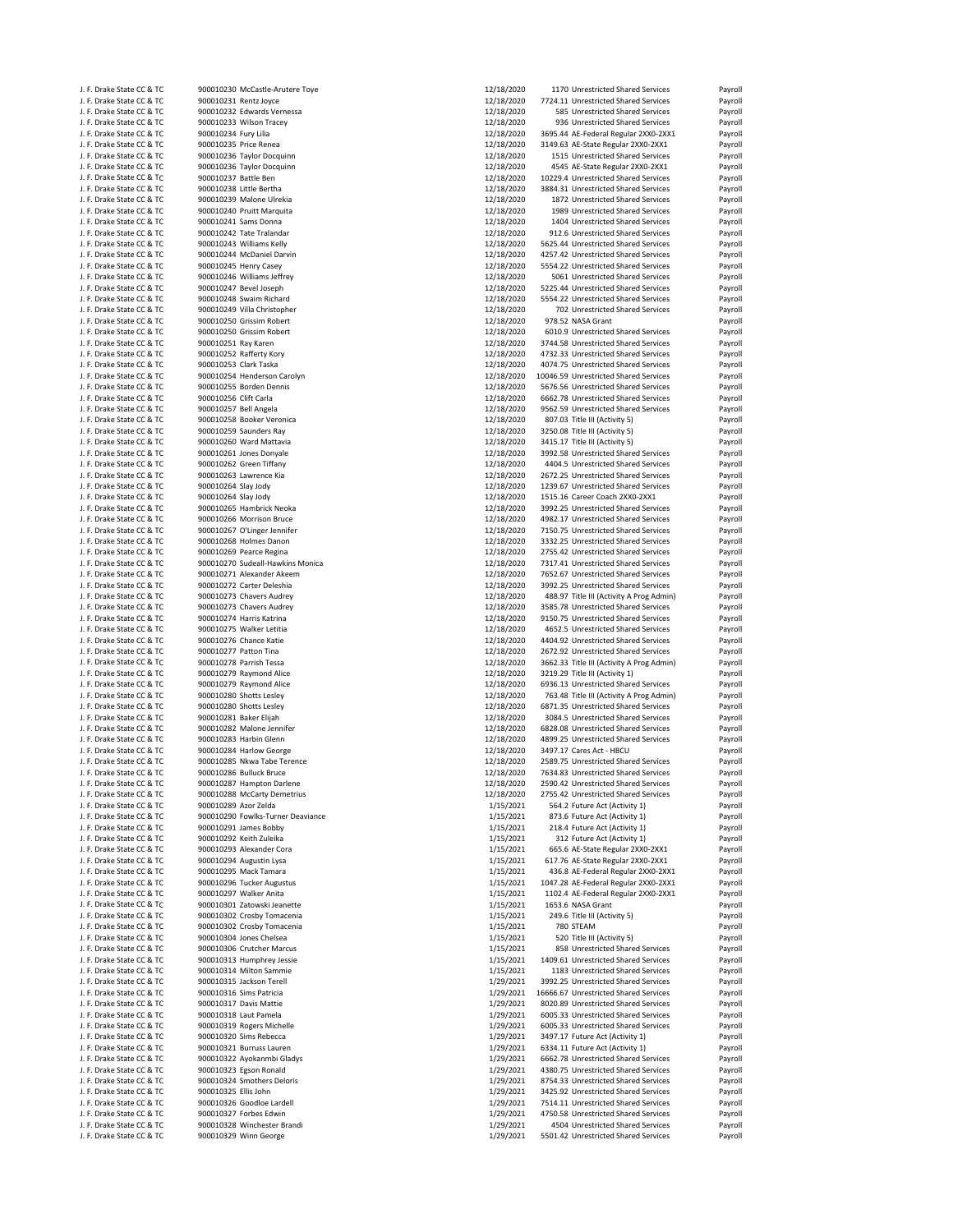| J. F. Drake State CC & TC | 900010230 McCastle-Arutere Toye   | 12/18/2020 | 1170 Unrestricted Shared Services         | Payroll |
|---------------------------|-----------------------------------|------------|-------------------------------------------|---------|
| J. F. Drake State CC & TC | 900010231 Rentz Joyce             | 12/18/2020 | 7724.11 Unrestricted Shared Services      | Payroll |
| J. F. Drake State CC & TC | 900010232 Edwards Vernessa        | 12/18/2020 | 585 Unrestricted Shared Services          | Payroll |
|                           |                                   | 12/18/2020 | 936 Unrestricted Shared Services          |         |
| J. F. Drake State CC & TC | 900010233 Wilson Tracey           |            |                                           | Payroll |
| J. F. Drake State CC & TC | 900010234 Fury Lilia              | 12/18/2020 | 3695.44 AE-Federal Regular 2XX0-2XX1      | Payroll |
| J. F. Drake State CC & TC | 900010235 Price Renea             | 12/18/2020 | 3149.63 AE-State Regular 2XX0-2XX1        | Payroll |
| J. F. Drake State CC & TC | 900010236 Taylor Docquinn         | 12/18/2020 | 1515 Unrestricted Shared Services         | Payroll |
| J. F. Drake State CC & TC | 900010236 Taylor Docquinn         | 12/18/2020 | 4545 AE-State Regular 2XX0-2XX1           | Payroll |
| J. F. Drake State CC & TC | 900010237 Battle Ben              | 12/18/2020 | 10229.4 Unrestricted Shared Services      | Payroll |
| J. F. Drake State CC & TC | 900010238 Little Bertha           | 12/18/2020 | 3884.31 Unrestricted Shared Services      | Payroll |
|                           |                                   |            |                                           |         |
| J. F. Drake State CC & TC | 900010239 Malone Ulrekia          | 12/18/2020 | 1872 Unrestricted Shared Services         | Payroll |
| J. F. Drake State CC & TC | 900010240 Pruitt Marquita         | 12/18/2020 | 1989 Unrestricted Shared Services         | Payroll |
| J. F. Drake State CC & TC | 900010241 Sams Donna              | 12/18/2020 | 1404 Unrestricted Shared Services         | Payroll |
| J. F. Drake State CC & TC | 900010242 Tate Tralandar          | 12/18/2020 | 912.6 Unrestricted Shared Services        | Payroll |
| J. F. Drake State CC & TC | 900010243 Williams Kelly          | 12/18/2020 | 5625.44 Unrestricted Shared Services      | Payroll |
| J. F. Drake State CC & TC | 900010244 McDaniel Darvin         | 12/18/2020 | 4257.42 Unrestricted Shared Services      | Payroll |
|                           |                                   |            |                                           |         |
| J. F. Drake State CC & TC | 900010245 Henry Casey             | 12/18/2020 | 5554.22 Unrestricted Shared Services      | Payroll |
| J. F. Drake State CC & TC | 900010246 Williams Jeffrey        | 12/18/2020 | 5061 Unrestricted Shared Services         | Payroll |
| J. F. Drake State CC & TC | 900010247 Bevel Joseph            | 12/18/2020 | 5225.44 Unrestricted Shared Services      | Payroll |
| J. F. Drake State CC & TC | 900010248 Swaim Richard           | 12/18/2020 | 5554.22 Unrestricted Shared Services      | Payroll |
| J. F. Drake State CC & TC | 900010249 Villa Christopher       | 12/18/2020 | 702 Unrestricted Shared Services          | Payroll |
| J. F. Drake State CC & TC | 900010250 Grissim Robert          | 12/18/2020 | 978.52 NASA Grant                         | Payroll |
|                           |                                   |            |                                           |         |
| J. F. Drake State CC & TC | 900010250 Grissim Robert          | 12/18/2020 | 6010.9 Unrestricted Shared Services       | Payroll |
| J. F. Drake State CC & TC | 900010251 Ray Karen               | 12/18/2020 | 3744.58 Unrestricted Shared Services      | Payroll |
| J. F. Drake State CC & TC | 900010252 Rafferty Kory           | 12/18/2020 | 4732.33 Unrestricted Shared Services      | Payroll |
| J. F. Drake State CC & TC | 900010253 Clark Taska             | 12/18/2020 | 4074.75 Unrestricted Shared Services      | Payroll |
| J. F. Drake State CC & TC | 900010254 Henderson Carolyn       | 12/18/2020 | 10046.59 Unrestricted Shared Services     | Payroll |
| J. F. Drake State CC & TC | 900010255 Borden Dennis           | 12/18/2020 | 5676.56 Unrestricted Shared Services      | Payroll |
| J. F. Drake State CC & TC |                                   |            |                                           |         |
|                           | 900010256 Clift Carla             | 12/18/2020 | 6662.78 Unrestricted Shared Services      | Payroll |
| J. F. Drake State CC & TC | 900010257 Bell Angela             | 12/18/2020 | 9562.59 Unrestricted Shared Services      | Payroll |
| J. F. Drake State CC & TC | 900010258 Booker Veronica         | 12/18/2020 | 807.03 Title III (Activity 5)             | Payroll |
| J. F. Drake State CC & TC | 900010259 Saunders Ray            | 12/18/2020 | 3250.08 Title III (Activity 5)            | Payroll |
| J. F. Drake State CC & TC | 900010260 Ward Mattavia           | 12/18/2020 | 3415.17 Title III (Activity 5)            | Payroll |
| J. F. Drake State CC & TC | 900010261 Jones Donyale           | 12/18/2020 | 3992.58 Unrestricted Shared Services      | Payroll |
|                           | 900010262 Green Tiffany           |            |                                           |         |
| J. F. Drake State CC & TC |                                   | 12/18/2020 | 4404.5 Unrestricted Shared Services       | Payroll |
| J. F. Drake State CC & TC | 900010263 Lawrence Kia            | 12/18/2020 | 2672.25 Unrestricted Shared Services      | Payroll |
| J. F. Drake State CC & TC | 900010264 Slay Jody               | 12/18/2020 | 1239.67 Unrestricted Shared Services      | Payroll |
| J. F. Drake State CC & TC | 900010264 Slay Jody               | 12/18/2020 | 1515.16 Career Coach 2XX0-2XX1            | Payroll |
| J. F. Drake State CC & TC | 900010265 Hambrick Neoka          | 12/18/2020 | 3992.25 Unrestricted Shared Services      | Payroll |
| J. F. Drake State CC & TC | 900010266 Morrison Bruce          | 12/18/2020 | 4982.17 Unrestricted Shared Services      | Payroll |
| J. F. Drake State CC & TC | 900010267 O'Linger Jennifer       | 12/18/2020 | 7150.75 Unrestricted Shared Services      | Payroll |
|                           |                                   |            |                                           |         |
| J. F. Drake State CC & TC | 900010268 Holmes Danon            | 12/18/2020 | 3332.25 Unrestricted Shared Services      | Payroll |
| J. F. Drake State CC & TC | 900010269 Pearce Regina           | 12/18/2020 | 2755.42 Unrestricted Shared Services      | Payroll |
| J. F. Drake State CC & TC | 900010270 Sudeall-Hawkins Monica  | 12/18/2020 | 7317.41 Unrestricted Shared Services      | Payroll |
| J. F. Drake State CC & TC | 900010271 Alexander Akeem         | 12/18/2020 | 7652.67 Unrestricted Shared Services      | Payroll |
| J. F. Drake State CC & TC | 900010272 Carter Deleshia         | 12/18/2020 | 3992.25 Unrestricted Shared Services      | Payroll |
| J. F. Drake State CC & TC | 900010273 Chavers Audrey          | 12/18/2020 | 488.97 Title III (Activity A Prog Admin)  | Payroll |
|                           |                                   |            |                                           |         |
| J. F. Drake State CC & TC | 900010273 Chavers Audrey          | 12/18/2020 | 3585.78 Unrestricted Shared Services      | Payroll |
| J. F. Drake State CC & TC | 900010274 Harris Katrina          | 12/18/2020 | 9150.75 Unrestricted Shared Services      | Payroll |
| J. F. Drake State CC & TC | 900010275 Walker Letitia          | 12/18/2020 | 4652.5 Unrestricted Shared Services       | Payroll |
| J. F. Drake State CC & TC | 900010276 Chance Katie            | 12/18/2020 | 4404.92 Unrestricted Shared Services      | Payroll |
| J. F. Drake State CC & TC | 900010277 Patton Tina             | 12/18/2020 | 2672.92 Unrestricted Shared Services      | Payroll |
|                           |                                   |            |                                           |         |
| J. F. Drake State CC & TC | 900010278 Parrish Tessa           | 12/18/2020 | 3662.33 Title III (Activity A Prog Admin) | Payroll |
| J. F. Drake State CC & TC | 900010279 Raymond Alice           | 12/18/2020 | 3219.29 Title III (Activity 1)            | Payroll |
| J. F. Drake State CC & TC | 900010279 Raymond Alice           | 12/18/2020 | 6936.13 Unrestricted Shared Services      | Payroll |
| J. F. Drake State CC & TC | 900010280 Shotts Lesley           | 12/18/2020 | 763.48 Title III (Activity A Prog Admin)  | Payroll |
| J. F. Drake State CC & TC | 900010280 Shotts Lesley           | 12/18/2020 | 6871.35 Unrestricted Shared Services      | Payroll |
| J. F. Drake State CC & TC | 900010281 Baker Elijah            | 12/18/2020 | 3084.5 Unrestricted Shared Services       |         |
|                           |                                   |            |                                           | Payroll |
| J. F. Drake State CC & TC | 900010282 Malone Jennifer         | 12/18/2020 | 6828.08 Unrestricted Shared Services      | Payroll |
| J. F. Drake State CC & TC | 900010283 Harbin Glenn            | 12/18/2020 | 4899.25 Unrestricted Shared Services      | Payroll |
| J. F. Drake State CC & TC | 900010284 Harlow George           | 12/18/2020 | 3497.17 Cares Act - HBCU                  | Payroll |
| J. F. Drake State CC & TC | 900010285 Nkwa Tabe Terence       | 12/18/2020 | 2589.75 Unrestricted Shared Services      | Payroll |
| J. F. Drake State CC & TC | 900010286 Bulluck Bruce           | 12/18/2020 | 7634.83 Unrestricted Shared Services      | Payroll |
| J. F. Drake State CC & TC | 900010287 Hampton Darlene         | 12/18/2020 | 2590.42 Unrestricted Shared Services      | Payroll |
|                           | 900010288 McCarty Demetrius       |            | 2755.42 Unrestricted Shared Services      |         |
| J. F. Drake State CC & TC |                                   | 12/18/2020 |                                           | Payroll |
| J. F. Drake State CC & TC | 900010289 Azor Zelda              | 1/15/2021  | 564.2 Future Act (Activity 1)             | Payroll |
| J. F. Drake State CC & TC | 900010290 Fowlks-Turner Deaviance | 1/15/2021  | 873.6 Future Act (Activity 1)             | Payroll |
| J. F. Drake State CC & TC | 900010291 James Bobby             | 1/15/2021  | 218.4 Future Act (Activity 1)             | Payroll |
| J. F. Drake State CC & TC | 900010292 Keith Zuleika           | 1/15/2021  | 312 Future Act (Activity 1)               | Payroll |
| J. F. Drake State CC & TC | 900010293 Alexander Cora          | 1/15/2021  | 665.6 AE-State Regular 2XX0-2XX1          | Payroll |
| J. F. Drake State CC & TC | 900010294 Augustin Lysa           | 1/15/2021  | 617.76 AE-State Regular 2XX0-2XX1         | Payroll |
| J. F. Drake State CC & TC | 900010295 Mack Tamara             | 1/15/2021  | 436.8 AE-Federal Regular 2XX0-2XX1        | Payroll |
|                           |                                   |            |                                           |         |
| J. F. Drake State CC & TC | 900010296 Tucker Augustus         | 1/15/2021  | 1047.28 AE-Federal Regular 2XX0-2XX1      | Payroll |
| J. F. Drake State CC & TC | 900010297 Walker Anita            | 1/15/2021  | 1102.4 AE-Federal Regular 2XX0-2XX1       | Payroll |
| J. F. Drake State CC & TC | 900010301 Zatowski Jeanette       | 1/15/2021  | 1653.6 NASA Grant                         | Payroll |
| J. F. Drake State CC & TC | 900010302 Crosby Tomacenia        | 1/15/2021  | 249.6 Title III (Activity 5)              | Payroll |
| J. F. Drake State CC & TC | 900010302 Crosby Tomacenia        | 1/15/2021  | 780 STEAM                                 | Payroll |
|                           | 900010304 Jones Chelsea           |            |                                           | Payroll |
| J. F. Drake State CC & TC |                                   | 1/15/2021  | 520 Title III (Activity 5)                |         |
| J. F. Drake State CC & TC | 900010306 Crutcher Marcus         | 1/15/2021  | 858 Unrestricted Shared Services          | Payroll |
| J. F. Drake State CC & TC | 900010313 Humphrey Jessie         | 1/15/2021  | 1409.61 Unrestricted Shared Services      | Payroll |
| J. F. Drake State CC & TC | 900010314 Milton Sammie           | 1/15/2021  | 1183 Unrestricted Shared Services         | Payroll |
| J. F. Drake State CC & TC | 900010315 Jackson Terell          | 1/29/2021  | 3992.25 Unrestricted Shared Services      | Payroll |
| J. F. Drake State CC & TC | 900010316 Sims Patricia           | 1/29/2021  | 16666.67 Unrestricted Shared Services     | Payroll |
|                           |                                   |            |                                           |         |
| J. F. Drake State CC & TC | 900010317 Davis Mattie            | 1/29/2021  | 8020.89 Unrestricted Shared Services      | Payroll |
| J. F. Drake State CC & TC | 900010318 Laut Pamela             | 1/29/2021  | 6005.33 Unrestricted Shared Services      | Payroll |
| J. F. Drake State CC & TC | 900010319 Rogers Michelle         | 1/29/2021  | 6005.33 Unrestricted Shared Services      | Payroll |
| J. F. Drake State CC & TC | 900010320 Sims Rebecca            | 1/29/2021  | 3497.17 Future Act (Activity 1)           | Payroll |
| J. F. Drake State CC & TC | 900010321 Burruss Lauren          | 1/29/2021  | 6334.11 Future Act (Activity 1)           | Payroll |
| J. F. Drake State CC & TC | 900010322 Ayokanmbi Gladys        | 1/29/2021  | 6662.78 Unrestricted Shared Services      | Payroll |
|                           |                                   |            |                                           |         |
| J. F. Drake State CC & TC | 900010323 Egson Ronald            | 1/29/2021  | 4380.75 Unrestricted Shared Services      | Payroll |
| J. F. Drake State CC & TC | 900010324 Smothers Deloris        | 1/29/2021  | 8754.33 Unrestricted Shared Services      | Payroll |
| J. F. Drake State CC & TC | 900010325 Ellis John              | 1/29/2021  | 3425.92 Unrestricted Shared Services      | Payroll |
| J. F. Drake State CC & TC | 900010326 Goodloe Lardell         | 1/29/2021  | 7514.11 Unrestricted Shared Services      | Payroll |
| J. F. Drake State CC & TC | 900010327 Forbes Edwin            | 1/29/2021  | 4750.58 Unrestricted Shared Services      | Payroll |
| J. F. Drake State CC & TC | 900010328 Winchester Brandi       | 1/29/2021  | 4504 Unrestricted Shared Services         | Payroll |
| J. F. Drake State CC & TC | 900010329 Winn George             |            |                                           |         |
|                           |                                   | 1/29/2021  | 5501.42 Unrestricted Shared Services      | Payroll |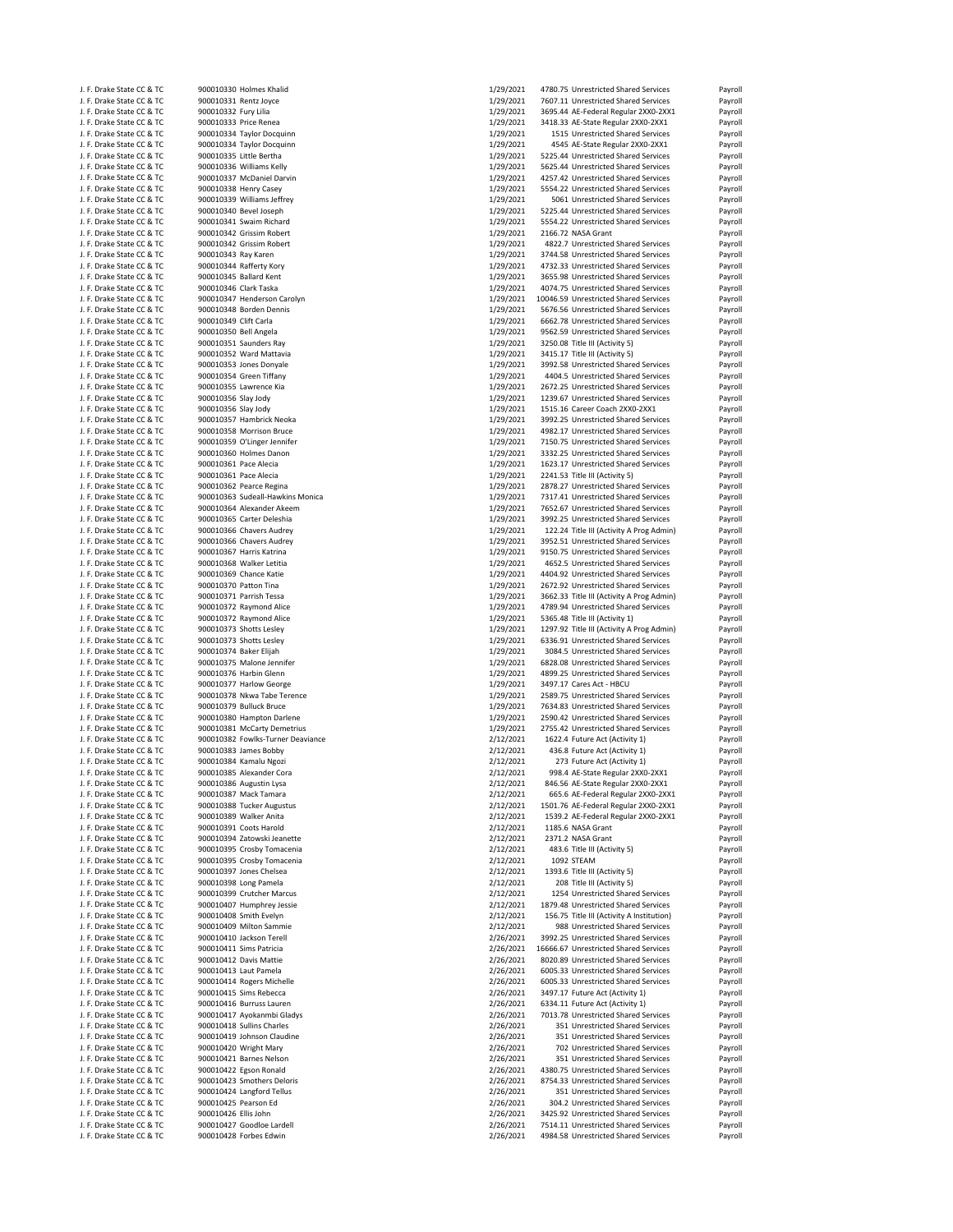|                           | J. F. Drake State CC & TC |                       | 900010330 Holmes Khalid           | 1/29/2021 | 4780.75 Unrestricted Shared Services      | Payroll |
|---------------------------|---------------------------|-----------------------|-----------------------------------|-----------|-------------------------------------------|---------|
| J. F. Drake State CC & TC |                           | 900010331 Rentz Joyce |                                   | 1/29/2021 | 7607.11 Unrestricted Shared Services      | Payroll |
| J. F. Drake State CC & TC |                           | 900010332 Fury Lilia  |                                   | 1/29/2021 | 3695.44 AE-Federal Regular 2XX0-2XX1      | Payroll |
| J. F. Drake State CC & TC |                           | 900010333 Price Renea |                                   | 1/29/2021 | 3418.33 AE-State Regular 2XX0-2XX1        | Payroll |
|                           |                           |                       |                                   |           | 1515 Unrestricted Shared Services         |         |
| J. F. Drake State CC & TC |                           |                       | 900010334 Taylor Docquinn         | 1/29/2021 |                                           | Payroll |
| J. F. Drake State CC & TC |                           |                       | 900010334 Taylor Docquinn         | 1/29/2021 | 4545 AE-State Regular 2XX0-2XX1           | Payroll |
| J. F. Drake State CC & TC |                           |                       | 900010335 Little Bertha           | 1/29/2021 | 5225.44 Unrestricted Shared Services      | Payroll |
| J. F. Drake State CC & TC |                           |                       | 900010336 Williams Kelly          | 1/29/2021 | 5625.44 Unrestricted Shared Services      | Payroll |
| J. F. Drake State CC & TC |                           |                       | 900010337 McDaniel Darvin         | 1/29/2021 | 4257.42 Unrestricted Shared Services      | Payroll |
| J. F. Drake State CC & TC |                           |                       | 900010338 Henry Casey             | 1/29/2021 | 5554.22 Unrestricted Shared Services      | Payroll |
|                           |                           |                       |                                   |           |                                           |         |
| J. F. Drake State CC & TC |                           |                       | 900010339 Williams Jeffrey        | 1/29/2021 | 5061 Unrestricted Shared Services         | Payroll |
| J. F. Drake State CC & TC |                           |                       | 900010340 Bevel Joseph            | 1/29/2021 | 5225.44 Unrestricted Shared Services      | Payroll |
| J. F. Drake State CC & TC |                           |                       | 900010341 Swaim Richard           | 1/29/2021 | 5554.22 Unrestricted Shared Services      | Payroll |
| J. F. Drake State CC & TC |                           |                       | 900010342 Grissim Robert          | 1/29/2021 | 2166.72 NASA Grant                        | Payroll |
| J. F. Drake State CC & TC |                           |                       | 900010342 Grissim Robert          | 1/29/2021 | 4822.7 Unrestricted Shared Services       | Payroll |
| J. F. Drake State CC & TC |                           | 900010343 Ray Karen   |                                   | 1/29/2021 | 3744.58 Unrestricted Shared Services      |         |
|                           |                           |                       |                                   |           |                                           | Payroll |
| J. F. Drake State CC & TC |                           |                       | 900010344 Rafferty Kory           | 1/29/2021 | 4732.33 Unrestricted Shared Services      | Payroll |
| J. F. Drake State CC & TC |                           |                       | 900010345 Ballard Kent            | 1/29/2021 | 3655.98 Unrestricted Shared Services      | Payroll |
| J. F. Drake State CC & TC |                           | 900010346 Clark Taska |                                   | 1/29/2021 | 4074.75 Unrestricted Shared Services      | Payroll |
| J. F. Drake State CC & TC |                           |                       | 900010347 Henderson Carolyn       | 1/29/2021 | 10046.59 Unrestricted Shared Services     | Payroll |
| J. F. Drake State CC & TC |                           |                       | 900010348 Borden Dennis           | 1/29/2021 | 5676.56 Unrestricted Shared Services      | Payroll |
|                           |                           |                       |                                   |           |                                           |         |
| J. F. Drake State CC & TC |                           | 900010349 Clift Carla |                                   | 1/29/2021 | 6662.78 Unrestricted Shared Services      | Payroll |
| J. F. Drake State CC & TC |                           | 900010350 Bell Angela |                                   | 1/29/2021 | 9562.59 Unrestricted Shared Services      | Payroll |
| J. F. Drake State CC & TC |                           |                       | 900010351 Saunders Ray            | 1/29/2021 | 3250.08 Title III (Activity 5)            | Payroll |
| J. F. Drake State CC & TC |                           |                       | 900010352 Ward Mattavia           | 1/29/2021 | 3415.17 Title III (Activity 5)            | Payroll |
| J. F. Drake State CC & TC |                           |                       | 900010353 Jones Donyale           | 1/29/2021 | 3992.58 Unrestricted Shared Services      | Payroll |
| J. F. Drake State CC & TC |                           |                       | 900010354 Green Tiffany           | 1/29/2021 | 4404.5 Unrestricted Shared Services       | Payroll |
|                           |                           |                       |                                   |           |                                           |         |
| J. F. Drake State CC & TC |                           |                       | 900010355 Lawrence Kia            | 1/29/2021 | 2672.25 Unrestricted Shared Services      | Payroll |
| J. F. Drake State CC & TC |                           | 900010356 Slay Jody   |                                   | 1/29/2021 | 1239.67 Unrestricted Shared Services      | Payroll |
| J. F. Drake State CC & TC |                           | 900010356 Slay Jody   |                                   | 1/29/2021 | 1515.16 Career Coach 2XX0-2XX1            | Payroll |
| J. F. Drake State CC & TC |                           |                       | 900010357 Hambrick Neoka          | 1/29/2021 | 3992.25 Unrestricted Shared Services      | Payroll |
| J. F. Drake State CC & TC |                           |                       | 900010358 Morrison Bruce          | 1/29/2021 | 4982.17 Unrestricted Shared Services      | Payroll |
|                           |                           |                       |                                   |           |                                           |         |
| J. F. Drake State CC & TC |                           |                       | 900010359 O'Linger Jennifer       | 1/29/2021 | 7150.75 Unrestricted Shared Services      | Payroll |
| J. F. Drake State CC & TC |                           |                       | 900010360 Holmes Danon            | 1/29/2021 | 3332.25 Unrestricted Shared Services      | Payroll |
| J. F. Drake State CC & TC |                           | 900010361 Pace Alecia |                                   | 1/29/2021 | 1623.17 Unrestricted Shared Services      | Payroll |
| J. F. Drake State CC & TC |                           | 900010361 Pace Alecia |                                   | 1/29/2021 | 2241.53 Title III (Activity 5)            | Payroll |
| J. F. Drake State CC & TC |                           |                       | 900010362 Pearce Regina           | 1/29/2021 | 2878.27 Unrestricted Shared Services      | Payroll |
|                           |                           |                       | 900010363 Sudeall-Hawkins Monica  | 1/29/2021 | 7317.41 Unrestricted Shared Services      |         |
| J. F. Drake State CC & TC |                           |                       |                                   |           |                                           | Payroll |
| J. F. Drake State CC & TC |                           |                       | 900010364 Alexander Akeem         | 1/29/2021 | 7652.67 Unrestricted Shared Services      | Payroll |
| J. F. Drake State CC & TC |                           |                       | 900010365 Carter Deleshia         | 1/29/2021 | 3992.25 Unrestricted Shared Services      | Payroll |
| J. F. Drake State CC & TC |                           |                       | 900010366 Chavers Audrey          | 1/29/2021 | 122.24 Title III (Activity A Prog Admin)  | Payroll |
| J. F. Drake State CC & TC |                           |                       | 900010366 Chavers Audrey          | 1/29/2021 | 3952.51 Unrestricted Shared Services      | Payroll |
|                           |                           |                       |                                   | 1/29/2021 |                                           |         |
| J. F. Drake State CC & TC |                           |                       | 900010367 Harris Katrina          |           | 9150.75 Unrestricted Shared Services      | Payroll |
| J. F. Drake State CC & TC |                           |                       | 900010368 Walker Letitia          | 1/29/2021 | 4652.5 Unrestricted Shared Services       | Payroll |
| J. F. Drake State CC & TC |                           |                       | 900010369 Chance Katie            | 1/29/2021 | 4404.92 Unrestricted Shared Services      | Payroll |
| J. F. Drake State CC & TC |                           | 900010370 Patton Tina |                                   | 1/29/2021 | 2672.92 Unrestricted Shared Services      | Payroll |
| J. F. Drake State CC & TC |                           |                       | 900010371 Parrish Tessa           | 1/29/2021 | 3662.33 Title III (Activity A Prog Admin) | Payroll |
| J. F. Drake State CC & TC |                           |                       | 900010372 Raymond Alice           | 1/29/2021 | 4789.94 Unrestricted Shared Services      | Payroll |
|                           |                           |                       |                                   |           |                                           |         |
|                           |                           |                       |                                   |           |                                           |         |
| J. F. Drake State CC & TC |                           |                       | 900010372 Raymond Alice           | 1/29/2021 | 5365.48 Title III (Activity 1)            | Payroll |
| J. F. Drake State CC & TC |                           |                       | 900010373 Shotts Lesley           | 1/29/2021 | 1297.92 Title III (Activity A Prog Admin) | Payroll |
| J. F. Drake State CC & TC |                           |                       | 900010373 Shotts Lesley           | 1/29/2021 | 6336.91 Unrestricted Shared Services      | Payroll |
|                           |                           |                       |                                   |           |                                           |         |
| J. F. Drake State CC & TC |                           |                       | 900010374 Baker Elijah            | 1/29/2021 | 3084.5 Unrestricted Shared Services       | Payroll |
| J. F. Drake State CC & TC |                           |                       | 900010375 Malone Jennifer         | 1/29/2021 | 6828.08 Unrestricted Shared Services      | Payroll |
| J. F. Drake State CC & TC |                           |                       | 900010376 Harbin Glenn            | 1/29/2021 | 4899.25 Unrestricted Shared Services      | Payroll |
| J. F. Drake State CC & TC |                           |                       | 900010377 Harlow George           | 1/29/2021 | 3497.17 Cares Act - HBCU                  | Payroll |
| J. F. Drake State CC & TC |                           |                       | 900010378 Nkwa Tabe Terence       | 1/29/2021 | 2589.75 Unrestricted Shared Services      | Payroll |
| J. F. Drake State CC & TC |                           |                       | 900010379 Bulluck Bruce           | 1/29/2021 | 7634.83 Unrestricted Shared Services      | Payroll |
|                           |                           |                       |                                   |           |                                           |         |
| J. F. Drake State CC & TC |                           |                       | 900010380 Hampton Darlene         | 1/29/2021 | 2590.42 Unrestricted Shared Services      | Payroll |
| J. F. Drake State CC & TC |                           |                       | 900010381 McCarty Demetrius       | 1/29/2021 | 2755.42 Unrestricted Shared Services      | Payroll |
| J. F. Drake State CC & TC |                           |                       | 900010382 Fowlks-Turner Deaviance | 2/12/2021 | 1622.4 Future Act (Activity 1)            | Payroll |
| J. F. Drake State CC & TC |                           |                       | 900010383 James Bobby             | 2/12/2021 | 436.8 Future Act (Activity 1)             | Payroll |
| J. F. Drake State CC & TC |                           |                       | 900010384 Kamalu Ngozi            | 2/12/2021 | 273 Future Act (Activity 1)               | Payroll |
| J. F. Drake State CC & TC |                           |                       | 900010385 Alexander Cora          | 2/12/2021 | 998.4 AE-State Regular 2XX0-2XX1          | Payroll |
|                           |                           |                       |                                   |           |                                           |         |
| J. F. Drake State CC & TC |                           |                       | 900010386 Augustin Lysa           | 2/12/2021 | 846.56 AE-State Regular 2XX0-2XX1         | Payroll |
| J. F. Drake State CC & TC |                           |                       | 900010387 Mack Tamara             | 2/12/2021 | 665.6 AE-Federal Regular 2XX0-2XX1        | Payroll |
| J. F. Drake State CC & TC |                           |                       | 900010388 Tucker Augustus         | 2/12/2021 | 1501.76 AE-Federal Regular 2XX0-2XX1      | Payroll |
| J. F. Drake State CC & TC |                           |                       | 900010389 Walker Anita            | 2/12/2021 | 1539.2 AE-Federal Regular 2XX0-2XX1       | Payroll |
| J. F. Drake State CC & TC |                           |                       | 900010391 Coots Harold            | 2/12/2021 | 1185.6 NASA Grant                         | Payroll |
|                           |                           |                       |                                   |           |                                           |         |
| J. F. Drake State CC & TC |                           |                       | 900010394 Zatowski Jeanette       | 2/12/2021 | 2371.2 NASA Grant                         | Payroll |
| J. F. Drake State CC & TC |                           |                       | 900010395 Crosby Tomacenia        | 2/12/2021 | 483.6 Title III (Activity 5)              | Payroll |
| J. F. Drake State CC & TC |                           |                       | 900010395 Crosby Tomacenia        | 2/12/2021 | 1092 STEAM                                | Payroll |
| J. F. Drake State CC & TC |                           |                       | 900010397 Jones Chelsea           | 2/12/2021 | 1393.6 Title III (Activity 5)             | Payroll |
| J. F. Drake State CC & TC |                           |                       | 900010398 Long Pamela             | 2/12/2021 | 208 Title III (Activity 5)                | Payroll |
| J. F. Drake State CC & TC |                           |                       |                                   |           |                                           |         |
|                           |                           |                       | 900010399 Crutcher Marcus         | 2/12/2021 | 1254 Unrestricted Shared Services         | Payroll |
| J. F. Drake State CC & TC |                           |                       | 900010407 Humphrey Jessie         | 2/12/2021 | 1879.48 Unrestricted Shared Services      | Payroll |
| J. F. Drake State CC & TC |                           |                       | 900010408 Smith Evelyn            | 2/12/2021 | 156.75 Title III (Activity A Institution) | Payroll |
| J. F. Drake State CC & TC |                           |                       | 900010409 Milton Sammie           | 2/12/2021 | 988 Unrestricted Shared Services          | Payroll |
| J. F. Drake State CC & TC |                           |                       | 900010410 Jackson Terell          | 2/26/2021 | 3992.25 Unrestricted Shared Services      | Payroll |
| J. F. Drake State CC & TC |                           |                       | 900010411 Sims Patricia           | 2/26/2021 | 16666.67 Unrestricted Shared Services     | Payroll |
| J. F. Drake State CC & TC |                           |                       |                                   |           |                                           |         |
|                           |                           |                       | 900010412 Davis Mattie            | 2/26/2021 | 8020.89 Unrestricted Shared Services      | Payroll |
| J. F. Drake State CC & TC |                           |                       | 900010413 Laut Pamela             | 2/26/2021 | 6005.33 Unrestricted Shared Services      | Payroll |
| J. F. Drake State CC & TC |                           |                       | 900010414 Rogers Michelle         | 2/26/2021 | 6005.33 Unrestricted Shared Services      | Payroll |
| J. F. Drake State CC & TC |                           |                       | 900010415 Sims Rebecca            | 2/26/2021 | 3497.17 Future Act (Activity 1)           | Payroll |
| J. F. Drake State CC & TC |                           |                       | 900010416 Burruss Lauren          | 2/26/2021 | 6334.11 Future Act (Activity 1)           | Payroll |
| J. F. Drake State CC & TC |                           |                       | 900010417 Ayokanmbi Gladys        |           | 7013.78 Unrestricted Shared Services      | Payroll |
|                           |                           |                       |                                   | 2/26/2021 |                                           |         |
| J. F. Drake State CC & TC |                           |                       | 900010418 Sullins Charles         | 2/26/2021 | 351 Unrestricted Shared Services          | Payroll |
| J. F. Drake State CC & TC |                           |                       | 900010419 Johnson Claudine        | 2/26/2021 | 351 Unrestricted Shared Services          | Payroll |
| J. F. Drake State CC & TC |                           |                       | 900010420 Wright Mary             | 2/26/2021 | 702 Unrestricted Shared Services          | Payroll |
| J. F. Drake State CC & TC |                           |                       | 900010421 Barnes Nelson           | 2/26/2021 | 351 Unrestricted Shared Services          | Payroll |
| J. F. Drake State CC & TC |                           |                       | 900010422 Egson Ronald            | 2/26/2021 | 4380.75 Unrestricted Shared Services      | Payroll |
|                           |                           |                       |                                   |           |                                           |         |
| J. F. Drake State CC & TC |                           |                       | 900010423 Smothers Deloris        | 2/26/2021 | 8754.33 Unrestricted Shared Services      | Payroll |
| J. F. Drake State CC & TC |                           |                       | 900010424 Langford Tellus         | 2/26/2021 | 351 Unrestricted Shared Services          | Payroll |
| J. F. Drake State CC & TC |                           | 900010425 Pearson Ed  |                                   | 2/26/2021 | 304.2 Unrestricted Shared Services        | Payroll |
| J. F. Drake State CC & TC |                           | 900010426 Ellis John  |                                   | 2/26/2021 | 3425.92 Unrestricted Shared Services      | Payroll |
| J. F. Drake State CC & TC |                           |                       | 900010427 Goodloe Lardell         | 2/26/2021 | 7514.11 Unrestricted Shared Services      | Payroll |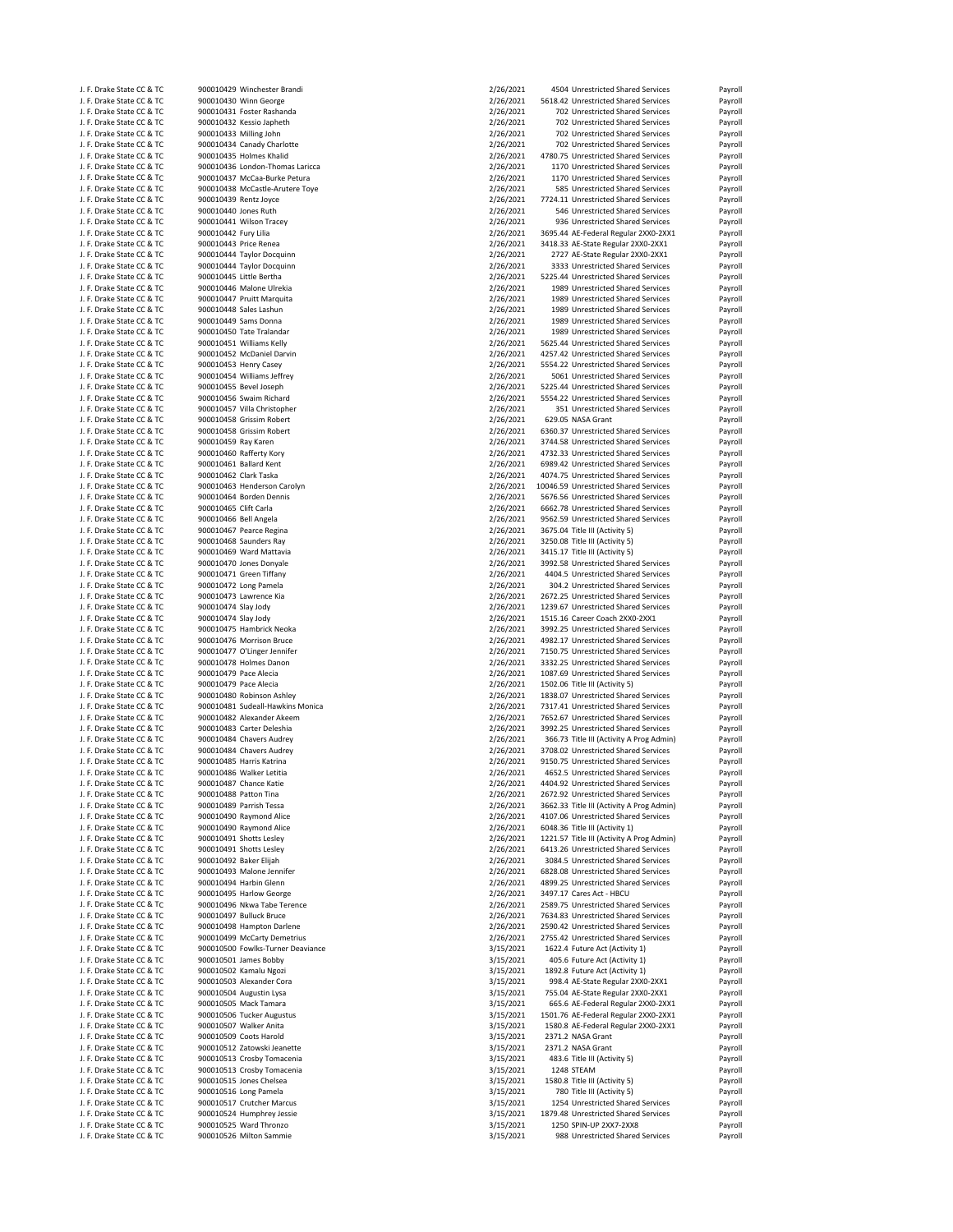| J. F. Drake State CC & TC | 900010429 Winchester Brandi       | 2/26/2021 | 4504 Unrestricted Shared Services         | Payroll |
|---------------------------|-----------------------------------|-----------|-------------------------------------------|---------|
| J. F. Drake State CC & TC | 900010430 Winn George             | 2/26/2021 | 5618.42 Unrestricted Shared Services      | Payroll |
| J. F. Drake State CC & TC | 900010431 Foster Rashanda         | 2/26/2021 | 702 Unrestricted Shared Services          | Payroll |
| J. F. Drake State CC & TC | 900010432 Kessio Japheth          | 2/26/2021 | 702 Unrestricted Shared Services          | Payroll |
| J. F. Drake State CC & TC | 900010433 Milling John            | 2/26/2021 | 702 Unrestricted Shared Services          | Payroll |
| J. F. Drake State CC & TC | 900010434 Canady Charlotte        | 2/26/2021 | 702 Unrestricted Shared Services          | Payroll |
| J. F. Drake State CC & TC | 900010435 Holmes Khalid           | 2/26/2021 | 4780.75 Unrestricted Shared Services      | Payroll |
| J. F. Drake State CC & TC | 900010436 London-Thomas Laricca   | 2/26/2021 | 1170 Unrestricted Shared Services         | Payroll |
| J. F. Drake State CC & TC | 900010437 McCaa-Burke Petura      | 2/26/2021 | 1170 Unrestricted Shared Services         | Payroll |
| J. F. Drake State CC & TC | 900010438 McCastle-Arutere Toye   | 2/26/2021 | 585 Unrestricted Shared Services          | Payroll |
| J. F. Drake State CC & TC | 900010439 Rentz Joyce             | 2/26/2021 | 7724.11 Unrestricted Shared Services      | Payroll |
| J. F. Drake State CC & TC | 900010440 Jones Ruth              | 2/26/2021 | 546 Unrestricted Shared Services          | Payroll |
| J. F. Drake State CC & TC | 900010441 Wilson Tracey           | 2/26/2021 | 936 Unrestricted Shared Services          | Payroll |
| J. F. Drake State CC & TC | 900010442 Fury Lilia              | 2/26/2021 | 3695.44 AE-Federal Regular 2XX0-2XX1      | Payroll |
| J. F. Drake State CC & TC | 900010443 Price Renea             | 2/26/2021 | 3418.33 AE-State Regular 2XX0-2XX1        | Payroll |
| J. F. Drake State CC & TC | 900010444 Taylor Docquinn         | 2/26/2021 | 2727 AE-State Regular 2XX0-2XX1           | Payroll |
| J. F. Drake State CC & TC | 900010444 Taylor Docquinn         | 2/26/2021 | 3333 Unrestricted Shared Services         | Payroll |
| J. F. Drake State CC & TC | 900010445 Little Bertha           | 2/26/2021 | 5225.44 Unrestricted Shared Services      | Payroll |
| J. F. Drake State CC & TC | 900010446 Malone Ulrekia          | 2/26/2021 | 1989 Unrestricted Shared Services         | Payroll |
| J. F. Drake State CC & TC | 900010447 Pruitt Marquita         | 2/26/2021 | 1989 Unrestricted Shared Services         | Payroll |
| J. F. Drake State CC & TC | 900010448 Sales Lashun            | 2/26/2021 | 1989 Unrestricted Shared Services         | Payroll |
| J. F. Drake State CC & TC | 900010449 Sams Donna              | 2/26/2021 | 1989 Unrestricted Shared Services         | Payroll |
| J. F. Drake State CC & TC | 900010450 Tate Tralandar          | 2/26/2021 | 1989 Unrestricted Shared Services         | Payroll |
| J. F. Drake State CC & TC | 900010451 Williams Kelly          | 2/26/2021 | 5625.44 Unrestricted Shared Services      | Payroll |
| J. F. Drake State CC & TC | 900010452 McDaniel Darvin         | 2/26/2021 | 4257.42 Unrestricted Shared Services      | Payroll |
| J. F. Drake State CC & TC | 900010453 Henry Casey             | 2/26/2021 | 5554.22 Unrestricted Shared Services      | Payroll |
| J. F. Drake State CC & TC | 900010454 Williams Jeffrey        | 2/26/2021 | 5061 Unrestricted Shared Services         | Payroll |
| J. F. Drake State CC & TC | 900010455 Bevel Joseph            | 2/26/2021 | 5225.44 Unrestricted Shared Services      | Payroll |
| J. F. Drake State CC & TC | 900010456 Swaim Richard           | 2/26/2021 | 5554.22 Unrestricted Shared Services      | Payroll |
| J. F. Drake State CC & TC | 900010457 Villa Christopher       | 2/26/2021 | 351 Unrestricted Shared Services          | Payroll |
| J. F. Drake State CC & TC | 900010458 Grissim Robert          | 2/26/2021 | 629.05 NASA Grant                         | Payroll |
| J. F. Drake State CC & TC | 900010458 Grissim Robert          | 2/26/2021 | 6360.37 Unrestricted Shared Services      | Payroll |
| J. F. Drake State CC & TC | 900010459 Ray Karen               | 2/26/2021 | 3744.58 Unrestricted Shared Services      | Payroll |
| J. F. Drake State CC & TC | 900010460 Rafferty Kory           | 2/26/2021 | 4732.33 Unrestricted Shared Services      | Payroll |
| J. F. Drake State CC & TC | 900010461 Ballard Kent            | 2/26/2021 | 6989.42 Unrestricted Shared Services      | Payroll |
| J. F. Drake State CC & TC | 900010462 Clark Taska             | 2/26/2021 | 4074.75 Unrestricted Shared Services      | Payroll |
| J. F. Drake State CC & TC | 900010463 Henderson Carolyn       | 2/26/2021 | 10046.59 Unrestricted Shared Services     | Payroll |
| J. F. Drake State CC & TC | 900010464 Borden Dennis           | 2/26/2021 | 5676.56 Unrestricted Shared Services      | Payroll |
| J. F. Drake State CC & TC | 900010465 Clift Carla             | 2/26/2021 | 6662.78 Unrestricted Shared Services      | Payroll |
| J. F. Drake State CC & TC | 900010466 Bell Angela             | 2/26/2021 | 9562.59 Unrestricted Shared Services      | Payroll |
| J. F. Drake State CC & TC | 900010467 Pearce Regina           | 2/26/2021 | 3675.04 Title III (Activity 5)            | Payroll |
| J. F. Drake State CC & TC | 900010468 Saunders Ray            | 2/26/2021 | 3250.08 Title III (Activity 5)            | Payroll |
| J. F. Drake State CC & TC | 900010469 Ward Mattavia           | 2/26/2021 | 3415.17 Title III (Activity 5)            | Payroll |
| J. F. Drake State CC & TC | 900010470 Jones Donyale           | 2/26/2021 | 3992.58 Unrestricted Shared Services      | Payroll |
| J. F. Drake State CC & TC | 900010471 Green Tiffany           | 2/26/2021 | 4404.5 Unrestricted Shared Services       | Payroll |
| J. F. Drake State CC & TC | 900010472 Long Pamela             | 2/26/2021 | 304.2 Unrestricted Shared Services        | Payroll |
| J. F. Drake State CC & TC | 900010473 Lawrence Kia            | 2/26/2021 | 2672.25 Unrestricted Shared Services      | Payroll |
| J. F. Drake State CC & TC | 900010474 Slay Jody               | 2/26/2021 | 1239.67 Unrestricted Shared Services      | Payroll |
| J. F. Drake State CC & TC | 900010474 Slay Jody               | 2/26/2021 | 1515.16 Career Coach 2XX0-2XX1            | Payroll |
| J. F. Drake State CC & TC | 900010475 Hambrick Neoka          | 2/26/2021 | 3992.25 Unrestricted Shared Services      | Payroll |
| J. F. Drake State CC & TC | 900010476 Morrison Bruce          | 2/26/2021 | 4982.17 Unrestricted Shared Services      | Payroll |
| J. F. Drake State CC & TC | 900010477 O'Linger Jennifer       | 2/26/2021 | 7150.75 Unrestricted Shared Services      | Payroll |
| J. F. Drake State CC & TC | 900010478 Holmes Danon            | 2/26/2021 | 3332.25 Unrestricted Shared Services      | Payroll |
| J. F. Drake State CC & TC | 900010479 Pace Alecia             | 2/26/2021 | 1087.69 Unrestricted Shared Services      | Payroll |
| J. F. Drake State CC & TC | 900010479 Pace Alecia             | 2/26/2021 | 1502.06 Title III (Activity 5)            | Payroll |
| J. F. Drake State CC & TC | 900010480 Robinson Ashley         | 2/26/2021 | 1838.07 Unrestricted Shared Services      | Payroll |
| J. F. Drake State CC & TC | 900010481 Sudeall-Hawkins Monica  | 2/26/2021 | 7317.41 Unrestricted Shared Services      | Payroll |
| J. F. Drake State CC & TC | 900010482 Alexander Akeem         | 2/26/2021 | 7652.67 Unrestricted Shared Services      | Payroll |
| J. F. Drake State CC & TC | 900010483 Carter Deleshia         | 2/26/2021 | 3992.25 Unrestricted Shared Services      | Payroll |
| J. F. Drake State CC & TC | 900010484 Chavers Audrey          | 2/26/2021 | 366.73 Title III (Activity A Prog Admin)  | Payroll |
| J. F. Drake State CC & TC | 900010484 Chavers Audrey          | 2/26/2021 | 3708.02 Unrestricted Shared Services      | Payroll |
| J. F. Drake State CC & TC | 900010485 Harris Katrina          | 2/26/2021 | 9150.75 Unrestricted Shared Services      | Payroll |
| J. F. Drake State CC & TC | 900010486 Walker Letitia          | 2/26/2021 | 4652.5 Unrestricted Shared Services       | Payroll |
| J. F. Drake State CC & TC | 900010487 Chance Katie            | 2/26/2021 | 4404.92 Unrestricted Shared Services      | Payroll |
| J. F. Drake State CC & TC | 900010488 Patton Tina             | 2/26/2021 | 2672.92 Unrestricted Shared Services      | Payroll |
| J. F. Drake State CC & TC | 900010489 Parrish Tessa           | 2/26/2021 | 3662.33 Title III (Activity A Prog Admin) | Payroll |
| J. F. Drake State CC & TC | 900010490 Raymond Alice           | 2/26/2021 | 4107.06 Unrestricted Shared Services      | Payroll |
| J. F. Drake State CC & TC | 900010490 Raymond Alice           | 2/26/2021 | 6048.36 Title III (Activity 1)            | Payroll |
| J. F. Drake State CC & TC | 900010491 Shotts Lesley           | 2/26/2021 | 1221.57 Title III (Activity A Prog Admin) | Payroll |
| J. F. Drake State CC & TC | 900010491 Shotts Lesley           | 2/26/2021 | 6413.26 Unrestricted Shared Services      | Payroll |
| J. F. Drake State CC & TC | 900010492 Baker Elijah            | 2/26/2021 | 3084.5 Unrestricted Shared Services       | Payroll |
| J. F. Drake State CC & TC | 900010493 Malone Jennifer         | 2/26/2021 | 6828.08 Unrestricted Shared Services      | Payroll |
| J. F. Drake State CC & TC | 900010494 Harbin Glenn            | 2/26/2021 | 4899.25 Unrestricted Shared Services      | Payroll |
| J. F. Drake State CC & TC | 900010495 Harlow George           | 2/26/2021 | 3497.17 Cares Act - HBCU                  | Payroll |
| J. F. Drake State CC & TC | 900010496 Nkwa Tabe Terence       | 2/26/2021 | 2589.75 Unrestricted Shared Services      | Payroll |
| J. F. Drake State CC & TC | 900010497 Bulluck Bruce           | 2/26/2021 | 7634.83 Unrestricted Shared Services      | Payroll |
| J. F. Drake State CC & TC | 900010498 Hampton Darlene         | 2/26/2021 | 2590.42 Unrestricted Shared Services      | Payroll |
| J. F. Drake State CC & TC | 900010499 McCarty Demetrius       | 2/26/2021 | 2755.42 Unrestricted Shared Services      | Payroll |
| J. F. Drake State CC & TC | 900010500 Fowlks-Turner Deaviance | 3/15/2021 | 1622.4 Future Act (Activity 1)            | Payroll |
| J. F. Drake State CC & TC | 900010501 James Bobby             | 3/15/2021 | 405.6 Future Act (Activity 1)             | Payroll |
| J. F. Drake State CC & TC | 900010502 Kamalu Ngozi            | 3/15/2021 | 1892.8 Future Act (Activity 1)            | Payroll |
| J. F. Drake State CC & TC | 900010503 Alexander Cora          | 3/15/2021 | 998.4 AE-State Regular 2XX0-2XX1          | Payroll |
| J. F. Drake State CC & TC | 900010504 Augustin Lysa           | 3/15/2021 | 755.04 AE-State Regular 2XX0-2XX1         | Payroll |
| J. F. Drake State CC & TC | 900010505 Mack Tamara             | 3/15/2021 | 665.6 AE-Federal Regular 2XX0-2XX1        | Payroll |
| J. F. Drake State CC & TC | 900010506 Tucker Augustus         | 3/15/2021 | 1501.76 AE-Federal Regular 2XX0-2XX1      | Payroll |
| J. F. Drake State CC & TC | 900010507 Walker Anita            | 3/15/2021 | 1580.8 AE-Federal Regular 2XX0-2XX1       | Payroll |
| J. F. Drake State CC & TC | 900010509 Coots Harold            | 3/15/2021 | 2371.2 NASA Grant                         | Payroll |
| J. F. Drake State CC & TC | 900010512 Zatowski Jeanette       | 3/15/2021 | 2371.2 NASA Grant                         | Payroll |
| J. F. Drake State CC & TC | 900010513 Crosby Tomacenia        | 3/15/2021 | 483.6 Title III (Activity 5)              | Payroll |
| J. F. Drake State CC & TC | 900010513 Crosby Tomacenia        | 3/15/2021 | 1248 STEAM                                | Payroll |
| J. F. Drake State CC & TC | 900010515 Jones Chelsea           | 3/15/2021 | 1580.8 Title III (Activity 5)             | Payroll |
| J. F. Drake State CC & TC | 900010516 Long Pamela             | 3/15/2021 | 780 Title III (Activity 5)                | Payroll |
| J. F. Drake State CC & TC | 900010517 Crutcher Marcus         | 3/15/2021 | 1254 Unrestricted Shared Services         | Payroll |
| J. F. Drake State CC & TC | 900010524 Humphrey Jessie         | 3/15/2021 | 1879.48 Unrestricted Shared Services      | Payroll |
| J. F. Drake State CC & TC | 900010525 Ward Thronzo            | 3/15/2021 | 1250 SPIN-UP 2XX7-2XX8                    | Payroll |
| J. F. Drake State CC & TC | 900010526 Milton Sammie           | 3/15/2021 | 988 Unrestricted Shared Services          | Payroll |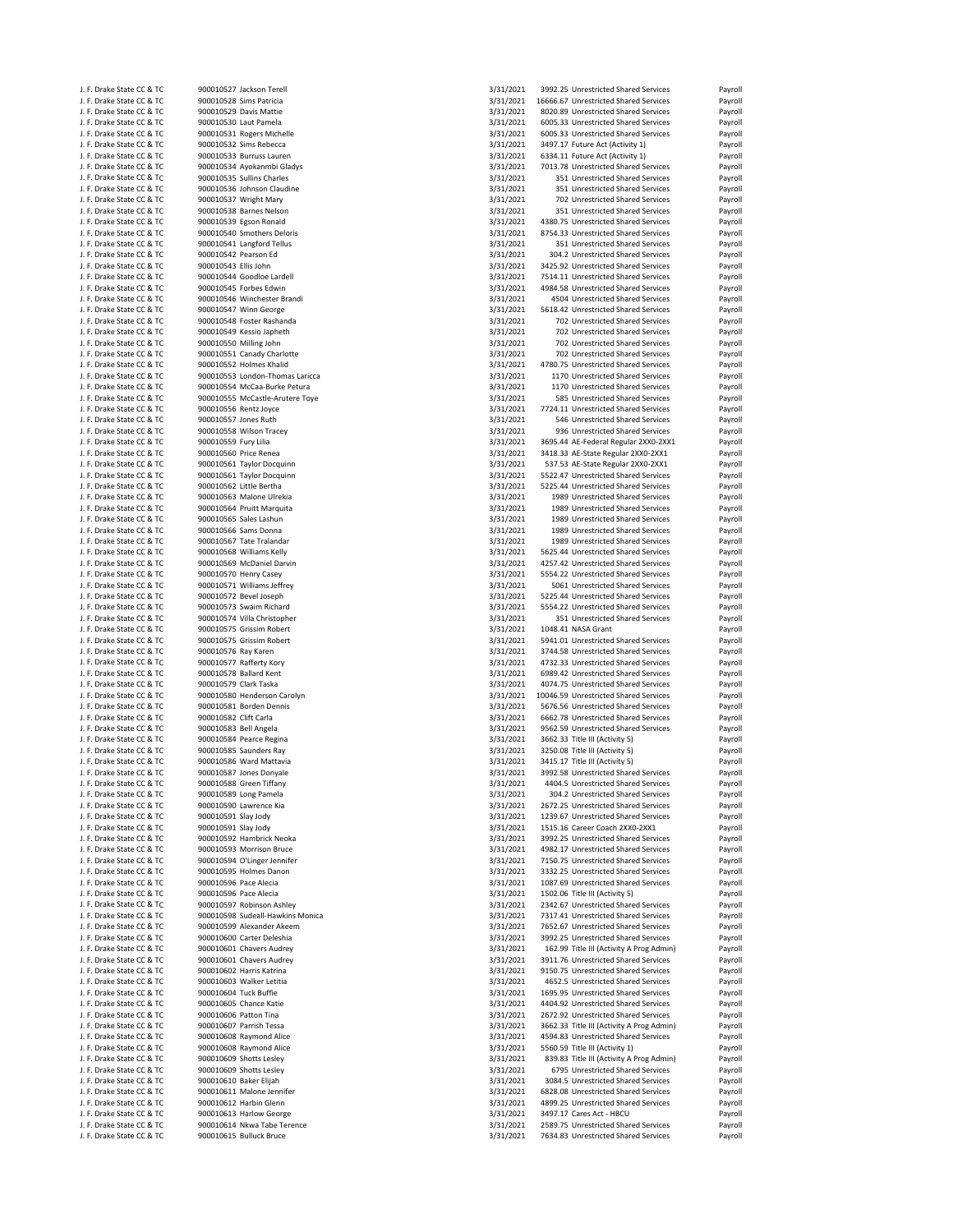| J. F. Drake State CC & TC                              | 900010527 Jackson Terell                          | 3/31/2021              | 3992.25 Unrestricted Shared Services                                          | Payroll            |
|--------------------------------------------------------|---------------------------------------------------|------------------------|-------------------------------------------------------------------------------|--------------------|
| J. F. Drake State CC & TC                              | 900010528 Sims Patricia                           | 3/31/2021              | 16666.67 Unrestricted Shared Services                                         | Payroll            |
| J. F. Drake State CC & TC                              | 900010529 Davis Mattie                            | 3/31/2021              | 8020.89 Unrestricted Shared Services                                          | Payroll            |
| J. F. Drake State CC & TC                              | 900010530 Laut Pamela                             | 3/31/2021              | 6005.33 Unrestricted Shared Services                                          | Payroll            |
| J. F. Drake State CC & TC                              | 900010531 Rogers Michelle                         | 3/31/2021              | 6005.33 Unrestricted Shared Services                                          | Payroll            |
| J. F. Drake State CC & TC                              | 900010532 Sims Rebecca                            | 3/31/2021              | 3497.17 Future Act (Activity 1)                                               | Payroll            |
| J. F. Drake State CC & TC                              | 900010533 Burruss Lauren                          | 3/31/2021              | 6334.11 Future Act (Activity 1)                                               | Payroll            |
| J. F. Drake State CC & TC                              | 900010534 Ayokanmbi Gladys                        | 3/31/2021              | 7013.78 Unrestricted Shared Services                                          | Payroll            |
| J. F. Drake State CC & TC                              | 900010535 Sullins Charles                         | 3/31/2021              | 351 Unrestricted Shared Services                                              | Payroll            |
| J. F. Drake State CC & TC                              | 900010536 Johnson Claudine                        | 3/31/2021              | 351 Unrestricted Shared Services                                              | Payroll            |
| J. F. Drake State CC & TC                              | 900010537 Wright Mary                             | 3/31/2021              | 702 Unrestricted Shared Services                                              | Payroll            |
| J. F. Drake State CC & TC                              | 900010538 Barnes Nelson                           | 3/31/2021              | 351 Unrestricted Shared Services                                              | Payroll            |
| J. F. Drake State CC & TC                              | 900010539 Egson Ronald                            | 3/31/2021              | 4380.75 Unrestricted Shared Services                                          | Payroll            |
| J. F. Drake State CC & TC                              | 900010540 Smothers Deloris                        | 3/31/2021              | 8754.33 Unrestricted Shared Services                                          | Payroll            |
| J. F. Drake State CC & TC                              | 900010541 Langford Tellus                         | 3/31/2021              | 351 Unrestricted Shared Services                                              | Payroll            |
| J. F. Drake State CC & TC                              | 900010542 Pearson Ed                              | 3/31/2021              | 304.2 Unrestricted Shared Services                                            | Payroll            |
| J. F. Drake State CC & TC                              | 900010543 Ellis John                              | 3/31/2021              | 3425.92 Unrestricted Shared Services                                          | Payroll            |
| J. F. Drake State CC & TC                              | 900010544 Goodloe Lardell                         | 3/31/2021              | 7514.11 Unrestricted Shared Services                                          | Payroll            |
| J. F. Drake State CC & TC                              | 900010545 Forbes Edwin                            | 3/31/2021              | 4984.58 Unrestricted Shared Services                                          | Payroll            |
| J. F. Drake State CC & TC                              | 900010546 Winchester Brandi                       | 3/31/2021              | 4504 Unrestricted Shared Services                                             | Payroll            |
| J. F. Drake State CC & TC                              | 900010547 Winn George                             | 3/31/2021              | 5618.42 Unrestricted Shared Services                                          | Payroll            |
| J. F. Drake State CC & TC                              | 900010548 Foster Rashanda                         | 3/31/2021              | 702 Unrestricted Shared Services                                              | Payroll            |
| J. F. Drake State CC & TC                              | 900010549 Kessio Japheth                          | 3/31/2021              | 702 Unrestricted Shared Services                                              | Payroll            |
| J. F. Drake State CC & TC                              | 900010550 Milling John                            | 3/31/2021              | 702 Unrestricted Shared Services                                              | Payroll            |
| J. F. Drake State CC & TC                              | 900010551 Canady Charlotte                        | 3/31/2021              | 702 Unrestricted Shared Services                                              | Payroll            |
| J. F. Drake State CC & TC                              | 900010552 Holmes Khalid                           | 3/31/2021              | 4780.75 Unrestricted Shared Services                                          | Payroll            |
| J. F. Drake State CC & TC                              | 900010553 London-Thomas Laricca                   | 3/31/2021              | 1170 Unrestricted Shared Services                                             | Payroll            |
| J. F. Drake State CC & TC                              | 900010554 McCaa-Burke Petura                      | 3/31/2021              | 1170 Unrestricted Shared Services                                             | Payroll            |
| J. F. Drake State CC & TC                              | 900010555 McCastle-Arutere Toye                   | 3/31/2021              | 585 Unrestricted Shared Services                                              | Payroll            |
| J. F. Drake State CC & TC                              | 900010556 Rentz Joyce                             | 3/31/2021              | 7724.11 Unrestricted Shared Services                                          | Payroll            |
| J. F. Drake State CC & TC                              | 900010557 Jones Ruth                              | 3/31/2021              | 546 Unrestricted Shared Services                                              | Payroll            |
| J. F. Drake State CC & TC                              | 900010558 Wilson Tracey                           | 3/31/2021              | 936 Unrestricted Shared Services                                              | Payroll            |
| J. F. Drake State CC & TC                              | 900010559 Fury Lilia                              | 3/31/2021              | 3695.44 AE-Federal Regular 2XX0-2XX1                                          | Payroll            |
| J. F. Drake State CC & TC                              | 900010560 Price Renea                             | 3/31/2021              | 3418.33 AE-State Regular 2XX0-2XX1                                            | Payroll            |
| J. F. Drake State CC & TC                              | 900010561 Taylor Docquinn                         | 3/31/2021              | 537.53 AE-State Regular 2XX0-2XX1                                             | Payroll            |
| J. F. Drake State CC & TC                              | 900010561 Taylor Docquinn                         | 3/31/2021              | 5522.47 Unrestricted Shared Services                                          | Payroll            |
| J. F. Drake State CC & TC                              | 900010562 Little Bertha                           | 3/31/2021              | 5225.44 Unrestricted Shared Services                                          | Payroll            |
| J. F. Drake State CC & TC                              | 900010563 Malone Ulrekia                          | 3/31/2021              | 1989 Unrestricted Shared Services                                             | Payroll            |
| J. F. Drake State CC & TC                              | 900010564 Pruitt Marquita                         | 3/31/2021              | 1989 Unrestricted Shared Services                                             | Payroll            |
| J. F. Drake State CC & TC                              | 900010565 Sales Lashun                            | 3/31/2021              | 1989 Unrestricted Shared Services                                             | Payroll            |
| J. F. Drake State CC & TC                              | 900010566 Sams Donna                              | 3/31/2021              | 1989 Unrestricted Shared Services                                             | Payroll            |
| J. F. Drake State CC & TC                              | 900010567 Tate Tralandar                          | 3/31/2021              | 1989 Unrestricted Shared Services                                             | Payroll            |
| J. F. Drake State CC & TC                              | 900010568 Williams Kelly                          | 3/31/2021              | 5625.44 Unrestricted Shared Services                                          | Payroll            |
| J. F. Drake State CC & TC                              | 900010569 McDaniel Darvin                         | 3/31/2021              | 4257.42 Unrestricted Shared Services                                          | Payroll            |
| J. F. Drake State CC & TC                              | 900010570 Henry Casey                             | 3/31/2021              | 5554.22 Unrestricted Shared Services                                          | Payroll            |
| J. F. Drake State CC & TC                              | 900010571 Williams Jeffrey                        | 3/31/2021              | 5061 Unrestricted Shared Services                                             | Payroll            |
| J. F. Drake State CC & TC                              | 900010572 Bevel Joseph                            | 3/31/2021              | 5225.44 Unrestricted Shared Services                                          | Payroll            |
| J. F. Drake State CC & TC                              | 900010573 Swaim Richard                           | 3/31/2021              | 5554.22 Unrestricted Shared Services                                          | Payroll            |
|                                                        | 900010574 Villa Christopher                       | 3/31/2021              | 351 Unrestricted Shared Services                                              |                    |
| J. F. Drake State CC & TC                              |                                                   |                        | 1048.41 NASA Grant                                                            | Payroll            |
| J. F. Drake State CC & TC                              | 900010575 Grissim Robert                          | 3/31/2021<br>3/31/2021 |                                                                               | Payroll            |
| J. F. Drake State CC & TC                              | 900010575 Grissim Robert                          | 3/31/2021              | 5941.01 Unrestricted Shared Services                                          | Payroll            |
| J. F. Drake State CC & TC                              | 900010576 Ray Karen                               | 3/31/2021              | 3744.58 Unrestricted Shared Services<br>4732.33 Unrestricted Shared Services  | Payroll            |
| J. F. Drake State CC & TC                              | 900010577 Rafferty Kory                           |                        |                                                                               | Payroll            |
| J. F. Drake State CC & TC<br>J. F. Drake State CC & TC | 900010578 Ballard Kent                            | 3/31/2021              | 6989.42 Unrestricted Shared Services<br>4074.75 Unrestricted Shared Services  | Payroll            |
| J. F. Drake State CC & TC                              | 900010579 Clark Taska                             | 3/31/2021<br>3/31/2021 |                                                                               | Payroll            |
|                                                        | 900010580 Henderson Carolyn                       | 3/31/2021              | 10046.59 Unrestricted Shared Services<br>5676.56 Unrestricted Shared Services | Payroll            |
| J. F. Drake State CC & TC                              | 900010581 Borden Dennis                           |                        |                                                                               | Payroll            |
| J. F. Drake State CC & TC                              | 900010582 Clift Carla                             | 3/31/2021<br>3/31/2021 | 6662.78 Unrestricted Shared Services                                          | Payroll            |
| J. F. Drake State CC & TC                              | 900010583 Bell Angela                             |                        | 9562.59 Unrestricted Shared Services                                          | Payroll            |
| J. F. Drake State CC & TC                              | 900010584 Pearce Regina                           | 3/31/2021<br>3/31/2021 | 3662.33 Title III (Activity 5)                                                | Payroll            |
| J. F. Drake State CC & TC<br>J. F. Drake State CC & TC | 900010585 Saunders Ray<br>900010586 Ward Mattavia | 3/31/2021              | 3250.08 Title III (Activity 5)<br>3415.17 Title III (Activity 5)              | Payroll<br>Payroll |
| J. F. Drake State CC & TC                              | 900010587 Jones Donyale                           | 3/31/2021              | 3992.58 Unrestricted Shared Services                                          | Payroll            |
|                                                        |                                                   |                        |                                                                               |                    |
| J. F. Drake State CC & TC                              | 900010588 Green Tiffany<br>900010589 Long Pamela  | 3/31/2021              | 4404.5 Unrestricted Shared Services                                           | Payroll            |
| J. F. Drake State CC & TC<br>J. F. Drake State CC & TC | 900010590 Lawrence Kia                            | 3/31/2021<br>3/31/2021 | 304.2 Unrestricted Shared Services<br>2672.25 Unrestricted Shared Services    | Payroll            |
| J. F. Drake State CC & TC                              | 900010591 Slay Jody                               | 3/31/2021              | 1239.67 Unrestricted Shared Services                                          | Payroll<br>Payroll |
| J. F. Drake State CC & TC                              | 900010591 Slay Jody                               | 3/31/2021              | 1515.16 Career Coach 2XX0-2XX1                                                | Payroll            |
| J. F. Drake State CC & TC                              | 900010592 Hambrick Neoka                          | 3/31/2021              | 3992.25 Unrestricted Shared Services                                          | Payroll            |
| J. F. Drake State CC & TC                              | 900010593 Morrison Bruce                          | 3/31/2021              | 4982.17 Unrestricted Shared Services                                          | Payroll            |
| J. F. Drake State CC & TC                              | 900010594 O'Linger Jennifer                       | 3/31/2021              | 7150.75 Unrestricted Shared Services                                          | Payroll            |
| J. F. Drake State CC & TC                              | 900010595 Holmes Danon                            | 3/31/2021              | 3332.25 Unrestricted Shared Services                                          | Payroll            |
| J. F. Drake State CC & TC                              | 900010596 Pace Alecia                             | 3/31/2021              | 1087.69 Unrestricted Shared Services                                          | Payroll            |
| J. F. Drake State CC & TC                              | 900010596 Pace Alecia                             | 3/31/2021              | 1502.06 Title III (Activity 5)                                                | Payroll            |
| J. F. Drake State CC & TC                              | 900010597 Robinson Ashley                         | 3/31/2021              | 2342.67 Unrestricted Shared Services                                          | Payroll            |
| J. F. Drake State CC & TC                              | 900010598 Sudeall-Hawkins Monica                  | 3/31/2021              | 7317.41 Unrestricted Shared Services                                          | Payroll            |
| J. F. Drake State CC & TC                              | 900010599 Alexander Akeem                         | 3/31/2021              | 7652.67 Unrestricted Shared Services                                          | Payroll            |
| J. F. Drake State CC & TC                              | 900010600 Carter Deleshia                         | 3/31/2021              | 3992.25 Unrestricted Shared Services                                          | Payroll            |
| J. F. Drake State CC & TC                              | 900010601 Chavers Audrey                          | 3/31/2021              | 162.99 Title III (Activity A Prog Admin)                                      | Payroll            |
| J. F. Drake State CC & TC                              | 900010601 Chavers Audrey                          | 3/31/2021              | 3911.76 Unrestricted Shared Services                                          | Payroll            |
| J. F. Drake State CC & TC                              | 900010602 Harris Katrina                          | 3/31/2021              | 9150.75 Unrestricted Shared Services                                          | Payroll            |
| J. F. Drake State CC & TC                              | 900010603 Walker Letitia                          | 3/31/2021              | 4652.5 Unrestricted Shared Services                                           | Payroll            |
| J. F. Drake State CC & TC                              | 900010604 Tuck Buffie                             | 3/31/2021              | 1695.95 Unrestricted Shared Services                                          | Payroll            |
| J. F. Drake State CC & TC                              | 900010605 Chance Katie                            | 3/31/2021              | 4404.92 Unrestricted Shared Services                                          | Payroll            |
| J. F. Drake State CC & TC                              | 900010606 Patton Tina                             | 3/31/2021              | 2672.92 Unrestricted Shared Services                                          | Payroll            |
| J. F. Drake State CC & TC                              | 900010607 Parrish Tessa                           | 3/31/2021              | 3662.33 Title III (Activity A Prog Admin)                                     | Payroll            |
| J. F. Drake State CC & TC                              | 900010608 Raymond Alice                           | 3/31/2021              | 4594.83 Unrestricted Shared Services                                          | Payroll            |
| J. F. Drake State CC & TC                              | 900010608 Raymond Alice                           | 3/31/2021              | 5560.59 Title III (Activity 1)                                                | Payroll            |
| J. F. Drake State CC & TC                              | 900010609 Shotts Lesley                           | 3/31/2021              | 839.83 Title III (Activity A Prog Admin)                                      | Payroll            |
| J. F. Drake State CC & TC                              | 900010609 Shotts Lesley                           | 3/31/2021              | 6795 Unrestricted Shared Services                                             | Payroll            |
| J. F. Drake State CC & TC                              | 900010610 Baker Elijah                            | 3/31/2021              | 3084.5 Unrestricted Shared Services                                           | Payroll            |
| J. F. Drake State CC & TC                              | 900010611 Malone Jennifer                         | 3/31/2021              | 6828.08 Unrestricted Shared Services                                          | Payroll            |
| J. F. Drake State CC & TC                              | 900010612 Harbin Glenn                            | 3/31/2021              | 4899.25 Unrestricted Shared Services                                          | Payroll            |
| J. F. Drake State CC & TC                              | 900010613 Harlow George                           | 3/31/2021              | 3497.17 Cares Act - HBCU                                                      | Payroll            |
| J. F. Drake State CC & TC                              | 900010614 Nkwa Tabe Terence                       | 3/31/2021              | 2589.75 Unrestricted Shared Services                                          | Payroll            |
|                                                        |                                                   |                        |                                                                               |                    |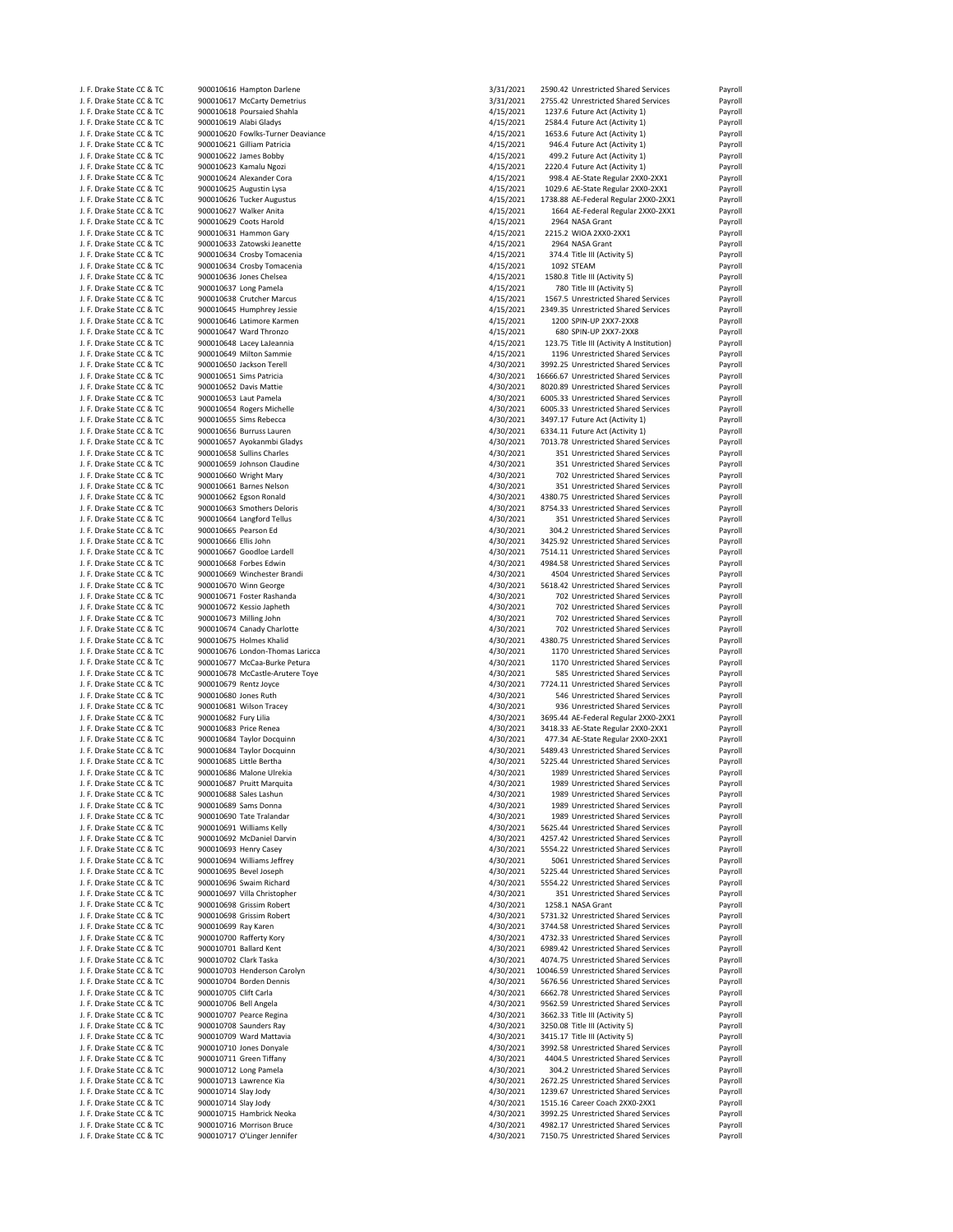| J. F. Drake State CC & TC                              | 900010616 Hampton Darlene                                   | 3/31/2021 | 2590.42 Unrestricted Shared Services                                          | Payroll |
|--------------------------------------------------------|-------------------------------------------------------------|-----------|-------------------------------------------------------------------------------|---------|
| J. F. Drake State CC & TC                              | 900010617 McCarty Demetrius                                 | 3/31/2021 | 2755.42 Unrestricted Shared Services                                          | Payroll |
| J. F. Drake State CC & TC                              | 900010618 Poursaied Shahla                                  | 4/15/2021 | 1237.6 Future Act (Activity 1)                                                | Payroll |
|                                                        |                                                             | 4/15/2021 |                                                                               |         |
| J. F. Drake State CC & TC<br>J. F. Drake State CC & TC | 900010619 Alabi Gladys<br>900010620 Fowlks-Turner Deaviance | 4/15/2021 | 2584.4 Future Act (Activity 1)                                                | Payroll |
|                                                        |                                                             |           | 1653.6 Future Act (Activity 1)                                                | Payroll |
| J. F. Drake State CC & TC                              | 900010621 Gilliam Patricia                                  | 4/15/2021 | 946.4 Future Act (Activity 1)                                                 | Payroll |
| J. F. Drake State CC & TC                              | 900010622 James Bobby                                       | 4/15/2021 | 499.2 Future Act (Activity 1)                                                 | Payroll |
| J. F. Drake State CC & TC                              | 900010623 Kamalu Ngozi                                      | 4/15/2021 | 2220.4 Future Act (Activity 1)                                                | Payroll |
| J. F. Drake State CC & TC                              | 900010624 Alexander Cora                                    | 4/15/2021 | 998.4 AE-State Regular 2XX0-2XX1                                              | Payroll |
| J. F. Drake State CC & TC                              | 900010625 Augustin Lysa                                     | 4/15/2021 | 1029.6 AE-State Regular 2XX0-2XX1                                             | Payroll |
| J. F. Drake State CC & TC                              | 900010626 Tucker Augustus                                   | 4/15/2021 | 1738.88 AE-Federal Regular 2XX0-2XX1                                          | Payroll |
| J. F. Drake State CC & TC                              | 900010627 Walker Anita                                      | 4/15/2021 | 1664 AE-Federal Regular 2XX0-2XX1                                             | Payroll |
| J. F. Drake State CC & TC                              | 900010629 Coots Harold                                      | 4/15/2021 | 2964 NASA Grant                                                               | Payroll |
| J. F. Drake State CC & TC                              | 900010631 Hammon Gary                                       | 4/15/2021 | 2215.2 WIOA 2XX0-2XX1                                                         | Payroll |
| J. F. Drake State CC & TC                              | 900010633 Zatowski Jeanette                                 | 4/15/2021 | 2964 NASA Grant                                                               | Payroll |
| J. F. Drake State CC & TC                              | 900010634 Crosby Tomacenia                                  | 4/15/2021 | 374.4 Title III (Activity 5)                                                  | Payroll |
|                                                        |                                                             |           |                                                                               |         |
| J. F. Drake State CC & TC                              | 900010634 Crosby Tomacenia                                  | 4/15/2021 | 1092 STEAM                                                                    | Payroll |
| J. F. Drake State CC & TC                              | 900010636 Jones Chelsea                                     | 4/15/2021 | 1580.8 Title III (Activity 5)                                                 | Payroll |
| J. F. Drake State CC & TC                              | 900010637 Long Pamela                                       | 4/15/2021 | 780 Title III (Activity 5)                                                    | Payroll |
| J. F. Drake State CC & TC                              | 900010638 Crutcher Marcus                                   | 4/15/2021 | 1567.5 Unrestricted Shared Services                                           | Payroll |
| J. F. Drake State CC & TC                              | 900010645 Humphrey Jessie                                   | 4/15/2021 | 2349.35 Unrestricted Shared Services                                          | Payroll |
| J. F. Drake State CC & TC                              | 900010646 Latimore Karmen                                   | 4/15/2021 | 1200 SPIN-UP 2XX7-2XX8                                                        | Payroll |
| J. F. Drake State CC & TC                              | 900010647 Ward Thronzo                                      | 4/15/2021 | 680 SPIN-UP 2XX7-2XX8                                                         | Payroll |
| J. F. Drake State CC & TC                              | 900010648 Lacey LaJeannia                                   | 4/15/2021 | 123.75 Title III (Activity A Institution)                                     | Payroll |
| J. F. Drake State CC & TC                              | 900010649 Milton Sammie                                     | 4/15/2021 | 1196 Unrestricted Shared Services                                             | Payroll |
| J. F. Drake State CC & TC                              | 900010650 Jackson Terell                                    | 4/30/2021 | 3992.25 Unrestricted Shared Services                                          | Payroll |
|                                                        |                                                             | 4/30/2021 |                                                                               |         |
| J. F. Drake State CC & TC                              | 900010651 Sims Patricia                                     |           | 16666.67 Unrestricted Shared Services<br>8020.89 Unrestricted Shared Services | Payroll |
| J. F. Drake State CC & TC                              | 900010652 Davis Mattie                                      | 4/30/2021 |                                                                               | Payroll |
| J. F. Drake State CC & TC                              | 900010653 Laut Pamela                                       | 4/30/2021 | 6005.33 Unrestricted Shared Services                                          | Payroll |
| J. F. Drake State CC & TC                              | 900010654 Rogers Michelle                                   | 4/30/2021 | 6005.33 Unrestricted Shared Services                                          | Payroll |
| J. F. Drake State CC & TC                              | 900010655 Sims Rebecca                                      | 4/30/2021 | 3497.17 Future Act (Activity 1)                                               | Payroll |
| J. F. Drake State CC & TC                              | 900010656 Burruss Lauren                                    | 4/30/2021 | 6334.11 Future Act (Activity 1)                                               | Payroll |
| J. F. Drake State CC & TC                              | 900010657 Ayokanmbi Gladys                                  | 4/30/2021 | 7013.78 Unrestricted Shared Services                                          | Payroll |
| J. F. Drake State CC & TC                              | 900010658 Sullins Charles                                   | 4/30/2021 | 351 Unrestricted Shared Services                                              | Payroll |
| J. F. Drake State CC & TC                              | 900010659 Johnson Claudine                                  | 4/30/2021 | 351 Unrestricted Shared Services                                              | Payroll |
| J. F. Drake State CC & TC                              | 900010660 Wright Mary                                       | 4/30/2021 | 702 Unrestricted Shared Services                                              | Payroll |
| J. F. Drake State CC & TC                              | 900010661 Barnes Nelson                                     | 4/30/2021 | 351 Unrestricted Shared Services                                              | Payroll |
|                                                        |                                                             | 4/30/2021 | 4380.75 Unrestricted Shared Services                                          |         |
| J. F. Drake State CC & TC                              | 900010662 Egson Ronald                                      |           |                                                                               | Payroll |
| J. F. Drake State CC & TC                              | 900010663 Smothers Deloris                                  | 4/30/2021 | 8754.33 Unrestricted Shared Services                                          | Payroll |
| J. F. Drake State CC & TC                              | 900010664 Langford Tellus                                   | 4/30/2021 | 351 Unrestricted Shared Services                                              | Payroll |
| J. F. Drake State CC & TC                              | 900010665 Pearson Ed                                        | 4/30/2021 | 304.2 Unrestricted Shared Services                                            | Payroll |
| J. F. Drake State CC & TC                              | 900010666 Ellis John                                        | 4/30/2021 | 3425.92 Unrestricted Shared Services                                          | Payroll |
| J. F. Drake State CC & TC                              | 900010667 Goodloe Lardell                                   | 4/30/2021 | 7514.11 Unrestricted Shared Services                                          | Payroll |
| J. F. Drake State CC & TC                              | 900010668 Forbes Edwin                                      | 4/30/2021 | 4984.58 Unrestricted Shared Services                                          | Payroll |
| J. F. Drake State CC & TC                              | 900010669 Winchester Brandi                                 | 4/30/2021 | 4504 Unrestricted Shared Services                                             | Payroll |
| J. F. Drake State CC & TC                              | 900010670 Winn George                                       | 4/30/2021 | 5618.42 Unrestricted Shared Services                                          | Payroll |
| J. F. Drake State CC & TC                              | 900010671 Foster Rashanda                                   | 4/30/2021 | 702 Unrestricted Shared Services                                              | Payroll |
|                                                        |                                                             |           |                                                                               |         |
| J. F. Drake State CC & TC                              | 900010672 Kessio Japheth                                    | 4/30/2021 | 702 Unrestricted Shared Services                                              | Payroll |
| J. F. Drake State CC & TC                              | 900010673 Milling John                                      | 4/30/2021 | 702 Unrestricted Shared Services                                              | Payroll |
| J. F. Drake State CC & TC                              | 900010674 Canady Charlotte                                  | 4/30/2021 | 702 Unrestricted Shared Services                                              | Payroll |
| J. F. Drake State CC & TC                              | 900010675 Holmes Khalid                                     | 4/30/2021 | 4380.75 Unrestricted Shared Services                                          | Payroll |
| J. F. Drake State CC & TC                              | 900010676 London-Thomas Laricca                             | 4/30/2021 | 1170 Unrestricted Shared Services                                             | Payroll |
| J. F. Drake State CC & TC                              | 900010677 McCaa-Burke Petura                                | 4/30/2021 | 1170 Unrestricted Shared Services                                             | Payroll |
| J. F. Drake State CC & TC                              | 900010678 McCastle-Arutere Toye                             | 4/30/2021 | 585 Unrestricted Shared Services                                              | Payroll |
| J. F. Drake State CC & TC                              | 900010679 Rentz Joyce                                       | 4/30/2021 | 7724.11 Unrestricted Shared Services                                          | Payroll |
| J. F. Drake State CC & TC                              | 900010680 Jones Ruth                                        | 4/30/2021 | 546 Unrestricted Shared Services                                              | Payroll |
| J. F. Drake State CC & TC                              | 900010681 Wilson Tracey                                     | 4/30/2021 | 936 Unrestricted Shared Services                                              | Payroll |
| J. F. Drake State CC & TC                              | 900010682 Fury Lilia                                        | 4/30/2021 | 3695.44 AE-Federal Regular 2XX0-2XX1                                          | Payroll |
| J. F. Drake State CC & TC                              | 900010683 Price Renea                                       | 4/30/2021 | 3418.33 AE-State Regular 2XX0-2XX1                                            | Payroll |
|                                                        |                                                             |           |                                                                               |         |
| J. F. Drake State CC & TC                              | 900010684 Taylor Docquinn                                   | 4/30/2021 | 477.34 AE-State Regular 2XX0-2XX1                                             | Payroll |
| J. F. Drake State CC & TC                              | 900010684 Taylor Docquinn                                   | 4/30/2021 | 5489.43 Unrestricted Shared Services                                          | Payroll |
| J. F. Drake State CC & TC                              | 900010685 Little Bertha                                     | 4/30/2021 | 5225.44 Unrestricted Shared Services                                          | Payroll |
| J. F. Drake State CC & TC                              | 900010686 Malone Ulrekia                                    | 4/30/2021 | 1989 Unrestricted Shared Services                                             | Payroll |
| J. F. Drake State CC & TC                              | 900010687 Pruitt Marquita                                   | 4/30/2021 | 1989 Unrestricted Shared Services                                             | Payroll |
| J. F. Drake State CC & TC                              | 900010688 Sales Lashun                                      | 4/30/2021 | 1989 Unrestricted Shared Services                                             | Payroll |
| J. F. Drake State CC & TC                              | 900010689 Sams Donna                                        | 4/30/2021 | 1989 Unrestricted Shared Services                                             | Payroll |
| J. F. Drake State CC & TC                              | 900010690 Tate Tralandar                                    | 4/30/2021 | 1989 Unrestricted Shared Services                                             | Payroll |
| J. F. Drake State CC & TC                              | 900010691 Williams Kelly                                    | 4/30/2021 | 5625.44 Unrestricted Shared Services                                          | Payroll |
| J. F. Drake State CC & TC                              | 900010692 McDaniel Darvin                                   | 4/30/2021 | 4257.42 Unrestricted Shared Services                                          | Payroll |
| J. F. Drake State CC & TC                              | 900010693 Henry Casey                                       | 4/30/2021 | 5554.22 Unrestricted Shared Services                                          | Payroll |
| J. F. Drake State CC & TC                              | 900010694 Williams Jeffrey                                  | 4/30/2021 | 5061 Unrestricted Shared Services                                             | Payroll |
| J. F. Drake State CC & TC                              | 900010695 Bevel Joseph                                      | 4/30/2021 | 5225.44 Unrestricted Shared Services                                          | Payroll |
| J. F. Drake State CC & TC                              | 900010696 Swaim Richard                                     | 4/30/2021 | 5554.22 Unrestricted Shared Services                                          | Payroll |
|                                                        |                                                             |           |                                                                               |         |
| J. F. Drake State CC & TC                              | 900010697 Villa Christopher                                 | 4/30/2021 | 351 Unrestricted Shared Services                                              | Payroll |
| J. F. Drake State CC & TC                              | 900010698 Grissim Robert                                    | 4/30/2021 | 1258.1 NASA Grant                                                             | Payroll |
| J. F. Drake State CC & TC                              | 900010698 Grissim Robert                                    | 4/30/2021 | 5731.32 Unrestricted Shared Services                                          | Payroll |
| J. F. Drake State CC & TC                              | 900010699 Ray Karen                                         | 4/30/2021 | 3744.58 Unrestricted Shared Services                                          | Payroll |
| J. F. Drake State CC & TC                              | 900010700 Rafferty Kory                                     | 4/30/2021 | 4732.33 Unrestricted Shared Services                                          | Payroll |
| J. F. Drake State CC & TC                              | 900010701 Ballard Kent                                      | 4/30/2021 | 6989.42 Unrestricted Shared Services                                          | Payroll |
| J. F. Drake State CC & TC                              | 900010702 Clark Taska                                       | 4/30/2021 | 4074.75 Unrestricted Shared Services                                          | Payroll |
| J. F. Drake State CC & TC                              | 900010703 Henderson Carolyn                                 | 4/30/2021 | 10046.59 Unrestricted Shared Services                                         | Payroll |
| J. F. Drake State CC & TC                              | 900010704 Borden Dennis                                     | 4/30/2021 | 5676.56 Unrestricted Shared Services                                          | Payroll |
| J. F. Drake State CC & TC                              | 900010705 Clift Carla                                       | 4/30/2021 | 6662.78 Unrestricted Shared Services                                          | Payroll |
| J. F. Drake State CC & TC                              | 900010706 Bell Angela                                       | 4/30/2021 | 9562.59 Unrestricted Shared Services                                          | Payroll |
|                                                        |                                                             |           |                                                                               |         |
| J. F. Drake State CC & TC                              | 900010707 Pearce Regina                                     | 4/30/2021 | 3662.33 Title III (Activity 5)                                                | Payroll |
| J. F. Drake State CC & TC                              | 900010708 Saunders Ray                                      | 4/30/2021 | 3250.08 Title III (Activity 5)                                                | Payroll |
| J. F. Drake State CC & TC                              | 900010709 Ward Mattavia                                     | 4/30/2021 | 3415.17 Title III (Activity 5)                                                | Payroll |
| J. F. Drake State CC & TC                              | 900010710 Jones Donyale                                     | 4/30/2021 | 3992.58 Unrestricted Shared Services                                          | Payroll |
| J. F. Drake State CC & TC                              | 900010711 Green Tiffany                                     | 4/30/2021 | 4404.5 Unrestricted Shared Services                                           | Payroll |
| J. F. Drake State CC & TC                              | 900010712 Long Pamela                                       | 4/30/2021 | 304.2 Unrestricted Shared Services                                            | Payroll |
| J. F. Drake State CC & TC                              | 900010713 Lawrence Kia                                      | 4/30/2021 | 2672.25 Unrestricted Shared Services                                          | Payroll |
| J. F. Drake State CC & TC                              | 900010714 Slay Jody                                         | 4/30/2021 | 1239.67 Unrestricted Shared Services                                          | Payroll |
| J. F. Drake State CC & TC                              | 900010714 Slay Jody                                         | 4/30/2021 | 1515.16 Career Coach 2XX0-2XX1                                                | Payroll |
| J. F. Drake State CC & TC                              | 900010715 Hambrick Neoka                                    | 4/30/2021 | 3992.25 Unrestricted Shared Services                                          | Payroll |
| J. F. Drake State CC & TC                              | 900010716 Morrison Bruce                                    | 4/30/2021 | 4982.17 Unrestricted Shared Services                                          | Payroll |
| J. F. Drake State CC & TC                              | 900010717 O'Linger Jennifer                                 | 4/30/2021 | 7150.75 Unrestricted Shared Services                                          | Payroll |
|                                                        |                                                             |           |                                                                               |         |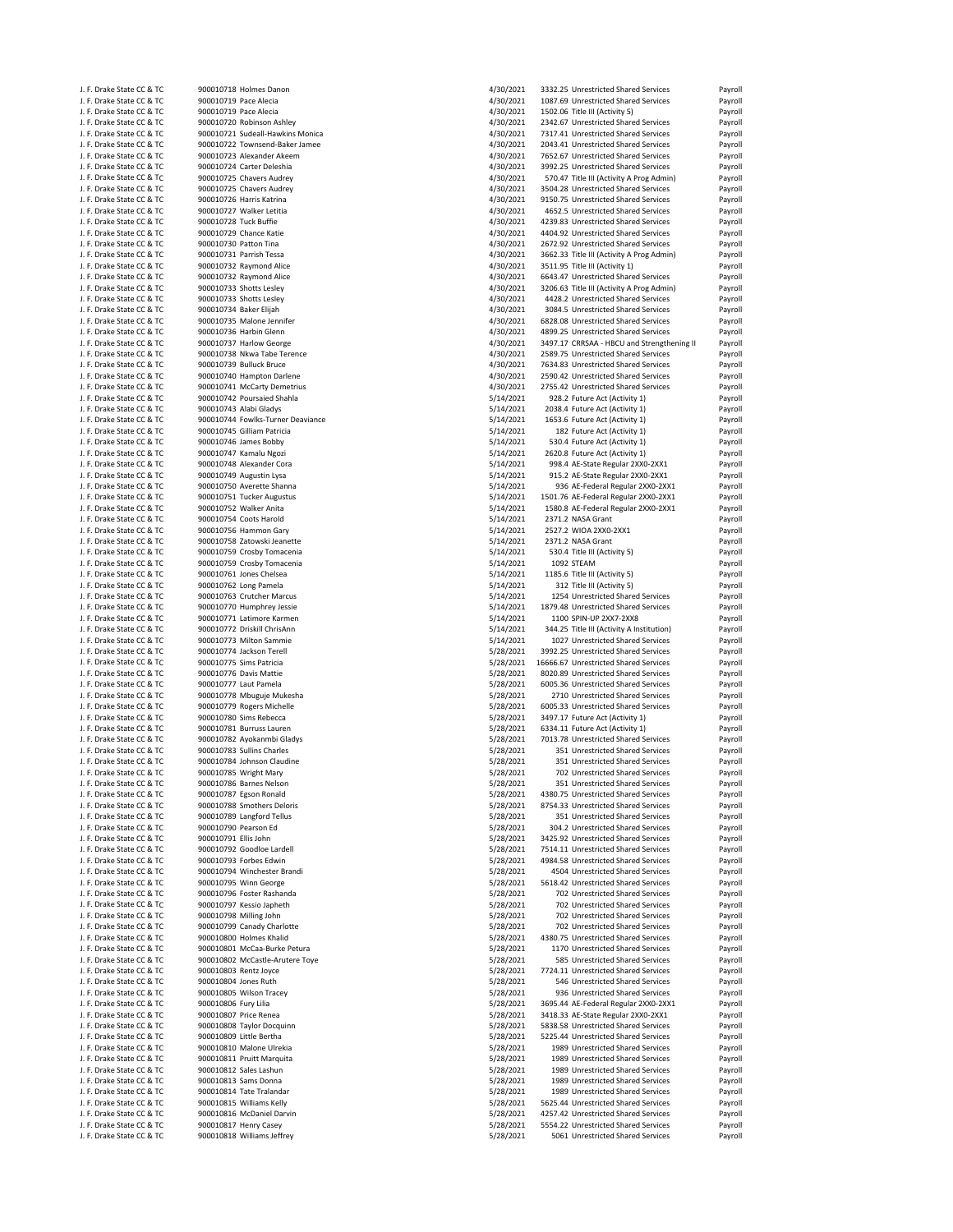|  | J. F. Drake State CC & TC |                       | 900010718 Holmes Danon            | 4/30/2021 | 3332.25 Unrestricted Shared Services       | Payroll |
|--|---------------------------|-----------------------|-----------------------------------|-----------|--------------------------------------------|---------|
|  | J. F. Drake State CC & TC | 900010719 Pace Alecia |                                   | 4/30/2021 | 1087.69 Unrestricted Shared Services       | Payroll |
|  | J. F. Drake State CC & TC | 900010719 Pace Alecia |                                   | 4/30/2021 | 1502.06 Title III (Activity 5)             | Payroll |
|  | J. F. Drake State CC & TC |                       | 900010720 Robinson Ashley         | 4/30/2021 | 2342.67 Unrestricted Shared Services       | Payroll |
|  |                           |                       |                                   |           |                                            |         |
|  | J. F. Drake State CC & TC |                       | 900010721 Sudeall-Hawkins Monica  | 4/30/2021 | 7317.41 Unrestricted Shared Services       | Payroll |
|  | J. F. Drake State CC & TC |                       | 900010722 Townsend-Baker Jamee    | 4/30/2021 | 2043.41 Unrestricted Shared Services       | Payroll |
|  | J. F. Drake State CC & TC |                       | 900010723 Alexander Akeem         | 4/30/2021 | 7652.67 Unrestricted Shared Services       | Payroll |
|  | J. F. Drake State CC & TC |                       | 900010724 Carter Deleshia         | 4/30/2021 | 3992.25 Unrestricted Shared Services       | Payroll |
|  | J. F. Drake State CC & TC |                       | 900010725 Chavers Audrey          | 4/30/2021 | 570.47 Title III (Activity A Prog Admin)   | Payroll |
|  | J. F. Drake State CC & TC |                       | 900010725 Chavers Audrey          | 4/30/2021 | 3504.28 Unrestricted Shared Services       | Payroll |
|  |                           |                       |                                   |           |                                            |         |
|  | J. F. Drake State CC & TC |                       | 900010726 Harris Katrina          | 4/30/2021 | 9150.75 Unrestricted Shared Services       | Payroll |
|  | J. F. Drake State CC & TC |                       | 900010727 Walker Letitia          | 4/30/2021 | 4652.5 Unrestricted Shared Services        | Payroll |
|  | J. F. Drake State CC & TC | 900010728 Tuck Buffie |                                   | 4/30/2021 | 4239.83 Unrestricted Shared Services       | Payroll |
|  | J. F. Drake State CC & TC |                       | 900010729 Chance Katie            | 4/30/2021 | 4404.92 Unrestricted Shared Services       | Payroll |
|  | J. F. Drake State CC & TC | 900010730 Patton Tina |                                   | 4/30/2021 | 2672.92 Unrestricted Shared Services       | Payroll |
|  | J. F. Drake State CC & TC |                       | 900010731 Parrish Tessa           | 4/30/2021 | 3662.33 Title III (Activity A Prog Admin)  | Payroll |
|  |                           |                       |                                   |           |                                            |         |
|  | J. F. Drake State CC & TC |                       | 900010732 Raymond Alice           | 4/30/2021 | 3511.95 Title III (Activity 1)             | Payroll |
|  | J. F. Drake State CC & TC |                       | 900010732 Raymond Alice           | 4/30/2021 | 6643.47 Unrestricted Shared Services       | Payroll |
|  | J. F. Drake State CC & TC |                       | 900010733 Shotts Lesley           | 4/30/2021 | 3206.63 Title III (Activity A Prog Admin)  | Payroll |
|  | J. F. Drake State CC & TC |                       | 900010733 Shotts Lesley           | 4/30/2021 | 4428.2 Unrestricted Shared Services        | Payroll |
|  | J. F. Drake State CC & TC |                       | 900010734 Baker Elijah            | 4/30/2021 | 3084.5 Unrestricted Shared Services        | Payroll |
|  | J. F. Drake State CC & TC |                       | 900010735 Malone Jennifer         | 4/30/2021 | 6828.08 Unrestricted Shared Services       | Payroll |
|  |                           |                       |                                   |           |                                            |         |
|  | J. F. Drake State CC & TC |                       | 900010736 Harbin Glenn            | 4/30/2021 | 4899.25 Unrestricted Shared Services       | Payroll |
|  | J. F. Drake State CC & TC |                       | 900010737 Harlow George           | 4/30/2021 | 3497.17 CRRSAA - HBCU and Strengthening II | Payroll |
|  | J. F. Drake State CC & TC |                       | 900010738 Nkwa Tabe Terence       | 4/30/2021 | 2589.75 Unrestricted Shared Services       | Payroll |
|  | J. F. Drake State CC & TC |                       | 900010739 Bulluck Bruce           | 4/30/2021 | 7634.83 Unrestricted Shared Services       | Payroll |
|  | J. F. Drake State CC & TC |                       | 900010740 Hampton Darlene         | 4/30/2021 | 2590.42 Unrestricted Shared Services       | Payroll |
|  | J. F. Drake State CC & TC |                       | 900010741 McCarty Demetrius       | 4/30/2021 | 2755.42 Unrestricted Shared Services       | Payroll |
|  |                           |                       | 900010742 Poursaied Shahla        |           | 928.2 Future Act (Activity 1)              |         |
|  | J. F. Drake State CC & TC |                       |                                   | 5/14/2021 |                                            | Payroll |
|  | J. F. Drake State CC & TC |                       | 900010743 Alabi Gladys            | 5/14/2021 | 2038.4 Future Act (Activity 1)             | Payroll |
|  | J. F. Drake State CC & TC |                       | 900010744 Fowlks-Turner Deaviance | 5/14/2021 | 1653.6 Future Act (Activity 1)             | Payroll |
|  | J. F. Drake State CC & TC |                       | 900010745 Gilliam Patricia        | 5/14/2021 | 182 Future Act (Activity 1)                | Payroll |
|  | J. F. Drake State CC & TC |                       | 900010746 James Bobby             | 5/14/2021 | 530.4 Future Act (Activity 1)              | Payroll |
|  |                           |                       |                                   |           | 2620.8 Future Act (Activity 1)             |         |
|  | J. F. Drake State CC & TC |                       | 900010747 Kamalu Ngozi            | 5/14/2021 |                                            | Payroll |
|  | J. F. Drake State CC & TC |                       | 900010748 Alexander Cora          | 5/14/2021 | 998.4 AE-State Regular 2XX0-2XX1           | Payroll |
|  | J. F. Drake State CC & TC |                       | 900010749 Augustin Lysa           | 5/14/2021 | 915.2 AE-State Regular 2XX0-2XX1           | Payroll |
|  | J. F. Drake State CC & TC |                       | 900010750 Averette Shanna         | 5/14/2021 | 936 AE-Federal Regular 2XX0-2XX1           | Payroll |
|  | J. F. Drake State CC & TC |                       | 900010751 Tucker Augustus         | 5/14/2021 | 1501.76 AE-Federal Regular 2XX0-2XX1       | Payroll |
|  | J. F. Drake State CC & TC |                       | 900010752 Walker Anita            | 5/14/2021 | 1580.8 AE-Federal Regular 2XX0-2XX1        | Payroll |
|  |                           |                       |                                   |           |                                            |         |
|  | J. F. Drake State CC & TC |                       | 900010754 Coots Harold            | 5/14/2021 | 2371.2 NASA Grant                          | Payroll |
|  | J. F. Drake State CC & TC |                       | 900010756 Hammon Gary             | 5/14/2021 | 2527.2 WIOA 2XX0-2XX1                      | Payroll |
|  | J. F. Drake State CC & TC |                       | 900010758 Zatowski Jeanette       | 5/14/2021 | 2371.2 NASA Grant                          | Payroll |
|  | J. F. Drake State CC & TC |                       | 900010759 Crosby Tomacenia        | 5/14/2021 | 530.4 Title III (Activity 5)               | Payroll |
|  | J. F. Drake State CC & TC |                       | 900010759 Crosby Tomacenia        | 5/14/2021 | 1092 STEAM                                 | Payroll |
|  | J. F. Drake State CC & TC |                       | 900010761 Jones Chelsea           | 5/14/2021 | 1185.6 Title III (Activity 5)              |         |
|  |                           |                       |                                   |           |                                            | Payroll |
|  | J. F. Drake State CC & TC |                       | 900010762 Long Pamela             | 5/14/2021 | 312 Title III (Activity 5)                 | Payroll |
|  | J. F. Drake State CC & TC |                       | 900010763 Crutcher Marcus         | 5/14/2021 | 1254 Unrestricted Shared Services          | Payroll |
|  | J. F. Drake State CC & TC |                       | 900010770 Humphrey Jessie         | 5/14/2021 | 1879.48 Unrestricted Shared Services       | Payroll |
|  | J. F. Drake State CC & TC |                       | 900010771 Latimore Karmen         | 5/14/2021 | 1100 SPIN-UP 2XX7-2XX8                     | Payroll |
|  | J. F. Drake State CC & TC |                       | 900010772 Driskill ChrisAnn       | 5/14/2021 | 344.25 Title III (Activity A Institution)  | Payroll |
|  |                           |                       |                                   |           |                                            |         |
|  | J. F. Drake State CC & TC |                       | 900010773 Milton Sammie           | 5/14/2021 | 1027 Unrestricted Shared Services          | Payroll |
|  | J. F. Drake State CC & TC |                       | 900010774 Jackson Terell          | 5/28/2021 | 3992.25 Unrestricted Shared Services       | Payroll |
|  | J. F. Drake State CC & TC |                       | 900010775 Sims Patricia           | 5/28/2021 | 16666.67 Unrestricted Shared Services      | Payroll |
|  | J. F. Drake State CC & TC |                       | 900010776 Davis Mattie            | 5/28/2021 | 8020.89 Unrestricted Shared Services       | Payroll |
|  | J. F. Drake State CC & TC |                       | 900010777 Laut Pamela             | 5/28/2021 | 6005.36 Unrestricted Shared Services       | Payroll |
|  | J. F. Drake State CC & TC |                       | 900010778 Mbuguje Mukesha         | 5/28/2021 | 2710 Unrestricted Shared Services          | Payroll |
|  |                           |                       |                                   |           |                                            |         |
|  | J. F. Drake State CC & TC |                       | 900010779 Rogers Michelle         | 5/28/2021 | 6005.33 Unrestricted Shared Services       | Payroll |
|  | J. F. Drake State CC & TC |                       | 900010780 Sims Rebecca            | 5/28/2021 | 3497.17 Future Act (Activity 1)            | Payroll |
|  | J. F. Drake State CC & TC |                       | 900010781 Burruss Lauren          | 5/28/2021 | 6334.11 Future Act (Activity 1)            | Payroll |
|  | J. F. Drake State CC & TC |                       | 900010782 Ayokanmbi Gladys        | 5/28/2021 | 7013.78 Unrestricted Shared Services       | Payroll |
|  | J. F. Drake State CC & TC |                       | 900010783 Sullins Charles         | 5/28/2021 | 351 Unrestricted Shared Services           | Payroll |
|  |                           |                       |                                   |           |                                            |         |
|  | J. F. Drake State CC & TC |                       | 900010784 Johnson Claudine        | 5/28/2021 | 351 Unrestricted Shared Services           | Payroll |
|  | J. F. Drake State CC & TC |                       | 900010785 Wright Mary             | 5/28/2021 | 702 Unrestricted Shared Services           | Payroll |
|  | J. F. Drake State CC & TC |                       | 900010786 Barnes Nelson           | 5/28/2021 | 351 Unrestricted Shared Services           | Payroll |
|  | J. F. Drake State CC & TC |                       | 900010787 Egson Ronald            |           |                                            |         |
|  | J. F. Drake State CC & TC |                       |                                   | 5/28/2021 | 4380.75 Unrestricted Shared Services       | Payroll |
|  |                           |                       |                                   | 5/28/2021 | 8754.33 Unrestricted Shared Services       |         |
|  |                           |                       | 900010788 Smothers Deloris        |           |                                            | Payroll |
|  | J. F. Drake State CC & TC |                       | 900010789 Langford Tellus         | 5/28/2021 | 351 Unrestricted Shared Services           | Payroll |
|  | J. F. Drake State CC & TC | 900010790 Pearson Ed  |                                   | 5/28/2021 | 304.2 Unrestricted Shared Services         | Payroll |
|  | J. F. Drake State CC & TC | 900010791 Ellis John  |                                   | 5/28/2021 | 3425.92 Unrestricted Shared Services       | Payroll |
|  | J. F. Drake State CC & TC |                       | 900010792 Goodloe Lardell         | 5/28/2021 | 7514.11 Unrestricted Shared Services       | Payroll |
|  | J. F. Drake State CC & TC |                       | 900010793 Forbes Edwin            | 5/28/2021 | 4984.58 Unrestricted Shared Services       | Payroll |
|  | J. F. Drake State CC & TC |                       | 900010794 Winchester Brandi       | 5/28/2021 | 4504 Unrestricted Shared Services          | Payroll |
|  |                           |                       |                                   |           |                                            |         |
|  | J. F. Drake State CC & TC |                       | 900010795 Winn George             | 5/28/2021 | 5618.42 Unrestricted Shared Services       | Payroll |
|  | J. F. Drake State CC & TC |                       | 900010796 Foster Rashanda         | 5/28/2021 | 702 Unrestricted Shared Services           | Payroll |
|  | J. F. Drake State CC & TC |                       | 900010797 Kessio Japheth          | 5/28/2021 | 702 Unrestricted Shared Services           | Payroll |
|  | J. F. Drake State CC & TC |                       | 900010798 Milling John            | 5/28/2021 | 702 Unrestricted Shared Services           | Payroll |
|  | J. F. Drake State CC & TC |                       | 900010799 Canady Charlotte        | 5/28/2021 | 702 Unrestricted Shared Services           | Payroll |
|  |                           |                       |                                   |           |                                            |         |
|  | J. F. Drake State CC & TC |                       | 900010800 Holmes Khalid           | 5/28/2021 | 4380.75 Unrestricted Shared Services       | Payroll |
|  | J. F. Drake State CC & TC |                       | 900010801 McCaa-Burke Petura      | 5/28/2021 | 1170 Unrestricted Shared Services          | Payroll |
|  | J. F. Drake State CC & TC |                       | 900010802 McCastle-Arutere Toye   | 5/28/2021 | 585 Unrestricted Shared Services           | Payroll |
|  | J. F. Drake State CC & TC |                       | 900010803 Rentz Joyce             | 5/28/2021 | 7724.11 Unrestricted Shared Services       | Payroll |
|  | J. F. Drake State CC & TC | 900010804 Jones Ruth  |                                   | 5/28/2021 | 546 Unrestricted Shared Services           | Payroll |
|  | J. F. Drake State CC & TC |                       | 900010805 Wilson Tracey           | 5/28/2021 | 936 Unrestricted Shared Services           | Payroll |
|  |                           |                       |                                   |           |                                            |         |
|  | J. F. Drake State CC & TC | 900010806 Fury Lilia  |                                   | 5/28/2021 | 3695.44 AE-Federal Regular 2XX0-2XX1       | Payroll |
|  | J. F. Drake State CC & TC |                       | 900010807 Price Renea             | 5/28/2021 | 3418.33 AE-State Regular 2XX0-2XX1         | Payroll |
|  | J. F. Drake State CC & TC |                       | 900010808 Taylor Docquinn         | 5/28/2021 | 5838.58 Unrestricted Shared Services       | Payroll |
|  | J. F. Drake State CC & TC |                       | 900010809 Little Bertha           | 5/28/2021 | 5225.44 Unrestricted Shared Services       | Payroll |
|  | J. F. Drake State CC & TC |                       | 900010810 Malone Ulrekia          | 5/28/2021 | 1989 Unrestricted Shared Services          | Payroll |
|  | J. F. Drake State CC & TC |                       | 900010811 Pruitt Marquita         | 5/28/2021 | 1989 Unrestricted Shared Services          | Payroll |
|  |                           |                       |                                   |           |                                            |         |
|  | J. F. Drake State CC & TC |                       | 900010812 Sales Lashun            | 5/28/2021 | 1989 Unrestricted Shared Services          | Payroll |
|  | J. F. Drake State CC & TC |                       | 900010813 Sams Donna              | 5/28/2021 | 1989 Unrestricted Shared Services          | Payroll |
|  | J. F. Drake State CC & TC |                       | 900010814 Tate Tralandar          | 5/28/2021 | 1989 Unrestricted Shared Services          | Payroll |
|  | J. F. Drake State CC & TC |                       | 900010815 Williams Kelly          | 5/28/2021 | 5625.44 Unrestricted Shared Services       | Payroll |
|  | J. F. Drake State CC & TC |                       | 900010816 McDaniel Darvin         | 5/28/2021 | 4257.42 Unrestricted Shared Services       | Payroll |
|  | J. F. Drake State CC & TC |                       | 900010817 Henry Casey             | 5/28/2021 | 5554.22 Unrestricted Shared Services       | Payroll |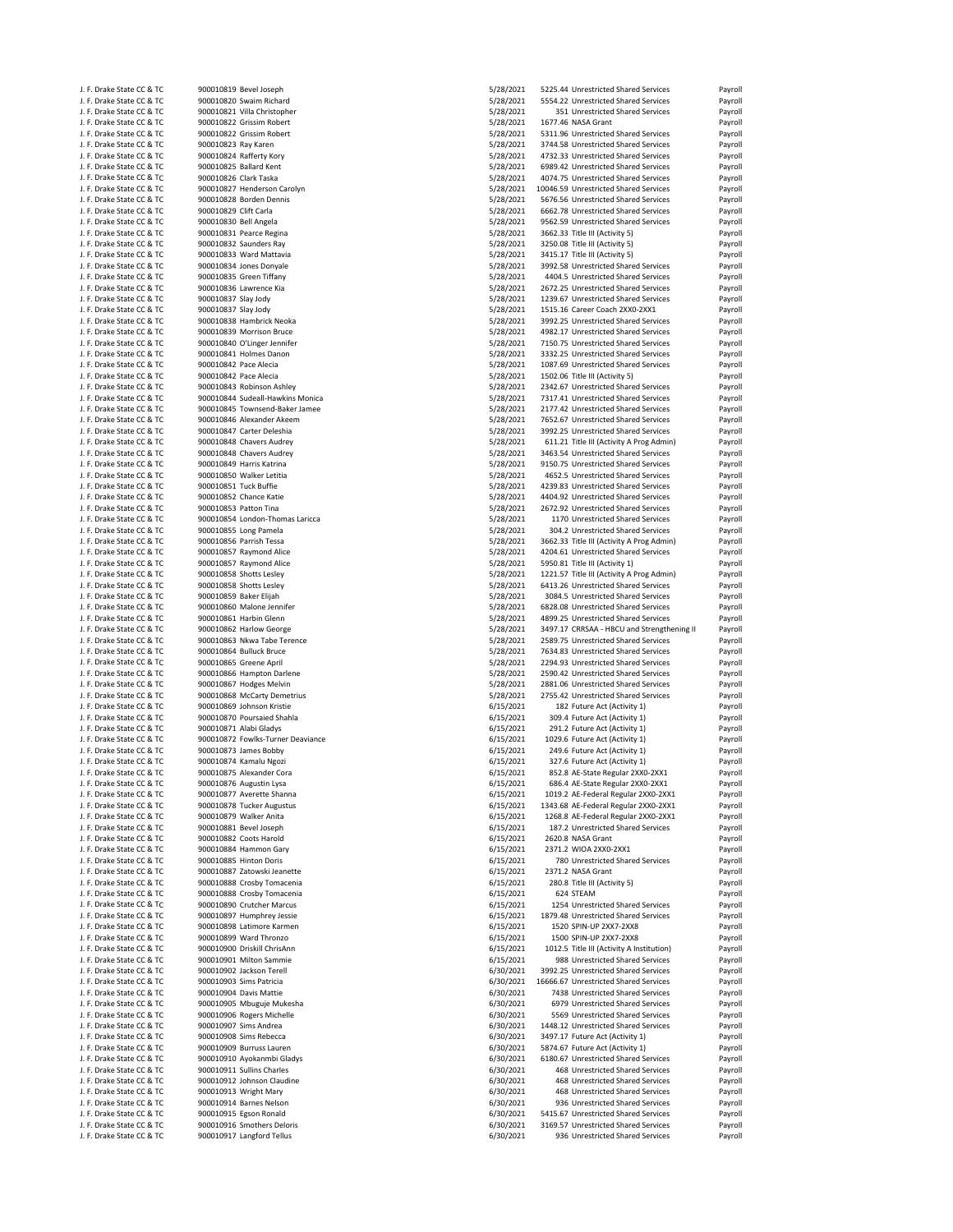| J. F. Drake State CC & TC                              |                        | 900010819 Bevel Joseph                                  | 5/28/2021              | 5225.44 Unrestricted Shared Services                                     | Payroll                                  |
|--------------------------------------------------------|------------------------|---------------------------------------------------------|------------------------|--------------------------------------------------------------------------|------------------------------------------|
| J. F. Drake State CC & TC                              |                        | 900010820 Swaim Richard                                 | 5/28/2021              | 5554.22 Unrestricted Shared Services                                     | Payroll                                  |
| J. F. Drake State CC & TC                              |                        | 900010821 Villa Christopher                             | 5/28/2021              | 351 Unrestricted Shared Services                                         | Payroll                                  |
| J. F. Drake State CC & TC                              |                        | 900010822 Grissim Robert                                | 5/28/2021              | 1677.46 NASA Grant                                                       | Payroll                                  |
| J. F. Drake State CC & TC                              |                        | 900010822 Grissim Robert                                | 5/28/2021              | 5311.96 Unrestricted Shared Services                                     | Payroll                                  |
|                                                        |                        |                                                         |                        |                                                                          |                                          |
| J. F. Drake State CC & TC                              | 900010823 Ray Karen    |                                                         | 5/28/2021              | 3744.58 Unrestricted Shared Services                                     | Payroll                                  |
| J. F. Drake State CC & TC                              |                        | 900010824 Rafferty Kory                                 | 5/28/2021              | 4732.33 Unrestricted Shared Services                                     | Payroll                                  |
| J. F. Drake State CC & TC                              |                        | 900010825 Ballard Kent                                  | 5/28/2021              | 6989.42 Unrestricted Shared Services                                     | Payroll                                  |
| J. F. Drake State CC & TC                              | 900010826 Clark Taska  |                                                         | 5/28/2021              | 4074.75 Unrestricted Shared Services                                     | Payroll                                  |
| J. F. Drake State CC & TC                              |                        | 900010827 Henderson Carolyn                             | 5/28/2021              | 10046.59 Unrestricted Shared Services                                    | Payroll                                  |
| J. F. Drake State CC & TC                              |                        | 900010828 Borden Dennis                                 | 5/28/2021              | 5676.56 Unrestricted Shared Services                                     | Payroll                                  |
|                                                        |                        |                                                         |                        |                                                                          |                                          |
| J. F. Drake State CC & TC                              | 900010829 Clift Carla  |                                                         | 5/28/2021              | 6662.78 Unrestricted Shared Services                                     | Payroll                                  |
| J. F. Drake State CC & TC                              | 900010830 Bell Angela  |                                                         | 5/28/2021              | 9562.59 Unrestricted Shared Services                                     | Payroll                                  |
| J. F. Drake State CC & TC                              |                        | 900010831 Pearce Regina                                 | 5/28/2021              | 3662.33 Title III (Activity 5)                                           | Payroll                                  |
| J. F. Drake State CC & TC                              |                        | 900010832 Saunders Ray                                  | 5/28/2021              | 3250.08 Title III (Activity 5)                                           | Payroll                                  |
| J. F. Drake State CC & TC                              |                        | 900010833 Ward Mattavia                                 | 5/28/2021              | 3415.17 Title III (Activity 5)                                           | Payroll                                  |
| J. F. Drake State CC & TC                              |                        | 900010834 Jones Donyale                                 | 5/28/2021              | 3992.58 Unrestricted Shared Services                                     | Payroll                                  |
|                                                        |                        |                                                         |                        |                                                                          |                                          |
| J. F. Drake State CC & TC                              |                        | 900010835 Green Tiffany                                 | 5/28/2021              | 4404.5 Unrestricted Shared Services                                      | Payroll                                  |
| J. F. Drake State CC & TC                              |                        | 900010836 Lawrence Kia                                  | 5/28/2021              | 2672.25 Unrestricted Shared Services                                     | Payroll                                  |
| J. F. Drake State CC & TC                              | 900010837 Slay Jody    |                                                         | 5/28/2021              | 1239.67 Unrestricted Shared Services                                     | Payroll                                  |
| J. F. Drake State CC & TC                              | 900010837 Slay Jody    |                                                         | 5/28/2021              | 1515.16 Career Coach 2XX0-2XX1                                           | Payroll                                  |
| J. F. Drake State CC & TC                              |                        | 900010838 Hambrick Neoka                                | 5/28/2021              | 3992.25 Unrestricted Shared Services                                     | Payroll                                  |
| J. F. Drake State CC & TC                              |                        | 900010839 Morrison Bruce                                | 5/28/2021              | 4982.17 Unrestricted Shared Services                                     | Payroll                                  |
|                                                        |                        |                                                         |                        |                                                                          |                                          |
| J. F. Drake State CC & TC                              |                        | 900010840 O'Linger Jennifer                             | 5/28/2021              | 7150.75 Unrestricted Shared Services                                     | Payroll                                  |
| J. F. Drake State CC & TC                              |                        | 900010841 Holmes Danon                                  | 5/28/2021              | 3332.25 Unrestricted Shared Services                                     | Payroll                                  |
| J. F. Drake State CC & TC                              | 900010842 Pace Alecia  |                                                         | 5/28/2021              | 1087.69 Unrestricted Shared Services                                     | Payroll                                  |
| J. F. Drake State CC & TC                              | 900010842 Pace Alecia  |                                                         | 5/28/2021              | 1502.06 Title III (Activity 5)                                           | Payroll                                  |
| J. F. Drake State CC & TC                              |                        | 900010843 Robinson Ashley                               | 5/28/2021              | 2342.67 Unrestricted Shared Services                                     | Payroll                                  |
| J. F. Drake State CC & TC                              |                        | 900010844 Sudeall-Hawkins Monica                        | 5/28/2021              | 7317.41 Unrestricted Shared Services                                     | Payroll                                  |
|                                                        |                        |                                                         |                        |                                                                          |                                          |
| J. F. Drake State CC & TC                              |                        | 900010845 Townsend-Baker Jamee                          | 5/28/2021              | 2177.42 Unrestricted Shared Services                                     | Payroll                                  |
| J. F. Drake State CC & TC                              |                        | 900010846 Alexander Akeem                               | 5/28/2021              | 7652.67 Unrestricted Shared Services                                     | Payroll                                  |
| J. F. Drake State CC & TC                              |                        | 900010847 Carter Deleshia                               | 5/28/2021              | 3992.25 Unrestricted Shared Services                                     | Payroll                                  |
| J. F. Drake State CC & TC                              |                        | 900010848 Chavers Audrey                                | 5/28/2021              | 611.21 Title III (Activity A Prog Admin)                                 | Payroll                                  |
| J. F. Drake State CC & TC                              |                        | 900010848 Chavers Audrey                                | 5/28/2021              | 3463.54 Unrestricted Shared Services                                     | Payroll                                  |
| J. F. Drake State CC & TC                              |                        | 900010849 Harris Katrina                                | 5/28/2021              | 9150.75 Unrestricted Shared Services                                     | Payroll                                  |
|                                                        |                        | 900010850 Walker Letitia                                |                        | 4652.5 Unrestricted Shared Services                                      |                                          |
| J. F. Drake State CC & TC                              |                        |                                                         | 5/28/2021              |                                                                          | Payroll                                  |
| J. F. Drake State CC & TC                              | 900010851 Tuck Buffie  |                                                         | 5/28/2021              | 4239.83 Unrestricted Shared Services                                     | Payroll                                  |
| J. F. Drake State CC & TC                              |                        | 900010852 Chance Katie                                  | 5/28/2021              | 4404.92 Unrestricted Shared Services                                     | Payroll                                  |
| J. F. Drake State CC & TC                              | 900010853 Patton Tina  |                                                         | 5/28/2021              | 2672.92 Unrestricted Shared Services                                     | Payroll                                  |
| J. F. Drake State CC & TC                              |                        | 900010854 London-Thomas Laricca                         | 5/28/2021              | 1170 Unrestricted Shared Services                                        | Payroll                                  |
| J. F. Drake State CC & TC                              |                        | 900010855 Long Pamela                                   | 5/28/2021              | 304.2 Unrestricted Shared Services                                       | Payroll                                  |
|                                                        |                        |                                                         |                        |                                                                          |                                          |
| J. F. Drake State CC & TC                              |                        | 900010856 Parrish Tessa                                 | 5/28/2021              | 3662.33 Title III (Activity A Prog Admin)                                | Payroll                                  |
| J. F. Drake State CC & TC                              |                        | 900010857 Raymond Alice                                 | 5/28/2021              | 4204.61 Unrestricted Shared Services                                     | Payroll                                  |
| J. F. Drake State CC & TC                              |                        | 900010857 Raymond Alice                                 | 5/28/2021              | 5950.81 Title III (Activity 1)                                           | Payroll                                  |
| J. F. Drake State CC & TC                              |                        | 900010858 Shotts Lesley                                 | 5/28/2021              | 1221.57 Title III (Activity A Prog Admin)                                | Payroll                                  |
|                                                        |                        | 900010858 Shotts Lesley                                 | 5/28/2021              | 6413.26 Unrestricted Shared Services                                     | Payroll                                  |
|                                                        |                        |                                                         |                        |                                                                          |                                          |
| J. F. Drake State CC & TC                              |                        |                                                         |                        |                                                                          |                                          |
| J. F. Drake State CC & TC                              | 900010859 Baker Elijah |                                                         | 5/28/2021              | 3084.5 Unrestricted Shared Services                                      | Payroll                                  |
| J. F. Drake State CC & TC                              |                        | 900010860 Malone Jennifer                               | 5/28/2021              | 6828.08 Unrestricted Shared Services                                     | Payroll                                  |
| J. F. Drake State CC & TC                              |                        | 900010861 Harbin Glenn                                  | 5/28/2021              | 4899.25 Unrestricted Shared Services                                     | Payroll                                  |
|                                                        |                        |                                                         |                        |                                                                          |                                          |
| J. F. Drake State CC & TC                              |                        | 900010862 Harlow George                                 | 5/28/2021              | 3497.17 CRRSAA - HBCU and Strengthening II                               | Payroll                                  |
| J. F. Drake State CC & TC                              |                        | 900010863 Nkwa Tabe Terence                             | 5/28/2021              | 2589.75 Unrestricted Shared Services                                     | Payroll                                  |
| J. F. Drake State CC & TC                              |                        | 900010864 Bulluck Bruce                                 | 5/28/2021              | 7634.83 Unrestricted Shared Services                                     | Payroll                                  |
| J. F. Drake State CC & TC                              |                        | 900010865 Greene April                                  | 5/28/2021              | 2294.93 Unrestricted Shared Services                                     | Payroll                                  |
| J. F. Drake State CC & TC                              |                        | 900010866 Hampton Darlene                               | 5/28/2021              | 2590.42 Unrestricted Shared Services                                     | Payroll                                  |
|                                                        |                        |                                                         |                        |                                                                          |                                          |
| J. F. Drake State CC & TC                              |                        | 900010867 Hodges Melvin                                 | 5/28/2021              | 2881.06 Unrestricted Shared Services                                     | Payroll                                  |
| J. F. Drake State CC & TC                              |                        | 900010868 McCarty Demetrius                             | 5/28/2021              | 2755.42 Unrestricted Shared Services                                     |                                          |
| J. F. Drake State CC & TC                              |                        | 900010869 Johnson Kristie                               | 6/15/2021              | 182 Future Act (Activity 1)                                              |                                          |
| J. F. Drake State CC & TC                              |                        | 900010870 Poursaied Shahla                              | 6/15/2021              | 309.4 Future Act (Activity 1)                                            | Payroll<br>Payroll<br>Payroll            |
| J. F. Drake State CC & TC                              |                        | 900010871 Alabi Gladys                                  | 6/15/2021              | 291.2 Future Act (Activity 1)                                            | Payroll                                  |
| J. F. Drake State CC & TC                              |                        | 900010872 Fowlks-Turner Deaviance                       | 6/15/2021              | 1029.6 Future Act (Activity 1)                                           | Payroll                                  |
|                                                        |                        |                                                         |                        |                                                                          |                                          |
| J. F. Drake State CC & TC                              |                        | 900010873 James Bobby                                   | 6/15/2021              | 249.6 Future Act (Activity 1)                                            | Payroll                                  |
| J. F. Drake State CC & TC                              |                        | 900010874 Kamalu Ngozi                                  | 6/15/2021              | 327.6 Future Act (Activity 1)                                            | Payroll                                  |
| J. F. Drake State CC & TC                              |                        | 900010875 Alexander Cora                                | 6/15/2021              | 852.8 AE-State Regular 2XX0-2XX1                                         | Payroll                                  |
| J. E. Drake State CC & TC                              |                        | 900010876 Augustin Lysa                                 | 6/15/2021              | 686.4 AE-State Regular 2XX0-2XX1                                         | Payroll                                  |
| J. F. Drake State CC & TC                              |                        | 900010877 Averette Shanna                               | 6/15/2021              | 1019.2 AE-Federal Regular 2XX0-2XX1                                      | Payroll                                  |
| J. F. Drake State CC & TC                              |                        | 900010878 Tucker Augustus                               | 6/15/2021              | 1343.68 AE-Federal Regular 2XX0-2XX1                                     | Payroll                                  |
| J. F. Drake State CC & TC                              |                        | 900010879 Walker Anita                                  | 6/15/2021              | 1268.8 AE-Federal Regular 2XX0-2XX1                                      | Payroll                                  |
| J. F. Drake State CC & TC                              |                        | 900010881 Bevel Joseph                                  | 6/15/2021              | 187.2 Unrestricted Shared Services                                       | Payroll                                  |
| J. F. Drake State CC & TC                              |                        |                                                         |                        |                                                                          |                                          |
|                                                        |                        | 900010882 Coots Harold                                  | 6/15/2021              | 2620.8 NASA Grant                                                        | Payroll                                  |
| J. F. Drake State CC & TC                              |                        | 900010884 Hammon Gary                                   | 6/15/2021              | 2371.2 WIOA 2XX0-2XX1                                                    | Payroll                                  |
| J. F. Drake State CC & TC                              |                        | 900010885 Hinton Doris                                  | 6/15/2021              | 780 Unrestricted Shared Services                                         | Payroll                                  |
| J. F. Drake State CC & TC                              |                        | 900010887 Zatowski Jeanette                             | 6/15/2021              | 2371.2 NASA Grant                                                        | Payroll                                  |
| J. F. Drake State CC & TC                              |                        | 900010888 Crosby Tomacenia                              | 6/15/2021              | 280.8 Title III (Activity 5)                                             | Payroll                                  |
| J. F. Drake State CC & TC                              |                        | 900010888 Crosby Tomacenia                              | 6/15/2021              | 624 STEAM                                                                | Payroll                                  |
|                                                        |                        |                                                         |                        |                                                                          |                                          |
| J. F. Drake State CC & TC                              |                        | 900010890 Crutcher Marcus                               | 6/15/2021              | 1254 Unrestricted Shared Services                                        | Payroll                                  |
| J. F. Drake State CC & TC                              |                        | 900010897 Humphrey Jessie                               | 6/15/2021              | 1879.48 Unrestricted Shared Services                                     | Payroll                                  |
| J. F. Drake State CC & TC                              |                        | 900010898 Latimore Karmen                               | 6/15/2021              | 1520 SPIN-UP 2XX7-2XX8                                                   | Payroll                                  |
| J. F. Drake State CC & TC                              |                        | 900010899 Ward Thronzo                                  | 6/15/2021              | 1500 SPIN-UP 2XX7-2XX8                                                   | Payroll                                  |
| J. F. Drake State CC & TC                              |                        | 900010900 Driskill ChrisAnn                             | 6/15/2021              | 1012.5 Title III (Activity A Institution)                                | Payroll                                  |
| J. F. Drake State CC & TC                              |                        | 900010901 Milton Sammie                                 | 6/15/2021              | 988 Unrestricted Shared Services                                         | Payroll                                  |
|                                                        |                        |                                                         |                        | 3992.25 Unrestricted Shared Services                                     |                                          |
| J. F. Drake State CC & TC                              |                        | 900010902 Jackson Terell                                | 6/30/2021              |                                                                          | Payroll                                  |
| J. F. Drake State CC & TC                              |                        | 900010903 Sims Patricia                                 | 6/30/2021              | 16666.67 Unrestricted Shared Services                                    | Payroll                                  |
| J. F. Drake State CC & TC                              |                        | 900010904 Davis Mattie                                  | 6/30/2021              | 7438 Unrestricted Shared Services                                        | Payroll                                  |
| J. F. Drake State CC & TC                              |                        | 900010905 Mbuguje Mukesha                               | 6/30/2021              | 6979 Unrestricted Shared Services                                        | Payroll                                  |
| J. F. Drake State CC & TC                              |                        | 900010906 Rogers Michelle                               | 6/30/2021              | 5569 Unrestricted Shared Services                                        | Payroll                                  |
|                                                        |                        |                                                         |                        |                                                                          |                                          |
| J. F. Drake State CC & TC                              |                        | 900010907 Sims Andrea                                   | 6/30/2021              | 1448.12 Unrestricted Shared Services                                     | Payroll                                  |
| J. F. Drake State CC & TC                              |                        | 900010908 Sims Rebecca                                  | 6/30/2021              | 3497.17 Future Act (Activity 1)                                          | Payroll                                  |
| J. F. Drake State CC & TC                              |                        | 900010909 Burruss Lauren                                | 6/30/2021              | 5874.67 Future Act (Activity 1)                                          | Payroll                                  |
| J. F. Drake State CC & TC                              |                        | 900010910 Ayokanmbi Gladys                              | 6/30/2021              | 6180.67 Unrestricted Shared Services                                     | Payroll                                  |
| J. F. Drake State CC & TC                              |                        | 900010911 Sullins Charles                               | 6/30/2021              | 468 Unrestricted Shared Services                                         | Payroll                                  |
| J. F. Drake State CC & TC                              |                        | 900010912 Johnson Claudine                              | 6/30/2021              | 468 Unrestricted Shared Services                                         | Payroll                                  |
|                                                        |                        |                                                         |                        |                                                                          | Payroll                                  |
| J. F. Drake State CC & TC                              |                        | 900010913 Wright Mary                                   | 6/30/2021              | 468 Unrestricted Shared Services                                         |                                          |
| J. F. Drake State CC & TC                              |                        | 900010914 Barnes Nelson                                 | 6/30/2021              | 936 Unrestricted Shared Services                                         |                                          |
| J. F. Drake State CC & TC                              |                        | 900010915 Egson Ronald                                  | 6/30/2021              | 5415.67 Unrestricted Shared Services                                     |                                          |
| J. F. Drake State CC & TC<br>J. F. Drake State CC & TC |                        | 900010916 Smothers Deloris<br>900010917 Langford Tellus | 6/30/2021<br>6/30/2021 | 3169.57 Unrestricted Shared Services<br>936 Unrestricted Shared Services | Payroll<br>Payroll<br>Payroll<br>Payroll |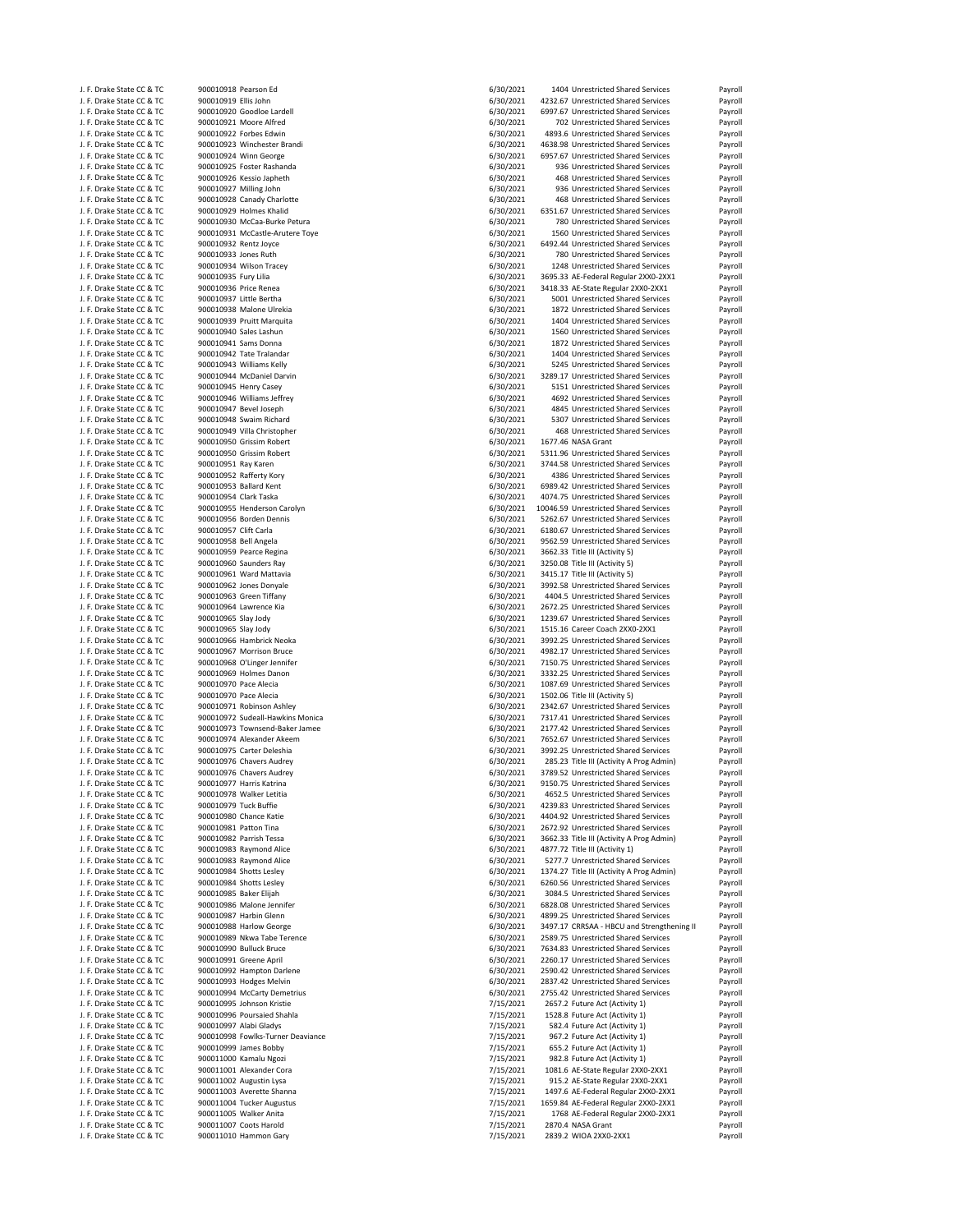| J. F. Drake State CC & TC                              | 900010918 Pearson Ed  |                                                 | 6/30/2021              | 1404 Unrestricted Shared Services          | Payroll                                             |
|--------------------------------------------------------|-----------------------|-------------------------------------------------|------------------------|--------------------------------------------|-----------------------------------------------------|
| J. F. Drake State CC & TC                              | 900010919 Ellis John  |                                                 | 6/30/2021              | 4232.67 Unrestricted Shared Services       | Payroll                                             |
| J. F. Drake State CC & TC                              |                       | 900010920 Goodloe Lardell                       | 6/30/2021              | 6997.67 Unrestricted Shared Services       | Payroll                                             |
| J. F. Drake State CC & TC                              |                       | 900010921 Moore Alfred                          | 6/30/2021              | 702 Unrestricted Shared Services           | Payroll                                             |
| J. F. Drake State CC & TC                              |                       | 900010922 Forbes Edwin                          | 6/30/2021              | 4893.6 Unrestricted Shared Services        | Payroll                                             |
| J. F. Drake State CC & TC                              |                       | 900010923 Winchester Brandi                     | 6/30/2021              | 4638.98 Unrestricted Shared Services       | Payroll                                             |
| J. F. Drake State CC & TC                              |                       | 900010924 Winn George                           | 6/30/2021              | 6957.67 Unrestricted Shared Services       | Payroll                                             |
| J. F. Drake State CC & TC                              |                       | 900010925 Foster Rashanda                       | 6/30/2021              | 936 Unrestricted Shared Services           | Payroll                                             |
|                                                        |                       |                                                 |                        |                                            |                                                     |
| J. F. Drake State CC & TC                              |                       | 900010926 Kessio Japheth                        | 6/30/2021              | 468 Unrestricted Shared Services           | Payroll                                             |
| J. F. Drake State CC & TC                              |                       | 900010927 Milling John                          | 6/30/2021              | 936 Unrestricted Shared Services           | Payroll                                             |
| J. F. Drake State CC & TC                              |                       | 900010928 Canady Charlotte                      | 6/30/2021              | 468 Unrestricted Shared Services           | Payroll                                             |
| J. F. Drake State CC & TC                              |                       | 900010929 Holmes Khalid                         | 6/30/2021              | 6351.67 Unrestricted Shared Services       | Payroll                                             |
| J. F. Drake State CC & TC                              |                       | 900010930 McCaa-Burke Petura                    | 6/30/2021              | 780 Unrestricted Shared Services           | Payroll                                             |
| J. F. Drake State CC & TC                              |                       | 900010931 McCastle-Arutere Toye                 | 6/30/2021              | 1560 Unrestricted Shared Services          | Payroll                                             |
|                                                        |                       |                                                 |                        |                                            |                                                     |
| J. F. Drake State CC & TC                              |                       | 900010932 Rentz Joyce                           | 6/30/2021              | 6492.44 Unrestricted Shared Services       | Payroll                                             |
| J. F. Drake State CC & TC                              | 900010933 Jones Ruth  |                                                 | 6/30/2021              | 780 Unrestricted Shared Services           | Payroll                                             |
| J. F. Drake State CC & TC                              |                       | 900010934 Wilson Tracey                         | 6/30/2021              | 1248 Unrestricted Shared Services          | Payroll                                             |
| J. F. Drake State CC & TC                              | 900010935 Fury Lilia  |                                                 | 6/30/2021              | 3695.33 AE-Federal Regular 2XX0-2XX1       | Payroll                                             |
| J. F. Drake State CC & TC                              |                       | 900010936 Price Renea                           | 6/30/2021              | 3418.33 AE-State Regular 2XX0-2XX1         | Payroll                                             |
| J. F. Drake State CC & TC                              |                       | 900010937 Little Bertha                         | 6/30/2021              | 5001 Unrestricted Shared Services          | Payroll                                             |
|                                                        |                       |                                                 |                        |                                            |                                                     |
| J. F. Drake State CC & TC                              |                       | 900010938 Malone Ulrekia                        | 6/30/2021              | 1872 Unrestricted Shared Services          | Payroll                                             |
| J. F. Drake State CC & TC                              |                       | 900010939 Pruitt Marquita                       | 6/30/2021              | 1404 Unrestricted Shared Services          | Payroll                                             |
| J. F. Drake State CC & TC                              |                       | 900010940 Sales Lashun                          | 6/30/2021              | 1560 Unrestricted Shared Services          | Payroll                                             |
| J. F. Drake State CC & TC                              |                       | 900010941 Sams Donna                            | 6/30/2021              | 1872 Unrestricted Shared Services          | Payroll                                             |
| J. F. Drake State CC & TC                              |                       | 900010942 Tate Tralandar                        | 6/30/2021              | 1404 Unrestricted Shared Services          | Payroll                                             |
| J. F. Drake State CC & TC                              |                       | 900010943 Williams Kelly                        | 6/30/2021              | 5245 Unrestricted Shared Services          | Payroll                                             |
| J. F. Drake State CC & TC                              |                       | 900010944 McDaniel Darvin                       | 6/30/2021              | 3289.17 Unrestricted Shared Services       | Payroll                                             |
|                                                        |                       | 900010945 Henry Casey                           |                        |                                            |                                                     |
| J. F. Drake State CC & TC                              |                       |                                                 | 6/30/2021              | 5151 Unrestricted Shared Services          | Payroll                                             |
| J. F. Drake State CC & TC                              |                       | 900010946 Williams Jeffrey                      | 6/30/2021              | 4692 Unrestricted Shared Services          | Payroll                                             |
| J. F. Drake State CC & TC                              |                       | 900010947 Bevel Joseph                          | 6/30/2021              | 4845 Unrestricted Shared Services          | Payroll                                             |
| J. F. Drake State CC & TC                              |                       | 900010948 Swaim Richard                         | 6/30/2021              | 5307 Unrestricted Shared Services          | Payroll                                             |
| J. F. Drake State CC & TC                              |                       | 900010949 Villa Christopher                     | 6/30/2021              | 468 Unrestricted Shared Services           | Payroll                                             |
| J. F. Drake State CC & TC                              |                       | 900010950 Grissim Robert                        | 6/30/2021              | 1677.46 NASA Grant                         | Payroll                                             |
|                                                        |                       | 900010950 Grissim Robert                        |                        |                                            |                                                     |
| J. F. Drake State CC & TC                              |                       |                                                 | 6/30/2021              | 5311.96 Unrestricted Shared Services       | Payroll                                             |
| J. F. Drake State CC & TC                              | 900010951 Ray Karen   |                                                 | 6/30/2021              | 3744.58 Unrestricted Shared Services       | Payroll                                             |
| J. F. Drake State CC & TC                              |                       | 900010952 Rafferty Kory                         | 6/30/2021              | 4386 Unrestricted Shared Services          | Payroll                                             |
| J. F. Drake State CC & TC                              |                       | 900010953 Ballard Kent                          | 6/30/2021              | 6989.42 Unrestricted Shared Services       | Payroll                                             |
| J. F. Drake State CC & TC                              | 900010954 Clark Taska |                                                 | 6/30/2021              | 4074.75 Unrestricted Shared Services       | Payroll                                             |
| J. F. Drake State CC & TC                              |                       | 900010955 Henderson Carolyn                     | 6/30/2021              | 10046.59 Unrestricted Shared Services      | Payroll                                             |
|                                                        |                       |                                                 |                        |                                            |                                                     |
| J. F. Drake State CC & TC                              |                       | 900010956 Borden Dennis                         | 6/30/2021              | 5262.67 Unrestricted Shared Services       | Payroll                                             |
| J. F. Drake State CC & TC                              | 900010957 Clift Carla |                                                 | 6/30/2021              | 6180.67 Unrestricted Shared Services       | Payroll                                             |
| J. F. Drake State CC & TC                              | 900010958 Bell Angela |                                                 | 6/30/2021              | 9562.59 Unrestricted Shared Services       | Payroll                                             |
| J. F. Drake State CC & TC                              |                       | 900010959 Pearce Regina                         | 6/30/2021              | 3662.33 Title III (Activity 5)             | Payroll                                             |
| J. F. Drake State CC & TC                              |                       | 900010960 Saunders Ray                          | 6/30/2021              | 3250.08 Title III (Activity 5)             | Payroll                                             |
|                                                        |                       |                                                 | 6/30/2021              |                                            |                                                     |
| J. F. Drake State CC & TC                              |                       | 900010961 Ward Mattavia                         |                        | 3415.17 Title III (Activity 5)             | Payroll                                             |
| J. F. Drake State CC & TC                              |                       | 900010962 Jones Donyale                         | 6/30/2021              | 3992.58 Unrestricted Shared Services       | Payroll                                             |
| J. F. Drake State CC & TC                              |                       | 900010963 Green Tiffany                         | 6/30/2021              | 4404.5 Unrestricted Shared Services        | Payroll                                             |
| J. F. Drake State CC & TC                              |                       | 900010964 Lawrence Kia                          | 6/30/2021              | 2672.25 Unrestricted Shared Services       | Payroll                                             |
| J. F. Drake State CC & TC                              | 900010965 Slay Jody   |                                                 | 6/30/2021              | 1239.67 Unrestricted Shared Services       | Payroll                                             |
| J. F. Drake State CC & TC                              | 900010965 Slay Jody   |                                                 | 6/30/2021              | 1515.16 Career Coach 2XX0-2XX1             | Payroll                                             |
|                                                        |                       |                                                 |                        |                                            |                                                     |
| J. F. Drake State CC & TC                              |                       | 900010966 Hambrick Neoka                        | 6/30/2021              | 3992.25 Unrestricted Shared Services       | Payroll                                             |
| J. F. Drake State CC & TC                              |                       | 900010967 Morrison Bruce                        | 6/30/2021              | 4982.17 Unrestricted Shared Services       | Payroll                                             |
| J. F. Drake State CC & TC                              |                       | 900010968 O'Linger Jennifer                     | 6/30/2021              | 7150.75 Unrestricted Shared Services       | Payroll                                             |
| J. F. Drake State CC & TC                              |                       | 900010969 Holmes Danon                          | 6/30/2021              | 3332.25 Unrestricted Shared Services       | Payroll                                             |
| J. F. Drake State CC & TC                              | 900010970 Pace Alecia |                                                 | 6/30/2021              | 1087.69 Unrestricted Shared Services       | Payroll                                             |
| J. F. Drake State CC & TC                              | 900010970 Pace Alecia |                                                 | 6/30/2021              | 1502.06 Title III (Activity 5)             | Payroll                                             |
|                                                        |                       |                                                 |                        |                                            |                                                     |
| J. F. Drake State CC & TC                              |                       | 900010971 Robinson Ashley                       | 6/30/2021              | 2342.67 Unrestricted Shared Services       | Payroll                                             |
| J. F. Drake State CC & TC                              |                       | 900010972 Sudeall-Hawkins Monica                | 6/30/2021              | 7317.41 Unrestricted Shared Services       | Payroll                                             |
| J. F. Drake State CC & TC                              |                       | 900010973 Townsend-Baker Jamee                  | 6/30/2021              | 2177.42 Unrestricted Shared Services       | Payroll                                             |
| J. F. Drake State CC & TC                              |                       | 900010974 Alexander Akeem                       | 6/30/2021              | 7652.67 Unrestricted Shared Services       | Payroll                                             |
| J. F. Drake State CC & TC                              |                       | 900010975 Carter Deleshia                       | 6/30/2021              | 3992.25 Unrestricted Shared Services       | Payroll                                             |
| J. F. Drake State CC & TC                              |                       | 900010976 Chavers Audrey                        | 6/30/2021              | 285.23 Title III (Activity A Prog Admin)   | Payroll                                             |
|                                                        |                       |                                                 |                        |                                            |                                                     |
| J. F. Drake State CC & TC                              |                       | 900010976 Chavers Audrey                        | 6/30/2021              | 3789.52 Unrestricted Shared Services       | Payroll                                             |
| J. F. Drake State CC & TC                              |                       | 900010977 Harris Katrina                        | 6/30/2021              | 9150.75 Unrestricted Shared Services       | Payroll                                             |
| J. F. Drake State CC & TC                              |                       | 900010978 Walker Letitia                        | 6/30/2021              | 4652.5 Unrestricted Shared Services        | Payroll                                             |
| J. F. Drake State CC & TC                              | 900010979 Tuck Buffie |                                                 | 6/30/2021              | 4239.83 Unrestricted Shared Services       | Payroll                                             |
| J. F. Drake State CC & TC                              |                       | 900010980 Chance Katie                          | 6/30/2021              | 4404.92 Unrestricted Shared Services       | Payroll                                             |
| J. F. Drake State CC & TC                              |                       | 900010981 Patton Tina                           | 6/30/2021              | 2672.92 Unrestricted Shared Services       | Payroll                                             |
| J. F. Drake State CC & TC                              |                       | 900010982 Parrish Tessa                         | 6/30/2021              | 3662.33 Title III (Activity A Prog Admin)  | Payroll                                             |
|                                                        |                       |                                                 |                        |                                            |                                                     |
| J. F. Drake State CC & TC                              |                       | 900010983 Raymond Alice                         | 6/30/2021              | 4877.72 Title III (Activity 1)             | Payroll                                             |
| J. F. Drake State CC & TC                              |                       | 900010983 Raymond Alice                         | 6/30/2021              | 5277.7 Unrestricted Shared Services        | Payroll                                             |
| J. F. Drake State CC & TC                              |                       | 900010984 Shotts Lesley                         | 6/30/2021              | 1374.27 Title III (Activity A Prog Admin)  | Payroll                                             |
| J. F. Drake State CC & TC                              |                       | 900010984 Shotts Lesley                         | 6/30/2021              | 6260.56 Unrestricted Shared Services       | Payroll                                             |
| J. F. Drake State CC & TC                              |                       | 900010985 Baker Elijah                          | 6/30/2021              | 3084.5 Unrestricted Shared Services        | Payroll                                             |
| J. F. Drake State CC & TC                              |                       | 900010986 Malone Jennifer                       | 6/30/2021              | 6828.08 Unrestricted Shared Services       | Payroll                                             |
|                                                        |                       |                                                 |                        |                                            |                                                     |
| J. F. Drake State CC & TC                              |                       | 900010987 Harbin Glenn                          | 6/30/2021              | 4899.25 Unrestricted Shared Services       | Payroll                                             |
| J. F. Drake State CC & TC                              |                       | 900010988 Harlow George                         | 6/30/2021              | 3497.17 CRRSAA - HBCU and Strengthening II | Payroll                                             |
| J. F. Drake State CC & TC                              |                       | 900010989 Nkwa Tabe Terence                     | 6/30/2021              | 2589.75 Unrestricted Shared Services       | Payroll                                             |
| J. F. Drake State CC & TC                              |                       | 900010990 Bulluck Bruce                         | 6/30/2021              | 7634.83 Unrestricted Shared Services       | Payroll                                             |
| J. F. Drake State CC & TC                              |                       | 900010991 Greene April                          | 6/30/2021              | 2260.17 Unrestricted Shared Services       | Payroll                                             |
| J. F. Drake State CC & TC                              |                       | 900010992 Hampton Darlene                       |                        | 2590.42 Unrestricted Shared Services       |                                                     |
|                                                        |                       |                                                 | 6/30/2021              |                                            | Payroll                                             |
| J. F. Drake State CC & TC                              |                       | 900010993 Hodges Melvin                         | 6/30/2021              | 2837.42 Unrestricted Shared Services       | Payroll                                             |
| J. F. Drake State CC & TC                              |                       | 900010994 McCarty Demetrius                     | 6/30/2021              | 2755.42 Unrestricted Shared Services       | Payroll                                             |
| J. F. Drake State CC & TC                              |                       | 900010995 Johnson Kristie                       | 7/15/2021              | 2657.2 Future Act (Activity 1)             | Payroll                                             |
| J. F. Drake State CC & TC                              |                       | 900010996 Poursaied Shahla                      | 7/15/2021              | 1528.8 Future Act (Activity 1)             | Payroll                                             |
|                                                        |                       | 900010997 Alabi Gladys                          | 7/15/2021              | 582.4 Future Act (Activity 1)              | Payroll                                             |
|                                                        |                       |                                                 |                        |                                            |                                                     |
| J. F. Drake State CC & TC                              |                       |                                                 |                        |                                            |                                                     |
| J. F. Drake State CC & TC                              |                       | 900010998 Fowlks-Turner Deaviance               | 7/15/2021              | 967.2 Future Act (Activity 1)              | Payroll                                             |
| J. F. Drake State CC & TC                              |                       | 900010999 James Bobby                           | 7/15/2021              | 655.2 Future Act (Activity 1)              | Payroll                                             |
| J. F. Drake State CC & TC                              |                       | 900011000 Kamalu Ngozi                          | 7/15/2021              | 982.8 Future Act (Activity 1)              | Payroll                                             |
| J. F. Drake State CC & TC                              |                       | 900011001 Alexander Cora                        | 7/15/2021              | 1081.6 AE-State Regular 2XX0-2XX1          | Payroll                                             |
|                                                        |                       |                                                 |                        |                                            |                                                     |
| J. F. Drake State CC & TC                              |                       | 900011002 Augustin Lysa                         | 7/15/2021              | 915.2 AE-State Regular 2XX0-2XX1           | Payroll                                             |
| J. F. Drake State CC & TC                              |                       | 900011003 Averette Shanna                       | 7/15/2021              | 1497.6 AE-Federal Regular 2XX0-2XX1        |                                                     |
| J. F. Drake State CC & TC                              |                       | 900011004 Tucker Augustus                       | 7/15/2021              | 1659.84 AE-Federal Regular 2XX0-2XX1       |                                                     |
| J. F. Drake State CC & TC                              |                       | 900011005 Walker Anita                          | 7/15/2021              | 1768 AE-Federal Regular 2XX0-2XX1          |                                                     |
| J. F. Drake State CC & TC<br>J. F. Drake State CC & TC |                       | 900011007 Coots Harold<br>900011010 Hammon Gary | 7/15/2021<br>7/15/2021 | 2870.4 NASA Grant<br>2839.2 WIOA 2XX0-2XX1 | Payroll<br>Payroll<br>Payroll<br>Payroll<br>Payroll |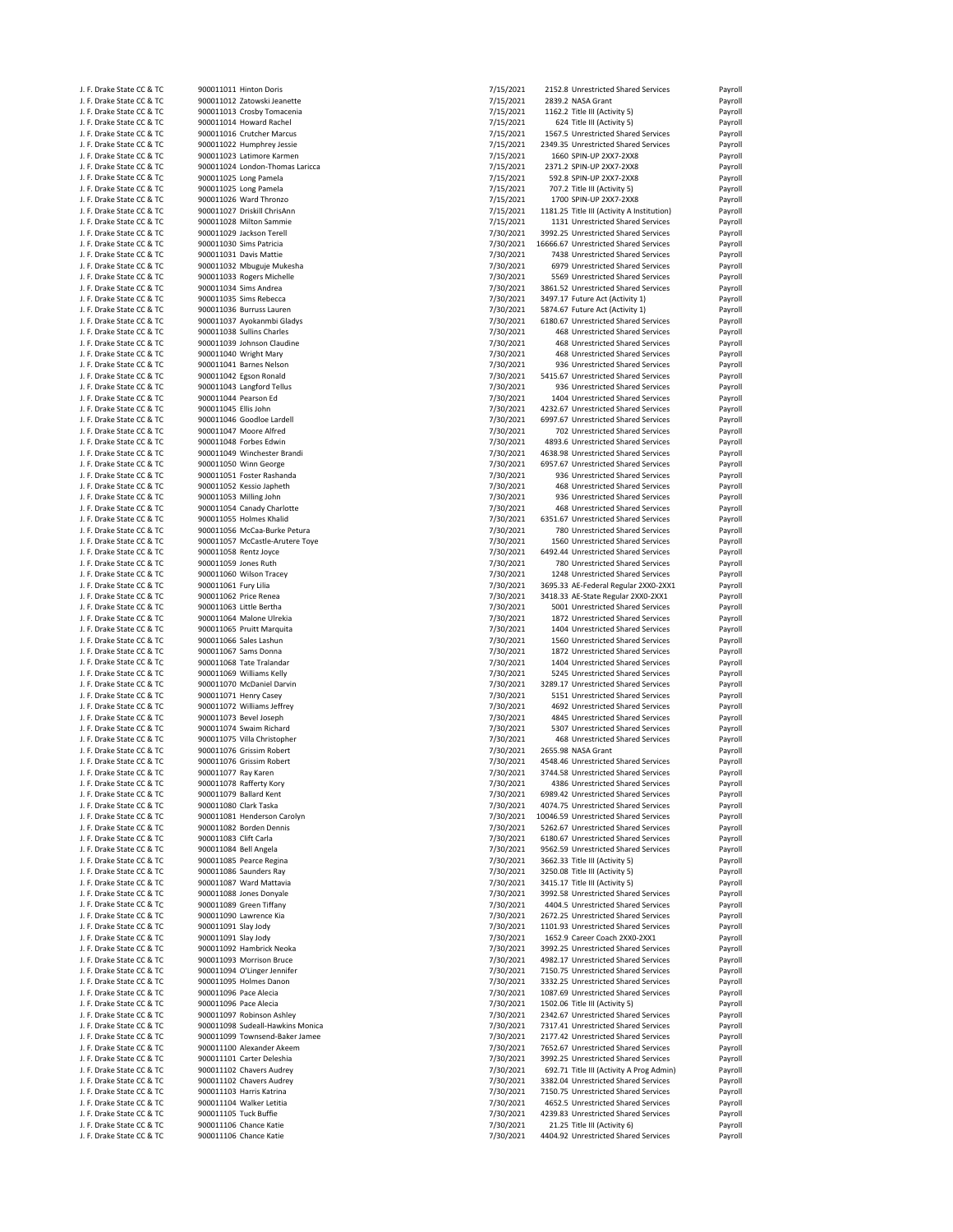| J. F. Drake State CC & TC | 900011011 Hinton Doris           | 7/15/2021 | 2152.8 Unrestricted Shared Services        | Payroll |
|---------------------------|----------------------------------|-----------|--------------------------------------------|---------|
|                           |                                  |           |                                            |         |
| J. F. Drake State CC & TC | 900011012 Zatowski Jeanette      | 7/15/2021 | 2839.2 NASA Grant                          | Payroll |
| J. F. Drake State CC & TC | 900011013 Crosby Tomacenia       | 7/15/2021 | 1162.2 Title III (Activity 5)              | Payroll |
| J. F. Drake State CC & TC | 900011014 Howard Rachel          | 7/15/2021 | 624 Title III (Activity 5)                 | Payroll |
| J. F. Drake State CC & TC | 900011016 Crutcher Marcus        | 7/15/2021 | 1567.5 Unrestricted Shared Services        | Payroll |
| J. F. Drake State CC & TC | 900011022 Humphrey Jessie        | 7/15/2021 | 2349.35 Unrestricted Shared Services       | Payroll |
| J. F. Drake State CC & TC | 900011023 Latimore Karmen        | 7/15/2021 | 1660 SPIN-UP 2XX7-2XX8                     | Payroll |
| J. F. Drake State CC & TC | 900011024 London-Thomas Laricca  | 7/15/2021 | 2371.2 SPIN-UP 2XX7-2XX8                   | Payroll |
|                           | 900011025 Long Pamela            |           |                                            |         |
| J. F. Drake State CC & TC |                                  | 7/15/2021 | 592.8 SPIN-UP 2XX7-2XX8                    | Payroll |
| J. F. Drake State CC & TC | 900011025 Long Pamela            | 7/15/2021 | 707.2 Title III (Activity 5)               | Payroll |
| J. F. Drake State CC & TC | 900011026 Ward Thronzo           | 7/15/2021 | 1700 SPIN-UP 2XX7-2XX8                     | Payroll |
| J. F. Drake State CC & TC | 900011027 Driskill ChrisAnn      | 7/15/2021 | 1181.25 Title III (Activity A Institution) | Payroll |
| J. F. Drake State CC & TC | 900011028 Milton Sammie          | 7/15/2021 | 1131 Unrestricted Shared Services          | Payroll |
| J. F. Drake State CC & TC | 900011029 Jackson Terell         | 7/30/2021 | 3992.25 Unrestricted Shared Services       | Payroll |
|                           | 900011030 Sims Patricia          | 7/30/2021 | 16666.67 Unrestricted Shared Services      |         |
| J. F. Drake State CC & TC |                                  |           |                                            | Payroll |
| J. F. Drake State CC & TC | 900011031 Davis Mattie           | 7/30/2021 | 7438 Unrestricted Shared Services          | Payroll |
| J. F. Drake State CC & TC | 900011032 Mbuguje Mukesha        | 7/30/2021 | 6979 Unrestricted Shared Services          | Payroll |
| J. F. Drake State CC & TC | 900011033 Rogers Michelle        | 7/30/2021 | 5569 Unrestricted Shared Services          | Payroll |
| J. F. Drake State CC & TC | 900011034 Sims Andrea            | 7/30/2021 | 3861.52 Unrestricted Shared Services       | Payroll |
| J. F. Drake State CC & TC | 900011035 Sims Rebecca           | 7/30/2021 | 3497.17 Future Act (Activity 1)            | Payroll |
| J. F. Drake State CC & TC | 900011036 Burruss Lauren         | 7/30/2021 | 5874.67 Future Act (Activity 1)            | Payroll |
|                           |                                  |           |                                            |         |
| J. F. Drake State CC & TC | 900011037 Ayokanmbi Gladys       | 7/30/2021 | 6180.67 Unrestricted Shared Services       | Payroll |
| J. F. Drake State CC & TC | 900011038 Sullins Charles        | 7/30/2021 | 468 Unrestricted Shared Services           | Payroll |
| J. F. Drake State CC & TC | 900011039 Johnson Claudine       | 7/30/2021 | 468 Unrestricted Shared Services           | Payroll |
| J. F. Drake State CC & TC | 900011040 Wright Mary            | 7/30/2021 | 468 Unrestricted Shared Services           | Payroll |
| J. F. Drake State CC & TC | 900011041 Barnes Nelson          | 7/30/2021 | 936 Unrestricted Shared Services           | Payroll |
| J. F. Drake State CC & TC | 900011042 Egson Ronald           | 7/30/2021 | 5415.67 Unrestricted Shared Services       | Payroll |
|                           |                                  |           |                                            |         |
| J. F. Drake State CC & TC | 900011043 Langford Tellus        | 7/30/2021 | 936 Unrestricted Shared Services           | Payroll |
| J. F. Drake State CC & TC | 900011044 Pearson Ed             | 7/30/2021 | 1404 Unrestricted Shared Services          | Payroll |
| J. F. Drake State CC & TC | 900011045 Ellis John             | 7/30/2021 | 4232.67 Unrestricted Shared Services       | Payroll |
| J. F. Drake State CC & TC | 900011046 Goodloe Lardell        | 7/30/2021 | 6997.67 Unrestricted Shared Services       | Payroll |
| J. F. Drake State CC & TC | 900011047 Moore Alfred           | 7/30/2021 | 702 Unrestricted Shared Services           | Payroll |
|                           |                                  |           |                                            |         |
| J. F. Drake State CC & TC | 900011048 Forbes Edwin           | 7/30/2021 | 4893.6 Unrestricted Shared Services        | Payroll |
| J. F. Drake State CC & TC | 900011049 Winchester Brandi      | 7/30/2021 | 4638.98 Unrestricted Shared Services       | Payroll |
| J. F. Drake State CC & TC | 900011050 Winn George            | 7/30/2021 | 6957.67 Unrestricted Shared Services       | Payroll |
| J. F. Drake State CC & TC | 900011051 Foster Rashanda        | 7/30/2021 | 936 Unrestricted Shared Services           | Payroll |
| J. F. Drake State CC & TC | 900011052 Kessio Japheth         | 7/30/2021 | 468 Unrestricted Shared Services           | Payroll |
| J. F. Drake State CC & TC | 900011053 Milling John           | 7/30/2021 | 936 Unrestricted Shared Services           | Payroll |
|                           |                                  |           |                                            |         |
| J. F. Drake State CC & TC | 900011054 Canady Charlotte       | 7/30/2021 | 468 Unrestricted Shared Services           | Payroll |
| J. F. Drake State CC & TC | 900011055 Holmes Khalid          | 7/30/2021 | 6351.67 Unrestricted Shared Services       | Payroll |
| J. F. Drake State CC & TC | 900011056 McCaa-Burke Petura     | 7/30/2021 | 780 Unrestricted Shared Services           | Payroll |
| J. F. Drake State CC & TC | 900011057 McCastle-Arutere Toye  | 7/30/2021 | 1560 Unrestricted Shared Services          | Payroll |
| J. F. Drake State CC & TC | 900011058 Rentz Joyce            | 7/30/2021 | 6492.44 Unrestricted Shared Services       | Payroll |
|                           |                                  |           |                                            |         |
| J. F. Drake State CC & TC | 900011059 Jones Ruth             | 7/30/2021 | 780 Unrestricted Shared Services           | Payroll |
| J. F. Drake State CC & TC | 900011060 Wilson Tracey          | 7/30/2021 | 1248 Unrestricted Shared Services          | Payroll |
| J. F. Drake State CC & TC | 900011061 Fury Lilia             | 7/30/2021 | 3695.33 AE-Federal Regular 2XX0-2XX1       | Payroll |
| J. F. Drake State CC & TC | 900011062 Price Renea            | 7/30/2021 | 3418.33 AE-State Regular 2XX0-2XX1         | Payroll |
| J. F. Drake State CC & TC | 900011063 Little Bertha          | 7/30/2021 | 5001 Unrestricted Shared Services          | Payroll |
| J. F. Drake State CC & TC | 900011064 Malone Ulrekia         | 7/30/2021 | 1872 Unrestricted Shared Services          | Payroll |
|                           |                                  |           | 1404 Unrestricted Shared Services          |         |
| J. F. Drake State CC & TC | 900011065 Pruitt Marquita        | 7/30/2021 |                                            | Payroll |
| J. F. Drake State CC & TC | 900011066 Sales Lashun           | 7/30/2021 | 1560 Unrestricted Shared Services          | Payroll |
| J. F. Drake State CC & TC | 900011067 Sams Donna             | 7/30/2021 | 1872 Unrestricted Shared Services          | Payroll |
| J. F. Drake State CC & TC | 900011068 Tate Tralandar         | 7/30/2021 | 1404 Unrestricted Shared Services          | Payroll |
| J. F. Drake State CC & TC | 900011069 Williams Kelly         | 7/30/2021 | 5245 Unrestricted Shared Services          | Payroll |
| J. F. Drake State CC & TC | 900011070 McDaniel Darvin        | 7/30/2021 | 3289.17 Unrestricted Shared Services       | Payroll |
|                           |                                  |           |                                            |         |
| J. F. Drake State CC & TC | 900011071 Henry Casey            | 7/30/2021 | 5151 Unrestricted Shared Services          | Payroll |
| J. F. Drake State CC & TC | 900011072 Williams Jeffrey       | 7/30/2021 | 4692 Unrestricted Shared Services          | Payroll |
| J. F. Drake State CC & TC | 900011073 Bevel Joseph           | 7/30/2021 | 4845 Unrestricted Shared Services          | Payroll |
| J. F. Drake State CC & TC | 900011074 Swaim Richard          | 7/30/2021 | 5307 Unrestricted Shared Services          | Payroll |
| J. F. Drake State CC & TC | 900011075 Villa Christopher      | 7/30/2021 | 468 Unrestricted Shared Services           | Payroll |
| J. F. Drake State CC & TC | 900011076 Grissim Robert         | 7/30/2021 | 2655.98 NASA Grant                         |         |
|                           |                                  |           |                                            | Payroll |
| J. F. Drake State CC & TC | 900011076 Grissim Robert         | 7/30/2021 | 4548.46 Unrestricted Shared Services       | Payroll |
| J. F. Drake State CC & TC | 900011077 Ray Karen              | 7/30/2021 | 3744.58 Unrestricted Shared Services       | Payroll |
| J. F. Drake State CC & TC | 900011078 Rafferty Kory          | 7/30/2021 | 4386 Unrestricted Shared Services          | Payroll |
| J. F. Drake State CC & TC | 900011079 Ballard Kent           | 7/30/2021 | 6989.42 Unrestricted Shared Services       | Payroll |
| J. F. Drake State CC & TC | 900011080 Clark Taska            | 7/30/2021 | 4074.75 Unrestricted Shared Services       | Payroll |
| J. F. Drake State CC & TC | 900011081 Henderson Carolyn      | 7/30/2021 | 10046.59 Unrestricted Shared Services      | Payroll |
| J. F. Drake State CC & TC | 900011082 Borden Dennis          | 7/30/2021 | 5262.67 Unrestricted Shared Services       | Payroll |
|                           |                                  |           |                                            |         |
| J. F. Drake State CC & TC | 900011083 Clift Carla            | 7/30/2021 | 6180.67 Unrestricted Shared Services       | Payroll |
| J. F. Drake State CC & TC | 900011084 Bell Angela            | 7/30/2021 | 9562.59 Unrestricted Shared Services       | Payroll |
| J. F. Drake State CC & TC | 900011085 Pearce Regina          | 7/30/2021 | 3662.33 Title III (Activity 5)             | Payroll |
| J. F. Drake State CC & TC | 900011086 Saunders Ray           | 7/30/2021 | 3250.08 Title III (Activity 5)             | Payroll |
| J. F. Drake State CC & TC | 900011087 Ward Mattavia          | 7/30/2021 | 3415.17 Title III (Activity 5)             | Payroll |
| J. F. Drake State CC & TC | 900011088 Jones Donyale          | 7/30/2021 | 3992.58 Unrestricted Shared Services       | Payroll |
|                           |                                  |           |                                            |         |
| J. F. Drake State CC & TC | 900011089 Green Tiffany          | 7/30/2021 | 4404.5 Unrestricted Shared Services        | Payroll |
| J. F. Drake State CC & TC | 900011090 Lawrence Kia           | 7/30/2021 | 2672.25 Unrestricted Shared Services       | Payroll |
| J. F. Drake State CC & TC | 900011091 Slay Jody              | 7/30/2021 | 1101.93 Unrestricted Shared Services       | Payroll |
| J. F. Drake State CC & TC | 900011091 Slay Jody              | 7/30/2021 | 1652.9 Career Coach 2XX0-2XX1              | Payroll |
| J. F. Drake State CC & TC | 900011092 Hambrick Neoka         | 7/30/2021 | 3992.25 Unrestricted Shared Services       | Payroll |
|                           |                                  | 7/30/2021 | 4982.17 Unrestricted Shared Services       |         |
| J. F. Drake State CC & TC | 900011093 Morrison Bruce         |           |                                            | Payroll |
| J. F. Drake State CC & TC | 900011094 O'Linger Jennifer      | 7/30/2021 | 7150.75 Unrestricted Shared Services       | Payroll |
| J. F. Drake State CC & TC | 900011095 Holmes Danon           | 7/30/2021 | 3332.25 Unrestricted Shared Services       | Payroll |
| J. F. Drake State CC & TC | 900011096 Pace Alecia            | 7/30/2021 | 1087.69 Unrestricted Shared Services       | Payroll |
| J. F. Drake State CC & TC | 900011096 Pace Alecia            | 7/30/2021 | 1502.06 Title III (Activity 5)             | Payroll |
| J. F. Drake State CC & TC | 900011097 Robinson Ashley        | 7/30/2021 | 2342.67 Unrestricted Shared Services       | Payroll |
|                           |                                  |           |                                            |         |
| J. F. Drake State CC & TC | 900011098 Sudeall-Hawkins Monica | 7/30/2021 | 7317.41 Unrestricted Shared Services       | Payroll |
| J. F. Drake State CC & TC | 900011099 Townsend-Baker Jamee   | 7/30/2021 | 2177.42 Unrestricted Shared Services       | Payroll |
| J. F. Drake State CC & TC | 900011100 Alexander Akeem        | 7/30/2021 | 7652.67 Unrestricted Shared Services       | Payroll |
| J. F. Drake State CC & TC | 900011101 Carter Deleshia        | 7/30/2021 | 3992.25 Unrestricted Shared Services       | Payroll |
| J. F. Drake State CC & TC | 900011102 Chavers Audrey         | 7/30/2021 | 692.71 Title III (Activity A Prog Admin)   | Payroll |
|                           |                                  |           |                                            |         |
| J. F. Drake State CC & TC | 900011102 Chavers Audrey         | 7/30/2021 | 3382.04 Unrestricted Shared Services       | Payroll |
| J. F. Drake State CC & TC | 900011103 Harris Katrina         | 7/30/2021 | 7150.75 Unrestricted Shared Services       | Payroll |
| J. F. Drake State CC & TC | 900011104 Walker Letitia         | 7/30/2021 | 4652.5 Unrestricted Shared Services        | Payroll |
| J. F. Drake State CC & TC | 900011105 Tuck Buffie            | 7/30/2021 | 4239.83 Unrestricted Shared Services       | Payroll |
| J. F. Drake State CC & TC | 900011106 Chance Katie           | 7/30/2021 | 21.25 Title III (Activity 6)               | Payroll |
| J. F. Drake State CC & TC | 900011106 Chance Katie           | 7/30/2021 | 4404.92 Unrestricted Shared Services       | Payroll |
|                           |                                  |           |                                            |         |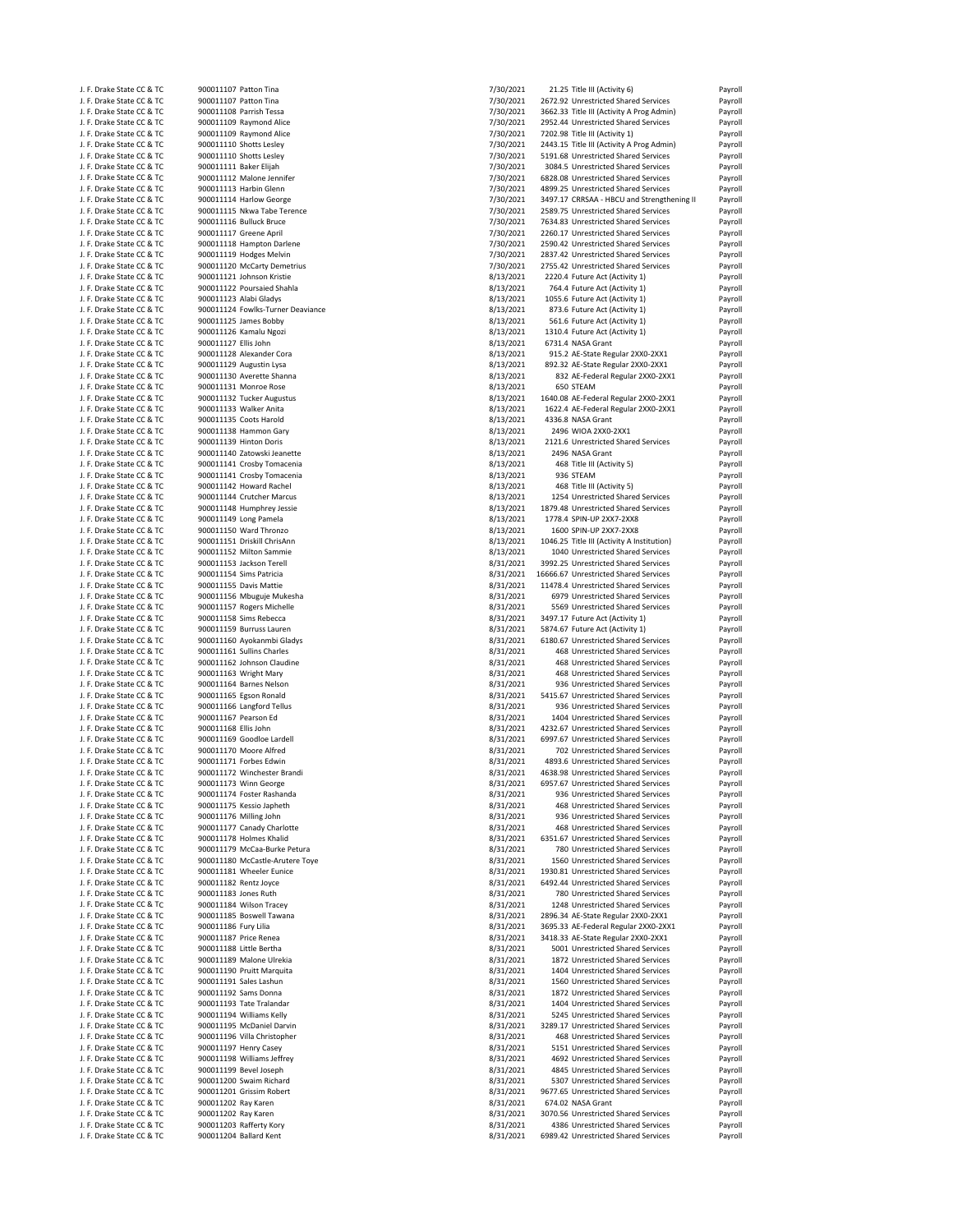| J. F. Drake State CC & TC | 900011107 Patton Tina             | 7/30/2021 | 21.25 Title III (Activity 6)               | Payroll |
|---------------------------|-----------------------------------|-----------|--------------------------------------------|---------|
| J. F. Drake State CC & TC | 900011107 Patton Tina             | 7/30/2021 | 2672.92 Unrestricted Shared Services       | Payroll |
| J. F. Drake State CC & TC | 900011108 Parrish Tessa           | 7/30/2021 | 3662.33 Title III (Activity A Prog Admin)  | Payroll |
|                           |                                   |           |                                            |         |
| J. F. Drake State CC & TC | 900011109 Raymond Alice           | 7/30/2021 | 2952.44 Unrestricted Shared Services       | Payroll |
| J. F. Drake State CC & TC | 900011109 Raymond Alice           | 7/30/2021 | 7202.98 Title III (Activity 1)             | Payroll |
| J. F. Drake State CC & TC | 900011110 Shotts Lesley           | 7/30/2021 | 2443.15 Title III (Activity A Prog Admin)  | Payroll |
| J. F. Drake State CC & TC | 900011110 Shotts Lesley           | 7/30/2021 | 5191.68 Unrestricted Shared Services       | Payroll |
| J. F. Drake State CC & TC | 900011111 Baker Elijah            | 7/30/2021 | 3084.5 Unrestricted Shared Services        | Payroll |
|                           |                                   |           |                                            |         |
| J. F. Drake State CC & TC | 900011112 Malone Jennifer         | 7/30/2021 | 6828.08 Unrestricted Shared Services       | Payroll |
| J. F. Drake State CC & TC | 900011113 Harbin Glenn            | 7/30/2021 | 4899.25 Unrestricted Shared Services       | Payroll |
| J. F. Drake State CC & TC | 900011114 Harlow George           | 7/30/2021 | 3497.17 CRRSAA - HBCU and Strengthening II | Payroll |
| J. F. Drake State CC & TC | 900011115 Nkwa Tabe Terence       | 7/30/2021 | 2589.75 Unrestricted Shared Services       | Payroll |
| J. F. Drake State CC & TC | 900011116 Bulluck Bruce           | 7/30/2021 | 7634.83 Unrestricted Shared Services       | Payroll |
|                           | 900011117 Greene April            | 7/30/2021 | 2260.17 Unrestricted Shared Services       |         |
| J. F. Drake State CC & TC |                                   |           |                                            | Payroll |
| J. F. Drake State CC & TC | 900011118 Hampton Darlene         | 7/30/2021 | 2590.42 Unrestricted Shared Services       | Payroll |
| J. F. Drake State CC & TC | 900011119 Hodges Melvin           | 7/30/2021 | 2837.42 Unrestricted Shared Services       | Payroll |
| J. F. Drake State CC & TC | 900011120 McCarty Demetrius       | 7/30/2021 | 2755.42 Unrestricted Shared Services       | Payroll |
| J. F. Drake State CC & TC | 900011121 Johnson Kristie         | 8/13/2021 | 2220.4 Future Act (Activity 1)             | Payroll |
| J. F. Drake State CC & TC | 900011122 Poursaied Shahla        | 8/13/2021 | 764.4 Future Act (Activity 1)              | Payroll |
|                           |                                   |           |                                            |         |
| J. F. Drake State CC & TC | 900011123 Alabi Gladys            | 8/13/2021 | 1055.6 Future Act (Activity 1)             | Payroll |
| J. F. Drake State CC & TC | 900011124 Fowlks-Turner Deaviance | 8/13/2021 | 873.6 Future Act (Activity 1)              | Payroll |
| J. F. Drake State CC & TC | 900011125 James Bobby             | 8/13/2021 | 561.6 Future Act (Activity 1)              | Payroll |
| J. F. Drake State CC & TC | 900011126 Kamalu Ngozi            | 8/13/2021 | 1310.4 Future Act (Activity 1)             | Payroll |
|                           | 900011127 Ellis John              |           |                                            | Payroll |
| J. F. Drake State CC & TC |                                   | 8/13/2021 | 6731.4 NASA Grant                          |         |
| J. F. Drake State CC & TC | 900011128 Alexander Cora          | 8/13/2021 | 915.2 AE-State Regular 2XX0-2XX1           | Payroll |
| J. F. Drake State CC & TC | 900011129 Augustin Lysa           | 8/13/2021 | 892.32 AE-State Regular 2XX0-2XX1          | Payroll |
| J. F. Drake State CC & TC | 900011130 Averette Shanna         | 8/13/2021 | 832 AE-Federal Regular 2XX0-2XX1           | Payroll |
| J. F. Drake State CC & TC | 900011131 Monroe Rose             | 8/13/2021 | 650 STEAM                                  | Payroll |
|                           |                                   |           |                                            |         |
| J. F. Drake State CC & TC | 900011132 Tucker Augustus         | 8/13/2021 | 1640.08 AE-Federal Regular 2XX0-2XX1       | Payroll |
| J. F. Drake State CC & TC | 900011133 Walker Anita            | 8/13/2021 | 1622.4 AE-Federal Regular 2XX0-2XX1        | Payroll |
| J. F. Drake State CC & TC | 900011135 Coots Harold            | 8/13/2021 | 4336.8 NASA Grant                          | Payroll |
| J. F. Drake State CC & TC | 900011138 Hammon Gary             | 8/13/2021 | 2496 WIOA 2XX0-2XX1                        | Payroll |
|                           | 900011139 Hinton Doris            |           |                                            |         |
| J. F. Drake State CC & TC |                                   | 8/13/2021 | 2121.6 Unrestricted Shared Services        | Payroll |
| J. F. Drake State CC & TC | 900011140 Zatowski Jeanette       | 8/13/2021 | 2496 NASA Grant                            | Payroll |
| J. F. Drake State CC & TC | 900011141 Crosby Tomacenia        | 8/13/2021 | 468 Title III (Activity 5)                 | Payroll |
| J. F. Drake State CC & TC | 900011141 Crosby Tomacenia        | 8/13/2021 | 936 STEAM                                  | Payroll |
| J. F. Drake State CC & TC | 900011142 Howard Rachel           | 8/13/2021 | 468 Title III (Activity 5)                 | Payroll |
|                           |                                   |           |                                            |         |
| J. F. Drake State CC & TC | 900011144 Crutcher Marcus         | 8/13/2021 | 1254 Unrestricted Shared Services          | Payroll |
| J. F. Drake State CC & TC | 900011148 Humphrey Jessie         | 8/13/2021 | 1879.48 Unrestricted Shared Services       | Payroll |
| J. F. Drake State CC & TC | 900011149 Long Pamela             | 8/13/2021 | 1778.4 SPIN-UP 2XX7-2XX8                   | Payroll |
| J. F. Drake State CC & TC | 900011150 Ward Thronzo            | 8/13/2021 | 1600 SPIN-UP 2XX7-2XX8                     | Payroll |
|                           |                                   |           |                                            |         |
| J. F. Drake State CC & TC | 900011151 Driskill ChrisAnn       | 8/13/2021 | 1046.25 Title III (Activity A Institution) | Payroll |
| J. F. Drake State CC & TC | 900011152 Milton Sammie           | 8/13/2021 | 1040 Unrestricted Shared Services          | Payroll |
| J. F. Drake State CC & TC | 900011153 Jackson Terell          | 8/31/2021 | 3992.25 Unrestricted Shared Services       | Payroll |
| J. F. Drake State CC & TC | 900011154 Sims Patricia           | 8/31/2021 | 16666.67 Unrestricted Shared Services      | Payroll |
|                           |                                   |           |                                            |         |
| J. F. Drake State CC & TC | 900011155 Davis Mattie            | 8/31/2021 | 11478.4 Unrestricted Shared Services       | Payroll |
| J. F. Drake State CC & TC | 900011156 Mbuguje Mukesha         | 8/31/2021 | 6979 Unrestricted Shared Services          | Payroll |
| J. F. Drake State CC & TC | 900011157 Rogers Michelle         | 8/31/2021 | 5569 Unrestricted Shared Services          | Payroll |
| J. F. Drake State CC & TC | 900011158 Sims Rebecca            | 8/31/2021 | 3497.17 Future Act (Activity 1)            | Payroll |
| J. F. Drake State CC & TC | 900011159 Burruss Lauren          | 8/31/2021 | 5874.67 Future Act (Activity 1)            | Payroll |
|                           |                                   |           |                                            |         |
| J. F. Drake State CC & TC | 900011160 Ayokanmbi Gladys        | 8/31/2021 | 6180.67 Unrestricted Shared Services       | Payroll |
| J. F. Drake State CC & TC | 900011161 Sullins Charles         | 8/31/2021 | 468 Unrestricted Shared Services           | Payroll |
| J. F. Drake State CC & TC | 900011162 Johnson Claudine        | 8/31/2021 | 468 Unrestricted Shared Services           | Payroll |
| J. F. Drake State CC & TC | 900011163 Wright Mary             | 8/31/2021 | 468 Unrestricted Shared Services           | Payroll |
|                           | 900011164 Barnes Nelson           |           |                                            |         |
| J. F. Drake State CC & TC |                                   | 8/31/2021 | 936 Unrestricted Shared Services           | Payroll |
| J. F. Drake State CC & TC | 900011165 Egson Ronald            | 8/31/2021 | 5415.67 Unrestricted Shared Services       | Payroll |
| J. F. Drake State CC & TC | 900011166 Langford Tellus         | 8/31/2021 | 936 Unrestricted Shared Services           | Payroll |
| J. F. Drake State CC & TC | 900011167 Pearson Ed              | 8/31/2021 | 1404 Unrestricted Shared Services          | Payroll |
| J. F. Drake State CC & TC | 900011168 Ellis John              | 8/31/2021 | 4232.67 Unrestricted Shared Services       | Payroll |
|                           |                                   |           |                                            |         |
| J. F. Drake State CC & TC | 900011169 Goodloe Lardell         | 8/31/2021 | 6997.67 Unrestricted Shared Services       | Payroll |
| J. F. Drake State CC & TC | 900011170 Moore Alfred            | 8/31/2021 | 702 Unrestricted Shared Services           | Payroll |
| J. F. Drake State CC & TC | 900011171 Forbes Edwin            | 8/31/2021 | 4893.6 Unrestricted Shared Services        | Payroll |
| J. F. Drake State CC & TC | 900011172 Winchester Brandi       | 8/31/2021 | 4638.98 Unrestricted Shared Services       | Payroll |
|                           |                                   |           |                                            |         |
| J. F. Drake State CC & TC | 9000111/3 Winn George             | 8/31/2021 | 6957.67 Unrestricted Shared Services       | Payroll |
| J. F. Drake State CC & TC | 900011174 Foster Rashanda         | 8/31/2021 | 936 Unrestricted Shared Services           | Payroll |
| J. F. Drake State CC & TC | 900011175 Kessio Japheth          | 8/31/2021 | 468 Unrestricted Shared Services           | Payroll |
| J. F. Drake State CC & TC | 900011176 Milling John            | 8/31/2021 | 936 Unrestricted Shared Services           | Payroll |
| J. F. Drake State CC & TC | 900011177 Canady Charlotte        | 8/31/2021 | 468 Unrestricted Shared Services           | Payroll |
| J. F. Drake State CC & TC | 900011178 Holmes Khalid           | 8/31/2021 | 6351.67 Unrestricted Shared Services       | Payroll |
|                           |                                   |           |                                            |         |
| J. F. Drake State CC & TC | 900011179 McCaa-Burke Petura      | 8/31/2021 | 780 Unrestricted Shared Services           | Payroll |
| J. F. Drake State CC & TC | 900011180 McCastle-Arutere Toye   | 8/31/2021 | 1560 Unrestricted Shared Services          | Payroll |
| J. F. Drake State CC & TC | 900011181 Wheeler Eunice          | 8/31/2021 | 1930.81 Unrestricted Shared Services       | Payroll |
| J. F. Drake State CC & TC | 900011182 Rentz Joyce             | 8/31/2021 | 6492.44 Unrestricted Shared Services       | Payroll |
| J. F. Drake State CC & TC | 900011183 Jones Ruth              | 8/31/2021 | 780 Unrestricted Shared Services           | Payroll |
|                           |                                   |           |                                            |         |
| J. F. Drake State CC & TC | 900011184 Wilson Tracey           | 8/31/2021 | 1248 Unrestricted Shared Services          | Payroll |
| J. F. Drake State CC & TC | 900011185 Boswell Tawana          | 8/31/2021 | 2896.34 AE-State Regular 2XX0-2XX1         | Payroll |
| J. F. Drake State CC & TC | 900011186 Fury Lilia              | 8/31/2021 | 3695.33 AE-Federal Regular 2XX0-2XX1       | Payroll |
| J. F. Drake State CC & TC | 900011187 Price Renea             | 8/31/2021 | 3418.33 AE-State Regular 2XX0-2XX1         | Payroll |
|                           |                                   |           |                                            |         |
| J. F. Drake State CC & TC | 900011188 Little Bertha           | 8/31/2021 | 5001 Unrestricted Shared Services          | Payroll |
| J. F. Drake State CC & TC | 900011189 Malone Ulrekia          | 8/31/2021 | 1872 Unrestricted Shared Services          | Payroll |
| J. F. Drake State CC & TC | 900011190 Pruitt Marquita         | 8/31/2021 | 1404 Unrestricted Shared Services          | Payroll |
| J. F. Drake State CC & TC | 900011191 Sales Lashun            | 8/31/2021 | 1560 Unrestricted Shared Services          | Payroll |
| J. F. Drake State CC & TC | 900011192 Sams Donna              | 8/31/2021 | 1872 Unrestricted Shared Services          | Payroll |
|                           |                                   |           |                                            |         |
| J. F. Drake State CC & TC | 900011193 Tate Tralandar          | 8/31/2021 | 1404 Unrestricted Shared Services          | Payroll |
| J. F. Drake State CC & TC | 900011194 Williams Kelly          | 8/31/2021 | 5245 Unrestricted Shared Services          | Payroll |
| J. F. Drake State CC & TC | 900011195 McDaniel Darvin         | 8/31/2021 | 3289.17 Unrestricted Shared Services       | Payroll |
| J. F. Drake State CC & TC | 900011196 Villa Christopher       | 8/31/2021 | 468 Unrestricted Shared Services           | Payroll |
|                           |                                   |           |                                            |         |
| J. F. Drake State CC & TC | 900011197 Henry Casey             | 8/31/2021 | 5151 Unrestricted Shared Services          | Payroll |
| J. F. Drake State CC & TC | 900011198 Williams Jeffrey        | 8/31/2021 | 4692 Unrestricted Shared Services          | Payroll |
| J. F. Drake State CC & TC | 900011199 Bevel Joseph            | 8/31/2021 | 4845 Unrestricted Shared Services          | Payroll |
| J. F. Drake State CC & TC | 900011200 Swaim Richard           | 8/31/2021 | 5307 Unrestricted Shared Services          | Payroll |
|                           |                                   |           |                                            |         |
| J. F. Drake State CC & TC | 900011201 Grissim Robert          | 8/31/2021 | 9677.65 Unrestricted Shared Services       | Payroll |
| J. F. Drake State CC & TC | 900011202 Ray Karen               | 8/31/2021 | 674.02 NASA Grant                          | Payroll |
| J. F. Drake State CC & TC | 900011202 Ray Karen               | 8/31/2021 | 3070.56 Unrestricted Shared Services       | Payroll |
| J. F. Drake State CC & TC | 900011203 Rafferty Kory           | 8/31/2021 | 4386 Unrestricted Shared Services          | Payroll |
| J. F. Drake State CC & TC | 900011204 Ballard Kent            | 8/31/2021 | 6989.42 Unrestricted Shared Services       | Payroll |
|                           |                                   |           |                                            |         |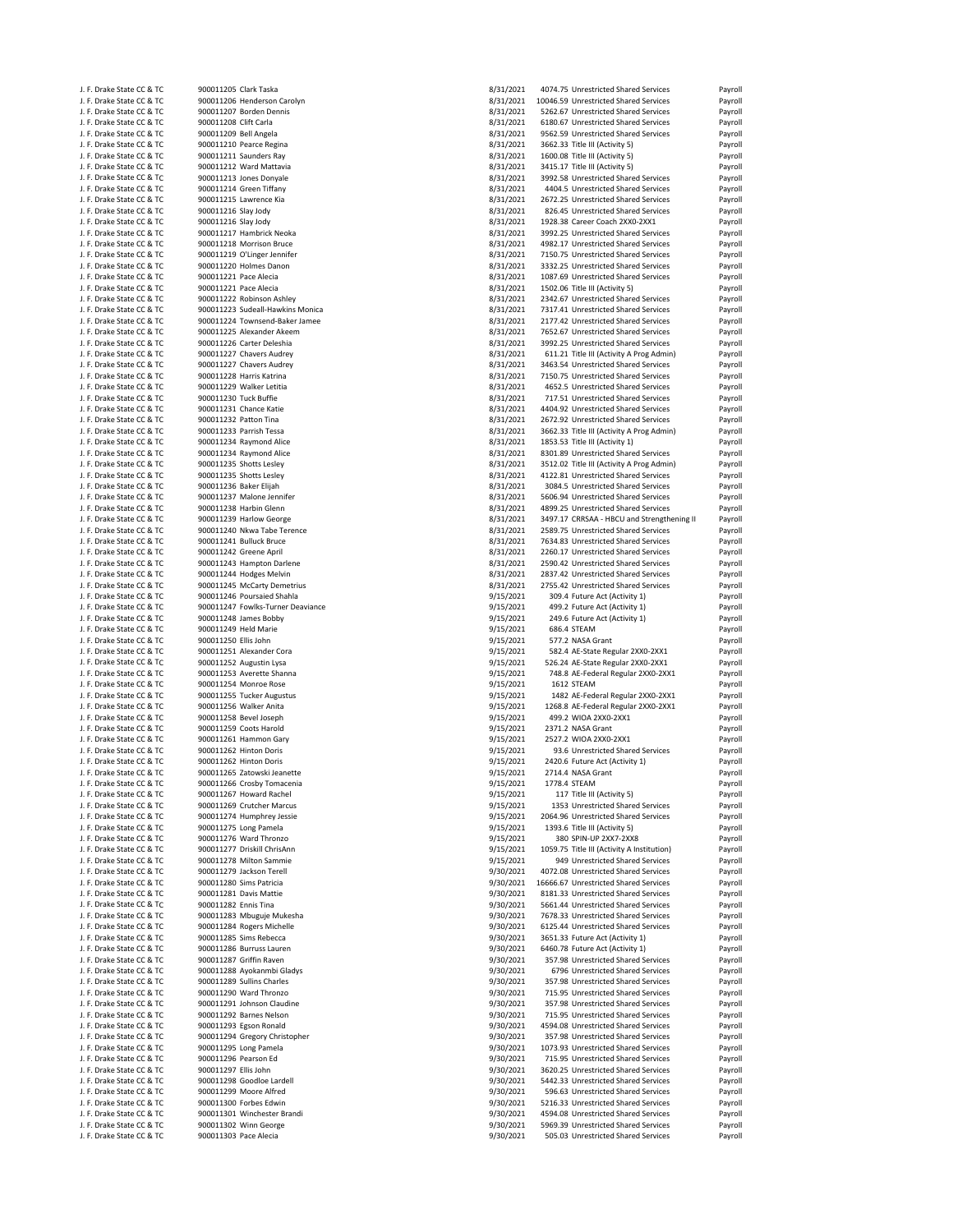| J. F. Drake State CC & TC                              | 900011205 Clark Taska                                | 8/31/2021              | 4074.75 Unrestricted Shared Services                                        | Payroll            |
|--------------------------------------------------------|------------------------------------------------------|------------------------|-----------------------------------------------------------------------------|--------------------|
| J. F. Drake State CC & TC                              | 900011206 Henderson Carolyn                          | 8/31/2021              | 10046.59 Unrestricted Shared Services                                       | Payroll            |
| J. F. Drake State CC & TC                              | 900011207 Borden Dennis                              | 8/31/2021              | 5262.67 Unrestricted Shared Services                                        | Payroll            |
| J. F. Drake State CC & TC                              | 900011208 Clift Carla                                | 8/31/2021              | 6180.67 Unrestricted Shared Services                                        | Payroll            |
| J. F. Drake State CC & TC                              | 900011209 Bell Angela                                | 8/31/2021              | 9562.59 Unrestricted Shared Services                                        | Payroll            |
| J. F. Drake State CC & TC                              | 900011210 Pearce Regina                              | 8/31/2021              | 3662.33 Title III (Activity 5)                                              | Payroll            |
| J. F. Drake State CC & TC                              | 900011211 Saunders Ray                               | 8/31/2021              | 1600.08 Title III (Activity 5)                                              | Payroll            |
| J. F. Drake State CC & TC                              | 900011212 Ward Mattavia                              | 8/31/2021              | 3415.17 Title III (Activity 5)                                              | Payroll            |
| J. F. Drake State CC & TC                              | 900011213 Jones Donyale                              | 8/31/2021              | 3992.58 Unrestricted Shared Services                                        | Payroll            |
| J. F. Drake State CC & TC                              | 900011214 Green Tiffany                              | 8/31/2021              | 4404.5 Unrestricted Shared Services                                         | Payroll            |
| J. F. Drake State CC & TC                              | 900011215 Lawrence Kia                               | 8/31/2021              | 2672.25 Unrestricted Shared Services                                        | Payroll            |
| J. F. Drake State CC & TC                              | 900011216 Slay Jody                                  | 8/31/2021              | 826.45 Unrestricted Shared Services                                         | Payroll            |
| J. F. Drake State CC & TC                              | 900011216 Slay Jody                                  | 8/31/2021              | 1928.38 Career Coach 2XX0-2XX1                                              | Payroll            |
| J. F. Drake State CC & TC                              | 900011217 Hambrick Neoka                             | 8/31/2021              | 3992.25 Unrestricted Shared Services                                        | Payroll            |
| J. F. Drake State CC & TC                              | 900011218 Morrison Bruce                             | 8/31/2021              | 4982.17 Unrestricted Shared Services                                        | Payroll            |
| J. F. Drake State CC & TC                              | 900011219 O'Linger Jennifer                          | 8/31/2021              | 7150.75 Unrestricted Shared Services                                        | Payroll            |
| J. F. Drake State CC & TC                              | 900011220 Holmes Danon                               | 8/31/2021              | 3332.25 Unrestricted Shared Services                                        | Payroll            |
| J. F. Drake State CC & TC                              | 900011221 Pace Alecia                                | 8/31/2021              | 1087.69 Unrestricted Shared Services                                        | Payroll            |
| J. F. Drake State CC & TC                              | 900011221 Pace Alecia                                | 8/31/2021              | 1502.06 Title III (Activity 5)                                              | Payroll            |
| J. F. Drake State CC & TC                              | 900011222 Robinson Ashley                            | 8/31/2021              | 2342.67 Unrestricted Shared Services                                        | Payroll            |
| J. F. Drake State CC & TC                              | 900011223 Sudeall-Hawkins Monica                     | 8/31/2021              | 7317.41 Unrestricted Shared Services                                        | Payroll            |
| J. F. Drake State CC & TC                              | 900011224 Townsend-Baker Jamee                       | 8/31/2021              | 2177.42 Unrestricted Shared Services                                        | Payroll            |
| J. F. Drake State CC & TC                              | 900011225 Alexander Akeem                            | 8/31/2021              | 7652.67 Unrestricted Shared Services                                        | Payroll            |
| J. F. Drake State CC & TC                              | 900011226 Carter Deleshia                            | 8/31/2021              | 3992.25 Unrestricted Shared Services                                        | Payroll            |
| J. F. Drake State CC & TC                              | 900011227 Chavers Audrey                             | 8/31/2021              | 611.21 Title III (Activity A Prog Admin)                                    | Payroll            |
| J. F. Drake State CC & TC                              | 900011227 Chavers Audrey                             | 8/31/2021              | 3463.54 Unrestricted Shared Services                                        | Payroll            |
| J. F. Drake State CC & TC                              | 900011228 Harris Katrina                             | 8/31/2021              | 7150.75 Unrestricted Shared Services                                        | Payroll            |
| J. F. Drake State CC & TC                              | 900011229 Walker Letitia                             | 8/31/2021              | 4652.5 Unrestricted Shared Services                                         | Payroll            |
| J. F. Drake State CC & TC                              | 900011230 Tuck Buffie                                | 8/31/2021              | 717.51 Unrestricted Shared Services                                         | Payroll            |
| J. F. Drake State CC & TC                              | 900011231 Chance Katie                               | 8/31/2021              | 4404.92 Unrestricted Shared Services                                        | Payroll            |
| J. F. Drake State CC & TC                              | 900011232 Patton Tina                                | 8/31/2021              | 2672.92 Unrestricted Shared Services                                        | Payroll            |
| J. F. Drake State CC & TC                              | 900011233 Parrish Tessa                              | 8/31/2021              | 3662.33 Title III (Activity A Prog Admin)                                   | Payroll            |
| J. F. Drake State CC & TC                              | 900011234 Raymond Alice                              | 8/31/2021              | 1853.53 Title III (Activity 1)                                              | Payroll            |
| J. F. Drake State CC & TC                              | 900011234 Raymond Alice                              | 8/31/2021              | 8301.89 Unrestricted Shared Services                                        | Payroll            |
| J. F. Drake State CC & TC                              | 900011235 Shotts Lesley                              | 8/31/2021              | 3512.02 Title III (Activity A Prog Admin)                                   | Payroll            |
| J. F. Drake State CC & TC                              | 900011235 Shotts Lesley                              | 8/31/2021              | 4122.81 Unrestricted Shared Services                                        | Payroll            |
| J. F. Drake State CC & TC                              | 900011236 Baker Elijah                               | 8/31/2021              | 3084.5 Unrestricted Shared Services                                         | Payroll            |
| J. F. Drake State CC & TC                              | 900011237 Malone Jennifer                            | 8/31/2021              | 5606.94 Unrestricted Shared Services                                        | Payroll            |
| J. F. Drake State CC & TC                              | 900011238 Harbin Glenn                               | 8/31/2021              | 4899.25 Unrestricted Shared Services                                        | Payroll            |
| J. F. Drake State CC & TC                              | 900011239 Harlow George                              | 8/31/2021              | 3497.17 CRRSAA - HBCU and Strengthening II                                  | Payroll            |
| J. F. Drake State CC & TC                              | 900011240 Nkwa Tabe Terence                          | 8/31/2021              | 2589.75 Unrestricted Shared Services                                        | Payroll            |
| J. F. Drake State CC & TC                              | 900011241 Bulluck Bruce                              | 8/31/2021              | 7634.83 Unrestricted Shared Services                                        | Payroll            |
| J. F. Drake State CC & TC                              | 900011242 Greene April                               | 8/31/2021              | 2260.17 Unrestricted Shared Services                                        | Payroll            |
| J. F. Drake State CC & TC                              | 900011243 Hampton Darlene                            | 8/31/2021              | 2590.42 Unrestricted Shared Services                                        | Payroll            |
| J. F. Drake State CC & TC                              | 900011244 Hodges Melvin                              | 8/31/2021              | 2837.42 Unrestricted Shared Services                                        | Payroll            |
| J. F. Drake State CC & TC                              | 900011245 McCarty Demetrius                          | 8/31/2021              | 2755.42 Unrestricted Shared Services                                        | Payroll            |
| J. F. Drake State CC & TC                              | 900011246 Poursaied Shahla                           | 9/15/2021              | 309.4 Future Act (Activity 1)                                               | Payroll            |
| J. F. Drake State CC & TC                              | 900011247 Fowlks-Turner Deaviance                    | 9/15/2021              | 499.2 Future Act (Activity 1)                                               | Payroll            |
| J. F. Drake State CC & TC                              | 900011248 James Bobby                                | 9/15/2021              | 249.6 Future Act (Activity 1)                                               | Payroll            |
| J. F. Drake State CC & TC                              | 900011249 Held Marie                                 | 9/15/2021              | 686.4 STEAM                                                                 | Payroll            |
| J. F. Drake State CC & TC                              | 900011250 Ellis John                                 | 9/15/2021              | 577.2 NASA Grant                                                            | Payroll            |
| J. F. Drake State CC & TC                              | 900011251 Alexander Cora                             | 9/15/2021              | 582.4 AE-State Regular 2XX0-2XX1                                            | Payroll            |
| J. F. Drake State CC & TC                              | 900011252 Augustin Lysa                              | 9/15/2021              | 526.24 AE-State Regular 2XX0-2XX1                                           | Payroll            |
| J. F. Drake State CC & TC                              | 900011253 Averette Shanna                            | 9/15/2021              | 748.8 AE-Federal Regular 2XX0-2XX1                                          | Payroll            |
| J. F. Drake State CC & TC                              | 900011254 Monroe Rose                                | 9/15/2021              | 1612 STEAM                                                                  | Payroll            |
| J. F. Drake State CC & TC                              | 900011255 Tucker Augustus                            |                        |                                                                             |                    |
| J. F. Drake State CC & TC                              |                                                      |                        |                                                                             |                    |
|                                                        |                                                      | 9/15/2021              | 1482 AE-Federal Regular 2XX0-2XX1                                           | Payroll            |
|                                                        | 900011256 Walker Anita                               | 9/15/2021              | 1268.8 AE-Federal Regular 2XX0-2XX1                                         | Payroll            |
| J. F. Drake State CC & TC                              | 900011258 Bevel Joseph                               | 9/15/2021              | 499.2 WIOA 2XX0-2XX1                                                        | Payroll            |
| J. F. Drake State CC & TC                              | 900011259 Coots Harold                               | 9/15/2021              | 2371.2 NASA Grant                                                           | Payroll            |
| J. F. Drake State CC & TC                              | 900011261 Hammon Gary                                | 9/15/2021              | 2527.2 WIOA 2XX0-2XX1                                                       | Payroll            |
| J. F. Drake State CC & TC                              | 900011262 Hinton Doris<br>900011262 Hinton Doris     | 9/15/2021              | 93.6 Unrestricted Shared Services                                           | Payroll            |
| J. F. Drake State CC & TC<br>J. F. Drake State CC & TC | 900011265 Zatowski Jeanette                          | 9/15/2021              | 2420.6 Future Act (Activity 1)<br>2714.4 NASA Grant                         | Payroll            |
|                                                        |                                                      | 9/15/2021              | 1778.4 STEAM                                                                | Payroll            |
| J. F. Drake State CC & TC                              | 900011266 Crosby Tomacenia                           | 9/15/2021              |                                                                             | Payroll            |
| J. F. Drake State CC & TC<br>J. F. Drake State CC & TC | 900011267 Howard Rachel<br>900011269 Crutcher Marcus | 9/15/2021<br>9/15/2021 | 117 Title III (Activity 5)<br>1353 Unrestricted Shared Services             | Payroll<br>Payroll |
| J. F. Drake State CC & TC                              | 900011274 Humphrey Jessie                            |                        | 2064.96 Unrestricted Shared Services                                        |                    |
| J. F. Drake State CC & TC                              | 900011275 Long Pamela                                | 9/15/2021<br>9/15/2021 | 1393.6 Title III (Activity 5)                                               | Payroll<br>Payroll |
| J. F. Drake State CC & TC                              | 900011276 Ward Thronzo                               | 9/15/2021              | 380 SPIN-UP 2XX7-2XX8                                                       | Payroll            |
| J. F. Drake State CC & TC                              | 900011277 Driskill ChrisAnn                          | 9/15/2021              | 1059.75 Title III (Activity A Institution)                                  | Payroll            |
| J. F. Drake State CC & TC                              | 900011278 Milton Sammie                              | 9/15/2021              | 949 Unrestricted Shared Services                                            | Payroll            |
| J. F. Drake State CC & TC                              | 900011279 Jackson Terell                             | 9/30/2021              | 4072.08 Unrestricted Shared Services                                        | Payroll            |
| J. F. Drake State CC & TC                              | 900011280 Sims Patricia                              | 9/30/2021              | 16666.67 Unrestricted Shared Services                                       | Payroll            |
| J. F. Drake State CC & TC                              | 900011281 Davis Mattie                               | 9/30/2021              | 8181.33 Unrestricted Shared Services                                        | Payroll            |
| J. F. Drake State CC & TC                              | 900011282 Ennis Tina                                 | 9/30/2021              | 5661.44 Unrestricted Shared Services                                        | Payroll            |
| J. F. Drake State CC & TC                              | 900011283 Mbuguje Mukesha                            | 9/30/2021              | 7678.33 Unrestricted Shared Services                                        | Payroll            |
| J. F. Drake State CC & TC                              | 900011284 Rogers Michelle                            | 9/30/2021              | 6125.44 Unrestricted Shared Services                                        | Payroll            |
| J. F. Drake State CC & TC                              | 900011285 Sims Rebecca                               | 9/30/2021              | 3651.33 Future Act (Activity 1)                                             | Payroll            |
| J. F. Drake State CC & TC                              | 900011286 Burruss Lauren                             | 9/30/2021              | 6460.78 Future Act (Activity 1)                                             | Payroll            |
| J. F. Drake State CC & TC                              | 900011287 Griffin Raven                              | 9/30/2021              | 357.98 Unrestricted Shared Services                                         | Payroll            |
| J. F. Drake State CC & TC                              | 900011288 Ayokanmbi Gladys                           | 9/30/2021              | 6796 Unrestricted Shared Services                                           | Payroll            |
| J. F. Drake State CC & TC                              | 900011289 Sullins Charles                            | 9/30/2021              | 357.98 Unrestricted Shared Services                                         | Payroll            |
| J. F. Drake State CC & TC                              | 900011290 Ward Thronzo                               | 9/30/2021              | 715.95 Unrestricted Shared Services                                         | Payroll            |
| J. F. Drake State CC & TC                              | 900011291 Johnson Claudine                           | 9/30/2021              | 357.98 Unrestricted Shared Services                                         | Payroll            |
| J. F. Drake State CC & TC                              | 900011292 Barnes Nelson                              | 9/30/2021              | 715.95 Unrestricted Shared Services                                         | Payroll            |
| J. F. Drake State CC & TC                              | 900011293 Egson Ronald                               | 9/30/2021              | 4594.08 Unrestricted Shared Services                                        | Payroll            |
| J. F. Drake State CC & TC                              | 900011294 Gregory Christopher                        | 9/30/2021              | 357.98 Unrestricted Shared Services                                         | Payroll            |
| J. F. Drake State CC & TC                              | 900011295 Long Pamela                                | 9/30/2021              | 1073.93 Unrestricted Shared Services                                        | Payroll            |
| J. F. Drake State CC & TC                              | 900011296 Pearson Ed                                 | 9/30/2021              | 715.95 Unrestricted Shared Services                                         | Payroll            |
| J. F. Drake State CC & TC                              | 900011297 Ellis John                                 | 9/30/2021              | 3620.25 Unrestricted Shared Services                                        | Payroll            |
| J. F. Drake State CC & TC                              | 900011298 Goodloe Lardell                            | 9/30/2021              | 5442.33 Unrestricted Shared Services                                        | Payroll            |
| J. F. Drake State CC & TC                              | 900011299 Moore Alfred                               | 9/30/2021              | 596.63 Unrestricted Shared Services                                         | Payroll            |
| J. F. Drake State CC & TC                              | 900011300 Forbes Edwin                               | 9/30/2021              | 5216.33 Unrestricted Shared Services                                        | Payroll            |
| J. F. Drake State CC & TC                              | 900011301 Winchester Brandi                          | 9/30/2021              | 4594.08 Unrestricted Shared Services                                        | Payroll            |
| J. F. Drake State CC & TC<br>J. F. Drake State CC & TC | 900011302 Winn George<br>900011303 Pace Alecia       | 9/30/2021<br>9/30/2021 | 5969.39 Unrestricted Shared Services<br>505.03 Unrestricted Shared Services | Payroll<br>Payroll |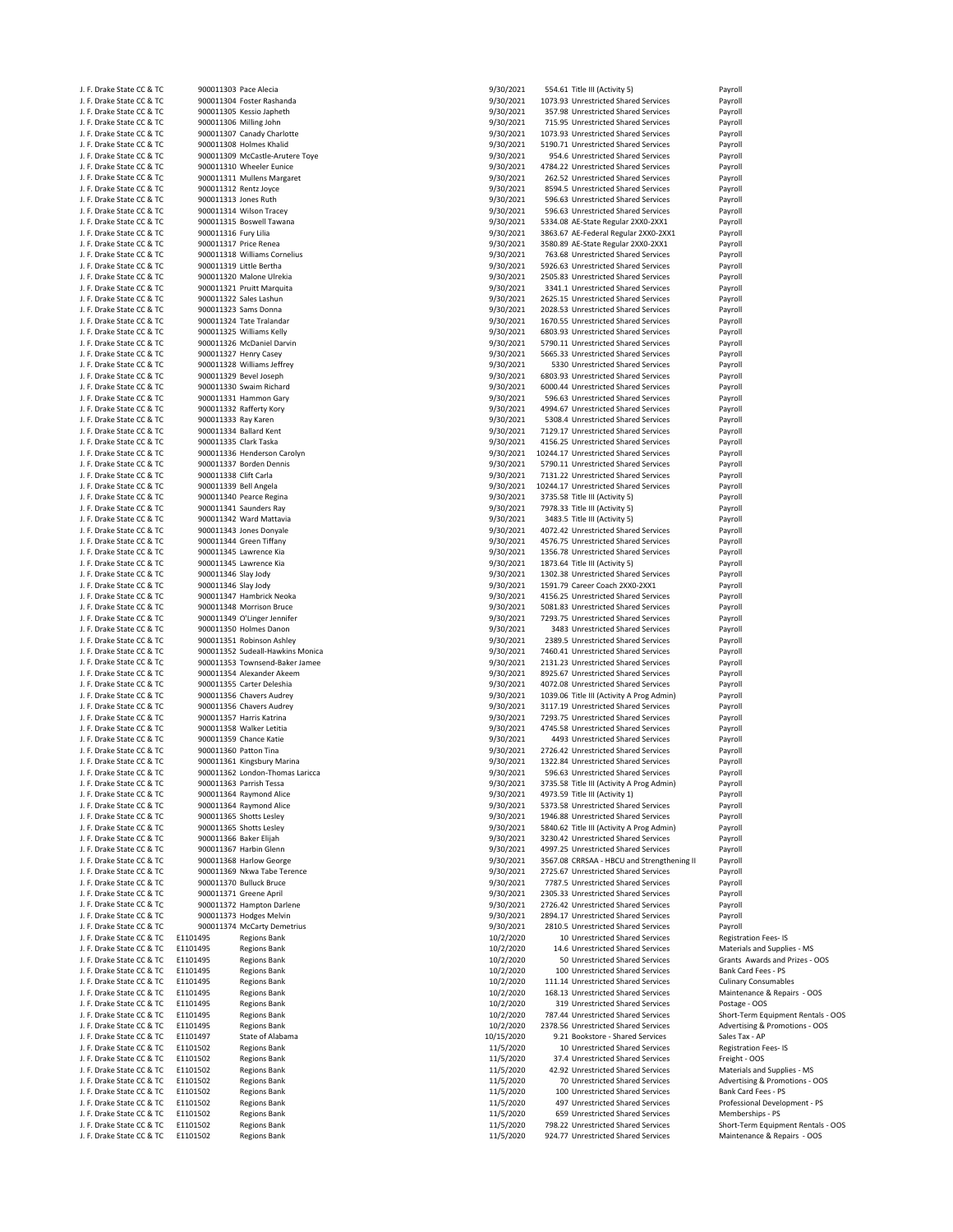|                                                        |                         | 900011303 Pace Alecia                                         | 9/30/2021              | 554.61 Title III (Activity 5)                                               | Payroll                                                |
|--------------------------------------------------------|-------------------------|---------------------------------------------------------------|------------------------|-----------------------------------------------------------------------------|--------------------------------------------------------|
| J. F. Drake State CC & TC<br>J. F. Drake State CC & TC |                         |                                                               |                        |                                                                             |                                                        |
| J. F. Drake State CC & TC                              |                         | 900011304 Foster Rashanda<br>900011305 Kessio Japheth         | 9/30/2021<br>9/30/2021 | 1073.93 Unrestricted Shared Services<br>357.98 Unrestricted Shared Services | Payroll<br>Payroll                                     |
|                                                        |                         |                                                               |                        |                                                                             |                                                        |
| J. F. Drake State CC & TC                              | 900011306 Milling John  |                                                               | 9/30/2021              | 715.95 Unrestricted Shared Services                                         | Payroll                                                |
| J. F. Drake State CC & TC                              |                         | 900011307 Canady Charlotte                                    | 9/30/2021              | 1073.93 Unrestricted Shared Services                                        | Payroll                                                |
| J. F. Drake State CC & TC                              |                         | 900011308 Holmes Khalid                                       | 9/30/2021              | 5190.71 Unrestricted Shared Services                                        | Payroll                                                |
| J. F. Drake State CC & TC                              |                         | 900011309 McCastle-Arutere Toye                               | 9/30/2021              | 954.6 Unrestricted Shared Services                                          | Payroll                                                |
| J. F. Drake State CC & TC                              |                         | 900011310 Wheeler Eunice                                      | 9/30/2021              | 4784.22 Unrestricted Shared Services                                        | Payroll                                                |
| J. F. Drake State CC & TC                              |                         | 900011311 Mullens Margaret                                    | 9/30/2021              | 262.52 Unrestricted Shared Services                                         | Payroll                                                |
| J. F. Drake State CC & TC                              | 900011312 Rentz Joyce   |                                                               | 9/30/2021              | 8594.5 Unrestricted Shared Services                                         | Payroll                                                |
| J. F. Drake State CC & TC                              | 900011313 Jones Ruth    |                                                               | 9/30/2021              | 596.63 Unrestricted Shared Services                                         | Payroll                                                |
| J. F. Drake State CC & TC                              |                         | 900011314 Wilson Tracey                                       | 9/30/2021              | 596.63 Unrestricted Shared Services                                         | Payroll                                                |
| J. F. Drake State CC & TC                              |                         | 900011315 Boswell Tawana                                      | 9/30/2021              | 5334.08 AE-State Regular 2XX0-2XX1                                          | Payroll                                                |
| J. F. Drake State CC & TC                              | 900011316 Fury Lilia    |                                                               | 9/30/2021              | 3863.67 AE-Federal Regular 2XX0-2XX1                                        | Payroll                                                |
| J. F. Drake State CC & TC                              | 900011317 Price Renea   |                                                               | 9/30/2021              | 3580.89 AE-State Regular 2XX0-2XX1                                          | Payroll                                                |
| J. F. Drake State CC & TC                              |                         | 900011318 Williams Cornelius                                  | 9/30/2021              | 763.68 Unrestricted Shared Services                                         | Payroll                                                |
| J. F. Drake State CC & TC                              | 900011319 Little Bertha |                                                               | 9/30/2021              | 5926.63 Unrestricted Shared Services                                        | Payroll                                                |
| J. F. Drake State CC & TC                              |                         | 900011320 Malone Ulrekia                                      | 9/30/2021              | 2505.83 Unrestricted Shared Services                                        | Payroll                                                |
| J. F. Drake State CC & TC                              |                         | 900011321 Pruitt Marquita                                     | 9/30/2021              | 3341.1 Unrestricted Shared Services                                         | Payroll                                                |
| J. F. Drake State CC & TC                              |                         | 900011322 Sales Lashun                                        | 9/30/2021              | 2625.15 Unrestricted Shared Services                                        | Payroll                                                |
| J. F. Drake State CC & TC                              |                         | 900011323 Sams Donna                                          | 9/30/2021              | 2028.53 Unrestricted Shared Services                                        | Payroll                                                |
|                                                        |                         |                                                               |                        |                                                                             |                                                        |
| J. F. Drake State CC & TC                              |                         | 900011324 Tate Tralandar                                      | 9/30/2021              | 1670.55 Unrestricted Shared Services                                        | Payroll                                                |
| J. F. Drake State CC & TC                              |                         | 900011325 Williams Kelly                                      | 9/30/2021              | 6803.93 Unrestricted Shared Services                                        | Payroll                                                |
| J. F. Drake State CC & TC                              |                         | 900011326 McDaniel Darvin                                     | 9/30/2021              | 5790.11 Unrestricted Shared Services                                        | Payroll                                                |
| J. F. Drake State CC & TC                              |                         | 900011327 Henry Casey                                         | 9/30/2021              | 5665.33 Unrestricted Shared Services                                        | Payroll                                                |
| J. F. Drake State CC & TC                              |                         | 900011328 Williams Jeffrey                                    | 9/30/2021              | 5330 Unrestricted Shared Services                                           | Payroll                                                |
| J. F. Drake State CC & TC                              |                         | 900011329 Bevel Joseph                                        | 9/30/2021              | 6803.93 Unrestricted Shared Services                                        | Payroll                                                |
| J. F. Drake State CC & TC                              |                         | 900011330 Swaim Richard                                       | 9/30/2021              | 6000.44 Unrestricted Shared Services                                        | Payroll                                                |
| J. F. Drake State CC & TC                              |                         | 900011331 Hammon Gary                                         | 9/30/2021              | 596.63 Unrestricted Shared Services                                         | Payroll                                                |
| J. F. Drake State CC & TC                              |                         | 900011332 Rafferty Kory                                       | 9/30/2021              | 4994.67 Unrestricted Shared Services                                        | Payroll                                                |
| J. F. Drake State CC & TC                              | 900011333 Ray Karen     |                                                               | 9/30/2021              | 5308.4 Unrestricted Shared Services                                         | Payroll                                                |
| J. F. Drake State CC & TC                              |                         | 900011334 Ballard Kent                                        | 9/30/2021              | 7129.17 Unrestricted Shared Services                                        | Payroll                                                |
| J. F. Drake State CC & TC                              | 900011335 Clark Taska   |                                                               | 9/30/2021              | 4156.25 Unrestricted Shared Services                                        | Payroll                                                |
| J. F. Drake State CC & TC                              |                         | 900011336 Henderson Carolyn                                   | 9/30/2021              | 10244.17 Unrestricted Shared Services                                       | Payroll                                                |
| J. F. Drake State CC & TC                              |                         | 900011337 Borden Dennis                                       | 9/30/2021              | 5790.11 Unrestricted Shared Services                                        | Payroll                                                |
|                                                        |                         |                                                               |                        | 7131.22 Unrestricted Shared Services                                        |                                                        |
| J. F. Drake State CC & TC                              | 900011338 Clift Carla   |                                                               | 9/30/2021              | 10244.17 Unrestricted Shared Services                                       | Payroll                                                |
| J. F. Drake State CC & TC                              | 900011339 Bell Angela   |                                                               | 9/30/2021              |                                                                             | Payroll                                                |
| J. F. Drake State CC & TC                              |                         | 900011340 Pearce Regina                                       | 9/30/2021              | 3735.58 Title III (Activity 5)                                              | Payroll                                                |
| J. F. Drake State CC & TC                              |                         | 900011341 Saunders Ray                                        | 9/30/2021              | 7978.33 Title III (Activity 5)                                              | Payroll                                                |
| J. F. Drake State CC & TC                              |                         | 900011342 Ward Mattavia                                       | 9/30/2021              | 3483.5 Title III (Activity 5)                                               | Payroll                                                |
| J. F. Drake State CC & TC                              |                         | 900011343 Jones Donyale                                       | 9/30/2021              | 4072.42 Unrestricted Shared Services                                        | Payroll                                                |
| J. F. Drake State CC & TC                              |                         | 900011344 Green Tiffany                                       | 9/30/2021              | 4576.75 Unrestricted Shared Services                                        | Payroll                                                |
| J. F. Drake State CC & TC                              |                         | 900011345 Lawrence Kia                                        | 9/30/2021              | 1356.78 Unrestricted Shared Services                                        | Payroll                                                |
| J. F. Drake State CC & TC                              |                         | 900011345 Lawrence Kia                                        | 9/30/2021              | 1873.64 Title III (Activity 5)                                              | Payroll                                                |
| J. F. Drake State CC & TC                              | 900011346 Slay Jody     |                                                               | 9/30/2021              | 1302.38 Unrestricted Shared Services                                        | Payroll                                                |
| J. F. Drake State CC & TC                              | 900011346 Slay Jody     |                                                               | 9/30/2021              | 1591.79 Career Coach 2XX0-2XX1                                              | Payroll                                                |
| J. F. Drake State CC & TC                              |                         | 900011347 Hambrick Neoka                                      | 9/30/2021              | 4156.25 Unrestricted Shared Services                                        | Payroll                                                |
| J. F. Drake State CC & TC                              |                         | 900011348 Morrison Bruce                                      | 9/30/2021              | 5081.83 Unrestricted Shared Services                                        | Payroll                                                |
| J. F. Drake State CC & TC                              |                         | 900011349 O'Linger Jennifer                                   | 9/30/2021              | 7293.75 Unrestricted Shared Services                                        | Payroll                                                |
| J. F. Drake State CC & TC                              |                         | 900011350 Holmes Danon                                        | 9/30/2021              | 3483 Unrestricted Shared Services                                           | Payroll                                                |
| J. F. Drake State CC & TC                              |                         | 900011351 Robinson Ashley                                     | 9/30/2021              | 2389.5 Unrestricted Shared Services                                         | Payroll                                                |
| J. F. Drake State CC & TC                              |                         | 900011352 Sudeall-Hawkins Monica                              | 9/30/2021              | 7460.41 Unrestricted Shared Services                                        |                                                        |
|                                                        |                         |                                                               |                        |                                                                             | Payroll                                                |
| J. F. Drake State CC & TC                              |                         | 900011353 Townsend-Baker Jamee                                | 9/30/2021              | 2131.23 Unrestricted Shared Services                                        | Payroll                                                |
| J. F. Drake State CC & TC                              |                         | 900011354 Alexander Akeem                                     | 9/30/2021              | 8925.67 Unrestricted Shared Services                                        | Payroll                                                |
| J. F. Drake State CC & TC                              |                         | 900011355 Carter Deleshia                                     | 9/30/2021              | 4072.08 Unrestricted Shared Services                                        | Payroll                                                |
| J. F. Drake State CC & TC                              |                         | 900011356 Chavers Audrey                                      | 9/30/2021              | 1039.06 Title III (Activity A Prog Admin)                                   | Payroll                                                |
| J. F. Drake State CC & TC                              |                         | 900011356 Chavers Audrey                                      | 9/30/2021              | 3117.19 Unrestricted Shared Services                                        | Payroll                                                |
| J. F. Drake State CC & TC                              |                         | 900011357 Harris Katrina                                      | 9/30/2021              | 7293.75 Unrestricted Shared Services                                        | Payroll                                                |
| J. F. Drake State CC & TC                              |                         | 900011358 Walker Letitia                                      | 9/30/2021              | 4745.58 Unrestricted Shared Services                                        | Payroll                                                |
| J. F. Drake State CC & TC                              |                         |                                                               | 9/30/2021              | 4493 Unrestricted Shared Services                                           | Payroll                                                |
| J. F. Drake State CC & TC                              |                         | 900011359 Chance Katie                                        |                        |                                                                             |                                                        |
| J. F. Drake State CC & TC                              | 900011360 Patton Tina   |                                                               | 9/30/2021              | 2726.42 Unrestricted Shared Services                                        | Payroll                                                |
|                                                        |                         |                                                               |                        | 1322.84 Unrestricted Shared Services                                        |                                                        |
| J. F. Drake State CC & TC                              |                         | 900011361 Kingsbury Marina<br>900011362 London-Thomas Laricca | 9/30/2021<br>9/30/2021 | 596.63 Unrestricted Shared Services                                         | Payroll<br>Payroll                                     |
|                                                        |                         |                                                               |                        |                                                                             |                                                        |
| J. F. Drake State CC & TC                              |                         | 900011363 Parrish Tessa                                       | 9/30/2021              | 3735.58 Title III (Activity A Prog Admin)                                   | Payroll                                                |
| J. F. Drake State CC & TC                              |                         | 900011364 Raymond Alice                                       | 9/30/2021              | 4973.59 Title III (Activity 1)                                              | Payroll                                                |
| J. F. Drake State CC & TC                              |                         | 900011364 Raymond Alice                                       | 9/30/2021              | 5373.58 Unrestricted Shared Services                                        | Payroll                                                |
| J. F. Drake State CC & TC                              |                         | 900011365 Shotts Lesley                                       | 9/30/2021              | 1946.88 Unrestricted Shared Services                                        | Payroll                                                |
| J. F. Drake State CC & TC                              |                         | 900011365 Shotts Lesley                                       | 9/30/2021              | 5840.62 Title III (Activity A Prog Admin)                                   | Payroll                                                |
| J. F. Drake State CC & TC                              | 900011366 Baker Elijah  |                                                               | 9/30/2021              | 3230.42 Unrestricted Shared Services                                        | Payroll                                                |
| J. F. Drake State CC & TC                              |                         | 900011367 Harbin Glenn                                        | 9/30/2021              | 4997.25 Unrestricted Shared Services                                        | Payroll                                                |
| J. F. Drake State CC & TC                              |                         | 900011368 Harlow George                                       | 9/30/2021              | 3567.08 CRRSAA - HBCU and Strengthening II                                  | Payroll                                                |
| J. F. Drake State CC & TC                              |                         | 900011369 Nkwa Tabe Terence                                   | 9/30/2021              | 2725.67 Unrestricted Shared Services                                        | Payroll                                                |
| J. F. Drake State CC & TC                              |                         | 900011370 Bulluck Bruce                                       | 9/30/2021              | 7787.5 Unrestricted Shared Services                                         | Payroll                                                |
| J. F. Drake State CC & TC                              |                         | 900011371 Greene April                                        | 9/30/2021              | 2305.33 Unrestricted Shared Services                                        | Payroll                                                |
| J. F. Drake State CC & TC                              |                         | 900011372 Hampton Darlene                                     | 9/30/2021              | 2726.42 Unrestricted Shared Services                                        | Payroll                                                |
| J. F. Drake State CC & TC                              |                         | 900011373 Hodges Melvin                                       | 9/30/2021              | 2894.17 Unrestricted Shared Services                                        | Payroll                                                |
| J. F. Drake State CC & TC                              |                         | 900011374 McCarty Demetrius                                   |                        | 2810.5 Unrestricted Shared Services                                         |                                                        |
| J. F. Drake State CC & TC                              | E1101495                | <b>Regions Bank</b>                                           | 9/30/2021<br>10/2/2020 | 10 Unrestricted Shared Services                                             | Payroll<br><b>Registration Fees-IS</b>                 |
|                                                        | E1101495                | <b>Regions Bank</b>                                           | 10/2/2020              | 14.6 Unrestricted Shared Services                                           | Materials and Supplies - MS                            |
| J. F. Drake State CC & TC                              |                         |                                                               |                        |                                                                             |                                                        |
| J. F. Drake State CC & TC                              | E1101495                | <b>Regions Bank</b>                                           | 10/2/2020              | 50 Unrestricted Shared Services                                             | Grants Awards and Prizes - OOS                         |
| J. F. Drake State CC & TC                              | E1101495                | <b>Regions Bank</b>                                           | 10/2/2020              | 100 Unrestricted Shared Services                                            | Bank Card Fees - PS                                    |
| J. F. Drake State CC & TC                              | E1101495                | <b>Regions Bank</b>                                           | 10/2/2020              | 111.14 Unrestricted Shared Services                                         | <b>Culinary Consumables</b>                            |
| J. F. Drake State CC & TC                              | E1101495                | <b>Regions Bank</b>                                           | 10/2/2020              | 168.13 Unrestricted Shared Services                                         | Maintenance & Repairs - OOS                            |
| J. F. Drake State CC & TC                              | E1101495                | <b>Regions Bank</b>                                           | 10/2/2020              | 319 Unrestricted Shared Services                                            | Postage - OOS                                          |
| J. F. Drake State CC & TC                              | E1101495                | <b>Regions Bank</b>                                           | 10/2/2020              | 787.44 Unrestricted Shared Services                                         | Short-Term Equipment Rentals - OOS                     |
| J. F. Drake State CC & TC                              | E1101495                | <b>Regions Bank</b>                                           | 10/2/2020              | 2378.56 Unrestricted Shared Services                                        | Advertising & Promotions - OOS                         |
| J. F. Drake State CC & TC                              | E1101497                | State of Alabama                                              | 10/15/2020             | 9.21 Bookstore - Shared Services                                            | Sales Tax - AP                                         |
| J. F. Drake State CC & TC                              | E1101502                | <b>Regions Bank</b>                                           | 11/5/2020              | 10 Unrestricted Shared Services                                             | <b>Registration Fees-IS</b>                            |
| J. F. Drake State CC & TC                              | E1101502                | <b>Regions Bank</b>                                           | 11/5/2020              | 37.4 Unrestricted Shared Services                                           | Freight - OOS                                          |
| J. F. Drake State CC & TC                              | E1101502                | <b>Regions Bank</b>                                           | 11/5/2020              | 42.92 Unrestricted Shared Services                                          | Materials and Supplies - MS                            |
| J. F. Drake State CC & TC                              | E1101502                | <b>Regions Bank</b>                                           | 11/5/2020              | 70 Unrestricted Shared Services                                             | Advertising & Promotions - OOS                         |
| J. F. Drake State CC & TC                              | E1101502                | <b>Regions Bank</b>                                           | 11/5/2020              | 100 Unrestricted Shared Services                                            | Bank Card Fees - PS                                    |
| J. F. Drake State CC & TC                              | E1101502                | <b>Regions Bank</b>                                           |                        | 497 Unrestricted Shared Services                                            | Professional Development - PS                          |
|                                                        |                         |                                                               | 11/5/2020              |                                                                             |                                                        |
| J. F. Drake State CC & TC<br>J. F. Drake State CC & TC | E1101502<br>E1101502    | <b>Regions Bank</b><br><b>Regions Bank</b>                    | 11/5/2020<br>11/5/2020 | 659 Unrestricted Shared Services<br>798.22 Unrestricted Shared Services     | Memberships - PS<br>Short-Term Equipment Rentals - OOS |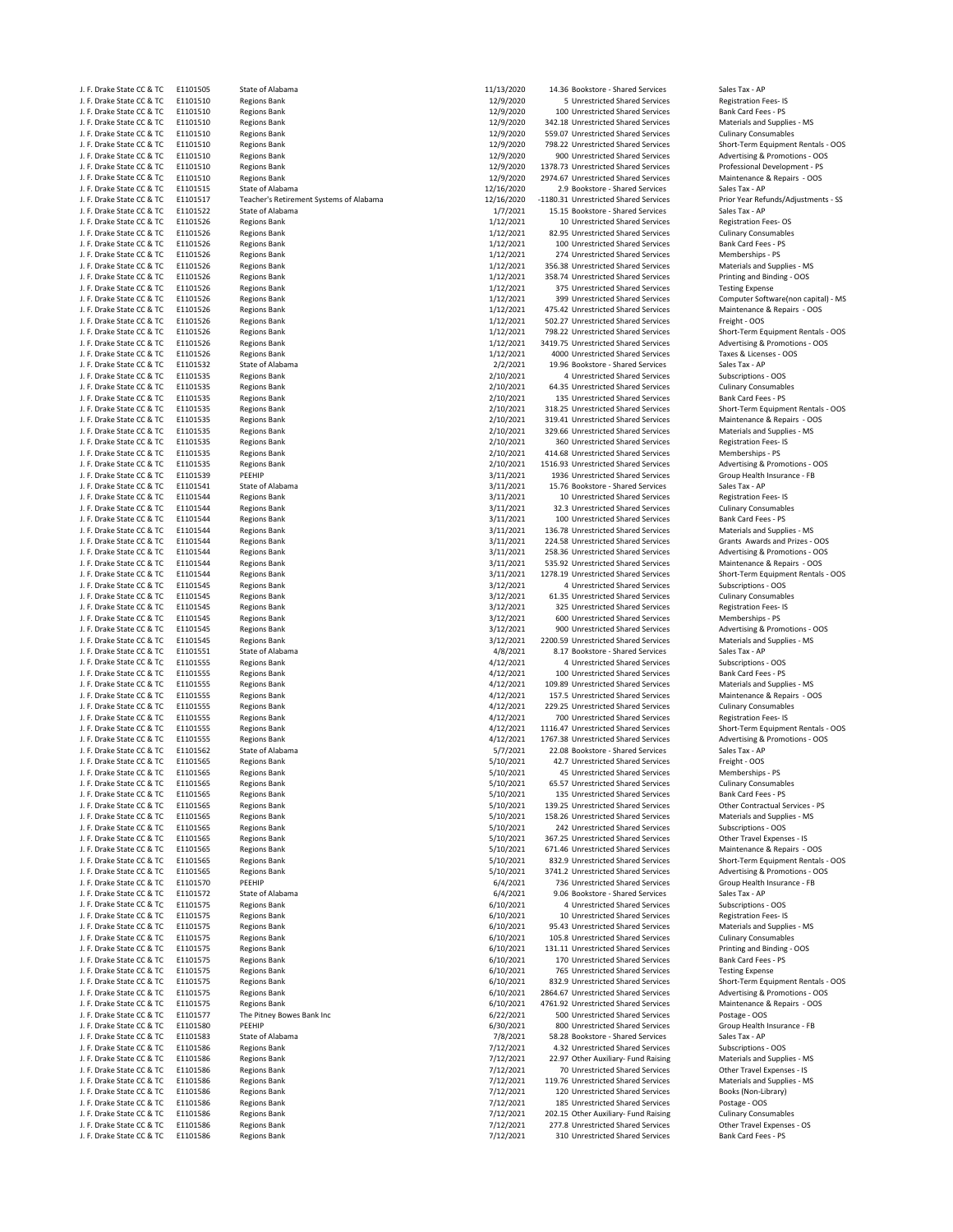| J. F. Drake State CC & TC                              | E1101505             | State of Alabama                        | 11/13/2020 | 14.36 Bookstore - Shared Services     | Sales Tax - AP                      |
|--------------------------------------------------------|----------------------|-----------------------------------------|------------|---------------------------------------|-------------------------------------|
| J. F. Drake State CC & TC                              | E1101510             | <b>Regions Bank</b>                     | 12/9/2020  | 5 Unrestricted Shared Services        | Registration Fees-IS                |
| J. F. Drake State CC & TC                              | E1101510             | <b>Regions Bank</b>                     | 12/9/2020  | 100 Unrestricted Shared Services      | Bank Card Fees - PS                 |
| J. F. Drake State CC & TC                              | E1101510             | <b>Regions Bank</b>                     | 12/9/2020  | 342.18 Unrestricted Shared Services   | Materials and Supplies - MS         |
| J. F. Drake State CC & TC                              | E1101510             | <b>Regions Bank</b>                     | 12/9/2020  | 559.07 Unrestricted Shared Services   | <b>Culinary Consumables</b>         |
| J. F. Drake State CC & TC                              | E1101510             | <b>Regions Bank</b>                     | 12/9/2020  | 798.22 Unrestricted Shared Services   | Short-Term Equipment Rentals - OOS  |
| J. F. Drake State CC & TC                              | E1101510             | <b>Regions Bank</b>                     | 12/9/2020  | 900 Unrestricted Shared Services      | Advertising & Promotions - OOS      |
| J. F. Drake State CC & TC                              | E1101510             | <b>Regions Bank</b>                     | 12/9/2020  | 1378.73 Unrestricted Shared Services  | Professional Development - PS       |
| J. F. Drake State CC & TC                              | E1101510             | <b>Regions Bank</b>                     | 12/9/2020  | 2974.67 Unrestricted Shared Services  | Maintenance & Repairs - OOS         |
| J. F. Drake State CC & TC                              | E1101515             | State of Alabama                        | 12/16/2020 | 2.9 Bookstore - Shared Services       | Sales Tax - AP                      |
| J. F. Drake State CC & TC                              | E1101517             | Teacher's Retirement Systems of Alabama | 12/16/2020 | -1180.31 Unrestricted Shared Services | Prior Year Refunds/Adjustments - SS |
| J. F. Drake State CC & TC                              | E1101522             | State of Alabama                        | 1/7/2021   | 15.15 Bookstore - Shared Services     | Sales Tax - AP                      |
| J. F. Drake State CC & TC                              | E1101526             | <b>Regions Bank</b>                     | 1/12/2021  | 10 Unrestricted Shared Services       | <b>Registration Fees-OS</b>         |
| J. F. Drake State CC & TC                              | E1101526             | <b>Regions Bank</b>                     | 1/12/2021  | 82.95 Unrestricted Shared Services    | <b>Culinary Consumables</b>         |
| J. F. Drake State CC & TC                              | E1101526             | <b>Regions Bank</b>                     | 1/12/2021  | 100 Unrestricted Shared Services      | Bank Card Fees - PS                 |
| J. F. Drake State CC & TC                              | E1101526             | <b>Regions Bank</b>                     | 1/12/2021  | 274 Unrestricted Shared Services      | Memberships - PS                    |
| J. F. Drake State CC & TC                              | E1101526             | <b>Regions Bank</b>                     | 1/12/2021  | 356.38 Unrestricted Shared Services   | Materials and Supplies - MS         |
| J. F. Drake State CC & TC                              | E1101526             | <b>Regions Bank</b>                     | 1/12/2021  | 358.74 Unrestricted Shared Services   | Printing and Binding - OOS          |
| J. F. Drake State CC & TC                              | E1101526             | <b>Regions Bank</b>                     | 1/12/2021  | 375 Unrestricted Shared Services      | <b>Testing Expense</b>              |
| J. F. Drake State CC & TC                              | E1101526             | <b>Regions Bank</b>                     | 1/12/2021  | 399 Unrestricted Shared Services      | Computer Software(non capital) - MS |
| J. F. Drake State CC & TC                              | E1101526             | <b>Regions Bank</b>                     | 1/12/2021  | 475.42 Unrestricted Shared Services   | Maintenance & Repairs - OOS         |
| J. F. Drake State CC & TC                              | E1101526             | <b>Regions Bank</b>                     | 1/12/2021  | 502.27 Unrestricted Shared Services   | Freight - OOS                       |
| J. F. Drake State CC & TC                              | E1101526             | <b>Regions Bank</b>                     | 1/12/2021  | 798.22 Unrestricted Shared Services   | Short-Term Equipment Rentals - OOS  |
| J. F. Drake State CC & TC                              | E1101526             | <b>Regions Bank</b>                     | 1/12/2021  | 3419.75 Unrestricted Shared Services  | Advertising & Promotions - OOS      |
| J. F. Drake State CC & TC                              | E1101526             | <b>Regions Bank</b>                     | 1/12/2021  | 4000 Unrestricted Shared Services     | Taxes & Licenses - OOS              |
| J. F. Drake State CC & TC                              | E1101532             | State of Alabama                        | 2/2/2021   | 19.96 Bookstore - Shared Services     | Sales Tax - AP                      |
| J. F. Drake State CC & TC                              | E1101535             | <b>Regions Bank</b>                     | 2/10/2021  | 4 Unrestricted Shared Services        | Subscriptions - OOS                 |
| J. F. Drake State CC & TC                              | E1101535             | <b>Regions Bank</b>                     | 2/10/2021  | 64.35 Unrestricted Shared Services    | <b>Culinary Consumables</b>         |
| J. F. Drake State CC & TC                              | E1101535             | <b>Regions Bank</b>                     | 2/10/2021  | 135 Unrestricted Shared Services      | Bank Card Fees - PS                 |
| J. F. Drake State CC & TC                              | E1101535             | <b>Regions Bank</b>                     | 2/10/2021  | 318.25 Unrestricted Shared Services   | Short-Term Equipment Rentals - OOS  |
| J. F. Drake State CC & TC                              | E1101535             | <b>Regions Bank</b>                     | 2/10/2021  | 319.41 Unrestricted Shared Services   | Maintenance & Repairs - OOS         |
|                                                        |                      |                                         | 2/10/2021  |                                       | Materials and Supplies - MS         |
| J. F. Drake State CC & TC                              | E1101535             | <b>Regions Bank</b>                     |            | 329.66 Unrestricted Shared Services   |                                     |
| J. F. Drake State CC & TC                              | E1101535<br>E1101535 | <b>Regions Bank</b>                     | 2/10/2021  | 360 Unrestricted Shared Services      | <b>Registration Fees-IS</b>         |
| J. F. Drake State CC & TC<br>J. F. Drake State CC & TC |                      | <b>Regions Bank</b>                     | 2/10/2021  | 414.68 Unrestricted Shared Services   | Memberships - PS                    |
|                                                        | E1101535             | <b>Regions Bank</b>                     | 2/10/2021  | 1516.93 Unrestricted Shared Services  | Advertising & Promotions - OOS      |
| J. F. Drake State CC & TC                              | E1101539             | PEEHIP                                  | 3/11/2021  | 1936 Unrestricted Shared Services     | Group Health Insurance - FB         |
| J. F. Drake State CC & TC                              | E1101541             | State of Alabama                        | 3/11/2021  | 15.76 Bookstore - Shared Services     | Sales Tax - AP                      |
| J. F. Drake State CC & TC                              | E1101544             | <b>Regions Bank</b>                     | 3/11/2021  | 10 Unrestricted Shared Services       | Registration Fees-IS                |
| J. F. Drake State CC & TC                              | E1101544             | <b>Regions Bank</b>                     | 3/11/2021  | 32.3 Unrestricted Shared Services     | <b>Culinary Consumables</b>         |
| J. F. Drake State CC & TC                              | E1101544             | <b>Regions Bank</b>                     | 3/11/2021  | 100 Unrestricted Shared Services      | Bank Card Fees - PS                 |
| J. F. Drake State CC & TC                              | E1101544             | <b>Regions Bank</b>                     | 3/11/2021  | 136.78 Unrestricted Shared Services   | Materials and Supplies - MS         |
| J. F. Drake State CC & TC                              | E1101544             | <b>Regions Bank</b>                     | 3/11/2021  | 224.58 Unrestricted Shared Services   | Grants Awards and Prizes - OOS      |
| J. F. Drake State CC & TC                              | E1101544             | <b>Regions Bank</b>                     | 3/11/2021  | 258.36 Unrestricted Shared Services   | Advertising & Promotions - OOS      |
| J. F. Drake State CC & TC                              | E1101544             | <b>Regions Bank</b>                     | 3/11/2021  | 535.92 Unrestricted Shared Services   | Maintenance & Repairs - OOS         |
| J. F. Drake State CC & TC                              | E1101544             | <b>Regions Bank</b>                     | 3/11/2021  | 1278.19 Unrestricted Shared Services  | Short-Term Equipment Rentals - OOS  |
| J. F. Drake State CC & TC                              | E1101545             | <b>Regions Bank</b>                     | 3/12/2021  | 4 Unrestricted Shared Services        | Subscriptions - OOS                 |
| J. F. Drake State CC & TC                              | E1101545             | <b>Regions Bank</b>                     | 3/12/2021  | 61.35 Unrestricted Shared Services    | <b>Culinary Consumables</b>         |
| J. F. Drake State CC & TC                              | E1101545             | <b>Regions Bank</b>                     | 3/12/2021  | 325 Unrestricted Shared Services      | Registration Fees-IS                |
| J. F. Drake State CC & TC                              | E1101545             | <b>Regions Bank</b>                     | 3/12/2021  | 600 Unrestricted Shared Services      | Memberships - PS                    |
| J. F. Drake State CC & TC                              | E1101545             | <b>Regions Bank</b>                     | 3/12/2021  | 900 Unrestricted Shared Services      | Advertising & Promotions - OOS      |
| J. F. Drake State CC & TC                              | E1101545             | <b>Regions Bank</b>                     | 3/12/2021  | 2200.59 Unrestricted Shared Services  | Materials and Supplies - MS         |
| J. F. Drake State CC & TC                              | E1101551             | State of Alabama                        | 4/8/2021   | 8.17 Bookstore - Shared Services      | Sales Tax - AP                      |
| J. F. Drake State CC & TC                              | E1101555             | <b>Regions Bank</b>                     | 4/12/2021  | 4 Unrestricted Shared Services        | Subscriptions - OOS                 |
| J. F. Drake State CC & TC                              | E1101555             | <b>Regions Bank</b>                     | 4/12/2021  | 100 Unrestricted Shared Services      | Bank Card Fees - PS                 |
| J. F. Drake State CC & TC                              | E1101555             | <b>Regions Bank</b>                     | 4/12/2021  | 109.89 Unrestricted Shared Services   | Materials and Supplies - MS         |
| J. F. Drake State CC & TC                              | E1101555             | <b>Regions Bank</b>                     | 4/12/2021  | 157.5 Unrestricted Shared Services    | Maintenance & Repairs - OOS         |
| J. F. Drake State CC & TC                              | E1101555             | <b>Regions Bank</b>                     | 4/12/2021  | 229.25 Unrestricted Shared Services   | <b>Culinary Consumables</b>         |
| J. F. Drake State CC & TC                              | E1101555             | <b>Regions Bank</b>                     | 4/12/2021  | 700 Unrestricted Shared Services      | Registration Fees-IS                |
| J. F. Drake State CC & TC                              | E1101555             | <b>Regions Bank</b>                     | 4/12/2021  | 1116.47 Unrestricted Shared Services  | Short-Term Equipment Rentals - OOS  |
| J. F. Drake State CC & TC                              | E1101555             | <b>Regions Bank</b>                     | 4/12/2021  | 1767.38 Unrestricted Shared Services  | Advertising & Promotions - OOS      |
| J. F. Drake State CC & TC                              | E1101562             | State of Alabama                        | 5/7/2021   | 22.08 Bookstore - Shared Services     | Sales Tax - AP                      |
| J. F. Drake State CC & TC                              | E1101565             | <b>Regions Bank</b>                     | 5/10/2021  | 42.7 Unrestricted Shared Services     | Freight - OOS                       |
| J. F. Drake State CC & TC                              | E1101565             | <b>Regions Bank</b>                     | 5/10/2021  | 45 Unrestricted Shared Services       | Memberships - PS                    |
| J. F. Drake State CC & TC                              | E1101565             | <b>Regions Bank</b>                     | 5/10/2021  | 65.57 Unrestricted Shared Services    | <b>Culinary Consumables</b>         |
| J. F. Drake State CC & TC                              | E1101565             | <b>Regions Bank</b>                     | 5/10/2021  | 135 Unrestricted Shared Services      | Bank Card Fees - PS                 |
| J. F. Drake State CC & TC                              | E1101565             | <b>Regions Bank</b>                     | 5/10/2021  | 139.25 Unrestricted Shared Services   | Other Contractual Services - PS     |
| J. F. Drake State CC & TC                              | E1101565             | <b>Regions Bank</b>                     | 5/10/2021  | 158.26 Unrestricted Shared Services   | Materials and Supplies - MS         |
| J. F. Drake State CC & TC                              | E1101565             | <b>Regions Bank</b>                     | 5/10/2021  | 242 Unrestricted Shared Services      | Subscriptions - OOS                 |
| J. F. Drake State CC & TC                              | E1101565             | <b>Regions Bank</b>                     | 5/10/2021  | 367.25 Unrestricted Shared Services   | Other Travel Expenses - IS          |
| J. F. Drake State CC & TC                              | E1101565             | <b>Regions Bank</b>                     | 5/10/2021  | 671.46 Unrestricted Shared Services   | Maintenance & Repairs - OOS         |
| J. F. Drake State CC & TC                              | E1101565             | <b>Regions Bank</b>                     | 5/10/2021  | 832.9 Unrestricted Shared Services    | Short-Term Equipment Rentals - OOS  |
| J. F. Drake State CC & TC                              | E1101565             | <b>Regions Bank</b>                     | 5/10/2021  | 3741.2 Unrestricted Shared Services   | Advertising & Promotions - OOS      |
| J. F. Drake State CC & TC                              | E1101570             | PEEHIP                                  | 6/4/2021   | 736 Unrestricted Shared Services      | Group Health Insurance - FB         |
| J. F. Drake State CC & TC                              | E1101572             | State of Alabama                        | 6/4/2021   | 9.06 Bookstore - Shared Services      | Sales Tax - AP                      |
| J. F. Drake State CC & TC                              | E1101575             | <b>Regions Bank</b>                     | 6/10/2021  | 4 Unrestricted Shared Services        | Subscriptions - OOS                 |
| J. F. Drake State CC & TC                              | E1101575             | <b>Regions Bank</b>                     | 6/10/2021  | 10 Unrestricted Shared Services       | Registration Fees-IS                |
| J. F. Drake State CC & TC                              | E1101575             | <b>Regions Bank</b>                     | 6/10/2021  | 95.43 Unrestricted Shared Services    | Materials and Supplies - MS         |
| J. F. Drake State CC & TC                              | E1101575             | <b>Regions Bank</b>                     | 6/10/2021  | 105.8 Unrestricted Shared Services    | <b>Culinary Consumables</b>         |
| J. F. Drake State CC & TC                              | E1101575             | <b>Regions Bank</b>                     | 6/10/2021  | 131.11 Unrestricted Shared Services   | Printing and Binding - OOS          |
| J. F. Drake State CC & TC                              | E1101575             | <b>Regions Bank</b>                     | 6/10/2021  | 170 Unrestricted Shared Services      | Bank Card Fees - PS                 |
| J. F. Drake State CC & TC                              | E1101575             | <b>Regions Bank</b>                     | 6/10/2021  | 765 Unrestricted Shared Services      | <b>Testing Expense</b>              |
| J. F. Drake State CC & TC                              | E1101575             | <b>Regions Bank</b>                     | 6/10/2021  | 832.9 Unrestricted Shared Services    | Short-Term Equipment Rentals - OOS  |
| J. F. Drake State CC & TC                              | E1101575             | <b>Regions Bank</b>                     | 6/10/2021  | 2864.67 Unrestricted Shared Services  | Advertising & Promotions - OOS      |
| J. F. Drake State CC & TC                              | E1101575             | <b>Regions Bank</b>                     | 6/10/2021  | 4761.92 Unrestricted Shared Services  | Maintenance & Repairs - OOS         |
| J. F. Drake State CC & TC                              | E1101577             | The Pitney Bowes Bank Inc               | 6/22/2021  | 500 Unrestricted Shared Services      | Postage - OOS                       |
| J. F. Drake State CC & TC                              | E1101580             | PEEHIP                                  | 6/30/2021  | 800 Unrestricted Shared Services      | Group Health Insurance - FB         |
| J. F. Drake State CC & TC                              | E1101583             | State of Alabama                        | 7/8/2021   | 58.28 Bookstore - Shared Services     | Sales Tax - AP                      |
| J. F. Drake State CC & TC                              | E1101586             | <b>Regions Bank</b>                     | 7/12/2021  | 4.32 Unrestricted Shared Services     | Subscriptions - OOS                 |
| J. F. Drake State CC & TC                              | E1101586             | <b>Regions Bank</b>                     | 7/12/2021  | 22.97 Other Auxiliary- Fund Raising   | Materials and Supplies - MS         |
| J. F. Drake State CC & TC                              | E1101586             | <b>Regions Bank</b>                     | 7/12/2021  | 70 Unrestricted Shared Services       | Other Travel Expenses - IS          |
| J. F. Drake State CC & TC                              | E1101586             | <b>Regions Bank</b>                     | 7/12/2021  | 119.76 Unrestricted Shared Services   | Materials and Supplies - MS         |
| J. F. Drake State CC & TC                              | E1101586             | <b>Regions Bank</b>                     | 7/12/2021  | 120 Unrestricted Shared Services      | Books (Non-Library)                 |
| J. F. Drake State CC & TC                              | E1101586             | <b>Regions Bank</b>                     | 7/12/2021  | 185 Unrestricted Shared Services      | Postage - OOS                       |
| J. F. Drake State CC & TC                              | E1101586             | <b>Regions Bank</b>                     | 7/12/2021  | 202.15 Other Auxiliary- Fund Raising  | <b>Culinary Consumables</b>         |
| J. F. Drake State CC & TC                              | E1101586             | <b>Regions Bank</b>                     | 7/12/2021  | 277.8 Unrestricted Shared Services    | Other Travel Expenses - OS          |
| J. F. Drake State CC & TC                              | E1101586             | <b>Regions Bank</b>                     | 7/12/2021  | 310 Unrestricted Shared Services      | Bank Card Fees - PS                 |
|                                                        |                      |                                         |            |                                       |                                     |

|         | 11/13/2020 | 14.36 Bookstore - Shared Services     | Sales Tax - AP                      |
|---------|------------|---------------------------------------|-------------------------------------|
|         | 12/9/2020  | 5 Unrestricted Shared Services        | <b>Registration Fees-IS</b>         |
|         | 12/9/2020  | 100 Unrestricted Shared Services      | Bank Card Fees - PS                 |
|         | 12/9/2020  | 342.18 Unrestricted Shared Services   | Materials and Supplies - MS         |
|         | 12/9/2020  | 559.07 Unrestricted Shared Services   | <b>Culinary Consumables</b>         |
|         | 12/9/2020  | 798.22 Unrestricted Shared Services   | Short-Term Equipment Rentals - OOS  |
|         | 12/9/2020  | 900 Unrestricted Shared Services      | Advertising & Promotions - OOS      |
|         | 12/9/2020  | 1378.73 Unrestricted Shared Services  | Professional Development - PS       |
|         | 12/9/2020  | 2974.67 Unrestricted Shared Services  | Maintenance & Repairs - OOS         |
|         | 12/16/2020 | 2.9 Bookstore - Shared Services       | Sales Tax - AP                      |
| Alabama | 12/16/2020 | -1180.31 Unrestricted Shared Services | Prior Year Refunds/Adjustments - SS |
|         | 1/7/2021   | 15.15 Bookstore - Shared Services     | Sales Tax - AP                      |
|         | 1/12/2021  | 10 Unrestricted Shared Services       | Registration Fees-OS                |
|         | 1/12/2021  | 82.95 Unrestricted Shared Services    | <b>Culinary Consumables</b>         |
|         |            | 100 Unrestricted Shared Services      | Bank Card Fees - PS                 |
|         | 1/12/2021  |                                       |                                     |
|         | 1/12/2021  | 274 Unrestricted Shared Services      | Memberships - PS                    |
|         | 1/12/2021  | 356.38 Unrestricted Shared Services   | Materials and Supplies - MS         |
|         | 1/12/2021  | 358.74 Unrestricted Shared Services   | Printing and Binding - OOS          |
|         | 1/12/2021  | 375 Unrestricted Shared Services      | <b>Testing Expense</b>              |
|         | 1/12/2021  | 399 Unrestricted Shared Services      | Computer Software(non capital) - MS |
|         | 1/12/2021  | 475.42 Unrestricted Shared Services   | Maintenance & Repairs - OOS         |
|         | 1/12/2021  | 502.27 Unrestricted Shared Services   | Freight - OOS                       |
|         | 1/12/2021  | 798.22 Unrestricted Shared Services   | Short-Term Equipment Rentals - OOS  |
|         | 1/12/2021  | 3419.75 Unrestricted Shared Services  | Advertising & Promotions - OOS      |
|         | 1/12/2021  | 4000 Unrestricted Shared Services     | Taxes & Licenses - OOS              |
|         | 2/2/2021   | 19.96 Bookstore - Shared Services     | Sales Tax - AP                      |
|         | 2/10/2021  | 4 Unrestricted Shared Services        | Subscriptions - OOS                 |
|         | 2/10/2021  | 64.35 Unrestricted Shared Services    | <b>Culinary Consumables</b>         |
|         | 2/10/2021  | 135 Unrestricted Shared Services      | Bank Card Fees - PS                 |
|         | 2/10/2021  | 318.25 Unrestricted Shared Services   | Short-Term Equipment Rentals - OOS  |
|         | 2/10/2021  | 319.41 Unrestricted Shared Services   | Maintenance & Repairs - OOS         |
|         | 2/10/2021  | 329.66 Unrestricted Shared Services   | Materials and Supplies - MS         |
|         | 2/10/2021  | 360 Unrestricted Shared Services      | <b>Registration Fees-IS</b>         |
|         | 2/10/2021  | 414.68 Unrestricted Shared Services   | Memberships - PS                    |
|         | 2/10/2021  | 1516.93 Unrestricted Shared Services  | Advertising & Promotions - OOS      |
|         | 3/11/2021  | 1936 Unrestricted Shared Services     | Group Health Insurance - FB         |
|         | 3/11/2021  | 15.76 Bookstore - Shared Services     | Sales Tax - AP                      |
|         | 3/11/2021  | 10 Unrestricted Shared Services       | Registration Fees-IS                |
|         | 3/11/2021  | 32.3 Unrestricted Shared Services     | <b>Culinary Consumables</b>         |
|         | 3/11/2021  | 100 Unrestricted Shared Services      | Bank Card Fees - PS                 |
|         | 3/11/2021  | 136.78 Unrestricted Shared Services   | Materials and Supplies - MS         |
|         | 3/11/2021  | 224.58 Unrestricted Shared Services   | Grants Awards and Prizes - OOS      |
|         | 3/11/2021  | 258.36 Unrestricted Shared Services   | Advertising & Promotions - OOS      |
|         | 3/11/2021  | 535.92 Unrestricted Shared Services   | Maintenance & Repairs - OOS         |
|         | 3/11/2021  | 1278.19 Unrestricted Shared Services  | Short-Term Equipment Rentals - OOS  |
|         | 3/12/2021  | 4 Unrestricted Shared Services        | Subscriptions - OOS                 |
|         |            | 61.35 Unrestricted Shared Services    | <b>Culinary Consumables</b>         |
|         | 3/12/2021  |                                       |                                     |
|         | 3/12/2021  | 325 Unrestricted Shared Services      | <b>Registration Fees-IS</b>         |
|         | 3/12/2021  | 600 Unrestricted Shared Services      | Memberships - PS                    |
|         | 3/12/2021  | 900 Unrestricted Shared Services      | Advertising & Promotions - OOS      |
|         | 3/12/2021  | 2200.59 Unrestricted Shared Services  | Materials and Supplies - MS         |
|         | 4/8/2021   | 8.17 Bookstore - Shared Services      | Sales Tax - AP                      |
|         | 4/12/2021  | 4 Unrestricted Shared Services        | Subscriptions - OOS                 |
|         | 4/12/2021  | 100 Unrestricted Shared Services      | Bank Card Fees - PS                 |
|         | 4/12/2021  | 109.89 Unrestricted Shared Services   | Materials and Supplies - MS         |
|         | 4/12/2021  | 157.5 Unrestricted Shared Services    | Maintenance & Repairs - OOS         |
|         | 4/12/2021  | 229.25 Unrestricted Shared Services   | <b>Culinary Consumables</b>         |
|         | 4/12/2021  | 700 Unrestricted Shared Services      | Registration Fees-IS                |
|         | 4/12/2021  | 1116.47 Unrestricted Shared Services  | Short-Term Equipment Rentals - OOS  |
|         | 4/12/2021  | 1767.38 Unrestricted Shared Services  | Advertising & Promotions - OOS      |
|         | 5/7/2021   | 22.08 Bookstore - Shared Services     | Sales Tax - AP                      |
|         | 5/10/2021  | 42.7 Unrestricted Shared Services     | Freight - OOS                       |
|         | 5/10/2021  | 45 Unrestricted Shared Services       | Memberships - PS                    |
|         | 5/10/2021  | 65.57 Unrestricted Shared Services    | <b>Culinary Consumables</b>         |
|         | 5/10/2021  | 135 Unrestricted Shared Services      | Bank Card Fees - PS                 |
|         | 5/10/2021  | 139.25 Unrestricted Shared Services   | Other Contractual Services - PS     |
|         | 5/10/2021  | 158.26 Unrestricted Shared Services   | Materials and Supplies - MS         |
|         | 5/10/2021  | 242 Unrestricted Shared Services      | Subscriptions - OOS                 |
|         | 5/10/2021  | 367.25 Unrestricted Shared Services   | Other Travel Expenses - IS          |
|         | 5/10/2021  | 671.46 Unrestricted Shared Services   | Maintenance & Repairs - OOS         |
|         | 5/10/2021  | 832.9 Unrestricted Shared Services    | Short-Term Equipment Rentals - OOS  |
|         | 5/10/2021  | 3741.2 Unrestricted Shared Services   | Advertising & Promotions - OOS      |
|         | 6/4/2021   | 736 Unrestricted Shared Services      | Group Health Insurance - FB         |
|         | 6/4/2021   | 9.06 Bookstore - Shared Services      | Sales Tax - AP                      |
|         | 6/10/2021  | 4 Unrestricted Shared Services        | Subscriptions - OOS                 |
|         | 6/10/2021  | 10 Unrestricted Shared Services       | Registration Fees-IS                |
|         | 6/10/2021  | 95.43 Unrestricted Shared Services    | Materials and Supplies - MS         |
|         | 6/10/2021  | 105.8 Unrestricted Shared Services    | <b>Culinary Consumables</b>         |
|         | 6/10/2021  | 131.11 Unrestricted Shared Services   | Printing and Binding - OOS          |
|         | 6/10/2021  | 170 Unrestricted Shared Services      | Bank Card Fees - PS                 |
|         | 6/10/2021  | 765 Unrestricted Shared Services      | <b>Testing Expense</b>              |
|         | 6/10/2021  | 832.9 Unrestricted Shared Services    | Short-Term Equipment Rentals - OOS  |
|         | 6/10/2021  | 2864.67 Unrestricted Shared Services  | Advertising & Promotions - OOS      |
|         |            | 4761.92 Unrestricted Shared Services  | Maintenance & Repairs - OOS         |
|         | 6/10/2021  |                                       |                                     |
|         | 6/22/2021  | 500 Unrestricted Shared Services      | Postage - OOS                       |
|         | 6/30/2021  | 800 Unrestricted Shared Services      | Group Health Insurance - FB         |
|         | 7/8/2021   | 58.28 Bookstore - Shared Services     | Sales Tax - AP                      |
|         | 7/12/2021  | 4.32 Unrestricted Shared Services     | Subscriptions - OOS                 |
|         | 7/12/2021  | 22.97 Other Auxiliary- Fund Raising   | Materials and Supplies - MS         |
|         | 7/12/2021  | 70 Unrestricted Shared Services       | Other Travel Expenses - IS          |
|         | 7/12/2021  | 119.76 Unrestricted Shared Services   | Materials and Supplies - MS         |
|         | 7/12/2021  | 120 Unrestricted Shared Services      | Books (Non-Library)                 |
|         | 7/12/2021  | 185 Unrestricted Shared Services      | Postage - OOS                       |
|         | 7/12/2021  | 202.15 Other Auxiliary- Fund Raising  | <b>Culinary Consumables</b>         |
|         | 7/12/2021  | 277.8 Unrestricted Shared Services    | Other Travel Expenses - OS          |
|         | 7/12/2021  | 310 Unrestricted Shared Services      | Bank Card Fees - PS                 |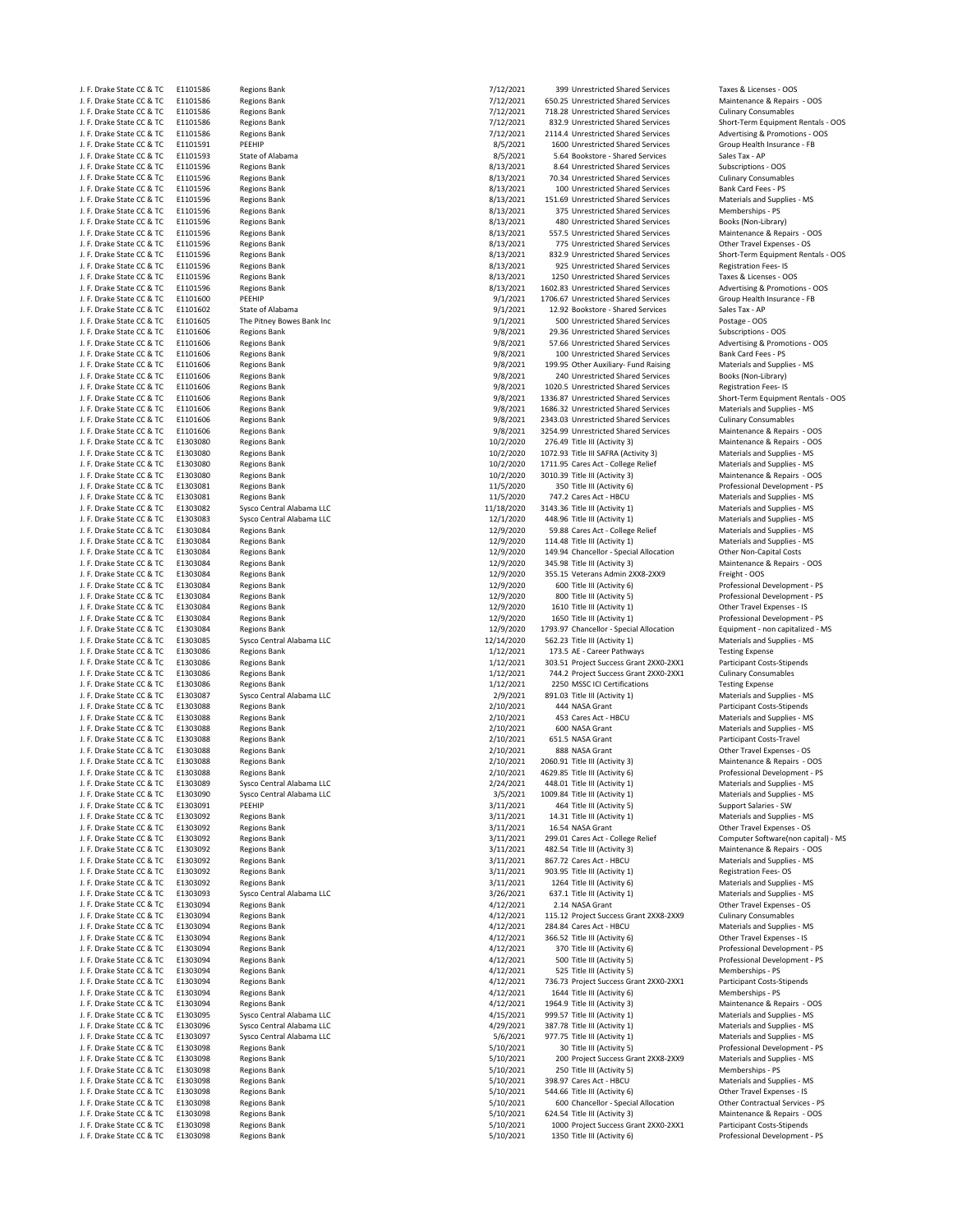| J. F. Drake State CC & TC                              | ETTOT290             | Regions Bank                               | 1/12/2021              | <b>SAA nullestricted susted Services</b>                            | Taxes & Licenses - OOS                                             |
|--------------------------------------------------------|----------------------|--------------------------------------------|------------------------|---------------------------------------------------------------------|--------------------------------------------------------------------|
| J. F. Drake State CC & TC                              | E1101586             | <b>Regions Bank</b>                        | 7/12/2021              | 650.25 Unrestricted Shared Services                                 | Maintenance & Repairs - OOS                                        |
| J. F. Drake State CC & TC                              | E1101586             | Regions Bank                               | 7/12/2021              | 718.28 Unrestricted Shared Services                                 | <b>Culinary Consumables</b>                                        |
| J. F. Drake State CC & TC                              | E1101586             | Regions Bank                               | 7/12/2021              | 832.9 Unrestricted Shared Services                                  | Short-Term Equipment Rentals                                       |
| J. F. Drake State CC & TC                              | E1101586             | <b>Regions Bank</b>                        | 7/12/2021              | 2114.4 Unrestricted Shared Services                                 | Advertising & Promotions - OC                                      |
| J. F. Drake State CC & TC                              | E1101591             | PEEHIP                                     | 8/5/2021               | 1600 Unrestricted Shared Services                                   | Group Health Insurance - FB                                        |
| J. F. Drake State CC & TC                              | E1101593             | State of Alabama                           | 8/5/2021               | 5.64 Bookstore - Shared Services                                    | Sales Tax - AP                                                     |
| J. F. Drake State CC & TC                              | E1101596             | <b>Regions Bank</b>                        | 8/13/2021              | 8.64 Unrestricted Shared Services                                   | Subscriptions - OOS                                                |
| J. F. Drake State CC & TC                              | E1101596             | <b>Regions Bank</b>                        | 8/13/2021              | 70.34 Unrestricted Shared Services                                  | <b>Culinary Consumables</b>                                        |
| J. F. Drake State CC & TC                              | E1101596             | <b>Regions Bank</b>                        | 8/13/2021              | 100 Unrestricted Shared Services                                    | Bank Card Fees - PS                                                |
|                                                        |                      |                                            |                        |                                                                     |                                                                    |
| J. F. Drake State CC & TC                              | E1101596             | <b>Regions Bank</b>                        | 8/13/2021              | 151.69 Unrestricted Shared Services                                 | Materials and Supplies - MS                                        |
| J. F. Drake State CC & TC                              | E1101596             | <b>Regions Bank</b>                        | 8/13/2021              | 375 Unrestricted Shared Services                                    | Memberships - PS                                                   |
| J. F. Drake State CC & TC                              | E1101596             | <b>Regions Bank</b>                        | 8/13/2021              | 480 Unrestricted Shared Services                                    | Books (Non-Library)                                                |
| J. F. Drake State CC & TC                              | E1101596             | <b>Regions Bank</b>                        | 8/13/2021              | 557.5 Unrestricted Shared Services                                  | Maintenance & Repairs - OOS                                        |
| J. F. Drake State CC & TC                              | E1101596             | Regions Bank                               | 8/13/2021              | 775 Unrestricted Shared Services                                    | Other Travel Expenses - OS                                         |
| J. F. Drake State CC & TC                              | E1101596             | <b>Regions Bank</b>                        | 8/13/2021              | 832.9 Unrestricted Shared Services                                  | Short-Term Equipment Rentals                                       |
| J. F. Drake State CC & TC                              | E1101596             | <b>Regions Bank</b>                        | 8/13/2021              | 925 Unrestricted Shared Services                                    | <b>Registration Fees-IS</b>                                        |
| J. F. Drake State CC & TC                              | E1101596             | <b>Regions Bank</b>                        | 8/13/2021              | 1250 Unrestricted Shared Services                                   | Taxes & Licenses - OOS                                             |
|                                                        |                      |                                            |                        |                                                                     |                                                                    |
| J. F. Drake State CC & TC                              | E1101596             | Regions Bank                               | 8/13/2021              | 1602.83 Unrestricted Shared Services                                | Advertising & Promotions - OC                                      |
| J. F. Drake State CC & TC                              | E1101600             | PEEHIP                                     | 9/1/2021               | 1706.67 Unrestricted Shared Services                                | Group Health Insurance - FB                                        |
| J. F. Drake State CC & TC                              | E1101602             | State of Alabama                           | 9/1/2021               | 12.92 Bookstore - Shared Services                                   | Sales Tax - AP                                                     |
| J. F. Drake State CC & TC                              | E1101605             | The Pitney Bowes Bank Inc                  | 9/1/2021               | 500 Unrestricted Shared Services                                    | Postage - OOS                                                      |
| J. F. Drake State CC & TC                              | E1101606             | <b>Regions Bank</b>                        | 9/8/2021               | 29.36 Unrestricted Shared Services                                  | Subscriptions - OOS                                                |
| J. F. Drake State CC & TC                              | E1101606             | <b>Regions Bank</b>                        | 9/8/2021               | 57.66 Unrestricted Shared Services                                  | Advertising & Promotions - OC                                      |
| J. F. Drake State CC & TC                              | E1101606             | <b>Regions Bank</b>                        | 9/8/2021               | 100 Unrestricted Shared Services                                    | Bank Card Fees - PS                                                |
| J. F. Drake State CC & TC                              | E1101606             | Regions Bank                               | 9/8/2021               | 199.95 Other Auxiliary- Fund Raising                                | Materials and Supplies - MS                                        |
|                                                        |                      |                                            |                        |                                                                     |                                                                    |
| J. F. Drake State CC & TC                              | E1101606             | <b>Regions Bank</b>                        | 9/8/2021               | 240 Unrestricted Shared Services                                    | Books (Non-Library)                                                |
| J. F. Drake State CC & TC                              | E1101606             | <b>Regions Bank</b>                        | 9/8/2021               | 1020.5 Unrestricted Shared Services                                 | Registration Fees-IS                                               |
| J. F. Drake State CC & TC                              | E1101606             | <b>Regions Bank</b>                        | 9/8/2021               | 1336.87 Unrestricted Shared Services                                | Short-Term Equipment Rentals                                       |
| J. F. Drake State CC & TC                              | E1101606             | <b>Regions Bank</b>                        | 9/8/2021               | 1686.32 Unrestricted Shared Services                                | Materials and Supplies - MS                                        |
| J. F. Drake State CC & TC                              | E1101606             | <b>Regions Bank</b>                        | 9/8/2021               | 2343.03 Unrestricted Shared Services                                | <b>Culinary Consumables</b>                                        |
| J. F. Drake State CC & TC                              | E1101606             | <b>Regions Bank</b>                        | 9/8/2021               | 3254.99 Unrestricted Shared Services                                | Maintenance & Repairs - OOS                                        |
| J. F. Drake State CC & TC                              | E1303080             | Regions Bank                               | 10/2/2020              | 276.49 Title III (Activity 3)                                       | Maintenance & Repairs - OOS                                        |
| J. F. Drake State CC & TC                              | E1303080             | <b>Regions Bank</b>                        | 10/2/2020              | 1072.93 Title III SAFRA (Activity 3)                                | Materials and Supplies - MS                                        |
|                                                        |                      |                                            |                        |                                                                     |                                                                    |
| J. F. Drake State CC & TC                              | E1303080             | <b>Regions Bank</b>                        | 10/2/2020              | 1711.95 Cares Act - College Relief                                  | Materials and Supplies - MS                                        |
| J. F. Drake State CC & TC                              | E1303080             | <b>Regions Bank</b>                        | 10/2/2020              | 3010.39 Title III (Activity 3)                                      | Maintenance & Repairs - OOS                                        |
| J. F. Drake State CC & TC                              | E1303081             | <b>Regions Bank</b>                        | 11/5/2020              | 350 Title III (Activity 6)                                          | Professional Development - PS                                      |
| J. F. Drake State CC & TC                              | E1303081             | <b>Regions Bank</b>                        | 11/5/2020              | 747.2 Cares Act - HBCU                                              | Materials and Supplies - MS                                        |
| J. F. Drake State CC & TC                              | E1303082             | Sysco Central Alabama LLC                  | 11/18/2020             | 3143.36 Title III (Activity 1)                                      | Materials and Supplies - MS                                        |
| J. F. Drake State CC & TC                              | E1303083             | Sysco Central Alabama LLC                  | 12/1/2020              | 448.96 Title III (Activity 1)                                       | Materials and Supplies - MS                                        |
| J. F. Drake State CC & TC                              | E1303084             | <b>Regions Bank</b>                        | 12/9/2020              | 59.88 Cares Act - College Relief                                    | Materials and Supplies - MS                                        |
| J. F. Drake State CC & TC                              | E1303084             | <b>Regions Bank</b>                        | 12/9/2020              | 114.48 Title III (Activity 1)                                       | Materials and Supplies - MS                                        |
|                                                        |                      |                                            | 12/9/2020              |                                                                     |                                                                    |
| J. F. Drake State CC & TC                              | E1303084             | <b>Regions Bank</b>                        |                        | 149.94 Chancellor - Special Allocation                              | Other Non-Capital Costs                                            |
| J. F. Drake State CC & TC                              | E1303084             | <b>Regions Bank</b>                        | 12/9/2020              | 345.98 Title III (Activity 3)                                       | Maintenance & Repairs - OOS                                        |
| J. F. Drake State CC & TC                              | E1303084             | <b>Regions Bank</b>                        | 12/9/2020              | 355.15 Veterans Admin 2XX8-2XX9                                     | Freight - OOS                                                      |
| J. F. Drake State CC & TC                              | E1303084             | <b>Regions Bank</b>                        | 12/9/2020              | 600 Title III (Activity 6)                                          | Professional Development - PS                                      |
| J. F. Drake State CC & TC                              | E1303084             | <b>Regions Bank</b>                        | 12/9/2020              | 800 Title III (Activity 5)                                          | Professional Development - PS                                      |
| J. F. Drake State CC & TC                              | E1303084             | <b>Regions Bank</b>                        | 12/9/2020              | 1610 Title III (Activity 1)                                         | Other Travel Expenses - IS                                         |
| J. F. Drake State CC & TC                              | E1303084             | <b>Regions Bank</b>                        | 12/9/2020              | 1650 Title III (Activity 1)                                         | Professional Development - PS                                      |
| J. F. Drake State CC & TC                              | E1303084             | <b>Regions Bank</b>                        | 12/9/2020              | 1793.97 Chancellor - Special Allocation                             | Equipment - non capitalized - I                                    |
|                                                        | E1303085             |                                            |                        | 562.23 Title III (Activity 1)                                       | Materials and Supplies - MS                                        |
| J. F. Drake State CC & TC                              |                      | Sysco Central Alabama LLC                  | 12/14/2020             |                                                                     |                                                                    |
| J. F. Drake State CC & TC                              | E1303086             | <b>Regions Bank</b>                        | 1/12/2021              | 173.5 AE - Career Pathways                                          | <b>Testing Expense</b>                                             |
| J. F. Drake State CC & TC                              | E1303086             | <b>Regions Bank</b>                        | 1/12/2021              | 303.51 Project Success Grant 2XX0-2XX1                              | Participant Costs-Stipends                                         |
| J. F. Drake State CC & TC                              | E1303086             | Regions Bank                               | 1/12/2021              | 744.2 Project Success Grant 2XX0-2XX1                               | <b>Culinary Consumables</b>                                        |
| J. F. Drake State CC & TC                              | E1303086             | <b>Regions Bank</b>                        | 1/12/2021              | 2250 MSSC ICI Certifications                                        | <b>Testing Expense</b>                                             |
| J. F. Drake State CC & TC                              | E1303087             | Sysco Central Alabama LLC                  | 2/9/2021               | 891.03 Title III (Activity 1)                                       | Materials and Supplies - MS                                        |
| J. F. Drake State CC & TC                              | E1303088             | <b>Regions Bank</b>                        | 2/10/2021              | 444 NASA Grant                                                      | Participant Costs-Stipends                                         |
| J. F. Drake State CC & TC                              | E1303088             | <b>Regions Bank</b>                        | 2/10/2021              | 453 Cares Act - HBCU                                                | Materials and Supplies - MS                                        |
| J. F. Drake State CC & TC                              |                      |                                            |                        | 600 NASA Grant                                                      |                                                                    |
|                                                        | E1303088             | <b>Regions Bank</b>                        | 2/10/2021              |                                                                     | Materials and Supplies - MS                                        |
| J. F. Drake State CC & TC                              | E1303088             | <b>Regions Bank</b>                        | 2/10/2021              | 651.5 NASA Grant                                                    | Participant Costs-Travel                                           |
| J. F. Drake State CC & TC                              | E1303088             | <b>Regions Bank</b>                        | 2/10/2021              | 888 NASA Grant                                                      | Other Travel Expenses - OS                                         |
| J. F. Drake State CC & TC                              | E1303088             | <b>Regions Bank</b>                        | 2/10/2021              | 2060.91 Title III (Activity 3)                                      | Maintenance & Repairs - OOS                                        |
| J. F. Drake State CC & TC                              | E1303088             | <b>Regions Bank</b>                        | 2/10/2021              | 4629.85 Title III (Activity 6)                                      | Professional Development - PS                                      |
| J. F. Drake State CC & TC                              | E1303089             | Sysco Central Alabama LLC                  | 2/24/2021              | 448.01 Title III (Activity 1)                                       | Materials and Supplies - MS                                        |
| J. F. Drake State CC & TC                              | E1303090             | Sysco Central Alabama LLC                  | 3/5/2021               | 1009.84 Title III (Activity 1)                                      | Materials and Supplies - MS                                        |
| J. F. Drake State CC & TC                              | E1303091             | PEEHIP                                     | 3/11/2021              | 464 Title III (Activity 5)                                          | Support Salaries - SW                                              |
| J. F. Drake State CC & TC                              | E1303092             | <b>Regions Bank</b>                        | 3/11/2021              | 14.31 Title III (Activity 1)                                        | Materials and Supplies - MS                                        |
|                                                        |                      |                                            | 3/11/2021              |                                                                     | Other Travel Expenses - OS                                         |
| J. F. Drake State CC & TC<br>J. F. Drake State CC & TC | E1303092             | <b>Regions Bank</b>                        |                        | 16.54 NASA Grant                                                    |                                                                    |
|                                                        | E1303092             | <b>Regions Bank</b>                        | 3/11/2021              | 299.01 Cares Act - College Relief                                   | Computer Software(non capita                                       |
| J. F. Drake State CC & TC                              | E1303092             | <b>Regions Bank</b>                        | 3/11/2021              | 482.54 Title III (Activity 3)                                       | Maintenance & Repairs - OOS                                        |
| J. F. Drake State CC & TC                              | E1303092             | <b>Regions Bank</b>                        | 3/11/2021              | 867.72 Cares Act - HBCU                                             | Materials and Supplies - MS                                        |
| J. F. Drake State CC & TC                              | E1303092             | <b>Regions Bank</b>                        | 3/11/2021              | 903.95 Title III (Activity 1)                                       | <b>Registration Fees-OS</b>                                        |
| J. F. Drake State CC & TC                              | E1303092             | <b>Regions Bank</b>                        | 3/11/2021              | 1264 Title III (Activity 6)                                         | Materials and Supplies - MS                                        |
| J. F. Drake State CC & TC                              | E1303093             | Sysco Central Alabama LLC                  | 3/26/2021              | 637.1 Title III (Activity 1)                                        | Materials and Supplies - MS                                        |
| J. F. Drake State CC & TC                              | E1303094             | <b>Regions Bank</b>                        | 4/12/2021              | 2.14 NASA Grant                                                     | Other Travel Expenses - OS                                         |
| J. F. Drake State CC & TC                              | E1303094             | Regions Bank                               | 4/12/2021              | 115.12 Project Success Grant 2XX8-2XX9                              | <b>Culinary Consumables</b>                                        |
| J. F. Drake State CC & TC                              | E1303094             | <b>Regions Bank</b>                        | 4/12/2021              | 284.84 Cares Act - HBCU                                             | Materials and Supplies - MS                                        |
| J. F. Drake State CC & TC                              | E1303094             | Regions Bank                               | 4/12/2021              | 366.52 Title III (Activity 6)                                       | Other Travel Expenses - IS                                         |
|                                                        |                      |                                            |                        |                                                                     |                                                                    |
| J. F. Drake State CC & TC                              | E1303094             | Regions Bank                               | 4/12/2021              | 370 Title III (Activity 6)                                          | Professional Development - PS                                      |
| J. F. Drake State CC & TC                              | E1303094             | <b>Regions Bank</b>                        | 4/12/2021              | 500 Title III (Activity 5)                                          | Professional Development - PS                                      |
| J. F. Drake State CC & TC                              | E1303094             | <b>Regions Bank</b>                        | 4/12/2021              | 525 Title III (Activity 5)                                          | Memberships - PS                                                   |
| J. F. Drake State CC & TC                              | E1303094             | <b>Regions Bank</b>                        | 4/12/2021              | 736.73 Project Success Grant 2XX0-2XX1                              | <b>Participant Costs-Stipends</b>                                  |
| J. F. Drake State CC & TC                              | E1303094             | <b>Regions Bank</b>                        | 4/12/2021              | 1644 Title III (Activity 6)                                         | Memberships - PS                                                   |
| J. F. Drake State CC & TC                              | E1303094             | <b>Regions Bank</b>                        | 4/12/2021              | 1964.9 Title III (Activity 3)                                       | Maintenance & Repairs - OOS                                        |
| J. F. Drake State CC & TC                              | E1303095             | Sysco Central Alabama LLC                  | 4/15/2021              | 999.57 Title III (Activity 1)                                       | Materials and Supplies - MS                                        |
| J. F. Drake State CC & TC                              | E1303096             | Sysco Central Alabama LLC                  | 4/29/2021              | 387.78 Title III (Activity 1)                                       | Materials and Supplies - MS                                        |
|                                                        |                      |                                            |                        |                                                                     |                                                                    |
| J. F. Drake State CC & TC                              | E1303097             | Sysco Central Alabama LLC                  | 5/6/2021               | 977.75 Title III (Activity 1)                                       | Materials and Supplies - MS                                        |
| J. F. Drake State CC & TC                              | E1303098             | <b>Regions Bank</b>                        | 5/10/2021              | 30 Title III (Activity 5)                                           | Professional Development - PS                                      |
| J. F. Drake State CC & TC                              | E1303098             | <b>Regions Bank</b>                        | 5/10/2021              | 200 Project Success Grant 2XX8-2XX9                                 | Materials and Supplies - MS                                        |
| J. F. Drake State CC & TC                              | E1303098             | Regions Bank                               | 5/10/2021              | 250 Title III (Activity 5)                                          | Memberships - PS                                                   |
| J. F. Drake State CC & TC                              | E1303098             | <b>Regions Bank</b>                        | 5/10/2021              | 398.97 Cares Act - HBCU                                             | Materials and Supplies - MS                                        |
| J. F. Drake State CC & TC                              | E1303098             | <b>Regions Bank</b>                        | 5/10/2021              | 544.66 Title III (Activity 6)                                       | Other Travel Expenses - IS                                         |
| J. F. Drake State CC & TC                              | E1303098             | <b>Regions Bank</b>                        | 5/10/2021              | 600 Chancellor - Special Allocation                                 | Other Contractual Services - P!                                    |
| J. F. Drake State CC & TC                              |                      |                                            |                        |                                                                     |                                                                    |
|                                                        |                      |                                            |                        |                                                                     |                                                                    |
|                                                        | E1303098             | Regions Bank                               | 5/10/2021              | 624.54 Title III (Activity 3)                                       | Maintenance & Repairs - OOS                                        |
| J. F. Drake State CC & TC<br>J. F. Drake State CC & TC | E1303098<br>E1303098 | <b>Regions Bank</b><br><b>Regions Bank</b> | 5/10/2021<br>5/10/2021 | 1000 Project Success Grant 2XX0-2XX1<br>1350 Title III (Activity 6) | <b>Participant Costs-Stipends</b><br>Professional Development - PS |

Maintenance & Repairs - OOS Materials and Supplies - MS nagh. The State Coupplies - MS Professional Development - PS Materials and Supplies - MS